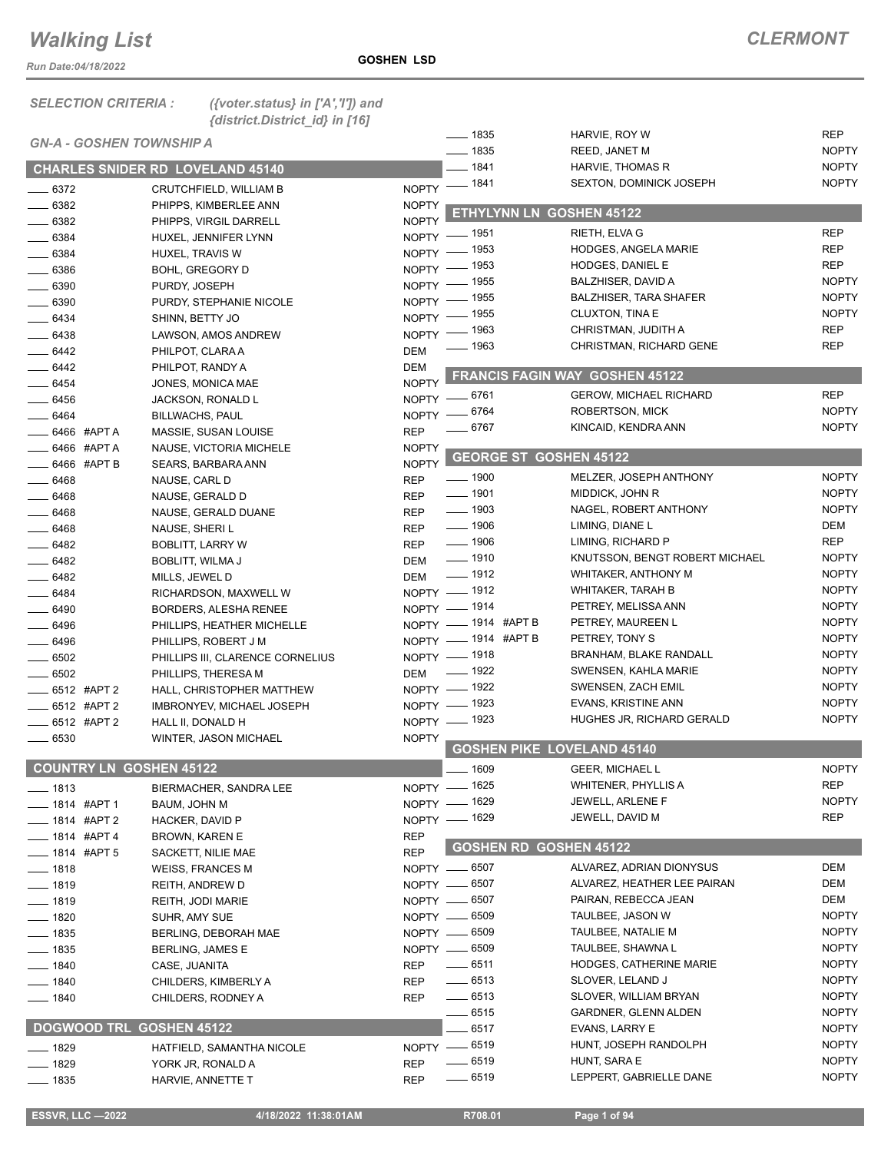*Run Date:04/18/2022*

|  | LEGIJON GRIJERIA ; | 11 V |
|--|--------------------|------|
|  |                    | ĴΝ   |

*SELECTION CRITERIA : ({voter.status} in ['A','I']) and {district.District\_id} in [16]*

|                                 |                                         |              | $\frac{1}{2}$ 1835                | HARVIE, ROY W                  | <b>REP</b>   |
|---------------------------------|-----------------------------------------|--------------|-----------------------------------|--------------------------------|--------------|
| <b>GN-A - GOSHEN TOWNSHIP A</b> |                                         |              | $- 1835$                          | REED, JANET M                  | <b>NOPTY</b> |
|                                 | <b>CHARLES SNIDER RD LOVELAND 45140</b> |              | $-1841$                           | HARVIE, THOMAS R               | <b>NOPTY</b> |
| $- 6372$                        | CRUTCHFIELD, WILLIAM B                  | <b>NOPTY</b> | $- 1841$                          | <b>SEXTON, DOMINICK JOSEPH</b> | <b>NOPTY</b> |
| $- 6382$                        | PHIPPS, KIMBERLEE ANN                   | <b>NOPTY</b> |                                   |                                |              |
| $- 6382$                        | PHIPPS, VIRGIL DARRELL                  | <b>NOPTY</b> | ETHYLYNN LN GOSHEN 45122          |                                |              |
| $\frac{1}{2}$ 6384              | HUXEL, JENNIFER LYNN                    | $N$ OPTY $-$ | _ 1951                            | RIETH, ELVA G                  | <b>REP</b>   |
| $\frac{1}{2}$ 6384              | HUXEL, TRAVIS W                         |              | NOPTY - 1953                      | <b>HODGES, ANGELA MARIE</b>    | <b>REP</b>   |
| $- 6386$                        | <b>BOHL, GREGORY D</b>                  | NOPTY -      | _ 1953                            | <b>HODGES, DANIEL E</b>        | <b>REP</b>   |
| $- 6390$                        | PURDY, JOSEPH                           | NOPTY -      | _ 1955                            | BALZHISER, DAVID A             | <b>NOPTY</b> |
| $- 6390$                        | PURDY, STEPHANIE NICOLE                 | $NOPTY =$    | _ 1955                            | <b>BALZHISER, TARA SHAFER</b>  | <b>NOPTY</b> |
| $- 6434$                        | SHINN, BETTY JO                         | $NOPTY$ -    | _ 1955                            | CLUXTON, TINA E                | <b>NOPTY</b> |
| $\frac{1}{2}$ 6438              | LAWSON, AMOS ANDREW                     | $N$ OPTY $-$ | _ 1963                            | CHRISTMAN, JUDITH A            | <b>REP</b>   |
| $- 6442$                        | PHILPOT, CLARA A                        | <b>DEM</b>   | <u>_</u> __ 1963                  | CHRISTMAN, RICHARD GENE        | <b>REP</b>   |
| $-6442$                         | PHILPOT, RANDY A                        | <b>DEM</b>   |                                   |                                |              |
| $- 6454$                        | JONES, MONICA MAE                       | <b>NOPTY</b> |                                   | FRANCIS FAGIN WAY GOSHEN 45122 |              |
| $- 6456$                        | JACKSON, RONALD L                       |              | NOPTY -6761                       | <b>GEROW, MICHAEL RICHARD</b>  | <b>REP</b>   |
| $- 6464$                        | <b>BILLWACHS, PAUL</b>                  | NOPTY -      | _ 6764                            | <b>ROBERTSON, MICK</b>         | <b>NOPTY</b> |
| 6466 #APT A                     | MASSIE, SUSAN LOUISE                    | <b>REP</b>   | 6767                              | KINCAID, KENDRA ANN            | <b>NOPTY</b> |
| 6466 #APT A                     | NAUSE, VICTORIA MICHELE                 | <b>NOPTY</b> |                                   |                                |              |
| $-6466$ #APT B                  | SEARS, BARBARA ANN                      | <b>NOPTY</b> | <b>GEORGE ST GOSHEN 45122</b>     |                                |              |
| $- 6468$                        | NAUSE, CARL D                           | <b>REP</b>   | $\frac{1}{2}$ 1900                | MELZER, JOSEPH ANTHONY         | <b>NOPTY</b> |
| $- 6468$                        | NAUSE, GERALD D                         | <b>REP</b>   | $\frac{1}{2}$ 1901                | MIDDICK, JOHN R                | <b>NOPTY</b> |
| $-6468$                         | NAUSE, GERALD DUANE                     | <b>REP</b>   | $- 1903$                          | NAGEL, ROBERT ANTHONY          | <b>NOPTY</b> |
| $- 6468$                        | NAUSE, SHERI L                          | <b>REP</b>   | $\frac{1}{2}$ 1906                | LIMING, DIANE L                | DEM          |
| __ 6482                         | <b>BOBLITT, LARRY W</b>                 | <b>REP</b>   | $\frac{1}{2}$ 1906                | LIMING, RICHARD P              | <b>REP</b>   |
| $- 6482$                        | BOBLITT, WILMA J                        | <b>DEM</b>   | $\frac{1}{2}$ 1910                | KNUTSSON, BENGT ROBERT MICHAEL | <b>NOPTY</b> |
| $- 6482$                        | MILLS, JEWEL D                          | DEM          | $\frac{1}{2}$ 1912                | WHITAKER, ANTHONY M            | <b>NOPTY</b> |
| $- 6484$                        | RICHARDSON, MAXWELL W                   |              | NOPTY - 1912                      | WHITAKER, TARAH B              | <b>NOPTY</b> |
| $- 6490$                        | BORDERS, ALESHA RENEE                   |              | NOPTY - 1914                      | PETREY, MELISSA ANN            | <b>NOPTY</b> |
| $- 6496$                        | PHILLIPS, HEATHER MICHELLE              |              | NOPTY - 1914 #APT B               | PETREY, MAUREEN L              | <b>NOPTY</b> |
| $\frac{1}{2}$ 6496              | PHILLIPS, ROBERT J M                    |              | NOPTY - 1914 #APT B               | PETREY, TONY S                 | <b>NOPTY</b> |
| $\frac{1}{2}$ 6502              | PHILLIPS III, CLARENCE CORNELIUS        |              | NOPTY - 1918                      | <b>BRANHAM, BLAKE RANDALL</b>  | <b>NOPTY</b> |
| $\frac{1}{2}$ 6502              | PHILLIPS, THERESA M                     | <b>DEM</b>   | $\frac{1}{2}$ 1922                | SWENSEN, KAHLA MARIE           | <b>NOPTY</b> |
| $\frac{1}{2}$ 6512 #APT 2       | HALL, CHRISTOPHER MATTHEW               |              | NOPTY - 1922                      | SWENSEN, ZACH EMIL             | <b>NOPTY</b> |
| $-6512$ #APT 2                  | IMBRONYEV, MICHAEL JOSEPH               |              | NOPTY - 1923                      | EVANS, KRISTINE ANN            | <b>NOPTY</b> |
| $\frac{1}{2}$ 6512 #APT 2       | HALL II, DONALD H                       |              | NOPTY - 1923                      | HUGHES JR, RICHARD GERALD      | <b>NOPTY</b> |
| $\frac{1}{2}$ 6530              | WINTER, JASON MICHAEL                   | <b>NOPTY</b> |                                   |                                |              |
|                                 |                                         |              | <b>GOSHEN PIKE LOVELAND 45140</b> |                                |              |
| <b>COUNTRY LN GOSHEN 45122</b>  |                                         |              | $-1609$                           | <b>GEER, MICHAEL L</b>         | <b>NOPTY</b> |
| —— 1813                         | BIERMACHER, SANDRA LEE                  |              | NOPTY - 1625                      | <b>WHITENER, PHYLLIS A</b>     | <b>REP</b>   |
|                                 | BAUM, JOHN M                            |              | NOPTY - 1629                      | <b>JEWELL, ARLENE F</b>        | <b>NOPTY</b> |
| ____ 1814 #APT 2                | HACKER, DAVID P                         |              | NOPTY - 1629                      | JEWELL, DAVID M                | REP          |
| <sub>—</sub> 1814 #APT 4        | BROWN, KAREN E                          | <b>REP</b>   |                                   |                                |              |
| $\frac{1}{2}$ 1814 #APT 5       | SACKETT, NILIE MAE                      | <b>REP</b>   | <b>GOSHEN RD GOSHEN 45122</b>     |                                |              |
| $- 1818$                        | <b>WEISS, FRANCES M</b>                 |              | NOPTY -6507                       | ALVAREZ, ADRIAN DIONYSUS       | DEM          |
| $- 1819$                        | REITH, ANDREW D                         |              | NOPTY -6507                       | ALVAREZ, HEATHER LEE PAIRAN    | DEM          |
| $- 1819$                        | REITH, JODI MARIE                       |              | NOPTY -6507                       | PAIRAN, REBECCA JEAN           | DEM          |
| $- 1820$                        | SUHR, AMY SUE                           |              | NOPTY -6509                       | TAULBEE, JASON W               | <b>NOPTY</b> |
| $\frac{1}{2}$ 1835              | BERLING, DEBORAH MAE                    |              | NOPTY -6509                       | TAULBEE, NATALIE M             | <b>NOPTY</b> |
| $- 1835$                        | <b>BERLING, JAMES E</b>                 |              | NOPTY -6509                       | TAULBEE, SHAWNA L              | <b>NOPTY</b> |
| $\frac{1}{2}$ 1840              | CASE, JUANITA                           | REP          | $-6511$                           | HODGES, CATHERINE MARIE        | <b>NOPTY</b> |
| $- 1840$                        | CHILDERS, KIMBERLY A                    | REP          | $-6513$                           | SLOVER, LELAND J               | <b>NOPTY</b> |
| —— 1840                         | CHILDERS, RODNEY A                      | <b>REP</b>   | $\frac{1}{2}$ 6513                | SLOVER, WILLIAM BRYAN          | <b>NOPTY</b> |
|                                 |                                         |              | __ 6515                           | GARDNER, GLENN ALDEN           | <b>NOPTY</b> |
| DOGWOOD TRL GOSHEN 45122        |                                         |              | 6517                              | EVANS, LARRY E                 | <b>NOPTY</b> |
| —— 1829                         | HATFIELD, SAMANTHA NICOLE               |              | NOPTY - 6519                      | HUNT, JOSEPH RANDOLPH          | <b>NOPTY</b> |
| _ 1829                          | YORK JR, RONALD A                       | <b>REP</b>   | $- 6519$                          | HUNT, SARA E                   | <b>NOPTY</b> |
| $-1835$                         | HARVIE, ANNETTE T                       | <b>REP</b>   | $- 6519$                          | LEPPERT, GABRIELLE DANE        | <b>NOPTY</b> |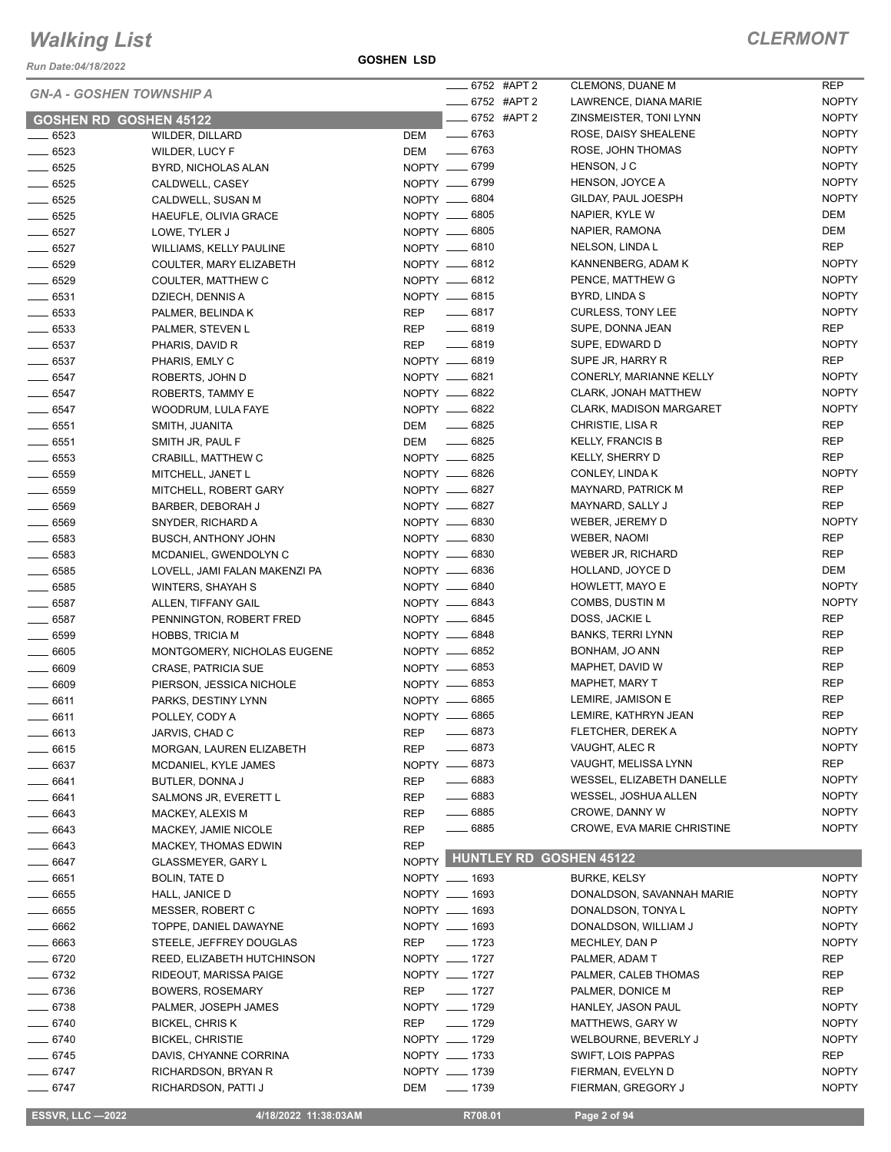*Run Date:04/18/2022*

|                     | <b>GN-A - GOSHEN TOWNSHIP A</b> | 6752 #APT 2                   | CLEMONS, DUANE M            | REP          |
|---------------------|---------------------------------|-------------------------------|-----------------------------|--------------|
|                     |                                 | $-6752$ #APT 2                | LAWRENCE, DIANA MARIE       | <b>NOPTY</b> |
|                     | <b>GOSHEN RD GOSHEN 45122</b>   | -6752 #APT 2                  | ZINSMEISTER, TONI LYNN      | <b>NOPTY</b> |
| $- 6523$            | WILDER, DILLARD                 | $- 6763$<br>DEM               | ROSE, DAISY SHEALENE        | <b>NOPTY</b> |
| $- 6523$            | <b>WILDER, LUCY F</b>           | DEM -6763                     | ROSE, JOHN THOMAS           | <b>NOPTY</b> |
| $- 6525$            | BYRD, NICHOLAS ALAN             | NOPTY __ 6799                 | HENSON, J C                 | <b>NOPTY</b> |
| $- 6525$            | CALDWELL, CASEY                 | NOPTY -6799                   | HENSON, JOYCE A             | <b>NOPTY</b> |
| $\frac{1}{2}6525$   | CALDWELL, SUSAN M               | NOPTY __ 6804                 | GILDAY, PAUL JOESPH         | <b>NOPTY</b> |
| $- 6525$            | HAEUFLE, OLIVIA GRACE           | NOPTY __ 6805                 | NAPIER, KYLE W              | DEM          |
| $- 6527$            | LOWE, TYLER J                   | NOPTY __ 6805                 | NAPIER, RAMONA              | DEM          |
| $-6527$             | WILLIAMS, KELLY PAULINE         | NOPTY __ 6810                 | NELSON, LINDA L             | <b>REP</b>   |
| $- 6529$            | COULTER, MARY ELIZABETH         | NOPTY __ 6812                 | KANNENBERG, ADAM K          | <b>NOPTY</b> |
| $- 6529$            | COULTER, MATTHEW C              | NOPTY -6812                   | PENCE, MATTHEW G            | <b>NOPTY</b> |
| $- 6531$            | DZIECH, DENNIS A                | NOPTY __ 6815                 | BYRD, LINDA S               | <b>NOPTY</b> |
| $- 6533$            | PALMER, BELINDA K               | REP 	 — 6817                  | <b>CURLESS, TONY LEE</b>    | <b>NOPTY</b> |
| $- 6533$            | PALMER, STEVEN L                | REP __ 6819                   | SUPE, DONNA JEAN            | <b>REP</b>   |
| $- 6537$            | PHARIS, DAVID R                 | REP -6819                     | SUPE, EDWARD D              | <b>NOPTY</b> |
| $- 6537$            | PHARIS, EMLY C                  | NOPTY __ 6819                 | SUPE JR, HARRY R            | <b>REP</b>   |
|                     |                                 | NOPTY __ 6821                 | CONERLY, MARIANNE KELLY     | <b>NOPTY</b> |
| $- 6547$<br>$-6547$ | ROBERTS, JOHN D                 | NOPTY -6822                   | <b>CLARK, JONAH MATTHEW</b> | <b>NOPTY</b> |
|                     | ROBERTS, TAMMY E                | NOPTY __ 6822                 |                             | <b>NOPTY</b> |
| $-6547$             | WOODRUM, LULA FAYE              |                               | CLARK, MADISON MARGARET     |              |
| $- 6551$            | SMITH, JUANITA                  | $\frac{1}{2}$ 6825<br>DEM     | CHRISTIE, LISA R            | <b>REP</b>   |
| $- 6551$            | SMITH JR, PAUL F                | $\frac{1}{2}$ 6825<br>DEM     | <b>KELLY, FRANCIS B</b>     | <b>REP</b>   |
| $- 6553$            | CRABILL, MATTHEW C              | NOPTY __ 6825                 | KELLY, SHERRY D             | <b>REP</b>   |
| $- 6559$            | MITCHELL, JANET L               | NOPTY -6826                   | CONLEY, LINDA K             | <b>NOPTY</b> |
| $\frac{1}{2}$ 6559  | MITCHELL, ROBERT GARY           | NOPTY __ 6827                 | MAYNARD, PATRICK M          | <b>REP</b>   |
| $- 6569$            | BARBER, DEBORAH J               | NOPTY -6827                   | MAYNARD, SALLY J            | <b>REP</b>   |
| $- 6569$            | SNYDER, RICHARD A               | NOPTY -6830                   | WEBER, JEREMY D             | <b>NOPTY</b> |
| $- 6583$            | <b>BUSCH, ANTHONY JOHN</b>      | NOPTY __ 6830                 | WEBER, NAOMI                | REP          |
| $- 6583$            | MCDANIEL, GWENDOLYN C           | NOPTY -6830                   | <b>WEBER JR, RICHARD</b>    | <b>REP</b>   |
| $- 6585$            | LOVELL, JAMI FALAN MAKENZI PA   | NOPTY __ 6836                 | HOLLAND, JOYCE D            | DEM          |
| $\frac{1}{2}$ 6585  | WINTERS, SHAYAH S               | NOPTY -6840                   | HOWLETT, MAYO E             | <b>NOPTY</b> |
| $\frac{1}{2}$ 6587  | ALLEN, TIFFANY GAIL             | NOPTY -6843                   | COMBS, DUSTIN M             | <b>NOPTY</b> |
| $- 6587$            | PENNINGTON, ROBERT FRED         | NOPTY __ 6845                 | DOSS, JACKIE L              | <b>REP</b>   |
| $\frac{1}{2}$ 6599  | <b>HOBBS, TRICIA M</b>          | NOPTY -6848                   | <b>BANKS, TERRI LYNN</b>    | <b>REP</b>   |
| $- 6605$            | MONTGOMERY, NICHOLAS EUGENE     | NOPTY __ 6852                 | BONHAM, JO ANN              | <b>REP</b>   |
| $- 6609$            | <b>CRASE, PATRICIA SUE</b>      | NOPTY __ 6853                 | MAPHET, DAVID W             | <b>REP</b>   |
| $- 6609$            | PIERSON, JESSICA NICHOLE        | NOPTY __ 6853                 | MAPHET, MARY T              | <b>REP</b>   |
| $-6611$             | PARKS, DESTINY LYNN             | NOPTY __ 6865                 | LEMIRE, JAMISON E           | <b>REP</b>   |
| $-6611$             | POLLEY, CODY A                  | NOPTY __ 6865                 | LEMIRE, KATHRYN JEAN        | <b>REP</b>   |
| _ 6613              | JARVIS, CHAD C                  | $\frac{1}{2}$ 6873<br>REP     | FLETCHER, DEREK A           | <b>NOPTY</b> |
| $-6615$             |                                 | $- 6873$<br>REP               | VAUGHT, ALEC R              | <b>NOPTY</b> |
|                     | MORGAN, LAUREN ELIZABETH        | NOPTY __ 6873                 | VAUGHT, MELISSA LYNN        | REP          |
| $\frac{1}{2}$ 6637  | MCDANIEL, KYLE JAMES            |                               |                             |              |
| $- 6641$            | BUTLER, DONNA J                 | $- 6883$<br>REP               | WESSEL, ELIZABETH DANELLE   | <b>NOPTY</b> |
| $- 6641$            | SALMONS JR, EVERETT L           | $- 6883$<br>REP               | WESSEL, JOSHUA ALLEN        | <b>NOPTY</b> |
| $- 6643$            | MACKEY, ALEXIS M                | $\frac{1}{2}$ 6885<br>REP     | CROWE, DANNY W              | <b>NOPTY</b> |
| $- 6643$            | MACKEY, JAMIE NICOLE            | $\frac{1}{2}$ 6885<br>REP     | CROWE, EVA MARIE CHRISTINE  | <b>NOPTY</b> |
| $- 6643$            | MACKEY, THOMAS EDWIN            | <b>REP</b>                    |                             |              |
| $- 6647$            | <b>GLASSMEYER, GARY L</b>       | NOPTY HUNTLEY RD GOSHEN 45122 |                             |              |
| $- 6651$            | <b>BOLIN, TATE D</b>            | NOPTY __ 1693                 | <b>BURKE, KELSY</b>         | <b>NOPTY</b> |
| $- 6655$            | HALL, JANICE D                  | NOPTY __ 1693                 | DONALDSON, SAVANNAH MARIE   | <b>NOPTY</b> |
| $\frac{1}{2}$ 6655  | MESSER, ROBERT C                | NOPTY __ 1693                 | DONALDSON, TONYA L          | <b>NOPTY</b> |
| $- 6662$            | TOPPE, DANIEL DAWAYNE           | NOPTY __ 1693                 | DONALDSON, WILLIAM J        | <b>NOPTY</b> |
| $- 6663$            | STEELE, JEFFREY DOUGLAS         | REP<br>$- 1723$               | MECHLEY, DAN P              | <b>NOPTY</b> |
| $- 6720$            | REED, ELIZABETH HUTCHINSON      | NOPTY __ 1727                 | PALMER, ADAM T              | REP          |
| $- 6732$            | RIDEOUT, MARISSA PAIGE          | NOPTY __ 1727                 | PALMER, CALEB THOMAS        | REP          |
| $- 6736$            | <b>BOWERS, ROSEMARY</b>         | REP<br>$- 1727$               | PALMER, DONICE M            | REP          |
| $- 6738$            | PALMER, JOSEPH JAMES            | NOPTY __ 1729                 | HANLEY, JASON PAUL          | <b>NOPTY</b> |
| $- 6740$            | <b>BICKEL, CHRIS K</b>          | REP<br>$- 1729$               | MATTHEWS, GARY W            | <b>NOPTY</b> |
| $- 6740$            | <b>BICKEL, CHRISTIE</b>         | NOPTY __ 1729                 | WELBOURNE, BEVERLY J        | <b>NOPTY</b> |
| $- 6745$            | DAVIS, CHYANNE CORRINA          | NOPTY __ 1733                 | SWIFT, LOIS PAPPAS          | REP          |
| $- 6747$            | RICHARDSON, BRYAN R             | NOPTY __ 1739                 | FIERMAN, EVELYN D           | <b>NOPTY</b> |
| $- 6747$            | RICHARDSON, PATTI J             | DEM<br>$\frac{1}{2}$ 1739     | FIERMAN, GREGORY J          | <b>NOPTY</b> |
|                     |                                 |                               |                             |              |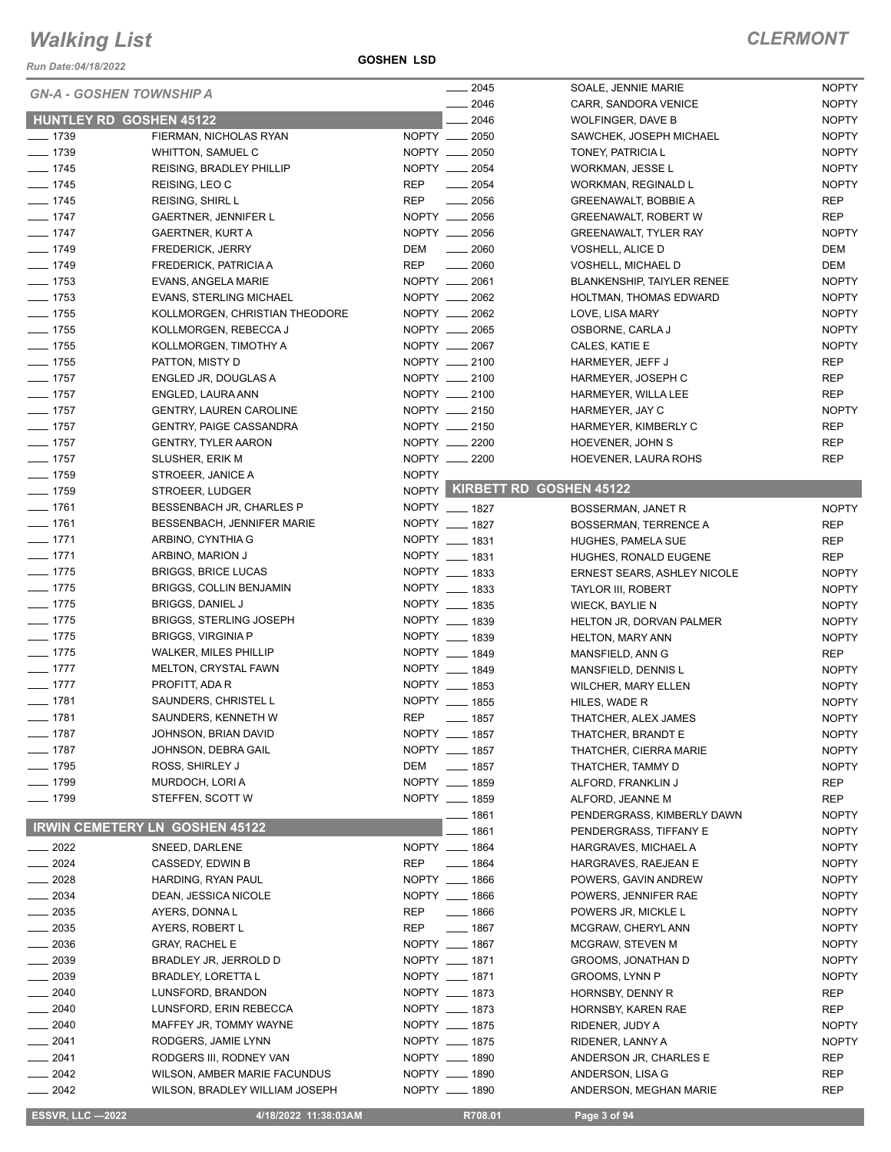*Run Date:04/18/2022*

**GOSHEN LSD**

|                     | <b>GN-A - GOSHEN TOWNSHIP A</b>       | $-2045$                          | SOALE, JENNIE MARIE                | <b>NOPTY</b> |
|---------------------|---------------------------------------|----------------------------------|------------------------------------|--------------|
|                     |                                       | $-2046$                          | CARR, SANDORA VENICE               | <b>NOPTY</b> |
|                     | <b>HUNTLEY RD GOSHEN 45122</b>        | $-2046$                          | <b>WOLFINGER, DAVE B</b>           | <b>NOPTY</b> |
| $- 1739$            | FIERMAN, NICHOLAS RYAN                | NOPTY __ 2050                    | SAWCHEK, JOSEPH MICHAEL            | <b>NOPTY</b> |
| $- 1739$            | WHITTON, SAMUEL C                     | NOPTY __ 2050                    | TONEY, PATRICIA L                  | <b>NOPTY</b> |
| $- 1745$            | REISING, BRADLEY PHILLIP              | NOPTY __ 2054                    | WORKMAN, JESSE L                   | <b>NOPTY</b> |
| $- 1745$            | REISING, LEO C                        | <b>REP</b><br>$\frac{1}{2054}$   | WORKMAN, REGINALD L                | <b>NOPTY</b> |
| $- 1745$            | <b>REISING, SHIRL L</b>               | <b>REP</b><br>$\sim$ 2056        | GREENAWALT, BOBBIE A               | REP          |
| $- 1747$            | GAERTNER, JENNIFER L                  | NOPTY __ 2056                    | <b>GREENAWALT, ROBERT W</b>        | REP          |
| $- 1747$            | GAERTNER, KURT A                      | NOPTY __ 2056                    | <b>GREENAWALT, TYLER RAY</b>       | <b>NOPTY</b> |
| $- 1749$            | <b>FREDERICK, JERRY</b>               | DEM<br>$\frac{1}{2060}$          | <b>VOSHELL, ALICE D</b>            | DEM          |
| $- 1749$            | FREDERICK, PATRICIA A                 | <b>REP</b><br>$- 2060$           | VOSHELL, MICHAEL D                 | DEM          |
| $- 1753$            | EVANS, ANGELA MARIE                   | NOPTY __ 2061                    | <b>BLANKENSHIP, TAIYLER RENEE</b>  | <b>NOPTY</b> |
| $- 1753$            | <b>EVANS, STERLING MICHAEL</b>        | NOPTY __ 2062                    | HOLTMAN, THOMAS EDWARD             | <b>NOPTY</b> |
| $- 1755$            | KOLLMORGEN, CHRISTIAN THEODORE        | NOPTY __ 2062                    | LOVE, LISA MARY                    | <b>NOPTY</b> |
| $- 1755$            | KOLLMORGEN, REBECCA J                 | NOPTY __ 2065                    | OSBORNE, CARLA J                   | <b>NOPTY</b> |
| $- 1755$            | KOLLMORGEN, TIMOTHY A                 | NOPTY __ 2067                    | CALES, KATIE E                     | <b>NOPTY</b> |
| $- 1755$            | PATTON, MISTY D                       | NOPTY __ 2100                    | HARMEYER, JEFF J                   | <b>REP</b>   |
| $- 1757$            | ENGLED JR, DOUGLAS A                  | NOPTY __ 2100                    | HARMEYER, JOSEPH C                 | <b>REP</b>   |
| $- 1757$            | ENGLED, LAURA ANN                     | NOPTY __ 2100                    | HARMEYER, WILLA LEE                | <b>REP</b>   |
| $- 1757$            | <b>GENTRY, LAUREN CAROLINE</b>        | NOPTY __ 2150                    | HARMEYER, JAY C                    | <b>NOPTY</b> |
| $- 1757$            | <b>GENTRY, PAIGE CASSANDRA</b>        | NOPTY __ 2150                    | HARMEYER, KIMBERLY C               | <b>REP</b>   |
| $- 1757$            | <b>GENTRY, TYLER AARON</b>            | NOPTY __ 2200                    | HOEVENER, JOHN S                   | REP          |
| $- 1757$            | SLUSHER, ERIK M                       | NOPTY __ 2200                    | HOEVENER, LAURA ROHS               | REP          |
| $- 1759$            | STROEER, JANICE A                     | <b>NOPTY</b>                     |                                    |              |
| $- 1759$            | STROEER, LUDGER                       |                                  | NOPTY KIRBETT RD GOSHEN 45122      |              |
| $- 1761$            | BESSENBACH JR, CHARLES P              | NOPTY __ 1827                    | BOSSERMAN, JANET R                 | <b>NOPTY</b> |
| $- 1761$            | BESSENBACH, JENNIFER MARIE            | NOPTY __ 1827                    | BOSSERMAN, TERRENCE A              | <b>REP</b>   |
| $-1771$             | ARBINO, CYNTHIA G                     | NOPTY __ 1831                    | HUGHES, PAMELA SUE                 | REP          |
| $-1771$             | ARBINO, MARION J                      | NOPTY __ 1831                    |                                    | REP          |
| $- 1775$            | <b>BRIGGS, BRICE LUCAS</b>            | NOPTY __ 1833                    | HUGHES, RONALD EUGENE              |              |
| $- 1775$            | BRIGGS, COLLIN BENJAMIN               | NOPTY __ 1833                    | <b>ERNEST SEARS, ASHLEY NICOLE</b> | <b>NOPTY</b> |
|                     |                                       | NOPTY __ 1835                    | <b>TAYLOR III, ROBERT</b>          | <b>NOPTY</b> |
| $- 1775$            | <b>BRIGGS, DANIEL J</b>               | NOPTY __ 1839                    | <b>WIECK, BAYLIE N</b>             | <b>NOPTY</b> |
| $- 1775$            | <b>BRIGGS, STERLING JOSEPH</b>        |                                  | HELTON JR, DORVAN PALMER           | <b>NOPTY</b> |
| $- 1775$            | <b>BRIGGS, VIRGINIA P</b>             | NOPTY __ 1839                    | <b>HELTON, MARY ANN</b>            | <b>NOPTY</b> |
| $- 1775$            | <b>WALKER, MILES PHILLIP</b>          | NOPTY __ 1849                    | MANSFIELD, ANN G                   | REP          |
| $-1777$             | MELTON, CRYSTAL FAWN                  | NOPTY __ 1849                    | MANSFIELD, DENNIS L                | <b>NOPTY</b> |
| $- 1777$            | PROFITT, ADA R                        | NOPTY __ 1853                    | WILCHER, MARY ELLEN                | <b>NOPTY</b> |
| $- 1781$            | SAUNDERS, CHRISTEL L                  | NOPTY __ 1855                    | HILES, WADE R                      | <b>NOPTY</b> |
| $- 1781$            | SAUNDERS, KENNETH W                   | <b>REP</b><br>$\frac{1}{2}$ 1857 | THATCHER, ALEX JAMES               | <b>NOPTY</b> |
| —— 1787             | JOHNSON, BRIAN DAVID                  | NOPTY __ 1857                    | THATCHER, BRANDT E                 | <b>NOPTY</b> |
| $- 1787$            | JOHNSON, DEBRA GAIL                   | NOPTY __ 1857                    | THATCHER, CIERRA MARIE             | <b>NOPTY</b> |
| $- 1795$            | ROSS, SHIRLEY J                       | DEM<br>$\frac{1}{2}$ 1857        | THATCHER, TAMMY D                  | <b>NOPTY</b> |
| $- 1799$            | MURDOCH, LORI A                       | NOPTY __ 1859                    | ALFORD, FRANKLIN J                 | REP          |
| $- 1799$            | STEFFEN, SCOTT W                      | NOPTY __ 1859                    | ALFORD, JEANNE M                   | REP          |
|                     |                                       | __ 1861                          | PENDERGRASS, KIMBERLY DAWN         | <b>NOPTY</b> |
|                     | <b>IRWIN CEMETERY LN GOSHEN 45122</b> | _ 1861                           | PENDERGRASS, TIFFANY E             | <b>NOPTY</b> |
| $- 2022$            | SNEED, DARLENE                        | NOPTY __ 1864                    | HARGRAVES, MICHAEL A               | <b>NOPTY</b> |
| $- 2024$            | CASSEDY, EDWIN B                      | REP $\qquad$ 1864                | HARGRAVES, RAEJEAN E               | <b>NOPTY</b> |
| $-2028$             | HARDING, RYAN PAUL                    | NOPTY __ 1866                    | POWERS, GAVIN ANDREW               | <b>NOPTY</b> |
| $- 2034$            | DEAN, JESSICA NICOLE                  | NOPTY __ 1866                    | POWERS, JENNIFER RAE               | <b>NOPTY</b> |
| $\frac{1}{2035}$    | AYERS, DONNAL                         | REP<br>$- 1866$                  | POWERS JR, MICKLE L                | <b>NOPTY</b> |
| $\frac{1}{2035}$    | AYERS, ROBERT L                       | REP<br>$- 1867$                  | MCGRAW, CHERYL ANN                 | <b>NOPTY</b> |
| $- 2036$            | <b>GRAY, RACHEL E</b>                 | NOPTY __ 1867                    | MCGRAW, STEVEN M                   | <b>NOPTY</b> |
| $\frac{2039}{2000}$ | BRADLEY JR, JERROLD D                 | NOPTY __ 1871                    | GROOMS, JONATHAN D                 | <b>NOPTY</b> |
| $-2039$             | <b>BRADLEY, LORETTA L</b>             | NOPTY __ 1871                    | <b>GROOMS, LYNN P</b>              | <b>NOPTY</b> |
| $\frac{1}{2040}$    | LUNSFORD, BRANDON                     | NOPTY __ 1873                    | HORNSBY, DENNY R                   | REP          |
| $-2040$             | LUNSFORD, ERIN REBECCA                | NOPTY __ 1873                    | HORNSBY, KAREN RAE                 | REP          |
| $-2040$             | MAFFEY JR, TOMMY WAYNE                | NOPTY __ 1875                    | RIDENER, JUDY A                    | <b>NOPTY</b> |
| $-2041$             | RODGERS, JAMIE LYNN                   | NOPTY __ 1875                    | RIDENER, LANNY A                   | <b>NOPTY</b> |
| $-2041$             | RODGERS III, RODNEY VAN               | NOPTY __ 1890                    | ANDERSON JR, CHARLES E             | REP          |
| $-2042$             | WILSON, AMBER MARIE FACUNDUS          | NOPTY __ 1890                    | ANDERSON, LISA G                   | REP          |
| $\frac{2042}{200}$  | WILSON, BRADLEY WILLIAM JOSEPH        | NOPTY __ 1890                    | ANDERSON, MEGHAN MARIE             | REP          |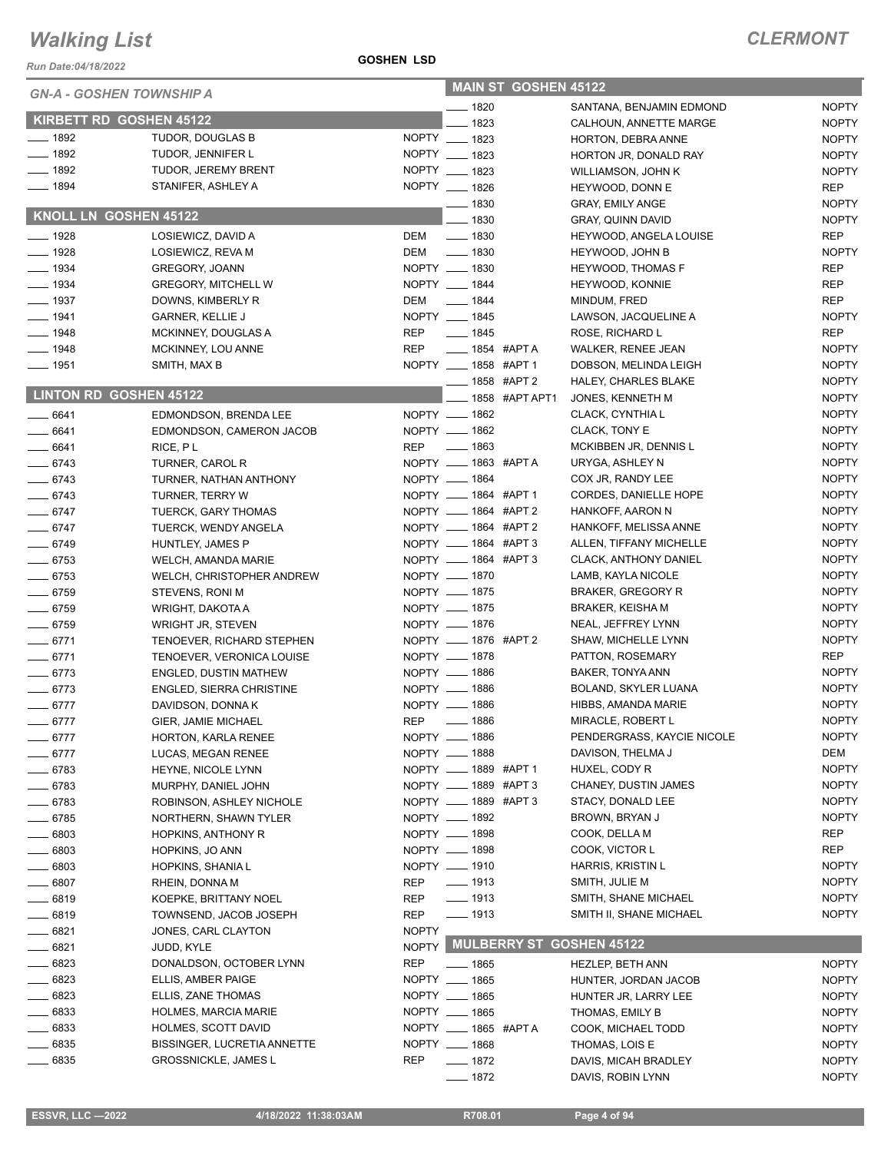*Run Date:04/18/2022*

#### **GOSHEN LSD**

| <b>GN-A - GOSHEN TOWNSHIP A</b> |                                         |              |                               | <b>MAIN ST GOSHEN 45122</b> |                                             |                            |
|---------------------------------|-----------------------------------------|--------------|-------------------------------|-----------------------------|---------------------------------------------|----------------------------|
|                                 |                                         |              | $- 1820$                      |                             | SANTANA, BENJAMIN EDMOND                    | <b>NOPTY</b>               |
| KIRBETT RD GOSHEN 45122         |                                         |              | 1823                          |                             | CALHOUN, ANNETTE MARGE                      | <b>NOPTY</b>               |
| $- 1892$                        | TUDOR, DOUGLAS B                        |              | NOPTY __ 1823                 |                             | HORTON, DEBRA ANNE                          | <b>NOPTY</b>               |
| $\frac{1}{2}$ 1892              | TUDOR, JENNIFER L                       |              | NOPTY __ 1823                 |                             | HORTON JR, DONALD RAY                       | <b>NOPTY</b>               |
| $- 1892$                        | TUDOR, JEREMY BRENT                     |              | NOPTY __ 1823                 |                             | WILLIAMSON, JOHN K                          | <b>NOPTY</b>               |
| $- 1894$                        | STANIFER, ASHLEY A                      |              | NOPTY __ 1826                 |                             | HEYWOOD, DONN E                             | <b>REP</b>                 |
| KNOLL LN GOSHEN 45122           |                                         |              | $- 1830$                      |                             | <b>GRAY, EMILY ANGE</b>                     | <b>NOPTY</b>               |
| $- 1928$                        |                                         |              | $-1830$<br>$\frac{1}{2}$ 1830 |                             | <b>GRAY, QUINN DAVID</b>                    | <b>NOPTY</b>               |
| $- 1928$                        | LOSIEWICZ, DAVID A<br>LOSIEWICZ, REVA M | DEM<br>DEM   | $\frac{1}{2}$ 1830            |                             | HEYWOOD, ANGELA LOUISE<br>HEYWOOD, JOHN B   | <b>REP</b><br><b>NOPTY</b> |
| $\frac{1}{2}$ 1934              | <b>GREGORY, JOANN</b>                   |              | NOPTY __ 1830                 |                             |                                             | <b>REP</b>                 |
| $\frac{1}{2}$ 1934              | <b>GREGORY, MITCHELL W</b>              |              | NOPTY __ 1844                 |                             | <b>HEYWOOD, THOMAS F</b><br>HEYWOOD, KONNIE | <b>REP</b>                 |
| $- 1937$                        | DOWNS, KIMBERLY R                       | DEM          | $- 1844$                      |                             | MINDUM, FRED                                | <b>REP</b>                 |
| $-1941$                         | <b>GARNER, KELLIE J</b>                 |              | NOPTY __ 1845                 |                             | LAWSON, JACQUELINE A                        | <b>NOPTY</b>               |
| $-1948$                         | MCKINNEY, DOUGLAS A                     | <b>REP</b>   | $- 1845$                      |                             | ROSE, RICHARD L                             | <b>REP</b>                 |
| $- 1948$                        | MCKINNEY, LOU ANNE                      | <b>REP</b>   | ___ 1854 #APT A               |                             | <b>WALKER, RENEE JEAN</b>                   | <b>NOPTY</b>               |
| $- 1951$                        | SMITH, MAX B                            |              | NOPTY __ 1858 #APT 1          |                             | DOBSON, MELINDA LEIGH                       | <b>NOPTY</b>               |
|                                 |                                         |              | -858 #APT 2                   |                             | HALEY, CHARLES BLAKE                        | <b>NOPTY</b>               |
| <b>LINTON RD GOSHEN 45122</b>   |                                         |              |                               | 1858 #APT APT1              | JONES, KENNETH M                            | <b>NOPTY</b>               |
| $\frac{1}{2}$ 6641              | EDMONDSON, BRENDA LEE                   |              | NOPTY __ 1862                 |                             | CLACK, CYNTHIA L                            | <b>NOPTY</b>               |
| $- 6641$                        | EDMONDSON, CAMERON JACOB                |              | NOPTY __ 1862                 |                             | CLACK, TONY E                               | <b>NOPTY</b>               |
| $- 6641$                        | RICE, PL                                | <b>REP</b>   | _____ 1863                    |                             | MCKIBBEN JR, DENNIS L                       | <b>NOPTY</b>               |
| $- 6743$                        | TURNER, CAROL R                         |              | NOPTY __ 1863 #APTA           |                             | URYGA, ASHLEY N                             | <b>NOPTY</b>               |
| $- 6743$                        | TURNER, NATHAN ANTHONY                  |              | NOPTY __ 1864                 |                             | COX JR, RANDY LEE                           | <b>NOPTY</b>               |
| $- 6743$                        | TURNER, TERRY W                         |              | NOPTY __ 1864 #APT 1          |                             | CORDES, DANIELLE HOPE                       | <b>NOPTY</b>               |
| $- 6747$                        | TUERCK, GARY THOMAS                     |              | NOPTY __ 1864 #APT 2          |                             | HANKOFF, AARON N                            | <b>NOPTY</b>               |
| $- 6747$                        | TUERCK, WENDY ANGELA                    |              | NOPTY __ 1864 #APT 2          |                             | HANKOFF, MELISSA ANNE                       | <b>NOPTY</b>               |
| $- 6749$                        | HUNTLEY, JAMES P                        |              | NOPTY ____ 1864 #APT 3        |                             | ALLEN, TIFFANY MICHELLE                     | <b>NOPTY</b>               |
| $- 6753$                        | WELCH, AMANDA MARIE                     |              | NOPTY __ 1864 #APT 3          |                             | CLACK, ANTHONY DANIEL                       | <b>NOPTY</b>               |
| $- 6753$                        | WELCH, CHRISTOPHER ANDREW               |              | NOPTY __ 1870                 |                             | LAMB, KAYLA NICOLE                          | <b>NOPTY</b>               |
| $- 6759$                        | STEVENS, RONI M                         |              | NOPTY __ 1875                 |                             | <b>BRAKER, GREGORY R</b>                    | <b>NOPTY</b>               |
| $- 6759$                        | WRIGHT, DAKOTA A                        |              | NOPTY __ 1875                 |                             | <b>BRAKER, KEISHA M</b>                     | <b>NOPTY</b>               |
| $- 6759$                        | <b>WRIGHT JR, STEVEN</b>                |              | NOPTY __ 1876                 |                             | NEAL, JEFFREY LYNN                          | <b>NOPTY</b>               |
| $-6771$                         | TENOEVER, RICHARD STEPHEN               |              | NOPTY __ 1876 #APT 2          |                             | SHAW, MICHELLE LYNN                         | <b>NOPTY</b>               |
| $-6771$                         | TENOEVER, VERONICA LOUISE               |              | NOPTY __ 1878                 |                             | PATTON, ROSEMARY                            | <b>REP</b>                 |
| $-6773$                         | <b>ENGLED, DUSTIN MATHEW</b>            |              | NOPTY __ 1886                 |                             | BAKER, TONYA ANN                            | <b>NOPTY</b>               |
| $- 6773$                        | ENGLED, SIERRA CHRISTINE                |              | NOPTY __ 1886                 |                             | BOLAND, SKYLER LUANA                        | <b>NOPTY</b>               |
| $- 6777$                        | DAVIDSON, DONNA K                       |              | NOPTY __ 1886                 |                             | HIBBS, AMANDA MARIE                         | <b>NOPTY</b>               |
| $- 6777$                        | GIER, JAMIE MICHAEL                     | <b>REP</b>   | $- 1886$                      |                             | MIRACLE, ROBERT L                           | <b>NOPTY</b>               |
| $- 6777$                        | HORTON, KARLA RENEE                     |              | NOPTY __ 1886                 |                             | PENDERGRASS, KAYCIE NICOLE                  | <b>NOPTY</b>               |
| $-6777$                         | LUCAS, MEGAN RENEE                      |              | NOPTY __ 1888                 |                             | DAVISON, THELMA J                           | DEM                        |
| $-6783$                         | HEYNE, NICOLE LYNN                      |              | NOPTY __ 1889 #APT 1          |                             | HUXEL, CODY R                               | <b>NOPTY</b>               |
| $- 6783$                        | MURPHY, DANIEL JOHN                     |              | NOPTY __ 1889 #APT 3          |                             | CHANEY, DUSTIN JAMES                        | <b>NOPTY</b>               |
| $-6783$                         | ROBINSON, ASHLEY NICHOLE                |              | NOPTY __ 1889 #APT 3          |                             | STACY, DONALD LEE                           | <b>NOPTY</b>               |
| $-6785$                         | NORTHERN, SHAWN TYLER                   |              | NOPTY __ 1892                 |                             | BROWN, BRYAN J                              | <b>NOPTY</b>               |
| 6803                            | HOPKINS, ANTHONY R                      |              | NOPTY __ 1898                 |                             | COOK, DELLA M                               | REP                        |
| 6803                            | HOPKINS, JO ANN                         |              | NOPTY __ 1898                 |                             | COOK, VICTOR L                              | <b>REP</b>                 |
| 6803                            | HOPKINS, SHANIA L                       |              | NOPTY __ 1910                 |                             | <b>HARRIS, KRISTIN L</b>                    | <b>NOPTY</b>               |
| 6807                            | RHEIN, DONNA M                          | <b>REP</b>   | $- 1913$                      |                             | SMITH, JULIE M                              | <b>NOPTY</b>               |
| __ 6819                         | KOEPKE, BRITTANY NOEL                   | REP          | $- 1913$                      |                             | SMITH, SHANE MICHAEL                        | <b>NOPTY</b>               |
| 6819                            | TOWNSEND, JACOB JOSEPH                  | <b>REP</b>   | $- 1913$                      |                             | SMITH II, SHANE MICHAEL                     | <b>NOPTY</b>               |
| __ 6821                         | JONES, CARL CLAYTON                     | <b>NOPTY</b> |                               |                             |                                             |                            |
| $-6821$                         | JUDD, KYLE                              | <b>NOPTY</b> |                               |                             | MULBERRY ST GOSHEN 45122                    |                            |
| $- 6823$                        | DONALDSON, OCTOBER LYNN                 | <b>REP</b>   | —— 1865                       |                             | <b>HEZLEP, BETH ANN</b>                     | <b>NOPTY</b>               |
| $-6823$                         | ELLIS, AMBER PAIGE                      |              | NOPTY __ 1865                 |                             | HUNTER, JORDAN JACOB                        | NOPTY                      |
| $- 6823$                        | ELLIS, ZANE THOMAS                      |              | NOPTY __ 1865                 |                             | HUNTER JR, LARRY LEE                        | <b>NOPTY</b>               |
| _ 6833                          | <b>HOLMES, MARCIA MARIE</b>             |              | NOPTY __ 1865                 |                             | THOMAS, EMILY B                             | <b>NOPTY</b>               |
| $-6833$                         | <b>HOLMES, SCOTT DAVID</b>              |              | NOPTY __ 1865 #APT A          |                             | COOK, MICHAEL TODD                          | <b>NOPTY</b>               |
| 6835                            | <b>BISSINGER, LUCRETIA ANNETTE</b>      |              | NOPTY __ 1868                 |                             | THOMAS, LOIS E                              | <b>NOPTY</b>               |
| ____ 6835                       | <b>GROSSNICKLE, JAMES L</b>             | REP          | $- 1872$                      |                             | DAVIS, MICAH BRADLEY                        | <b>NOPTY</b>               |
|                                 |                                         |              | $- 1872$                      |                             | DAVIS, ROBIN LYNN                           | <b>NOPTY</b>               |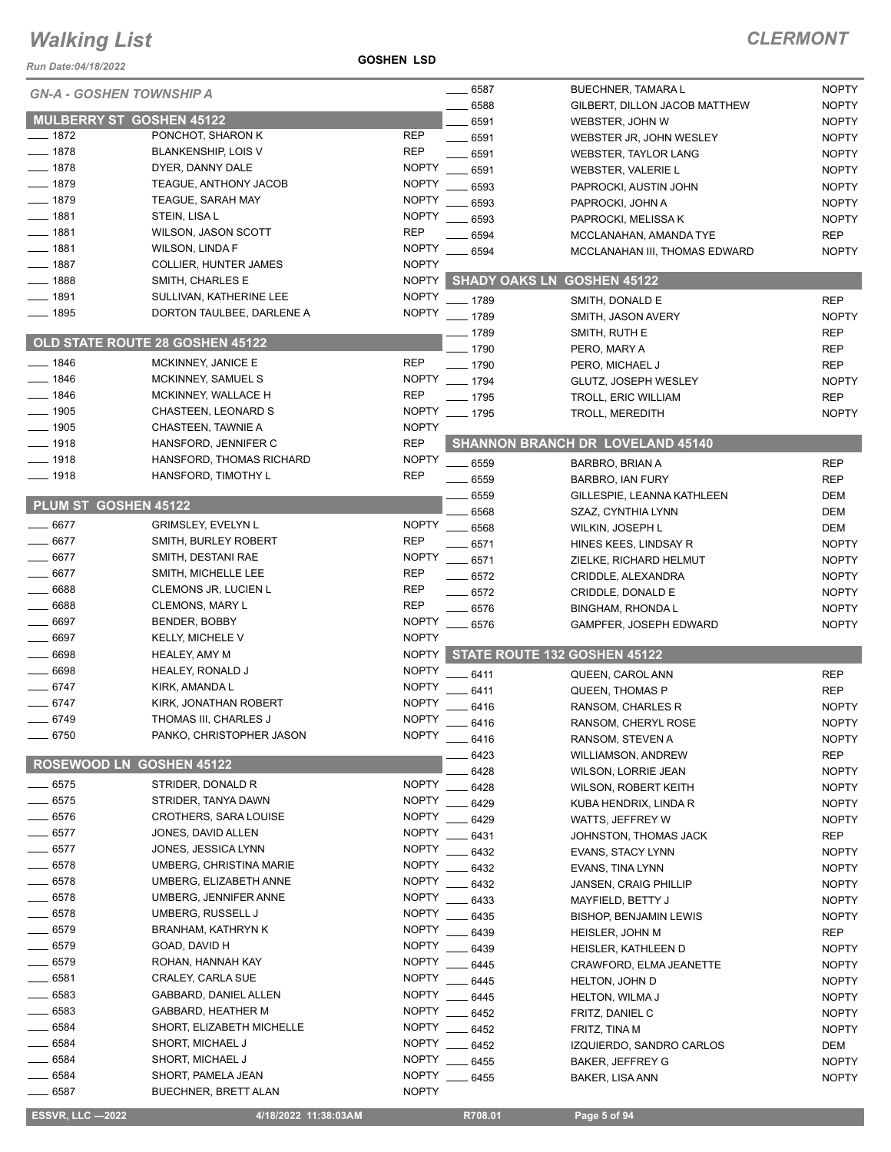*Run Date:04/18/2022*

**GOSHEN LSD**

#### *CLERMONT*

|                      | <b>GN-A - GOSHEN TOWNSHIP A</b>                   |              | 6587     | <b>BUECHNER, TAMARA L</b>               | <b>NOPTY</b> |
|----------------------|---------------------------------------------------|--------------|----------|-----------------------------------------|--------------|
|                      |                                                   |              | 6588     | GILBERT, DILLON JACOB MATTHEW           | <b>NOPTY</b> |
|                      | <b>MULBERRY ST GOSHEN 45122</b>                   |              | 6591     | WEBSTER, JOHN W                         | <b>NOPTY</b> |
| $-1872$              | PONCHOT, SHARON K                                 | <b>REP</b>   | 6591     | WEBSTER JR, JOHN WESLEY                 | <b>NOPTY</b> |
| $-1878$              | <b>BLANKENSHIP, LOIS V</b>                        | <b>REP</b>   | 6591     | <b>WEBSTER, TAYLOR LANG</b>             | <b>NOPTY</b> |
| $-1878$              | DYER, DANNY DALE                                  | <b>NOPTY</b> | 6591     | WEBSTER, VALERIE L                      | <b>NOPTY</b> |
| $-1879$              | TEAGUE, ANTHONY JACOB                             | <b>NOPTY</b> | 6593     | PAPROCKI, AUSTIN JOHN                   | <b>NOPTY</b> |
| $-1879$              | <b>TEAGUE, SARAH MAY</b>                          | <b>NOPTY</b> | 6593     | PAPROCKI, JOHN A                        | <b>NOPTY</b> |
| ___ 1881             | STEIN, LISA L                                     | <b>NOPTY</b> | 6593     | PAPROCKI, MELISSA K                     | <b>NOPTY</b> |
| $-1881$              | WILSON, JASON SCOTT                               | <b>REP</b>   | 6594     | MCCLANAHAN, AMANDA TYE                  | <b>REP</b>   |
| $-1881$              | <b>WILSON, LINDA F</b>                            | <b>NOPTY</b> | 6594     | MCCLANAHAN III. THOMAS EDWARD           | <b>NOPTY</b> |
| 1887                 | <b>COLLIER, HUNTER JAMES</b>                      | <b>NOPTY</b> |          |                                         |              |
| $-1888$              | SMITH, CHARLES E                                  | <b>NOPTY</b> |          | <b>SHADY OAKS LN GOSHEN 45122</b>       |              |
| ___ 1891             | SULLIVAN, KATHERINE LEE                           | <b>NOPTY</b> | $-1789$  | SMITH, DONALD E                         | <b>REP</b>   |
| $- 1895$             | DORTON TAULBEE, DARLENE A                         | <b>NOPTY</b> | $-1789$  | SMITH, JASON AVERY                      | <b>NOPTY</b> |
|                      |                                                   |              | _ 1789   | SMITH, RUTH E                           | <b>REP</b>   |
|                      | <b>OLD STATE ROUTE 28 GOSHEN 45122</b>            |              | $-1790$  | PERO, MARY A                            | <b>REP</b>   |
| $-1846$              | MCKINNEY, JANICE E                                | <b>REP</b>   | $- 1790$ | PERO, MICHAEL J                         | <b>REP</b>   |
| 1846                 | MCKINNEY, SAMUEL S                                | <b>NOPTY</b> | $- 1794$ | GLUTZ, JOSEPH WESLEY                    | <b>NOPTY</b> |
| $-1846$              | MCKINNEY, WALLACE H                               | <b>REP</b>   | $-1795$  | TROLL, ERIC WILLIAM                     | <b>REP</b>   |
| $-1905$              | CHASTEEN, LEONARD S                               | <b>NOPTY</b> | $-1795$  | <b>TROLL, MEREDITH</b>                  | <b>NOPTY</b> |
| $-1905$              | CHASTEEN, TAWNIE A                                | <b>NOPTY</b> |          |                                         |              |
| $- 1918$             | HANSFORD, JENNIFER C                              | <b>REP</b>   |          | <b>SHANNON BRANCH DR LOVELAND 45140</b> |              |
| $-1918$              | HANSFORD, THOMAS RICHARD                          | <b>NOPTY</b> |          |                                         |              |
| $-1918$              | HANSFORD, TIMOTHY L                               | <b>REP</b>   | 6559     | BARBRO, BRIAN A                         | <b>REP</b>   |
|                      |                                                   |              | 6559     | BARBRO, IAN FURY                        | <b>REP</b>   |
| PLUM ST GOSHEN 45122 |                                                   |              | 6559     | GILLESPIE, LEANNA KATHLEEN              | DEM          |
| 6677                 |                                                   | <b>NOPTY</b> | 6568     | SZAZ, CYNTHIA LYNN                      | <b>DEM</b>   |
| 6677                 | <b>GRIMSLEY, EVELYN L</b><br>SMITH, BURLEY ROBERT | <b>REP</b>   | 6568     | WILKIN, JOSEPH L                        | <b>DEM</b>   |
| 6677                 |                                                   |              | 6571     | HINES KEES, LINDSAY R                   | <b>NOPTY</b> |
|                      | SMITH, DESTANI RAE                                | <b>NOPTY</b> | 6571     | ZIELKE, RICHARD HELMUT                  | <b>NOPTY</b> |
| 6677                 | SMITH, MICHELLE LEE                               | <b>REP</b>   | 6572     | CRIDDLE, ALEXANDRA                      | <b>NOPTY</b> |
| 6688                 | CLEMONS JR, LUCIEN L                              | <b>REP</b>   | 6572     | CRIDDLE, DONALD E                       | <b>NOPTY</b> |
| 6688                 | <b>CLEMONS, MARY L</b>                            | <b>REP</b>   | 6576     | <b>BINGHAM, RHONDAL</b>                 | <b>NOPTY</b> |
| 6697                 | BENDER, BOBBY                                     | <b>NOPTY</b> | 6576     | GAMPFER, JOSEPH EDWARD                  | <b>NOPTY</b> |
| 6697                 | KELLY, MICHELE V                                  | <b>NOPTY</b> |          |                                         |              |
| 6698                 | <b>HEALEY, AMY M</b>                              | <b>NOPTY</b> |          | STATE ROUTE 132 GOSHEN 45122            |              |
| 6698                 | <b>HEALEY, RONALD J</b>                           | <b>NOPTY</b> | 6411     | QUEEN, CAROL ANN                        | <b>REP</b>   |
| 6747                 | KIRK, AMANDA L                                    | <b>NOPTY</b> | 6411     | QUEEN, THOMAS P                         | <b>REP</b>   |
| 6747                 | KIRK, JONATHAN ROBERT                             | <b>NOPTY</b> | 6416     | RANSOM, CHARLES R                       | <b>NOPTY</b> |
| $-6749$              | THOMAS III, CHARLES J                             | <b>NOPTY</b> | 6416     | RANSOM, CHERYL ROSE                     | <b>NOPTY</b> |
| $-6750$              | PANKO, CHRISTOPHER JASON                          | <b>NOPTY</b> | 6416     | RANSOM, STEVEN A                        | <b>NOPTY</b> |
|                      |                                                   |              | 6423     | WILLIAMSON, ANDREW                      | <b>REP</b>   |
|                      | ROSEWOOD LN GOSHEN 45122                          |              | 6428     | <b>WILSON, LORRIE JEAN</b>              | <b>NOPTY</b> |
| 6575                 | STRIDER, DONALD R                                 | <b>NOPTY</b> | 6428     | WILSON, ROBERT KEITH                    | <b>NOPTY</b> |
| 6575                 | STRIDER, TANYA DAWN                               | <b>NOPTY</b> | 6429     | KUBA HENDRIX, LINDA R                   | <b>NOPTY</b> |
| 6576                 | <b>CROTHERS, SARA LOUISE</b>                      | <b>NOPTY</b> | 6429     | WATTS, JEFFREY W                        | <b>NOPTY</b> |
| $-6577$              | JONES, DAVID ALLEN                                | <b>NOPTY</b> | 6431     | JOHNSTON, THOMAS JACK                   | <b>REP</b>   |
| $-6577$              | JONES, JESSICA LYNN                               | <b>NOPTY</b> | 6432     | EVANS, STACY LYNN                       | <b>NOPTY</b> |
| 6578                 | UMBERG, CHRISTINA MARIE                           | <b>NOPTY</b> | 6432     | EVANS, TINA LYNN                        | <b>NOPTY</b> |
| 6578                 | UMBERG, ELIZABETH ANNE                            | <b>NOPTY</b> | 6432     | <b>JANSEN, CRAIG PHILLIP</b>            | <b>NOPTY</b> |
| 6578                 | UMBERG, JENNIFER ANNE                             | <b>NOPTY</b> | 6433     | MAYFIELD, BETTY J                       | <b>NOPTY</b> |
| 6578                 | UMBERG, RUSSELL J                                 | <b>NOPTY</b> | 6435     | <b>BISHOP, BENJAMIN LEWIS</b>           | <b>NOPTY</b> |
| 6579                 | BRANHAM, KATHRYN K                                | <b>NOPTY</b> | 6439     | <b>HEISLER, JOHN M</b>                  | <b>REP</b>   |
| 6579                 | GOAD, DAVID H                                     | <b>NOPTY</b> | 6439     | HEISLER, KATHLEEN D                     | <b>NOPTY</b> |
| 6579                 | ROHAN, HANNAH KAY                                 | <b>NOPTY</b> | 6445     | CRAWFORD, ELMA JEANETTE                 | <b>NOPTY</b> |
| 6581                 | CRALEY, CARLA SUE                                 | <b>NOPTY</b> | 6445     | HELTON, JOHN D                          | <b>NOPTY</b> |
| 6583                 | GABBARD, DANIEL ALLEN                             | <b>NOPTY</b> | 6445     | HELTON, WILMA J                         | <b>NOPTY</b> |
| 6583                 | GABBARD, HEATHER M                                | <b>NOPTY</b> | 6452     | FRITZ, DANIEL C                         | <b>NOPTY</b> |
| 6584                 | SHORT, ELIZABETH MICHELLE                         | <b>NOPTY</b> | 6452     | FRITZ, TINA M                           | <b>NOPTY</b> |
| 6584                 | SHORT, MICHAEL J                                  | <b>NOPTY</b> | 6452     | IZQUIERDO, SANDRO CARLOS                | DEM          |
| 6584                 | SHORT, MICHAEL J                                  | <b>NOPTY</b> | 6455     | <b>BAKER, JEFFREY G</b>                 | <b>NOPTY</b> |
| 6584                 | SHORT, PAMELA JEAN                                | <b>NOPTY</b> | 6455     | BAKER, LISA ANN                         | <b>NOPTY</b> |
| 6587                 | <b>BUECHNER, BRETT ALAN</b>                       | <b>NOPTY</b> |          |                                         |              |
|                      |                                                   |              |          |                                         |              |

**ESSVR, LLC —2022 4/18/2022 11:38:03AM** R708.01 **Page 5 of 94**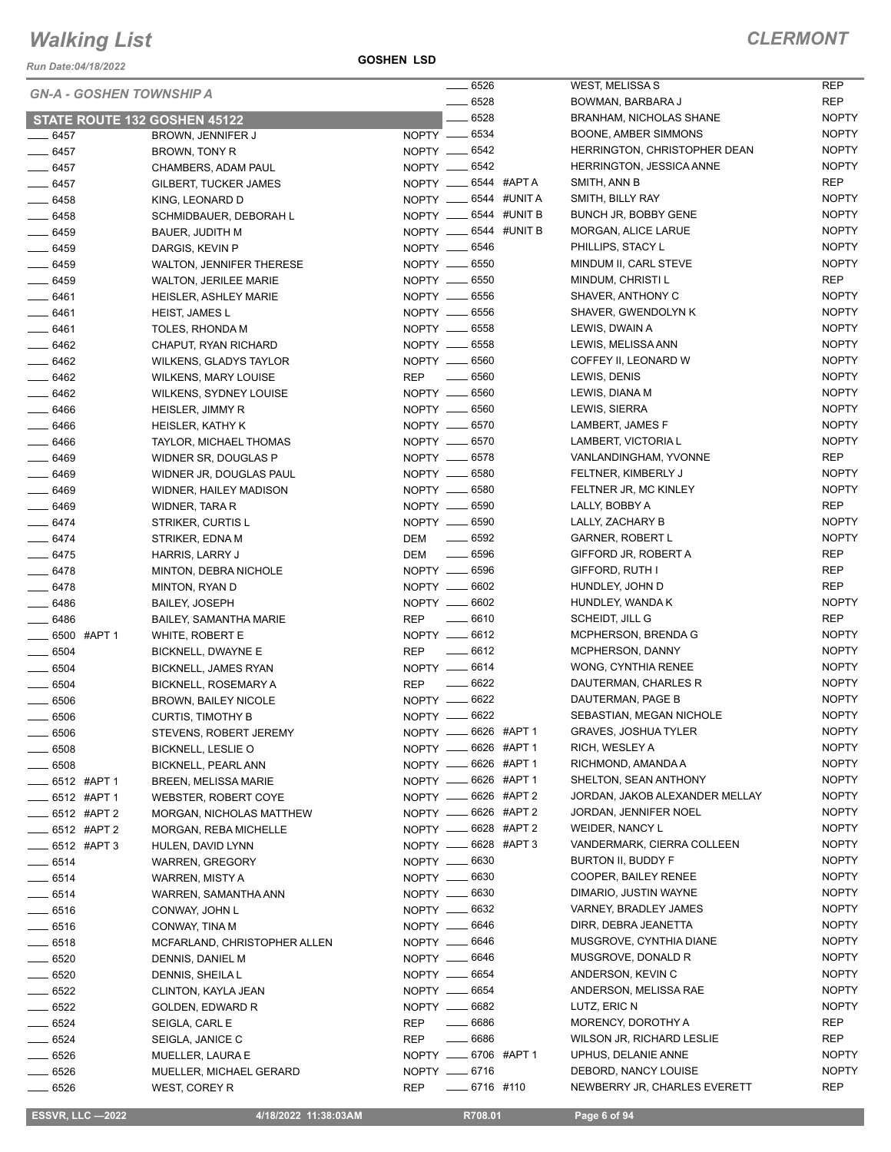*Run Date:04/18/2022*

#### **GOSHEN LSD**

#### *CLERMONT*

|                           | <b>GN-A - GOSHEN TOWNSHIP A</b> |                                     |
|---------------------------|---------------------------------|-------------------------------------|
|                           | STATE ROUTE 132 GOSHEN 45122    |                                     |
| ____ 6457                 | BROWN, JENNIFER J               | NOPTY —                             |
| $-6457$                   | <b>BROWN, TONY R</b>            | NOPTY -                             |
| $-6457$                   | CHAMBERS, ADAM PAUL             | NOPTY —                             |
| ___ 6457                  | <b>GILBERT, TUCKER JAMES</b>    | NOPTY -                             |
| $-6458$                   | KING, LEONARD D                 | NOPTY —                             |
| $-6458$                   | SCHMIDBAUER, DEBORAH L          | NOPTY —                             |
| $-6459$                   | <b>BAUER, JUDITH M</b>          | NOPTY -                             |
| $-6459$                   | DARGIS, KEVIN P                 | NOPTY -                             |
| $- 6459$                  | <b>WALTON, JENNIFER THERESE</b> | NOPTY -                             |
| $-6459$                   | <b>WALTON, JERILEE MARIE</b>    | NOPTY -                             |
| $-6461$                   | <b>HEISLER, ASHLEY MARIE</b>    | NOPTY —                             |
| — 6461                    | <b>HEIST, JAMES L</b>           | NOPTY -                             |
| $-6461$                   | TOLES, RHONDA M                 | NOPTY —                             |
| ___ 6462                  | CHAPUT, RYAN RICHARD            | NOPTY -                             |
| $-6462$                   | <b>WILKENS, GLADYS TAYLOR</b>   | NOPTY -                             |
| $-6462$                   | WILKENS, MARY LOUISE            | <b>REP</b>                          |
| $-6462$                   | WILKENS, SYDNEY LOUISE          | NOPTY —                             |
| $-6466$                   | HEISLER, JIMMY R                | NOPTY __                            |
| $-6466$                   | <b>HEISLER, KATHY K</b>         | $N$ OPTY $-$                        |
| $-6466$                   | TAYLOR, MICHAEL THOMAS          | NOPTY —                             |
| $- 6469$                  | WIDNER SR, DOUGLAS P            | NOPTY —                             |
| $-6469$                   | WIDNER JR. DOUGLAS PAUL         | NOPTY -                             |
| $-6469$                   | WIDNER, HAILEY MADISON          | NOPTY —                             |
| ____ 6469                 | WIDNER, TARA R                  | NOPTY —                             |
| $-6474$                   | STRIKER, CURTIS L               | NOPTY —                             |
| ___ 6474                  | STRIKER, EDNA M                 | DEM                                 |
| $-6475$                   | HARRIS, LARRY J                 | DEM                                 |
| $-6478$                   | MINTON, DEBRA NICHOLE           | NOPTY __                            |
| ___ 6478                  | MINTON, RYAN D                  | NOPTY -                             |
| $-6486$                   | <b>BAILEY, JOSEPH</b>           | $NOPTY$ —                           |
| $-6486$                   | <b>BAILEY, SAMANTHA MARIE</b>   | REP                                 |
| ___ 6500 #APT 1           | WHITE, ROBERT E                 | NOPTY -                             |
| __ 6504                   | <b>BICKNELL, DWAYNE E</b>       | <b>REP</b>                          |
| _____ 6504                | BICKNELL, JAMES RYAN            | NOPTY -                             |
| $-6504$                   | <b>BICKNELL, ROSEMARY A</b>     | REP                                 |
| $\frac{1}{2}$ 6506        | <b>BROWN, BAILEY NICOLE</b>     | NOPTY —                             |
|                           | <b>CURTIS, TIMOTHY B</b>        | NOPTY —                             |
| $\equiv$ 6506             |                                 |                                     |
| ____ 6506                 | STEVENS, ROBERT JEREMY          | NOPTY —                             |
| $\_\_6508$                | <b>BICKNELL, LESLIE O</b>       | NOPTY —                             |
| $\frac{1}{2}$ 6508        | BICKNELL, PEARL ANN             | NOPTY —                             |
| $\frac{1}{2}$ 6512 #APT 1 | <b>BREEN, MELISSA MARIE</b>     | NOPTY —                             |
| ____ 6512 #APT 1          | WEBSTER, ROBERT COYE            | NOPTY -                             |
| ____ 6512 #APT 2          | MORGAN, NICHOLAS MATTHEW        | NOPTY __                            |
| $\frac{1}{2}$ 6512 #APT 2 | MORGAN, REBA MICHELLE           | NOPTY —                             |
| ____ 6512 #APT 3          | HULEN. DAVID LYNN               | NOPTY -                             |
| ____ 6514                 | <b>WARREN, GREGORY</b>          | NOPTY —                             |
| $-6514$                   | WARREN, MISTY A                 | NOPTY -                             |
| $-6514$                   | WARREN, SAMANTHA ANN            | NOPTY -                             |
| $-6516$                   | CONWAY, JOHN L                  | NOPTY -                             |
| $-6516$                   | CONWAY, TINA M                  | NOPTY —                             |
| $\frac{1}{2}$ 6518        | MCFARLAND, CHRISTOPHER ALLEN    | NOPTY -                             |
| $-6520$                   | DENNIS, DANIEL M                | NOPTY -                             |
| $-6520$                   | DENNIS, SHEILA L                | NOPTY —                             |
| $-6522$                   | CLINTON, KAYLA JEAN             | NOPTY -                             |
| $-6522$                   | GOLDEN, EDWARD R                | NOPTY -                             |
| $-6524$                   | SEIGLA, CARL E                  | REP<br>$\sim$                       |
| $\equiv$ 6524             | SEIGLA, JANICE C                | REP                                 |
| $- 6526$                  | MUELLER, LAURA E                | NOPTY —                             |
| ___ 6526                  | MUELLER, MICHAEL GERARD         | NOPTY -<br>$\overline{\phantom{0}}$ |
| $-6526$                   | WEST, COREY R                   | REP                                 |

|    | TY -6534                           |           | BOC         |
|----|------------------------------------|-----------|-------------|
|    | $TY \underline{\hspace{1cm}} 6542$ |           | HEF         |
| TY | $\frac{1}{2}$ 6542                 |           | HEF         |
| TY | $-6544$                            | #APT A    | SMI         |
| TY | $-6544$                            | #UNIT A   | SMI         |
| TY | $-6544$ #UNIT B                    |           | <b>BUN</b>  |
| TY | ___ 6544 #UNIT B                   |           | MOI         |
| TY | $\frac{1}{2}$ 6546                 |           | PHII        |
| TY | ___ 6550                           |           | MIN         |
| TY | $-6550$                            |           | MIN         |
| TY | ___ 6556                           |           | SHA         |
| TΥ | $-6556$                            |           | SHA         |
| TY | ___ 6558                           |           | LEV         |
| TY | $-6558$                            |           | LEV         |
| TY | $-6560$                            |           | COF         |
|    | $\frac{1}{2}$ 6560                 |           | LEV         |
| TY | $- 6560$                           |           | LEV         |
| TY | ___ 6560                           |           | LEV         |
| TY | $- 6570$                           |           | LAN         |
| TY | $-6570$                            |           | LAN         |
| TY | ___ 6578                           |           | VAN         |
| TY | $- 6580$                           |           | FEL         |
| TY | ___ 6580                           |           | <b>FEL</b>  |
| TY | _ 6590                             |           | LAL         |
| TY | $-6590$                            |           | LAL         |
|    | ___ 6592                           |           | GAF         |
|    | $-6596$                            |           | GIFI        |
|    | $TY \underline{\hspace{1cm}} 6596$ |           | <b>GIFI</b> |
|    | $- 6602$                           |           | HUN         |
| TY |                                    |           |             |
| TY | $- 6602$                           |           | HUN         |
|    | $-6610$                            |           | SCH         |
| TY | $-6612$                            |           | MCI         |
|    | $-6612$                            |           | MCI         |
| TY | $-6614$                            |           | WO          |
|    | $-6622$                            |           | DAL         |
| TY | $-6622$                            |           | DAL         |
| TY | $-6622$                            |           | <b>SEE</b>  |
| TY | ___ 6626                           | #APT 1    | GR/         |
| TY | $-6626$                            | #APT<br>1 | <b>RIC</b>  |
| TY | $-6626$ #APT 1                     |           | RICI        |
| TY | $-6626$ #APT 1                     |           | SHE         |
|    | $TY = 6626$                        | #APT 2    | JOR         |
| TY | $- 6626$                           | #APT 2    | JOR         |
| TY | __ 6628                            | #APT 2    | WEI         |
| TY | $-6628$                            | #APT 3    | VAN         |
| TY | ___ 6630                           |           | <b>BUF</b>  |
| TY | $- 6630$                           |           | CO(         |
|    | $TY \underline{\hspace{1cm}} 6630$ |           | DIM         |
| TY | $\frac{1}{2}$ 6632                 |           | VAR         |
| TY | $- 6646$                           |           | <b>DIRI</b> |
| TY | $\frac{1}{1}$ 6646                 |           | MUS         |
| TY | $-6646$                            |           | MUS         |
| TY | $-6654$                            |           | and         |
| TY | $- 6654$                           |           | <b>AND</b>  |
| TY | $- 6682$                           |           | LUT         |
|    | ____ 6686                          |           | MOI         |
|    | $-6686$                            |           | WIL         |
| TY | $- 6706$                           | #APT 1    | UPF         |
| TY | $- 6716$                           |           | DEE         |
|    | $-6716$ #110                       |           | NEV         |
|    |                                    |           |             |

| 6526 |              | <b>WEST, MELISSAS</b>               | REP          |
|------|--------------|-------------------------------------|--------------|
| 6528 |              | BOWMAN, BARBARA J                   | REP          |
| 6528 |              | BRANHAM, NICHOLAS SHANE             | NOPTY        |
| 6534 |              | BOONE, AMBER SIMMONS                | NOPTY        |
| 6542 |              | <b>HERRINGTON, CHRISTOPHER DEAN</b> | <b>NOPTY</b> |
| 6542 |              | HERRINGTON, JESSICA ANNE            | NOPTY        |
|      | 6544 #APT A  | SMITH, ANN B                        | <b>REP</b>   |
|      | 6544 #UNIT A | SMITH, BILLY RAY                    | <b>NOPTY</b> |
|      | 6544 #UNIT B | BUNCH JR, BOBBY GENE                | NOPTY        |
| 6544 | #UNIT B      | MORGAN, ALICE LARUE                 | <b>NOPTY</b> |
| 6546 |              | PHILLIPS, STACY L                   | <b>NOPTY</b> |
| 6550 |              | MINDUM II, CARL STEVE               | <b>NOPTY</b> |
| 6550 |              | MINDUM, CHRISTI L                   | REP          |
| 6556 |              | SHAVER, ANTHONY C                   | NOPTY        |
| 6556 |              | SHAVER, GWENDOLYN K                 | <b>NOPTY</b> |
| 6558 |              | LEWIS, DWAIN A                      | NOPTY        |
| 6558 |              | LEWIS, MELISSA ANN                  | <b>NOPTY</b> |
| 6560 |              | COFFEY II, LEONARD W                | <b>NOPTY</b> |
| 6560 |              | LEWIS, DENIS                        | <b>NOPTY</b> |
| 6560 |              | LEWIS, DIANA M                      | <b>NOPTY</b> |
| 6560 |              | LEWIS, SIERRA                       | <b>NOPTY</b> |
| 6570 |              | LAMBERT, JAMES F                    | <b>NOPTY</b> |
| 6570 |              | LAMBERT, VICTORIA L                 | <b>NOPTY</b> |
| 6578 |              | VANLANDINGHAM, YVONNE               | REP          |
| 6580 |              | FELTNER, KIMBERLY J                 | <b>NOPTY</b> |
| 6580 |              | FELTNER JR, MC KINLEY               | NOPTY        |
| 6590 |              | LALLY, BOBBY A                      | REP          |
| 6590 |              | LALLY, ZACHARY B                    | <b>NOPTY</b> |
| 6592 |              | GARNER, ROBERT L                    | NOPTY        |
| 6596 |              | GIFFORD JR, ROBERT A                | REP          |
| 6596 |              | GIFFORD, RUTH I                     | REP          |
| 6602 |              | HUNDLEY, JOHN D                     | REP          |
| 6602 |              | HUNDLEY, WANDA K                    | <b>NOPTY</b> |
| 6610 |              | SCHEIDT, JILL G                     | REP          |
| 6612 |              | <b>MCPHERSON, BRENDA G</b>          | <b>NOPTY</b> |
| 6612 |              | MCPHERSON, DANNY                    | NOPTY        |
| 6614 |              | WONG, CYNTHIA RENEE                 | <b>NOPTY</b> |
| 6622 |              | DAUTERMAN, CHARLES R                | <b>NOPTY</b> |
| 6622 |              | DAUTERMAN, PAGE B                   | NOPTY        |
| 6622 |              | SEBASTIAN, MEGAN NICHOLE            | <b>NOPTY</b> |
|      | 6626 #APT1   | GRAVES, JOSHUA TYLER                | <b>NOPTY</b> |
|      | 6626 #APT 1  | RICH, WESLEY A                      | NOPTY        |
|      | 6626 #APT 1  | RICHMOND, AMANDA A                  | NOPTY        |
|      | 6626 #APT1   | SHELTON, SEAN ANTHONY               | NOPTY        |
|      | 6626 #APT 2  | JORDAN, JAKOB ALEXANDER MELLAY      | <b>NOPTY</b> |
|      | 6626 #APT 2  | JORDAN, JENNIFER NOEL               | <b>NOPTY</b> |
|      | 6628 #APT 2  | WEIDER, NANCY L                     | NOPTY        |
|      | 6628 #APT 3  | VANDERMARK, CIERRA COLLEEN          | NOPTY        |
| 6630 |              | BURTON II, BUDDY F                  | NOPTY        |
| 6630 |              | COOPER, BAILEY RENEE                | NOPTY        |
| 6630 |              | DIMARIO, JUSTIN WAYNE               | NOPTY        |
| 6632 |              | VARNEY, BRADLEY JAMES               | NOPTY        |
| 6646 |              | DIRR, DEBRA JEANETTA                | NOPTY        |
| 6646 |              | MUSGROVE, CYNTHIA DIANE             | NOPTY        |
| 6646 |              | MUSGROVE, DONALD R                  | <b>NOPTY</b> |
| 6654 |              | ANDERSON, KEVIN C                   | NOPTY        |
| 6654 |              | ANDERSON, MELISSA RAE               | <b>NOPTY</b> |
| 6682 |              | LUTZ, ERIC N                        | <b>NOPTY</b> |
| 6686 |              | MORENCY, DOROTHY A                  | REP          |
| 6686 |              | WILSON JR, RICHARD LESLIE           | REP          |
|      | 6706 #APT1   | UPHUS, DELANIE ANNE                 | <b>NOPTY</b> |
| 6716 |              | DEBORD, NANCY LOUISE                | NOPTY        |
|      | 6716 #110    | NEWBERRY JR, CHARLES EVERETT        | REP          |
|      |              |                                     |              |

 **ESSVR, LLC —2022 4/18/2022 11:38:03AM R708.01 Page 6 of 94**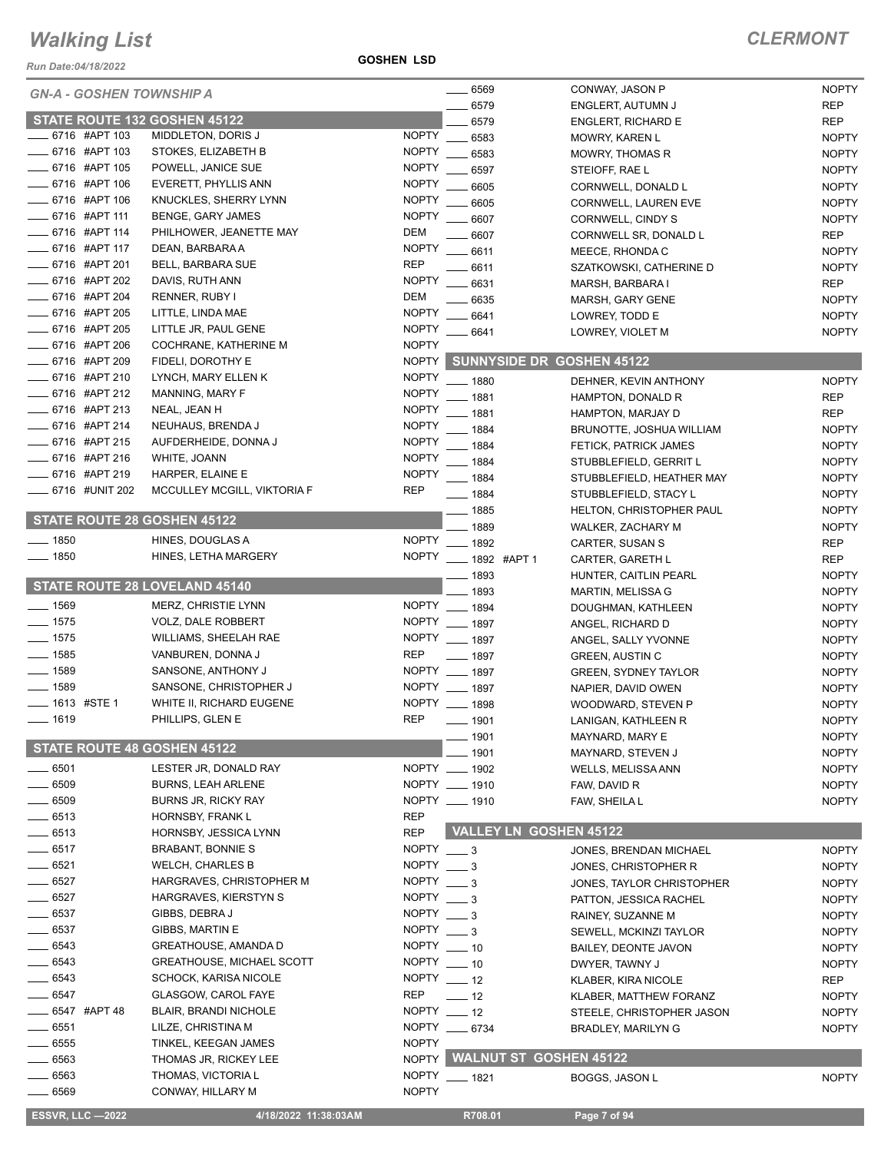*Run Date:04/18/2022*

#### **GOSHEN LSD**

| <b>GN-A - GOSHEN TOWNSHIP A</b>    |                                  |                  | $- 6569$             |                               | CONWAY, JASON P                  | <b>NOPTY</b> |
|------------------------------------|----------------------------------|------------------|----------------------|-------------------------------|----------------------------------|--------------|
|                                    |                                  |                  | 6579                 |                               | ENGLERT, AUTUMN J                | <b>REP</b>   |
| STATE ROUTE 132 GOSHEN 45122       |                                  |                  | 6579                 |                               | <b>ENGLERT, RICHARD E</b>        | <b>REP</b>   |
| 6716 #APT 103                      | MIDDLETON, DORIS J               | <b>NOPTY</b>     | 6583                 |                               | <b>MOWRY, KAREN L</b>            | <b>NOPTY</b> |
| 6716 #APT 103                      | STOKES, ELIZABETH B              | <b>NOPTY</b>     | 6583                 |                               | <b>MOWRY, THOMAS R</b>           | <b>NOPTY</b> |
| 6716 #APT 105                      | POWELL, JANICE SUE               | <b>NOPTY</b>     | 6597                 |                               | STEIOFF, RAE L                   | <b>NOPTY</b> |
| 6716 #APT 106                      | EVERETT, PHYLLIS ANN             | <b>NOPTY</b>     | 6605                 |                               | CORNWELL, DONALD L               | <b>NOPTY</b> |
| 6716 #APT 106                      | KNUCKLES, SHERRY LYNN            | <b>NOPTY</b>     | 6605                 |                               | CORNWELL, LAUREN EVE             | <b>NOPTY</b> |
| 6716 #APT 111                      | <b>BENGE, GARY JAMES</b>         | <b>NOPTY</b>     | 6607                 |                               | CORNWELL, CINDY S                | <b>NOPTY</b> |
| 6716 #APT 114                      | PHILHOWER, JEANETTE MAY          | DEM              | 6607                 |                               | CORNWELL SR, DONALD L            | <b>REP</b>   |
| 6716 #APT 117                      | DEAN, BARBARA A                  | <b>NOPTY</b>     |                      |                               |                                  |              |
| 6716 #APT 201                      |                                  | <b>REP</b>       | 6611                 |                               | MEECE, RHONDA C                  | <b>NOPTY</b> |
|                                    | <b>BELL, BARBARA SUE</b>         |                  | 6611                 |                               | SZATKOWSKI, CATHERINE D          | <b>NOPTY</b> |
| 6716 #APT 202                      | DAVIS, RUTH ANN                  | <b>NOPTY</b>     | 6631                 |                               | MARSH, BARBARA I                 | <b>REP</b>   |
| 6716 #APT 204                      | RENNER, RUBY I                   | <b>DEM</b>       | 6635                 |                               | MARSH, GARY GENE                 | <b>NOPTY</b> |
| 6716 #APT 205                      | LITTLE, LINDA MAE                | <b>NOPTY</b>     | 6641                 |                               | LOWREY, TODD E                   | <b>NOPTY</b> |
| 6716 #APT 205                      | LITTLE JR, PAUL GENE             | <b>NOPTY</b>     | 6641                 |                               | LOWREY, VIOLET M                 | <b>NOPTY</b> |
| 6716 #APT 206                      | COCHRANE, KATHERINE M            | <b>NOPTY</b>     |                      |                               |                                  |              |
| 6716 #APT 209                      | FIDELI, DOROTHY E                | <b>NOPTY</b>     |                      |                               | <b>SUNNYSIDE DR GOSHEN 45122</b> |              |
| 6716 #APT 210                      | LYNCH, MARY ELLEN K              | <b>NOPTY</b>     | - 1880               |                               | DEHNER, KEVIN ANTHONY            | <b>NOPTY</b> |
| 6716 #APT 212                      | MANNING, MARY F                  | <b>NOPTY</b>     | 1881                 |                               | HAMPTON, DONALD R                | <b>REP</b>   |
| 6716 #APT 213                      | NEAL, JEAN H                     | <b>NOPTY</b>     |                      |                               |                                  |              |
| 6716 #APT 214                      | NEUHAUS, BRENDA J                | <b>NOPTY</b>     | 1881                 |                               | HAMPTON, MARJAY D                | <b>REP</b>   |
| 6716 #APT 215                      | AUFDERHEIDE, DONNA J             | <b>NOPTY</b>     | 1884                 |                               | BRUNOTTE, JOSHUA WILLIAM         | <b>NOPTY</b> |
|                                    |                                  |                  | $-1884$              |                               | FETICK, PATRICK JAMES            | <b>NOPTY</b> |
| 6716 #APT 216                      | WHITE, JOANN                     | <b>NOPTY</b>     | $-1884$              |                               | STUBBLEFIELD, GERRIT L           | <b>NOPTY</b> |
| 6716 #APT 219                      | HARPER, ELAINE E                 | <b>NOPTY</b>     | $-1884$              |                               | STUBBLEFIELD, HEATHER MAY        | <b>NOPTY</b> |
| _6716 #UNIT 202                    | MCCULLEY MCGILL, VIKTORIA F      | <b>REP</b>       | $- 1884$             |                               | STUBBLEFIELD, STACY L            | <b>NOPTY</b> |
|                                    |                                  |                  | . 1885               |                               | HELTON, CHRISTOPHER PAUL         | <b>NOPTY</b> |
| STATE ROUTE 28 GOSHEN 45122        |                                  |                  | 1889                 |                               | WALKER, ZACHARY M                | <b>NOPTY</b> |
| $- 1850$                           | HINES, DOUGLAS A                 | <b>NOPTY</b>     | $- 1892$             |                               | CARTER, SUSAN S                  | <b>REP</b>   |
| $- 1850$                           | HINES, LETHA MARGERY             |                  | NOPTY __ 1892 #APT 1 |                               | CARTER, GARETH L                 | <b>REP</b>   |
|                                    |                                  |                  | 1893                 |                               | HUNTER, CAITLIN PEARL            | <b>NOPTY</b> |
| STATE ROUTE 28 LOVELAND 45140      |                                  |                  | 1893                 |                               | <b>MARTIN, MELISSA G</b>         | <b>NOPTY</b> |
| $-1569$                            | <b>MERZ, CHRISTIE LYNN</b>       |                  | NOPTY __ 1894        |                               |                                  |              |
| $-1575$                            |                                  |                  |                      |                               | DOUGHMAN, KATHLEEN               | <b>NOPTY</b> |
|                                    | VOLZ, DALE ROBBERT               |                  | NOPTY __ 1897        |                               | ANGEL, RICHARD D                 | <b>NOPTY</b> |
| $- 1575$                           | <b>WILLIAMS, SHEELAH RAE</b>     |                  | NOPTY __ 1897        |                               | ANGEL, SALLY YVONNE              | <b>NOPTY</b> |
| $- 1585$                           | VANBUREN, DONNA J                | <b>REP</b>       | $- 1897$             |                               | <b>GREEN, AUSTIN C</b>           | <b>NOPTY</b> |
| $- 1589$                           | SANSONE, ANTHONY J               |                  | NOPTY __ 1897        |                               | <b>GREEN, SYDNEY TAYLOR</b>      | <b>NOPTY</b> |
| $- 1589$                           | SANSONE, CHRISTOPHER J           |                  | NOPTY __ 1897        |                               | NAPIER, DAVID OWEN               | <b>NOPTY</b> |
| $\frac{1}{2}$ 1613 #STE 1          | WHITE II, RICHARD EUGENE         |                  | NOPTY __ 1898        |                               | WOODWARD, STEVEN P               | <b>NOPTY</b> |
| $-1619$                            | PHILLIPS, GLEN E                 | <b>REP</b>       | _ 1901               |                               | LANIGAN, KATHLEEN R              | <b>NOPTY</b> |
|                                    |                                  |                  | 1901                 |                               | MAYNARD, MARY E                  | <b>NOPTY</b> |
| <b>STATE ROUTE 48 GOSHEN 45122</b> |                                  |                  | 1901                 |                               | MAYNARD, STEVEN J                | <b>NOPTY</b> |
| 6501                               | LESTER JR, DONALD RAY            |                  | NOPTY __ 1902        |                               | <b>WELLS, MELISSA ANN</b>        | <b>NOPTY</b> |
| 6509                               | <b>BURNS, LEAH ARLENE</b>        |                  | NOPTY __ 1910        |                               |                                  |              |
|                                    |                                  |                  |                      |                               | FAW, DAVID R                     | <b>NOPTY</b> |
| 6509                               | <b>BURNS JR, RICKY RAY</b>       |                  | NOPTY __ 1910        |                               | FAW, SHEILA L                    | <b>NOPTY</b> |
| 6513                               | HORNSBY, FRANK L                 | <b>REP</b>       |                      |                               |                                  |              |
| $-6513$                            | HORNSBY, JESSICA LYNN            | <b>REP</b>       |                      | <b>VALLEY LN GOSHEN 45122</b> |                                  |              |
| $-6517$                            | <b>BRABANT, BONNIE S</b>         | NOPTY $\_\_\$ 3  |                      |                               | JONES, BRENDAN MICHAEL           | <b>NOPTY</b> |
| _ 6521                             | <b>WELCH, CHARLES B</b>          | NOPTY $\_\_\$ 3  |                      |                               | JONES, CHRISTOPHER R             | <b>NOPTY</b> |
| $- 6527$                           | HARGRAVES, CHRISTOPHER M         | $NOPTY = 3$      |                      |                               | JONES, TAYLOR CHRISTOPHER        | <b>NOPTY</b> |
| 6527                               | HARGRAVES, KIERSTYN S            | NOPTY $\_\_\_$ 3 |                      |                               | PATTON, JESSICA RACHEL           | <b>NOPTY</b> |
| 6537                               | GIBBS, DEBRA J                   | $NOPTY = 3$      |                      |                               | RAINEY, SUZANNE M                | <b>NOPTY</b> |
| 6537                               | <b>GIBBS, MARTIN E</b>           | NOPTY $\_\_\$ 3  |                      |                               | SEWELL, MCKINZI TAYLOR           | <b>NOPTY</b> |
| 6543                               | <b>GREATHOUSE, AMANDA D</b>      | NOPTY __ 10      |                      |                               | BAILEY, DEONTE JAVON             | <b>NOPTY</b> |
| 6543                               | <b>GREATHOUSE, MICHAEL SCOTT</b> | NOPTY $-10$      |                      |                               |                                  |              |
|                                    |                                  | NOPTY $-12$      |                      |                               | DWYER, TAWNY J                   | <b>NOPTY</b> |
| 6543                               | <b>SCHOCK, KARISA NICOLE</b>     |                  |                      |                               | KLABER, KIRA NICOLE              | <b>REP</b>   |
| $\frac{1}{2}$ 6547                 | <b>GLASGOW, CAROL FAYE</b>       | REP              | $-12$                |                               | KLABER, MATTHEW FORANZ           | <b>NOPTY</b> |
| <b>LEGGAT #APT 48</b>              | <b>BLAIR, BRANDI NICHOLE</b>     | NOPTY __ 12      |                      |                               | STEELE, CHRISTOPHER JASON        | <b>NOPTY</b> |
| $=$ 6551 $\,$                      | LILZE, CHRISTINA M               |                  | NOPTY __ 6734        |                               | <b>BRADLEY, MARILYN G</b>        | <b>NOPTY</b> |
| $=$ 6555                           | TINKEL, KEEGAN JAMES             | <b>NOPTY</b>     |                      |                               |                                  |              |
| $-6563$                            | THOMAS JR, RICKEY LEE            | <b>NOPTY</b>     |                      | <b>WALNUT ST GOSHEN 45122</b> |                                  |              |
| $-6563$                            | THOMAS, VICTORIA L               | <b>NOPTY</b>     | $- 1821$             |                               | <b>BOGGS, JASON L</b>            | <b>NOPTY</b> |
| 6569                               | CONWAY, HILLARY M                | <b>NOPTY</b>     |                      |                               |                                  |              |
|                                    |                                  |                  |                      |                               |                                  |              |
| <b>ESSVR, LLC -2022</b>            | 4/18/2022 11:38:03AM             |                  | R708.01              |                               | Page 7 of 94                     |              |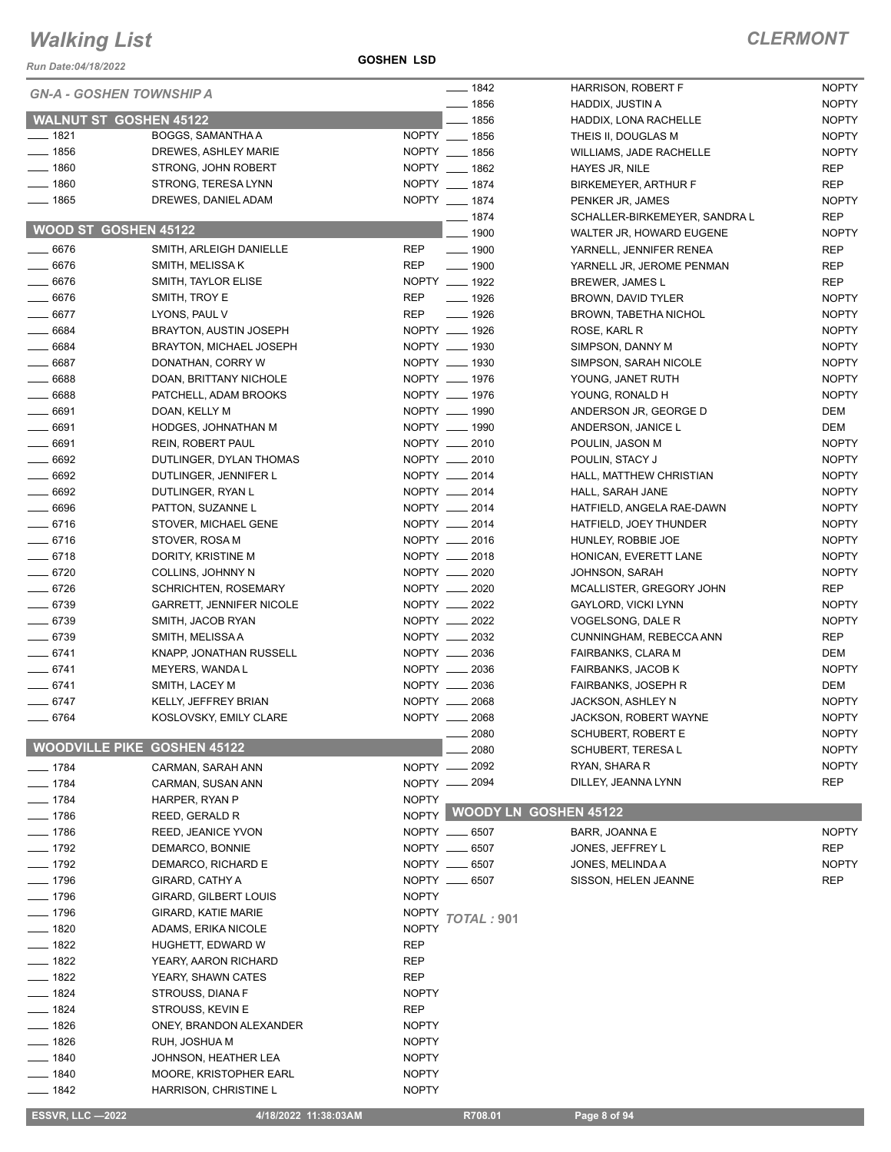*Run Date:04/18/2022*

**GOSHEN LSD**

| KUII DAIE.04⁄10⁄∠0∠∠               |                                 |              | $- 1842$                     |                                               | <b>NOPTY</b> |
|------------------------------------|---------------------------------|--------------|------------------------------|-----------------------------------------------|--------------|
| <b>GN-A - GOSHEN TOWNSHIP A</b>    |                                 |              | $- 1856$                     | <b>HARRISON, ROBERT F</b><br>HADDIX, JUSTIN A | <b>NOPTY</b> |
| <b>WALNUT ST GOSHEN 45122</b>      |                                 |              | $- 1856$                     | HADDIX, LONA RACHELLE                         | <b>NOPTY</b> |
| $- 1821$                           | BOGGS, SAMANTHA A               |              | NOPTY __ 1856                | THEIS II, DOUGLAS M                           | <b>NOPTY</b> |
| $- 1856$                           | DREWES, ASHLEY MARIE            |              | NOPTY __ 1856                | WILLIAMS, JADE RACHELLE                       | <b>NOPTY</b> |
| $- 1860$                           | STRONG, JOHN ROBERT             |              | NOPTY __ 1862                | HAYES JR, NILE                                | REP          |
| $- 1860$                           | STRONG, TERESA LYNN             |              | NOPTY __ 1874                | BIRKEMEYER, ARTHUR F                          | REP          |
| $- 1865$                           | DREWES, DANIEL ADAM             |              | NOPTY __ 1874                | PENKER JR, JAMES                              | <b>NOPTY</b> |
|                                    |                                 |              | $- 1874$                     | SCHALLER-BIRKEMEYER, SANDRA L                 | <b>REP</b>   |
| WOOD ST GOSHEN 45122               |                                 |              | $- 1900$                     | WALTER JR, HOWARD EUGENE                      | <b>NOPTY</b> |
| $- 6676$                           | SMITH, ARLEIGH DANIELLE         | <b>REP</b>   | $\frac{1}{2}$ 1900           | YARNELL, JENNIFER RENEA                       | <b>REP</b>   |
| $-6676$                            | SMITH, MELISSA K                | REP          | $\frac{1}{2}$ 1900           | YARNELL JR, JEROME PENMAN                     | <b>REP</b>   |
| $- 6676$                           | SMITH, TAYLOR ELISE             |              | NOPTY __ 1922                | BREWER, JAMES L                               | <b>REP</b>   |
| $- 6676$                           | SMITH, TROY E                   | <b>REP</b>   | $\frac{1}{2}$ 1926           | BROWN, DAVID TYLER                            | <b>NOPTY</b> |
| $- 6677$                           | LYONS, PAUL V                   | <b>REP</b>   | $- 1926$                     | <b>BROWN, TABETHA NICHOL</b>                  | <b>NOPTY</b> |
| $- 6684$                           | BRAYTON, AUSTIN JOSEPH          |              | NOPTY __ 1926                | ROSE, KARL R                                  | <b>NOPTY</b> |
| $- 6684$                           | <b>BRAYTON, MICHAEL JOSEPH</b>  |              | NOPTY __ 1930                | SIMPSON, DANNY M                              | <b>NOPTY</b> |
| $- 6687$                           | DONATHAN, CORRY W               |              | NOPTY __ 1930                | SIMPSON, SARAH NICOLE                         | <b>NOPTY</b> |
| $- 6688$                           | DOAN, BRITTANY NICHOLE          |              | NOPTY __ 1976                | YOUNG, JANET RUTH                             | <b>NOPTY</b> |
| $- 6688$                           | PATCHELL, ADAM BROOKS           |              | NOPTY __ 1976                | YOUNG, RONALD H                               | <b>NOPTY</b> |
| $- 6691$                           | DOAN, KELLY M                   |              | NOPTY __ 1990                | ANDERSON JR, GEORGE D                         | DEM          |
| $- 6691$                           | HODGES, JOHNATHAN M             |              | NOPTY __ 1990                | ANDERSON, JANICE L                            | DEM          |
| $- 6691$                           | <b>REIN, ROBERT PAUL</b>        |              | NOPTY __ 2010                | POULIN, JASON M                               | <b>NOPTY</b> |
| 6692                               | DUTLINGER, DYLAN THOMAS         |              | NOPTY __ 2010                | POULIN, STACY J                               | <b>NOPTY</b> |
| $-6692$                            | DUTLINGER, JENNIFER L           |              | NOPTY __ 2014                | HALL, MATTHEW CHRISTIAN                       | <b>NOPTY</b> |
| $- 6692$                           | DUTLINGER, RYAN L               |              | NOPTY __ 2014                | HALL, SARAH JANE                              | <b>NOPTY</b> |
| $- 6696$                           | PATTON, SUZANNE L               |              | NOPTY __ 2014                | HATFIELD, ANGELA RAE-DAWN                     | <b>NOPTY</b> |
| $- 6716$                           | STOVER, MICHAEL GENE            |              | NOPTY __ 2014                | HATFIELD, JOEY THUNDER                        | <b>NOPTY</b> |
| $- 6716$                           | STOVER, ROSA M                  |              | NOPTY __ 2016                | HUNLEY, ROBBIE JOE                            | <b>NOPTY</b> |
| $-6718$                            | DORITY, KRISTINE M              |              | NOPTY __ 2018                | HONICAN, EVERETT LANE                         | <b>NOPTY</b> |
| $- 6720$                           | COLLINS, JOHNNY N               |              | NOPTY __ 2020                | <b>JOHNSON, SARAH</b>                         | <b>NOPTY</b> |
| $- 6726$                           | <b>SCHRICHTEN, ROSEMARY</b>     |              | NOPTY __ 2020                | MCALLISTER, GREGORY JOHN                      | REP          |
| $- 6739$                           | <b>GARRETT, JENNIFER NICOLE</b> |              | NOPTY __ 2022                | GAYLORD, VICKI LYNN                           | <b>NOPTY</b> |
| $- 6739$                           | SMITH, JACOB RYAN               |              | NOPTY __ 2022                | VOGELSONG, DALE R                             | <b>NOPTY</b> |
| $- 6739$                           | SMITH, MELISSA A                |              | NOPTY __ 2032                | CUNNINGHAM, REBECCA ANN                       | <b>REP</b>   |
| $- 6741$                           | KNAPP, JONATHAN RUSSELL         |              | NOPTY __ 2036                | FAIRBANKS, CLARA M                            | DEM          |
| $-6741$                            | MEYERS, WANDA L                 |              | NOPTY __ 2036                | FAIRBANKS, JACOB K                            | <b>NOPTY</b> |
| $- 6741$                           | SMITH, LACEY M                  |              | NOPTY __ 2036                | FAIRBANKS, JOSEPH R                           | DEM          |
| $-6747$                            | KELLY, JEFFREY BRIAN            | NOPTY __     | 2068                         | JACKSON, ASHLEY N                             | <b>NOPTY</b> |
| 6764                               | KOSLOVSKY, EMILY CLARE          | NOPTY $-$    | 2068                         | JACKSON, ROBERT WAYNE                         | NOPTY        |
|                                    |                                 |              | 2080                         | <b>SCHUBERT, ROBERT E</b>                     | <b>NOPTY</b> |
| <b>WOODVILLE PIKE GOSHEN 45122</b> |                                 |              | 2080                         | SCHUBERT, TERESA L                            | <b>NOPTY</b> |
| $- 1784$                           | CARMAN, SARAH ANN               | NOPTY -      | $-2092$                      | RYAN, SHARA R                                 | <b>NOPTY</b> |
| $- 1784$                           | CARMAN, SUSAN ANN               | NOPTY -      | 2094                         | DILLEY, JEANNA LYNN                           | <b>REP</b>   |
| $-1784$                            | HARPER, RYAN P                  | <b>NOPTY</b> |                              |                                               |              |
| $- 1786$                           | REED, GERALD R                  | <b>NOPTY</b> | <b>WOODY LN GOSHEN 45122</b> |                                               |              |
| $- 1786$                           | REED, JEANICE YVON              |              | NOPTY __ 6507                | BARR, JOANNA E                                | <b>NOPTY</b> |
| $- 1792$                           | DEMARCO, BONNIE                 |              | NOPTY __ 6507                | JONES, JEFFREY L                              | <b>REP</b>   |
| $- 1792$                           | DEMARCO, RICHARD E              |              | NOPTY __ 6507                | JONES, MELINDA A                              | <b>NOPTY</b> |
| $- 1796$                           | GIRARD, CATHY A                 |              | NOPTY __ 6507                | SISSON, HELEN JEANNE                          | <b>REP</b>   |
| $- 1796$                           | <b>GIRARD, GILBERT LOUIS</b>    | <b>NOPTY</b> |                              |                                               |              |
| $- 1796$                           | GIRARD, KATIE MARIE             | <b>NOPTY</b> | <b>TOTAL: 901</b>            |                                               |              |
| $- 1820$                           | ADAMS, ERIKA NICOLE             | <b>NOPTY</b> |                              |                                               |              |
| $\frac{1}{2}$ 1822                 | HUGHETT, EDWARD W               | <b>REP</b>   |                              |                                               |              |
| $- 1822$                           | YEARY, AARON RICHARD            | <b>REP</b>   |                              |                                               |              |
| $- 1822$                           | YEARY, SHAWN CATES              | REP          |                              |                                               |              |
| $-1824$                            | STROUSS, DIANA F                | <b>NOPTY</b> |                              |                                               |              |
| $-1824$                            | STROUSS, KEVIN E                | <b>REP</b>   |                              |                                               |              |
| $-1826$                            | ONEY, BRANDON ALEXANDER         | <b>NOPTY</b> |                              |                                               |              |
| $-1826$                            | RUH, JOSHUA M                   | <b>NOPTY</b> |                              |                                               |              |
| $-1840$                            | JOHNSON, HEATHER LEA            | <b>NOPTY</b> |                              |                                               |              |
| $- 1840$                           | MOORE, KRISTOPHER EARL          | <b>NOPTY</b> |                              |                                               |              |
| $- 1842$                           | HARRISON, CHRISTINE L           | <b>NOPTY</b> |                              |                                               |              |
| <b>ESSVR, LLC -2022</b>            | 4/18/2022 11:38:03AM            |              | R708.01                      | Page 8 of 94                                  |              |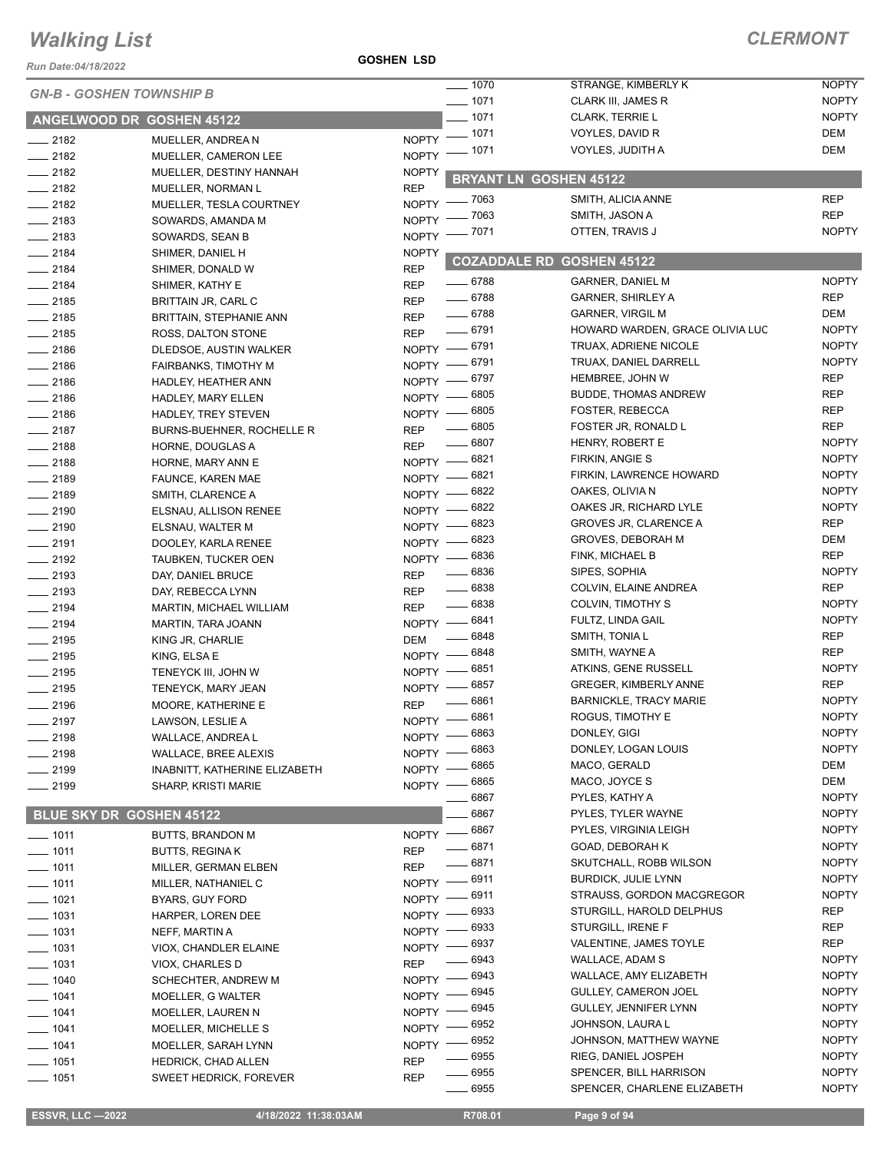*Run Date:04/18/2022*

**GOSHEN LSD**

| Run Date:04/18/2022             |                                |                             | $\frac{1}{2}$ 1070        | STRANGE, KIMBERLY K                    | <b>NOPTY</b>               |
|---------------------------------|--------------------------------|-----------------------------|---------------------------|----------------------------------------|----------------------------|
| <b>GN-B - GOSHEN TOWNSHIP B</b> |                                | $- 1071$                    | <b>CLARK III, JAMES R</b> | <b>NOPTY</b>                           |                            |
|                                 | ANGELWOOD DR GOSHEN 45122      |                             | $-1071$                   | <b>CLARK, TERRIE L</b>                 | <b>NOPTY</b>               |
| $-2182$                         | MUELLER, ANDREA N              | NOPTY <sup>-</sup>          | $-1071$                   | VOYLES, DAVID R                        | DEM                        |
| $-2182$                         | MUELLER, CAMERON LEE           | $NOPTY =$                   | - 1071                    | VOYLES, JUDITH A                       | <b>DEM</b>                 |
| $-2182$                         | MUELLER, DESTINY HANNAH        | <b>NOPTY</b>                |                           |                                        |                            |
| $-2182$                         | MUELLER, NORMAN L              | <b>REP</b>                  |                           | <b>BRYANT LN GOSHEN 45122</b>          |                            |
| $-2182$                         | MUELLER, TESLA COURTNEY        | NOPTY - 7063                |                           | SMITH, ALICIA ANNE                     | <b>REP</b>                 |
| $-2183$                         | SOWARDS, AMANDA M              | <b>NOPTY</b>                | - 7063                    | SMITH, JASON A                         | <b>REP</b>                 |
| $-2183$                         | SOWARDS, SEAN B                | NOPTY -                     | 7071                      | OTTEN, TRAVIS J                        | <b>NOPTY</b>               |
| $-2184$                         | SHIMER, DANIEL H               | <b>NOPTY</b>                |                           |                                        |                            |
| $-2184$                         | SHIMER, DONALD W               | <b>REP</b>                  | <b>COZADDALE RD</b>       | <b>GOSHEN 45122</b>                    |                            |
| $-2184$                         | SHIMER, KATHY E                | <b>REP</b>                  | $- 6788$                  | <b>GARNER, DANIEL M</b>                | <b>NOPTY</b>               |
| $-2185$                         | BRITTAIN JR, CARL C            | <b>REP</b>                  | $- 6788$                  | <b>GARNER, SHIRLEY A</b>               | <b>REP</b>                 |
| $-2185$                         | <b>BRITTAIN, STEPHANIE ANN</b> | <b>REP</b>                  | $- 6788$                  | <b>GARNER, VIRGIL M</b>                | <b>DEM</b>                 |
| $-2185$                         | ROSS, DALTON STONE             | <b>REP</b>                  | $- 6791$                  | HOWARD WARDEN, GRACE OLIVIA LUC        | <b>NOPTY</b>               |
| $-2186$                         | DLEDSOE, AUSTIN WALKER         | NOPTY -8791                 |                           | TRUAX, ADRIENE NICOLE                  | <b>NOPTY</b>               |
| $-2186$                         | <b>FAIRBANKS, TIMOTHY M</b>    | NOPTY -8791                 |                           | TRUAX, DANIEL DARRELL                  | <b>NOPTY</b>               |
| $-2186$                         | HADLEY, HEATHER ANN            | NOPTY - 6797                |                           | HEMBREE, JOHN W                        | <b>REP</b>                 |
| $-2186$                         | HADLEY, MARY ELLEN             | $NOPTY$ -                   | 6805                      | <b>BUDDE, THOMAS ANDREW</b>            | <b>REP</b>                 |
| $-2186$                         | HADLEY, TREY STEVEN            | $NOPTY$ -                   | 6805                      | FOSTER, REBECCA                        | REP                        |
| $-2187$                         | BURNS-BUEHNER, ROCHELLE R      | <b>REP</b>                  | 6805                      | FOSTER JR, RONALD L                    | <b>REP</b>                 |
| $-2188$                         | HORNE, DOUGLAS A               | <b>REP</b>                  | 6807                      | HENRY, ROBERT E                        | <b>NOPTY</b>               |
| $-2188$                         | HORNE, MARY ANN E              | $N$ OPTY $-$                | _ 6821                    | FIRKIN, ANGIE S                        | <b>NOPTY</b>               |
| $-2189$                         | FAUNCE, KAREN MAE              | NOPTY -8821                 |                           | FIRKIN, LAWRENCE HOWARD                | <b>NOPTY</b>               |
| $-2189$                         | SMITH, CLARENCE A              | NOPTY -                     | 6822                      | OAKES, OLIVIA N                        | <b>NOPTY</b>               |
| $-2190$                         | ELSNAU, ALLISON RENEE          | $NOPTY$ –                   | 6822                      | OAKES JR, RICHARD LYLE                 | <b>NOPTY</b>               |
| $-2190$                         | ELSNAU, WALTER M               | NOPTY -                     | 6823                      | <b>GROVES JR, CLARENCE A</b>           | <b>REP</b>                 |
| $-2191$                         | DOOLEY, KARLA RENEE            | $N$ OPTY $-$                | 6823                      | <b>GROVES, DEBORAH M</b>               | <b>DEM</b>                 |
| $-2192$                         | <b>TAUBKEN, TUCKER OEN</b>     | $NOPTY$ -                   | 6836                      | FINK, MICHAEL B                        | <b>REP</b>                 |
| $\frac{1}{2193}$                | DAY, DANIEL BRUCE              | <b>REP</b>                  | 6836                      | SIPES, SOPHIA                          | <b>NOPTY</b>               |
| $\frac{1}{2193}$                | DAY, REBECCA LYNN              | <b>REP</b>                  | $- 6838$<br>6838          | COLVIN, ELAINE ANDREA                  | <b>REP</b><br><b>NOPTY</b> |
| $-2194$                         | <b>MARTIN, MICHAEL WILLIAM</b> | <b>REP</b>                  | 6841                      | COLVIN, TIMOTHY S<br>FULTZ, LINDA GAIL | <b>NOPTY</b>               |
| $-2194$                         | MARTIN, TARA JOANN             | $NOPTY$ —                   | 6848                      | SMITH, TONIA L                         | <b>REP</b>                 |
| $-2195$                         | KING JR, CHARLIE               | DEM                         | 6848                      | SMITH, WAYNE A                         | <b>REP</b>                 |
| $-2195$                         | KING, ELSA E                   | NOPTY -                     | 6851                      | ATKINS, GENE RUSSELL                   | <b>NOPTY</b>               |
| $-2195$                         | TENEYCK III, JOHN W            | $N$ OPTY $\qquad$           | 6857                      | <b>GREGER, KIMBERLY ANNE</b>           | <b>REP</b>                 |
| $-2195$                         | TENEYCK, MARY JEAN             | NOPTY -                     | 6861                      | <b>BARNICKLE, TRACY MARIE</b>          | <b>NOPTY</b>               |
| $-2196$                         | MOORE, KATHERINE E             | <b>REP</b>                  | 6861                      | ROGUS, TIMOTHY E                       | <b>NOPTY</b>               |
| $-2197$                         | LAWSON, LESLIE A               | <b>NOPTY</b><br>NOPTY -8863 |                           | DONLEY, GIGI                           | <b>NOPTY</b>               |
| $- 2198$<br>$-2198$             | WALLACE, ANDREA L              | $N$ OPTY $-$                | 6863                      | DONLEY, LOGAN LOUIS                    | <b>NOPTY</b>               |
| $-2199$                         | WALLACE, BREE ALEXIS           | NOPTY -                     | 6865                      | MACO, GERALD                           | DEM                        |
| $-2199$                         | INABNITT, KATHERINE ELIZABETH  | $N$ OPTY $-$                | 6865                      | MACO, JOYCE S                          | <b>DEM</b>                 |
|                                 | <b>SHARP, KRISTI MARIE</b>     |                             | 6867                      | PYLES, KATHY A                         | <b>NOPTY</b>               |
|                                 | BLUE SKY DR GOSHEN 45122       |                             | 6867                      | PYLES, TYLER WAYNE                     | <b>NOPTY</b>               |
| $- 1011$                        | <b>BUTTS, BRANDON M</b>        | $N$ OPTY -                  | 6867                      | PYLES, VIRGINIA LEIGH                  | <b>NOPTY</b>               |
| $- 1011$                        | <b>BUTTS, REGINAK</b>          | <b>REP</b>                  | 6871                      | GOAD, DEBORAH K                        | <b>NOPTY</b>               |
| $- 1011$                        | MILLER, GERMAN ELBEN           | <b>REP</b>                  | 6871                      | SKUTCHALL, ROBB WILSON                 | <b>NOPTY</b>               |
| $- 1011$                        | MILLER, NATHANIEL C            | NOPTY -                     | 6911                      | <b>BURDICK, JULIE LYNN</b>             | <b>NOPTY</b>               |
| $- 1021$                        | BYARS, GUY FORD                | NOPTY -                     | 6911                      | STRAUSS, GORDON MACGREGOR              | <b>NOPTY</b>               |
| $\frac{1}{2}$ 1031              | HARPER, LOREN DEE              | NOPTY -                     | 6933                      | STURGILL, HAROLD DELPHUS               | REP                        |
| $- 1031$                        | NEFF, MARTIN A                 | NOPTY -                     | 6933                      | STURGILL, IRENE F                      | <b>REP</b>                 |
| $- 1031$                        | VIOX, CHANDLER ELAINE          | $NOPTY =$                   | 6937                      | VALENTINE, JAMES TOYLE                 | REP                        |
| $\frac{1}{2}$ 1031              | VIOX, CHARLES D                | <b>REP</b>                  | 6943                      | WALLACE, ADAM S                        | <b>NOPTY</b>               |
| $- 1040$                        | SCHECHTER, ANDREW M            | <b>NOPTY</b>                | 6943                      | WALLACE, AMY ELIZABETH                 | <b>NOPTY</b>               |
| $- 1041$                        | MOELLER, G WALTER              | NOPTY -                     | 6945                      | GULLEY, CAMERON JOEL                   | <b>NOPTY</b>               |
| $- 1041$                        | MOELLER, LAUREN N              | NOPTY -                     | 6945                      | GULLEY, JENNIFER LYNN                  | <b>NOPTY</b>               |
| $\frac{1}{2}$ 1041              | MOELLER, MICHELLE S            | NOPTY -                     | 6952                      | JOHNSON, LAURA L                       | <b>NOPTY</b>               |
| $- 1041$                        | MOELLER, SARAH LYNN            | NOPTY -                     | 6952                      | JOHNSON, MATTHEW WAYNE                 | <b>NOPTY</b>               |
| $- 1051$                        | HEDRICK, CHAD ALLEN            | <b>REP</b>                  | 6955                      | RIEG, DANIEL JOSPEH                    | <b>NOPTY</b>               |
| $- 1051$                        | <b>SWEET HEDRICK, FOREVER</b>  | <b>REP</b>                  | 6955                      | SPENCER, BILL HARRISON                 | <b>NOPTY</b>               |
|                                 |                                |                             | 6955                      | SPENCER, CHARLENE ELIZABETH            | <b>NOPTY</b>               |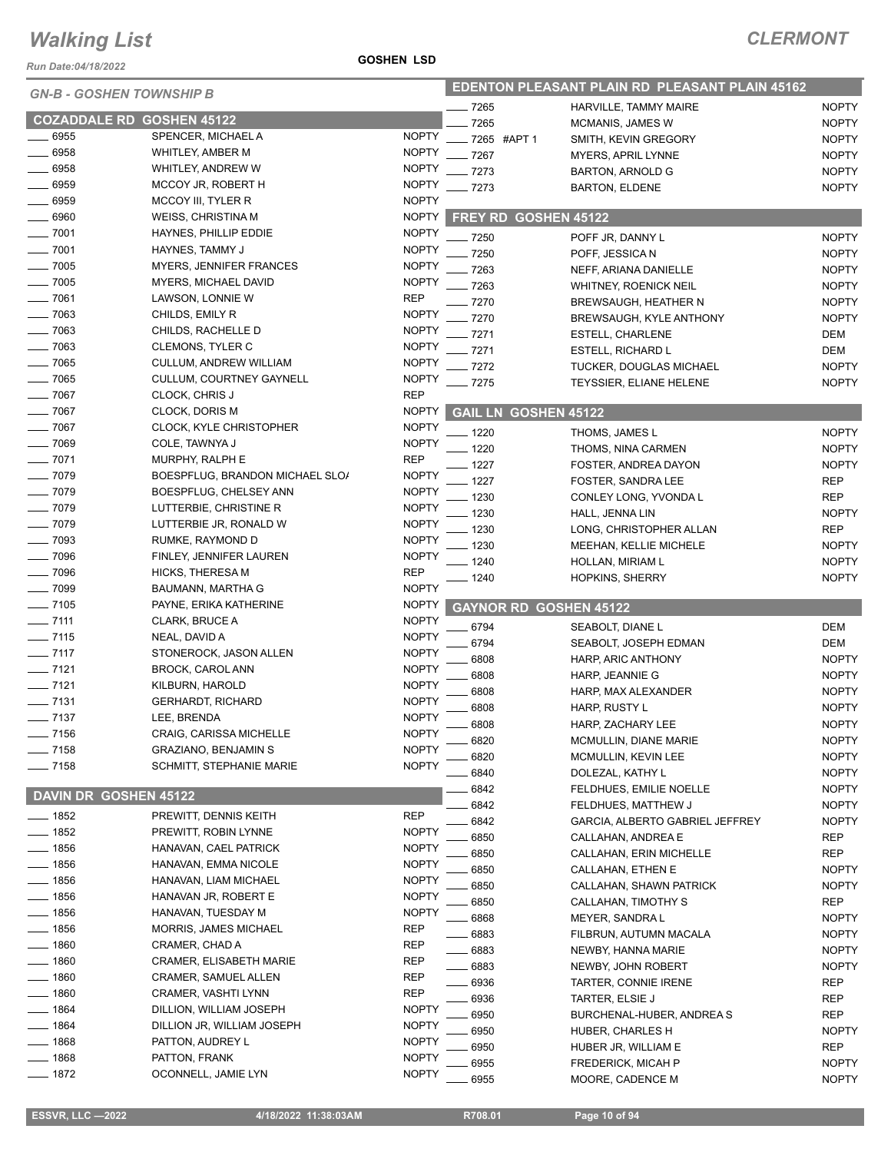*Run Date:04/18/2022*

#### **GOSHEN LSD**

| <i><b>GN-B - GOSHEN TOWNSHIP B</b></i> |                                 |              | <b>EDENTON PLEASANT PLAIN RD PLEASANT PLAIN 45162</b> |                             |                                        |                              |
|----------------------------------------|---------------------------------|--------------|-------------------------------------------------------|-----------------------------|----------------------------------------|------------------------------|
|                                        |                                 |              | - 7265                                                |                             | HARVILLE, TAMMY MAIRE                  | <b>NOPTY</b>                 |
| <b>COZADDALE RD GOSHEN 45122</b>       |                                 |              | 7265                                                  |                             | <b>MCMANIS, JAMES W</b>                | <b>NOPTY</b>                 |
| 6955                                   | SPENCER, MICHAEL A              | <b>NOPTY</b> |                                                       | 7265 #APT 1                 | SMITH, KEVIN GREGORY                   | <b>NOPTY</b>                 |
| $-6958$                                | WHITLEY, AMBER M                | <b>NOPTY</b> | 7267                                                  |                             | <b>MYERS, APRIL LYNNE</b>              | <b>NOPTY</b>                 |
| $-6958$                                | WHITLEY, ANDREW W               | <b>NOPTY</b> | . 7273                                                |                             | <b>BARTON, ARNOLD G</b>                | <b>NOPTY</b>                 |
| $-6959$                                | MCCOY JR, ROBERT H              | <b>NOPTY</b> | $-7273$                                               |                             | <b>BARTON, ELDENE</b>                  | <b>NOPTY</b>                 |
| $\frac{1}{2}$ 6959                     | MCCOY III, TYLER R              | <b>NOPTY</b> |                                                       |                             |                                        |                              |
| $-6960$                                | <b>WEISS, CHRISTINA M</b>       | <b>NOPTY</b> |                                                       | FREY RD GOSHEN 45122        |                                        |                              |
| $- 7001$                               | HAYNES, PHILLIP EDDIE           | <b>NOPTY</b> | 7250                                                  |                             | POFF JR, DANNY L                       | <b>NOPTY</b>                 |
| $- 7001$                               | HAYNES, TAMMY J                 | <b>NOPTY</b> | 7250                                                  |                             | POFF, JESSICA N                        | <b>NOPTY</b>                 |
| $- 7005$                               | <b>MYERS, JENNIFER FRANCES</b>  | <b>NOPTY</b> | 7263                                                  |                             | NEFF, ARIANA DANIELLE                  | <b>NOPTY</b>                 |
| $-7005$                                | MYERS, MICHAEL DAVID            | <b>NOPTY</b> | 7263                                                  |                             | WHITNEY, ROENICK NEIL                  | <b>NOPTY</b>                 |
| $-7061$                                | LAWSON, LONNIE W                | <b>REP</b>   | 7270                                                  |                             | <b>BREWSAUGH, HEATHER N</b>            | <b>NOPTY</b>                 |
| $- 7063$                               | CHILDS, EMILY R                 | <b>NOPTY</b> | 7270                                                  |                             | <b>BREWSAUGH, KYLE ANTHONY</b>         | <b>NOPTY</b>                 |
| $-7063$                                | CHILDS, RACHELLE D              | <b>NOPTY</b> | 7271                                                  |                             | ESTELL, CHARLENE                       | DEM                          |
| $- 7063$                               | CLEMONS, TYLER C                | <b>NOPTY</b> | 7271                                                  |                             | <b>ESTELL, RICHARD L</b>               | DEM                          |
| $- 7065$                               | <b>CULLUM, ANDREW WILLIAM</b>   | <b>NOPTY</b> | 7272                                                  |                             | TUCKER, DOUGLAS MICHAEL                | <b>NOPTY</b>                 |
| $-7065$                                | CULLUM, COURTNEY GAYNELL        | <b>NOPTY</b> | 7275                                                  |                             | <b>TEYSSIER, ELIANE HELENE</b>         | <b>NOPTY</b>                 |
| $-7067$                                | CLOCK, CHRIS J                  | <b>REP</b>   |                                                       |                             |                                        |                              |
| $- 7067$                               | <b>CLOCK, DORIS M</b>           | <b>NOPTY</b> |                                                       | <b>GAIL LN GOSHEN 45122</b> |                                        |                              |
| $- 7067$                               | <b>CLOCK, KYLE CHRISTOPHER</b>  | <b>NOPTY</b> | 1220                                                  |                             | THOMS, JAMES L                         | <b>NOPTY</b>                 |
| $- 7069$                               | COLE, TAWNYA J                  | <b>NOPTY</b> | 1220                                                  |                             | THOMS, NINA CARMEN                     | <b>NOPTY</b>                 |
| $- 7071$                               | MURPHY, RALPH E                 | <b>REP</b>   | 1227                                                  |                             | FOSTER, ANDREA DAYON                   | <b>NOPTY</b>                 |
| $- 7079$                               | BOESPFLUG, BRANDON MICHAEL SLO/ | <b>NOPTY</b> | 1227                                                  |                             | <b>FOSTER, SANDRA LEE</b>              | <b>REP</b>                   |
| $- 7079$                               | BOESPFLUG, CHELSEY ANN          | <b>NOPTY</b> | 1230                                                  |                             | CONLEY LONG, YVONDA L                  | <b>REP</b>                   |
| $- 7079$                               | LUTTERBIE, CHRISTINE R          | <b>NOPTY</b> | 1230                                                  |                             |                                        | <b>NOPTY</b>                 |
| $- 7079$                               | LUTTERBIE JR, RONALD W          | <b>NOPTY</b> |                                                       |                             | HALL, JENNA LIN                        | <b>REP</b>                   |
| $-7093$                                | RUMKE, RAYMOND D                | <b>NOPTY</b> | 1230                                                  |                             | LONG, CHRISTOPHER ALLAN                |                              |
| $- 7096$                               | FINLEY, JENNIFER LAUREN         | <b>NOPTY</b> | 1230                                                  |                             | MEEHAN, KELLIE MICHELE                 | <b>NOPTY</b>                 |
| $- 7096$                               | <b>HICKS, THERESA M</b>         | <b>REP</b>   | 1240                                                  |                             | HOLLAN, MIRIAM L                       | <b>NOPTY</b>                 |
| $- 7099$                               | BAUMANN, MARTHA G               | <b>NOPTY</b> | 1240                                                  |                             | <b>HOPKINS, SHERRY</b>                 | <b>NOPTY</b>                 |
| $- 7105$                               | PAYNE, ERIKA KATHERINE          | <b>NOPTY</b> |                                                       |                             | <b>GAYNOR RD GOSHEN 45122</b>          |                              |
| $- 7111$                               | CLARK, BRUCE A                  | <b>NOPTY</b> |                                                       |                             |                                        |                              |
| $- 7115$                               | NEAL, DAVID A                   | <b>NOPTY</b> | 6794                                                  |                             | SEABOLT, DIANE L                       | <b>DEM</b>                   |
| $- 7117$                               | STONEROCK, JASON ALLEN          | <b>NOPTY</b> | 6794                                                  |                             | SEABOLT, JOSEPH EDMAN                  | DEM                          |
| $- 7121$                               | <b>BROCK, CAROL ANN</b>         | <b>NOPTY</b> | 6808                                                  |                             | HARP, ARIC ANTHONY                     | <b>NOPTY</b>                 |
| $- 7121$                               | KILBURN, HAROLD                 | <b>NOPTY</b> | 6808                                                  |                             | HARP, JEANNIE G                        | <b>NOPTY</b>                 |
| $- 7131$                               | <b>GERHARDT, RICHARD</b>        | <b>NOPTY</b> | 6808                                                  |                             | HARP, MAX ALEXANDER                    | <b>NOPTY</b>                 |
| $-7137$                                | LEE, BRENDA                     | <b>NOPTY</b> | 6808                                                  |                             | HARP, RUSTY L                          | <b>NOPTY</b>                 |
| $- 7156$                               | CRAIG, CARISSA MICHELLE         | <b>NOPTY</b> | 6808                                                  |                             | HARP, ZACHARY LEE                      | <b>NOPTY</b>                 |
|                                        |                                 | <b>NOPTY</b> | 6820                                                  |                             | MCMULLIN, DIANE MARIE                  | <b>NOPTY</b>                 |
| ____ 7158                              | <b>GRAZIANO, BENJAMIN S</b>     |              | 6820                                                  |                             | MCMULLIN, KEVIN LEE                    | <b>NOPTY</b>                 |
| $- 7158$                               | <b>SCHMITT, STEPHANIE MARIE</b> | <b>NOPTY</b> | 6840                                                  |                             | DOLEZAL, KATHY L                       | <b>NOPTY</b>                 |
| <b>DAVIN DR GOSHEN 45122</b>           |                                 |              | 6842                                                  |                             | FELDHUES, EMILIE NOELLE                | <b>NOPTY</b>                 |
|                                        |                                 |              | 6842                                                  |                             | FELDHUES, MATTHEW J                    | <b>NOPTY</b>                 |
| $\frac{1}{2}$ 1852                     | PREWITT, DENNIS KEITH           | REP          | 6842                                                  |                             | GARCIA, ALBERTO GABRIEL JEFFREY        | <b>NOPTY</b>                 |
| ___ 1852                               | PREWITT, ROBIN LYNNE            | <b>NOPTY</b> | 6850                                                  |                             | CALLAHAN, ANDREA E                     | REP                          |
| $-1856$                                | HANAVAN, CAEL PATRICK           | <b>NOPTY</b> | 6850                                                  |                             | CALLAHAN, ERIN MICHELLE                | <b>REP</b>                   |
| $-1856$                                | HANAVAN, EMMA NICOLE            | <b>NOPTY</b> | 6850                                                  |                             | CALLAHAN, ETHEN E                      | <b>NOPTY</b>                 |
| $-1856$                                | HANAVAN, LIAM MICHAEL           | <b>NOPTY</b> | 6850                                                  |                             | CALLAHAN, SHAWN PATRICK                | <b>NOPTY</b>                 |
| $- 1856$                               | HANAVAN JR, ROBERT E            | <b>NOPTY</b> | 6850                                                  |                             | CALLAHAN, TIMOTHY S                    | <b>REP</b>                   |
| $- 1856$                               | HANAVAN, TUESDAY M              | <b>NOPTY</b> | 6868                                                  |                             | MEYER, SANDRA L                        | <b>NOPTY</b>                 |
| $- 1856$                               | MORRIS, JAMES MICHAEL           | REP          | 6883                                                  |                             | FILBRUN, AUTUMN MACALA                 | <b>NOPTY</b>                 |
| $- 1860$                               | CRAMER, CHAD A                  | REP          | 6883                                                  |                             | NEWBY, HANNA MARIE                     | <b>NOPTY</b>                 |
| $-1860$                                | <b>CRAMER, ELISABETH MARIE</b>  | REP          | 6883                                                  |                             | NEWBY, JOHN ROBERT                     | <b>NOPTY</b>                 |
| $- 1860$                               | <b>CRAMER, SAMUEL ALLEN</b>     | REP          | 6936                                                  |                             | TARTER, CONNIE IRENE                   | REP                          |
| $- 1860$                               | CRAMER, VASHTI LYNN             | REP          | 6936                                                  |                             | TARTER, ELSIE J                        | REP                          |
| $- 1864$                               | DILLION, WILLIAM JOSEPH         | <b>NOPTY</b> | 6950                                                  |                             |                                        | REP                          |
| $- 1864$                               | DILLION JR, WILLIAM JOSEPH      | <b>NOPTY</b> | 6950                                                  |                             | BURCHENAL-HUBER, ANDREA S              | <b>NOPTY</b>                 |
| _ 1868                                 |                                 |              |                                                       |                             | HUBER, CHARLES H                       |                              |
|                                        | PATTON, AUDREY L                | <b>NOPTY</b> |                                                       |                             |                                        |                              |
| $-1868$                                | PATTON, FRANK                   | <b>NOPTY</b> | 6950                                                  |                             | HUBER JR, WILLIAM E                    | REP                          |
| $-1872$                                | OCONNELL, JAMIE LYN             | <b>NOPTY</b> | 6955<br>6955                                          |                             | FREDERICK, MICAH P<br>MOORE, CADENCE M | <b>NOPTY</b><br><b>NOPTY</b> |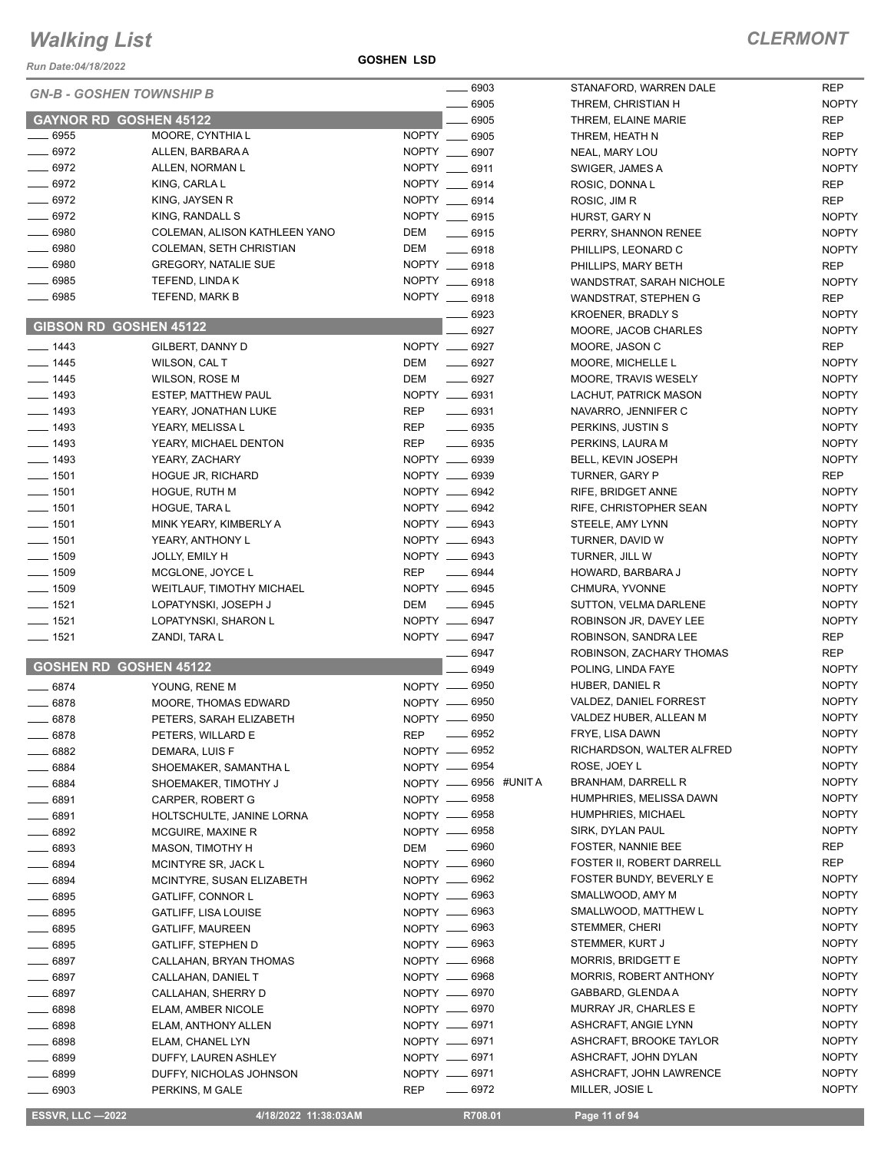*Run Date:04/18/2022*

**GOSHEN LSD**

٠

|                    | <b>GN-B - GOSHEN TOWNSHIP B</b> | $- 6903$                         | STANAFORD, WARREN DALE    | <b>REP</b>   |
|--------------------|---------------------------------|----------------------------------|---------------------------|--------------|
|                    |                                 | $- 6905$                         | THREM, CHRISTIAN H        | <b>NOPTY</b> |
|                    | <b>GAYNOR RD GOSHEN 45122</b>   | 6905                             | THREM, ELAINE MARIE       | REP          |
| $-6955$            | MOORE, CYNTHIA L                | NOPTY __ 6905                    | THREM, HEATH N            | <b>REP</b>   |
| $-6972$            | ALLEN, BARBARA A                | NOPTY __ 6907                    | NEAL, MARY LOU            | <b>NOPTY</b> |
| $-6972$            | ALLEN, NORMAN L                 | NOPTY __ 6911                    | SWIGER, JAMES A           | <b>NOPTY</b> |
| $-6972$            | KING, CARLA L                   | NOPTY __ 6914                    | ROSIC, DONNA L            | REP          |
| $- 6972$           | KING, JAYSEN R                  | NOPTY __ 6914                    | ROSIC, JIM R              | REP          |
| $-6972$            | KING, RANDALL S                 | NOPTY __ 6915                    | HURST, GARY N             | <b>NOPTY</b> |
| $- 6980$           | COLEMAN, ALISON KATHLEEN YANO   | DEM                              |                           |              |
| $\frac{1}{2}$ 6980 | COLEMAN, SETH CHRISTIAN         | $-6915$<br>DEM                   | PERRY, SHANNON RENEE      | <b>NOPTY</b> |
|                    |                                 | $- 6918$                         | PHILLIPS, LEONARD C       | <b>NOPTY</b> |
| $- 6980$           | <b>GREGORY, NATALIE SUE</b>     | NOPTY __ 6918                    | PHILLIPS, MARY BETH       | <b>REP</b>   |
| $-6985$            | TEFEND, LINDA K                 | NOPTY __ 6918                    | WANDSTRAT, SARAH NICHOLE  | <b>NOPTY</b> |
| $- 6985$           | TEFEND, MARK B                  | NOPTY __ 6918                    | WANDSTRAT, STEPHEN G      | REP          |
|                    |                                 | $- 6923$                         | <b>KROENER, BRADLY S</b>  | <b>NOPTY</b> |
|                    | GIBSON RD GOSHEN 45122          | 6927                             | MOORE, JACOB CHARLES      | <b>NOPTY</b> |
| $- 1443$           | GILBERT, DANNY D                | NOPTY __ 6927                    | MOORE, JASON C            | REP          |
| $- 1445$           | WILSON, CAL T                   | $- 6927$<br>DEM                  | MOORE, MICHELLE L         | <b>NOPTY</b> |
| $- 1445$           | <b>WILSON, ROSE M</b>           | $- 6927$<br><b>DEM</b>           | MOORE, TRAVIS WESELY      | <b>NOPTY</b> |
| $- 1493$           | ESTEP, MATTHEW PAUL             | NOPTY __ 6931                    | LACHUT, PATRICK MASON     | <b>NOPTY</b> |
| $- 1493$           | YEARY, JONATHAN LUKE            | $\frac{1}{2}$ 6931<br><b>REP</b> | NAVARRO, JENNIFER C       | <b>NOPTY</b> |
| $- 1493$           | YEARY, MELISSA L                | <b>REP</b><br>$\frac{1}{2}$ 6935 | PERKINS, JUSTIN S         | <b>NOPTY</b> |
| $- 1493$           | YEARY, MICHAEL DENTON           | <b>REP</b><br>$- 6935$           | PERKINS, LAURA M          | <b>NOPTY</b> |
| $- 1493$           | YEARY, ZACHARY                  | NOPTY __ 6939                    | BELL, KEVIN JOSEPH        | <b>NOPTY</b> |
| $- 1501$           |                                 | NOPTY __ 6939                    |                           | <b>REP</b>   |
|                    | <b>HOGUE JR, RICHARD</b>        |                                  | TURNER, GARY P            |              |
| $\frac{1}{2}$ 1501 | HOGUE, RUTH M                   | NOPTY __ 6942                    | RIFE, BRIDGET ANNE        | <b>NOPTY</b> |
| $- 1501$           | HOGUE, TARA L                   | NOPTY __ 6942                    | RIFE, CHRISTOPHER SEAN    | <b>NOPTY</b> |
| $\frac{1}{2}$ 1501 | MINK YEARY, KIMBERLY A          | NOPTY __ 6943                    | STEELE, AMY LYNN          | <b>NOPTY</b> |
| $- 1501$           | YEARY, ANTHONY L                | NOPTY __ 6943                    | TURNER, DAVID W           | <b>NOPTY</b> |
| $- 1509$           | <b>JOLLY, EMILY H</b>           | NOPTY __ 6943                    | TURNER, JILL W            | <b>NOPTY</b> |
| $- 1509$           | MCGLONE, JOYCE L                | <b>REP</b><br>$- 6944$           | HOWARD, BARBARA J         | <b>NOPTY</b> |
| $- 1509$           | WEITLAUF, TIMOTHY MICHAEL       | NOPTY __ 6945                    | CHMURA, YVONNE            | <b>NOPTY</b> |
| $- 1521$           | LOPATYNSKI, JOSEPH J            | $\frac{1}{2}$ 6945<br>DEM        | SUTTON, VELMA DARLENE     | <b>NOPTY</b> |
| $- 1521$           | LOPATYNSKI, SHARON L            | NOPTY __ 6947                    | ROBINSON JR, DAVEY LEE    | <b>NOPTY</b> |
| $- 1521$           | ZANDI, TARA L                   | NOPTY __ 6947                    | ROBINSON, SANDRA LEE      | REP          |
|                    |                                 | 6947                             | ROBINSON, ZACHARY THOMAS  | <b>REP</b>   |
|                    | <b>GOSHEN RD GOSHEN 45122</b>   | 6949                             | POLING, LINDA FAYE        | <b>NOPTY</b> |
| $-6874$            | YOUNG, RENE M                   | NOPTY -6950                      | HUBER, DANIEL R           | <b>NOPTY</b> |
| $-6878$            | MOORE, THOMAS EDWARD            | NOPTY __ 6950                    | VALDEZ, DANIEL FORREST    | <b>NOPTY</b> |
|                    |                                 | NOPTY __ 6950                    | VALDEZ HUBER, ALLEAN M    | <b>NOPTY</b> |
| $- 6878$           | PETERS, SARAH ELIZABETH         |                                  |                           |              |
| - 6878             | PETERS, WILLARD E               | $\frac{1}{2}$ 6952<br><b>REP</b> | FRYE, LISA DAWN           | <b>NOPTY</b> |
| .6882              | DEMARA, LUIS F                  | NOPTY __ 6952                    | RICHARDSON, WALTER ALFRED | <b>NOPTY</b> |
| ____ 6884          | SHOEMAKER, SAMANTHA L           | NOPTY __ 6954                    | ROSE, JOEY L              | <b>NOPTY</b> |
| $- 6884$           | SHOEMAKER, TIMOTHY J            | NOPTY __ 6956 #UNIT A            | BRANHAM, DARRELL R        | <b>NOPTY</b> |
| __ 6891            | CARPER, ROBERT G                | NOPTY __ 6958                    | HUMPHRIES, MELISSA DAWN   | <b>NOPTY</b> |
| <u>——</u> 6891     | HOLTSCHULTE, JANINE LORNA       | NOPTY __ 6958                    | <b>HUMPHRIES, MICHAEL</b> | <b>NOPTY</b> |
| $-6892$            | MCGUIRE, MAXINE R               | NOPTY __ 6958                    | SIRK, DYLAN PAUL          | <b>NOPTY</b> |
| _ 6893             | <b>MASON, TIMOTHY H</b>         | $\frac{1}{2}$ 6960<br>DEM        | <b>FOSTER, NANNIE BEE</b> | REP          |
| 6894               | MCINTYRE SR, JACK L             | NOPTY __ 6960                    | FOSTER II, ROBERT DARRELL | REP          |
| 6894               | MCINTYRE, SUSAN ELIZABETH       | NOPTY __ 6962                    | FOSTER BUNDY, BEVERLY E   | <b>NOPTY</b> |
| $-6895$            | <b>GATLIFF, CONNOR L</b>        | NOPTY __ 6963                    | SMALLWOOD, AMY M          | <b>NOPTY</b> |
| $-6895$            | <b>GATLIFF, LISA LOUISE</b>     | NOPTY __ 6963                    | SMALLWOOD, MATTHEW L      | <b>NOPTY</b> |
|                    |                                 | NOPTY -6963                      | STEMMER, CHERI            | <b>NOPTY</b> |
| _ 6895             | <b>GATLIFF, MAUREEN</b>         |                                  |                           |              |
| _ 6895             | <b>GATLIFF, STEPHEN D</b>       | NOPTY __ 6963                    | STEMMER, KURT J           | <b>NOPTY</b> |
| $-6897$            | CALLAHAN, BRYAN THOMAS          | NOPTY __ 6968                    | MORRIS, BRIDGETT E        | <b>NOPTY</b> |
| ____ 6897          | CALLAHAN, DANIEL T              | NOPTY __ 6968                    | MORRIS, ROBERT ANTHONY    | <b>NOPTY</b> |
| $- 6897$           | CALLAHAN, SHERRY D              | NOPTY __ 6970                    | GABBARD, GLENDA A         | <b>NOPTY</b> |
| _ 6898             | ELAM, AMBER NICOLE              | NOPTY __ 6970                    | MURRAY JR, CHARLES E      | <b>NOPTY</b> |
| $\_\_6898$         | ELAM, ANTHONY ALLEN             | NOPTY __ 6971                    | ASHCRAFT, ANGIE LYNN      | <b>NOPTY</b> |
| _ 6898             | ELAM, CHANEL LYN                | NOPTY __ 6971                    | ASHCRAFT, BROOKE TAYLOR   | <b>NOPTY</b> |
| _ 6899             | DUFFY, LAUREN ASHLEY            | NOPTY __ 6971                    | ASHCRAFT, JOHN DYLAN      | <b>NOPTY</b> |
| 6899               | DUFFY, NICHOLAS JOHNSON         | NOPTY __ 6971                    | ASHCRAFT, JOHN LAWRENCE   | <b>NOPTY</b> |
| . 6903             | PERKINS, M GALE                 | $- 6972$<br><b>REP</b>           | MILLER, JOSIE L           | <b>NOPTY</b> |
|                    |                                 |                                  |                           |              |

**ESSVR, LLC -2022** 4/18/2022 11:38:03AM R708.01 Page 11 of 94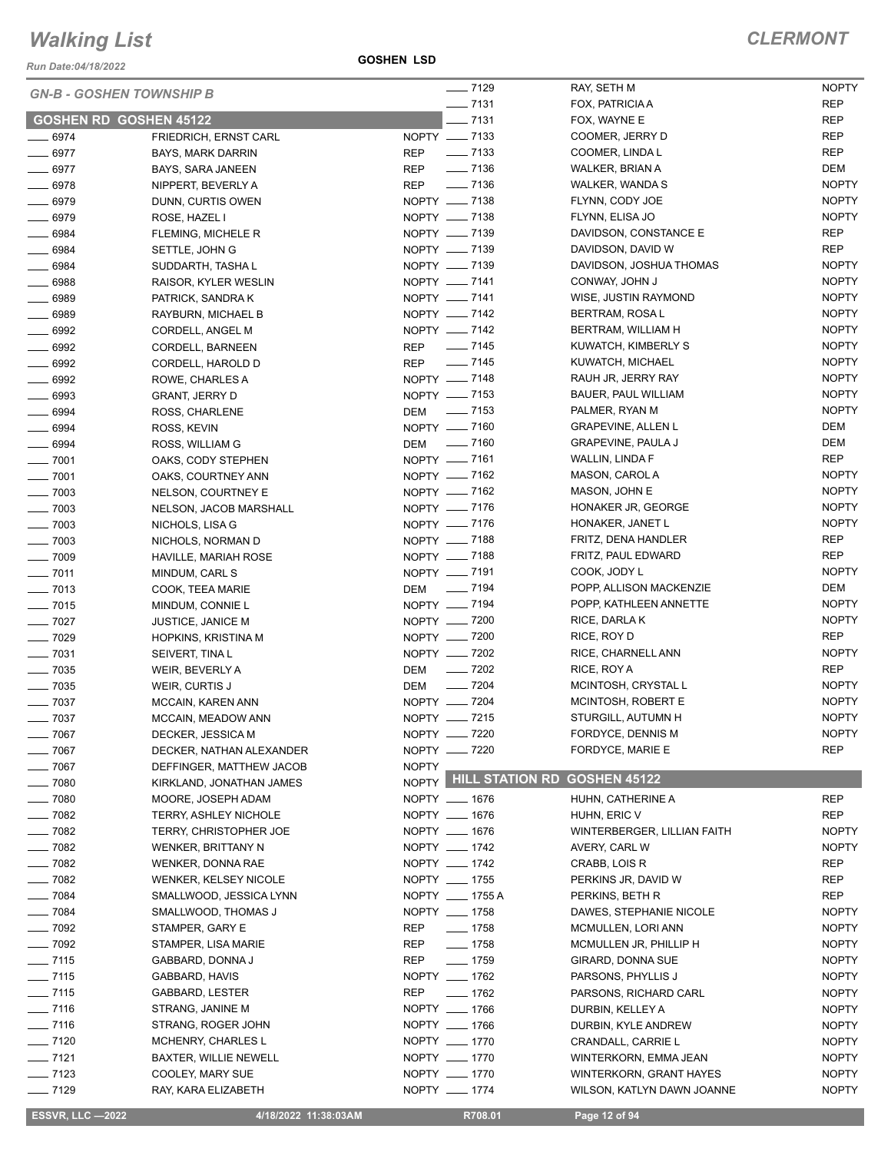*Run Date:04/18/2022*

| <b>GN-B - GOSHEN TOWNSHIP B</b> |                              | $- 7129$                                           | RAY, SETH M                 | <b>NOPTY</b> |
|---------------------------------|------------------------------|----------------------------------------------------|-----------------------------|--------------|
|                                 |                              | $-7131$                                            | FOX, PATRICIA A             | <b>REP</b>   |
| <b>GOSHEN RD GOSHEN 45122</b>   |                              | $-7131$                                            | FOX, WAYNE E                | <b>REP</b>   |
| $- 6974$                        | FRIEDRICH, ERNST CARL        | NOPTY - 7133                                       | COOMER, JERRY D             | <b>REP</b>   |
| $- 6977$                        | <b>BAYS, MARK DARRIN</b>     | $\frac{1}{2}$ 7133<br>REP                          | COOMER, LINDA L             | <b>REP</b>   |
| $- 6977$                        | BAYS, SARA JANEEN            | $\frac{1}{2}$ 7136<br>REP                          | WALKER, BRIAN A             | <b>DEM</b>   |
| $- 6978$                        | NIPPERT, BEVERLY A           | $\frac{1}{2}$ 7136<br>REP                          | WALKER, WANDA S             | <b>NOPTY</b> |
| $- 6979$                        | DUNN, CURTIS OWEN            | NOPTY - 7138                                       | FLYNN, CODY JOE             | <b>NOPTY</b> |
| $- 6979$                        | ROSE, HAZEL I                | NOPTY - 7138                                       | FLYNN, ELISA JO             | <b>NOPTY</b> |
| $- 6984$                        | FLEMING, MICHELE R           | NOPTY __ 7139                                      | DAVIDSON, CONSTANCE E       | <b>REP</b>   |
| $- 6984$                        | SETTLE, JOHN G               | NOPTY - 7139                                       | DAVIDSON, DAVID W           | <b>REP</b>   |
| $- 6984$                        | SUDDARTH, TASHA L            | NOPTY __ 7139                                      | DAVIDSON, JOSHUA THOMAS     | <b>NOPTY</b> |
| $- 6988$                        | RAISOR, KYLER WESLIN         | NOPTY - 7141                                       | CONWAY, JOHN J              | <b>NOPTY</b> |
| $- 6989$                        | PATRICK, SANDRA K            | NOPTY -7141                                        | WISE, JUSTIN RAYMOND        | <b>NOPTY</b> |
| $- 6989$                        | RAYBURN, MICHAEL B           | NOPTY __ 7142                                      | BERTRAM, ROSA L             | <b>NOPTY</b> |
| $- 6992$                        | CORDELL, ANGEL M             | NOPTY -7142                                        | BERTRAM, WILLIAM H          | <b>NOPTY</b> |
| $\frac{1}{2}$ 6992              | CORDELL, BARNEEN             | REP __ 7145                                        | KUWATCH, KIMBERLY S         | <b>NOPTY</b> |
| $-6992$                         | CORDELL, HAROLD D            | $\frac{1}{2}$ 7145<br><b>REP</b>                   | KUWATCH, MICHAEL            | <b>NOPTY</b> |
| $\frac{1}{2}$ 6992              | ROWE, CHARLES A              | NOPTY __ 7148                                      | RAUH JR, JERRY RAY          | <b>NOPTY</b> |
| $- 6993$                        | GRANT, JERRY D               | NOPTY __ 7153                                      | BAUER, PAUL WILLIAM         | <b>NOPTY</b> |
| $- 6994$                        | ROSS, CHARLENE               | DEM __ 7153                                        | PALMER, RYAN M              | <b>NOPTY</b> |
| $- 6994$                        | ROSS, KEVIN                  | NOPTY __ 7160                                      | <b>GRAPEVINE, ALLEN L</b>   | <b>DEM</b>   |
| $- 6994$                        | ROSS, WILLIAM G              | DEM - 7160                                         | <b>GRAPEVINE, PAULA J</b>   | DEM          |
| $- 7001$                        | OAKS, CODY STEPHEN           | NOPTY -7161                                        | WALLIN, LINDA F             | REP          |
| $- 7001$                        | OAKS, COURTNEY ANN           | NOPTY __ 7162                                      | MASON, CAROL A              | <b>NOPTY</b> |
| $- 7003$                        | NELSON, COURTNEY E           | NOPTY __ 7162                                      | MASON, JOHN E               | <b>NOPTY</b> |
| $- 7003$                        | NELSON, JACOB MARSHALL       | NOPTY __ 7176                                      | HONAKER JR, GEORGE          | <b>NOPTY</b> |
| $- 7003$                        | NICHOLS, LISA G              | NOPTY __ 7176                                      | HONAKER, JANET L            | <b>NOPTY</b> |
| $- 7003$                        | NICHOLS, NORMAN D            | NOPTY - 7188                                       | FRITZ, DENA HANDLER         | <b>REP</b>   |
| $- 7009$                        | HAVILLE, MARIAH ROSE         | NOPTY __ 7188                                      | FRITZ, PAUL EDWARD          | <b>REP</b>   |
| $- 7011$                        | MINDUM, CARL S               | NOPTY - 7191                                       | COOK, JODY L                | <b>NOPTY</b> |
| $\frac{1}{2}$ 7013              | COOK, TEEA MARIE             | DEM __ 7194                                        | POPP, ALLISON MACKENZIE     | <b>DEM</b>   |
| $- 7015$                        | MINDUM, CONNIE L             | NOPTY __ 7194                                      | POPP, KATHLEEN ANNETTE      | <b>NOPTY</b> |
| $- 7027$                        | <b>JUSTICE, JANICE M</b>     | NOPTY - 7200                                       | RICE, DARLAK                | <b>NOPTY</b> |
| $- 7029$                        | <b>HOPKINS, KRISTINA M</b>   | NOPTY __ 7200                                      | RICE, ROY D                 | <b>REP</b>   |
| $- 7031$                        | SEIVERT, TINA L              | NOPTY - 7202                                       | RICE, CHARNELL ANN          | <b>NOPTY</b> |
| $\frac{1}{2}$ 7035              | WEIR, BEVERLY A              | $\frac{1}{2}$ 7202<br>DEM                          | RICE, ROY A                 | <b>REP</b>   |
| $- 7035$                        | WEIR, CURTIS J               | $\frac{1}{2}$ 7204<br>DEM                          | MCINTOSH, CRYSTAL L         | <b>NOPTY</b> |
| $- 7037$                        | MCCAIN, KAREN ANN            | NOPTY - 7204                                       | MCINTOSH, ROBERT E          | <b>NOPTY</b> |
| $- 7037$                        | MCCAIN, MEADOW ANN           | NOPTY __ 7215                                      | STURGILL, AUTUMN H          | <b>NOPTY</b> |
| $- 7067$                        | DECKER, JESSICA M            | NOPTY - 7220                                       | FORDYCE, DENNIS M           | <b>NOPTY</b> |
| $\frac{1}{2}$ 7067              | DECKER, NATHAN ALEXANDER     | NOPTY __ 7220                                      | FORDYCE, MARIE E            | <b>REP</b>   |
| $- 7067$                        | DEFFINGER, MATTHEW JACOB     | <b>NOPTY</b><br>NOPTY HILL STATION RD GOSHEN 45122 |                             |              |
| $- 7080$                        | KIRKLAND, JONATHAN JAMES     |                                                    |                             |              |
| $- 7080$                        | MOORE, JOSEPH ADAM           | NOPTY __ 1676                                      | HUHN, CATHERINE A           | <b>REP</b>   |
| $- 7082$                        | <b>TERRY, ASHLEY NICHOLE</b> | NOPTY __ 1676                                      | HUHN, ERIC V                | <b>REP</b>   |
| $- 7082$                        | TERRY, CHRISTOPHER JOE       | NOPTY __ 1676                                      | WINTERBERGER, LILLIAN FAITH | <b>NOPTY</b> |
| $- 7082$                        | <b>WENKER, BRITTANY N</b>    | NOPTY __ 1742                                      | AVERY, CARL W               | <b>NOPTY</b> |
| $- 7082$                        | WENKER, DONNA RAE            | NOPTY __ 1742                                      | CRABB, LOIS R               | REP          |
| $- 7082$                        | <b>WENKER, KELSEY NICOLE</b> | NOPTY __ 1755                                      | PERKINS JR, DAVID W         | <b>REP</b>   |
| $- 7084$                        | SMALLWOOD, JESSICA LYNN      | NOPTY __ 1755 A                                    | PERKINS, BETH R             | <b>REP</b>   |
| $- 7084$                        | SMALLWOOD, THOMAS J          | NOPTY __ 1758                                      | DAWES, STEPHANIE NICOLE     | <b>NOPTY</b> |
| $- 7092$                        | STAMPER, GARY E              | $- 1758$<br>REP                                    | MCMULLEN, LORI ANN          | <b>NOPTY</b> |
| $\frac{1}{2}$ 7092              | STAMPER, LISA MARIE          | REP<br>$- 1758$                                    | MCMULLEN JR, PHILLIP H      | <b>NOPTY</b> |
| $- 7115$                        | GABBARD, DONNA J             | $- 1759$<br>REP                                    | GIRARD, DONNA SUE           | <b>NOPTY</b> |
| $- 7115$                        | GABBARD, HAVIS               | NOPTY __ 1762                                      | PARSONS, PHYLLIS J          | <b>NOPTY</b> |
| $- 7115$                        | GABBARD, LESTER              | $- 1762$<br>REP                                    | PARSONS, RICHARD CARL       | <b>NOPTY</b> |
| $- 7116$                        | STRANG, JANINE M             | NOPTY __ 1766                                      | DURBIN, KELLEY A            | <b>NOPTY</b> |
| $- 7116$                        | STRANG, ROGER JOHN           | NOPTY __ 1766                                      | DURBIN, KYLE ANDREW         | <b>NOPTY</b> |
| $- 7120$                        | MCHENRY, CHARLES L           | NOPTY __ 1770                                      | CRANDALL, CARRIE L          | <b>NOPTY</b> |
| $- 7121$                        | <b>BAXTER, WILLIE NEWELL</b> | NOPTY __ 1770                                      | WINTERKORN, EMMA JEAN       | <b>NOPTY</b> |
| $- 7123$                        | COOLEY, MARY SUE             | NOPTY __ 1770                                      | WINTERKORN, GRANT HAYES     | <b>NOPTY</b> |
| $- 7129$                        | RAY, KARA ELIZABETH          | NOPTY __ 1774                                      | WILSON, KATLYN DAWN JOANNE  | <b>NOPTY</b> |

 **ESSVR, LLC —2022 4/18/2022 11:38:03AM R708.01 Page 12 of 94**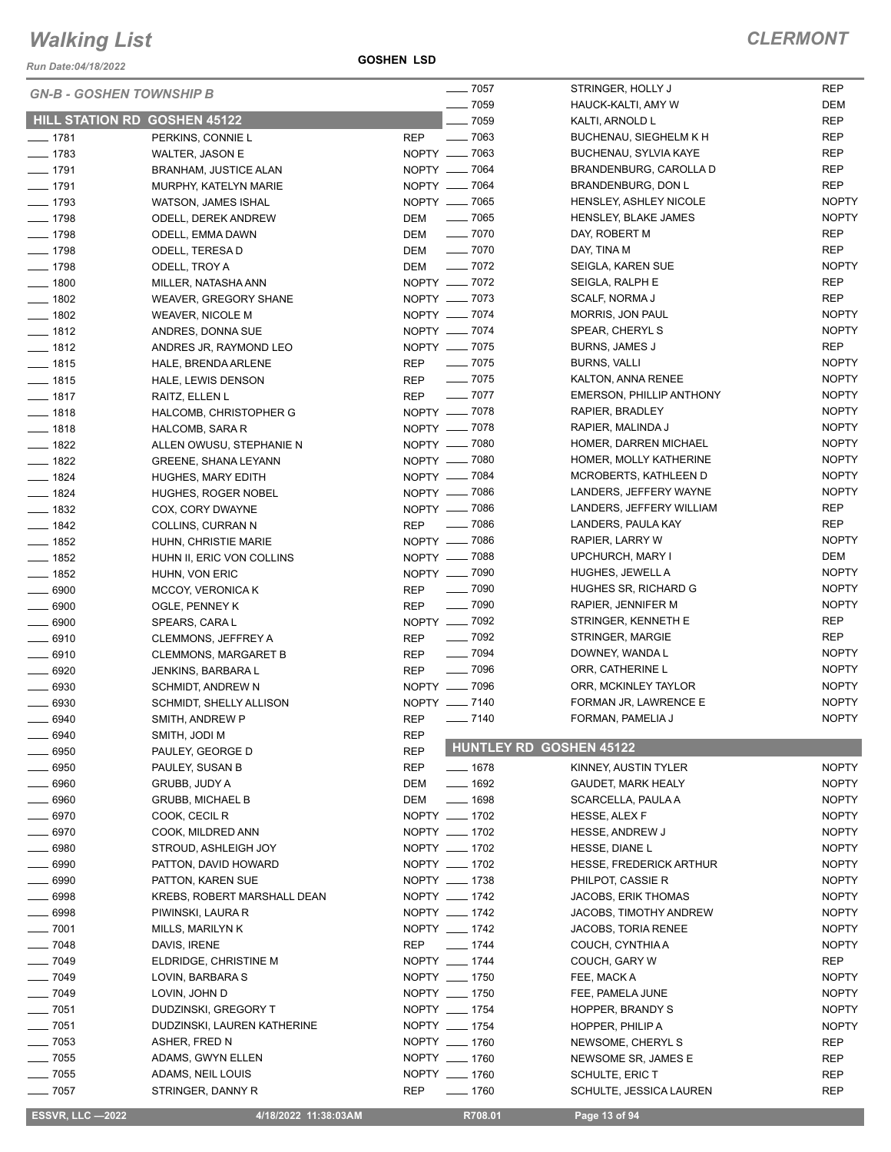*Run Date:04/18/2022*

**GOSHEN LSD**

| <b>GN-B - GOSHEN TOWNSHIP B</b>     |                              |               | $- 7057$           | STRINGER, HOLLY J               | <b>REP</b>   |
|-------------------------------------|------------------------------|---------------|--------------------|---------------------------------|--------------|
|                                     |                              |               | $- 7059$           | HAUCK-KALTI, AMY W              | <b>DEM</b>   |
| <b>HILL STATION RD GOSHEN 45122</b> |                              |               | $- 7059$           | KALTI, ARNOLD L                 | <b>REP</b>   |
| $- 1781$                            | PERKINS, CONNIE L            | <b>REP</b>    | $\frac{1}{2}$ 7063 | BUCHENAU, SIEGHELM K H          | REP          |
| $\frac{1}{2}$ 1783                  | <b>WALTER, JASON E</b>       | NOPTY __ 7063 |                    | BUCHENAU, SYLVIA KAYE           | <b>REP</b>   |
| $- 1791$                            | <b>BRANHAM, JUSTICE ALAN</b> | NOPTY __ 7064 |                    | BRANDENBURG, CAROLLA D          | <b>REP</b>   |
| $- 1791$                            | MURPHY, KATELYN MARIE        | NOPTY - 7064  |                    | BRANDENBURG, DON L              | <b>REP</b>   |
| $- 1793$                            | WATSON, JAMES ISHAL          | NOPTY __ 7065 |                    | HENSLEY, ASHLEY NICOLE          | <b>NOPTY</b> |
| $- 1798$                            | <b>ODELL, DEREK ANDREW</b>   | DEM           | $\frac{1}{2}$ 7065 | HENSLEY, BLAKE JAMES            | <b>NOPTY</b> |
| $- 1798$                            | ODELL, EMMA DAWN             | DEM           | $\frac{1}{2}$ 7070 | DAY, ROBERT M                   | <b>REP</b>   |
| $- 1798$                            | ODELL, TERESA D              | DEM           | $\frac{1}{2}$ 7070 | DAY, TINA M                     | <b>REP</b>   |
| $- 1798$                            | ODELL, TROY A                | DEM           | $\frac{1}{2}$ 7072 | SEIGLA, KAREN SUE               | <b>NOPTY</b> |
| $\frac{1}{2}$ 1800                  | MILLER, NATASHA ANN          | NOPTY __ 7072 |                    | SEIGLA, RALPH E                 | <b>REP</b>   |
| $- 1802$                            | WEAVER, GREGORY SHANE        | NOPTY - 7073  |                    | SCALF, NORMA J                  | <b>REP</b>   |
| $- 1802$                            | <b>WEAVER, NICOLE M</b>      | NOPTY - 7074  |                    | MORRIS, JON PAUL                | <b>NOPTY</b> |
| $- 1812$                            | ANDRES, DONNA SUE            | NOPTY __ 7074 |                    | SPEAR, CHERYL S                 | <b>NOPTY</b> |
| $- 1812$                            | ANDRES JR, RAYMOND LEO       | NOPTY __ 7075 |                    | BURNS, JAMES J                  | <b>REP</b>   |
| $- 1815$                            | HALE, BRENDA ARLENE          | REP           | $\frac{1}{2}$ 7075 | <b>BURNS, VALLI</b>             | <b>NOPTY</b> |
| $- 1815$                            | HALE, LEWIS DENSON           | REP           | $- 7075$           | KALTON, ANNA RENEE              | <b>NOPTY</b> |
| $- 1817$                            | RAITZ, ELLEN L               | <b>REP</b>    | $- 7077$           | <b>EMERSON, PHILLIP ANTHONY</b> | <b>NOPTY</b> |
| $- 1818$                            |                              | NOPTY __ 7078 |                    | RAPIER, BRADLEY                 | <b>NOPTY</b> |
|                                     | HALCOMB, CHRISTOPHER G       | NOPTY - 7078  |                    |                                 | <b>NOPTY</b> |
| $- 1818$                            | HALCOMB, SARA R              | NOPTY __ 7080 |                    | RAPIER, MALINDA J               | <b>NOPTY</b> |
| $- 1822$                            | ALLEN OWUSU, STEPHANIE N     |               |                    | HOMER, DARREN MICHAEL           |              |
| $- 1822$                            | <b>GREENE, SHANA LEYANN</b>  | NOPTY __ 7080 |                    | HOMER, MOLLY KATHERINE          | <b>NOPTY</b> |
| $- 1824$                            | HUGHES, MARY EDITH           | NOPTY __ 7084 |                    | MCROBERTS, KATHLEEN D           | <b>NOPTY</b> |
| $- 1824$                            | HUGHES, ROGER NOBEL          | NOPTY __ 7086 |                    | LANDERS, JEFFERY WAYNE          | <b>NOPTY</b> |
| $- 1832$                            | COX, CORY DWAYNE             | NOPTY - 7086  |                    | LANDERS, JEFFERY WILLIAM        | <b>REP</b>   |
| $- 1842$                            | COLLINS, CURRAN N            | REP __ 7086   |                    | LANDERS, PAULA KAY              | <b>REP</b>   |
| $- 1852$                            | HUHN, CHRISTIE MARIE         | NOPTY - 7086  |                    | RAPIER, LARRY W                 | <b>NOPTY</b> |
| $- 1852$                            | HUHN II, ERIC VON COLLINS    | NOPTY - 7088  |                    | UPCHURCH, MARY I                | DEM          |
| $- 1852$                            | HUHN, VON ERIC               | NOPTY __ 7090 |                    | HUGHES, JEWELL A                | <b>NOPTY</b> |
| $- 6900$                            | MCCOY, VERONICA K            | <b>REP</b>    | $\frac{1}{2}$ 7090 | HUGHES SR, RICHARD G            | <b>NOPTY</b> |
| $- 6900$                            | OGLE, PENNEY K               | <b>REP</b>    | $- 7090$           | RAPIER, JENNIFER M              | <b>NOPTY</b> |
| $\frac{1}{2}$ 6900                  | SPEARS, CARA L               | NOPTY - 7092  |                    | STRINGER, KENNETH E             | REP          |
| $- 6910$                            | CLEMMONS, JEFFREY A          | REP           | $\frac{1}{2}$ 7092 | STRINGER, MARGIE                | <b>REP</b>   |
| $-6910$                             | <b>CLEMMONS, MARGARET B</b>  | <b>REP</b>    | $\frac{1}{2}$ 7094 | DOWNEY, WANDA L                 | <b>NOPTY</b> |
| $- 6920$                            | JENKINS, BARBARA L           | <b>REP</b>    | $\frac{1}{2}$ 7096 | ORR, CATHERINE L                | <b>NOPTY</b> |
| $- 6930$                            | SCHMIDT, ANDREW N            | NOPTY __ 7096 |                    | ORR, MCKINLEY TAYLOR            | <b>NOPTY</b> |
| $\frac{1}{2}$ 6930                  | SCHMIDT, SHELLY ALLISON      | NOPTY - 7140  |                    | FORMAN JR, LAWRENCE E           | <b>NOPTY</b> |
| - 6940                              | SMITH, ANDREW P              | <b>REP</b>    | $- 7140$           | FORMAN, PAMELIA J               | <b>NOPTY</b> |
| 6940                                | SMITH, JODI M                | <b>REP</b>    |                    |                                 |              |
| 6950                                | PAULEY, GEORGE D             | <b>REP</b>    |                    | <b>HUNTLEY RD GOSHEN 45122</b>  |              |
| - 6950                              | PAULEY, SUSAN B              | <b>REP</b>    | $- 1678$           | KINNEY, AUSTIN TYLER            | <b>NOPTY</b> |
| $- 6960$                            | GRUBB, JUDY A                | <b>DEM</b>    | $- 1692$           | GAUDET, MARK HEALY              | <b>NOPTY</b> |
| __ 6960                             | GRUBB, MICHAEL B             | DEM           | $\frac{1}{1698}$   | SCARCELLA, PAULA A              | <b>NOPTY</b> |
| $- 6970$                            | COOK, CECIL R                | NOPTY __ 1702 |                    | HESSE, ALEX F                   | <b>NOPTY</b> |
| $- 6970$                            | COOK, MILDRED ANN            | NOPTY __ 1702 |                    | HESSE, ANDREW J                 | <b>NOPTY</b> |
| $\_\_6980$                          | STROUD, ASHLEIGH JOY         | NOPTY __ 1702 |                    | HESSE, DIANE L                  | <b>NOPTY</b> |
| $- 6990$                            |                              | NOPTY __ 1702 |                    |                                 | <b>NOPTY</b> |
|                                     | PATTON, DAVID HOWARD         | NOPTY __ 1738 |                    | HESSE, FREDERICK ARTHUR         |              |
| $\frac{1}{2}$ 6990                  | PATTON, KAREN SUE            |               |                    | PHILPOT, CASSIE R               | <b>NOPTY</b> |
| $- 6998$                            | KREBS, ROBERT MARSHALL DEAN  | NOPTY __ 1742 |                    | JACOBS, ERIK THOMAS             | <b>NOPTY</b> |
| $\frac{1}{2}$ 6998                  | PIWINSKI, LAURA R            | NOPTY __ 1742 |                    | JACOBS, TIMOTHY ANDREW          | <b>NOPTY</b> |
| $- 7001$                            | MILLS, MARILYN K             | NOPTY __ 1742 |                    | JACOBS, TORIA RENEE             | <b>NOPTY</b> |
| $- 7048$                            | DAVIS, IRENE                 | REP           | $\frac{1}{2}$ 1744 | COUCH, CYNTHIA A                | <b>NOPTY</b> |
| $- 7049$                            | ELDRIDGE, CHRISTINE M        | NOPTY __ 1744 |                    | COUCH, GARY W                   | REP          |
| $- 7049$                            | LOVIN, BARBARA S             | NOPTY __ 1750 |                    | FEE, MACK A                     | <b>NOPTY</b> |
| $- 7049$                            | LOVIN, JOHN D                | NOPTY __ 1750 |                    | FEE, PAMELA JUNE                | <b>NOPTY</b> |
| $- 7051$                            | DUDZINSKI, GREGORY T         | NOPTY __ 1754 |                    | HOPPER, BRANDY S                | <b>NOPTY</b> |
| $- 7051$                            | DUDZINSKI, LAUREN KATHERINE  | NOPTY __ 1754 |                    | HOPPER, PHILIP A                | <b>NOPTY</b> |
| $- 7053$                            | ASHER, FRED N                | NOPTY __ 1760 |                    | NEWSOME, CHERYL S               | REP          |
| $- 7055$                            | ADAMS, GWYN ELLEN            | NOPTY __ 1760 |                    | NEWSOME SR, JAMES E             | REP          |
| $- 7055$                            | ADAMS, NEIL LOUIS            | NOPTY __ 1760 |                    | SCHULTE, ERIC T                 | REP          |
| $\frac{1}{2}$ 7057                  | STRINGER, DANNY R            | REP           | $- 1760$           | SCHULTE, JESSICA LAUREN         | <b>REP</b>   |

**ESSVR, LLC -2022 4/18/2022 11:38:03AM** R708.01 **Page 13 of 94**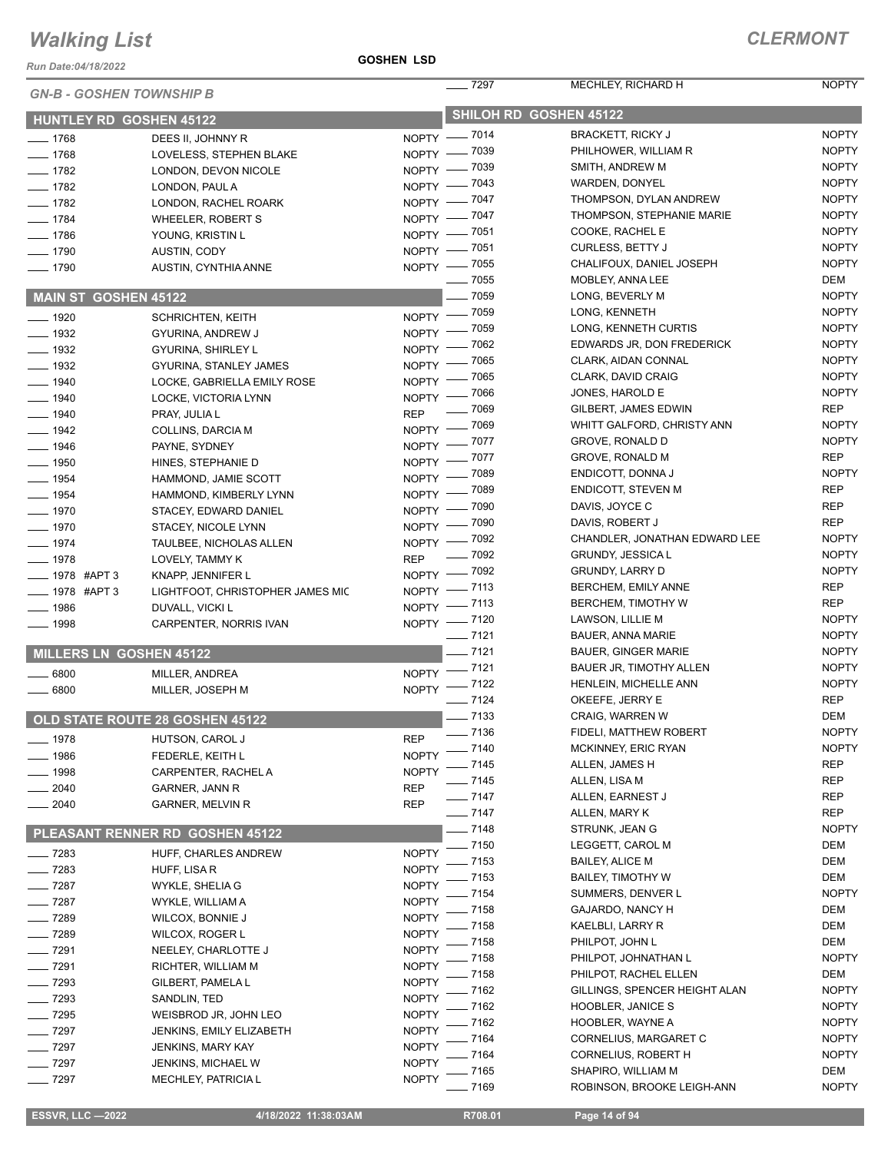#### *Run Date:04/18/2022*

#### **GOSHEN LSD**

| <b>GN-B - GOSHEN TOWNSHIP B</b> |                                        |              | $- 7297$                     | MECHLEY, RICHARD H                          | <b>NOPTY</b>               |
|---------------------------------|----------------------------------------|--------------|------------------------------|---------------------------------------------|----------------------------|
|                                 |                                        |              |                              | SHILOH RD GOSHEN 45122                      |                            |
| <b>HUNTLEY RD GOSHEN 45122</b>  |                                        |              |                              | <b>BRACKETT, RICKY J</b>                    | <b>NOPTY</b>               |
| $- 1768$                        | DEES II, JOHNNY R                      |              | NOPTY - 7014<br>NOPTY - 7039 | PHILHOWER, WILLIAM R                        | <b>NOPTY</b>               |
| $- 1768$                        | LOVELESS, STEPHEN BLAKE                |              | NOPTY - 7039                 | SMITH, ANDREW M                             | <b>NOPTY</b>               |
| $-1782$<br>$- 1782$             | LONDON, DEVON NICOLE<br>LONDON, PAUL A |              | NOPTY - 7043                 | WARDEN, DONYEL                              | <b>NOPTY</b>               |
| $- 1782$                        | LONDON, RACHEL ROARK                   |              | NOPTY - 7047                 | THOMPSON, DYLAN ANDREW                      | <b>NOPTY</b>               |
| $- 1784$                        | <b>WHEELER, ROBERT S</b>               |              | NOPTY - 7047                 | THOMPSON, STEPHANIE MARIE                   | <b>NOPTY</b>               |
| $- 1786$                        | YOUNG, KRISTIN L                       |              | NOPTY - 7051                 | COOKE, RACHEL E                             | <b>NOPTY</b>               |
| $- 1790$                        | AUSTIN, CODY                           |              | NOPTY - 7051                 | <b>CURLESS, BETTY J</b>                     | <b>NOPTY</b>               |
| $- 1790$                        | AUSTIN, CYNTHIA ANNE                   |              | NOPTY - 7055                 | CHALIFOUX, DANIEL JOSEPH                    | <b>NOPTY</b>               |
|                                 |                                        |              | $\frac{1}{2}$ 7055           | MOBLEY, ANNA LEE                            | <b>DEM</b>                 |
| MAIN ST GOSHEN 45122            |                                        |              | $- 7059$                     | LONG, BEVERLY M                             | <b>NOPTY</b>               |
| $- 1920$                        | <b>SCHRICHTEN, KEITH</b>               |              | NOPTY - 7059                 | LONG, KENNETH                               | <b>NOPTY</b>               |
| $\frac{1}{2}$ 1932              | GYURINA, ANDREW J                      |              | NOPTY - 7059                 | LONG, KENNETH CURTIS                        | <b>NOPTY</b>               |
| $- 1932$                        | GYURINA, SHIRLEY L                     |              | NOPTY - 7062                 | EDWARDS JR, DON FREDERICK                   | <b>NOPTY</b>               |
| $\frac{1}{2}$ 1932              | GYURINA, STANLEY JAMES                 | $N$ OPTY -   | $\_$ 7065                    | CLARK, AIDAN CONNAL                         | <b>NOPTY</b>               |
| $- 1940$                        | LOCKE, GABRIELLA EMILY ROSE            |              | NOPTY - 7065                 | CLARK, DAVID CRAIG                          | <b>NOPTY</b>               |
| __ 1940                         | LOCKE, VICTORIA LYNN                   |              | NOPTY - 7066                 | JONES, HAROLD E                             | <b>NOPTY</b>               |
| $- 1940$                        | PRAY, JULIA L                          | <b>REP</b>   | $- 7069$                     | GILBERT, JAMES EDWIN                        | <b>REP</b>                 |
| $- 1942$                        | COLLINS, DARCIA M                      |              | NOPTY - 7069                 | WHITT GALFORD, CHRISTY ANN                  | <b>NOPTY</b>               |
| $- 1946$                        | PAYNE, SYDNEY                          |              | NOPTY - 7077                 | GROVE, RONALD D                             | <b>NOPTY</b>               |
| $\frac{1}{2}$ 1950              | HINES, STEPHANIE D                     |              | NOPTY - 7077                 | GROVE, RONALD M                             | <b>REP</b>                 |
| $- 1954$                        | HAMMOND, JAMIE SCOTT                   |              | NOPTY - 7089                 | ENDICOTT, DONNA J                           | <b>NOPTY</b><br><b>REP</b> |
| $- 1954$                        | HAMMOND, KIMBERLY LYNN                 |              | NOPTY - 7089                 | <b>ENDICOTT, STEVEN M</b><br>DAVIS, JOYCE C | <b>REP</b>                 |
| $- 1970$                        | STACEY, EDWARD DANIEL                  |              | NOPTY - 7090                 | DAVIS, ROBERT J                             | <b>REP</b>                 |
| $- 1970$                        | STACEY, NICOLE LYNN                    |              | NOPTY - 7090                 | CHANDLER, JONATHAN EDWARD LEE               | <b>NOPTY</b>               |
| $- 1974$                        | TAULBEE, NICHOLAS ALLEN                |              | NOPTY - 7092<br>$- 7092$     | <b>GRUNDY, JESSICA L</b>                    | <b>NOPTY</b>               |
| $- 1978$                        | LOVELY, TAMMY K                        | <b>REP</b>   | NOPTY - 7092                 | <b>GRUNDY, LARRY D</b>                      | <b>NOPTY</b>               |
| <b>____ 1978 #APT 3</b>         | KNAPP, JENNIFER L                      |              | NOPTY -7113                  | BERCHEM, EMILY ANNE                         | <b>REP</b>                 |
| ____ 1978 #APT 3                | LIGHTFOOT, CHRISTOPHER JAMES MIC       |              | NOPTY - 7113                 | BERCHEM, TIMOTHY W                          | <b>REP</b>                 |
| $-1986$                         | DUVALL, VICKI L                        |              | NOPTY -7120                  | LAWSON, LILLIE M                            | <b>NOPTY</b>               |
| $\equiv$ 1998                   | CARPENTER, NORRIS IVAN                 |              | $- 7121$                     | <b>BAUER, ANNA MARIE</b>                    | <b>NOPTY</b>               |
| <b>MILLERS LN GOSHEN 45122</b>  |                                        |              | $-7121$                      | <b>BAUER, GINGER MARIE</b>                  | <b>NOPTY</b>               |
| 6800                            | MILLER, ANDREA                         |              | NOPTY -7121                  | BAUER JR, TIMOTHY ALLEN                     | <b>NOPTY</b>               |
| $- 6800$                        | MILLER, JOSEPH M                       |              | NOPTY -7122                  | HENLEIN, MICHELLE ANN                       | <b>NOPTY</b>               |
|                                 |                                        |              | $- 7124$                     | OKEEFE, JERRY E                             | <b>REP</b>                 |
|                                 | OLD STATE ROUTE 28 GOSHEN 45122        |              | $\frac{1}{2}$ 7133           | CRAIG, WARREN W                             | <b>DEM</b>                 |
| _ 1978                          | HUTSON, CAROL J                        | <b>REP</b>   | _ 7136                       | FIDELI, MATTHEW ROBERT                      | <b>NOPTY</b>               |
| 1986                            | FEDERLE, KEITH L                       | <b>NOPTY</b> | - 7140                       | MCKINNEY, ERIC RYAN                         | <b>NOPTY</b>               |
| 1998                            | CARPENTER, RACHEL A                    | <b>NOPTY</b> | 7145                         | ALLEN, JAMES H                              | <b>REP</b>                 |
| 2040                            | GARNER, JANN R                         | <b>REP</b>   | $-7145$                      | ALLEN, LISA M                               | <b>REP</b>                 |
| 2040                            | GARNER, MELVIN R                       | <b>REP</b>   | $-7147$                      | ALLEN, EARNEST J                            | <b>REP</b>                 |
|                                 |                                        |              | $- 7147$                     | ALLEN, MARY K                               | <b>REP</b>                 |
|                                 | PLEASANT RENNER RD GOSHEN 45122        |              | $-7148$                      | STRUNK, JEAN G                              | <b>NOPTY</b>               |
| __ 7283                         | HUFF, CHARLES ANDREW                   | <b>NOPTY</b> | 7150                         | LEGGETT, CAROL M                            | DEM                        |
| $- 7283$                        | HUFF, LISA R                           | <b>NOPTY</b> | 7153                         | <b>BAILEY, ALICE M</b>                      | DEM                        |
| $- 7287$                        | WYKLE, SHELIA G                        | <b>NOPTY</b> | 7153                         | <b>BAILEY, TIMOTHY W</b>                    | <b>DEM</b>                 |
| $- 7287$                        | WYKLE, WILLIAM A                       | <b>NOPTY</b> | 7154                         | SUMMERS, DENVER L                           | <b>NOPTY</b>               |
| $- 7289$                        | WILCOX, BONNIE J                       | <b>NOPTY</b> | 7158<br>7158                 | GAJARDO, NANCY H<br>KAELBLI, LARRY R        | DEM<br><b>DEM</b>          |
| $- 7289$                        | WILCOX, ROGER L                        | <b>NOPTY</b> | 7158                         | PHILPOT, JOHN L                             | DEM                        |
| $- 7291$                        | NEELEY, CHARLOTTE J                    | <b>NOPTY</b> | 7158                         | PHILPOT, JOHNATHAN L                        | <b>NOPTY</b>               |
| $-7291$                         | RICHTER, WILLIAM M                     | <b>NOPTY</b> | 7158                         | PHILPOT, RACHEL ELLEN                       | DEM                        |
| 7293                            | GILBERT, PAMELA L                      | <b>NOPTY</b> | 7162                         | GILLINGS, SPENCER HEIGHT ALAN               | <b>NOPTY</b>               |
| $-7293$                         | SANDLIN, TED                           | <b>NOPTY</b> | 7162                         | <b>HOOBLER, JANICE S</b>                    | <b>NOPTY</b>               |
| $-7295$                         | WEISBROD JR, JOHN LEO                  | <b>NOPTY</b> | 7162                         | HOOBLER, WAYNE A                            | <b>NOPTY</b>               |
| $-7297$                         | <b>JENKINS, EMILY ELIZABETH</b>        | <b>NOPTY</b> | 7164                         | CORNELIUS, MARGARET C                       | <b>NOPTY</b>               |
| $-$ 7297                        | JENKINS, MARY KAY                      | <b>NOPTY</b> | 7164                         | CORNELIUS, ROBERT H                         | <b>NOPTY</b>               |
| $-7297$                         | JENKINS, MICHAEL W                     | <b>NOPTY</b> | 7165                         | SHAPIRO, WILLIAM M                          | DEM                        |
| $-7297$                         | MECHLEY, PATRICIA L                    | <b>NOPTY</b> | 7169                         | ROBINSON, BROOKE LEIGH-ANN                  | <b>NOPTY</b>               |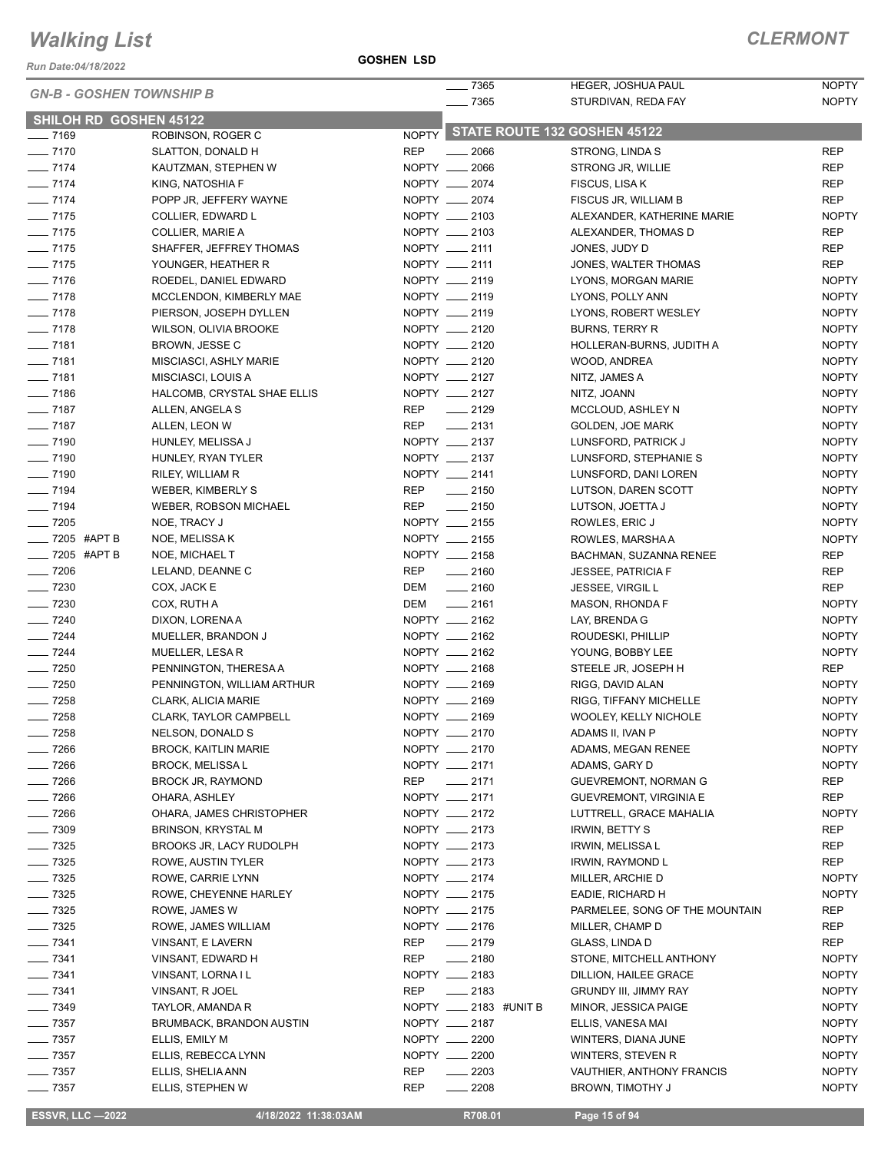*Run Date:04/18/2022*

| <b>GN-B - GOSHEN TOWNSHIP B</b> |                               |            | $=7365$                            | HEGER, JOSHUA PAUL             | <b>NOPTY</b> |
|---------------------------------|-------------------------------|------------|------------------------------------|--------------------------------|--------------|
|                                 |                               |            | $- 7365$                           | STURDIVAN, REDA FAY            | <b>NOPTY</b> |
| <b>SHILOH RD GOSHEN 45122</b>   |                               |            |                                    |                                |              |
| $- 7169$                        | ROBINSON, ROGER C             |            | NOPTY STATE ROUTE 132 GOSHEN 45122 |                                |              |
| $- 7170$                        | SLATTON, DONALD H             | <b>REP</b> | $\frac{1}{2066}$                   | STRONG, LINDA S                | <b>REP</b>   |
| $- 7174$                        | KAUTZMAN, STEPHEN W           |            | NOPTY __ 2066                      | STRONG JR, WILLIE              | <b>REP</b>   |
| $- 7174$                        | KING, NATOSHIA F              |            | NOPTY __ 2074                      | FISCUS, LISA K                 | <b>REP</b>   |
| $- 7174$                        | POPP JR, JEFFERY WAYNE        |            | NOPTY __ 2074                      | FISCUS JR, WILLIAM B           | <b>REP</b>   |
| $- 7175$                        | COLLIER, EDWARD L             |            | NOPTY __ 2103                      | ALEXANDER, KATHERINE MARIE     | <b>NOPTY</b> |
| $- 7175$                        | <b>COLLIER, MARIE A</b>       |            | NOPTY __ 2103                      | ALEXANDER, THOMAS D            | <b>REP</b>   |
| $- 7175$                        | SHAFFER, JEFFREY THOMAS       |            | NOPTY __ 2111                      | JONES, JUDY D                  | <b>REP</b>   |
| $- 7175$                        | YOUNGER, HEATHER R            |            | NOPTY __ 2111                      | JONES, WALTER THOMAS           | <b>REP</b>   |
| $- 7176$                        | ROEDEL, DANIEL EDWARD         |            | NOPTY __ 2119                      | LYONS, MORGAN MARIE            | <b>NOPTY</b> |
| $- 7178$                        | MCCLENDON, KIMBERLY MAE       |            | NOPTY __ 2119                      | LYONS, POLLY ANN               | <b>NOPTY</b> |
| $- 7178$                        | PIERSON, JOSEPH DYLLEN        |            | NOPTY __ 2119                      | LYONS, ROBERT WESLEY           | <b>NOPTY</b> |
| $- 7178$                        | WILSON, OLIVIA BROOKE         |            | NOPTY __ 2120                      | <b>BURNS, TERRY R</b>          | <b>NOPTY</b> |
| $- 7181$                        | BROWN, JESSE C                |            | NOPTY __ 2120                      | HOLLERAN-BURNS, JUDITH A       | <b>NOPTY</b> |
| $- 7181$                        | MISCIASCI, ASHLY MARIE        |            | NOPTY __ 2120                      | WOOD, ANDREA                   | <b>NOPTY</b> |
| $- 7181$                        | MISCIASCI, LOUIS A            |            | NOPTY __ 2127                      | NITZ, JAMES A                  | <b>NOPTY</b> |
| $- 7186$                        | HALCOMB, CRYSTAL SHAE ELLIS   |            | NOPTY __ 2127                      | NITZ, JOANN                    | <b>NOPTY</b> |
| $- 7187$                        | ALLEN, ANGELA S               | REP        | $-2129$                            | MCCLOUD, ASHLEY N              | <b>NOPTY</b> |
| $- 7187$                        | ALLEN, LEON W                 | REP        | $-2131$                            | GOLDEN, JOE MARK               | <b>NOPTY</b> |
| $- 7190$                        | HUNLEY, MELISSA J             |            | NOPTY __ 2137                      | LUNSFORD, PATRICK J            | <b>NOPTY</b> |
| $- 7190$                        | HUNLEY, RYAN TYLER            |            | NOPTY __ 2137                      | LUNSFORD, STEPHANIE S          | <b>NOPTY</b> |
| $- 7190$                        | RILEY, WILLIAM R              |            | NOPTY __ 2141                      | LUNSFORD, DANI LOREN           | <b>NOPTY</b> |
| $- 7194$                        | WEBER, KIMBERLY S             | REP        | $\frac{1}{2150}$                   | LUTSON, DAREN SCOTT            | <b>NOPTY</b> |
| $- 7194$                        | <b>WEBER, ROBSON MICHAEL</b>  | REP        | $\frac{1}{2150}$                   | LUTSON, JOETTA J               | <b>NOPTY</b> |
| $- 7205$                        | NOE, TRACY J                  |            | NOPTY __ 2155                      | ROWLES, ERIC J                 | <b>NOPTY</b> |
| ___ 7205 #APT B                 | NOE, MELISSA K                |            | NOPTY __ 2155                      | ROWLES, MARSHA A               | <b>NOPTY</b> |
| $\frac{1}{2}$ 7205 #APT B       | NOE, MICHAEL T                |            | NOPTY __ 2158                      | BACHMAN, SUZANNA RENEE         | <b>REP</b>   |
| $- 7206$                        | LELAND, DEANNE C              | REP        | $\frac{1}{2160}$                   | <b>JESSEE, PATRICIA F</b>      | <b>REP</b>   |
| $- 7230$                        | COX, JACK E                   | DEM        | $-2160$                            | <b>JESSEE, VIRGIL L</b>        | <b>REP</b>   |
| $- 7230$                        | COX, RUTH A                   | DEM        | $\frac{1}{2161}$                   | MASON, RHONDA F                | <b>NOPTY</b> |
| $- 7240$                        | DIXON, LORENA A               |            | NOPTY __ 2162                      | LAY, BRENDA G                  | <b>NOPTY</b> |
| $- 7244$                        | MUELLER, BRANDON J            |            | NOPTY __ 2162                      | ROUDESKI, PHILLIP              | <b>NOPTY</b> |
| $- 7244$                        | <b>MUELLER, LESAR</b>         |            | NOPTY __ 2162                      | YOUNG, BOBBY LEE               | <b>NOPTY</b> |
| $- 7250$                        | PENNINGTON, THERESA A         |            | NOPTY __ 2168                      | STEELE JR, JOSEPH H            | <b>REP</b>   |
| $- 7250$                        |                               |            | NOPTY __ 2169                      | RIGG, DAVID ALAN               | <b>NOPTY</b> |
| $- 7258$                        | PENNINGTON, WILLIAM ARTHUR    |            | NOPTY __ 2169                      |                                | <b>NOPTY</b> |
| $- 7258$                        | CLARK, ALICIA MARIE           |            | NOPTY __ 2169                      | RIGG, TIFFANY MICHELLE         | <b>NOPTY</b> |
|                                 | <b>CLARK, TAYLOR CAMPBELL</b> |            |                                    | <b>WOOLEY, KELLY NICHOLE</b>   |              |
| $- 7258$                        | NELSON, DONALD S              |            | NOPTY __ 2170<br>NOPTY __ 2170     | ADAMS II, IVAN P               | <b>NOPTY</b> |
| $- 7266$                        | <b>BROCK, KAITLIN MARIE</b>   |            |                                    | ADAMS, MEGAN RENEE             | <b>NOPTY</b> |
| $- 7266$                        | <b>BROCK, MELISSA L</b>       |            | NOPTY __ 2171                      | ADAMS, GARY D                  | <b>NOPTY</b> |
| $- 7266$                        | BROCK JR, RAYMOND             |            | REP __ 2171                        | GUEVREMONT, NORMAN G           | <b>REP</b>   |
| $- 7266$                        | OHARA, ASHLEY                 |            | NOPTY __ 2171                      | <b>GUEVREMONT, VIRGINIA E</b>  | <b>REP</b>   |
| $- 7266$                        | OHARA, JAMES CHRISTOPHER      |            | NOPTY __ 2172                      | LUTTRELL, GRACE MAHALIA        | <b>NOPTY</b> |
| $- 7309$                        | <b>BRINSON, KRYSTAL M</b>     |            | NOPTY __ 2173                      | <b>IRWIN, BETTY S</b>          | <b>REP</b>   |
| $\frac{1}{2}$ 7325              | BROOKS JR, LACY RUDOLPH       |            | NOPTY __ 2173                      | IRWIN, MELISSA L               | <b>REP</b>   |
| $- 7325$                        | ROWE, AUSTIN TYLER            |            | NOPTY __ 2173                      | IRWIN, RAYMOND L               | <b>REP</b>   |
| $- 7325$                        | ROWE, CARRIE LYNN             |            | NOPTY __ 2174                      | MILLER, ARCHIE D               | <b>NOPTY</b> |
| $- 7325$                        | ROWE, CHEYENNE HARLEY         |            | NOPTY __ 2175                      | EADIE, RICHARD H               | <b>NOPTY</b> |
| $- 7325$                        | ROWE, JAMES W                 |            | NOPTY __ 2175                      | PARMELEE, SONG OF THE MOUNTAIN | REP          |
| $\frac{1}{2}$ 7325              | ROWE, JAMES WILLIAM           |            | NOPTY __ 2176                      | MILLER, CHAMP D                | <b>REP</b>   |
| $- 7341$                        | VINSANT, E LAVERN             | REP        | $-2179$                            | GLASS, LINDA D                 | <b>REP</b>   |
| $- 7341$                        | VINSANT, EDWARD H             | REP        | $-2180$                            | STONE, MITCHELL ANTHONY        | <b>NOPTY</b> |
| $- 7341$                        | VINSANT, LORNA I L            |            | NOPTY __ 2183                      | DILLION, HAILEE GRACE          | <b>NOPTY</b> |
| $- 7341$                        | VINSANT, R JOEL               | REP        | $\frac{1}{2183}$                   | GRUNDY III, JIMMY RAY          | <b>NOPTY</b> |
| $- 7349$                        | TAYLOR, AMANDA R              |            | NOPTY __ 2183 #UNIT B              | MINOR, JESSICA PAIGE           | <b>NOPTY</b> |
| $- 7357$                        | BRUMBACK, BRANDON AUSTIN      |            | NOPTY __ 2187                      | ELLIS, VANESA MAI              | <b>NOPTY</b> |
| $- 7357$                        | ELLIS, EMILY M                |            | NOPTY __ 2200                      | WINTERS, DIANA JUNE            | <b>NOPTY</b> |
| $- 7357$                        | ELLIS, REBECCA LYNN           |            | NOPTY __ 2200                      | WINTERS, STEVEN R              | <b>NOPTY</b> |
| $- 7357$                        | ELLIS, SHELIA ANN             | <b>REP</b> | $\overline{\phantom{0}}$<br>2203   | VAUTHIER, ANTHONY FRANCIS      | <b>NOPTY</b> |
| $- 7357$                        | ELLIS, STEPHEN W              | <b>REP</b> | 2208                               | BROWN, TIMOTHY J               | <b>NOPTY</b> |

**ESSVR, LLC -2022 4/18/2022 11:38:03AM** R708.01 **Page 15 of 94**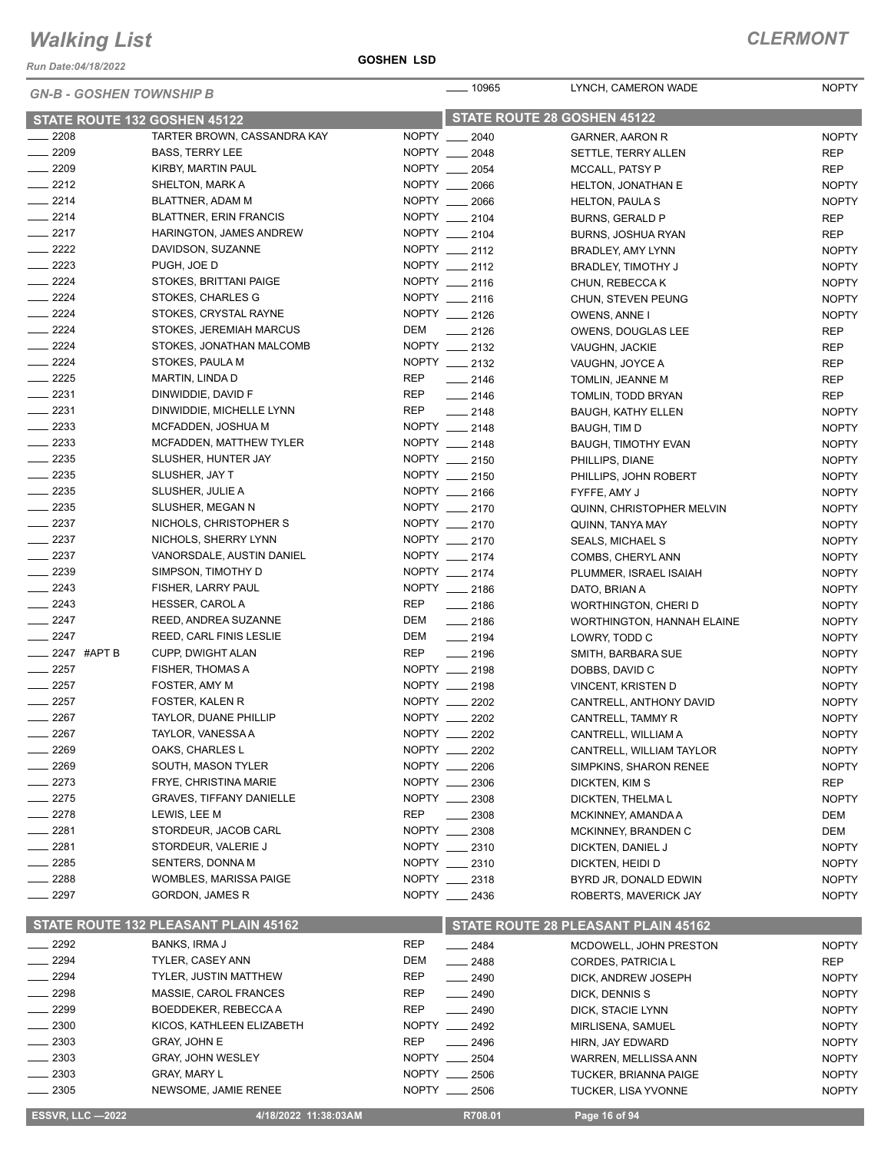*Run Date:04/18/2022*

#### **GOSHEN LSD**

| <b>GN-B - GOSHEN TOWNSHIP B</b> |                                      |            | $\frac{1}{2}$ 10965            | LYNCH, CAMERON WADE                 | <b>NOPTY</b>                 |
|---------------------------------|--------------------------------------|------------|--------------------------------|-------------------------------------|------------------------------|
| STATE ROUTE 132 GOSHEN 45122    |                                      |            | STATE ROUTE 28 GOSHEN 45122    |                                     |                              |
| $\frac{1}{2208}$                | TARTER BROWN, CASSANDRA KAY          |            | NOPTY __ 2040                  | GARNER, AARON R                     | <b>NOPTY</b>                 |
| $-2209$                         | <b>BASS, TERRY LEE</b>               |            | NOPTY __ 2048                  | SETTLE, TERRY ALLEN                 | <b>REP</b>                   |
| $-2209$                         | KIRBY, MARTIN PAUL                   |            | NOPTY __ 2054                  | MCCALL, PATSY P                     | <b>REP</b>                   |
| $-2212$                         | SHELTON, MARK A                      |            | NOPTY __ 2066                  | <b>HELTON, JONATHAN E</b>           | <b>NOPTY</b>                 |
| $-2214$                         | BLATTNER, ADAM M                     |            | NOPTY __ 2066                  | <b>HELTON, PAULAS</b>               | <b>NOPTY</b>                 |
| $-2214$                         | <b>BLATTNER, ERIN FRANCIS</b>        |            | NOPTY __ 2104                  | <b>BURNS, GERALD P</b>              | <b>REP</b>                   |
| $-2217$                         | HARINGTON, JAMES ANDREW              |            | NOPTY __ 2104                  | BURNS, JOSHUA RYAN                  | <b>REP</b>                   |
| $\frac{2222}{2}$                | DAVIDSON, SUZANNE                    |            | NOPTY __ 2112                  | BRADLEY, AMY LYNN                   | <b>NOPTY</b>                 |
| $-2223$                         | PUGH, JOE D                          |            | NOPTY __ 2112                  | BRADLEY, TIMOTHY J                  | <b>NOPTY</b>                 |
| $-2224$                         | STOKES, BRITTANI PAIGE               |            | NOPTY __ 2116                  | CHUN, REBECCA K                     | <b>NOPTY</b>                 |
| $-2224$                         | STOKES, CHARLES G                    |            | NOPTY __ 2116                  | CHUN, STEVEN PEUNG                  | <b>NOPTY</b>                 |
| $-2224$                         | STOKES, CRYSTAL RAYNE                |            | NOPTY __ 2126                  | OWENS, ANNE I                       | <b>NOPTY</b>                 |
| $-2224$                         | STOKES, JEREMIAH MARCUS              | DEM        | $\frac{1}{2126}$               | OWENS, DOUGLAS LEE                  | <b>REP</b>                   |
| $\frac{2224}{5}$                | STOKES, JONATHAN MALCOMB             |            | NOPTY __ 2132                  | VAUGHN, JACKIE                      | <b>REP</b>                   |
| $\frac{2224}{5}$                | STOKES, PAULA M                      |            | NOPTY __ 2132                  | VAUGHN, JOYCE A                     | <b>REP</b>                   |
| $\frac{1}{2225}$                | MARTIN, LINDA D                      | REP        | $-2146$                        | TOMLIN, JEANNE M                    | <b>REP</b>                   |
| $\frac{1}{2231}$                | DINWIDDIE, DAVID F                   | REP        | $-2146$                        | TOMLIN, TODD BRYAN                  | <b>REP</b>                   |
| $-2231$                         | DINWIDDIE, MICHELLE LYNN             | REP        | $-2148$                        | <b>BAUGH, KATHY ELLEN</b>           | <b>NOPTY</b>                 |
| $\frac{2233}{2}$                | MCFADDEN, JOSHUA M                   |            | NOPTY __ 2148                  | BAUGH, TIM D                        | <b>NOPTY</b>                 |
| $\frac{2233}{2}$                | MCFADDEN, MATTHEW TYLER              |            | NOPTY __ 2148                  | <b>BAUGH, TIMOTHY EVAN</b>          | <b>NOPTY</b>                 |
| $\frac{1}{2235}$                | SLUSHER, HUNTER JAY                  |            | NOPTY __ 2150                  | PHILLIPS, DIANE                     | <b>NOPTY</b>                 |
| $-2235$                         | SLUSHER, JAY T                       |            | NOPTY __ 2150                  | PHILLIPS, JOHN ROBERT               | <b>NOPTY</b>                 |
| $-2235$                         | SLUSHER, JULIE A                     |            | NOPTY __ 2166                  | FYFFE, AMY J                        | <b>NOPTY</b>                 |
| $\frac{1}{2235}$                | SLUSHER, MEGAN N                     |            | NOPTY __ 2170                  | QUINN, CHRISTOPHER MELVIN           | <b>NOPTY</b>                 |
| $\frac{1}{2237}$                | NICHOLS, CHRISTOPHER S               |            | NOPTY __ 2170                  | QUINN, TANYA MAY                    | <b>NOPTY</b>                 |
| $\frac{1}{2237}$                | NICHOLS, SHERRY LYNN                 |            | NOPTY __ 2170                  | <b>SEALS, MICHAEL S</b>             | <b>NOPTY</b>                 |
| $-2237$                         | VANORSDALE, AUSTIN DANIEL            |            | NOPTY __ 2174                  | COMBS, CHERYL ANN                   | <b>NOPTY</b>                 |
| $\frac{1}{2239}$                | SIMPSON, TIMOTHY D                   |            | NOPTY __ 2174                  | PLUMMER, ISRAEL ISAIAH              | <b>NOPTY</b>                 |
| $-2243$                         | FISHER, LARRY PAUL                   |            | NOPTY __ 2186                  | DATO, BRIAN A                       | <b>NOPTY</b>                 |
| $-2243$                         | HESSER, CAROL A                      | REP        | $-2186$                        | WORTHINGTON, CHERI D                | <b>NOPTY</b>                 |
| $-2247$                         | REED, ANDREA SUZANNE                 | DEM        | $-2186$                        | <b>WORTHINGTON, HANNAH ELAINE</b>   | <b>NOPTY</b>                 |
| $-2247$                         | REED, CARL FINIS LESLIE              | DEM        | $-2194$                        | LOWRY, TODD C                       | <b>NOPTY</b>                 |
| $\equiv$ 2247 #APT B<br>$-2257$ | <b>CUPP, DWIGHT ALAN</b>             | <b>REP</b> | $\frac{1}{2196}$               | SMITH, BARBARA SUE                  | <b>NOPTY</b>                 |
| $\frac{1}{2257}$                | FISHER, THOMAS A                     |            | NOPTY __ 2198                  | DOBBS, DAVID C                      | <b>NOPTY</b>                 |
| $\frac{1}{2257}$                | FOSTER, AMY M<br>FOSTER, KALEN R     |            | NOPTY __ 2198<br>NOPTY __ 2202 | VINCENT, KRISTEN D                  | <b>NOPTY</b>                 |
| 2267                            | <b>TAYLOR, DUANE PHILLIP</b>         |            | NOPTY __ 2202                  | CANTRELL, ANTHONY DAVID             | <b>NOPTY</b>                 |
| 2267                            | TAYLOR, VANESSA A                    |            | NOPTY __ 2202                  | CANTRELL, TAMMY R                   | <b>NOPTY</b>                 |
| 2269                            | OAKS, CHARLES L                      |            | NOPTY __ 2202                  | CANTRELL, WILLIAM A                 | <b>NOPTY</b>                 |
| 2269                            | SOUTH, MASON TYLER                   |            | NOPTY __ 2206                  | CANTRELL, WILLIAM TAYLOR            | <b>NOPTY</b><br><b>NOPTY</b> |
| - 2273                          | FRYE, CHRISTINA MARIE                |            | NOPTY __ 2306                  | SIMPKINS, SHARON RENEE              |                              |
| 2275                            | <b>GRAVES, TIFFANY DANIELLE</b>      |            | NOPTY __ 2308                  | DICKTEN, KIM S<br>DICKTEN, THELMAL  | <b>REP</b><br><b>NOPTY</b>   |
| $= 2278$                        | LEWIS, LEE M                         | <b>REP</b> | 2308                           | MCKINNEY, AMANDA A                  | DEM                          |
| 2281                            | STORDEUR, JACOB CARL                 |            | NOPTY __ 2308                  | MCKINNEY, BRANDEN C                 | DEM                          |
| _ 2281                          | STORDEUR, VALERIE J                  |            | NOPTY __ 2310                  | DICKTEN, DANIEL J                   | <b>NOPTY</b>                 |
| $-2285$                         | SENTERS, DONNA M                     |            | NOPTY __ 2310                  | DICKTEN, HEIDI D                    | <b>NOPTY</b>                 |
| 2288                            | WOMBLES, MARISSA PAIGE               |            | NOPTY __ 2318                  | BYRD JR, DONALD EDWIN               | <b>NOPTY</b>                 |
| $= 2297$                        | <b>GORDON, JAMES R</b>               |            | NOPTY 2436                     | ROBERTS, MAVERICK JAY               | <b>NOPTY</b>                 |
|                                 |                                      |            |                                |                                     |                              |
|                                 | STATE ROUTE 132 PLEASANT PLAIN 45162 |            |                                | STATE ROUTE 28 PLEASANT PLAIN 45162 |                              |
| 2292                            | BANKS, IRMA J                        | REP        | $-2484$                        | MCDOWELL, JOHN PRESTON              | <b>NOPTY</b>                 |
| $-2294$                         | <b>TYLER, CASEY ANN</b>              | DEM        | $-2488$                        | CORDES, PATRICIA L                  | <b>REP</b>                   |
| 2294                            | <b>TYLER, JUSTIN MATTHEW</b>         | <b>REP</b> | $-2490$                        | DICK, ANDREW JOSEPH                 | <b>NOPTY</b>                 |
| 2298                            | MASSIE, CAROL FRANCES                | REP        | $- 2490$                       | DICK, DENNIS S                      | <b>NOPTY</b>                 |
| 2299                            | BOEDDEKER, REBECCA A                 | <b>REP</b> | $\frac{1}{2490}$               | DICK, STACIE LYNN                   | <b>NOPTY</b>                 |
| 2300                            | KICOS, KATHLEEN ELIZABETH            |            | NOPTY __ 2492                  | MIRLISENA, SAMUEL                   | <b>NOPTY</b>                 |
| 2303                            | GRAY, JOHN E                         | <b>REP</b> | $-2496$                        | HIRN, JAY EDWARD                    | <b>NOPTY</b>                 |
| 2303                            | GRAY, JOHN WESLEY                    |            | NOPTY __ 2504                  | WARREN, MELLISSA ANN                | <b>NOPTY</b>                 |
| $-2303$                         | <b>GRAY, MARY L</b>                  |            | NOPTY __ 2506                  | <b>TUCKER, BRIANNA PAIGE</b>        | <b>NOPTY</b>                 |
| $-2305$                         | NEWSOME, JAMIE RENEE                 |            | NOPTY __ 2506                  | <b>TUCKER, LISA YVONNE</b>          | <b>NOPTY</b>                 |
| <b>ESSVR, LLC -2022</b>         | 4/18/2022 11:38:03AM                 |            | R708.01                        | Page 16 of 94                       |                              |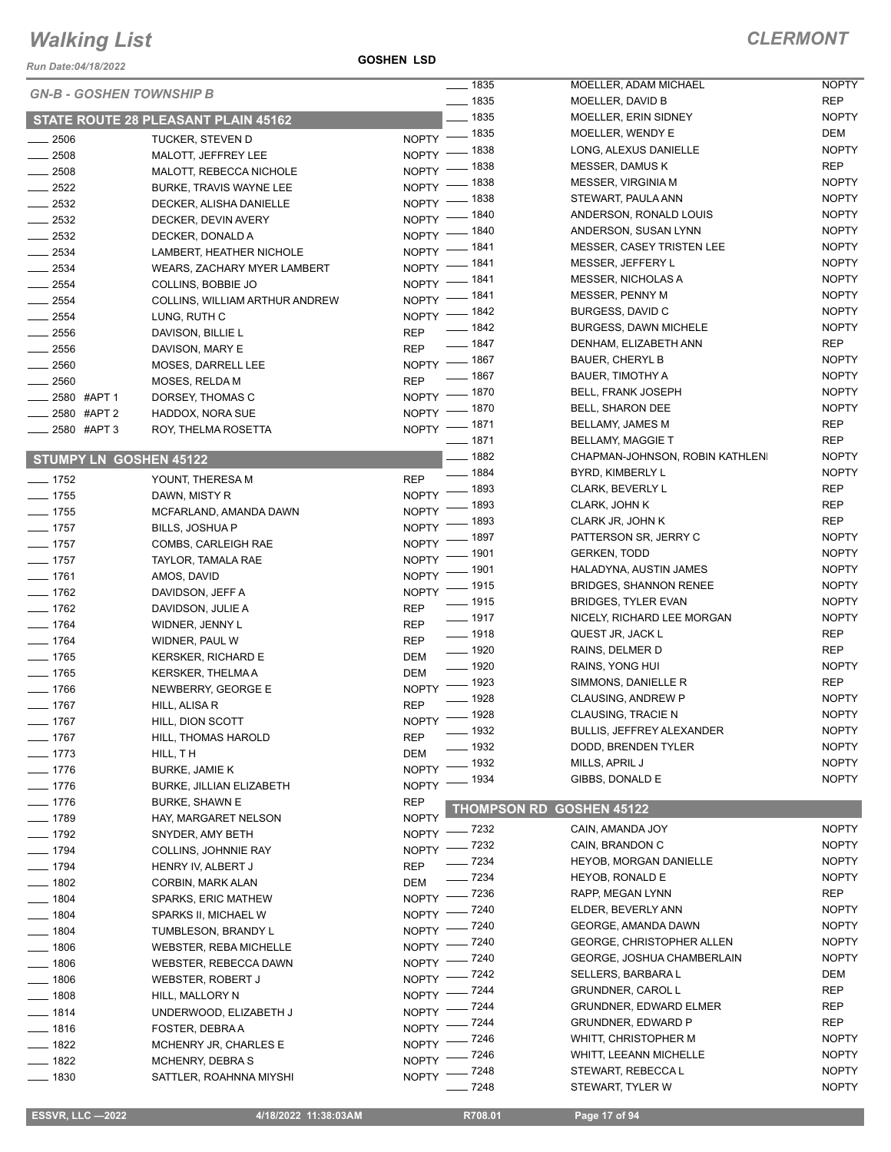*Run Date:04/18/2022*

**GOSHEN LSD**

| <b>GN-B - GOSHEN TOWNSHIP B</b> |                                     |              | $- 1835$           | MOELLER, ADAM MICHAEL            | <b>NOPTY</b> |
|---------------------------------|-------------------------------------|--------------|--------------------|----------------------------------|--------------|
|                                 |                                     |              | $- 1835$           | MOELLER, DAVID B                 | <b>REP</b>   |
|                                 | STATE ROUTE 28 PLEASANT PLAIN 45162 |              | $- 1835$           | MOELLER, ERIN SIDNEY             | <b>NOPTY</b> |
| $\frac{1}{2506}$                | TUCKER, STEVEN D                    |              | NOPTY - 1835       | MOELLER, WENDY E                 | DEM          |
| $\frac{1}{2508}$                | MALOTT, JEFFREY LEE                 | NOPTY -      | $-1838$            | LONG, ALEXUS DANIELLE            | <b>NOPTY</b> |
| $\frac{1}{2508}$                | MALOTT, REBECCA NICHOLE             | NOPTY -      | . 1838             | <b>MESSER, DAMUS K</b>           | <b>REP</b>   |
| $\frac{1}{2522}$                | BURKE, TRAVIS WAYNE LEE             | <b>NOPTY</b> | _ 1838             | MESSER, VIRGINIA M               | <b>NOPTY</b> |
| $\frac{1}{2532}$                | DECKER, ALISHA DANIELLE             | NOPTY -      | . 1838             | STEWART, PAULA ANN               | <b>NOPTY</b> |
| $\frac{1}{2532}$                | DECKER, DEVIN AVERY                 | NOPTY -      | - 1840             | ANDERSON, RONALD LOUIS           | <b>NOPTY</b> |
| $-2532$                         |                                     |              | NOPTY - 1840       | ANDERSON, SUSAN LYNN             | <b>NOPTY</b> |
|                                 | DECKER, DONALD A                    | $N$ OPTY $-$ | _ 1841             | <b>MESSER, CASEY TRISTEN LEE</b> | <b>NOPTY</b> |
| $\frac{1}{2534}$                | LAMBERT, HEATHER NICHOLE            | $N$ OPTY $-$ | $-1841$            | MESSER, JEFFERY L                | <b>NOPTY</b> |
| $\frac{1}{2534}$                | <b>WEARS, ZACHARY MYER LAMBERT</b>  | $NOPTY =$    | _ 1841             | MESSER, NICHOLAS A               | <b>NOPTY</b> |
| $-2554$                         | COLLINS, BOBBIE JO                  |              | NOPTY - 1841       | MESSER, PENNY M                  | <b>NOPTY</b> |
| $\frac{1}{2554}$                | COLLINS, WILLIAM ARTHUR ANDREW      |              | NOPTY - 1842       | BURGESS, DAVID C                 | <b>NOPTY</b> |
| $\frac{1}{2554}$                | LUNG, RUTH C                        |              | $- 1842$           | <b>BURGESS, DAWN MICHELE</b>     | <b>NOPTY</b> |
| $\frac{1}{2556}$                | DAVISON, BILLIE L                   | <b>REP</b>   | $- 1847$           | DENHAM, ELIZABETH ANN            | <b>REP</b>   |
| $\frac{1}{2556}$                | DAVISON, MARY E                     | <b>REP</b>   |                    |                                  | <b>NOPTY</b> |
| $- 2560$                        | MOSES, DARRELL LEE                  |              | NOPTY - 1867       | <b>BAUER, CHERYL B</b>           |              |
| $-2560$                         | MOSES, RELDA M                      | <b>REP</b>   | ____ 1867          | <b>BAUER, TIMOTHY A</b>          | <b>NOPTY</b> |
| $\frac{1}{2580}$ #APT 1         | DORSEY, THOMAS C                    |              | NOPTY - 1870       | <b>BELL, FRANK JOSEPH</b>        | <b>NOPTY</b> |
| 2580 #APT 2                     | HADDOX, NORA SUE                    | $NOPTY =$    | $-1870$            | <b>BELL, SHARON DEE</b>          | <b>NOPTY</b> |
| ____ 2580 #APT 3                | ROY, THELMA ROSETTA                 |              | NOPTY - 1871       | BELLAMY, JAMES M                 | <b>REP</b>   |
|                                 |                                     |              | $- 1871$           | <b>BELLAMY, MAGGIE T</b>         | <b>REP</b>   |
| <b>STUMPY LN GOSHEN 45122</b>   |                                     |              | $- 1882$           | CHAPMAN-JOHNSON, ROBIN KATHLENI  | <b>NOPTY</b> |
| $- 1752$                        | YOUNT, THERESA M                    | <b>REP</b>   | $- 1884$           | BYRD, KIMBERLY L                 | <b>NOPTY</b> |
| $- 1755$                        | DAWN, MISTY R                       | <b>NOPTY</b> | $-1893$            | <b>CLARK, BEVERLY L</b>          | <b>REP</b>   |
| $- 1755$                        | MCFARLAND, AMANDA DAWN              | <b>NOPTY</b> | $-1893$            | CLARK, JOHN K                    | <b>REP</b>   |
| $- 1757$                        | <b>BILLS, JOSHUA P</b>              | <b>NOPTY</b> | $-1893$            | CLARK JR, JOHN K                 | REP          |
|                                 |                                     | $NOPTY$ -    | _ 1897             | PATTERSON SR, JERRY C            | <b>NOPTY</b> |
| $- 1757$                        | COMBS, CARLEIGH RAE                 |              | NOPTY - 1901       | <b>GERKEN, TODD</b>              | <b>NOPTY</b> |
| $- 1757$                        | TAYLOR, TAMALA RAE                  |              | NOPTY - 1901       | HALADYNA, AUSTIN JAMES           | <b>NOPTY</b> |
| $- 1761$                        | AMOS, DAVID                         |              | NOPTY - 1915       | <b>BRIDGES, SHANNON RENEE</b>    | <b>NOPTY</b> |
| $- 1762$                        | DAVIDSON, JEFF A                    |              | $- 1915$           | <b>BRIDGES, TYLER EVAN</b>       | <b>NOPTY</b> |
| $- 1762$                        | DAVIDSON, JULIE A                   | <b>REP</b>   | $- 1917$           | NICELY, RICHARD LEE MORGAN       | <b>NOPTY</b> |
| $- 1764$                        | WIDNER, JENNY L                     | <b>REP</b>   | $- 1918$           | QUEST JR, JACK L                 | REP          |
| $- 1764$                        | WIDNER, PAUL W                      | <b>REP</b>   | $- 1920$           | RAINS, DELMER D                  | <b>REP</b>   |
| $- 1765$                        | <b>KERSKER, RICHARD E</b>           | <b>DEM</b>   | $- 1920$           | RAINS, YONG HUI                  | <b>NOPTY</b> |
| $- 1765$                        | <b>KERSKER, THELMA A</b>            | <b>DEM</b>   | $\frac{1}{2}$ 1923 |                                  | <b>REP</b>   |
| $- 1766$                        | NEWBERRY, GEORGE E                  | <b>NOPTY</b> |                    | SIMMONS, DANIELLE R              | <b>NOPTY</b> |
| $- 1767$                        | HILL, ALISA R                       | <b>REP</b>   | $- 1928$           | CLAUSING, ANDREW P               |              |
| _ 1767                          | HILL, DION SCOTT                    |              | NOPTY - 1928       | CLAUSING, TRACIE N               | <b>NOPTY</b> |
| $- 1767$                        | HILL, THOMAS HAROLD                 | <b>REP</b>   | $- 1932$           | <b>BULLIS, JEFFREY ALEXANDER</b> | <b>NOPTY</b> |
| $- 1773$                        | HILL, TH                            | <b>DEM</b>   | $-1932$            | DODD, BRENDEN TYLER              | <b>NOPTY</b> |
| $- 1776$                        | <b>BURKE, JAMIE K</b>               | <b>NOPTY</b> | $-1932$            | MILLS, APRIL J                   | <b>NOPTY</b> |
| $- 1776$                        | BURKE, JILLIAN ELIZABETH            | <b>NOPTY</b> | _ 1934             | GIBBS, DONALD E                  | <b>NOPTY</b> |
| $- 1776$                        | <b>BURKE, SHAWN E</b>               | <b>REP</b>   |                    |                                  |              |
| $- 1789$                        | HAY, MARGARET NELSON                | <b>NOPTY</b> |                    | <b>THOMPSON RD GOSHEN 45122</b>  |              |
| $- 1792$                        | SNYDER, AMY BETH                    |              | NOPTY - 7232       | CAIN, AMANDA JOY                 | <b>NOPTY</b> |
| $\frac{1}{2}$ 1794              |                                     |              | NOPTY - 7232       | CAIN, BRANDON C                  | <b>NOPTY</b> |
|                                 | COLLINS, JOHNNIE RAY                | <b>REP</b>   | $- 7234$           | HEYOB, MORGAN DANIELLE           | <b>NOPTY</b> |
| $- 1794$                        | HENRY IV, ALBERT J                  |              | $- 7234$           | <b>HEYOB, RONALD E</b>           | <b>NOPTY</b> |
| $- 1802$                        | CORBIN, MARK ALAN                   | <b>DEM</b>   | NOPTY - 7236       | RAPP, MEGAN LYNN                 | REP          |
| $- 1804$                        | SPARKS, ERIC MATHEW                 |              | $-7240$            | ELDER, BEVERLY ANN               | <b>NOPTY</b> |
| $- 1804$                        | SPARKS II, MICHAEL W                | $N$ OPTY -   |                    | GEORGE, AMANDA DAWN              | <b>NOPTY</b> |
| $- 1804$                        | TUMBLESON, BRANDY L                 | $NOPTY =$    | _ 7240             |                                  |              |
| $\frac{1}{2}$ 1806              | <b>WEBSTER, REBA MICHELLE</b>       | $NOPTY$ -    | _ 7240             | <b>GEORGE, CHRISTOPHER ALLEN</b> | <b>NOPTY</b> |
| $- 1806$                        | WEBSTER, REBECCA DAWN               | NOPTY -      | $-7240$            | GEORGE, JOSHUA CHAMBERLAIN       | <b>NOPTY</b> |
| $- 1806$                        | WEBSTER, ROBERT J                   | $NOPTY$ -    | $-7242$            | SELLERS, BARBARA L               | DEM          |
| $- 1808$                        | HILL, MALLORY N                     | $NOPTY$ -    | $-7244$            | <b>GRUNDNER, CAROL L</b>         | <b>REP</b>   |
| $- 1814$                        | UNDERWOOD, ELIZABETH J              |              | NOPTY - 7244       | <b>GRUNDNER, EDWARD ELMER</b>    | REP          |
| $- 1816$                        | FOSTER, DEBRA A                     | NOPTY -      | _ 7244             | <b>GRUNDNER, EDWARD P</b>        | <b>REP</b>   |
| $- 1822$                        | MCHENRY JR, CHARLES E               | NOPTY -      | _ 7246             | WHITT, CHRISTOPHER M             | <b>NOPTY</b> |
| $- 1822$                        | MCHENRY, DEBRA S                    | $NOPTY =$    | $-7246$            | WHITT, LEEANN MICHELLE           | <b>NOPTY</b> |
| $- 1830$                        | SATTLER, ROAHNNA MIYSHI             | $N$ OPTY $-$ | $-7248$            | STEWART, REBECCA L               | <b>NOPTY</b> |
|                                 |                                     |              | 7248               | STEWART, TYLER W                 | <b>NOPTY</b> |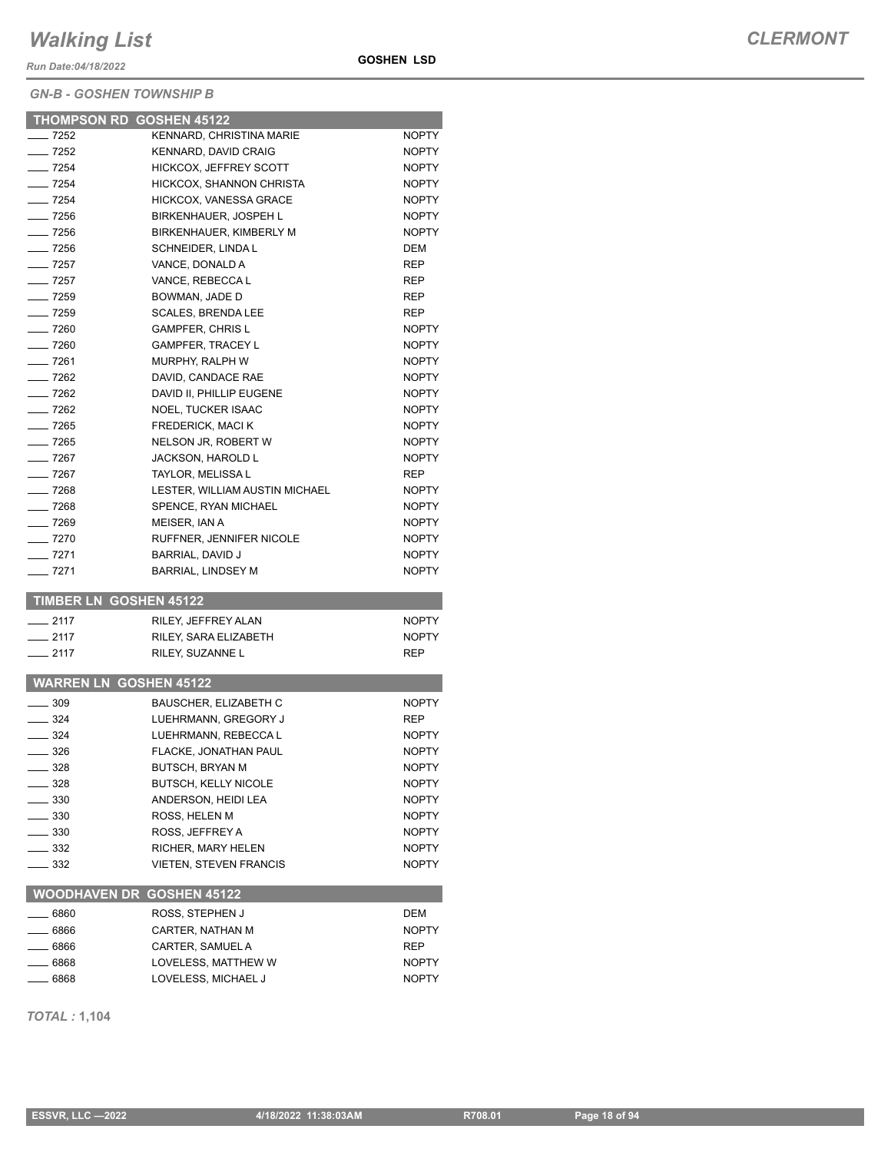*Run Date:04/18/2022*

#### *GN-B - GOSHEN TOWNSHIP B*

| <b>GOSHEN LSD</b> |  |
|-------------------|--|
|-------------------|--|

|                    | <b>THOMPSON RD GOSHEN 45122</b>         |              |
|--------------------|-----------------------------------------|--------------|
| $-7252$            | KENNARD, CHRISTINA MARIE                | <b>NOPTY</b> |
| $-7252$            | KENNARD, DAVID CRAIG                    | <b>NOPTY</b> |
| $- 7254$           | <b>HICKCOX, JEFFREY SCOTT</b>           | <b>NOPTY</b> |
| $-$ 7254           | HICKCOX, SHANNON CHRISTA                | <b>NOPTY</b> |
| $\frac{1}{254}$    | <b>HICKCOX, VANESSA GRACE</b>           | <b>NOPTY</b> |
| $-7256$            | BIRKENHAUER, JOSPEH L                   | <b>NOPTY</b> |
| $\frac{1}{2}$ 7256 | BIRKENHAUER, KIMBERLY M                 | <b>NOPTY</b> |
| $-7256$            | SCHNEIDER, LINDA L                      | DEM          |
| $-7257$            | VANCE, DONALD A                         | <b>REP</b>   |
| $-7257$            | VANCE, REBECCA L                        | <b>REP</b>   |
| $-7259$            | BOWMAN, JADE D                          | REP          |
| $- 7259$           | <b>SCALES, BRENDA LEE</b>               | <b>REP</b>   |
| $- 7260$           | <b>GAMPFER, CHRIS L</b>                 | <b>NOPTY</b> |
| $- 7260$           | <b>GAMPFER, TRACEY L</b>                | <b>NOPTY</b> |
| — 7261             | MURPHY, RALPH W                         | <b>NOPTY</b> |
| $-7262$            | DAVID, CANDACE RAE                      | <b>NOPTY</b> |
| $-7262$            | DAVID II, PHILLIP EUGENE                | <b>NOPTY</b> |
| $-7262$            | <b>NOEL, TUCKER ISAAC</b>               | <b>NOPTY</b> |
| $- 7265$           | <b>FREDERICK, MACI K</b>                | <b>NOPTY</b> |
| $- 7265$           | NELSON JR, ROBERT W                     | <b>NOPTY</b> |
| $-7267$            | <b>JACKSON, HAROLD L</b>                | <b>NOPTY</b> |
| $-7267$            | <b>TAYLOR, MELISSA L</b>                | REP          |
| $- 7268$           | LESTER, WILLIAM AUSTIN MICHAEL          | <b>NOPTY</b> |
| $-$ 7268           | SPENCE, RYAN MICHAEL                    | <b>NOPTY</b> |
| $- 7269$           | MEISER. IAN A                           | <b>NOPTY</b> |
| $-7270$            | RUFFNER, JENNIFER NICOLE                | <b>NOPTY</b> |
| $- 7271$           | BARRIAL, DAVID J                        | <b>NOPTY</b> |
| $-7271$            | <b>BARRIAL, LINDSEY M</b>               | <b>NOPTY</b> |
|                    |                                         |              |
|                    | <b>TIMBER LN GOSHEN 45122</b>           |              |
| $-2117$            | RILEY, JEFFREY ALAN                     | <b>NOPTY</b> |
| $-2117$            | RILEY, SARA ELIZABETH                   | <b>NOPTY</b> |
| $-2117$            | RILEY, SUZANNE L                        | REP          |
|                    |                                         |              |
|                    | <b>WARREN LN GOSHEN 45122</b>           |              |
| $-309$             | <b>BAUSCHER, ELIZABETH C</b>            | <b>NOPTY</b> |
| $\equiv$ 324       | LUEHRMANN, GREGORY J                    | REP          |
| $-324$             | LUEHRMANN, REBECCA L                    | NOPTY        |
| __ 326             | FLACKE, JONATHAN PAUL                   | <b>NOPTY</b> |
| __ 328             | BUTSCH, BRYAN M                         | <b>NOPTY</b> |
| $-328$             | <b>BUTSCH, KELLY NICOLE</b>             | NOPTY        |
|                    |                                         |              |
| $\equiv$ 330       | ANDERSON, HEIDI LEA                     | NOPTY        |
| $-330$             | ROSS, HELEN M                           | NOPTY        |
| _ 330              | ROSS, JEFFREY A                         | <b>NOPTY</b> |
| _ 332              | RICHER, MARY HELEN                      | <b>NOPTY</b> |
| _ 332              | <b>VIETEN. STEVEN FRANCIS</b>           | <b>NOPTY</b> |
|                    | <b>WOODHAVEN DR GOSHEN 45122</b>        |              |
| - 6860             |                                         | DEM          |
|                    | ROSS, STEPHEN J                         | <b>NOPTY</b> |
| _ 6866             | CARTER, NATHAN M                        |              |
| - 6866<br>- 6868   | CARTER, SAMUEL A<br>LOVELESS, MATTHEW W | REP<br>NOPTY |

*TOTAL :* **1,104**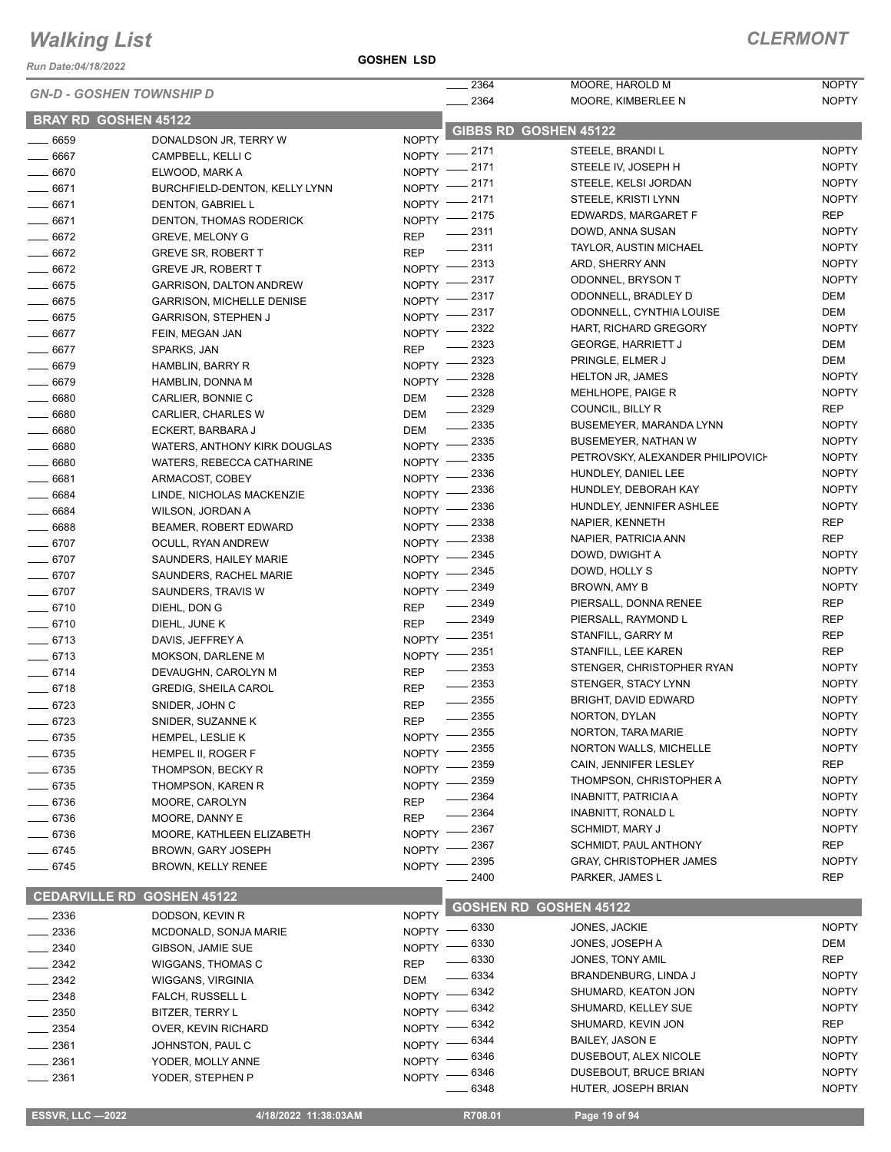*Run Date:04/18/2022*

| <b>GN-D - GOSHEN TOWNSHIP D</b> |                                              |                           | $-2364$                                | MOORE, HAROLD M                                        | <b>NOPTY</b>                 |
|---------------------------------|----------------------------------------------|---------------------------|----------------------------------------|--------------------------------------------------------|------------------------------|
|                                 |                                              |                           | $\frac{1}{2}$ 2364                     | MOORE, KIMBERLEE N                                     | <b>NOPTY</b>                 |
| <b>BRAY RD GOSHEN 45122</b>     |                                              |                           | GIBBS RD GOSHEN 45122                  |                                                        |                              |
| $- 6659$<br>$- 6667$            | DONALDSON JR, TERRY W                        | <b>NOPTY</b>              | NOPTY -2171                            | STEELE, BRANDI L                                       | <b>NOPTY</b>                 |
| $- 6670$                        | CAMPBELL, KELLI C<br>ELWOOD, MARK A          | NOPTY -                   | - 2171                                 | STEELE IV, JOSEPH H                                    | <b>NOPTY</b>                 |
| $- 6671$                        | BURCHFIELD-DENTON, KELLY LYNN                |                           | NOPTY -2171                            | STEELE, KELSI JORDAN                                   | <b>NOPTY</b>                 |
| $-6671$                         | DENTON, GABRIEL L                            |                           | NOPTY -2171                            | STEELE, KRISTI LYNN                                    | <b>NOPTY</b>                 |
| $- 6671$                        | DENTON, THOMAS RODERICK                      |                           | NOPTY -2175                            | EDWARDS, MARGARET F                                    | <b>REP</b>                   |
| $-6672$                         | <b>GREVE, MELONY G</b>                       | <b>REP</b>                | $\frac{1}{2}$ 2311                     | DOWD, ANNA SUSAN                                       | <b>NOPTY</b>                 |
| $- 6672$                        | <b>GREVE SR, ROBERT T</b>                    | <b>REP</b>                | $\frac{1}{2}$ 2311                     | <b>TAYLOR, AUSTIN MICHAEL</b>                          | <b>NOPTY</b>                 |
| $- 6672$                        | <b>GREVE JR, ROBERT T</b>                    |                           | NOPTY -2313                            | ARD, SHERRY ANN                                        | <b>NOPTY</b>                 |
| $- 6675$                        | <b>GARRISON, DALTON ANDREW</b>               | NOPTY -                   | _ 2317                                 | ODONNEL, BRYSON T                                      | <b>NOPTY</b>                 |
| $- 6675$                        | <b>GARRISON, MICHELLE DENISE</b>             | NOPTY -                   | 2317                                   | ODONNELL, BRADLEY D                                    | <b>DEM</b>                   |
| $- 6675$                        | <b>GARRISON, STEPHEN J</b>                   | NOPTY -                   | 2317                                   | ODONNELL, CYNTHIA LOUISE                               | <b>DEM</b>                   |
| $- 6677$                        | FEIN, MEGAN JAN                              | NOPTY -                   | 2322                                   | HART, RICHARD GREGORY                                  | <b>NOPTY</b>                 |
| $- 6677$                        | SPARKS, JAN                                  | <b>REP</b>                | 2323                                   | <b>GEORGE, HARRIETT J</b>                              | <b>DEM</b>                   |
| $- 6679$                        | HAMBLIN, BARRY R                             | $NOPTY$ –                 | 2323                                   | PRINGLE, ELMER J                                       | <b>DEM</b>                   |
| $- 6679$                        | HAMBLIN, DONNA M                             | NOPTY -                   | _ 2328                                 | <b>HELTON JR, JAMES</b>                                | <b>NOPTY</b>                 |
| $- 6680$                        | CARLIER, BONNIE C                            | DEM                       | $-2328$                                | MEHLHOPE, PAIGE R                                      | <b>NOPTY</b><br><b>REP</b>   |
| $\frac{1}{2}$ 6680              | CARLIER, CHARLES W                           | DEM                       | $\frac{2329}{2}$<br>$\frac{1}{2}$ 2335 | COUNCIL, BILLY R<br>BUSEMEYER, MARANDA LYNN            | <b>NOPTY</b>                 |
| $- 6680$                        | ECKERT, BARBARA J                            | DEM                       |                                        | <b>BUSEMEYER, NATHAN W</b>                             | <b>NOPTY</b>                 |
| $- 6680$                        | WATERS, ANTHONY KIRK DOUGLAS                 |                           | NOPTY -2335<br>2335                    | PETROVSKY, ALEXANDER PHILIPOVICH                       | <b>NOPTY</b>                 |
| $- 6680$                        | WATERS, REBECCA CATHARINE                    | $NOPTY$ –                 | _ 2336                                 | HUNDLEY, DANIEL LEE                                    | <b>NOPTY</b>                 |
| $-6681$                         | ARMACOST, COBEY                              | $N$ OPTY $-$              | 2336                                   | HUNDLEY, DEBORAH KAY                                   | <b>NOPTY</b>                 |
| $- 6684$                        | LINDE, NICHOLAS MACKENZIE                    | NOPTY -                   | - 2336                                 | HUNDLEY, JENNIFER ASHLEE                               | <b>NOPTY</b>                 |
| $- 6684$                        | WILSON, JORDAN A                             | $N$ OPTY $-$<br>$NOPTY =$ | 2338                                   | NAPIER, KENNETH                                        | <b>REP</b>                   |
| $- 6688$<br>$- 6707$            | BEAMER, ROBERT EDWARD                        | $N$ OPTY $-$              | 2338                                   | NAPIER, PATRICIA ANN                                   | <b>REP</b>                   |
| $- 6707$                        | OCULL, RYAN ANDREW<br>SAUNDERS, HAILEY MARIE | $N$ OPTY $-$              | 2345                                   | DOWD, DWIGHT A                                         | <b>NOPTY</b>                 |
| $- 6707$                        | SAUNDERS, RACHEL MARIE                       | NOPTY -                   | 2345                                   | DOWD, HOLLY S                                          | <b>NOPTY</b>                 |
| $- 6707$                        | SAUNDERS, TRAVIS W                           | NOPTY -                   | - 2349                                 | BROWN, AMY B                                           | <b>NOPTY</b>                 |
| $- 6710$                        | DIEHL, DON G                                 | <b>REP</b>                | $-2349$                                | PIERSALL, DONNA RENEE                                  | <b>REP</b>                   |
| $- 6710$                        | DIEHL, JUNE K                                | <b>REP</b>                | $-2349$                                | PIERSALL, RAYMOND L                                    | <b>REP</b>                   |
| $- 6713$                        | DAVIS, JEFFREY A                             |                           | NOPTY -2351                            | STANFILL, GARRY M                                      | <b>REP</b>                   |
| $- 6713$                        | MOKSON, DARLENE M                            | NOPTY                     | 2351                                   | STANFILL, LEE KAREN                                    | <b>REP</b>                   |
| $- 6714$                        | DEVAUGHN, CAROLYN M                          | <b>REP</b>                | $\frac{1}{2}$ 2353                     | STENGER, CHRISTOPHER RYAN                              | <b>NOPTY</b>                 |
| $-6718$                         | <b>GREDIG, SHEILA CAROL</b>                  | <b>REP</b>                | $\frac{1}{2}$ 2353                     | STENGER, STACY LYNN                                    | <b>NOPTY</b>                 |
| $- 6723$                        | SNIDER, JOHN C                               | <b>REP</b>                | $\frac{1}{2}$ 2355                     | BRIGHT, DAVID EDWARD                                   | <b>NOPTY</b>                 |
| $-6723$                         | SNIDER, SUZANNE K                            | <b>REP</b>                | $-2355$                                | NORTON, DYLAN                                          | <b>NOPTY</b>                 |
| —— 6735                         | HEMPEL, LESLIE K                             |                           | NOPTY -2355                            | NORTON, TARA MARIE                                     | <b>NOPTY</b>                 |
| $-6735$                         | HEMPEL II, ROGER F                           |                           | NOPTY -2355                            | <b>NORTON WALLS, MICHELLE</b>                          | <b>NOPTY</b>                 |
| $- 6735$                        | THOMPSON, BECKY R                            | NOPTY -                   | 2359                                   | CAIN, JENNIFER LESLEY                                  | <b>REP</b>                   |
| $-6735$                         | THOMPSON, KAREN R                            | NOPTY -                   | 2359<br>2364                           | THOMPSON, CHRISTOPHER A<br><b>INABNITT, PATRICIA A</b> | <b>NOPTY</b><br><b>NOPTY</b> |
| $-6736$                         | MOORE, CAROLYN                               | <b>REP</b>                | 2364                                   | <b>INABNITT, RONALD L</b>                              | <b>NOPTY</b>                 |
| $- 6736$                        | MOORE, DANNY E                               | <b>REP</b>                | 2367                                   | <b>SCHMIDT, MARY J</b>                                 | <b>NOPTY</b>                 |
| $- 6736$                        | MOORE, KATHLEEN ELIZABETH                    | NOPTY -                   | 2367                                   | SCHMIDT, PAUL ANTHONY                                  | <b>REP</b>                   |
| $- 6745$                        | <b>BROWN, GARY JOSEPH</b>                    | <b>NOPTY</b>              | 2395                                   | <b>GRAY, CHRISTOPHER JAMES</b>                         | <b>NOPTY</b>                 |
| $-6745$                         | <b>BROWN, KELLY RENEE</b>                    | <b>NOPTY</b>              | 2400                                   | PARKER, JAMES L                                        | <b>REP</b>                   |
| <b>CEDARVILLE RD</b>            | <b>GOSHEN 45122</b>                          |                           |                                        |                                                        |                              |
| $-2336$                         | DODSON, KEVIN R                              | <b>NOPTY</b>              | <b>GOSHEN RD GOSHEN 45122</b>          |                                                        |                              |
| $\equiv$ 2336                   | MCDONALD, SONJA MARIE                        |                           | NOPTY - 6330                           | JONES, JACKIE                                          | <b>NOPTY</b>                 |
| $-2340$                         | GIBSON, JAMIE SUE                            | NOPTY -                   | - 6330                                 | JONES, JOSEPH A                                        | DEM                          |
| 2342                            | WIGGANS, THOMAS C                            | <b>REP</b>                | 6330                                   | JONES, TONY AMIL                                       | <b>REP</b>                   |
| - 2342                          | WIGGANS, VIRGINIA                            | <b>DEM</b>                | $-6334$                                | BRANDENBURG, LINDA J                                   | <b>NOPTY</b>                 |
| $-2348$                         | FALCH, RUSSELL L                             | $N$ OPTY $-$              | - 6342                                 | SHUMARD, KEATON JON                                    | <b>NOPTY</b>                 |
| $-2350$                         | BITZER, TERRY L                              | $N$ OPTY $-$              | 6342                                   | SHUMARD, KELLEY SUE                                    | <b>NOPTY</b>                 |
| _ 2354                          | OVER, KEVIN RICHARD                          | NOPTY -                   | 6342                                   | SHUMARD, KEVIN JON                                     | <b>REP</b>                   |
| $-2361$                         | JOHNSTON, PAUL C                             | NOPTY -                   | - 6344                                 | <b>BAILEY, JASON E</b>                                 | <b>NOPTY</b>                 |
| 2361                            | YODER, MOLLY ANNE                            | NOPTY -                   | 6346                                   | DUSEBOUT, ALEX NICOLE                                  | <b>NOPTY</b>                 |
| _ 2361                          | YODER, STEPHEN P                             | NOPTY $-$                 | $-6346$                                | DUSEBOUT, BRUCE BRIAN                                  | <b>NOPTY</b>                 |
|                                 |                                              |                           | - 6348                                 | HUTER, JOSEPH BRIAN                                    | <b>NOPTY</b>                 |
| <b>ESSVR, LLC -2022</b>         | 4/18/2022 11:38:03AM                         |                           | R708.01                                | Page 19 of 94                                          |                              |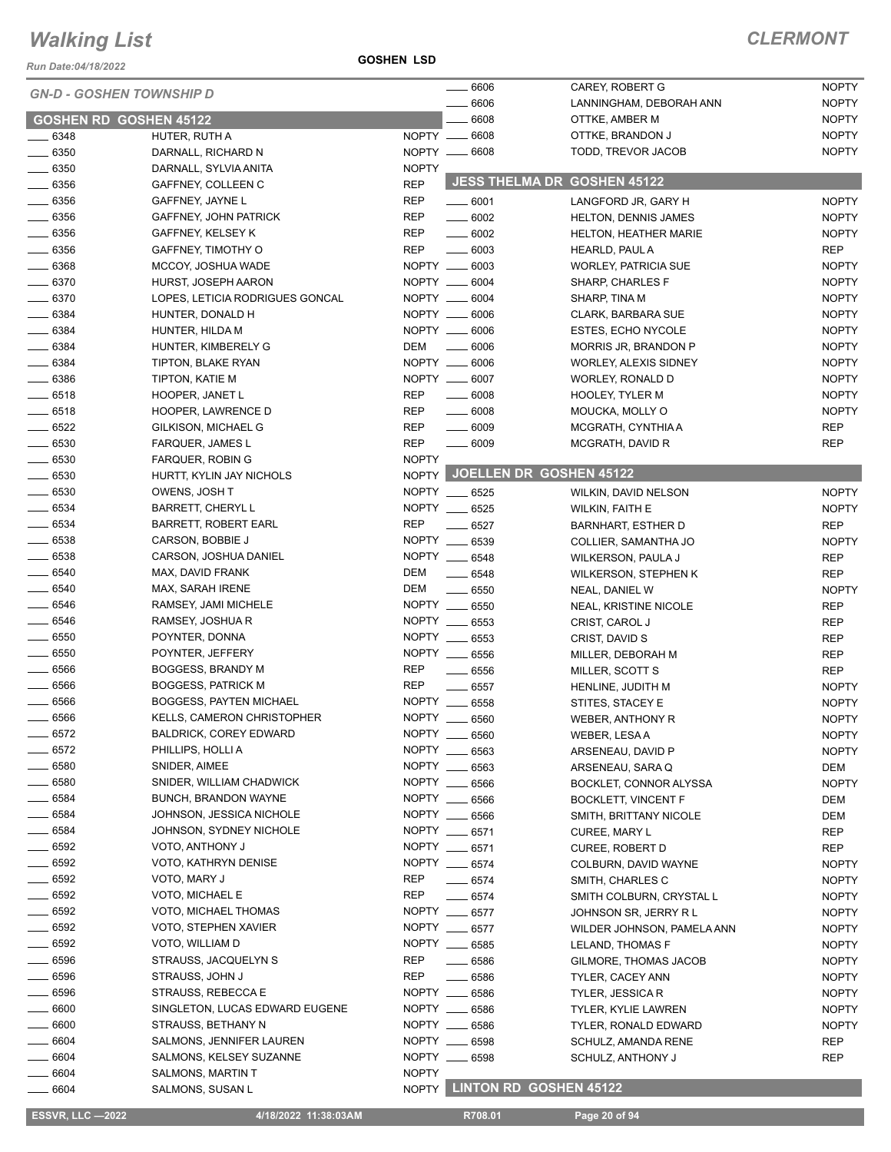*Run Date:04/18/2022*

#### **GOSHEN LSD**

#### *CLERMONT*

| <b>GN-D - GOSHEN TOWNSHIP D</b> |                                   |              | 6606               | CAREY, ROBERT G               | <b>NOPTY</b> |
|---------------------------------|-----------------------------------|--------------|--------------------|-------------------------------|--------------|
|                                 |                                   |              | 6606               | LANNINGHAM, DEBORAH ANN       | <b>NOPTY</b> |
| <b>GOSHEN RD GOSHEN 45122</b>   |                                   |              | 6608               | OTTKE, AMBER M                | <b>NOPTY</b> |
| $- 6348$                        | HUTER, RUTH A                     |              | NOPTY __ 6608      | OTTKE, BRANDON J              | <b>NOPTY</b> |
| $\frac{1}{2}$ 6350              | DARNALL, RICHARD N                |              | NOPTY __ 6608      | TODD, TREVOR JACOB            | <b>NOPTY</b> |
| $- 6350$                        | DARNALL, SYLVIA ANITA             | <b>NOPTY</b> |                    |                               |              |
| $\frac{1}{2}$ 6356              | GAFFNEY, COLLEEN C                | <b>REP</b>   |                    | JESS THELMA DR GOSHEN 45122   |              |
| $\frac{1}{2}$ 6356              | GAFFNEY, JAYNE L                  | <b>REP</b>   | $\frac{1}{2}$ 6001 | LANGFORD JR, GARY H           | <b>NOPTY</b> |
| $\frac{1}{2}$ 6356              | GAFFNEY, JOHN PATRICK             | <b>REP</b>   | $\frac{1}{2}$ 6002 | HELTON, DENNIS JAMES          | <b>NOPTY</b> |
| $\frac{1}{2}$ 6356              | GAFFNEY, KELSEY K                 | <b>REP</b>   | $\frac{1}{2}$ 6002 | <b>HELTON, HEATHER MARIE</b>  | <b>NOPTY</b> |
| $- 6356$                        | GAFFNEY, TIMOTHY O                | <b>REP</b>   | $\frac{1}{2}$ 6003 | HEARLD, PAUL A                | REP          |
| $\frac{1}{2}$ 6368              | MCCOY, JOSHUA WADE                |              | NOPTY __ 6003      | <b>WORLEY, PATRICIA SUE</b>   | <b>NOPTY</b> |
| $- 6370$                        | HURST, JOSEPH AARON               |              | NOPTY __ 6004      | SHARP, CHARLES F              | <b>NOPTY</b> |
| $\frac{1}{2}$ 6370              | LOPES, LETICIA RODRIGUES GONCAL   |              | NOPTY __ 6004      | SHARP, TINA M                 | <b>NOPTY</b> |
| $\frac{1}{2}$ 6384              | HUNTER, DONALD H                  |              | NOPTY __ 6006      | <b>CLARK, BARBARA SUE</b>     | <b>NOPTY</b> |
| $- 6384$                        | HUNTER, HILDA M                   |              | NOPTY __ 6006      | <b>ESTES, ECHO NYCOLE</b>     | <b>NOPTY</b> |
| $- 6384$                        | HUNTER, KIMBERELY G               | DEM          | 6006               | MORRIS JR, BRANDON P          | <b>NOPTY</b> |
| $- 6384$                        | TIPTON, BLAKE RYAN                |              | NOPTY __ 6006      | WORLEY, ALEXIS SIDNEY         | <b>NOPTY</b> |
| $\frac{1}{2}$ 6386              | TIPTON, KATIE M                   |              | NOPTY __ 6007      | WORLEY, RONALD D              | <b>NOPTY</b> |
| $-6518$                         | HOOPER, JANET L                   | <b>REP</b>   | $\frac{1}{2}$ 6008 | <b>HOOLEY, TYLER M</b>        | <b>NOPTY</b> |
| $-6518$                         | HOOPER, LAWRENCE D                | <b>REP</b>   | $\frac{1}{2}$ 6008 | MOUCKA, MOLLY O               | <b>NOPTY</b> |
| $-6522$                         | GILKISON, MICHAEL G               | <b>REP</b>   | $\frac{1}{2}$ 6009 | MCGRATH, CYNTHIA A            | <b>REP</b>   |
| $\frac{1}{2}$ 6530              | <b>FARQUER, JAMES L</b>           | <b>REP</b>   | $\frac{1}{2}$ 6009 | MCGRATH, DAVID R              | <b>REP</b>   |
| $\frac{1}{2}$ 6530              | FARQUER, ROBIN G                  | <b>NOPTY</b> |                    |                               |              |
| $\frac{1}{2}$ 6530              | HURTT, KYLIN JAY NICHOLS          |              |                    | NOPTY JOELLEN DR GOSHEN 45122 |              |
| $- 6530$                        | OWENS, JOSH T                     |              | NOPTY __ 6525      | WILKIN, DAVID NELSON          | <b>NOPTY</b> |
| $\frac{1}{2}$ 6534              | <b>BARRETT, CHERYL L</b>          |              | NOPTY __ 6525      | <b>WILKIN, FAITH E</b>        | <b>NOPTY</b> |
| $- 6534$                        | BARRETT, ROBERT EARL              | <b>REP</b>   | 6527               | <b>BARNHART, ESTHER D</b>     | <b>REP</b>   |
| $\frac{1}{2}$ 6538              | CARSON, BOBBIE J                  |              | NOPTY __ 6539      | COLLIER, SAMANTHA JO          | <b>NOPTY</b> |
| $\frac{1}{2}$ 6538              | CARSON, JOSHUA DANIEL             |              | NOPTY __ 6548      | WILKERSON, PAULA J            | <b>REP</b>   |
| $- 6540$                        | MAX, DAVID FRANK                  | DEM          | $- 6548$           | <b>WILKERSON, STEPHEN K</b>   | <b>REP</b>   |
| $- 6540$                        | MAX, SARAH IRENE                  | DEM          | 6550               | NEAL, DANIEL W                | <b>NOPTY</b> |
| $- 6546$                        | RAMSEY, JAMI MICHELE              |              | NOPTY __ 6550      | NEAL, KRISTINE NICOLE         | <b>REP</b>   |
| $- 6546$                        | RAMSEY, JOSHUA R                  |              | NOPTY __ 6553      | CRIST, CAROL J                | <b>REP</b>   |
| $\frac{1}{2}$ 6550              | POYNTER, DONNA                    |              | NOPTY __ 6553      | CRIST, DAVID S                | <b>REP</b>   |
| $\frac{1}{1}$ 6550              | POYNTER, JEFFERY                  |              | NOPTY __ 6556      | MILLER, DEBORAH M             | <b>REP</b>   |
| $\frac{1}{2}$ 6566              | BOGGESS, BRANDY M                 | <b>REP</b>   | $\frac{1}{2}$ 6556 | MILLER, SCOTT S               | <b>REP</b>   |
| $\frac{1}{2}$ 6566              | <b>BOGGESS, PATRICK M</b>         | <b>REP</b>   | 6557               | HENLINE, JUDITH M             | <b>NOPTY</b> |
| $- 6566$                        | <b>BOGGESS, PAYTEN MICHAEL</b>    | <b>NOPTY</b> | 6558               | STITES, STACEY E              | <b>NOPTY</b> |
| $-6566$                         | <b>KELLS, CAMERON CHRISTOPHER</b> | NOPTY __     | 6560               | WEBER, ANTHONY R              | <b>NOPTY</b> |
| _ 6572                          | <b>BALDRICK, COREY EDWARD</b>     |              | NOPTY __ 6560      | WEBER, LESAA                  | <b>NOPTY</b> |
| $-6572$                         | PHILLIPS, HOLLI A                 |              | NOPTY __ 6563      | ARSENEAU, DAVID P             | <b>NOPTY</b> |
| $\frac{1}{2}$ 6580              | SNIDER, AIMEE                     |              | NOPTY __ 6563      | ARSENEAU, SARA Q              | DEM          |
| $-6580$                         | SNIDER, WILLIAM CHADWICK          |              | NOPTY __ 6566      | BOCKLET, CONNOR ALYSSA        | <b>NOPTY</b> |
| $\frac{1}{2}$ 6584              | BUNCH, BRANDON WAYNE              |              | NOPTY __ 6566      | <b>BOCKLETT, VINCENT F</b>    | <b>DEM</b>   |
| $- 6584$                        | JOHNSON, JESSICA NICHOLE          |              | NOPTY __ 6566      | SMITH, BRITTANY NICOLE        | DEM          |
| $\frac{1}{2}$ 6584              | JOHNSON, SYDNEY NICHOLE           |              | NOPTY __ 6571      | CUREE, MARY L                 | <b>REP</b>   |
| $- 6592$                        | VOTO, ANTHONY J                   |              | NOPTY __ 6571      | CUREE, ROBERT D               | REP          |
| $\frac{1}{2}$ 6592              | VOTO, KATHRYN DENISE              |              | NOPTY __ 6574      | COLBURN, DAVID WAYNE          | <b>NOPTY</b> |
| $\_\_6592$                      | VOTO, MARY J                      | REP          | $- 6574$           | SMITH, CHARLES C              | <b>NOPTY</b> |
| $- 6592$                        | VOTO, MICHAEL E                   | <b>REP</b>   | $\frac{1}{2}$ 6574 | SMITH COLBURN, CRYSTAL L      | <b>NOPTY</b> |
| $- 6592$                        | VOTO, MICHAEL THOMAS              |              | NOPTY __ 6577      | JOHNSON SR, JERRY R L         | <b>NOPTY</b> |
| $\frac{1}{2}$ 6592              | VOTO, STEPHEN XAVIER              |              | NOPTY __ 6577      | WILDER JOHNSON, PAMELA ANN    | <b>NOPTY</b> |
| $- 6592$                        | VOTO, WILLIAM D                   |              | NOPTY __ 6585      | LELAND, THOMAS F              | <b>NOPTY</b> |
| $\frac{1}{2}$ 6596              | STRAUSS, JACQUELYN S              | REP          | 6586               | GILMORE, THOMAS JACOB         | <b>NOPTY</b> |
| $- 6596$                        | STRAUSS, JOHN J                   | REP          | $\frac{1}{2}$ 6586 | TYLER, CACEY ANN              | <b>NOPTY</b> |
| _ 6596                          | STRAUSS, REBECCA E                |              | NOPTY __ 6586      | <b>TYLER, JESSICAR</b>        | <b>NOPTY</b> |
| $- 6600$                        | SINGLETON, LUCAS EDWARD EUGENE    | NOPTY __     | 6586               | TYLER, KYLIE LAWREN           | <b>NOPTY</b> |
| $- 6600$                        | STRAUSS, BETHANY N                |              | NOPTY __ 6586      | TYLER, RONALD EDWARD          | <b>NOPTY</b> |
| $\frac{1}{2}$ 6604              | SALMONS, JENNIFER LAUREN          |              | NOPTY __ 6598      | SCHULZ, AMANDA RENE           | REP          |
| $- 6604$                        | SALMONS, KELSEY SUZANNE           |              | NOPTY __ 6598      | SCHULZ, ANTHONY J             | REP          |
| $-6604$                         | SALMONS, MARTIN T                 | <b>NOPTY</b> |                    |                               |              |
| $\frac{1}{2}$ 6604              | SALMONS, SUSAN L                  |              |                    | NOPTY LINTON RD GOSHEN 45122  |              |

**ESSVR, LLC —2022 4/18/2022 11:38:03AM** R708.01 **Page 20 of 94**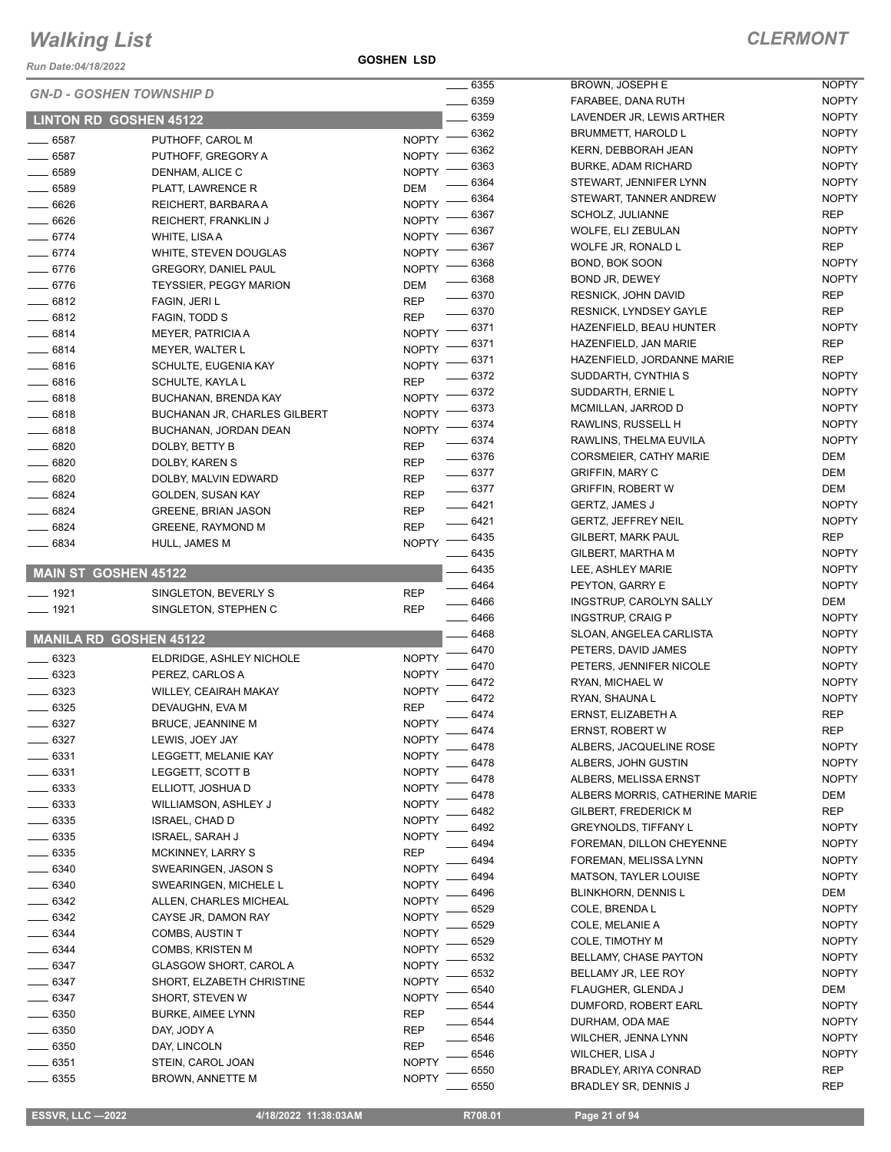*Run Date:04/18/2022*

**GOSHEN LSD**

|                             | <b>GN-D - GOSHEN TOWNSHIP D</b>     |              | $\frac{1}{2}6355$ | <b>BROWN, JOSEP</b>            |
|-----------------------------|-------------------------------------|--------------|-------------------|--------------------------------|
|                             |                                     |              | 6359              | FARABEE, DANA                  |
|                             | <b>LINTON RD GOSHEN 45122</b>       |              | 6359              | LAVENDER JR, I                 |
| 6587                        | PUTHOFF, CAROL M                    | <b>NOPTY</b> | 6362              | <b>BRUMMETT, HAI</b>           |
| 6587                        | PUTHOFF, GREGORY A                  | <b>NOPTY</b> | 6362              | KERN, DEBBOR.                  |
| $-6589$                     | DENHAM, ALICE C                     | <b>NOPTY</b> | 6363              | <b>BURKE, ADAM R</b>           |
| 6589                        | PLATT, LAWRENCE R                   | DEM          | 6364              | STEWART, JENN                  |
| $-6626$                     | REICHERT, BARBARA A                 | <b>NOPTY</b> | 6364              | STEWART, TANN                  |
| $-6626$                     | REICHERT, FRANKLIN J                | <b>NOPTY</b> | 6367              | SCHOLZ, JULIAN                 |
| $-6774$                     | WHITE, LISA A                       | <b>NOPTY</b> | 6367              | <b>WOLFE, ELI ZEE</b>          |
| $-6774$                     | WHITE, STEVEN DOUGLAS               | <b>NOPTY</b> | 6367              | WOLFE JR, RON                  |
| 6776                        | <b>GREGORY, DANIEL PAUL</b>         | <b>NOPTY</b> | 6368              | BOND, BOK SOO                  |
| 6776                        | <b>TEYSSIER, PEGGY MARION</b>       | DEM          | 6368              | BOND JR, DEWE                  |
| 6812                        | FAGIN, JERI L                       | <b>REP</b>   | 6370              | <b>RESNICK, JOHN</b>           |
| $-6812$                     | FAGIN, TODD S                       | <b>REP</b>   | 6370              | <b>RESNICK, LYND</b>           |
| $-6814$                     | <b>MEYER, PATRICIA A</b>            | <b>NOPTY</b> | 6371              | HAZENFIELD, BI                 |
| $-6814$                     | MEYER, WALTER L                     | <b>NOPTY</b> | 6371              | HAZENFIELD, JA                 |
| $-6816$                     | SCHULTE, EUGENIA KAY                | <b>NOPTY</b> | 6371              | HAZENFIELD, JO                 |
| 6816                        | SCHULTE, KAYLA L                    | <b>REP</b>   | 6372              | SUDDARTH, CYI                  |
| $-6818$                     | BUCHANAN, BRENDA KAY                | <b>NOPTY</b> | 6372              | SUDDARTH, ERI                  |
| $-6818$                     | <b>BUCHANAN JR, CHARLES GILBERT</b> | <b>NOPTY</b> | 6373              | MCMILLAN, JAR                  |
| $-6818$                     | BUCHANAN, JORDAN DEAN               | <b>NOPTY</b> | 6374              | RAWLINS, RUSS                  |
| $-6820$                     | DOLBY, BETTY B                      | <b>REP</b>   | 6374              | RAWLINS, THEL                  |
| 6820                        | DOLBY, KAREN S                      | <b>REP</b>   | 6376              | CORSMEIER, CA                  |
| 6820                        | DOLBY, MALVIN EDWARD                | <b>REP</b>   | 6377              | <b>GRIFFIN, MARY</b>           |
| 6824                        | GOLDEN, SUSAN KAY                   | REP          | $- 6377$          | <b>GRIFFIN, ROBER</b>          |
| 6824                        | <b>GREENE, BRIAN JASON</b>          | <b>REP</b>   | 6421              | GERTZ, JAMES,                  |
| 6824                        | <b>GREENE, RAYMOND M</b>            | <b>REP</b>   | 6421              | <b>GERTZ, JEFFRE</b>           |
| 6834                        | HULL, JAMES M                       | <b>NOPTY</b> | 6435              | GILBERT, MARK                  |
|                             |                                     |              | 6435              | GILBERT, MART                  |
| <b>MAIN ST GOSHEN 45122</b> |                                     |              | $-6435$           | LEE, ASHLEY M/                 |
| $-1921$                     | SINGLETON, BEVERLY S                | <b>REP</b>   | 6464              | PEYTON, GARRY                  |
| ___ 1921                    | SINGLETON, STEPHEN C                | <b>REP</b>   | 6466              | <b>INGSTRUP, CAR</b>           |
|                             |                                     |              | 6466              | INGSTRUP, CRA                  |
|                             | <b>MANILA RD GOSHEN 45122</b>       |              | 6468<br>6470      | SLOAN, ANGELE<br>PETERS, DAVID |
| 6323                        | ELDRIDGE, ASHLEY NICHOLE            | <b>NOPTY</b> | 6470              | PETERS, JENNII                 |
| 6323                        | PEREZ, CARLOS A                     | <b>NOPTY</b> | 6472              | RYAN, MICHAEL                  |
| $-6323$                     | WILLEY, CEAIRAH MAKAY               | <b>NOPTY</b> | 6472              | RYAN, SHAUNA                   |
| 6325                        | DEVAUGHN, EVA M                     | <b>REP</b>   | 6474              | <b>ERNST, ELIZABE</b>          |
| 6327                        | <b>BRUCE, JEANNINE M</b>            | <b>NOPTY</b> | 6474              | ERNST, ROBERT                  |
| 6327                        | LEWIS, JOEY JAY                     | <b>NOPTY</b> | 6478              | ALBERS, JACQU                  |
| 6331                        | LEGGETT, MELANIE KAY                | <b>NOPTY</b> | 6478              | ALBERS, JOHN                   |
| 6331                        | LEGGETT, SCOTT B                    | <b>NOPTY</b> | 6478              | ALBERS, MELIS                  |
| 6333                        | ELLIOTT, JOSHUA D                   | <b>NOPTY</b> | 6478              | <b>ALBERS MORRI</b>            |
| 6333                        | WILLIAMSON, ASHLEY J                | <b>NOPTY</b> | 6482              | <b>GILBERT, FREDI</b>          |
| 6335                        | ISRAEL, CHAD D                      | <b>NOPTY</b> | 6492              | <b>GREYNOLDS, TI</b>           |
| 6335                        | ISRAEL, SARAH J                     | <b>NOPTY</b> | 6494              | FOREMAN, DILL                  |
| 6335                        | MCKINNEY, LARRY S                   | REP          | 6494              | FOREMAN, MEL                   |
| 6340                        | SWEARINGEN, JASON S                 | <b>NOPTY</b> | 6494              | <b>MATSON, TAYLE</b>           |
| 6340                        | SWEARINGEN, MICHELE L               | <b>NOPTY</b> | 6496              | BLINKHORN, DE                  |
| _ 6342                      | ALLEN, CHARLES MICHEAL              | <b>NOPTY</b> | 6529              | COLE, BRENDA                   |
| 6342                        | CAYSE JR, DAMON RAY                 | <b>NOPTY</b> | 6529              | COLE, MELANIE                  |
| 6344                        | COMBS, AUSTIN T                     | <b>NOPTY</b> | 6529              | <b>COLE, TIMOTHY</b>           |
| 6344                        | COMBS, KRISTEN M                    | <b>NOPTY</b> | 6532              | <b>BELLAMY, CHAS</b>           |
| 6347                        | GLASGOW SHORT, CAROL A              | <b>NOPTY</b> | 6532              | BELLAMY JR, LE                 |
| 6347                        | SHORT, ELZABETH CHRISTINE           | <b>NOPTY</b> | 6540              | <b>FLAUGHER, GLE</b>           |
| 6347                        | SHORT, STEVEN W                     | <b>NOPTY</b> | 6544              | DUMFORD, ROE                   |
| 6350                        | BURKE, AIMEE LYNN                   | REP          |                   |                                |
| 6350                        | DAY, JODY A                         | <b>REP</b>   | 6544              | DURHAM, ODA N                  |
| 6350                        | DAY, LINCOLN                        | <b>REP</b>   | 6546              | WILCHER, JENN                  |
| 6351                        | STEIN, CAROL JOAN                   | <b>NOPTY</b> | 6546              | WILCHER, LISA.                 |
| 6355                        | BROWN, ANNETTE M                    | <b>NOPTY</b> | 6550              | BRADLEY, ARIYA                 |

| 6355 | BROWN, JOSEPH E                | <b>NOPTY</b> |
|------|--------------------------------|--------------|
| 6359 | FARABEE, DANA RUTH             | <b>NOPTY</b> |
| 6359 | LAVENDER JR, LEWIS ARTHER      | <b>NOPTY</b> |
| 6362 | <b>BRUMMETT, HAROLD L</b>      | <b>NOPTY</b> |
| 6362 | KERN, DEBBORAH JEAN            | <b>NOPTY</b> |
| 6363 | <b>BURKE, ADAM RICHARD</b>     | <b>NOPTY</b> |
| 6364 | STEWART, JENNIFER LYNN         | <b>NOPTY</b> |
| 6364 | STEWART, TANNER ANDREW         | <b>NOPTY</b> |
| 6367 | SCHOLZ, JULIANNE               | REP          |
| 6367 | WOLFE, ELI ZEBULAN             | <b>NOPTY</b> |
| 6367 | WOLFE JR, RONALD L             | REP          |
| 6368 | BOND, BOK SOON                 | <b>NOPTY</b> |
| 6368 | BOND JR, DEWEY                 | <b>NOPTY</b> |
| 6370 | <b>RESNICK, JOHN DAVID</b>     | <b>REP</b>   |
| 6370 | <b>RESNICK, LYNDSEY GAYLE</b>  | <b>REP</b>   |
| 6371 | HAZENFIELD, BEAU HUNTER        | <b>NOPTY</b> |
| 6371 | HAZENFIELD, JAN MARIE          | <b>REP</b>   |
| 6371 | HAZENFIELD, JORDANNE MARIE     | REP          |
| 6372 | SUDDARTH, CYNTHIA S            | <b>NOPTY</b> |
| 6372 | SUDDARTH, ERNIE L              | <b>NOPTY</b> |
| 6373 | MCMILLAN, JARROD D             | <b>NOPTY</b> |
| 6374 | RAWLINS, RUSSELL H             | <b>NOPTY</b> |
| 6374 | RAWLINS, THELMA EUVILA         | <b>NOPTY</b> |
| 6376 | <b>CORSMEIER, CATHY MARIE</b>  | DEM          |
| 6377 | <b>GRIFFIN, MARY C</b>         | DEM          |
| 6377 | <b>GRIFFIN, ROBERT W</b>       | DEM          |
| 6421 | <b>GERTZ, JAMES J</b>          | <b>NOPTY</b> |
| 6421 | <b>GERTZ, JEFFREY NEIL</b>     | <b>NOPTY</b> |
| 6435 | GILBERT, MARK PAUL             | <b>REP</b>   |
| 6435 | GILBERT, MARTHA M              | <b>NOPTY</b> |
| 6435 | LEE, ASHLEY MARIE              | <b>NOPTY</b> |
| 6464 | PEYTON, GARRY E                | <b>NOPTY</b> |
| 6466 | INGSTRUP, CAROLYN SALLY        | DEM          |
| 6466 | <b>INGSTRUP, CRAIG P</b>       | <b>NOPTY</b> |
| 6468 | SLOAN, ANGELEA CARLISTA        | <b>NOPTY</b> |
| 6470 | PETERS, DAVID JAMES            | <b>NOPTY</b> |
| 6470 | PETERS, JENNIFER NICOLE        | <b>NOPTY</b> |
| 6472 | RYAN, MICHAEL W                | <b>NOPTY</b> |
| 6472 | RYAN, SHAUNA L                 | <b>NOPTY</b> |
| 6474 | ERNST, ELIZABETH A             | <b>REP</b>   |
| 6474 | ERNST, ROBERT W                | REP          |
| 6478 | ALBERS, JACQUELINE ROSE        | NOPTY        |
| 6478 | ALBERS, JOHN GUSTIN            | <b>NOPTY</b> |
| 6478 | ALBERS, MELISSA ERNST          | <b>NOPTY</b> |
| 6478 | ALBERS MORRIS, CATHERINE MARIE | DEM          |
| 6482 | <b>GILBERT, FREDERICK M</b>    | <b>REP</b>   |
| 6492 | <b>GREYNOLDS, TIFFANY L</b>    | <b>NOPTY</b> |
| 6494 | FOREMAN, DILLON CHEYENNE       | <b>NOPTY</b> |
| 6494 | FOREMAN, MELISSA LYNN          | <b>NOPTY</b> |
| 6494 | MATSON, TAYLER LOUISE          | <b>NOPTY</b> |
| 6496 | BLINKHORN, DENNIS L            | DEM          |
| 6529 | COLE, BRENDA L                 | <b>NOPTY</b> |
| 6529 | COLE, MELANIE A                | <b>NOPTY</b> |
| 6529 | COLE, TIMOTHY M                | <b>NOPTY</b> |
| 6532 | BELLAMY, CHASE PAYTON          | <b>NOPTY</b> |
| 6532 | BELLAMY JR, LEE ROY            | <b>NOPTY</b> |
| 6540 | FLAUGHER, GLENDA J             | DEM          |
| 6544 | DUMFORD, ROBERT EARL           | <b>NOPTY</b> |
| 6544 | DURHAM, ODA MAE                | <b>NOPTY</b> |
| 6546 | WILCHER, JENNA LYNN            | <b>NOPTY</b> |
| 6546 | WILCHER, LISA J                | <b>NOPTY</b> |
| 6550 | BRADLEY, ARIYA CONRAD          | <b>REP</b>   |
| 6550 | BRADLEY SR, DENNIS J           | REP          |

 $\overline{a}$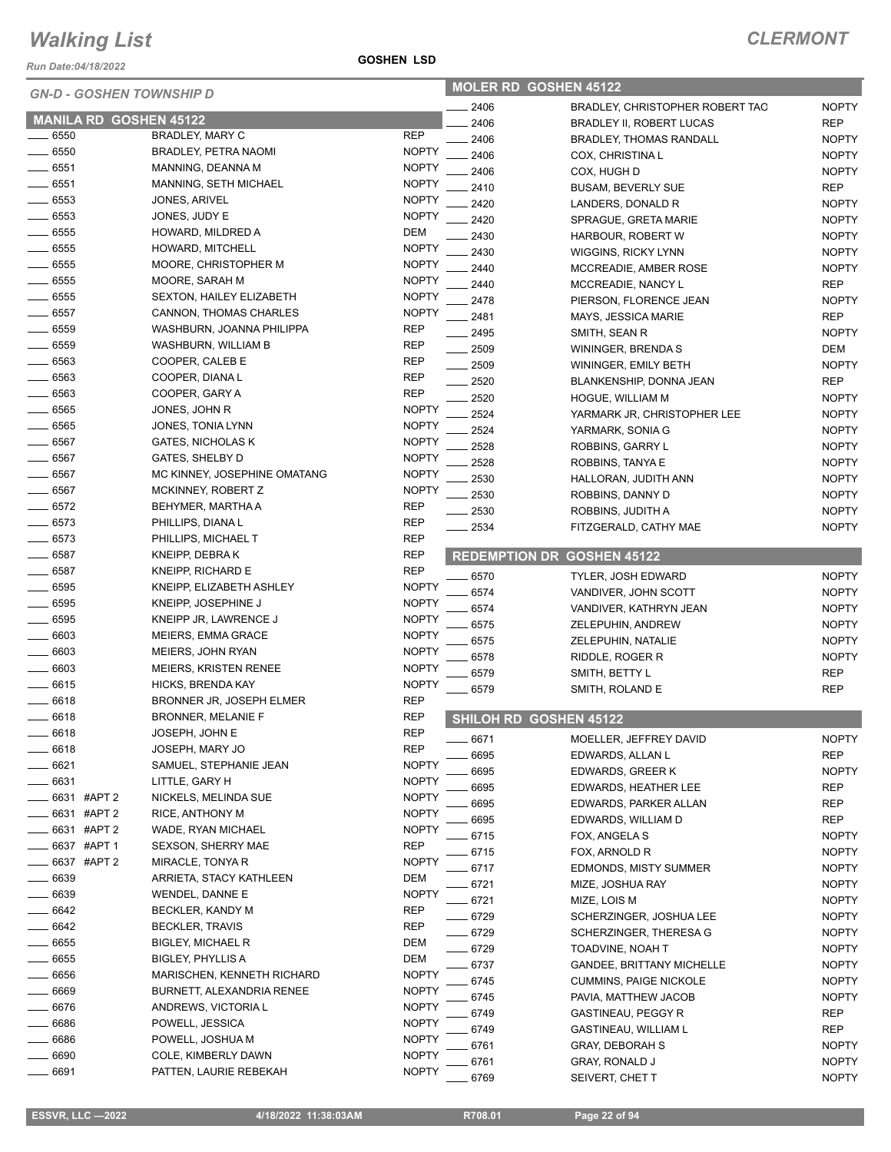*Run Date:04/18/2022*

| <b>GN-D - GOSHEN TOWNSHIP D</b> |                               |                                   | <b>MOLER RD GOSHEN 45122</b> |         |                                   |              |
|---------------------------------|-------------------------------|-----------------------------------|------------------------------|---------|-----------------------------------|--------------|
|                                 |                               |                                   |                              | 2406    | BRADLEY, CHRISTOPHER ROBERT TAO   | <b>NOPTY</b> |
|                                 | <b>MANILA RD GOSHEN 45122</b> |                                   |                              | 2406    | <b>BRADLEY II, ROBERT LUCAS</b>   | <b>REP</b>   |
| 6550                            |                               | BRADLEY, MARY C                   | <b>REP</b>                   | 2406    | <b>BRADLEY, THOMAS RANDALL</b>    | <b>NOPTY</b> |
| 6550                            |                               | <b>BRADLEY, PETRA NAOMI</b>       | <b>NOPTY</b>                 | 2406    | COX, CHRISTINA L                  | <b>NOPTY</b> |
| 6551                            |                               | MANNING, DEANNA M                 | <b>NOPTY</b>                 | 2406    | COX, HUGH D                       | <b>NOPTY</b> |
| 6551                            |                               | MANNING, SETH MICHAEL             | <b>NOPTY</b>                 | 2410    | <b>BUSAM, BEVERLY SUE</b>         | <b>REP</b>   |
| 6553                            |                               | JONES, ARIVEL                     | <b>NOPTY</b>                 | 2420    | LANDERS, DONALD R                 | <b>NOPTY</b> |
| 6553                            |                               | JONES, JUDY E                     | <b>NOPTY</b>                 | 2420    | SPRAGUE, GRETA MARIE              | <b>NOPTY</b> |
| $-6555$                         |                               | HOWARD, MILDRED A                 | <b>DEM</b>                   | 2430    | HARBOUR, ROBERT W                 | <b>NOPTY</b> |
| 6555                            |                               | <b>HOWARD, MITCHELL</b>           | <b>NOPTY</b>                 | 2430    | WIGGINS, RICKY LYNN               | <b>NOPTY</b> |
| 6555                            |                               | MOORE, CHRISTOPHER M              | <b>NOPTY</b>                 | 2440    | MCCREADIE, AMBER ROSE             | <b>NOPTY</b> |
| 6555                            |                               | MOORE, SARAH M                    | <b>NOPTY</b>                 | 2440    | MCCREADIE, NANCY L                | <b>REP</b>   |
| 6555                            |                               | <b>SEXTON, HAILEY ELIZABETH</b>   | <b>NOPTY</b>                 | 2478    | PIERSON, FLORENCE JEAN            | <b>NOPTY</b> |
| 6557                            |                               | CANNON, THOMAS CHARLES            | <b>NOPTY</b>                 | 2481    | MAYS, JESSICA MARIE               | <b>REP</b>   |
| 6559                            |                               | WASHBURN, JOANNA PHILIPPA         | <b>REP</b>                   | 2495    | SMITH, SEAN R                     | <b>NOPTY</b> |
| $-6559$                         |                               | WASHBURN, WILLIAM B               | <b>REP</b>                   | 2509    | WININGER, BRENDA S                | DEM          |
| 6563                            |                               | COOPER, CALEB E                   | <b>REP</b>                   | 2509    | WININGER, EMILY BETH              | <b>NOPTY</b> |
| 6563                            |                               | COOPER, DIANA L                   | <b>REP</b>                   | 2520    | BLANKENSHIP, DONNA JEAN           | <b>REP</b>   |
| 6563                            |                               | COOPER, GARY A                    | <b>REP</b>                   | 2520    | HOGUE, WILLIAM M                  | <b>NOPTY</b> |
| 6565                            |                               | JONES, JOHN R                     | <b>NOPTY</b>                 | 2524    | YARMARK JR, CHRISTOPHER LEE       | <b>NOPTY</b> |
| 6565                            |                               | JONES, TONIA LYNN                 | <b>NOPTY</b>                 | 2524    | YARMARK, SONIA G                  | <b>NOPTY</b> |
| $-6567$                         |                               | <b>GATES, NICHOLAS K</b>          | <b>NOPTY</b>                 | 2528    | ROBBINS, GARRY L                  | <b>NOPTY</b> |
| $-6567$                         |                               | GATES, SHELBY D                   | <b>NOPTY</b>                 | 2528    | ROBBINS, TANYA E                  | <b>NOPTY</b> |
| 6567                            |                               | MC KINNEY, JOSEPHINE OMATANG      | <b>NOPTY</b>                 | 2530    | HALLORAN, JUDITH ANN              | <b>NOPTY</b> |
| 6567                            |                               | MCKINNEY, ROBERT Z                | <b>NOPTY</b>                 | 2530    | ROBBINS, DANNY D                  | <b>NOPTY</b> |
| $- 6572$                        |                               | BEHYMER, MARTHA A                 | <b>REP</b>                   | 2530    | ROBBINS, JUDITH A                 | <b>NOPTY</b> |
| 6573                            |                               | PHILLIPS, DIANA L                 | <b>REP</b>                   | 2534    | FITZGERALD, CATHY MAE             | <b>NOPTY</b> |
| 6573                            |                               | PHILLIPS, MICHAEL T               | <b>REP</b>                   |         |                                   |              |
| 6587                            |                               | KNEIPP, DEBRAK                    | <b>REP</b>                   |         | <b>REDEMPTION DR GOSHEN 45122</b> |              |
| 6587                            |                               | KNEIPP, RICHARD E                 | <b>REP</b>                   | $-6570$ | <b>TYLER, JOSH EDWARD</b>         | <b>NOPTY</b> |
| 6595                            |                               | KNEIPP, ELIZABETH ASHLEY          | <b>NOPTY</b>                 | 6574    | VANDIVER, JOHN SCOTT              | <b>NOPTY</b> |
| 6595                            |                               | KNEIPP, JOSEPHINE J               | <b>NOPTY</b>                 | 6574    | VANDIVER, KATHRYN JEAN            | <b>NOPTY</b> |
| 6595                            |                               | KNEIPP JR, LAWRENCE J             | <b>NOPTY</b>                 | 6575    | ZELEPUHIN, ANDREW                 | <b>NOPTY</b> |
| 6603                            |                               | MEIERS, EMMA GRACE                | <b>NOPTY</b>                 | 6575    | ZELEPUHIN, NATALIE                | <b>NOPTY</b> |
| 6603                            |                               | MEIERS, JOHN RYAN                 | <b>NOPTY</b>                 | 6578    | RIDDLE, ROGER R                   | <b>NOPTY</b> |
| 6603                            |                               | MEIERS, KRISTEN RENEE             | <b>NOPTY</b>                 | 6579    | SMITH, BETTY L                    | <b>REP</b>   |
| 6615                            |                               | HICKS, BRENDA KAY                 | <b>NOPTY</b>                 | 6579    | SMITH, ROLAND E                   | <b>REP</b>   |
| 6618                            |                               | BRONNER JR, JOSEPH ELMER          | <b>REP</b>                   |         |                                   |              |
| 6618                            |                               | <b>BRONNER, MELANIE F</b>         | <b>REP</b>                   |         | SHILOH RD GOSHEN 45122            |              |
| 6618                            |                               | JOSEPH, JOHN E                    | <b>REP</b>                   | 6671    | MOELLER, JEFFREY DAVID            | <b>NOPTY</b> |
| 6618                            |                               | JOSEPH, MARY JO                   | <b>REP</b>                   | 6695    | EDWARDS, ALLAN L                  | <b>REP</b>   |
| 6621                            |                               | SAMUEL, STEPHANIE JEAN            | <b>NOPTY</b>                 | 6695    | EDWARDS, GREER K                  | <b>NOPTY</b> |
| 6631                            |                               | LITTLE, GARY H                    | <b>NOPTY</b>                 | 6695    | EDWARDS, HEATHER LEE              | <b>REP</b>   |
|                                 | 6631 #APT 2                   | NICKELS, MELINDA SUE              | <b>NOPTY</b>                 | 6695    | EDWARDS, PARKER ALLAN             | <b>REP</b>   |
|                                 | 6631 #APT 2                   | RICE, ANTHONY M                   | <b>NOPTY</b>                 | 6695    | EDWARDS, WILLIAM D                | <b>REP</b>   |
|                                 | 6631 #APT 2                   | WADE, RYAN MICHAEL                | <b>NOPTY</b>                 | 6715    | FOX, ANGELA S                     | <b>NOPTY</b> |
|                                 | 6637 #APT 1                   | <b>SEXSON, SHERRY MAE</b>         | <b>REP</b>                   | 6715    | FOX, ARNOLD R                     | <b>NOPTY</b> |
|                                 | 6637 #APT 2                   | MIRACLE, TONYA R                  | <b>NOPTY</b>                 | 6717    | <b>EDMONDS, MISTY SUMMER</b>      | <b>NOPTY</b> |
| 6639                            |                               | ARRIETA, STACY KATHLEEN           | DEM                          | 6721    | MIZE, JOSHUA RAY                  | <b>NOPTY</b> |
| 6639                            |                               | WENDEL, DANNE E                   | <b>NOPTY</b>                 | 6721    | MIZE, LOIS M                      | <b>NOPTY</b> |
| 6642                            |                               | BECKLER, KANDY M                  | <b>REP</b>                   | 6729    | SCHERZINGER, JOSHUA LEE           | <b>NOPTY</b> |
| 6642                            |                               | <b>BECKLER, TRAVIS</b>            | <b>REP</b>                   | 6729    | SCHERZINGER, THERESA G            | <b>NOPTY</b> |
| 6655                            |                               | <b>BIGLEY, MICHAEL R</b>          | DEM                          | 6729    | TOADVINE, NOAH T                  | <b>NOPTY</b> |
| 6655                            |                               | <b>BIGLEY, PHYLLIS A</b>          | DEM                          | 6737    | <b>GANDEE, BRITTANY MICHELLE</b>  | <b>NOPTY</b> |
| 6656                            |                               | <b>MARISCHEN, KENNETH RICHARD</b> | <b>NOPTY</b>                 | 6745    | CUMMINS, PAIGE NICKOLE            | <b>NOPTY</b> |
| 6669                            |                               | BURNETT, ALEXANDRIA RENEE         | <b>NOPTY</b>                 | 6745    | PAVIA, MATTHEW JACOB              | <b>NOPTY</b> |
| 6676                            |                               | ANDREWS, VICTORIA L               | <b>NOPTY</b>                 | 6749    | GASTINEAU, PEGGY R                | <b>REP</b>   |
| 6686                            |                               | POWELL, JESSICA                   | <b>NOPTY</b>                 | 6749    | GASTINEAU, WILLIAM L              | REP          |
| 6686                            |                               | POWELL, JOSHUA M                  | <b>NOPTY</b>                 | 6761    | <b>GRAY, DEBORAH S</b>            | <b>NOPTY</b> |
| 6690                            |                               | COLE, KIMBERLY DAWN               | <b>NOPTY</b>                 | 6761    | <b>GRAY, RONALD J</b>             | <b>NOPTY</b> |
| 6691                            |                               | PATTEN, LAURIE REBEKAH            | <b>NOPTY</b>                 | 6769    | SEIVERT, CHET T                   | <b>NOPTY</b> |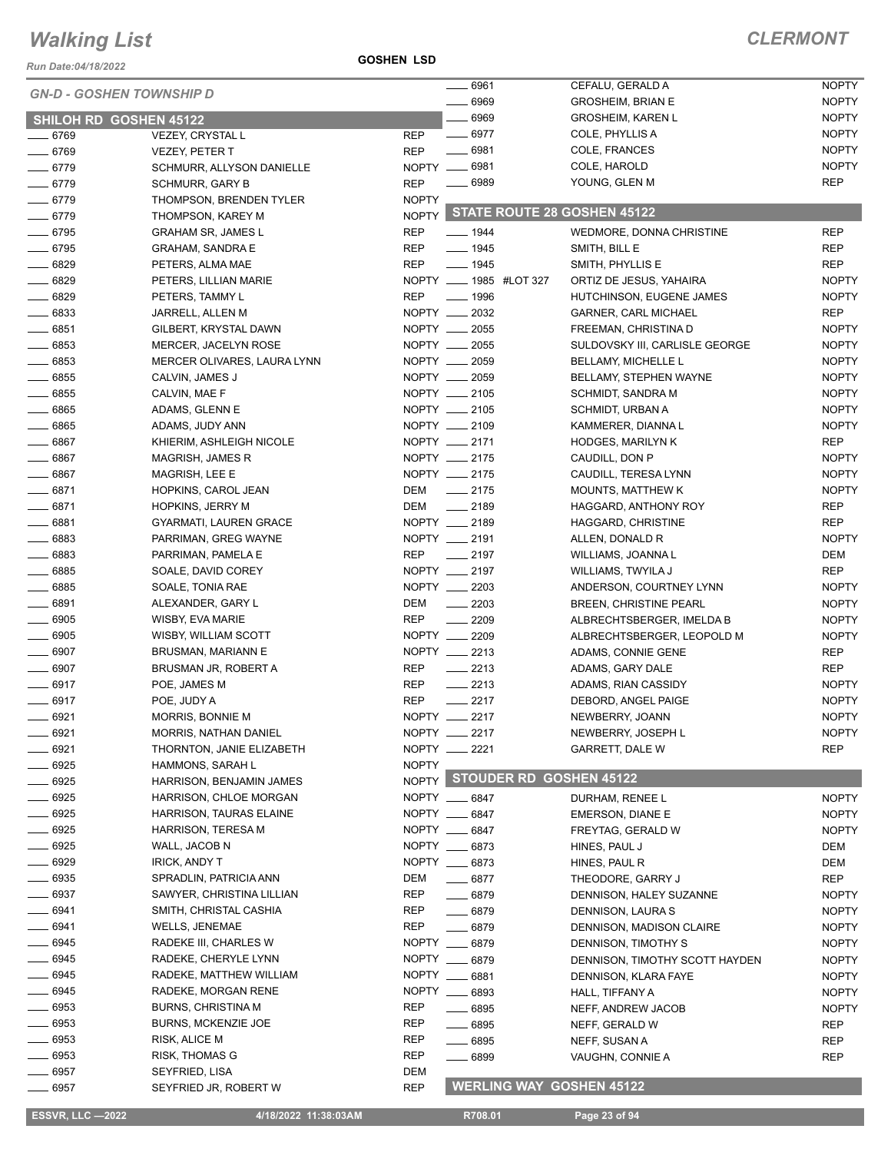*Run Date:04/18/2022*

**GOSHEN LSD**

#### *CLERMONT*

| <b>GN-D - GOSHEN TOWNSHIP D</b> |                                               |              | $- 6961$                        | CEFALU, GERALD A               | <b>NOPTY</b> |
|---------------------------------|-----------------------------------------------|--------------|---------------------------------|--------------------------------|--------------|
|                                 |                                               |              | ____ 6969                       | <b>GROSHEIM, BRIAN E</b>       | <b>NOPTY</b> |
| <b>SHILOH RD GOSHEN 45122</b>   |                                               |              | $- 6969$                        | <b>GROSHEIM, KAREN L</b>       | <b>NOPTY</b> |
| $- 6769$                        | <b>VEZEY, CRYSTAL L</b>                       | <b>REP</b>   | $- 6977$                        | COLE, PHYLLIS A                | <b>NOPTY</b> |
| $- 6769$                        | <b>VEZEY, PETER T</b>                         | <b>REP</b>   | $- 6981$                        | COLE, FRANCES                  | <b>NOPTY</b> |
| $- 6779$                        | SCHMURR, ALLYSON DANIELLE                     |              | NOPTY __ 6981                   | COLE, HAROLD                   | <b>NOPTY</b> |
| $- 6779$                        | <b>SCHMURR, GARY B</b>                        | <b>REP</b>   | $- 6989$                        | YOUNG, GLEN M                  | <b>REP</b>   |
| $- 6779$                        | THOMPSON, BRENDEN TYLER                       | <b>NOPTY</b> |                                 |                                |              |
| $- 6779$                        | THOMPSON, KAREY M                             | <b>NOPTY</b> | STATE ROUTE 28 GOSHEN 45122     |                                |              |
| $- 6795$                        | <b>GRAHAM SR, JAMES L</b>                     | <b>REP</b>   | $- 1944$                        | WEDMORE, DONNA CHRISTINE       | <b>REP</b>   |
| $- 6795$                        | <b>GRAHAM, SANDRA E</b>                       | <b>REP</b>   | $- 1945$                        | SMITH, BILL E                  | <b>REP</b>   |
| $- 6829$                        | PETERS, ALMA MAE                              | REP          | $- 1945$                        | SMITH, PHYLLIS E               | <b>REP</b>   |
| $- 6829$                        | PETERS, LILLIAN MARIE                         |              | NOPTY ____ 1985 #LOT 327        | ORTIZ DE JESUS, YAHAIRA        | <b>NOPTY</b> |
| $- 6829$                        | PETERS, TAMMY L                               | <b>REP</b>   | $- 1996$                        | HUTCHINSON, EUGENE JAMES       | <b>NOPTY</b> |
| $\frac{1}{2}$ 6833              | JARRELL, ALLEN M                              |              | NOPTY __ 2032                   | <b>GARNER, CARL MICHAEL</b>    | <b>REP</b>   |
| $- 6851$                        | GILBERT, KRYSTAL DAWN                         |              | NOPTY __ 2055                   | FREEMAN, CHRISTINA D           | <b>NOPTY</b> |
| $- 6853$                        | MERCER, JACELYN ROSE                          |              | NOPTY __ 2055                   | SULDOVSKY III, CARLISLE GEORGE | <b>NOPTY</b> |
| $\frac{1}{2}$ 6853              | MERCER OLIVARES, LAURA LYNN                   |              | NOPTY __ 2059                   | BELLAMY, MICHELLE L            | <b>NOPTY</b> |
| $\frac{1}{2}$ 6855              | CALVIN, JAMES J                               |              | NOPTY __ 2059                   | BELLAMY, STEPHEN WAYNE         | <b>NOPTY</b> |
| $\frac{1}{2}$ 6855              | CALVIN, MAE F                                 |              | NOPTY __ 2105                   | SCHMIDT, SANDRA M              | <b>NOPTY</b> |
| $\frac{1}{2}$ 6865              | ADAMS, GLENN E                                |              | NOPTY __ 2105                   | SCHMIDT, URBAN A               | <b>NOPTY</b> |
| $\frac{1}{2}$ 6865              | ADAMS, JUDY ANN                               |              | NOPTY __ 2109                   | KAMMERER, DIANNA L             | <b>NOPTY</b> |
| $- 6867$                        | KHIERIM, ASHLEIGH NICOLE                      |              | NOPTY __ 2171                   | <b>HODGES, MARILYN K</b>       | <b>REP</b>   |
| $- 6867$                        | MAGRISH, JAMES R                              |              | NOPTY __ 2175                   | CAUDILL, DON P                 | <b>NOPTY</b> |
| $- 6867$                        | MAGRISH, LEE E                                |              | NOPTY __ 2175                   | CAUDILL, TERESA LYNN           | <b>NOPTY</b> |
| $- 6871$                        | HOPKINS, CAROL JEAN                           | DEM          | $\frac{1}{2175}$                | <b>MOUNTS, MATTHEW K</b>       | <b>NOPTY</b> |
| $-6871$                         | <b>HOPKINS, JERRY M</b>                       | DEM          | $\frac{1}{2189}$                | HAGGARD, ANTHONY ROY           | <b>REP</b>   |
| $- 6881$                        | <b>GYARMATI, LAUREN GRACE</b>                 |              | NOPTY __ 2189                   | HAGGARD, CHRISTINE             | <b>REP</b>   |
| $- 6883$                        | PARRIMAN, GREG WAYNE                          |              | NOPTY __ 2191                   | ALLEN, DONALD R                | <b>NOPTY</b> |
| $- 6883$                        | PARRIMAN, PAMELA E                            | <b>REP</b>   | $\frac{1}{2197}$                | WILLIAMS, JOANNA L             | DEM          |
| $\frac{1}{2}$ 6885              | SOALE, DAVID COREY                            |              | NOPTY __ 2197                   | WILLIAMS, TWYILA J             | REP          |
| $\frac{1}{2}$ 6885              | SOALE, TONIA RAE                              |              | NOPTY __ 2203                   | ANDERSON, COURTNEY LYNN        | <b>NOPTY</b> |
| $- 6891$                        | ALEXANDER, GARY L                             | DEM          | $-2203$                         | <b>BREEN, CHRISTINE PEARL</b>  | <b>NOPTY</b> |
| $- 6905$                        | WISBY, EVA MARIE                              | <b>REP</b>   | $-2209$                         | ALBRECHTSBERGER, IMELDA B      | <b>NOPTY</b> |
| $\frac{1}{2}$ 6905              | WISBY, WILLIAM SCOTT                          |              | NOPTY __ 2209                   | ALBRECHTSBERGER, LEOPOLD M     | <b>NOPTY</b> |
| $\frac{1}{2}$ 6907              | BRUSMAN, MARIANN E                            |              | NOPTY __ 2213                   | ADAMS, CONNIE GENE             | <b>REP</b>   |
| $- 6907$                        | BRUSMAN JR, ROBERT A                          | <b>REP</b>   | $-2213$                         | ADAMS, GARY DALE               | <b>REP</b>   |
| $- 6917$                        | POE, JAMES M                                  | <b>REP</b>   | $\frac{1}{2213}$                | ADAMS, RIAN CASSIDY            | <b>NOPTY</b> |
| $- 6917$                        | POE, JUDY A                                   | <b>REP</b>   | $-2217$                         | DEBORD, ANGEL PAIGE            | <b>NOPTY</b> |
| 6921                            | MORRIS, BONNIE M                              |              | NOPTY __ 2217                   | NEWBERRY, JOANN                | <b>NOPTY</b> |
| _ 6921                          | MORRIS, NATHAN DANIEL                         |              | NOPTY __ 2217                   | NEWBERRY, JOSEPH L             | <b>NOPTY</b> |
| $- 6921$                        | THORNTON, JANIE ELIZABETH                     |              | NOPTY __ 2221                   | GARRETT, DALE W                | <b>REP</b>   |
| $- 6925$                        | HAMMONS, SARAH L                              | <b>NOPTY</b> | NOPTY STOUDER RD GOSHEN 45122   |                                |              |
| $- 6925$                        | HARRISON, BENJAMIN JAMES                      |              |                                 |                                |              |
| $\frac{1}{2}6925$               | HARRISON, CHLOE MORGAN                        |              | NOPTY __ 6847                   | DURHAM, RENEE L                | <b>NOPTY</b> |
| $\frac{1}{2}$ 6925              | HARRISON, TAURAS ELAINE                       |              | NOPTY __ 6847                   | EMERSON, DIANE E               | <b>NOPTY</b> |
| $- 6925$                        | HARRISON, TERESA M                            |              | NOPTY __ 6847<br>NOPTY __ 6873  | FREYTAG, GERALD W              | <b>NOPTY</b> |
| $- 6925$<br>$- 6929$            | WALL, JACOB N                                 |              | NOPTY __ 6873                   | HINES, PAUL J                  | DEM          |
| $\frac{1}{2}$ 6935              | <b>IRICK, ANDY T</b>                          |              |                                 | HINES, PAUL R                  | DEM          |
| $\frac{1}{2}$ 6937              | SPRADLIN, PATRICIA ANN                        | DEM<br>REP   | $- 6877$                        | THEODORE, GARRY J              | <b>REP</b>   |
| $- 6941$                        | SAWYER, CHRISTINA LILLIAN                     | REP          | $- 6879$                        | DENNISON, HALEY SUZANNE        | <b>NOPTY</b> |
|                                 | SMITH, CHRISTAL CASHIA                        |              | $- 6879$                        | DENNISON, LAURA S              | <b>NOPTY</b> |
| $- 6941$<br>$- 6945$            | <b>WELLS, JENEMAE</b>                         | REP          | $- 6879$                        | DENNISON, MADISON CLAIRE       | <b>NOPTY</b> |
| $- 6945$                        | RADEKE III, CHARLES W<br>RADEKE, CHERYLE LYNN |              | NOPTY __ 6879<br>NOPTY __ 6879  | DENNISON, TIMOTHY S            | NOPTY        |
| $\frac{1}{2}$ 6945              |                                               |              | NOPTY __ 6881                   | DENNISON, TIMOTHY SCOTT HAYDEN | <b>NOPTY</b> |
| $\frac{1}{2}$ 6945              | RADEKE, MATTHEW WILLIAM                       |              | NOPTY __ 6893                   | DENNISON, KLARA FAYE           | <b>NOPTY</b> |
|                                 | RADEKE, MORGAN RENE                           |              |                                 | HALL, TIFFANY A                | <b>NOPTY</b> |
| $- 6953$<br>$\frac{1}{2}$ 6953  | <b>BURNS, CHRISTINA M</b>                     | REP          | $\frac{1}{2}$ 6895              | NEFF, ANDREW JACOB             | <b>NOPTY</b> |
| $\frac{1}{2}$ 6953              | BURNS, MCKENZIE JOE                           | REP          | $\frac{1}{2}$ 6895              | NEFF, GERALD W                 | <b>REP</b>   |
| $\frac{1}{2}$ 6953              | RISK, ALICE M                                 | REP<br>REP   | $- 6895$                        | NEFF, SUSAN A                  | REP          |
| $- 6957$                        | RISK, THOMAS G                                | DEM          | $- 6899$                        | VAUGHN, CONNIE A               | REP          |
|                                 | SEYFRIED, LISA                                |              | <b>WERLING WAY GOSHEN 45122</b> |                                |              |
| $\frac{1}{2}$ 6957              | SEYFRIED JR, ROBERT W                         | <b>REP</b>   |                                 |                                |              |

**ESSVR, LLC —2022 4/18/2022 11:38:03AM** R708.01 **Page 23 of 94**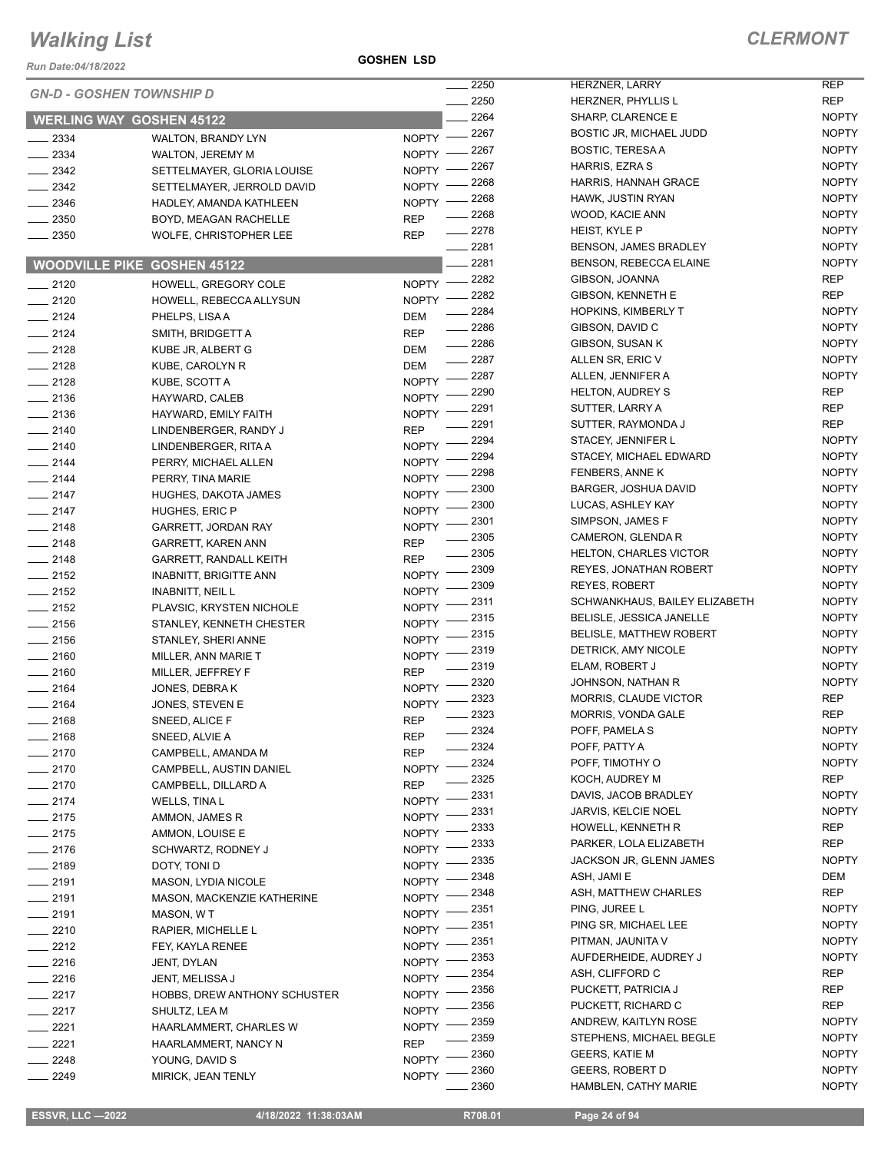*Run Date:04/18/2022*

**GOSHEN LSD**

|          | <b>GN-D - GOSHEN TOWNSHIP D</b>     |              | 2250    | <b>HERZNER</b>   |
|----------|-------------------------------------|--------------|---------|------------------|
|          |                                     |              | 2250    | <b>HERZNER</b>   |
|          | <b>WERLING WAY GOSHEN 45122</b>     |              | 2264    | SHARP, CI        |
| 2334     | WALTON, BRANDY LYN                  | <b>NOPTY</b> | 2267    | <b>BOSTIC JF</b> |
| 2334     | <b>WALTON, JEREMY M</b>             | <b>NOPTY</b> | $-2267$ | <b>BOSTIC, T</b> |
| $-2342$  | SETTELMAYER, GLORIA LOUISE          | <b>NOPTY</b> | 2267    | HARRIS, E        |
| $-2342$  | SETTELMAYER, JERROLD DAVID          | <b>NOPTY</b> | 2268    | HARRIS, H        |
| $-2346$  | HADLEY, AMANDA KATHLEEN             | <b>NOPTY</b> | 2268    | HAWK, JU         |
| $-2350$  | BOYD, MEAGAN RACHELLE               | REP          | 2268    | WOOD, KA         |
| $-2350$  | WOLFE, CHRISTOPHER LEE              | <b>REP</b>   | . 2278  | HEIST, KY        |
|          |                                     |              | _ 2281  | BENSON,          |
|          | <b>WOODVILLE PIKE GOSHEN 45122</b>  |              | - 2281  | BENSON,          |
| $-2120$  | HOWELL, GREGORY COLE                | <b>NOPTY</b> | 2282    | GIBSON, J        |
| $-2120$  | HOWELL, REBECCA ALLYSUN             | <b>NOPTY</b> | 2282    | GIBSON, K        |
| $-2124$  | PHELPS, LISA A                      | DEM          | 2284    | HOPKINS,         |
| $-2124$  | SMITH, BRIDGETT A                   | <b>REP</b>   | 2286    | GIBSON, D        |
| $-2128$  | KUBE JR, ALBERT G                   | DEM          | 2286    | GIBSON, S        |
| $-2128$  | KUBE, CAROLYN R                     | DEM          | 2287    | <b>ALLEN SR</b>  |
| $-2128$  | KUBE, SCOTT A                       | <b>NOPTY</b> | 2287    | ALLEN, JE        |
| $-2136$  | HAYWARD, CALEB                      | <b>NOPTY</b> | 2290    | HELTON, A        |
| $= 2136$ | HAYWARD, EMILY FAITH                | <b>NOPTY</b> | 2291    | SUTTER, I        |
| $-2140$  | LINDENBERGER, RANDY J               | REP          | 2291    | SUTTER, F        |
| $-2140$  | LINDENBERGER, RITA A                | <b>NOPTY</b> | 2294    | STACEY, J        |
| $-2144$  | PERRY, MICHAEL ALLEN                | <b>NOPTY</b> | 2294    | STACEY, N        |
| $-2144$  | PERRY, TINA MARIE                   | <b>NOPTY</b> | 2298    | <b>FENBERS</b>   |
| $-2147$  | HUGHES, DAKOTA JAMES                | <b>NOPTY</b> | 2300    | BARGER,          |
| $= 2147$ | HUGHES, ERIC P                      | <b>NOPTY</b> | 2300    | LUCAS, AS        |
| _ 2148   | GARRETT, JORDAN RAY                 | <b>NOPTY</b> | 2301    | SIMPSON,         |
| $= 2148$ | GARRETT, KAREN ANN                  | REP          | 2305    | <b>CAMERON</b>   |
| $-2148$  | <b>GARRETT, RANDALL KEITH</b>       | REP          | 2305    | HELTON, O        |
| $-2152$  | <b>INABNITT, BRIGITTE ANN</b>       | <b>NOPTY</b> | 2309    | REYES, JO        |
| 2152     | <b>INABNITT, NEIL L</b>             | <b>NOPTY</b> | 2309    | REYES, R         |
| $-2152$  | PLAVSIC, KRYSTEN NICHOLE            | <b>NOPTY</b> | 2311    | <b>SCHWANK</b>   |
| $= 2156$ | STANLEY, KENNETH CHESTER            | <b>NOPTY</b> | 2315    | BELISLE,         |
| $-2156$  | STANLEY, SHERI ANNE                 | <b>NOPTY</b> | 2315    | BELISLE, I       |
| $-2160$  | MILLER, ANN MARIE T                 | <b>NOPTY</b> | 2319    | DETRICK,         |
| $-2160$  | MILLER, JEFFREY F                   | REP          | 2319    | ELAM, RO         |
| 2164     | JONES, DEBRA K                      | <b>NOPTY</b> | - 2320  | <b>JOHNSON</b>   |
| 2164     | JONES, STEVEN E                     | <b>NOPTY</b> | 2323    | MORRIS, 0        |
| 2168     | SNEED, ALICE F                      | <b>REP</b>   | 2323    | MORRIS, \        |
| _ 2168   | SNEED, ALVIE A                      | REP          | 2324    | POFF, PAN        |
| 2170     | CAMPBELL, AMANDA M                  | REP          | 2324    | POFF, PAT        |
| 2170     | CAMPBELL, AUSTIN DANIEL             | NOPTY        | 2324    | POFF, TIM        |
| - 2170   | CAMPBELL, DILLARD A                 | REP          | 2325    | KOCH, AU         |
| 2174     | WELLS, TINA L                       | <b>NOPTY</b> | 2331    | DAVIS, JA        |
| 2175     | AMMON, JAMES R                      | <b>NOPTY</b> | 2331    | JARVIS, KI       |
| 2175     | AMMON, LOUISE E                     | <b>NOPTY</b> | 2333    | HOWELL,          |
| 2176     | SCHWARTZ, RODNEY J                  | <b>NOPTY</b> | 2333    | PARKER, I        |
| _ 2189   | DOTY, TONI D                        | <b>NOPTY</b> | 2335    | <b>JACKSON</b>   |
| _ 2191   | <b>MASON, LYDIA NICOLE</b>          | <b>NOPTY</b> | 2348    | ASH, JAMI        |
| $-2191$  | MASON, MACKENZIE KATHERINE          | NOPTY        | 2348    | ASH, MAT         |
| 2191     | MASON, W T                          | <b>NOPTY</b> | 2351    | PING, JUR        |
| 2210     | RAPIER, MICHELLE L                  | NOPTY        | 2351    | PING SR, I       |
| 2212     | FEY, KAYLA RENEE                    | NOPTY        | 2351    | PITMAN, J        |
| 2216     | JENT, DYLAN                         | NOPTY        | 2353    | <b>AUFDERH</b>   |
| $-2216$  | JENT, MELISSA J                     | NOPTY        | 2354    | ASH, CLIF        |
| 2217     | <b>HOBBS, DREW ANTHONY SCHUSTER</b> | NOPTY        | 2356    | PUCKETT,         |
| 2217     | SHULTZ, LEA M                       | NOPTY        | 2356    | PUCKETT,         |
| 2221     | HAARLAMMERT, CHARLES W              | <b>NOPTY</b> | 2359    | ANDREW,          |
| 2221     | HAARLAMMERT, NANCY N                | REP          | 2359    | <b>STEPHEN</b>   |
| 2248     | YOUNG, DAVID S                      | <b>NOPTY</b> | 2360    | GEERS, K         |
| 2249     | MIRICK, JEAN TENLY                  | NOPTY        | 2360    | GEERS, R         |

| 2250 | <b>HERZNER, LARRY</b>          | REP          |
|------|--------------------------------|--------------|
| 2250 | HERZNER, PHYLLIS L             | REP          |
| 2264 | SHARP, CLARENCE E              | <b>NOPTY</b> |
| 2267 | BOSTIC JR, MICHAEL JUDD        | <b>NOPTY</b> |
| 2267 | <b>BOSTIC, TERESA A</b>        | <b>NOPTY</b> |
| 2267 | HARRIS, EZRA S                 | <b>NOPTY</b> |
| 2268 | <b>HARRIS, HANNAH GRACE</b>    | <b>NOPTY</b> |
| 2268 | HAWK, JUSTIN RYAN              | <b>NOPTY</b> |
| 2268 | WOOD, KACIE ANN                | <b>NOPTY</b> |
| 2278 | <b>HEIST, KYLE P</b>           | <b>NOPTY</b> |
| 2281 | BENSON, JAMES BRADLEY          | <b>NOPTY</b> |
| 2281 | BENSON, REBECCA ELAINE         | <b>NOPTY</b> |
| 2282 | GIBSON, JOANNA                 | REP          |
| 2282 | <b>GIBSON, KENNETH E</b>       | REP          |
|      |                                |              |
| 2284 | <b>HOPKINS, KIMBERLY T</b>     | <b>NOPTY</b> |
| 2286 | GIBSON, DAVID C                | <b>NOPTY</b> |
| 2286 | GIBSON, SUSAN K                | <b>NOPTY</b> |
| 2287 | ALLEN SR, ERIC V               | <b>NOPTY</b> |
| 2287 | ALLEN, JENNIFER A              | <b>NOPTY</b> |
| 2290 | <b>HELTON, AUDREY S</b>        | REP          |
| 2291 | SUTTER, LARRY A                | REP          |
| 2291 | SUTTER, RAYMONDA J             | REP          |
| 2294 | STACEY, JENNIFER L             | <b>NOPTY</b> |
| 2294 | STACEY, MICHAEL EDWARD         | <b>NOPTY</b> |
| 2298 | FENBERS, ANNE K                | <b>NOPTY</b> |
| 2300 | BARGER, JOSHUA DAVID           | <b>NOPTY</b> |
| 2300 | LUCAS, ASHLEY KAY              | <b>NOPTY</b> |
| 2301 | SIMPSON, JAMES F               | <b>NOPTY</b> |
| 2305 | CAMERON, GLENDA R              | <b>NOPTY</b> |
| 2305 | <b>HELTON, CHARLES VICTOR</b>  | <b>NOPTY</b> |
| 2309 | <b>REYES, JONATHAN ROBERT</b>  | <b>NOPTY</b> |
| 2309 | <b>REYES, ROBERT</b>           | <b>NOPTY</b> |
| 2311 | SCHWANKHAUS, BAILEY ELIZABETH  | <b>NOPTY</b> |
| 2315 | BELISLE, JESSICA JANELLE       | <b>NOPTY</b> |
| 2315 | <b>BELISLE, MATTHEW ROBERT</b> | <b>NOPTY</b> |
| 2319 | DETRICK, AMY NICOLE            | <b>NOPTY</b> |
| 2319 | ELAM, ROBERT J                 | <b>NOPTY</b> |
| 2320 | JOHNSON, NATHAN R              | <b>NOPTY</b> |
| 2323 | <b>MORRIS, CLAUDE VICTOR</b>   | <b>REP</b>   |
| 2323 | <b>MORRIS, VONDA GALE</b>      | REP          |
| 2324 | POFF, PAMELA S                 | <b>NOPTY</b> |
| 2324 | POFF, PATTY A                  | <b>NOPTY</b> |
| 2324 | POFF, TIMOTHY O                | <b>NOPTY</b> |
| 2325 | KOCH, AUDREY M                 | REP          |
| 2331 | DAVIS, JACOB BRADLEY           | <b>NOPTY</b> |
| 2331 | <b>JARVIS, KELCIE NOEL</b>     | <b>NOPTY</b> |
| 2333 | HOWELL, KENNETH R              | REP          |
| 2333 | PARKER, LOLA ELIZABETH         | REP          |
| 2335 | JACKSON JR, GLENN JAMES        | <b>NOPTY</b> |
| 2348 | ASH, JAMI E                    | DEM          |
| 2348 | ASH, MATTHEW CHARLES           | REP          |
|      | PING, JUREE L                  | <b>NOPTY</b> |
| 2351 | PING SR, MICHAEL LEE           | <b>NOPTY</b> |
| 2351 |                                |              |
| 2351 | PITMAN, JAUNITA V              | <b>NOPTY</b> |
| 2353 | AUFDERHEIDE, AUDREY J          | <b>NOPTY</b> |
| 2354 | ASH, CLIFFORD C                | REP          |
| 2356 | PUCKETT, PATRICIA J            | <b>REP</b>   |
| 2356 | PUCKETT, RICHARD C             | REP          |
| 2359 | ANDREW, KAITLYN ROSE           | <b>NOPTY</b> |
| 2359 | STEPHENS, MICHAEL BEGLE        | <b>NOPTY</b> |
| 2360 | <b>GEERS, KATIE M</b>          | <b>NOPTY</b> |
| 2360 | <b>GEERS, ROBERT D</b>         | <b>NOPTY</b> |
| 2360 | HAMBLEN, CATHY MARIE           | NOPTY        |

 $\overline{a}$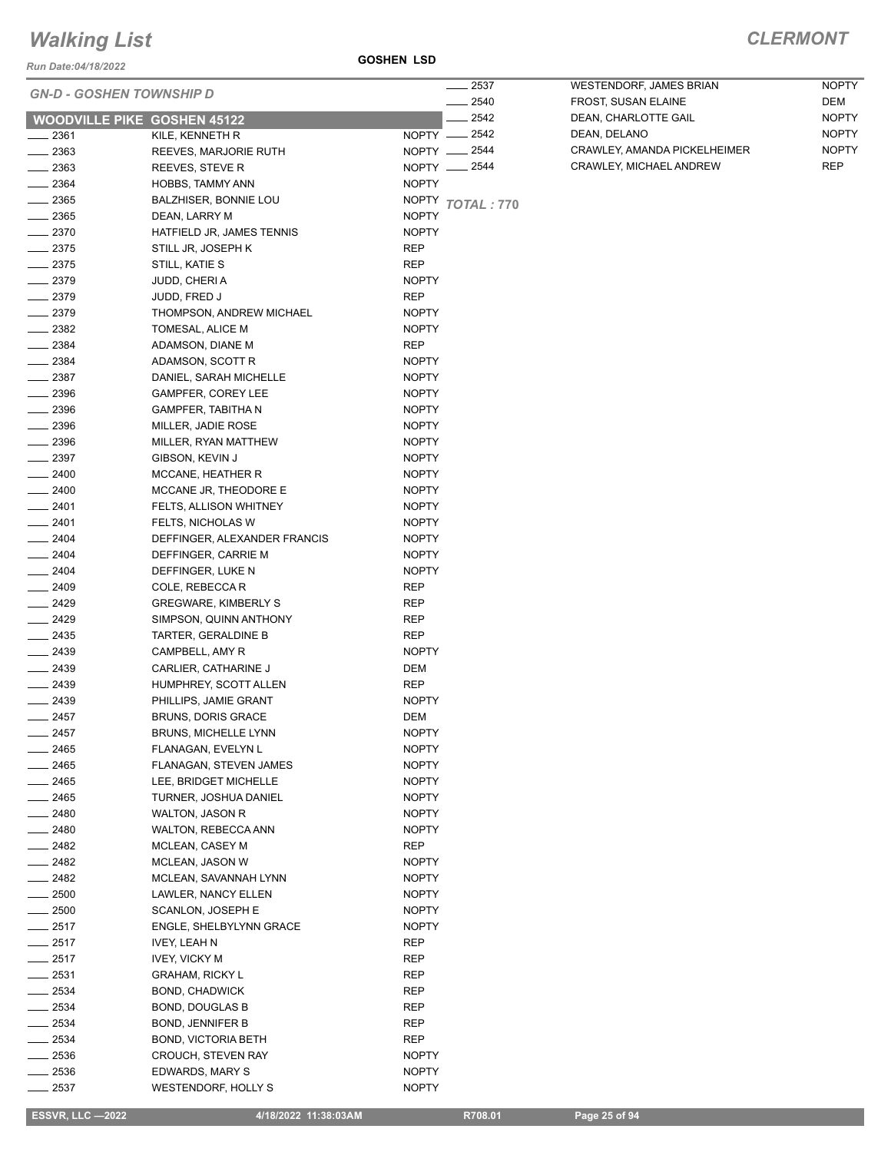*Run Date:04/18/2022*

**GOSHEN LSD**

#### *CLERMONT*

| <b>GN-D - GOSHEN TOWNSHIP D</b>    |                                                            | _ 2537                       |
|------------------------------------|------------------------------------------------------------|------------------------------|
|                                    |                                                            | - 2540                       |
| <b>WOODVILLE PIKE GOSHEN 45122</b> |                                                            | - 2542<br>NOPTY __ 2542      |
| __ 2361<br>$-2363$                 | KILE, KENNETH R<br>REEVES, MARJORIE RUTH                   | NOPTY <u>_</u> 2544          |
| $\sim$ 2363                        | REEVES, STEVE R                                            | NOPTY __ 2544                |
| $-2364$                            | HOBBS, TAMMY ANN                                           | <b>NOPTY</b>                 |
| $\frac{1}{2365}$                   | BALZHISER, BONNIE LOU                                      | NOPTY TOTAL: 770             |
| ____ 2365                          | DEAN, LARRY M                                              | <b>NOPTY</b>                 |
| $-2370$                            | HATFIELD JR, JAMES TENNIS                                  | <b>NOPTY</b>                 |
| $\sim$ 2375                        | STILL JR, JOSEPH K                                         | REP                          |
| $-2375$                            | STILL, KATIE S                                             | REP                          |
| $-2379$                            | JUDD, CHERI A                                              | <b>NOPTY</b>                 |
| __ 2379                            | JUDD, FRED J                                               | REP                          |
| $-2379$                            | THOMPSON, ANDREW MICHAEL                                   | <b>NOPTY</b>                 |
| $\_\_2$ 2382                       | TOMESAL, ALICE M                                           | <b>NOPTY</b>                 |
| $-2384$                            | ADAMSON, DIANE M                                           | REP                          |
| $\frac{1}{2384}$                   | ADAMSON, SCOTT R                                           | <b>NOPTY</b>                 |
| $\_\_2$ 2387                       | DANIEL, SARAH MICHELLE                                     | <b>NOPTY</b>                 |
| __ 2396                            | GAMPFER, COREY LEE                                         | <b>NOPTY</b>                 |
| _ 2396                             | GAMPFER, TABITHA N                                         | <b>NOPTY</b>                 |
| $-2396$                            | MILLER, JADIE ROSE                                         | <b>NOPTY</b>                 |
| $-2396$                            | MILLER, RYAN MATTHEW                                       | <b>NOPTY</b>                 |
| $-2397$                            | GIBSON, KEVIN J                                            | <b>NOPTY</b>                 |
| $-2400$                            | MCCANE, HEATHER R                                          | <b>NOPTY</b>                 |
| $-2400$                            | MCCANE JR, THEODORE E                                      | <b>NOPTY</b>                 |
| $-2401$                            | FELTS, ALLISON WHITNEY                                     | <b>NOPTY</b>                 |
| $-2401$<br>$-2404$                 | FELTS, NICHOLAS W                                          | <b>NOPTY</b>                 |
| $-2404$                            | DEFFINGER, ALEXANDER FRANCIS                               | <b>NOPTY</b><br><b>NOPTY</b> |
| $-2404$                            | DEFFINGER, CARRIE M<br>DEFFINGER, LUKE N                   | <b>NOPTY</b>                 |
| $- 2409$                           | COLE, REBECCA R                                            | REP                          |
| $-2429$                            | <b>GREGWARE, KIMBERLY S</b>                                | REP                          |
| __ 2429                            | SIMPSON, QUINN ANTHONY                                     | REP                          |
| $-2435$                            | TARTER, GERALDINE B                                        | REP                          |
| ____ 2439                          | CAMPBELL, AMY R                                            | <b>NOPTY</b>                 |
| $-2439$                            | CARLIER, CATHARINE J                                       | DEM                          |
| $-2439$                            | HUMPHREY, SCOTT ALLEN                                      | REP                          |
| $-2439$                            | PHILLIPS, JAMIE GRANT                                      | <b>NOPTY</b>                 |
| 2457                               | <b>BRUNS, DORIS GRACE</b>                                  | DEM                          |
| _ 2457                             | <b>BRUNS, MICHELLE LYNN</b>                                | NOPTY                        |
| _ 2465                             | FLANAGAN, EVELYN L                                         | NOPTY                        |
| _ 2465                             | FLANAGAN, STEVEN JAMES                                     | NOPTY                        |
| _ 2465                             | LEE, BRIDGET MICHELLE                                      | NOPTY                        |
| - 2465                             | TURNER, JOSHUA DANIEL                                      | NOPTY                        |
| $\equiv$ 2480                      | <b>WALTON, JASON R</b>                                     | <b>NOPTY</b>                 |
| $-2480$                            | WALTON, REBECCA ANN                                        | NOPTY                        |
| $-2482$                            | MCLEAN, CASEY M                                            | REP                          |
| $-2482$                            | MCLEAN, JASON W                                            | NOPTY                        |
| $-2482$                            | MCLEAN, SAVANNAH LYNN                                      | NOPTY                        |
| $\sim$ 2500<br>$-2500$             | LAWLER, NANCY ELLEN                                        | <b>NOPTY</b>                 |
| $-2517$                            | <b>SCANLON, JOSEPH E</b><br><b>ENGLE, SHELBYLYNN GRACE</b> | NOPTY                        |
| $-2517$                            | IVEY, LEAH N                                               | NOPTY<br>REP                 |
| $-2517$                            | <b>IVEY, VICKY M</b>                                       | REP                          |
| __ 2531                            | <b>GRAHAM, RICKY L</b>                                     | REP                          |
| $-2534$                            | <b>BOND, CHADWICK</b>                                      | REP                          |
| $-2534$                            | <b>BOND, DOUGLAS B</b>                                     | REP                          |
| ___ 2534                           | <b>BOND, JENNIFER B</b>                                    | REP                          |
| - 2534                             | <b>BOND, VICTORIA BETH</b>                                 | REP                          |
| _ 2536                             | CROUCH, STEVEN RAY                                         | NOPTY                        |
| _ 2536                             | EDWARDS, MARY S                                            | NOPTY                        |
| 2537                               | WESTENDORF, HOLLY S                                        | <b>NOPTY</b>                 |

WESTENDORF, JAMES BRIAN NOPTY FROST, SUSAN ELAINE **Example 2018** DEM DEAN, CHARLOTTE GAIL NOPTY DEAN, DELANO NOPTY CRAWLEY, AMANDA PICKELHEIMER NOPTY CRAWLEY, MICHAEL ANDREW REP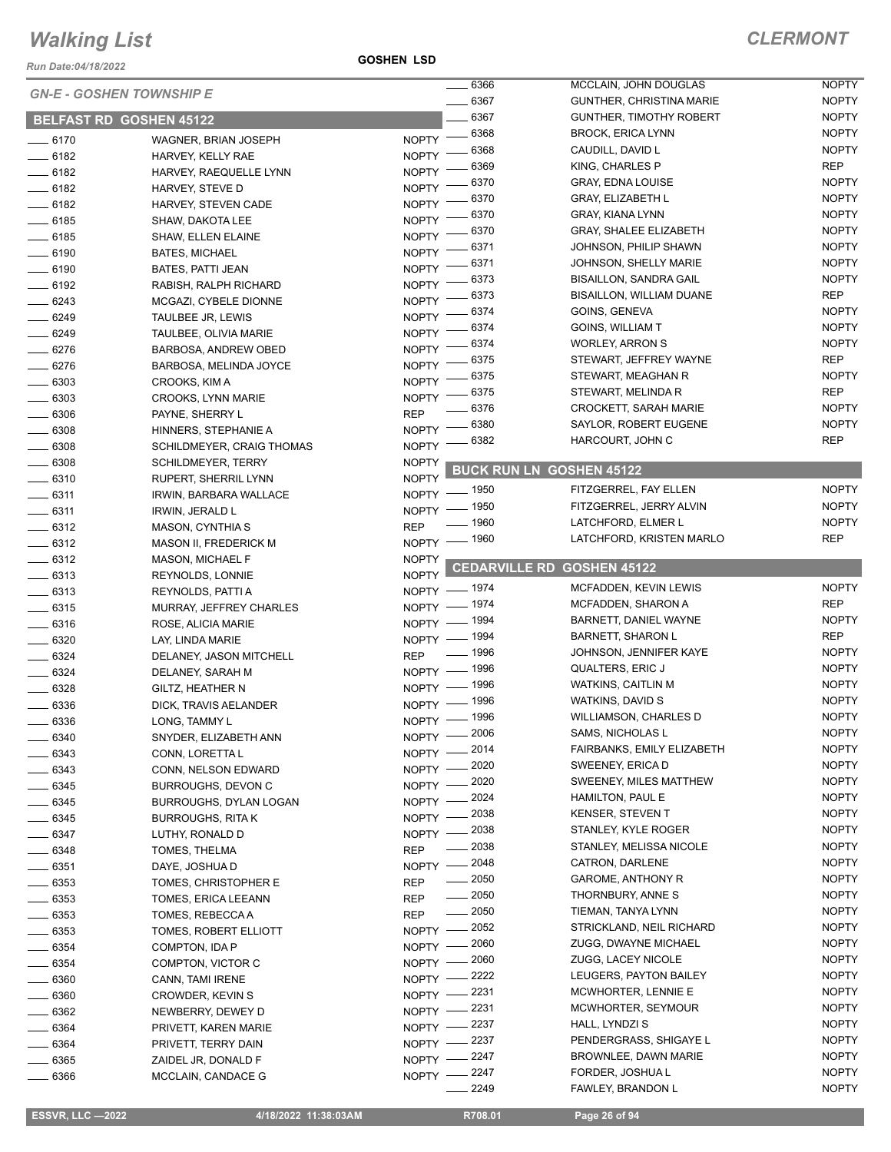*Run Date:04/18/2022*

**GOSHEN LSD**

|                    |                                 |                    | $\frac{1}{2}$ 6366               | MCCLAIN, JOHN DOUGLAS           | <b>NOPTY</b> |
|--------------------|---------------------------------|--------------------|----------------------------------|---------------------------------|--------------|
|                    | <b>GN-E - GOSHEN TOWNSHIP E</b> |                    | $-6367$                          | <b>GUNTHER, CHRISTINA MARIE</b> | <b>NOPTY</b> |
|                    | <b>BELFAST RD GOSHEN 45122</b>  |                    | 6367                             | <b>GUNTHER, TIMOTHY ROBERT</b>  | <b>NOPTY</b> |
| $- 6170$           | WAGNER, BRIAN JOSEPH            | $N$ OPTY $-$       | 6368                             | <b>BROCK, ERICA LYNN</b>        | <b>NOPTY</b> |
| $- 6182$           | HARVEY, KELLY RAE               | NOPTY -            | 6368                             | CAUDILL, DAVID L                | <b>NOPTY</b> |
| $- 6182$           |                                 | <b>NOPTY</b>       | 6369                             | KING, CHARLES P                 | <b>REP</b>   |
|                    | HARVEY, RAEQUELLE LYNN          | <b>NOPTY</b>       | 6370                             | <b>GRAY, EDNA LOUISE</b>        | <b>NOPTY</b> |
| $- 6182$           | HARVEY, STEVE D                 |                    | 6370                             | <b>GRAY, ELIZABETH L</b>        | <b>NOPTY</b> |
| $-6182$            | HARVEY, STEVEN CADE             | <b>NOPTY</b>       | 6370                             | GRAY, KIANA LYNN                | <b>NOPTY</b> |
| $- 6185$           | SHAW, DAKOTA LEE                | <b>NOPTY</b>       | 6370                             | <b>GRAY, SHALEE ELIZABETH</b>   | <b>NOPTY</b> |
| $-6185$            | <b>SHAW, ELLEN ELAINE</b>       | <b>NOPTY</b>       | 6371                             | JOHNSON, PHILIP SHAWN           | <b>NOPTY</b> |
| $- 6190$           | <b>BATES, MICHAEL</b>           | <b>NOPTY</b>       | 6371                             | JOHNSON, SHELLY MARIE           | <b>NOPTY</b> |
| $- 6190$           | BATES, PATTI JEAN               | NOPTY <sup>-</sup> | 6373                             | <b>BISAILLON, SANDRA GAIL</b>   | <b>NOPTY</b> |
| $- 6192$           | RABISH, RALPH RICHARD           | NOPTY <sup>-</sup> | 6373                             | BISAILLON, WILLIAM DUANE        | <b>REP</b>   |
| $-6243$            | MCGAZI, CYBELE DIONNE           | NOPTY <sup>-</sup> | 6374                             | GOINS, GENEVA                   | <b>NOPTY</b> |
| $-6249$            | TAULBEE JR, LEWIS               | <b>NOPTY</b>       | 6374                             | GOINS, WILLIAM T                | <b>NOPTY</b> |
| $- 6249$           | TAULBEE, OLIVIA MARIE           | <b>NOPTY</b>       | 6374                             | <b>WORLEY, ARRON S</b>          | <b>NOPTY</b> |
| $- 6276$           | BARBOSA, ANDREW OBED            | NOPTY <sup>-</sup> | 6375                             | STEWART, JEFFREY WAYNE          | <b>REP</b>   |
| $- 6276$           | BARBOSA, MELINDA JOYCE          | NOPTY <sup>-</sup> |                                  |                                 | <b>NOPTY</b> |
| $- 6303$           | CROOKS, KIM A                   | <b>NOPTY</b>       | 6375                             | STEWART, MEAGHAN R              |              |
| $- 6303$           | CROOKS, LYNN MARIE              | <b>NOPTY</b>       | 6375                             | STEWART, MELINDA R              | <b>REP</b>   |
| $- 6306$           | PAYNE, SHERRY L                 | <b>REP</b>         | 6376                             | <b>CROCKETT, SARAH MARIE</b>    | <b>NOPTY</b> |
| $\frac{1}{2}$ 6308 | HINNERS, STEPHANIE A            | <b>NOPTY</b>       | 6380                             | SAYLOR, ROBERT EUGENE           | <b>NOPTY</b> |
| $\frac{1}{2}$ 6308 | SCHILDMEYER, CRAIG THOMAS       | <b>NOPTY</b>       | 6382                             | HARCOURT, JOHN C                | <b>REP</b>   |
| $- 6308$           | <b>SCHILDMEYER, TERRY</b>       | <b>NOPTY</b>       |                                  |                                 |              |
| $- 6310$           | RUPERT, SHERRIL LYNN            | <b>NOPTY</b>       | <b>BUCK RUN LN</b>               | <b>GOSHEN 45122</b>             |              |
| $- 6311$           | IRWIN, BARBARA WALLACE          | NOPTY - 1950       |                                  | FITZGERREL, FAY ELLEN           | <b>NOPTY</b> |
| $-6311$            | IRWIN, JERALD L                 | NOPTY - 1950       |                                  | FITZGERREL, JERRY ALVIN         | <b>NOPTY</b> |
| $- 6312$           | <b>MASON, CYNTHIA S</b>         | <b>REP</b>         | _ 1960                           | LATCHFORD, ELMER L              | <b>NOPTY</b> |
| $-6312$            | <b>MASON II, FREDERICK M</b>    | NOPTY -            | 1960                             | LATCHFORD, KRISTEN MARLO        | <b>REP</b>   |
| $- 6312$           | <b>MASON, MICHAEL F</b>         | <b>NOPTY</b>       |                                  |                                 |              |
| $\frac{1}{2}$ 6313 | REYNOLDS, LONNIE                | <b>NOPTY</b>       | <b>CEDARVILLE RD</b>             | <b>GOSHEN 45122</b>             |              |
| $- 6313$           | REYNOLDS, PATTI A               | NOPTY - 1974       |                                  | MCFADDEN, KEVIN LEWIS           | <b>NOPTY</b> |
| $\frac{1}{2}$ 6315 | MURRAY, JEFFREY CHARLES         | NOPTY - 1974       |                                  | MCFADDEN, SHARON A              | <b>REP</b>   |
| $-6316$            | ROSE, ALICIA MARIE              | NOPTY - 1994       |                                  | BARNETT, DANIEL WAYNE           | <b>NOPTY</b> |
| $- 6320$           | LAY, LINDA MARIE                | NOPTY - 1994       |                                  | <b>BARNETT, SHARON L</b>        | <b>REP</b>   |
| $- 6324$           | DELANEY, JASON MITCHELL         | <b>REP</b>         | $\frac{1}{2}$ 1996               | JOHNSON, JENNIFER KAYE          | <b>NOPTY</b> |
| $- 6324$           |                                 | NOPTY - 1996       |                                  | <b>QUALTERS, ERIC J</b>         | <b>NOPTY</b> |
|                    | DELANEY, SARAH M                | NOPTY - 1996       |                                  | <b>WATKINS, CAITLIN M</b>       | <b>NOPTY</b> |
| $- 6328$           | <b>GILTZ, HEATHER N</b>         | NOPTY - 1996       |                                  | WATKINS, DAVID S                | <b>NOPTY</b> |
| 6336               | DICK, TRAVIS AELANDER           | NOPTY - 1996       |                                  | WILLIAMSON, CHARLES D           | <b>NOPTY</b> |
| 6336               | LONG, TAMMY L                   | NOPTY -2006        |                                  | SAMS, NICHOLAS L                | <b>NOPTY</b> |
| $- 6340$           | SNYDER, ELIZABETH ANN           | NOPTY -2014        |                                  | FAIRBANKS, EMILY ELIZABETH      | <b>NOPTY</b> |
| $-6343$            | CONN, LORETTA L                 |                    |                                  | SWEENEY, ERICA D                | <b>NOPTY</b> |
| $- 6343$           | CONN, NELSON EDWARD             | NOPTY -2020        | . 2020                           | SWEENEY, MILES MATTHEW          | <b>NOPTY</b> |
| $- 6345$           | BURROUGHS, DEVON C              | $NOPTY$ -          |                                  |                                 |              |
| $- 6345$           | BURROUGHS, DYLAN LOGAN          | $NOPTY -$          | . 2024                           | HAMILTON, PAUL E                | <b>NOPTY</b> |
| $- 6345$           | <b>BURROUGHS, RITA K</b>        | NOPTY - 2038       |                                  | KENSER, STEVEN T                | <b>NOPTY</b> |
| $- 6347$           | LUTHY, RONALD D                 | $NOPTY$ –          | 2038                             | STANLEY, KYLE ROGER             | <b>NOPTY</b> |
| ____ 6348          | TOMES, THELMA                   | <b>REP</b>         | 2038<br>$\overline{\phantom{a}}$ | STANLEY, MELISSA NICOLE         | <b>NOPTY</b> |
| $\frac{1}{2}6351$  | DAYE, JOSHUA D                  | NOPTY - 2048       |                                  | CATRON, DARLENE                 | <b>NOPTY</b> |
| $\frac{1}{2}$ 6353 | TOMES, CHRISTOPHER E            | <b>REP</b>         | _ 2050                           | <b>GAROME, ANTHONY R</b>        | <b>NOPTY</b> |
| $\frac{1}{2}$ 6353 | TOMES, ERICA LEEANN             | <b>REP</b>         | $\frac{1}{2050}$                 | THORNBURY, ANNE S               | <b>NOPTY</b> |
| $- 6353$           | TOMES, REBECCA A                | <b>REP</b>         | $\frac{1}{2050}$                 | TIEMAN, TANYA LYNN              | <b>NOPTY</b> |
| $- 6353$           | TOMES, ROBERT ELLIOTT           | NOPTY - 2052       |                                  | STRICKLAND, NEIL RICHARD        | <b>NOPTY</b> |
| $\frac{1}{2}$ 6354 | COMPTON, IDA P                  | NOPTY - 2060       |                                  | ZUGG, DWAYNE MICHAEL            | <b>NOPTY</b> |
| $\frac{1}{2}$ 6354 | COMPTON, VICTOR C               | NOPTY - 2060       |                                  | <b>ZUGG, LACEY NICOLE</b>       | <b>NOPTY</b> |
| $\frac{1}{2}$ 6360 | CANN, TAMI IRENE                | NOPTY -2222        |                                  | LEUGERS, PAYTON BAILEY          | <b>NOPTY</b> |
| $\frac{1}{2}$ 6360 | CROWDER, KEVIN S                | NOPTY -2231        |                                  | MCWHORTER, LENNIE E             | <b>NOPTY</b> |
| $- 6362$           | NEWBERRY, DEWEY D               | NOPTY -2231        |                                  | MCWHORTER, SEYMOUR              | <b>NOPTY</b> |
| $\frac{1}{2}$ 6364 | PRIVETT, KAREN MARIE            | NOPTY -2237        |                                  | HALL, LYNDZI S                  | <b>NOPTY</b> |
| $- 6364$           | PRIVETT, TERRY DAIN             | NOPTY -2237        |                                  | PENDERGRASS, SHIGAYE L          | <b>NOPTY</b> |
| $- 6365$           | ZAIDEL JR, DONALD F             | NOPTY -2247        |                                  | BROWNLEE, DAWN MARIE            | <b>NOPTY</b> |
| $\frac{1}{2}$ 6366 | MCCLAIN, CANDACE G              | NOPTY -2247        |                                  | FORDER, JOSHUA L                | <b>NOPTY</b> |
|                    |                                 |                    | 2249                             | FAWLEY, BRANDON L               | <b>NOPTY</b> |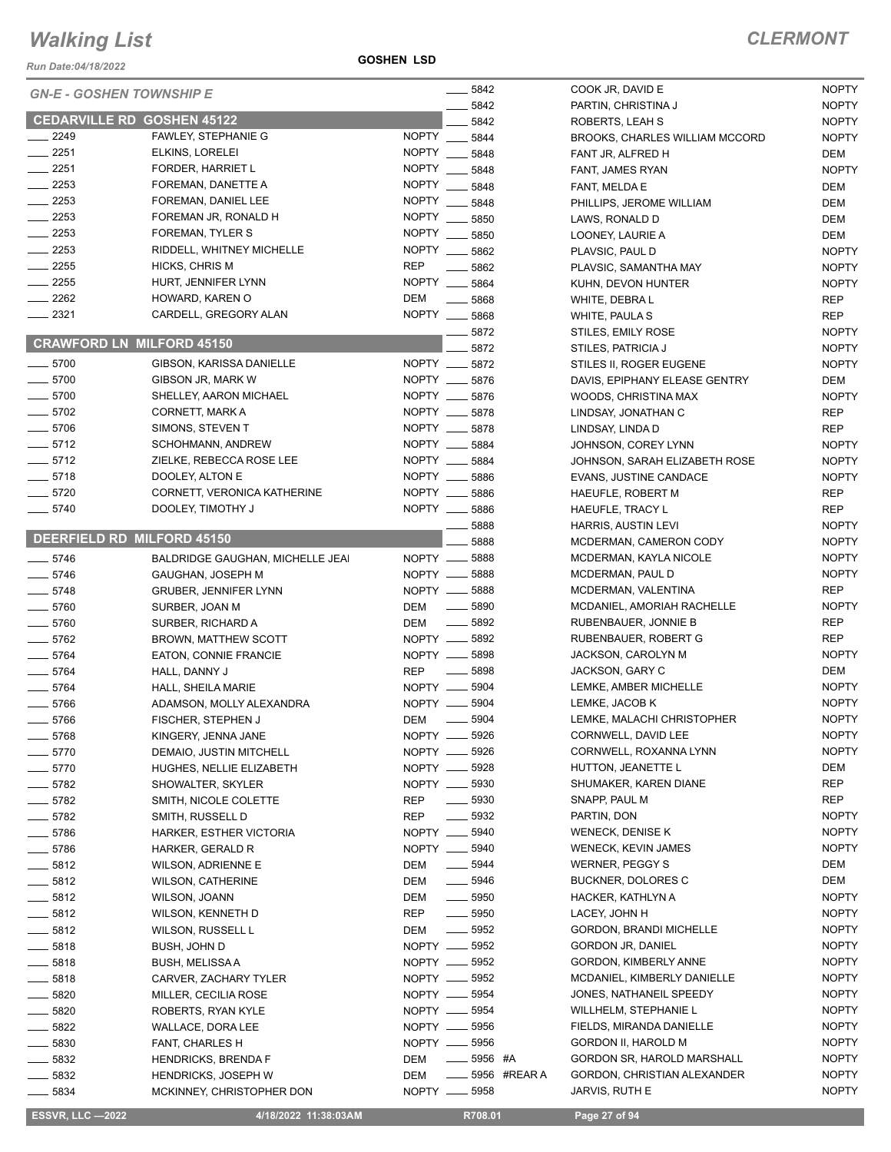*Run Date:04/18/2022*

#### **GOSHEN LSD**

|                     |                                                      | $\frac{1}{2}$ 5842               | COOK JR, DAVID E                             | <b>NOPTY</b>               |
|---------------------|------------------------------------------------------|----------------------------------|----------------------------------------------|----------------------------|
|                     | <b>GN-E - GOSHEN TOWNSHIP E</b>                      | 5842                             | PARTIN, CHRISTINA J                          | <b>NOPTY</b>               |
|                     | <b>CEDARVILLE RD GOSHEN 45122</b>                    | 5842                             | ROBERTS, LEAH S                              | <b>NOPTY</b>               |
| 2249                | FAWLEY, STEPHANIE G                                  | NOPTY __ 5844                    | <b>BROOKS, CHARLES WILLIAM MCCORD</b>        | <b>NOPTY</b>               |
| $-2251$             | ELKINS, LORELEI                                      | <b>NOPTY</b><br>5848             | FANT JR, ALFRED H                            | DEM                        |
| $-2251$             | FORDER, HARRIET L                                    | NOPTY __ 5848                    | FANT, JAMES RYAN                             | <b>NOPTY</b>               |
| 2253                | FOREMAN, DANETTE A                                   | NOPTY __ 5848                    | FANT, MELDA E                                | DEM                        |
| $-2253$             | FOREMAN, DANIEL LEE                                  | <b>NOPTY</b><br>$-5848$          | PHILLIPS, JEROME WILLIAM                     | DEM                        |
| $\sim$ 2253         | FOREMAN JR, RONALD H                                 | <b>NOPTY</b><br>5850             | LAWS, RONALD D                               | DEM                        |
| $\equiv$ 2253       | FOREMAN, TYLER S                                     | NOPTY __ 5850                    | LOONEY, LAURIE A                             | <b>DEM</b>                 |
| $-2253$             | RIDDELL, WHITNEY MICHELLE                            | NOPTY __ 5862                    | PLAVSIC, PAUL D                              | <b>NOPTY</b>               |
| $\frac{1}{2255}$    | HICKS, CHRIS M                                       | <b>REP</b><br>$-5862$            | PLAVSIC, SAMANTHA MAY                        | <b>NOPTY</b>               |
| $-2255$             | HURT, JENNIFER LYNN                                  | NOPTY __ 5864                    | KUHN, DEVON HUNTER                           | <b>NOPTY</b>               |
| $\equiv$ 2262       | HOWARD, KAREN O                                      | <b>DEM</b><br>$\frac{1}{2}$ 5868 | WHITE, DEBRAL                                | <b>REP</b>                 |
| 2321                | CARDELL, GREGORY ALAN                                | NOPTY __ 5868                    | WHITE, PAULA S                               | <b>REP</b>                 |
|                     |                                                      | 5872                             | STILES, EMILY ROSE                           | <b>NOPTY</b>               |
|                     | <b>CRAWFORD LN MILFORD 45150</b>                     | 5872                             | STILES, PATRICIA J                           | <b>NOPTY</b>               |
| $- 5700$            | GIBSON, KARISSA DANIELLE                             | NOPTY __ 5872                    | STILES II, ROGER EUGENE                      | <b>NOPTY</b>               |
| $- 5700$            | GIBSON JR, MARK W                                    | NOPTY __ 5876                    | DAVIS, EPIPHANY ELEASE GENTRY                | DEM                        |
| $\frac{1}{2}$ 5700  | SHELLEY, AARON MICHAEL                               | NOPTY __ 5876                    | WOODS, CHRISTINA MAX                         | <b>NOPTY</b>               |
| $-5702$             | CORNETT, MARK A                                      | NOPTY __ 5878                    | LINDSAY, JONATHAN C                          | <b>REP</b>                 |
| $-5706$             | SIMONS, STEVEN T                                     | NOPTY __ 5878                    | LINDSAY, LINDA D                             | <b>REP</b>                 |
| $-5712$             | <b>SCHOHMANN, ANDREW</b>                             | NOPTY __ 5884                    | JOHNSON, COREY LYNN                          | <b>NOPTY</b>               |
| $-5712$             | ZIELKE, REBECCA ROSE LEE                             | NOPTY __ 5884                    | JOHNSON, SARAH ELIZABETH ROSE                | <b>NOPTY</b>               |
| $-5718$             | DOOLEY, ALTON E                                      | NOPTY __ 5886                    | <b>EVANS, JUSTINE CANDACE</b>                | <b>NOPTY</b>               |
| $- 5720$            | CORNETT, VERONICA KATHERINE                          | NOPTY __ 5886                    | HAEUFLE, ROBERT M                            | <b>REP</b>                 |
| $- 5740$            | DOOLEY, TIMOTHY J                                    | NOPTY __ 5886                    | HAEUFLE, TRACY L                             | <b>REP</b>                 |
|                     | DEERFIELD RD MILFORD 45150                           | 5888                             | HARRIS, AUSTIN LEVI                          | <b>NOPTY</b>               |
|                     |                                                      | 5888                             | MCDERMAN, CAMERON CODY                       | <b>NOPTY</b>               |
| $-5746$             | BALDRIDGE GAUGHAN, MICHELLE JEAI                     | NOPTY __ 5888                    | MCDERMAN, KAYLA NICOLE                       | <b>NOPTY</b>               |
| $- 5746$            | GAUGHAN, JOSEPH M                                    | NOPTY __ 5888<br>NOPTY __ 5888   | MCDERMAN, PAUL D                             | <b>NOPTY</b>               |
| $-5748$             | <b>GRUBER, JENNIFER LYNN</b>                         | $\frac{1}{2}$ 5890               | MCDERMAN, VALENTINA                          | <b>REP</b><br><b>NOPTY</b> |
| $- 5760$            | SURBER, JOAN M                                       | DEM<br>DEM __ 5892               | MCDANIEL, AMORIAH RACHELLE                   | <b>REP</b>                 |
| $- 5760$<br>$-5762$ | SURBER, RICHARD A                                    | NOPTY __ 5892                    | RUBENBAUER, JONNIE B<br>RUBENBAUER, ROBERT G | <b>REP</b>                 |
| $- 5764$            | <b>BROWN, MATTHEW SCOTT</b><br>EATON, CONNIE FRANCIE | NOPTY __ 5898                    | JACKSON, CAROLYN M                           | <b>NOPTY</b>               |
| $-5764$             | HALL, DANNY J                                        | $-5898$<br><b>REP</b>            | JACKSON, GARY C                              | DEM                        |
| $- 5764$            | HALL, SHEILA MARIE                                   | NOPTY __ 5904                    | LEMKE, AMBER MICHELLE                        | <b>NOPTY</b>               |
| $- 5766$            | ADAMSON, MOLLY ALEXANDRA                             | NOPTY __ 5904                    | LEMKE, JACOB K                               | <b>NOPTY</b>               |
| 5766                | FISCHER, STEPHEN J                                   | 5904<br>DEM —                    | LEMKE, MALACHI CHRISTOPHER                   | <b>NOPTY</b>               |
| ____ 5768           | KINGERY, JENNA JANE                                  | NOPTY __ 5926                    | CORNWELL, DAVID LEE                          | <b>NOPTY</b>               |
| 5770                | DEMAIO, JUSTIN MITCHELL                              | NOPTY __ 5926                    | CORNWELL, ROXANNA LYNN                       | <b>NOPTY</b>               |
| 5770                | HUGHES, NELLIE ELIZABETH                             | NOPTY __ 5928                    | HUTTON, JEANETTE L                           | DEM                        |
| 5782                | SHOWALTER, SKYLER                                    | NOPTY __ 5930                    | SHUMAKER, KAREN DIANE                        | <b>REP</b>                 |
| $-5782$             | SMITH, NICOLE COLETTE                                | <b>REP</b><br>$\frac{1}{2}$ 5930 | SNAPP, PAUL M                                | <b>REP</b>                 |
| __ 5782             | SMITH, RUSSELL D                                     | <b>REP</b><br>$\frac{1}{2}$ 5932 | PARTIN, DON                                  | <b>NOPTY</b>               |
| __ 5786             | HARKER, ESTHER VICTORIA                              | NOPTY __ 5940                    | WENECK, DENISE K                             | <b>NOPTY</b>               |
| $- 5786$            | HARKER, GERALD R                                     | NOPTY __ 5940                    | <b>WENECK, KEVIN JAMES</b>                   | <b>NOPTY</b>               |
| $- 5812$            | WILSON, ADRIENNE E                                   | $\frac{1}{2}$ 5944<br>DEM        | <b>WERNER, PEGGY S</b>                       | DEM                        |
| $\frac{1}{2}$ 5812  | <b>WILSON, CATHERINE</b>                             | $- 5946$<br>DEM                  | <b>BUCKNER, DOLORES C</b>                    | DEM                        |
| $\frac{1}{2}$ 5812  | WILSON, JOANN                                        | $\frac{1}{2}$ 5950<br>DEM        | HACKER, KATHLYN A                            | <b>NOPTY</b>               |
| __ 5812             | WILSON, KENNETH D                                    | $\frac{1}{2}$ 5950<br>REP        | LACEY, JOHN H                                | <b>NOPTY</b>               |
| $\frac{1}{2}$ 5812  | WILSON, RUSSELL L                                    | $\frac{1}{2}$ 5952<br>DEM        | <b>GORDON, BRANDI MICHELLE</b>               | <b>NOPTY</b>               |
| $-5818$             | BUSH, JOHN D                                         | NOPTY __ 5952                    | <b>GORDON JR, DANIEL</b>                     | <b>NOPTY</b>               |
| 5818                | BUSH, MELISSA A                                      | NOPTY __ 5952                    | GORDON, KIMBERLY ANNE                        | <b>NOPTY</b>               |
| 5818                | CARVER, ZACHARY TYLER                                | NOPTY __ 5952                    | MCDANIEL, KIMBERLY DANIELLE                  | <b>NOPTY</b>               |
| - 5820              | MILLER, CECILIA ROSE                                 | NOPTY __ 5954                    | JONES, NATHANEIL SPEEDY                      | <b>NOPTY</b>               |
| $-5820$             | ROBERTS, RYAN KYLE                                   | NOPTY __ 5954                    | <b>WILLHELM, STEPHANIE L</b>                 | <b>NOPTY</b>               |
| 5822                | WALLACE, DORA LEE                                    | NOPTY __ 5956                    | FIELDS, MIRANDA DANIELLE                     | <b>NOPTY</b>               |
| 5830                | FANT, CHARLES H                                      | NOPTY __ 5956                    | GORDON II, HAROLD M                          | <b>NOPTY</b>               |
| 5832                | <b>HENDRICKS, BRENDA F</b>                           | $\frac{1}{2}$ 5956 #A<br>DEM     | GORDON SR, HAROLD MARSHALL                   | <b>NOPTY</b>               |
| 5832                | <b>HENDRICKS, JOSEPH W</b>                           | <b>LEGGIO #REAR A</b><br>DEM     | GORDON, CHRISTIAN ALEXANDER                  | <b>NOPTY</b>               |
| 5834                | MCKINNEY, CHRISTOPHER DON                            | NOPTY __ 5958                    | JARVIS, RUTH E                               | <b>NOPTY</b>               |

 **ESSVR, LLC —2022 4/18/2022 11:38:03AM R708.01 Page 27 of 94**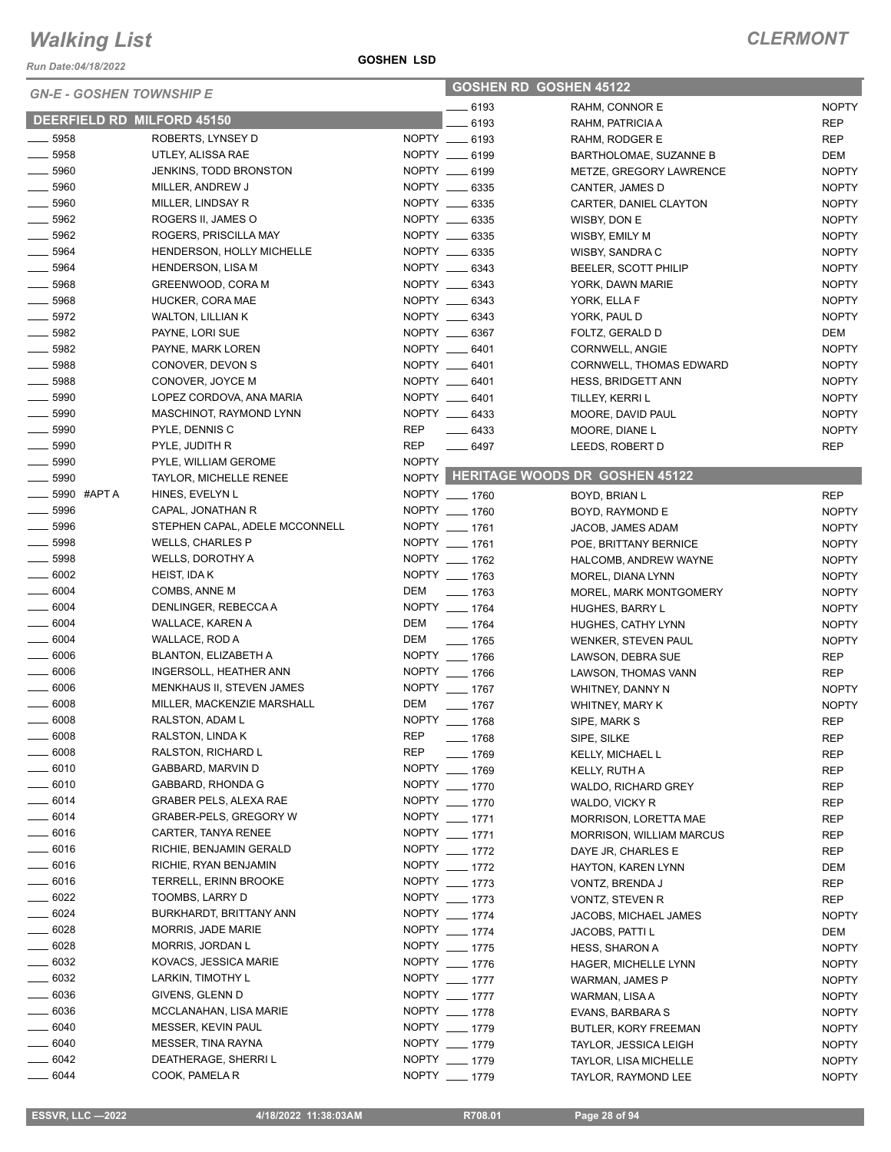*Run Date:04/18/2022*

#### **GOSHEN LSD**

| <b>GN-E - GOSHEN TOWNSHIP E</b>  |                            |                                          | <b>GOSHEN RD GOSHEN 45122</b> |                                |                                      |              |
|----------------------------------|----------------------------|------------------------------------------|-------------------------------|--------------------------------|--------------------------------------|--------------|
|                                  |                            |                                          |                               | $- 6193$                       | RAHM, CONNOR E                       | <b>NOPTY</b> |
|                                  | DEERFIELD RD MILFORD 45150 |                                          |                               | 6193                           | RAHM, PATRICIA A                     | <b>REP</b>   |
| $- 5958$                         |                            | ROBERTS, LYNSEY D                        |                               | NOPTY __ 6193                  | RAHM, RODGER E                       | <b>REP</b>   |
| $\frac{1}{2}$ 5958               |                            | UTLEY, ALISSA RAE                        |                               | NOPTY __ 6199                  | BARTHOLOMAE, SUZANNE B               | DEM          |
| $\frac{1}{2}$ 5960               |                            | <b>JENKINS, TODD BRONSTON</b>            |                               | NOPTY __ 6199                  | METZE, GREGORY LAWRENCE              | <b>NOPTY</b> |
| $-5960$                          |                            | MILLER, ANDREW J                         |                               | NOPTY __ 6335                  | CANTER, JAMES D                      | <b>NOPTY</b> |
| $\frac{1}{2}$ 5960               |                            | MILLER, LINDSAY R                        |                               | NOPTY __ 6335                  | CARTER, DANIEL CLAYTON               | <b>NOPTY</b> |
| $\frac{1}{2}$ 5962               |                            | ROGERS II, JAMES O                       |                               | NOPTY __ 6335                  | WISBY, DON E                         | <b>NOPTY</b> |
| $- 5962$                         |                            | ROGERS, PRISCILLA MAY                    |                               | NOPTY __ 6335                  | WISBY, EMILY M                       | <b>NOPTY</b> |
| $-5964$                          |                            | HENDERSON, HOLLY MICHELLE                |                               | NOPTY __ 6335                  | WISBY, SANDRA C                      | <b>NOPTY</b> |
| $- 5964$                         |                            | <b>HENDERSON, LISA M</b>                 |                               | NOPTY __ 6343                  | BEELER, SCOTT PHILIP                 | <b>NOPTY</b> |
| $- 5968$                         |                            | GREENWOOD, CORA M                        |                               | NOPTY __ 6343                  | YORK, DAWN MARIE                     | <b>NOPTY</b> |
| $\frac{1}{2}$ 5968               |                            | HUCKER, CORA MAE                         |                               | NOPTY __ 6343                  | YORK, ELLA F                         | <b>NOPTY</b> |
| $- 5972$                         |                            | <b>WALTON, LILLIAN K</b>                 |                               | NOPTY __ 6343                  | YORK, PAUL D                         | <b>NOPTY</b> |
| 5982                             |                            | PAYNE, LORI SUE                          |                               | NOPTY __ 6367                  | FOLTZ, GERALD D                      | DEM          |
| $- 5982$                         |                            | PAYNE, MARK LOREN                        |                               | NOPTY __ 6401                  | CORNWELL, ANGIE                      | <b>NOPTY</b> |
| $- 5988$                         |                            | CONOVER, DEVON S                         |                               | NOPTY __ 6401                  | <b>CORNWELL, THOMAS EDWARD</b>       | <b>NOPTY</b> |
| $- 5988$                         |                            | CONOVER, JOYCE M                         |                               | NOPTY __ 6401                  | <b>HESS, BRIDGETT ANN</b>            | <b>NOPTY</b> |
| 5990                             |                            | LOPEZ CORDOVA, ANA MARIA                 |                               | NOPTY __ 6401                  | TILLEY, KERRI L                      | <b>NOPTY</b> |
| $\frac{1}{2}$ 5990               |                            | MASCHINOT, RAYMOND LYNN                  |                               | NOPTY __ 6433                  | MOORE, DAVID PAUL                    | <b>NOPTY</b> |
| $\frac{1}{2}$ 5990               |                            | PYLE, DENNIS C                           | REP                           | $- 6433$                       | MOORE, DIANE L                       | <b>NOPTY</b> |
| $- 5990$                         |                            | PYLE, JUDITH R                           | <b>REP</b>                    | $- 6497$                       | LEEDS, ROBERT D                      | <b>REP</b>   |
| $- 5990$                         |                            | PYLE, WILLIAM GEROME                     | <b>NOPTY</b>                  |                                |                                      |              |
| $\frac{1}{2}$ 5990               |                            | <b>TAYLOR, MICHELLE RENEE</b>            |                               |                                | NOPTY HERITAGE WOODS DR GOSHEN 45122 |              |
|                                  | 5990 #APT A                | HINES, EVELYN L                          |                               | NOPTY __ 1760                  | BOYD, BRIAN L                        | <b>REP</b>   |
| $- 5996$                         |                            | CAPAL, JONATHAN R                        |                               | NOPTY __ 1760                  | BOYD, RAYMOND E                      | <b>NOPTY</b> |
| 5996<br>$\frac{1}{2}$            |                            | STEPHEN CAPAL, ADELE MCCONNELL           |                               | NOPTY __ 1761                  | JACOB, JAMES ADAM                    | <b>NOPTY</b> |
| 5998                             |                            | <b>WELLS, CHARLES P</b>                  |                               | NOPTY __ 1761                  | POE, BRITTANY BERNICE                | <b>NOPTY</b> |
| $-5998$                          |                            | WELLS, DOROTHY A                         |                               | NOPTY __ 1762                  | HALCOMB, ANDREW WAYNE                | <b>NOPTY</b> |
| $- 6002$                         |                            | HEIST, IDA K                             |                               | NOPTY __ 1763                  | MOREL, DIANA LYNN                    | <b>NOPTY</b> |
| $\frac{1}{2}$ 6004               |                            | COMBS, ANNE M                            | DEM                           | $- 1763$                       | MOREL, MARK MONTGOMERY               | <b>NOPTY</b> |
| $- 6004$                         |                            | DENLINGER, REBECCA A                     |                               | NOPTY __ 1764                  | <b>HUGHES, BARRY L</b>               | <b>NOPTY</b> |
| $\frac{1}{2}$ 6004               |                            | WALLACE, KAREN A                         | DEM                           | $- 1764$                       | HUGHES, CATHY LYNN                   | <b>NOPTY</b> |
| $- 6004$                         |                            | WALLACE, ROD A                           | DEM                           | $- 1765$                       | WENKER, STEVEN PAUL                  | <b>NOPTY</b> |
| $- 6006$                         |                            | BLANTON, ELIZABETH A                     |                               | NOPTY __ 1766                  | LAWSON, DEBRA SUE                    | <b>REP</b>   |
| $\frac{1}{2}$ 6006               |                            | INGERSOLL, HEATHER ANN                   |                               | NOPTY __ 1766                  | LAWSON, THOMAS VANN                  | <b>REP</b>   |
| $\frac{1}{2}$ 6006               |                            | MENKHAUS II, STEVEN JAMES                |                               | NOPTY __ 1767                  | WHITNEY, DANNY N                     | <b>NOPTY</b> |
| $- 6008$                         |                            | MILLER, MACKENZIE MARSHALL               | DEM                           | $- 1767$                       | WHITNEY, MARY K                      | <b>NOPTY</b> |
| $\frac{1}{2}$ 6008               |                            | RALSTON, ADAM L                          |                               | NOPTY __ 1768                  | SIPE, MARK S                         | <b>REP</b>   |
| 6008                             |                            | RALSTON, LINDA K                         | <b>REP</b>                    | $- 1768$                       | SIPE, SILKE                          | <b>REP</b>   |
| $\frac{1}{2}$ 6008               |                            | RALSTON, RICHARD L                       | REP                           | $- 1769$                       | <b>KELLY, MICHAEL L</b>              | <b>REP</b>   |
| $\frac{1}{2}$ 6010               |                            | GABBARD, MARVIN D                        |                               | NOPTY __ 1769                  | KELLY, RUTH A                        | <b>REP</b>   |
| $- 6010$                         |                            | GABBARD, RHONDA G                        |                               | NOPTY __ 1770                  | WALDO, RICHARD GREY                  | REP          |
| $- 6014$                         |                            | <b>GRABER PELS, ALEXA RAE</b>            |                               | NOPTY __ 1770                  | WALDO, VICKY R                       | <b>REP</b>   |
| $- 6014$                         |                            | GRABER-PELS, GREGORY W                   |                               | NOPTY __ 1771                  | MORRISON, LORETTA MAE                | REP          |
| $- 6016$                         |                            | <b>CARTER, TANYA RENEE</b>               |                               | NOPTY __ 1771                  | <b>MORRISON, WILLIAM MARCUS</b>      | REP          |
| $- 6016$                         |                            | RICHIE, BENJAMIN GERALD                  |                               | NOPTY __ 1772                  | DAYE JR, CHARLES E                   | REP          |
| $\frac{1}{2}$ 6016               |                            | RICHIE, RYAN BENJAMIN                    |                               | NOPTY __ 1772                  | HAYTON, KAREN LYNN                   | DEM          |
| $- 6016$                         |                            | TERRELL, ERINN BROOKE                    |                               | NOPTY __ 1773                  | VONTZ, BRENDA J                      | REP          |
| $- 6022$                         |                            | TOOMBS, LARRY D                          |                               | NOPTY __ 1773                  | VONTZ, STEVEN R                      | <b>REP</b>   |
| $- 6024$                         |                            | BURKHARDT, BRITTANY ANN                  |                               | NOPTY __ 1774                  | JACOBS, MICHAEL JAMES                | <b>NOPTY</b> |
| $\frac{1}{2}6028$                |                            | MORRIS, JADE MARIE                       |                               | NOPTY __ 1774                  | JACOBS, PATTI L                      | DEM          |
| $- 6028$                         |                            | MORRIS, JORDAN L                         |                               | NOPTY __ 1775                  | <b>HESS, SHARON A</b>                | <b>NOPTY</b> |
| $\frac{1}{2}$ 6032               |                            | KOVACS, JESSICA MARIE                    |                               | NOPTY __ 1776                  | HAGER, MICHELLE LYNN                 | <b>NOPTY</b> |
| $\frac{1}{2}$ 6032               |                            | LARKIN, TIMOTHY L                        |                               | NOPTY __ 1777                  | WARMAN, JAMES P                      | <b>NOPTY</b> |
| $\_\_6036$<br>$\frac{1}{2}$ 6036 |                            | GIVENS, GLENN D                          |                               | NOPTY __ 1777<br>NOPTY __ 1778 | WARMAN, LISA A                       | <b>NOPTY</b> |
|                                  |                            | MCCLANAHAN, LISA MARIE                   |                               | NOPTY __ 1779                  | EVANS, BARBARA S                     | <b>NOPTY</b> |
| $- 6040$<br>$- 6040$             |                            | MESSER, KEVIN PAUL<br>MESSER, TINA RAYNA |                               | NOPTY __ 1779                  | <b>BUTLER, KORY FREEMAN</b>          | <b>NOPTY</b> |
| $- 6042$                         |                            |                                          |                               | NOPTY __ 1779                  | TAYLOR, JESSICA LEIGH                | <b>NOPTY</b> |
|                                  |                            | DEATHERAGE, SHERRI L                     |                               |                                | TAYLOR, LISA MICHELLE                | <b>NOPTY</b> |
| $- 6044$                         |                            | COOK, PAMELA R                           |                               | NOPTY __ 1779                  | TAYLOR, RAYMOND LEE                  | <b>NOPTY</b> |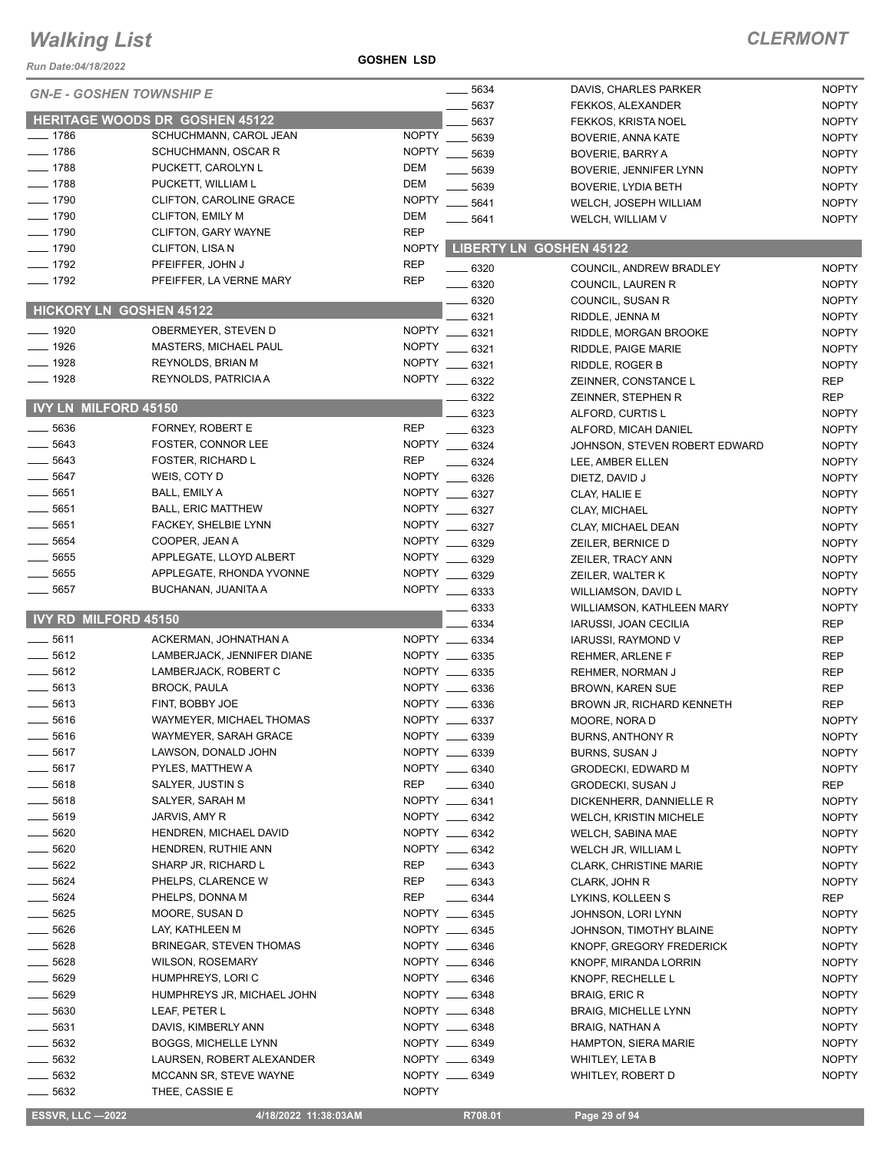#### **GOSHEN LSD**

| Run Date:04/18/2022             |                                                  | <b>GOSHEN LSD</b>            |                                |                                             |                              |
|---------------------------------|--------------------------------------------------|------------------------------|--------------------------------|---------------------------------------------|------------------------------|
| <b>GN-E - GOSHEN TOWNSHIP E</b> |                                                  |                              | $-5634$                        | DAVIS, CHARLES PARKER                       | <b>NOPTY</b>                 |
|                                 |                                                  |                              | 5637                           | FEKKOS, ALEXANDER                           | <b>NOPTY</b>                 |
|                                 | <b>HERITAGE WOODS DR GOSHEN 45122</b>            |                              | 5637                           | FEKKOS, KRISTA NOEL                         | <b>NOPTY</b>                 |
| $-1786$                         | SCHUCHMANN, CAROL JEAN                           | <b>NOPTY</b>                 | 5639                           | BOVERIE, ANNA KATE                          | <b>NOPTY</b>                 |
| $-1786$                         | SCHUCHMANN, OSCAR R                              | <b>NOPTY</b>                 | 5639                           | <b>BOVERIE, BARRY A</b>                     | <b>NOPTY</b>                 |
| $-1788$                         | PUCKETT, CAROLYN L                               | <b>DEM</b>                   | 5639                           | BOVERIE, JENNIFER LYNN                      | <b>NOPTY</b>                 |
| $-1788$                         | PUCKETT, WILLIAM L                               | <b>DEM</b>                   | 5639                           | <b>BOVERIE, LYDIA BETH</b>                  | <b>NOPTY</b>                 |
| $-1790$                         | CLIFTON, CAROLINE GRACE                          | <b>NOPTY</b>                 | 5641                           | WELCH, JOSEPH WILLIAM                       | <b>NOPTY</b>                 |
| $- 1790$                        | <b>CLIFTON, EMILY M</b>                          | <b>DEM</b>                   | 5641                           | WELCH, WILLIAM V                            | <b>NOPTY</b>                 |
| $- 1790$                        | CLIFTON, GARY WAYNE                              | <b>REP</b>                   |                                |                                             |                              |
| $- 1790$                        | CLIFTON, LISA N                                  | <b>NOPTY</b>                 |                                | <b>LIBERTY LN GOSHEN 45122</b>              |                              |
| $-1792$                         | PFEIFFER, JOHN J                                 | <b>REP</b>                   | 6320                           | COUNCIL, ANDREW BRADLEY                     | <b>NOPTY</b>                 |
| $-1792$                         | PFEIFFER, LA VERNE MARY                          | <b>REP</b>                   | 6320                           | COUNCIL, LAUREN R                           | <b>NOPTY</b>                 |
| <b>HICKORY LN GOSHEN 45122</b>  |                                                  |                              | 6320                           | COUNCIL, SUSAN R                            | <b>NOPTY</b>                 |
|                                 |                                                  |                              | 6321                           | RIDDLE, JENNA M                             | <b>NOPTY</b>                 |
| $- 1920$                        | OBERMEYER, STEVEN D                              | <b>NOPTY</b>                 | 6321                           | RIDDLE, MORGAN BROOKE                       | <b>NOPTY</b>                 |
| $- 1926$<br>$-1928$             | MASTERS, MICHAEL PAUL                            | <b>NOPTY</b>                 | 6321                           | RIDDLE, PAIGE MARIE                         | <b>NOPTY</b>                 |
| 1928                            | <b>REYNOLDS, BRIAN M</b><br>REYNOLDS, PATRICIA A | <b>NOPTY</b><br><b>NOPTY</b> | 6321                           | RIDDLE, ROGER B                             | <b>NOPTY</b>                 |
|                                 |                                                  |                              | 6322                           | ZEINNER, CONSTANCE L                        | <b>REP</b>                   |
| <b>IVY LN MILFORD 45150</b>     |                                                  |                              | 6322                           | ZEINNER, STEPHEN R                          | <b>REP</b>                   |
| 5636                            | FORNEY, ROBERT E                                 | <b>REP</b>                   | 6323<br>6323                   | ALFORD, CURTIS L<br>ALFORD, MICAH DANIEL    | <b>NOPTY</b><br><b>NOPTY</b> |
| $- 5643$                        | FOSTER, CONNOR LEE                               |                              | NOPTY __ 6324                  | JOHNSON, STEVEN ROBERT EDWARD               | <b>NOPTY</b>                 |
| 5643                            | <b>FOSTER, RICHARD L</b>                         | <b>REP</b>                   | 6324                           | LEE, AMBER ELLEN                            | <b>NOPTY</b>                 |
| 5647                            | WEIS, COTY D                                     |                              | NOPTY __ 6326                  | DIETZ, DAVID J                              | <b>NOPTY</b>                 |
| 5651                            | BALL, EMILY A                                    |                              | NOPTY __ 6327                  | CLAY, HALIE E                               | <b>NOPTY</b>                 |
| 5651                            | <b>BALL, ERIC MATTHEW</b>                        | NOPTY ___                    | 6327                           | <b>CLAY, MICHAEL</b>                        | <b>NOPTY</b>                 |
| 5651                            | FACKEY, SHELBIE LYNN                             |                              | NOPTY __ 6327                  | CLAY, MICHAEL DEAN                          | <b>NOPTY</b>                 |
| 5654                            | COOPER, JEAN A                                   | NOPTY                        | 6329                           | ZEILER, BERNICE D                           | <b>NOPTY</b>                 |
| 5655                            | APPLEGATE, LLOYD ALBERT                          |                              | NOPTY __ 6329                  | ZEILER, TRACY ANN                           | <b>NOPTY</b>                 |
| 5655                            | APPLEGATE, RHONDA YVONNE                         |                              | NOPTY __ 6329                  | ZEILER, WALTER K                            | <b>NOPTY</b>                 |
| 5657                            | BUCHANAN, JUANITA A                              |                              | NOPTY __ 6333                  | WILLIAMSON, DAVID L                         | <b>NOPTY</b>                 |
|                                 |                                                  |                              | 6333                           | WILLIAMSON, KATHLEEN MARY                   | <b>NOPTY</b>                 |
| <b>IVY RD MILFORD 45150</b>     |                                                  |                              | 6334                           | IARUSSI, JOAN CECILIA                       | <b>REP</b>                   |
| 5611                            | ACKERMAN, JOHNATHAN A                            |                              | NOPTY __ 6334                  | IARUSSI, RAYMOND V                          | <b>REP</b>                   |
| 5612                            | LAMBERJACK, JENNIFER DIANE                       |                              | NOPTY __ 6335                  | REHMER, ARLENE F                            | <b>REP</b>                   |
| 5612                            | LAMBERJACK, ROBERT C                             | NOPTY __                     | 6335                           | REHMER, NORMAN J                            | <b>REP</b>                   |
| $\frac{1}{2}$ 5613              | <b>BROCK, PAULA</b>                              |                              | NOPTY __ 6336                  | BROWN, KAREN SUE                            | <b>REP</b>                   |
| 5613                            | FINT, BOBBY JOE                                  |                              | NOPTY __ 6336                  | BROWN JR, RICHARD KENNETH                   | <b>REP</b>                   |
| 5616                            | WAYMEYER, MICHAEL THOMAS                         |                              | NOPTY __ 6337                  | MOORE, NORA D                               | <b>NOPTY</b>                 |
| 5616                            | WAYMEYER, SARAH GRACE                            |                              | NOPTY __ 6339<br>NOPTY __ 6339 | BURNS, ANTHONY R                            | <b>NOPTY</b>                 |
| 5617<br>__ 5617                 | LAWSON, DONALD JOHN                              |                              | NOPTY __ 6340                  | <b>BURNS, SUSAN J</b><br>GRODECKI, EDWARD M | <b>NOPTY</b>                 |
| $-5618$                         | PYLES, MATTHEW A<br>SALYER, JUSTIN S             | <b>REP</b>                   | $- 6340$                       | GRODECKI, SUSAN J                           | <b>NOPTY</b><br>REP          |
| 5618                            | SALYER, SARAH M                                  |                              | NOPTY __ 6341                  | DICKENHERR, DANNIELLE R                     | <b>NOPTY</b>                 |
| 5619                            | JARVIS, AMY R                                    |                              | NOPTY __ 6342                  | <b>WELCH, KRISTIN MICHELE</b>               | <b>NOPTY</b>                 |
| 5620                            | HENDREN, MICHAEL DAVID                           |                              | NOPTY __ 6342                  | WELCH, SABINA MAE                           | <b>NOPTY</b>                 |
| $-5620$                         | HENDREN, RUTHIE ANN                              |                              | NOPTY __ 6342                  | WELCH JR, WILLIAM L                         | <b>NOPTY</b>                 |
| $- 5622$                        | SHARP JR, RICHARD L                              | REP                          | $- 6343$                       | <b>CLARK, CHRISTINE MARIE</b>               | <b>NOPTY</b>                 |
| 5624                            | PHELPS, CLARENCE W                               | REP                          | $- 6343$                       | CLARK, JOHN R                               | <b>NOPTY</b>                 |
| 5624                            | PHELPS, DONNA M                                  | <b>REP</b>                   | $- 6344$                       | LYKINS, KOLLEEN S                           | REP                          |
| 5625                            | MOORE, SUSAN D                                   |                              | NOPTY __ 6345                  | JOHNSON, LORI LYNN                          | <b>NOPTY</b>                 |
| 5626                            | LAY, KATHLEEN M                                  |                              | NOPTY __ 6345                  | JOHNSON, TIMOTHY BLAINE                     | <b>NOPTY</b>                 |
| 5628                            | <b>BRINEGAR, STEVEN THOMAS</b>                   |                              | NOPTY __ 6346                  | KNOPF, GREGORY FREDERICK                    | <b>NOPTY</b>                 |
| 5628                            | <b>WILSON, ROSEMARY</b>                          |                              | NOPTY __ 6346                  | KNOPF, MIRANDA LORRIN                       | <b>NOPTY</b>                 |
| 5629                            | HUMPHREYS, LORIC                                 |                              | NOPTY __ 6346                  | KNOPF, RECHELLE L                           | <b>NOPTY</b>                 |
| 5629                            | HUMPHREYS JR, MICHAEL JOHN                       |                              | NOPTY __ 6348                  | <b>BRAIG, ERIC R</b>                        | <b>NOPTY</b>                 |
| __ 5630                         | LEAF, PETER L                                    |                              | NOPTY __ 6348                  | <b>BRAIG, MICHELLE LYNN</b>                 | <b>NOPTY</b>                 |
| 5631                            | DAVIS, KIMBERLY ANN                              |                              | NOPTY __ 6348                  | BRAIG, NATHAN A                             | <b>NOPTY</b>                 |
| 5632                            | BOGGS, MICHELLE LYNN                             |                              | NOPTY __ 6349                  | HAMPTON, SIERA MARIE                        | <b>NOPTY</b>                 |
| $-5632$                         | LAURSEN, ROBERT ALEXANDER                        |                              | NOPTY __ 6349                  | <b>WHITLEY, LETA B</b>                      | <b>NOPTY</b>                 |
| 5632                            | MCCANN SR, STEVE WAYNE                           |                              | NOPTY __ 6349                  | WHITLEY, ROBERT D                           | <b>NOPTY</b>                 |
| __ 5632                         | THEE, CASSIE E                                   | <b>NOPTY</b>                 |                                |                                             |                              |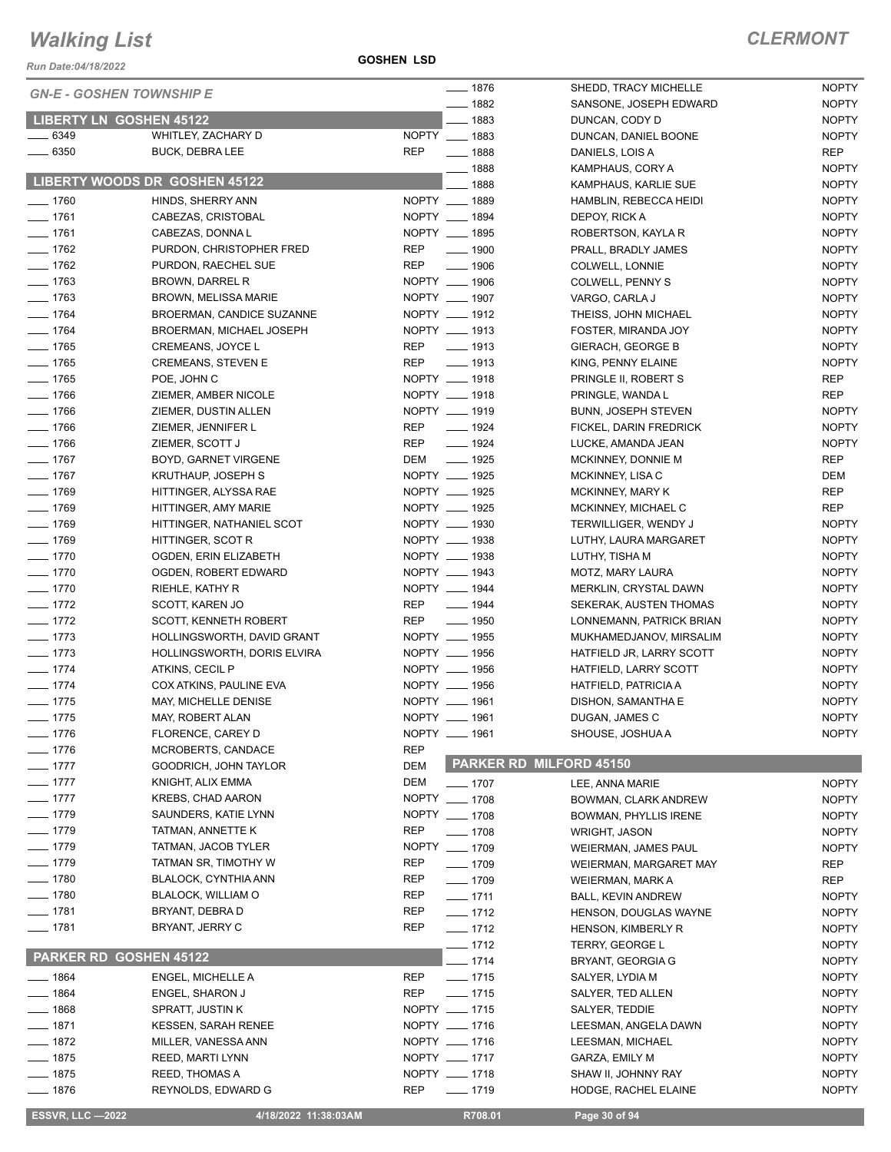*Run Date:04/18/2022*

NOPTY

|                      | <b>GN-E - GOSHEN TOWNSHIP E</b>               | $- 1876$                         | SHEDD, TRACY MICHELLE                         | <b>NOPTY</b>                 |
|----------------------|-----------------------------------------------|----------------------------------|-----------------------------------------------|------------------------------|
|                      |                                               | $- 1882$                         | SANSONE, JOSEPH EDWARD                        | <b>NOPTY</b>                 |
|                      | <b>LIBERTY LN GOSHEN 45122</b>                | 1883                             | DUNCAN, CODY D                                | <b>NOPTY</b>                 |
| $- 6349$             | WHITLEY, ZACHARY D                            | NOPTY __ 1883                    | DUNCAN, DANIEL BOONE                          | <b>NOPTY</b>                 |
| $- 6350$             | <b>BUCK, DEBRA LEE</b>                        | <b>REP</b><br>$\frac{1}{2}$ 1888 | DANIELS, LOIS A                               | <b>REP</b>                   |
|                      |                                               | $- 1888$                         | KAMPHAUS, CORY A                              | <b>NOPTY</b>                 |
|                      | LIBERTY WOODS DR GOSHEN 45122                 | 1888                             | KAMPHAUS, KARLIE SUE                          | <b>NOPTY</b>                 |
| $- 1760$             | HINDS, SHERRY ANN                             | NOPTY __ 1889                    | HAMBLIN, REBECCA HEIDI                        | <b>NOPTY</b>                 |
| $- 1761$             | CABEZAS, CRISTOBAL                            | NOPTY __ 1894                    | DEPOY, RICK A                                 | <b>NOPTY</b>                 |
| $- 1761$             | CABEZAS, DONNA L                              | NOPTY __ 1895                    | ROBERTSON, KAYLA R                            | <b>NOPTY</b>                 |
| $- 1762$             | PURDON, CHRISTOPHER FRED                      | $\frac{1}{2}$ 1900<br>REP        | PRALL, BRADLY JAMES                           | <b>NOPTY</b>                 |
| $- 1762$             | PURDON, RAECHEL SUE                           | <b>REP</b><br>$\frac{1}{2}$ 1906 | COLWELL, LONNIE                               | <b>NOPTY</b>                 |
| $- 1763$             | <b>BROWN, DARREL R</b>                        | NOPTY __ 1906                    | COLWELL, PENNY S                              | <b>NOPTY</b>                 |
| $- 1763$             | <b>BROWN, MELISSA MARIE</b>                   | NOPTY __ 1907                    | VARGO, CARLA J                                | <b>NOPTY</b>                 |
| $- 1764$             | <b>BROERMAN, CANDICE SUZANNE</b>              | NOPTY __ 1912                    | THEISS, JOHN MICHAEL                          | <b>NOPTY</b>                 |
| $- 1764$             | BROERMAN, MICHAEL JOSEPH                      | NOPTY __ 1913                    | FOSTER, MIRANDA JOY                           | <b>NOPTY</b>                 |
| $- 1765$             | CREMEANS, JOYCE L                             | <b>REP</b><br>$\frac{1}{2}$ 1913 | <b>GIERACH, GEORGE B</b>                      | <b>NOPTY</b>                 |
| $- 1765$             | <b>CREMEANS, STEVEN E</b>                     | $- 1913$<br><b>REP</b>           | KING, PENNY ELAINE                            | <b>NOPTY</b>                 |
| $- 1765$             | POE, JOHN C                                   | NOPTY __ 1918                    | PRINGLE II, ROBERT S                          | <b>REP</b>                   |
| $- 1766$             | ZIEMER, AMBER NICOLE                          | NOPTY __ 1918                    | PRINGLE, WANDA L                              | REP                          |
| $- 1766$             | ZIEMER, DUSTIN ALLEN                          | NOPTY __ 1919                    | BUNN, JOSEPH STEVEN                           | <b>NOPTY</b>                 |
| $- 1766$             | ZIEMER, JENNIFER L                            | <b>REP</b><br>$- 1924$           | FICKEL, DARIN FREDRICK                        | <b>NOPTY</b>                 |
| $- 1766$             | ZIEMER, SCOTT J                               | REP<br>$- 1924$                  | LUCKE, AMANDA JEAN                            | <b>NOPTY</b>                 |
| $- 1767$             | BOYD, GARNET VIRGENE                          | DEM __ 1925                      | MCKINNEY, DONNIE M                            | REP                          |
| $- 1767$             | <b>KRUTHAUP, JOSEPH S</b>                     | NOPTY __ 1925                    | MCKINNEY, LISA C                              | DEM                          |
| $- 1769$             | HITTINGER, ALYSSA RAE                         | NOPTY __ 1925                    | <b>MCKINNEY, MARY K</b>                       | <b>REP</b>                   |
| $- 1769$             | HITTINGER, AMY MARIE                          | NOPTY __ 1925                    | MCKINNEY, MICHAEL C                           | REP                          |
| $- 1769$             | HITTINGER, NATHANIEL SCOT                     | NOPTY __ 1930                    | TERWILLIGER, WENDY J                          | <b>NOPTY</b>                 |
| $- 1769$             | HITTINGER, SCOT R                             | NOPTY __ 1938                    | LUTHY, LAURA MARGARET                         | <b>NOPTY</b>                 |
| $- 1770$             | OGDEN, ERIN ELIZABETH                         | NOPTY __ 1938                    | LUTHY, TISHA M                                | <b>NOPTY</b>                 |
| $- 1770$             | OGDEN, ROBERT EDWARD                          | NOPTY __ 1943                    | MOTZ, MARY LAURA                              | <b>NOPTY</b>                 |
| $- 1770$             | RIEHLE, KATHY R                               | NOPTY __ 1944                    | MERKLIN, CRYSTAL DAWN                         | <b>NOPTY</b>                 |
| $- 1772$             | SCOTT, KAREN JO                               | <b>REP</b><br>$\frac{1}{2}$ 1944 | SEKERAK, AUSTEN THOMAS                        | <b>NOPTY</b>                 |
| $- 1772$             | SCOTT, KENNETH ROBERT                         | REP __ 1950                      | LONNEMANN, PATRICK BRIAN                      | <b>NOPTY</b>                 |
| $- 1773$             | HOLLINGSWORTH, DAVID GRANT                    | NOPTY __ 1955                    | MUKHAMEDJANOV, MIRSALIM                       | <b>NOPTY</b>                 |
| $- 1773$             | HOLLINGSWORTH, DORIS ELVIRA                   | NOPTY __ 1956<br>NOPTY __ 1956   | HATFIELD JR, LARRY SCOTT                      | <b>NOPTY</b>                 |
| $- 1774$             | ATKINS, CECIL P                               | NOPTY __ 1956                    | HATFIELD, LARRY SCOTT                         | <b>NOPTY</b>                 |
| $- 1774$<br>$- 1775$ | COX ATKINS, PAULINE EVA                       | NOPTY __ 1961                    | HATFIELD, PATRICIA A                          | <b>NOPTY</b><br><b>NOPTY</b> |
| $- 1775$             | MAY, MICHELLE DENISE                          | NOPTY __ 1961                    | DISHON, SAMANTHA E                            | <b>NOPTY</b>                 |
|                      | MAY, ROBERT ALAN                              | NOPTY __ 1961                    | DUGAN, JAMES C                                |                              |
| $- 1776$             | FLORENCE, CAREY D                             | <b>REP</b>                       | SHOUSE, JOSHUA A                              | <b>NOPTY</b>                 |
| $- 1776$             | MCROBERTS, CANDACE<br>GOODRICH, JOHN TAYLOR   | <b>DEM</b>                       | PARKER RD MILFORD 45150                       |                              |
| $- 1777$<br>$- 1777$ |                                               | <b>DEM</b>                       |                                               |                              |
| $- 1777$             | KNIGHT, ALIX EMMA<br><b>KREBS, CHAD AARON</b> | $- 1707$<br>NOPTY __ 1708        | LEE, ANNA MARIE                               | <b>NOPTY</b>                 |
| $- 1779$             | SAUNDERS, KATIE LYNN                          | NOPTY __ 1708                    | BOWMAN, CLARK ANDREW                          | <b>NOPTY</b>                 |
| $- 1779$             | TATMAN, ANNETTE K                             | REP<br>$- 1708$                  | <b>BOWMAN, PHYLLIS IRENE</b>                  | <b>NOPTY</b>                 |
| $- 1779$             | TATMAN, JACOB TYLER                           | NOPTY __ 1709                    | <b>WRIGHT, JASON</b>                          | <b>NOPTY</b>                 |
| $-1779$              | TATMAN SR, TIMOTHY W                          | REP<br>$- 1709$                  | WEIERMAN, JAMES PAUL                          | <b>NOPTY</b>                 |
| $-1780$              | <b>BLALOCK, CYNTHIA ANN</b>                   | REP<br>$- 1709$                  | WEIERMAN, MARGARET MAY                        | REP<br>REP                   |
| $- 1780$             | <b>BLALOCK, WILLIAM O</b>                     | REP<br>$- 1711$                  | WEIERMAN, MARK A<br><b>BALL, KEVIN ANDREW</b> |                              |
| $- 1781$             | BRYANT, DEBRA D                               | REP<br>$-1712$                   | HENSON, DOUGLAS WAYNE                         | <b>NOPTY</b><br><b>NOPTY</b> |
| $- 1781$             | BRYANT, JERRY C                               | REP<br>$- 1712$                  | HENSON, KIMBERLY R                            | <b>NOPTY</b>                 |
|                      |                                               | $- 1712$                         | TERRY, GEORGE L                               | <b>NOPTY</b>                 |
|                      | <b>PARKER RD GOSHEN 45122</b>                 | $- 1714$                         | BRYANT, GEORGIA G                             | <b>NOPTY</b>                 |
| $- 1864$             | ENGEL, MICHELLE A                             | REP<br>$- 1715$                  | SALYER, LYDIA M                               | <b>NOPTY</b>                 |
| $- 1864$             | ENGEL, SHARON J                               | REP<br>$- 1715$                  | SALYER, TED ALLEN                             | <b>NOPTY</b>                 |
| $-1868$              | SPRATT, JUSTIN K                              | NOPTY __ 1715                    | SALYER, TEDDIE                                | <b>NOPTY</b>                 |
| $- 1871$             | <b>KESSEN, SARAH RENEE</b>                    | NOPTY __ 1716                    | LEESMAN, ANGELA DAWN                          | <b>NOPTY</b>                 |
| $- 1872$             | MILLER, VANESSA ANN                           | NOPTY __ 1716                    | LEESMAN, MICHAEL                              | <b>NOPTY</b>                 |
| $- 1875$             | <b>REED, MARTI LYNN</b>                       | NOPTY __ 1717                    | GARZA, EMILY M                                | <b>NOPTY</b>                 |
| $- 1875$             | REED, THOMAS A                                | NOPTY __ 1718                    | SHAW II, JOHNNY RAY                           | <b>NOPTY</b>                 |
| $-1876$              | REYNOLDS, EDWARD G                            | <b>REP</b><br>$- 1719$           | HODGE, RACHEL ELAINE                          | <b>NOPTY</b>                 |
|                      |                                               |                                  |                                               |                              |

**ESSVR, LLC -2022 4/18/2022 11:38:03AM R708.01 Page 30 of 94**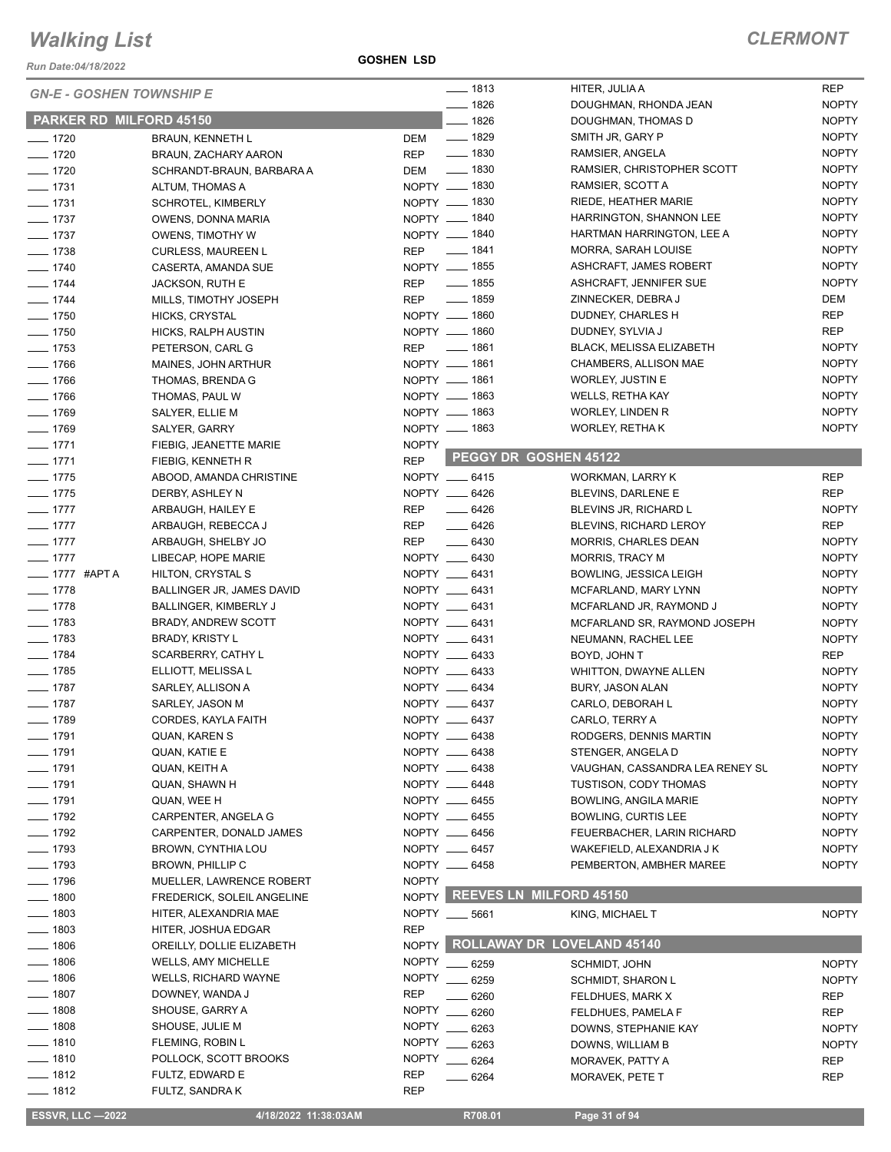*Run Date:04/18/2022*

**GOSHEN LSD**

|                                 |                                              | $- 1813$                         | HITER, JULIA A                    | <b>REP</b>                 |
|---------------------------------|----------------------------------------------|----------------------------------|-----------------------------------|----------------------------|
| <b>GN-E - GOSHEN TOWNSHIP E</b> |                                              | $-1826$                          | DOUGHMAN, RHONDA JEAN             | <b>NOPTY</b>               |
| <b>PARKER RD MILFORD 45150</b>  |                                              | $- 1826$                         | DOUGHMAN, THOMAS D                | <b>NOPTY</b>               |
| $- 1720$                        | <b>BRAUN, KENNETH L</b>                      | $\frac{1}{2}$ 1829<br>DEM        | SMITH JR, GARY P                  | <b>NOPTY</b>               |
| $- 1720$                        | BRAUN, ZACHARY AARON                         | $\frac{1}{2}$ 1830<br><b>REP</b> | RAMSIER, ANGELA                   | <b>NOPTY</b>               |
| $- 1720$                        | SCHRANDT-BRAUN, BARBARA A                    | <u>_</u> ____ 1830<br>DEM        | RAMSIER, CHRISTOPHER SCOTT        | <b>NOPTY</b>               |
| $- 1731$                        | ALTUM, THOMAS A                              | NOPTY __ 1830                    | RAMSIER, SCOTT A                  | <b>NOPTY</b>               |
| $- 1731$                        | <b>SCHROTEL, KIMBERLY</b>                    | NOPTY __ 1830                    | RIEDE, HEATHER MARIE              | <b>NOPTY</b>               |
| $- 1737$                        | OWENS, DONNA MARIA                           | NOPTY - 1840                     | HARRINGTON, SHANNON LEE           | <b>NOPTY</b>               |
| $- 1737$                        | <b>OWENS, TIMOTHY W</b>                      | NOPTY __ 1840                    | HARTMAN HARRINGTON, LEE A         | <b>NOPTY</b>               |
| $- 1738$                        | <b>CURLESS, MAUREEN L</b>                    | _____ 1841<br><b>REP</b>         | MORRA, SARAH LOUISE               | <b>NOPTY</b>               |
| $- 1740$                        | CASERTA, AMANDA SUE                          | NOPTY __ 1855                    | ASHCRAFT, JAMES ROBERT            | <b>NOPTY</b>               |
| $- 1744$                        | JACKSON, RUTH E                              | <b>REP</b><br>$- 1855$           | ASHCRAFT, JENNIFER SUE            | <b>NOPTY</b>               |
| $- 1744$                        | MILLS, TIMOTHY JOSEPH                        | $- 1859$<br>REP                  | ZINNECKER, DEBRA J                | DEM                        |
| $- 1750$                        | HICKS, CRYSTAL                               | NOPTY __ 1860                    | DUDNEY, CHARLES H                 | <b>REP</b>                 |
| $- 1750$                        | HICKS, RALPH AUSTIN                          | NOPTY - 1860                     | DUDNEY, SYLVIA J                  | <b>REP</b>                 |
| $\frac{1}{2}$ 1753              | PETERSON, CARL G                             | REP $- 1861$                     | <b>BLACK, MELISSA ELIZABETH</b>   | <b>NOPTY</b>               |
| $- 1766$                        | MAINES, JOHN ARTHUR                          | NOPTY __ 1861                    | CHAMBERS, ALLISON MAE             | <b>NOPTY</b>               |
| $- 1766$                        | THOMAS, BRENDA G                             | NOPTY __ 1861                    | <b>WORLEY, JUSTIN E</b>           | <b>NOPTY</b>               |
| $- 1766$                        | THOMAS, PAUL W                               | NOPTY __ 1863                    | WELLS, RETHA KAY                  | <b>NOPTY</b>               |
| $- 1769$                        | SALYER, ELLIE M                              | NOPTY __ 1863                    | <b>WORLEY, LINDEN R</b>           | <b>NOPTY</b>               |
| $- 1769$                        | SALYER, GARRY                                | NOPTY - 1863                     | WORLEY, RETHA K                   | <b>NOPTY</b>               |
| $- 1771$                        | FIEBIG, JEANETTE MARIE                       | <b>NOPTY</b>                     |                                   |                            |
| $- 1771$                        | FIEBIG, KENNETH R                            | <b>REP</b>                       | PEGGY DR GOSHEN 45122             |                            |
| $- 1775$                        | ABOOD, AMANDA CHRISTINE                      | NOPTY __ 6415                    | WORKMAN, LARRY K                  | <b>REP</b>                 |
| $- 1775$                        | DERBY, ASHLEY N                              | NOPTY __ 6426                    | BLEVINS, DARLENE E                | <b>REP</b>                 |
| $- 1777$                        | ARBAUGH, HAILEY E                            | REP<br>$- 6426$                  | BLEVINS JR, RICHARD L             | <b>NOPTY</b>               |
| $- 1777$                        | ARBAUGH, REBECCA J                           | <b>REP</b><br>$-6426$            | BLEVINS, RICHARD LEROY            | <b>REP</b>                 |
| $- 1777$                        | ARBAUGH, SHELBY JO                           | REP<br>$- 6430$                  | <b>MORRIS, CHARLES DEAN</b>       | <b>NOPTY</b>               |
| $- 1777$                        | LIBECAP, HOPE MARIE                          | NOPTY __ 6430                    | <b>MORRIS, TRACY M</b>            | <b>NOPTY</b>               |
| $\frac{1}{2}$ 1777 #APTA        | HILTON, CRYSTAL S                            | NOPTY __ 6431                    | BOWLING, JESSICA LEIGH            | <b>NOPTY</b>               |
| $\frac{1}{2}$ 1778              | BALLINGER JR, JAMES DAVID                    | NOPTY __ 6431                    | MCFARLAND, MARY LYNN              | <b>NOPTY</b>               |
| $- 1778$                        | BALLINGER, KIMBERLY J                        | NOPTY __ 6431                    | MCFARLAND JR, RAYMOND J           | <b>NOPTY</b>               |
| $- 1783$                        | BRADY, ANDREW SCOTT                          | NOPTY __ 6431                    | MCFARLAND SR, RAYMOND JOSEPH      | <b>NOPTY</b>               |
| $- 1783$                        |                                              | NOPTY __ 6431                    |                                   |                            |
| $- 1784$                        | <b>BRADY, KRISTY L</b><br>SCARBERRY, CATHY L | NOPTY __ 6433                    | NEUMANN, RACHEL LEE               | <b>NOPTY</b><br><b>REP</b> |
| $- 1785$                        |                                              | NOPTY __ 6433                    | BOYD, JOHN T                      | <b>NOPTY</b>               |
| $- 1787$                        | ELLIOTT, MELISSA L                           | NOPTY __ 6434                    | <b>WHITTON, DWAYNE ALLEN</b>      | <b>NOPTY</b>               |
| $- 1787$                        | SARLEY, ALLISON A                            |                                  | BURY, JASON ALAN                  | <b>NOPTY</b>               |
|                                 | SARLEY, JASON M<br>CORDES, KAYLA FAITH       | NOPTY __ 6437<br>NOPTY __ 6437   | CARLO, DEBORAH L                  |                            |
| $- 1789$                        |                                              |                                  | CARLO, TERRY A                    | <b>NOPTY</b>               |
| __ 1791                         | QUAN, KAREN S                                | NOPTY __ 6438                    | RODGERS, DENNIS MARTIN            | <b>NOPTY</b>               |
| $-1791$                         | QUAN, KATIE E                                | NOPTY __ 6438<br>NOPTY __ 6438   | STENGER, ANGELA D                 | <b>NOPTY</b>               |
| $- 1791$                        | QUAN, KEITH A                                |                                  | VAUGHAN, CASSANDRA LEA RENEY SU   | <b>NOPTY</b>               |
| $- 1791$                        | QUAN, SHAWN H                                | NOPTY __ 6448                    | TUSTISON, CODY THOMAS             | <b>NOPTY</b>               |
| $- 1791$                        | QUAN, WEE H                                  | NOPTY __ 6455                    | <b>BOWLING, ANGILA MARIE</b>      | <b>NOPTY</b>               |
| $- 1792$                        | CARPENTER, ANGELA G                          | NOPTY __ 6455                    | <b>BOWLING, CURTIS LEE</b>        | NOPTY                      |
| $- 1792$                        | CARPENTER, DONALD JAMES                      | NOPTY __ 6456                    | FEUERBACHER, LARIN RICHARD        | <b>NOPTY</b>               |
| $- 1793$                        | BROWN, CYNTHIA LOU                           | NOPTY __ 6457                    | WAKEFIELD, ALEXANDRIA J K         | <b>NOPTY</b>               |
| $- 1793$                        | BROWN, PHILLIP C                             | NOPTY __ 6458                    | PEMBERTON, AMBHER MAREE           | <b>NOPTY</b>               |
| $- 1796$                        | MUELLER, LAWRENCE ROBERT                     | <b>NOPTY</b>                     |                                   |                            |
| $- 1800$                        | FREDERICK, SOLEIL ANGELINE                   | NOPTY REEVES LN MILFORD 45150    |                                   |                            |
| $- 1803$                        | HITER, ALEXANDRIA MAE                        | NOPTY __ 5661                    | KING, MICHAEL T                   | <b>NOPTY</b>               |
| 1803                            | HITER, JOSHUA EDGAR                          | <b>REP</b>                       |                                   |                            |
| 1806                            | OREILLY, DOLLIE ELIZABETH                    | NOPTY                            | <b>ROLLAWAY DR LOVELAND 45140</b> |                            |
| 1806                            | WELLS, AMY MICHELLE                          | <b>NOPTY</b><br>6259             | SCHMIDT, JOHN                     | <b>NOPTY</b>               |
| 1806                            | WELLS, RICHARD WAYNE                         | <b>NOPTY</b><br>. 6259           | SCHMIDT, SHARON L                 | <b>NOPTY</b>               |
| $-1807$                         | DOWNEY, WANDA J                              | <b>REP</b><br>6260               | FELDHUES, MARK X                  | <b>REP</b>                 |
| $-1808$                         | SHOUSE, GARRY A                              | <b>NOPTY</b><br>6260             | FELDHUES, PAMELA F                | <b>REP</b>                 |
| $- 1808$                        | SHOUSE, JULIE M                              | <b>NOPTY</b><br>6263             | DOWNS, STEPHANIE KAY              | <b>NOPTY</b>               |
| $- 1810$                        | FLEMING, ROBIN L                             | <b>NOPTY</b><br>6263             | DOWNS, WILLIAM B                  | <b>NOPTY</b>               |
| $- 1810$                        | POLLOCK, SCOTT BROOKS                        | NOPTY<br>6264                    | MORAVEK, PATTY A                  | REP                        |
| $- 1812$                        | FULTZ, EDWARD E                              | REP<br>6264                      | MORAVEK, PETE T                   | <b>REP</b>                 |
| $- 1812$                        | FULTZ, SANDRA K                              | <b>REP</b>                       |                                   |                            |
| <b>ESSVR, LLC -2022</b>         | 4/18/2022 11:38:03AM                         | R708.01                          | Page 31 of 94                     |                            |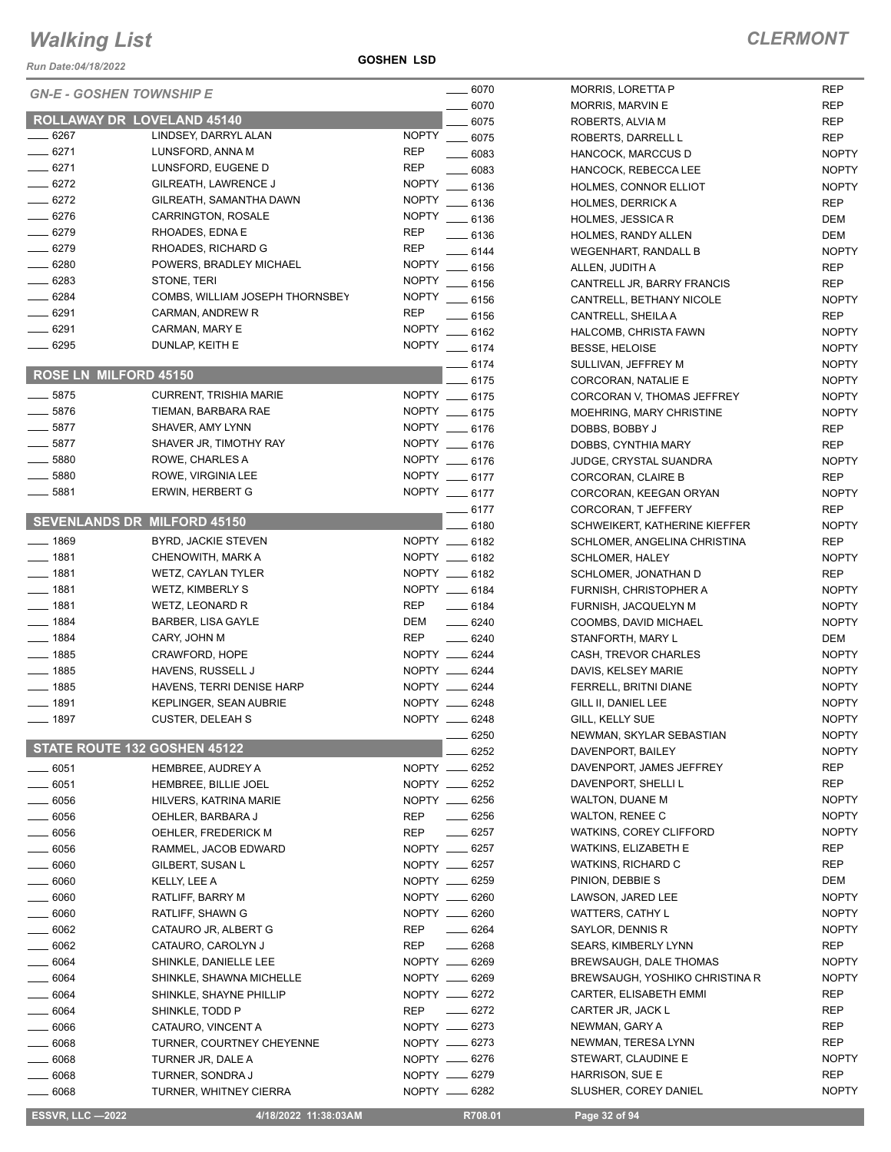*Run Date:04/18/2022*

**GOSHEN LSD**

NOPTY NOPTY

NOPTY NOPTY NOPTY

|                       | <b>GN-E - GOSHEN TOWNSHIP E</b>    | __ 6070                            | <b>MORRIS, LORETTA P</b>       | <b>REP</b>   |
|-----------------------|------------------------------------|------------------------------------|--------------------------------|--------------|
|                       |                                    | 6070                               | MORRIS, MARVIN E               | <b>REP</b>   |
|                       | ROLLAWAY DR LOVELAND 45140         | 6075                               | ROBERTS, ALVIA M               | <b>REP</b>   |
| 6267                  | LINDSEY, DARRYL ALAN               | <b>NOPTY</b><br>6075               | ROBERTS, DARRELL L             | <b>REP</b>   |
| $-6271$               | LUNSFORD, ANNA M                   | <b>REP</b><br>$- 6083$             | HANCOCK, MARCCUS D             | <b>NOPTY</b> |
| $- 6271$              | LUNSFORD, EUGENE D                 | <b>REP</b><br>$-6083$              | HANCOCK, REBECCA LEE           | <b>NOPTY</b> |
| $-6272$               | GILREATH, LAWRENCE J               | <b>NOPTY</b><br>$-6136$            | HOLMES, CONNOR ELLIOT          | <b>NOPTY</b> |
| $- 6272$              | GILREATH, SAMANTHA DAWN            | <b>NOPTY</b><br>$-6136$            | <b>HOLMES, DERRICK A</b>       | <b>REP</b>   |
| $- 6276$              | CARRINGTON, ROSALE                 | <b>NOPTY</b><br>$\frac{1}{2}$ 6136 | <b>HOLMES, JESSICA R</b>       | DEM          |
| $- 6279$              | RHOADES, EDNA E                    | <b>REP</b><br>$-6136$              | HOLMES, RANDY ALLEN            | DEM          |
| $- 6279$              | RHOADES, RICHARD G                 | <b>REP</b><br>$-6144$              | <b>WEGENHART, RANDALL B</b>    | <b>NOPTY</b> |
| $- 6280$              | POWERS, BRADLEY MICHAEL            | NOPTY __ 6156                      | ALLEN, JUDITH A                | <b>REP</b>   |
| $-6283$               | STONE, TERI                        | <b>NOPTY</b><br>$- 6156$           | CANTRELL JR, BARRY FRANCIS     | <b>REP</b>   |
| $-6284$               | COMBS, WILLIAM JOSEPH THORNSBEY    | <b>NOPTY</b><br>$-6156$            | CANTRELL, BETHANY NICOLE       | <b>NOPTY</b> |
| $- 6291$              | CARMAN, ANDREW R                   | <b>REP</b><br>$-6156$              | CANTRELL, SHEILA A             | <b>REP</b>   |
| $- 6291$              | CARMAN, MARY E                     | <b>NOPTY</b><br>$-6162$            | HALCOMB, CHRISTA FAWN          | <b>NOPTY</b> |
| $- 6295$              | DUNLAP, KEITH E                    | NOPTY __ 6174                      | <b>BESSE, HELOISE</b>          | <b>NOPTY</b> |
|                       |                                    |                                    |                                | <b>NOPTY</b> |
| ROSE LN MILFORD 45150 |                                    | $-6174$                            | SULLIVAN, JEFFREY M            | <b>NOPTY</b> |
| $-5875$               |                                    | 6175<br>NOPTY __ 6175              | CORCORAN, NATALIE E            |              |
|                       | <b>CURRENT, TRISHIA MARIE</b>      |                                    | CORCORAN V, THOMAS JEFFREY     | <b>NOPTY</b> |
| $-5876$               | TIEMAN, BARBARA RAE                | NOPTY __ 6175                      | MOEHRING, MARY CHRISTINE       | <b>NOPTY</b> |
| $-5877$               | SHAVER, AMY LYNN                   | NOPTY __ 6176                      | DOBBS, BOBBY J                 | <b>REP</b>   |
| $-5877$               | SHAVER JR, TIMOTHY RAY             | NOPTY __ 6176                      | DOBBS, CYNTHIA MARY            | <b>REP</b>   |
| $\frac{1}{2}$ 5880    | ROWE, CHARLES A                    | NOPTY __ 6176                      | JUDGE, CRYSTAL SUANDRA         | <b>NOPTY</b> |
| $-5880$               | ROWE, VIRGINIA LEE                 | NOPTY __ 6177                      | CORCORAN, CLAIRE B             | <b>REP</b>   |
| $- 5881$              | <b>ERWIN, HERBERT G</b>            | NOPTY __ 6177                      | CORCORAN, KEEGAN ORYAN         | <b>NOPTY</b> |
|                       |                                    | $-6177$                            | CORCORAN, T JEFFERY            | <b>REP</b>   |
|                       | <b>SEVENLANDS DR MILFORD 45150</b> | 6180                               | SCHWEIKERT, KATHERINE KIEFFER  | <b>NOPTY</b> |
| $-1869$               | BYRD, JACKIE STEVEN                | NOPTY __ 6182                      | SCHLOMER, ANGELINA CHRISTINA   | <b>REP</b>   |
| $- 1881$              | CHENOWITH, MARK A                  | NOPTY __ 6182                      | <b>SCHLOMER, HALEY</b>         | <b>NOPTY</b> |
| $- 1881$              | WETZ, CAYLAN TYLER                 | NOPTY __ 6182                      | SCHLOMER, JONATHAN D           | <b>REP</b>   |
| $- 1881$              | WETZ, KIMBERLY S                   | NOPTY __ 6184                      | FURNISH, CHRISTOPHER A         | <b>NOPTY</b> |
| $- 1881$              | WETZ, LEONARD R                    | <b>REP</b><br>$-6184$              | FURNISH, JACQUELYN M           | <b>NOPTY</b> |
| $- 1884$              | BARBER, LISA GAYLE                 | DEM<br>$- 6240$                    | COOMBS, DAVID MICHAEL          | <b>NOPTY</b> |
| $- 1884$              | CARY, JOHN M                       | <b>REP</b><br>$- 6240$             | STANFORTH, MARY L              | DEM          |
| $- 1885$              | CRAWFORD, HOPE                     | NOPTY __ 6244                      | CASH, TREVOR CHARLES           | <b>NOPTY</b> |
| $- 1885$              | HAVENS, RUSSELL J                  | NOPTY __ 6244                      | DAVIS, KELSEY MARIE            | <b>NOPTY</b> |
| $- 1885$              | HAVENS, TERRI DENISE HARP          | NOPTY __ 6244                      | FERRELL, BRITNI DIANE          | <b>NOPTY</b> |
| $- 1891$              | KEPLINGER, SEAN AUBRIE             | NOPTY __ 6248                      | GILL II, DANIEL LEE            | <b>NOPTY</b> |
| $- 1897$              | <b>CUSTER, DELEAH S</b>            | NOPTY __ 6248                      | GILL, KELLY SUE                | <b>NOPTY</b> |
|                       |                                    | 6250                               | NEWMAN, SKYLAR SEBASTIAN       | <b>NOPTY</b> |
|                       | STATE ROUTE 132 GOSHEN 45122       | 6252                               | DAVENPORT, BAILEY              | <b>NOPTY</b> |
| $- 6051$              | HEMBREE, AUDREY A                  | NOPTY __ 6252                      | DAVENPORT, JAMES JEFFREY       | <b>REP</b>   |
| $- 6051$              | HEMBREE, BILLIE JOEL               | NOPTY __ 6252                      | DAVENPORT, SHELLI L            | <b>REP</b>   |
| $-6056$               | HILVERS, KATRINA MARIE             | NOPTY __ 6256                      | <b>WALTON, DUANE M</b>         | <b>NOPTY</b> |
|                       |                                    | $- 6256$                           |                                | <b>NOPTY</b> |
| $- 6056$              | OEHLER, BARBARA J                  | <b>REP</b>                         | <b>WALTON, RENEE C</b>         |              |
| $- 6056$              | OEHLER, FREDERICK M                | $- 6257$<br>REP                    | WATKINS, COREY CLIFFORD        | <b>NOPTY</b> |
| $=6056$               | RAMMEL, JACOB EDWARD               | NOPTY __ 6257                      | WATKINS, ELIZABETH E           | <b>REP</b>   |
| 6060                  | GILBERT, SUSAN L                   | NOPTY __ 6257                      | WATKINS, RICHARD C             | REP          |
| 6060                  | KELLY, LEE A                       | NOPTY __ 6259                      | PINION, DEBBIE S               | DEM          |
| - 6060                | RATLIFF, BARRY M                   | NOPTY __ 6260                      | LAWSON, JARED LEE              | <b>NOPTY</b> |
| 6060                  | RATLIFF, SHAWN G                   | NOPTY __ 6260                      | WATTERS, CATHY L               | <b>NOPTY</b> |
| __ 6062               | CATAURO JR, ALBERT G               | $- 6264$<br>REP                    | SAYLOR, DENNIS R               | <b>NOPTY</b> |
| $-6062$               | CATAURO, CAROLYN J                 | $- 6268$<br><b>REP</b>             | SEARS, KIMBERLY LYNN           | REP          |
| 6064                  | SHINKLE, DANIELLE LEE              | NOPTY __ 6269                      | BREWSAUGH, DALE THOMAS         | <b>NOPTY</b> |
| $-6064$               | SHINKLE, SHAWNA MICHELLE           | NOPTY __ 6269                      | BREWSAUGH, YOSHIKO CHRISTINA R | <b>NOPTY</b> |
| $-6064$               | SHINKLE, SHAYNE PHILLIP            | NOPTY __ 6272                      | CARTER, ELISABETH EMMI         | REP          |
| $=6064$               | SHINKLE, TODD P                    | $- 6272$<br><b>REP</b>             | CARTER JR, JACK L              | <b>REP</b>   |
| $-6066$               | CATAURO, VINCENT A                 | NOPTY __ 6273                      | NEWMAN, GARY A                 | REP          |
| 6068                  | <b>TURNER, COURTNEY CHEYENNE</b>   | NOPTY __ 6273                      | NEWMAN, TERESA LYNN            | <b>REP</b>   |
| 6068                  | TURNER JR, DALE A                  | NOPTY __ 6276                      | STEWART, CLAUDINE E            | <b>NOPTY</b> |
| 6068                  | TURNER, SONDRA J                   | NOPTY __ 6279                      | HARRISON, SUE E                | <b>REP</b>   |
| 6068                  | <b>TURNER, WHITNEY CIERRA</b>      | NOPTY __ 6282                      | SLUSHER, COREY DANIEL          | <b>NOPTY</b> |
|                       |                                    |                                    |                                |              |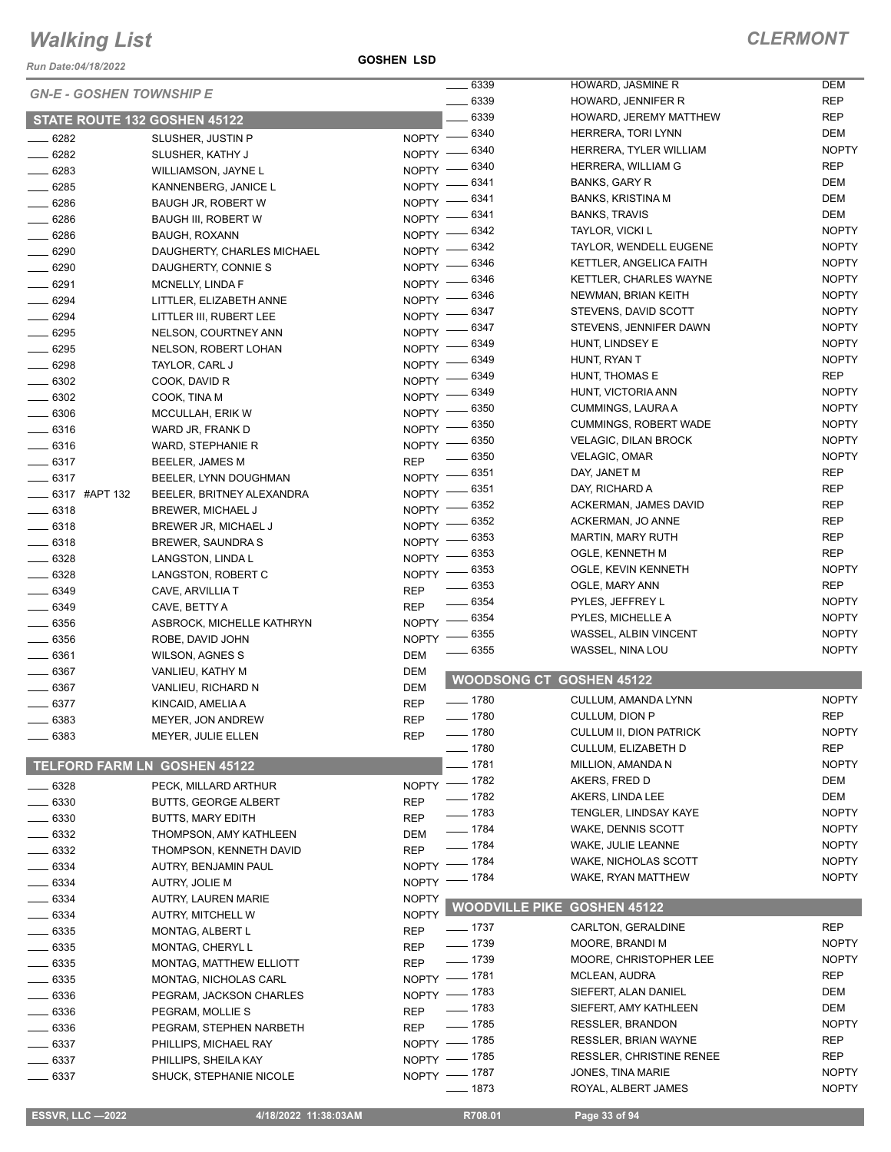*Run Date:04/18/2022*

**GOSHEN LSD**

|                                     |                                |              | 6339         | HOWARD, JASMINE R                  | <b>DEM</b>   |
|-------------------------------------|--------------------------------|--------------|--------------|------------------------------------|--------------|
| <b>GN-E - GOSHEN TOWNSHIP E</b>     |                                |              | 6339         | HOWARD, JENNIFER R                 | <b>REP</b>   |
| STATE ROUTE 132 GOSHEN 45122        |                                |              | 6339         | HOWARD, JEREMY MATTHEW             | <b>REP</b>   |
|                                     |                                |              | NOPTY - 6340 | HERRERA, TORI LYNN                 | <b>DEM</b>   |
| 6282                                | SLUSHER, JUSTIN P              |              | 6340         | HERRERA, TYLER WILLIAM             | <b>NOPTY</b> |
| 6282                                | SLUSHER, KATHY J               | NOPTY -      | 6340         | HERRERA, WILLIAM G                 | <b>REP</b>   |
| 6283                                | WILLIAMSON, JAYNE L            | <b>NOPTY</b> | 6341         | <b>BANKS, GARY R</b>               | <b>DEM</b>   |
| 6285                                | KANNENBERG, JANICE L           | <b>NOPTY</b> | 6341         | BANKS, KRISTINA M                  | DEM          |
| 6286                                | <b>BAUGH JR, ROBERT W</b>      | NOPTY -      | 6341         | <b>BANKS, TRAVIS</b>               | <b>DEM</b>   |
| 6286                                | <b>BAUGH III, ROBERT W</b>     | NOPTY -      | 6342         | TAYLOR, VICKI L                    | <b>NOPTY</b> |
| $- 6286$                            | <b>BAUGH, ROXANN</b>           | NOPTY -      | 6342         | TAYLOR, WENDELL EUGENE             | <b>NOPTY</b> |
| $\frac{1}{2}$ 6290                  | DAUGHERTY, CHARLES MICHAEL     | <b>NOPTY</b> | 6346         | KETTLER, ANGELICA FAITH            | <b>NOPTY</b> |
| 6290                                | DAUGHERTY, CONNIE S            | NOPTY -      | 6346         | <b>KETTLER, CHARLES WAYNE</b>      | <b>NOPTY</b> |
| $- 6291$                            | MCNELLY, LINDA F               | NOPTY -      | 6346         |                                    | <b>NOPTY</b> |
| 6294                                | LITTLER, ELIZABETH ANNE        | $NOPTY =$    |              | NEWMAN, BRIAN KEITH                |              |
| $- 6294$                            | LITTLER III, RUBERT LEE        | $N$ OPTY $-$ | 6347         | STEVENS, DAVID SCOTT               | <b>NOPTY</b> |
| $- 6295$                            | NELSON, COURTNEY ANN           | $NOPTY =$    | 6347         | STEVENS, JENNIFER DAWN             | <b>NOPTY</b> |
| 6295                                | NELSON, ROBERT LOHAN           | NOPTY -      | 6349         | HUNT, LINDSEY E                    | <b>NOPTY</b> |
| 6298                                | TAYLOR, CARL J                 | <b>NOPTY</b> | 6349         | HUNT, RYAN T                       | <b>NOPTY</b> |
| $- 6302$                            | COOK, DAVID R                  | <b>NOPTY</b> | 6349         | HUNT, THOMAS E                     | <b>REP</b>   |
| 6302                                | COOK, TINA M                   | NOPTY -      | 6349         | HUNT, VICTORIA ANN                 | <b>NOPTY</b> |
| 6306                                | MCCULLAH, ERIK W               | NOPTY -      | 6350         | CUMMINGS, LAURA A                  | <b>NOPTY</b> |
| 6316                                | WARD JR, FRANK D               | NOPTY -      | 6350         | <b>CUMMINGS, ROBERT WADE</b>       | <b>NOPTY</b> |
| $- 6316$                            | WARD, STEPHANIE R              | <b>NOPTY</b> | 6350         | <b>VELAGIC, DILAN BROCK</b>        | <b>NOPTY</b> |
| $-6317$                             | BEELER, JAMES M                | <b>REP</b>   | 6350         | VELAGIC, OMAR                      | <b>NOPTY</b> |
| $- 6317$                            | BEELER, LYNN DOUGHMAN          | <b>NOPTY</b> | 6351         | DAY, JANET M                       | <b>REP</b>   |
| <b>______ 6317 #APT 132</b>         | BEELER, BRITNEY ALEXANDRA      | NOPTY -      | 6351         | DAY, RICHARD A                     | <b>REP</b>   |
| 6318                                | BREWER, MICHAEL J              | NOPTY -      | 6352         | <b>ACKERMAN, JAMES DAVID</b>       | <b>REP</b>   |
| $- 6318$                            | BREWER JR, MICHAEL J           | $N$ OPTY -   | 6352         | ACKERMAN, JO ANNE                  | <b>REP</b>   |
| $- 6318$                            | BREWER, SAUNDRA S              | $N$ OPTY $-$ | 6353         | <b>MARTIN, MARY RUTH</b>           | <b>REP</b>   |
| $- 6328$                            | LANGSTON, LINDA L              | $NOPTY =$    | 6353         | OGLE, KENNETH M                    | <b>REP</b>   |
| 6328                                | LANGSTON, ROBERT C             | NOPTY $-$    | 6353         | OGLE, KEVIN KENNETH                | <b>NOPTY</b> |
| 6349                                | CAVE, ARVILLIA T               | <b>REP</b>   | 6353         | OGLE, MARY ANN                     | <b>REP</b>   |
| $- 6349$                            | CAVE, BETTY A                  | <b>REP</b>   | 6354         | PYLES, JEFFREY L                   | <b>NOPTY</b> |
| 6356                                | ASBROCK, MICHELLE KATHRYN      | $N$ OPTY $-$ | 6354         | PYLES, MICHELLE A                  | <b>NOPTY</b> |
| $- 6356$                            | ROBE, DAVID JOHN               | <b>NOPTY</b> | 6355         | WASSEL, ALBIN VINCENT              | <b>NOPTY</b> |
| $- 6361$                            |                                | DEM          | 6355         | WASSEL, NINA LOU                   | <b>NOPTY</b> |
| 6367                                | <b>WILSON, AGNES S</b>         |              |              |                                    |              |
|                                     | VANLIEU, KATHY M               | DEM          |              | <b>WOODSONG CT GOSHEN 45122</b>    |              |
| $\frac{1}{2}$ 6367                  | VANLIEU, RICHARD N             | <b>DEM</b>   | $- 1780$     | CULLUM, AMANDA LYNN                | <b>NOPTY</b> |
| 6377                                | KINCAID, AMELIA A              | <b>REP</b>   | $- 1780$     | CULLUM, DION P                     | <b>REP</b>   |
| 6383                                | MEYER, JON ANDREW              | <b>REP</b>   | $- 1780$     | CULLUM II, DION PATRICK            | <b>NOPTY</b> |
| $- 6383$                            | MEYER, JULIE ELLEN             | <b>REP</b>   | $- 1780$     | <b>CULLUM, ELIZABETH D</b>         | <b>REP</b>   |
|                                     |                                |              | $-1781$      | MILLION, AMANDA N                  | <b>NOPTY</b> |
| <b>TELFORD FARM LN GOSHEN 45122</b> |                                |              | $- 1782$     | AKERS, FRED D                      | DEM          |
| $-6328$                             | PECK, MILLARD ARTHUR           | <b>NOPTY</b> |              | AKERS, LINDA LEE                   | DEM          |
| 6330                                | <b>BUTTS, GEORGE ALBERT</b>    | <b>REP</b>   | $- 1782$     |                                    | <b>NOPTY</b> |
| 6330                                | <b>BUTTS, MARY EDITH</b>       | <b>REP</b>   | $- 1783$     | TENGLER, LINDSAY KAYE              |              |
| 6332                                | THOMPSON, AMY KATHLEEN         | DEM          | $- 1784$     | WAKE, DENNIS SCOTT                 | <b>NOPTY</b> |
| 6332                                | THOMPSON, KENNETH DAVID        | <b>REP</b>   | $- 1784$     | WAKE, JULIE LEANNE                 | <b>NOPTY</b> |
| $-6334$                             | AUTRY, BENJAMIN PAUL           |              | NOPTY - 1784 | WAKE, NICHOLAS SCOTT               | <b>NOPTY</b> |
| $\frac{1}{2}$ 6334                  | AUTRY, JOLIE M                 |              | NOPTY - 1784 | WAKE, RYAN MATTHEW                 | <b>NOPTY</b> |
| _ 6334                              | AUTRY, LAUREN MARIE            | <b>NOPTY</b> |              |                                    |              |
| $-6334$                             | AUTRY, MITCHELL W              | <b>NOPTY</b> |              | <b>WOODVILLE PIKE GOSHEN 45122</b> |              |
| 6335                                | MONTAG, ALBERT L               | <b>REP</b>   | $=$ 1737     | CARLTON, GERALDINE                 | <b>REP</b>   |
| $- 6335$                            | MONTAG, CHERYL L               | <b>REP</b>   | $- 1739$     | MOORE, BRANDI M                    | <b>NOPTY</b> |
| 6335                                | <b>MONTAG, MATTHEW ELLIOTT</b> | <b>REP</b>   | $- 1739$     | MOORE, CHRISTOPHER LEE             | <b>NOPTY</b> |
| 6335                                | MONTAG, NICHOLAS CARL          |              | NOPTY - 1781 | MCLEAN, AUDRA                      | REP          |
| 6336                                | PEGRAM, JACKSON CHARLES        |              | NOPTY - 1783 | SIEFERT, ALAN DANIEL               | DEM          |
| 6336                                | PEGRAM, MOLLIE S               | <b>REP</b>   | —— 1783      | SIEFERT, AMY KATHLEEN              | DEM          |
| 6336                                | PEGRAM, STEPHEN NARBETH        | <b>REP</b>   | $- 1785$     | RESSLER, BRANDON                   | <b>NOPTY</b> |
| 6337                                | PHILLIPS, MICHAEL RAY          |              | NOPTY - 1785 | <b>RESSLER, BRIAN WAYNE</b>        | REP          |
| $-6337$                             | PHILLIPS, SHEILA KAY           |              | NOPTY - 1785 | <b>RESSLER, CHRISTINE RENEE</b>    | REP          |
| 6337                                | SHUCK, STEPHANIE NICOLE        |              | NOPTY - 1787 | JONES, TINA MARIE                  | <b>NOPTY</b> |
|                                     |                                |              | $- 1873$     | ROYAL, ALBERT JAMES                | <b>NOPTY</b> |
|                                     |                                |              |              |                                    |              |
| <b>ESSVR, LLC -2022</b>             | 4/18/2022 11:38:03AM           |              | R708.01      | Page 33 of 94                      |              |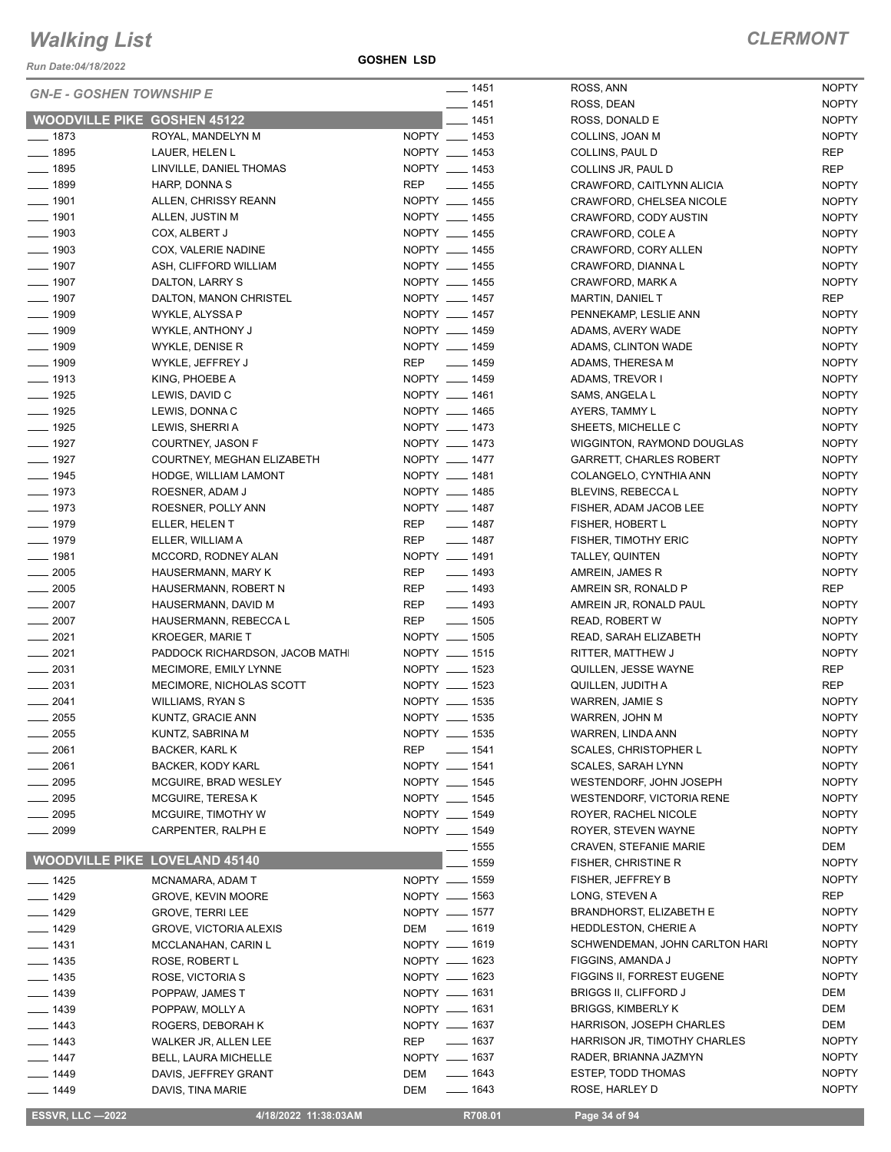*Run Date:04/18/2022*

**GOSHEN LSD**

| <b>GN-E - GOSHEN TOWNSHIP E</b>    |                                               |                                | $\frac{1}{2}$ 1451         | ROSS, ANN                                                   | <b>NOPTY</b>                 |
|------------------------------------|-----------------------------------------------|--------------------------------|----------------------------|-------------------------------------------------------------|------------------------------|
|                                    |                                               |                                | $- 1451$                   | ROSS, DEAN                                                  | <b>NOPTY</b>                 |
| <b>WOODVILLE PIKE GOSHEN 45122</b> |                                               |                                | $-1451$                    | ROSS, DONALD E                                              | <b>NOPTY</b>                 |
| $- 1873$                           | ROYAL, MANDELYN M                             | NOPTY __ 1453                  |                            | COLLINS, JOAN M                                             | <b>NOPTY</b>                 |
| $- 1895$                           | LAUER, HELEN L                                | NOPTY __ 1453                  |                            | COLLINS, PAUL D                                             | <b>REP</b>                   |
| $- 1895$                           | LINVILLE, DANIEL THOMAS                       | NOPTY __ 1453                  |                            | COLLINS JR, PAUL D                                          | REP                          |
| $- 1899$                           | HARP, DONNA S                                 | <b>REP</b>                     | $\frac{1}{2}$ 1455         | CRAWFORD, CAITLYNN ALICIA                                   | <b>NOPTY</b>                 |
| $\frac{1}{2}$ 1901                 | ALLEN, CHRISSY REANN                          | NOPTY __ 1455                  |                            | CRAWFORD, CHELSEA NICOLE                                    | <b>NOPTY</b>                 |
| $- 1901$                           | ALLEN, JUSTIN M                               | NOPTY __ 1455                  |                            | CRAWFORD, CODY AUSTIN                                       | <b>NOPTY</b>                 |
| $\frac{1}{2}$ 1903                 | COX, ALBERT J                                 | NOPTY __ 1455                  |                            | CRAWFORD, COLE A                                            | <b>NOPTY</b>                 |
| $\frac{1}{2}$ 1903                 | COX, VALERIE NADINE                           | NOPTY __ 1455                  |                            | CRAWFORD, CORY ALLEN                                        | <b>NOPTY</b>                 |
| $- 1907$                           | ASH, CLIFFORD WILLIAM                         | NOPTY __ 1455                  |                            | CRAWFORD, DIANNA L                                          | <b>NOPTY</b>                 |
| $\frac{1}{2}$ 1907                 | DALTON, LARRY S                               |                                | NOPTY __ 1455              | CRAWFORD, MARK A                                            | <b>NOPTY</b>                 |
| $- 1907$                           | DALTON, MANON CHRISTEL                        | NOPTY __ 1457                  |                            | <b>MARTIN, DANIEL T</b>                                     | REP                          |
| $- 1909$                           | WYKLE, ALYSSA P                               | NOPTY __ 1457                  |                            | PENNEKAMP, LESLIE ANN                                       | <b>NOPTY</b>                 |
| $-1909$                            | WYKLE, ANTHONY J                              | NOPTY __ 1459                  |                            | ADAMS, AVERY WADE                                           | <b>NOPTY</b>                 |
| $-1909$                            | WYKLE, DENISE R                               | NOPTY __ 1459                  |                            | ADAMS, CLINTON WADE                                         | <b>NOPTY</b>                 |
| $- 1909$                           | WYKLE, JEFFREY J                              | REP __ 1459                    |                            | ADAMS, THERESA M                                            | <b>NOPTY</b>                 |
| $- 1913$                           | KING, PHOEBE A                                |                                | NOPTY __ 1459              | ADAMS, TREVOR I                                             | <b>NOPTY</b>                 |
| $- 1925$                           | LEWIS, DAVID C                                | NOPTY __ 1461                  |                            | SAMS, ANGELA L                                              | <b>NOPTY</b>                 |
| $- 1925$                           | LEWIS, DONNA C                                | NOPTY __ 1465                  |                            | AYERS, TAMMY L                                              | <b>NOPTY</b>                 |
| $- 1925$                           | LEWIS, SHERRI A                               | NOPTY __ 1473                  |                            | SHEETS, MICHELLE C                                          | <b>NOPTY</b>                 |
| $- 1927$                           | COURTNEY, JASON F                             | NOPTY __ 1473                  |                            | WIGGINTON, RAYMOND DOUGLAS                                  | <b>NOPTY</b>                 |
| $- 1927$                           | COURTNEY, MEGHAN ELIZABETH                    | NOPTY __ 1477                  |                            | <b>GARRETT, CHARLES ROBERT</b>                              | <b>NOPTY</b>                 |
| $- 1945$                           | HODGE, WILLIAM LAMONT                         | NOPTY __ 1481                  |                            | COLANGELO, CYNTHIA ANN                                      | <b>NOPTY</b>                 |
| $- 1973$                           | ROESNER, ADAM J                               | NOPTY __ 1485                  |                            | BLEVINS, REBECCA L                                          | <b>NOPTY</b>                 |
| $- 1973$                           | ROESNER, POLLY ANN                            | NOPTY __ 1487                  |                            | FISHER, ADAM JACOB LEE                                      | <b>NOPTY</b>                 |
| $- 1979$                           | ELLER, HELEN T                                | <b>REP</b>                     | $- 1487$                   | FISHER, HOBERT L                                            | <b>NOPTY</b>                 |
| $- 1979$                           | ELLER, WILLIAM A                              | <b>REP</b>                     | $- 1487$                   | FISHER, TIMOTHY ERIC                                        | <b>NOPTY</b>                 |
| $- 1981$                           | MCCORD, RODNEY ALAN                           | NOPTY __ 1491                  |                            | TALLEY, QUINTEN                                             | <b>NOPTY</b>                 |
| $-2005$                            | HAUSERMANN, MARY K                            | <b>REP</b>                     | $\frac{1}{2}$ 1493         | AMREIN, JAMES R                                             | <b>NOPTY</b>                 |
| $\frac{1}{2005}$                   | HAUSERMANN, ROBERT N                          | REP                            | $- 1493$                   | AMREIN SR, RONALD P                                         | REP                          |
| $\frac{1}{2007}$                   | HAUSERMANN, DAVID M                           | <b>REP</b>                     | $\frac{1}{2}$ 1493         | AMREIN JR, RONALD PAUL                                      | <b>NOPTY</b>                 |
| $\frac{1}{2007}$                   | HAUSERMANN, REBECCA L                         | <b>REP</b>                     | $\frac{1}{2}$ 1505         | <b>READ, ROBERT W</b>                                       | <b>NOPTY</b>                 |
| $-2021$                            | <b>KROEGER, MARIE T</b>                       | NOPTY __ 1505                  |                            | READ, SARAH ELIZABETH                                       | <b>NOPTY</b>                 |
| $-2021$                            | PADDOCK RICHARDSON, JACOB MATHI               | NOPTY __ 1515<br>NOPTY __ 1523 |                            | RITTER, MATTHEW J                                           | <b>NOPTY</b>                 |
| $\frac{1}{2031}$                   | MECIMORE, EMILY LYNNE                         | NOPTY __ 1523                  |                            | QUILLEN, JESSE WAYNE                                        | REP                          |
| $-2031$                            | MECIMORE, NICHOLAS SCOTT                      | NOPTY __ 1535                  |                            | QUILLEN, JUDITH A                                           | <b>REP</b>                   |
| $-2041$                            | WILLIAMS, RYAN S                              |                                |                            | WARREN, JAMIE S                                             | <b>NOPTY</b><br><b>NOPTY</b> |
| $\frac{1}{2055}$                   | KUNTZ, GRACIE ANN                             |                                | NOPTY __ 1535              | WARREN, JOHN M                                              |                              |
| _ 2055                             | KUNTZ, SABRINA M                              | NOPTY __ 1535<br>REP           |                            | WARREN, LINDA ANN<br>SCALES, CHRISTOPHER L                  | <b>NOPTY</b>                 |
| __ 2061                            | <b>BACKER, KARL K</b>                         | NOPTY __ 1541                  | $\frac{1}{2}$ 1541         | <b>SCALES, SARAH LYNN</b>                                   | <b>NOPTY</b>                 |
| $-2061$                            | BACKER, KODY KARL                             | NOPTY __ 1545                  |                            |                                                             | <b>NOPTY</b>                 |
| $-2095$<br>$-2095$                 | MCGUIRE, BRAD WESLEY                          | NOPTY __ 1545                  |                            | WESTENDORF, JOHN JOSEPH                                     | <b>NOPTY</b><br><b>NOPTY</b> |
| $-2095$                            | MCGUIRE, TERESA K<br>MCGUIRE, TIMOTHY W       | NOPTY __ 1549                  |                            | <b>WESTENDORF, VICTORIA RENE</b><br>ROYER, RACHEL NICOLE    |                              |
| 2099                               | CARPENTER, RALPH E                            | NOPTY __ 1549                  |                            | ROYER, STEVEN WAYNE                                         | <b>NOPTY</b><br><b>NOPTY</b> |
|                                    |                                               |                                |                            |                                                             |                              |
|                                    | <b>WOODVILLE PIKE LOVELAND 45140</b>          |                                | $\frac{1}{2}$ 1555<br>1559 | <b>CRAVEN, STEFANIE MARIE</b><br><b>FISHER, CHRISTINE R</b> | DEM<br><b>NOPTY</b>          |
| $-1425$                            | MCNAMARA, ADAM T                              | NOPTY __ 1559                  |                            | FISHER, JEFFREY B                                           | <b>NOPTY</b>                 |
|                                    |                                               | NOPTY - 1563                   |                            | LONG, STEVEN A                                              | REP                          |
| $-1429$<br>$-1429$                 | GROVE, KEVIN MOORE<br><b>GROVE, TERRI LEE</b> | NOPTY __ 1577                  |                            | <b>BRANDHORST, ELIZABETH E</b>                              | <b>NOPTY</b>                 |
| $- 1429$                           | <b>GROVE, VICTORIA ALEXIS</b>                 | DEM                            | $\frac{1}{1619}$           | <b>HEDDLESTON, CHERIE A</b>                                 | <b>NOPTY</b>                 |
| $- 1431$                           | MCCLANAHAN, CARIN L                           | NOPTY - 1619                   |                            | SCHWENDEMAN, JOHN CARLTON HARI                              | <b>NOPTY</b>                 |
| $\frac{1}{2}$ 1435                 | ROSE, ROBERT L                                | NOPTY __ 1623                  |                            | FIGGINS, AMANDA J                                           | <b>NOPTY</b>                 |
| $- 1435$                           | ROSE, VICTORIA S                              | NOPTY - 1623                   |                            | FIGGINS II, FORREST EUGENE                                  | <b>NOPTY</b>                 |
| $-1439$                            | POPPAW, JAMES T                               | NOPTY __ 1631                  |                            | <b>BRIGGS II, CLIFFORD J</b>                                | DEM                          |
| $- 1439$                           | POPPAW, MOLLY A                               | NOPTY __ 1631                  |                            | <b>BRIGGS, KIMBERLY K</b>                                   | DEM                          |
| $- 1443$                           | ROGERS, DEBORAH K                             | NOPTY -837                     |                            | HARRISON, JOSEPH CHARLES                                    | DEM                          |
| $- 1443$                           | WALKER JR, ALLEN LEE                          | REP                            | <u>_</u> ___ 1637          | HARRISON JR, TIMOTHY CHARLES                                | <b>NOPTY</b>                 |
| $- 1447$                           | <b>BELL, LAURA MICHELLE</b>                   | NOPTY __ 1637                  |                            | RADER, BRIANNA JAZMYN                                       | <b>NOPTY</b>                 |
| _ 1449                             | DAVIS, JEFFREY GRANT                          | DEM                            | $- 1643$                   | ESTEP, TODD THOMAS                                          | <b>NOPTY</b>                 |
| $- 1449$                           | DAVIS, TINA MARIE                             | <b>DEM</b>                     | $- 1643$                   | ROSE, HARLEY D                                              | <b>NOPTY</b>                 |
|                                    |                                               |                                |                            |                                                             |                              |
| <b>ESSVR, LLC -2022</b>            | 4/18/2022 11:38:03AM                          |                                | R708.01                    | Page 34 of 94                                               |                              |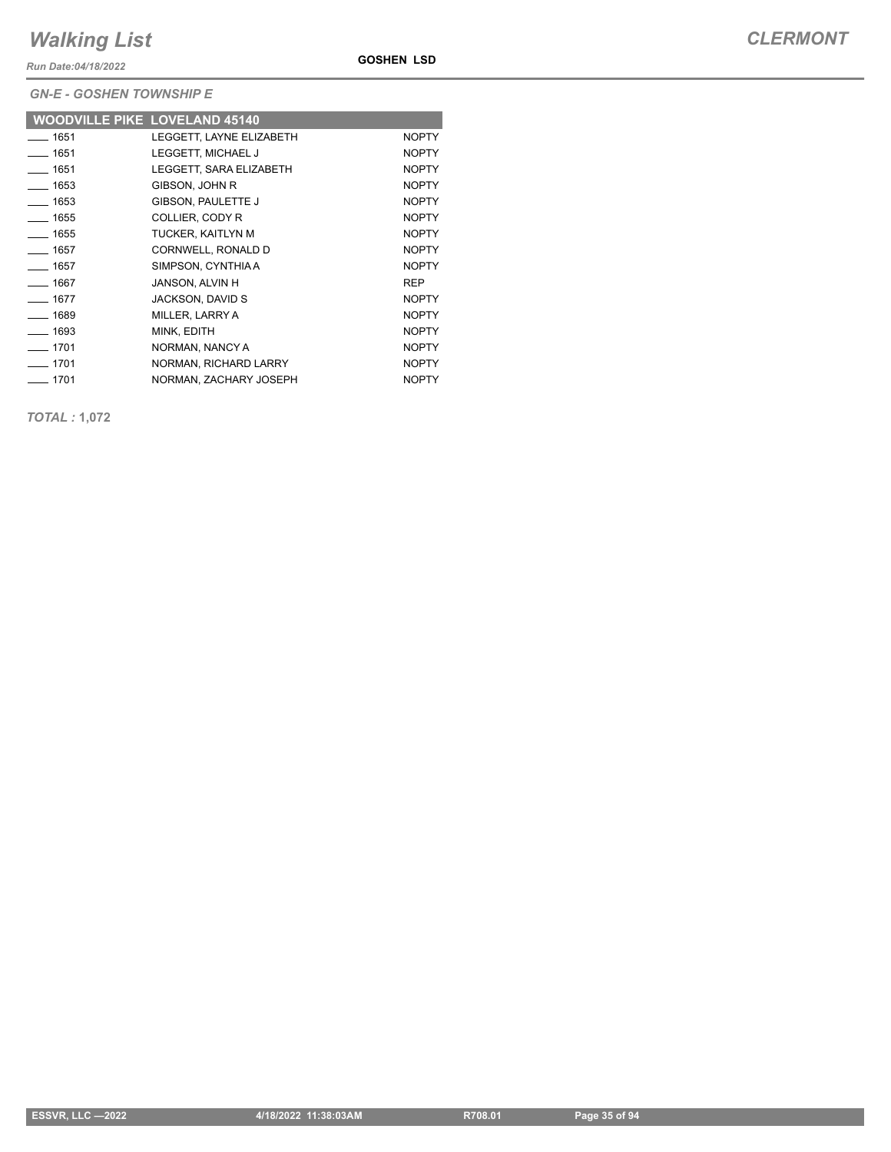*Run Date:04/18/2022*

**GOSHEN LSD**

*GN-E - GOSHEN TOWNSHIP E*

|                  | <b>WOODVILLE PIKE LOVELAND 45140</b> |              |
|------------------|--------------------------------------|--------------|
| $-1651$          | LEGGETT. LAYNE ELIZABETH             | <b>NOPTY</b> |
| ___ 1651         | LEGGETT, MICHAEL J                   | <b>NOPTY</b> |
| —— 1651          | LEGGETT. SARA ELIZABETH              | <b>NOPTY</b> |
| $\frac{1}{1653}$ | GIBSON, JOHN R                       | <b>NOPTY</b> |
| $\frac{1}{1653}$ | GIBSON, PAULETTE J                   | <b>NOPTY</b> |
| $\frac{1}{1655}$ | COLLIER, CODY R                      | <b>NOPTY</b> |
| $- 1655$         | TUCKER, KAITLYN M                    | <b>NOPTY</b> |
| $- 1657$         | CORNWELL, RONALD D                   | <b>NOPTY</b> |
| $- 1657$         | SIMPSON, CYNTHIAA                    | <b>NOPTY</b> |
| $- 1667$         | JANSON, ALVIN H                      | <b>REP</b>   |
| $- 1677$         | <b>JACKSON, DAVID S</b>              | <b>NOPTY</b> |
| $- 1689$         | MILLER, LARRY A                      | <b>NOPTY</b> |
| $- 1693$         | MINK, EDITH                          | <b>NOPTY</b> |
| $-1701$          | NORMAN, NANCY A                      | <b>NOPTY</b> |
| $-1701$          | NORMAN, RICHARD LARRY                | <b>NOPTY</b> |
| $-1701$          | NORMAN, ZACHARY JOSEPH               | <b>NOPTY</b> |

*TOTAL :* **1,072**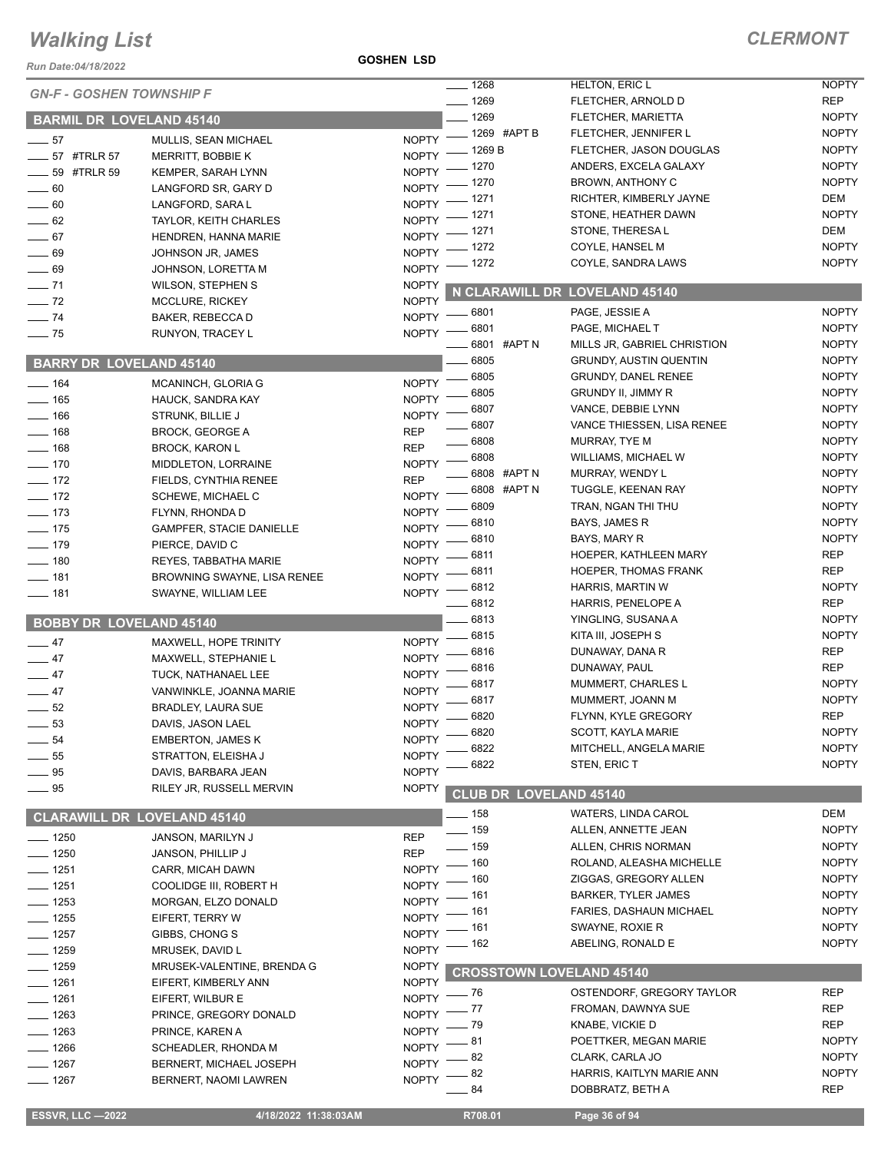#### *Run Date:04/18/2022*

**GOSHEN LSD**

|                                    |                                 |                    | $\overline{\phantom{0}}$ 1268   | <b>HELTON, ERIC L</b>          | <b>NOPTY</b> |
|------------------------------------|---------------------------------|--------------------|---------------------------------|--------------------------------|--------------|
| <b>GN-F - GOSHEN TOWNSHIP F</b>    |                                 |                    | $- 1269$                        | FLETCHER, ARNOLD D             | <b>REP</b>   |
| <b>BARMIL DR LOVELAND 45140</b>    |                                 |                    | $-1269$                         | FLETCHER, MARIETTA             | <b>NOPTY</b> |
|                                    |                                 |                    | $-1269$ #APT B                  | FLETCHER, JENNIFER L           | <b>NOPTY</b> |
| $\frac{1}{2}$ 57                   | MULLIS, SEAN MICHAEL            | <b>NOPTY</b>       | <sub>-</sub> 1269 B             | FLETCHER, JASON DOUGLAS        | <b>NOPTY</b> |
| ___ 57 #TRLR 57                    | <b>MERRITT, BOBBIE K</b>        | <b>NOPTY</b>       | 1270                            | ANDERS, EXCELA GALAXY          | <b>NOPTY</b> |
| <b>4TRLR 59</b>                    | KEMPER, SARAH LYNN              | <b>NOPTY</b>       | 1270                            | BROWN, ANTHONY C               | <b>NOPTY</b> |
| $-60$                              | LANGFORD SR, GARY D             | <b>NOPTY</b>       | 1271                            | RICHTER, KIMBERLY JAYNE        | DEM          |
| $- 60$                             | LANGFORD, SARA L                | <b>NOPTY</b>       | 1271                            | STONE, HEATHER DAWN            | <b>NOPTY</b> |
| $\frac{1}{2}$ 62                   | TAYLOR, KEITH CHARLES           | <b>NOPTY</b>       | - 1271                          | STONE, THERESAL                | DEM          |
| $- 67$                             | HENDREN, HANNA MARIE            | <b>NOPTY</b>       | 1272                            | COYLE, HANSEL M                | <b>NOPTY</b> |
| $-69$                              | JOHNSON JR, JAMES               | <b>NOPTY</b>       | 1272                            | COYLE, SANDRA LAWS             | <b>NOPTY</b> |
| $\frac{1}{2}$ 69                   | JOHNSON, LORETTA M              | NOPTY <sup>-</sup> |                                 |                                |              |
| $- 71$                             | <b>WILSON, STEPHEN S</b>        | <b>NOPTY</b>       | N CLARAWILL DR LOVELAND 45140   |                                |              |
| $-72$                              | <b>MCCLURE, RICKEY</b>          | <b>NOPTY</b>       |                                 | PAGE, JESSIE A                 | <b>NOPTY</b> |
| $-74$                              | BAKER, REBECCA D                | NOPTY -            | _ 6801                          |                                |              |
| $\frac{1}{2}$ 75                   | RUNYON, TRACEY L                | <b>NOPTY</b>       | 6801                            | PAGE, MICHAEL T                | <b>NOPTY</b> |
|                                    |                                 |                    | 6801 #APT N                     | MILLS JR, GABRIEL CHRISTION    | <b>NOPTY</b> |
| <b>BARRY DR LOVELAND 45140</b>     |                                 |                    | 6805                            | <b>GRUNDY, AUSTIN QUENTIN</b>  | <b>NOPTY</b> |
| $\frac{1}{2}$ 164                  | MCANINCH, GLORIA G              | <b>NOPTY</b>       | 6805                            | <b>GRUNDY, DANEL RENEE</b>     | <b>NOPTY</b> |
| $- 165$                            | HAUCK, SANDRA KAY               | <b>NOPTY</b>       | 6805                            | <b>GRUNDY II, JIMMY R</b>      | <b>NOPTY</b> |
| $- 166$                            | STRUNK, BILLIE J                | <b>NOPTY</b>       | 6807                            | VANCE, DEBBIE LYNN             | <b>NOPTY</b> |
| $- 168$                            | <b>BROCK, GEORGE A</b>          | <b>REP</b>         | 6807                            | VANCE THIESSEN, LISA RENEE     | <b>NOPTY</b> |
| $-168$                             | <b>BROCK, KARON L</b>           | <b>REP</b>         | 6808                            | MURRAY, TYE M                  | <b>NOPTY</b> |
| $- 170$                            | MIDDLETON, LORRAINE             | <b>NOPTY</b>       | 6808                            | WILLIAMS, MICHAEL W            | <b>NOPTY</b> |
| $-172$                             | FIELDS, CYNTHIA RENEE           | <b>REP</b>         | 6808 #APT N                     | MURRAY, WENDY L                | <b>NOPTY</b> |
| $-172$                             | SCHEWE, MICHAEL C               | <b>NOPTY</b>       | 6808 #APT N                     | TUGGLE, KEENAN RAY             | <b>NOPTY</b> |
| $- 173$                            | FLYNN, RHONDA D                 | <b>NOPTY</b>       | 6809                            | TRAN, NGAN THI THU             | <b>NOPTY</b> |
| $- 175$                            | <b>GAMPFER, STACIE DANIELLE</b> | <b>NOPTY</b>       | 6810                            | BAYS, JAMES R                  | <b>NOPTY</b> |
| $- 179$                            | PIERCE, DAVID C                 | <b>NOPTY</b>       | 6810                            | BAYS, MARY R                   | <b>NOPTY</b> |
| $\frac{1}{2}$ 180                  | REYES, TABBATHA MARIE           | <b>NOPTY</b>       | 6811                            | HOEPER, KATHLEEN MARY          | <b>REP</b>   |
| $- 181$                            | BROWNING SWAYNE, LISA RENEE     | <b>NOPTY</b>       | 6811                            | HOEPER, THOMAS FRANK           | <b>REP</b>   |
| $- 181$                            | SWAYNE, WILLIAM LEE             | <b>NOPTY</b>       | 6812                            | HARRIS, MARTIN W               | <b>NOPTY</b> |
|                                    |                                 |                    | 6812                            | HARRIS, PENELOPE A             | <b>REP</b>   |
| <b>BOBBY DR LOVELAND 45140</b>     |                                 |                    | 6813                            | YINGLING, SUSANA A             | <b>NOPTY</b> |
|                                    |                                 |                    | 6815                            | KITA III, JOSEPH S             | <b>NOPTY</b> |
| $-47$                              | MAXWELL, HOPE TRINITY           | <b>NOPTY</b>       | 6816                            | DUNAWAY, DANA R                | <b>REP</b>   |
| $-47$                              | MAXWELL, STEPHANIE L            | <b>NOPTY</b>       | 6816                            | DUNAWAY, PAUL                  | <b>REP</b>   |
| $-47$                              | TUCK, NATHANAEL LEE             | <b>NOPTY</b>       | 6817                            | MUMMERT, CHARLES L             | <b>NOPTY</b> |
| $\frac{1}{2}$ 47                   | VANWINKLE, JOANNA MARIE         | <b>NOPTY</b>       | 6817                            | MUMMERT, JOANN M               | <b>NOPTY</b> |
| $-52$                              | <b>BRADLEY, LAURA SUE</b>       | <b>NOPTY</b>       | 6820                            | FLYNN, KYLE GREGORY            | <b>REP</b>   |
| 53                                 | DAVIS. JASON LAEL               | <b>NOPTY</b>       | 6820                            | SCOTT, KAYLA MARIE             | <b>NOPTY</b> |
| $\frac{1}{2}$ 54                   | <b>EMBERTON, JAMES K</b>        | <b>NOPTY</b>       | 6822                            | MITCHELL, ANGELA MARIE         | <b>NOPTY</b> |
| 55                                 | STRATTON, ELEISHA J             | <b>NOPTY</b>       | 6822                            | STEN, ERIC T                   | <b>NOPTY</b> |
| $-95$                              | DAVIS, BARBARA JEAN             | <b>NOPTY</b>       |                                 |                                |              |
| $-95$                              | RILEY JR, RUSSELL MERVIN        | <b>NOPTY</b>       | <b>CLUB DR LOVELAND 45140</b>   |                                |              |
|                                    |                                 |                    | $-158$                          | WATERS, LINDA CAROL            | <b>DEM</b>   |
| <b>CLARAWILL DR LOVELAND 45140</b> |                                 |                    | $- 159$                         | ALLEN, ANNETTE JEAN            | <b>NOPTY</b> |
| $- 1250$                           | JANSON, MARILYN J               | <b>REP</b>         | $-159$                          | ALLEN, CHRIS NORMAN            | <b>NOPTY</b> |
| $- 1250$                           | JANSON, PHILLIP J               | <b>REP</b>         |                                 | ROLAND, ALEASHA MICHELLE       | <b>NOPTY</b> |
| $- 1251$                           | CARR, MICAH DAWN                | <b>NOPTY</b>       | $-160$                          |                                |              |
| $- 1251$                           | COOLIDGE III, ROBERT H          | <b>NOPTY</b>       | _ 160                           | ZIGGAS, GREGORY ALLEN          | <b>NOPTY</b> |
| $\frac{1}{2}$ 1253                 | MORGAN, ELZO DONALD             | <b>NOPTY</b>       | 161                             | <b>BARKER, TYLER JAMES</b>     | <b>NOPTY</b> |
| $- 1255$                           | EIFERT, TERRY W                 | <b>NOPTY</b>       | 161                             | <b>FARIES, DASHAUN MICHAEL</b> | <b>NOPTY</b> |
| $- 1257$                           | GIBBS, CHONG S                  | <b>NOPTY</b>       | 161                             | SWAYNE, ROXIE R                | <b>NOPTY</b> |
| $- 1259$                           | MRUSEK, DAVID L                 | <b>NOPTY</b>       | 162                             | ABELING, RONALD E              | <b>NOPTY</b> |
| $- 1259$                           | MRUSEK-VALENTINE, BRENDA G      | <b>NOPTY</b>       |                                 |                                |              |
| $- 1261$                           | EIFERT, KIMBERLY ANN            | <b>NOPTY</b>       | <b>CROSSTOWN LOVELAND 45140</b> |                                |              |
| $- 1261$                           | EIFERT, WILBUR E                | NOPTY -            | — 76                            | OSTENDORF, GREGORY TAYLOR      | <b>REP</b>   |
| $-1263$                            | PRINCE, GREGORY DONALD          | NOPTY <sup>-</sup> | - 77                            | FROMAN, DAWNYA SUE             | <b>REP</b>   |
| $-1263$                            | PRINCE, KAREN A                 | <b>NOPTY</b>       | - 79                            | KNABE, VICKIE D                | <b>REP</b>   |
| $-1266$                            | SCHEADLER, RHONDA M             | <b>NOPTY</b>       | 81                              | POETTKER, MEGAN MARIE          | <b>NOPTY</b> |
| $- 1267$                           |                                 | NOPTY <sup>-</sup> | 82                              | CLARK, CARLA JO                | <b>NOPTY</b> |
|                                    |                                 |                    |                                 |                                |              |
|                                    | BERNERT, MICHAEL JOSEPH         |                    | 82                              | HARRIS, KAITLYN MARIE ANN      | <b>NOPTY</b> |
| $- 1267$                           | BERNERT, NAOMI LAWREN           | <b>NOPTY</b>       | 84                              | DOBBRATZ, BETH A               | <b>REP</b>   |
| <b>ESSVR, LLC -2022</b>            | 4/18/2022 11:38:03AM            |                    | R708.01                         | Page 36 of 94                  |              |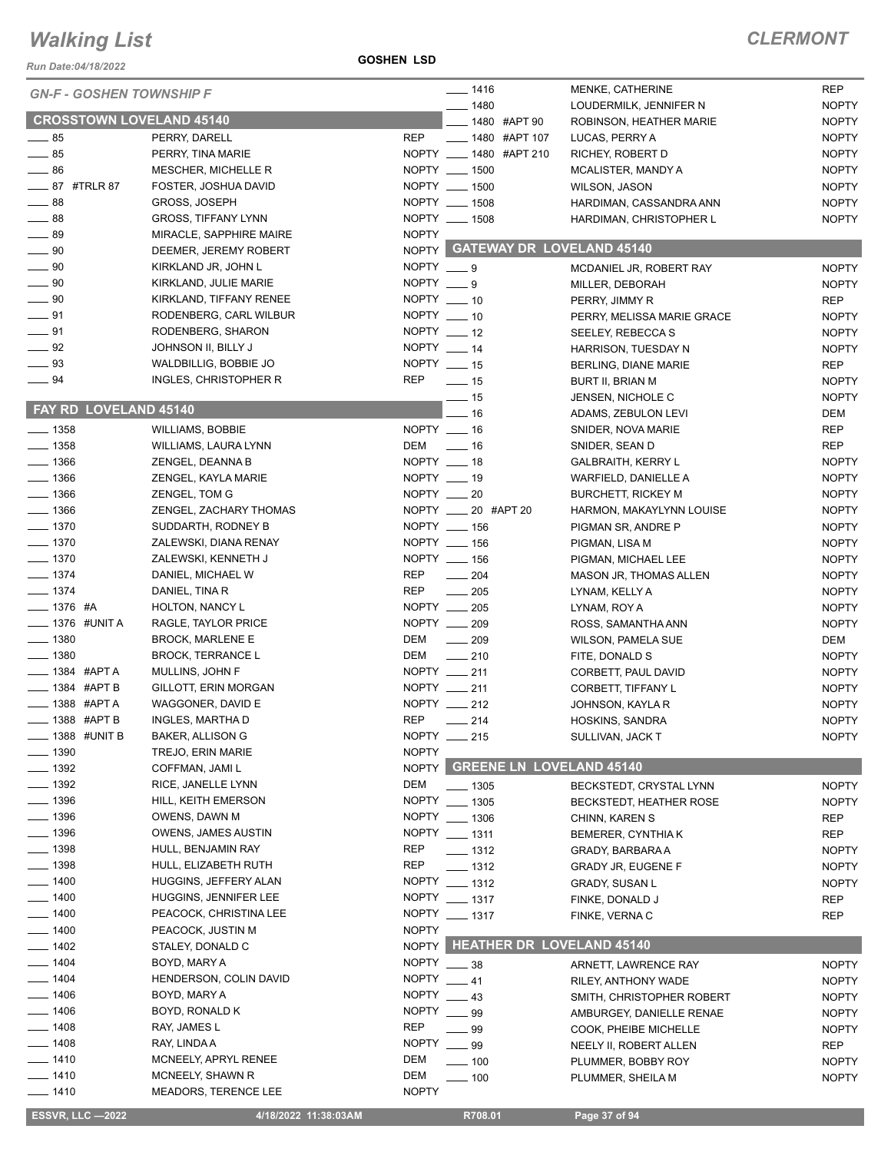*Run Date:04/18/2022*

**GOSHEN LSD**

| <b>GN-F - GOSHEN TOWNSHIP F</b> |                             |                | $- 1416$                         | MENKE, CATHERINE           | <b>REP</b>   |
|---------------------------------|-----------------------------|----------------|----------------------------------|----------------------------|--------------|
|                                 |                             |                | $- 1480$                         | LOUDERMILK, JENNIFER N     | <b>NOPTY</b> |
| <b>CROSSTOWN LOVELAND 45140</b> |                             |                | __ 1480 #APT 90                  | ROBINSON, HEATHER MARIE    | <b>NOPTY</b> |
| $\frac{1}{2}$ 85                | PERRY, DARELL               | <b>REP</b>     | ____ 1480 #APT 107               | LUCAS, PERRY A             | <b>NOPTY</b> |
| $\frac{1}{2}$ 85                | PERRY, TINA MARIE           |                | NOPTY __ 1480 #APT 210           | RICHEY, ROBERT D           | <b>NOPTY</b> |
| $\frac{1}{2}$ 86                | MESCHER, MICHELLE R         |                | NOPTY __ 1500                    | MCALISTER, MANDY A         | <b>NOPTY</b> |
| ____ 87 #TRLR 87                | FOSTER, JOSHUA DAVID        |                | NOPTY __ 1500                    | <b>WILSON, JASON</b>       | <b>NOPTY</b> |
| $\frac{1}{2}$ 88                | GROSS, JOSEPH               |                | NOPTY __ 1508                    | HARDIMAN, CASSANDRA ANN    | <b>NOPTY</b> |
| $-88$                           | <b>GROSS, TIFFANY LYNN</b>  |                | NOPTY __ 1508                    | HARDIMAN, CHRISTOPHER L    | <b>NOPTY</b> |
| $-89$                           | MIRACLE, SAPPHIRE MAIRE     | <b>NOPTY</b>   |                                  |                            |              |
| $\_\_\_\$ 90                    | DEEMER, JEREMY ROBERT       |                | NOPTY GATEWAY DR LOVELAND 45140  |                            |              |
| $\frac{1}{2}$ 90                | KIRKLAND JR, JOHN L         | $NOPTY = 9$    |                                  | MCDANIEL JR, ROBERT RAY    | <b>NOPTY</b> |
| $\frac{1}{2}$ 90                | KIRKLAND, JULIE MARIE       | NOPTY $\_\_$ 9 |                                  | MILLER, DEBORAH            | <b>NOPTY</b> |
| $\frac{1}{2}$ 90                | KIRKLAND, TIFFANY RENEE     | NOPTY $-10$    |                                  | PERRY, JIMMY R             | <b>REP</b>   |
| $\frac{1}{2}$ 91                | RODENBERG, CARL WILBUR      | NOPTY $-10$    |                                  | PERRY, MELISSA MARIE GRACE | <b>NOPTY</b> |
| $\frac{1}{2}$ 91                | RODENBERG, SHARON           | NOPTY $-12$    |                                  | SEELEY, REBECCA S          | <b>NOPTY</b> |
| $\frac{1}{2}$ 92                | JOHNSON II, BILLY J         | NOPTY $-14$    |                                  | HARRISON, TUESDAY N        | <b>NOPTY</b> |
| $\frac{1}{2}$ 93                | WALDBILLIG, BOBBIE JO       | NOPTY __ 15    |                                  | BERLING, DIANE MARIE       | <b>REP</b>   |
| $\frac{1}{2}$ 94                | INGLES, CHRISTOPHER R       | <b>REP</b>     | $\frac{1}{2}$ 15                 | BURT II, BRIAN M           | <b>NOPTY</b> |
|                                 |                             |                | —— 15                            | JENSEN, NICHOLE C          | <b>NOPTY</b> |
| <b>FAY RD LOVELAND 45140</b>    |                             |                | $-16$                            | ADAMS, ZEBULON LEVI        | <b>DEM</b>   |
| $- 1358$                        | <b>WILLIAMS, BOBBIE</b>     | NOPTY __ 16    |                                  | SNIDER, NOVA MARIE         | <b>REP</b>   |
| $\frac{1}{2}$ 1358              | WILLIAMS, LAURA LYNN        |                | DEM _____ 16                     | SNIDER, SEAN D             | <b>REP</b>   |
| $\frac{1}{2}$ 1366              | ZENGEL, DEANNA B            | NOPTY __ 18    |                                  | <b>GALBRAITH, KERRY L</b>  | <b>NOPTY</b> |
| $- 1366$                        | ZENGEL, KAYLA MARIE         | NOPTY __ 19    |                                  | WARFIELD, DANIELLE A       | <b>NOPTY</b> |
| $- 1366$                        | ZENGEL, TOM G               | NOPTY __ 20    |                                  | <b>BURCHETT, RICKEY M</b>  | <b>NOPTY</b> |
| $\frac{1}{2}$ 1366              | ZENGEL, ZACHARY THOMAS      |                | NOPTY __ 20 #APT 20              | HARMON, MAKAYLYNN LOUISE   | <b>NOPTY</b> |
| $- 1370$                        | SUDDARTH, RODNEY B          |                | NOPTY __ 156                     | PIGMAN SR, ANDRE P         | <b>NOPTY</b> |
| $\frac{1}{2}$ 1370              | ZALEWSKI, DIANA RENAY       |                | NOPTY __ 156                     | PIGMAN, LISA M             | <b>NOPTY</b> |
| $\frac{1}{2}$ 1370              | ZALEWSKI, KENNETH J         |                | NOPTY __ 156                     | PIGMAN, MICHAEL LEE        | <b>NOPTY</b> |
| $- 1374$                        | DANIEL, MICHAEL W           | REP            | $\frac{1}{204}$                  | MASON JR, THOMAS ALLEN     | <b>NOPTY</b> |
| $- 1374$                        | DANIEL, TINA R              | REP            | $\frac{1}{205}$                  | LYNAM, KELLY A             | <b>NOPTY</b> |
| $- 1376$ #A                     | HOLTON, NANCY L             |                | NOPTY __ 205                     | LYNAM, ROY A               | <b>NOPTY</b> |
| ___ 1376 #UNIT A                | RAGLE, TAYLOR PRICE         |                | NOPTY __ 209                     | ROSS, SAMANTHA ANN         | <b>NOPTY</b> |
| $- 1380$                        | <b>BROCK, MARLENE E</b>     | DEM            | $\sim$ 209                       | <b>WILSON, PAMELA SUE</b>  | DEM          |
| $- 1380$                        | <b>BROCK, TERRANCE L</b>    | DEM            | $\sim$ 210                       | FITE, DONALD S             | <b>NOPTY</b> |
| $\equiv$ 1384 #APTA             | MULLINS, JOHN F             |                | NOPTY __ 211                     | CORBETT, PAUL DAVID        | <b>NOPTY</b> |
| $\frac{1}{2}$ 1384 #APT B       | GILLOTT, ERIN MORGAN        |                | NOPTY __ 211                     | CORBETT, TIFFANY L         | <b>NOPTY</b> |
| -888 #APTA                      | WAGGONER, DAVID E           |                | NOPTY __ 212                     | JOHNSON, KAYLA R           | <b>NOPTY</b> |
| $\frac{1}{2}$ 1388 #APT B       | INGLES, MARTHA D            | <b>REP</b>     | _ 214                            | HOSKINS, SANDRA            | <b>NOPTY</b> |
| $=$ 1388 #UNIT B                | BAKER, ALLISON G            |                | NOPTY __ 215                     | SULLIVAN, JACK T           | <b>NOPTY</b> |
| $-1390$                         | TREJO, ERIN MARIE           | <b>NOPTY</b>   |                                  |                            |              |
| $\frac{1}{2}$ 1392              | COFFMAN, JAMI L             | <b>NOPTY</b>   | <b>GREENE LN LOVELAND 45140</b>  |                            |              |
| $\frac{1}{2}$ 1392              | RICE, JANELLE LYNN          | DEM            |                                  |                            |              |
| $\frac{1}{2}$ 1396              |                             |                | $- 1305$<br>NOPTY __ 1305        | BECKSTEDT, CRYSTAL LYNN    | <b>NOPTY</b> |
|                                 | HILL, KEITH EMERSON         |                |                                  | BECKSTEDT, HEATHER ROSE    | <b>NOPTY</b> |
| $- 1396$                        | OWENS, DAWN M               |                | NOPTY __ 1306                    | CHINN, KAREN S             | <b>REP</b>   |
| <sub>__</sub> 1396              | <b>OWENS, JAMES AUSTIN</b>  |                | NOPTY __ 1311                    | <b>BEMERER, CYNTHIA K</b>  | <b>REP</b>   |
| $- 1398$                        | HULL, BENJAMIN RAY          | <b>REP</b>     | $\frac{1}{2}$ 1312               | GRADY, BARBARA A           | <b>NOPTY</b> |
| $- 1398$                        | HULL, ELIZABETH RUTH        | <b>REP</b>     | $- 1312$                         | <b>GRADY JR, EUGENE F</b>  | <b>NOPTY</b> |
| $- 1400$                        | HUGGINS, JEFFERY ALAN       |                | NOPTY __ 1312                    | <b>GRADY, SUSAN L</b>      | <b>NOPTY</b> |
| $- 1400$                        | HUGGINS, JENNIFER LEE       |                | NOPTY __ 1317                    | FINKE, DONALD J            | <b>REP</b>   |
| $-1400$                         | PEACOCK, CHRISTINA LEE      |                | NOPTY __ 1317                    | FINKE, VERNA C             | <b>REP</b>   |
| $-1400$                         | PEACOCK, JUSTIN M           | <b>NOPTY</b>   |                                  |                            |              |
| $-1402$                         | STALEY, DONALD C            | NOPTY          | <b>HEATHER DR LOVELAND 45140</b> |                            |              |
| $-1404$                         | BOYD, MARY A                | <b>NOPTY</b>   | $\frac{1}{2}$ 38                 | ARNETT, LAWRENCE RAY       | <b>NOPTY</b> |
| $-1404$                         | HENDERSON, COLIN DAVID      | <b>NOPTY</b>   | $-41$                            | RILEY, ANTHONY WADE        | <b>NOPTY</b> |
| $-1406$                         | BOYD, MARY A                | <b>NOPTY</b>   | $-43$                            | SMITH, CHRISTOPHER ROBERT  | <b>NOPTY</b> |
| $- 1406$                        | BOYD, RONALD K              | <b>NOPTY</b>   | 99                               | AMBURGEY, DANIELLE RENAE   | <b>NOPTY</b> |
| $- 1408$                        | RAY, JAMES L                | REP            | - 99                             | COOK, PHEIBE MICHELLE      | <b>NOPTY</b> |
| $- 1408$                        | RAY, LINDA A                | <b>NOPTY</b>   | $\equiv$ 99                      | NEELY II, ROBERT ALLEN     | <b>REP</b>   |
| $- 1410$                        | MCNEELY, APRYL RENEE        | DEM            | $-100$                           | PLUMMER, BOBBY ROY         | <b>NOPTY</b> |
| $- 1410$                        | MCNEELY, SHAWN R            | DEM            | $-100$                           | PLUMMER, SHEILA M          | <b>NOPTY</b> |
| $- 1410$                        | <b>MEADORS, TERENCE LEE</b> | <b>NOPTY</b>   |                                  |                            |              |
| <b>ESSVR, LLC -2022</b>         | 4/18/2022 11:38:03AM        |                | R708.01                          | Page 37 of 94              |              |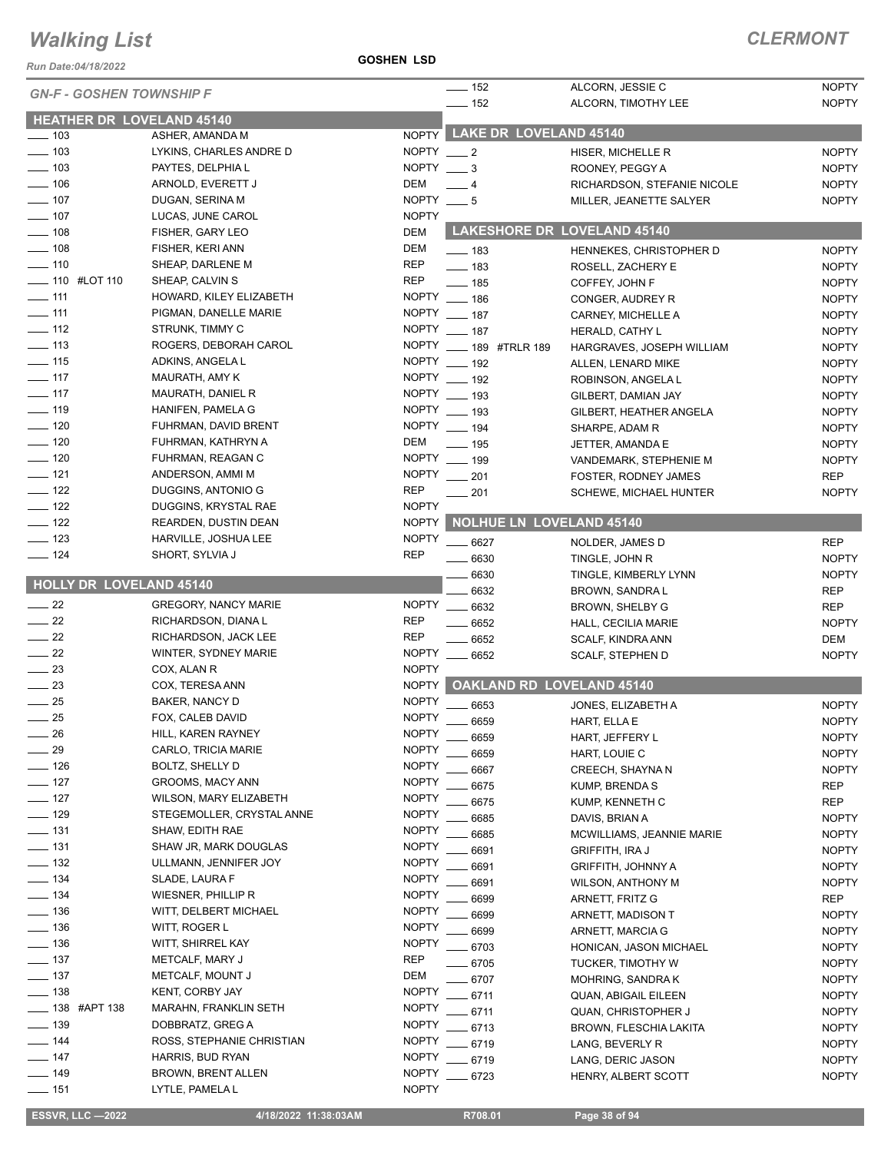*Run Date:04/18/2022*

| <b>GN-F - GOSHEN TOWNSHIP F</b>  |                             |              | $- 152$<br>$-$ 152       |                        | ALCORN, JESSIE C<br>ALCORN, TIMOTHY LEE             | <b>NOPTY</b><br><b>NOPTY</b> |
|----------------------------------|-----------------------------|--------------|--------------------------|------------------------|-----------------------------------------------------|------------------------------|
| <b>HEATHER DR LOVELAND 45140</b> |                             |              |                          |                        |                                                     |                              |
| $\frac{1}{2}$ 103                | ASHER, AMANDA M             | <b>NOPTY</b> |                          | LAKE DR LOVELAND 45140 |                                                     |                              |
| $\frac{1}{2}$ 103                | LYKINS, CHARLES ANDRE D     | NOPTY $-2$   |                          |                        | HISER, MICHELLE R                                   | <b>NOPTY</b>                 |
| $\frac{1}{2}$ 103                | PAYTES, DELPHIA L           | <b>NOPTY</b> | $-3$                     |                        | ROONEY, PEGGY A                                     | <b>NOPTY</b>                 |
| $- 106$                          | ARNOLD, EVERETT J           | <b>DEM</b>   | $-4$                     |                        | RICHARDSON, STEFANIE NICOLE                         | <b>NOPTY</b>                 |
| $- 107$                          | DUGAN, SERINA M             | NOPTY $- 5$  |                          |                        | MILLER, JEANETTE SALYER                             | <b>NOPTY</b>                 |
| $\frac{1}{2}$ 107                | LUCAS, JUNE CAROL           | <b>NOPTY</b> |                          |                        |                                                     |                              |
| $\frac{1}{2}$ 108                | FISHER, GARY LEO            | <b>DEM</b>   |                          |                        | LAKESHORE DR LOVELAND 45140                         |                              |
| $- 108$                          | FISHER, KERI ANN            | DEM          | $\frac{1}{2}$ 183        |                        | HENNEKES, CHRISTOPHER D                             | <b>NOPTY</b>                 |
| $- 110$                          | SHEAP, DARLENE M            | <b>REP</b>   | $\frac{1}{2}$ 183        |                        | ROSELL, ZACHERY E                                   | <b>NOPTY</b>                 |
| <b>____</b> 110 #LOT 110         | SHEAP, CALVIN S             | <b>REP</b>   | $- 185$                  |                        | COFFEY, JOHN F                                      | <b>NOPTY</b>                 |
| $\frac{1}{111}$                  | HOWARD, KILEY ELIZABETH     | <b>NOPTY</b> | $- 186$                  |                        | CONGER, AUDREY R                                    | <b>NOPTY</b>                 |
| $- 111$                          | PIGMAN, DANELLE MARIE       |              | NOPTY __ 187             |                        | CARNEY, MICHELLE A                                  | <b>NOPTY</b>                 |
| $\frac{1}{2}$ 112                | STRUNK, TIMMY C             | <b>NOPTY</b> | $- 187$                  |                        | HERALD, CATHY L                                     | <b>NOPTY</b>                 |
| $\frac{1}{2}$ 113                | ROGERS, DEBORAH CAROL       |              | NOPTY ____ 189 #TRLR 189 |                        | HARGRAVES, JOSEPH WILLIAM                           | <b>NOPTY</b>                 |
| $\frac{1}{2}$ 115                | ADKINS, ANGELA L            |              | NOPTY __ 192             |                        | ALLEN, LENARD MIKE                                  | <b>NOPTY</b>                 |
| $- 117$                          | MAURATH, AMY K              |              | NOPTY __ 192             |                        | ROBINSON, ANGELA L                                  | <b>NOPTY</b>                 |
| $-117$                           | MAURATH, DANIEL R           |              | NOPTY __ 193             |                        | GILBERT, DAMIAN JAY                                 | <b>NOPTY</b>                 |
| $- 119$                          | HANIFEN, PAMELA G           |              | NOPTY __ 193             |                        | GILBERT, HEATHER ANGELA                             | <b>NOPTY</b>                 |
| $- 120$                          | FUHRMAN, DAVID BRENT        |              | NOPTY __ 194             |                        | SHARPE, ADAM R                                      | <b>NOPTY</b>                 |
| $\sim$ 120                       | FUHRMAN, KATHRYN A          | <b>DEM</b>   | $-$ 195                  |                        | JETTER, AMANDA E                                    | <b>NOPTY</b>                 |
| $- 120$                          | FUHRMAN, REAGAN C           | <b>NOPTY</b> | $\frac{1}{2}$ 199        |                        | VANDEMARK, STEPHENIE M                              | <b>NOPTY</b>                 |
| $- 121$                          | ANDERSON, AMMI M            | <b>NOPTY</b> | $\frac{1}{201}$          |                        | <b>FOSTER, RODNEY JAMES</b>                         | <b>REP</b>                   |
| $\frac{1}{2}$ 122                | DUGGINS, ANTONIO G          | <b>REP</b>   | $= 201$                  |                        | <b>SCHEWE, MICHAEL HUNTER</b>                       | <b>NOPTY</b>                 |
| $-122$                           | DUGGINS, KRYSTAL RAE        | <b>NOPTY</b> |                          |                        |                                                     |                              |
| $-122$                           | REARDEN, DUSTIN DEAN        | NOPTY        |                          |                        | <b>NOLHUE LN LOVELAND 45140</b>                     |                              |
| $- 123$                          | HARVILLE, JOSHUA LEE        | <b>NOPTY</b> | $-6627$                  |                        | NOLDER, JAMES D                                     | <b>REP</b>                   |
| $- 124$                          | SHORT, SYLVIA J             | <b>REP</b>   | $- 6630$                 |                        | TINGLE, JOHN R                                      | <b>NOPTY</b>                 |
|                                  |                             |              | 6630                     |                        | TINGLE, KIMBERLY LYNN                               | <b>NOPTY</b>                 |
| HOLLY DR LOVELAND 45140          |                             |              | 6632                     |                        | BROWN, SANDRA L                                     | <b>REP</b>                   |
| $\sim$ 22                        | <b>GREGORY, NANCY MARIE</b> | <b>NOPTY</b> | 6632                     |                        | BROWN, SHELBY G                                     | <b>REP</b>                   |
| $\frac{1}{22}$                   | RICHARDSON, DIANAL          | <b>REP</b>   | 6652                     |                        | HALL, CECILIA MARIE                                 | <b>NOPTY</b>                 |
| $\frac{1}{22}$                   | RICHARDSON, JACK LEE        | <b>REP</b>   | 6652                     |                        | SCALF, KINDRA ANN                                   | DEM                          |
| $\frac{1}{22}$                   | WINTER, SYDNEY MARIE        | <b>NOPTY</b> | 6652                     |                        | <b>SCALF, STEPHEN D</b>                             | <b>NOPTY</b>                 |
| $\frac{23}{2}$                   | COX, ALAN R                 | <b>NOPTY</b> |                          |                        |                                                     |                              |
| $\equiv$ 23                      | COX, TERESA ANN             | NOPTY        |                          |                        | <b>OAKLAND RD LOVELAND 45140</b>                    |                              |
| $\frac{1}{25}$                   | BAKER, NANCY D              | <b>NOPTY</b> | 6653                     |                        | JONES, ELIZABETH A                                  | <b>NOPTY</b>                 |
| $\frac{1}{25}$                   | FOX, CALEB DAVID            | <b>NOPTY</b> | 6659                     |                        | HART, ELLA E                                        | <b>NOPTY</b>                 |
| $-26$                            | HILL, KAREN RAYNEY          | <b>NOPTY</b> | 6659                     |                        | HART, JEFFERY L                                     | <b>NOPTY</b>                 |
| $\frac{1}{29}$                   | CARLO, TRICIA MARIE         | <b>NOPTY</b> | 6659                     |                        | HART, LOUIE C                                       | <b>NOPTY</b>                 |
| $- 126$                          | BOLTZ, SHELLY D             | <b>NOPTY</b> | 6667                     |                        | CREECH, SHAYNA N                                    | <b>NOPTY</b>                 |
| $\frac{1}{2}$ 127                | GROOMS, MACY ANN            | <b>NOPTY</b> | 6675                     |                        | KUMP, BRENDA S                                      | <b>REP</b>                   |
| $\frac{1}{2}$ 127                | WILSON, MARY ELIZABETH      | <b>NOPTY</b> | 6675                     |                        | KUMP, KENNETH C                                     | REP                          |
| $- 129$                          | STEGEMOLLER, CRYSTAL ANNE   | <b>NOPTY</b> | 6685                     |                        | DAVIS, BRIAN A                                      | <b>NOPTY</b>                 |
| $\frac{1}{2}$ 131                | SHAW, EDITH RAE             | <b>NOPTY</b> | 6685                     |                        |                                                     |                              |
| $- 131$                          | SHAW JR, MARK DOUGLAS       | <b>NOPTY</b> | 6691                     |                        | MCWILLIAMS, JEANNIE MARIE<br><b>GRIFFITH, IRA J</b> | <b>NOPTY</b><br><b>NOPTY</b> |
| $\frac{1}{2}$ 132                | ULLMANN, JENNIFER JOY       | <b>NOPTY</b> | 6691                     |                        |                                                     |                              |
| $\frac{1}{2}$ 134                | SLADE, LAURA F              | <b>NOPTY</b> | 6691                     |                        | <b>GRIFFITH, JOHNNY A</b>                           | <b>NOPTY</b>                 |
| $\frac{1}{2}$ 134                | WIESNER, PHILLIP R          | <b>NOPTY</b> | 6699                     |                        | WILSON, ANTHONY M<br>ARNETT, FRITZ G                | <b>NOPTY</b><br>REP          |
| $- 136$                          | WITT, DELBERT MICHAEL       | <b>NOPTY</b> |                          |                        | ARNETT, MADISON T                                   |                              |
| $\frac{1}{2}$ 136                | WITT, ROGER L               | <b>NOPTY</b> | 6699<br>6699             |                        |                                                     | <b>NOPTY</b><br><b>NOPTY</b> |
| $\frac{1}{2}$ 136                | WITT, SHIRREL KAY           | <b>NOPTY</b> |                          |                        | ARNETT, MARCIA G                                    |                              |
| $- 137$                          | METCALF, MARY J             | <b>REP</b>   | 6703                     |                        | HONICAN, JASON MICHAEL                              | <b>NOPTY</b>                 |
| $\frac{1}{2}$ 137                | METCALF, MOUNT J            | DEM          | 6705                     |                        | <b>TUCKER, TIMOTHY W</b>                            | <b>NOPTY</b>                 |
| $- 138$                          | KENT, CORBY JAY             | <b>NOPTY</b> | 6707                     |                        | MOHRING, SANDRA K                                   | <b>NOPTY</b>                 |
| <u>_</u> ____ 138 #APT 138       | MARAHN, FRANKLIN SETH       | <b>NOPTY</b> | 6711                     |                        | QUAN, ABIGAIL EILEEN                                | <b>NOPTY</b>                 |
| $\frac{1}{2}$ 139                | DOBBRATZ, GREG A            | <b>NOPTY</b> | 6711                     |                        | QUAN, CHRISTOPHER J                                 | <b>NOPTY</b>                 |
| $- 144$                          | ROSS, STEPHANIE CHRISTIAN   | <b>NOPTY</b> | 6713                     |                        | <b>BROWN, FLESCHIA LAKITA</b>                       | <b>NOPTY</b>                 |
| $-147$                           | HARRIS, BUD RYAN            | <b>NOPTY</b> | 6719                     |                        | LANG, BEVERLY R                                     | <b>NOPTY</b>                 |
| $-149$                           | BROWN, BRENT ALLEN          | <b>NOPTY</b> | 6719                     |                        | LANG, DERIC JASON                                   | <b>NOPTY</b>                 |
| $-151$                           | LYTLE, PAMELA L             | <b>NOPTY</b> | 6723                     |                        | HENRY, ALBERT SCOTT                                 | <b>NOPTY</b>                 |
|                                  |                             |              |                          |                        |                                                     |                              |

**ESSVR, LLC -2022 4/18/2022 11:38:03AM** R708.01 **Page 38 of 94**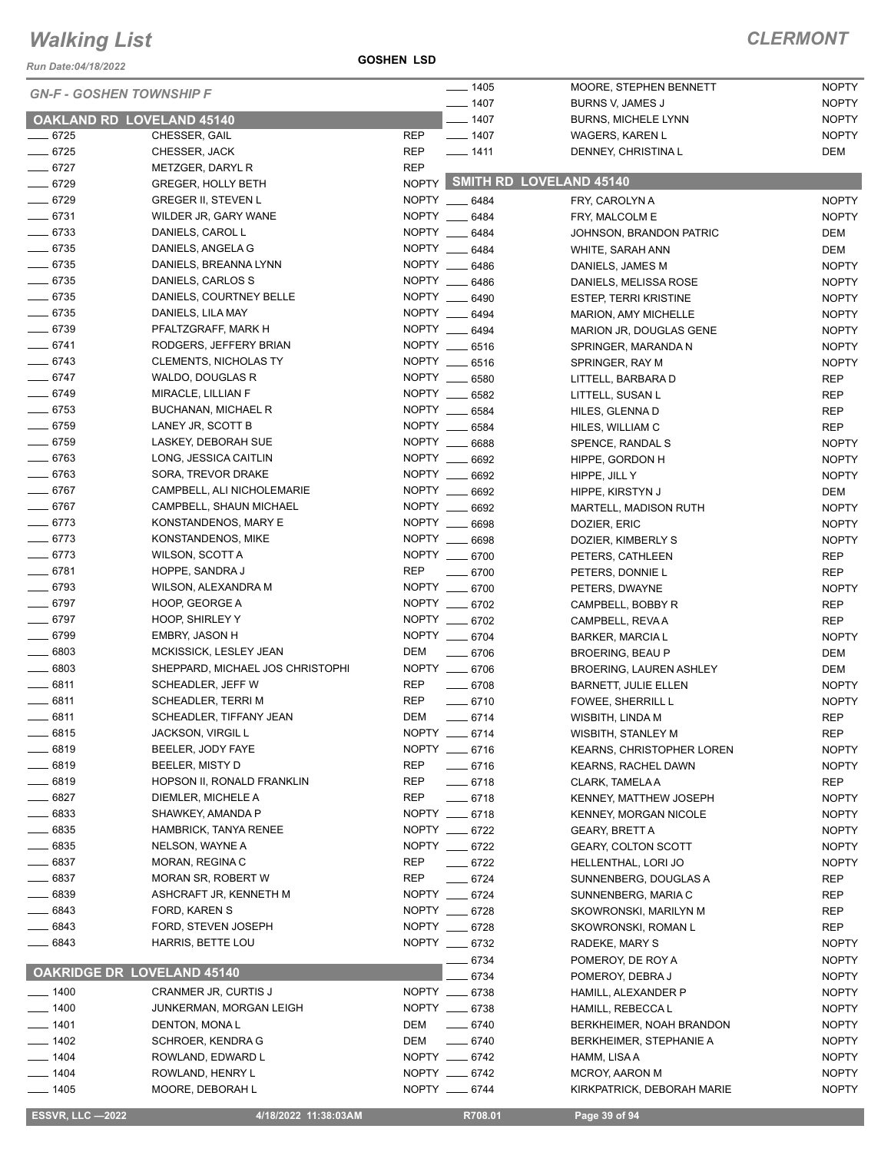*Run Date:04/18/2022*

**GOSHEN LSD**

| <b>GN-F - GOSHEN TOWNSHIP F</b>   |                                                   |            | $- 1405$                       | MOORE, STEPHEN BENNETT                       | <b>NOPTY</b>               |
|-----------------------------------|---------------------------------------------------|------------|--------------------------------|----------------------------------------------|----------------------------|
|                                   |                                                   |            | $- 1407$                       | BURNS V, JAMES J                             | <b>NOPTY</b>               |
| <b>OAKLAND RD LOVELAND 45140</b>  |                                                   |            | $-1407$                        | <b>BURNS, MICHELE LYNN</b>                   | <b>NOPTY</b>               |
| $- 6725$                          | CHESSER, GAIL                                     | <b>REP</b> | $- 1407$                       | <b>WAGERS, KAREN L</b>                       | <b>NOPTY</b>               |
| $- 6725$                          | CHESSER, JACK                                     | <b>REP</b> | $- 1411$                       | DENNEY, CHRISTINA L                          | DEM                        |
| $- 6727$                          | METZGER, DARYL R                                  | <b>REP</b> |                                |                                              |                            |
| $- 6729$                          | <b>GREGER, HOLLY BETH</b>                         |            |                                | NOPTY SMITH RD LOVELAND 45140                |                            |
| $- 6729$                          | <b>GREGER II, STEVEN L</b>                        |            | NOPTY __ 6484                  | FRY, CAROLYN A                               | <b>NOPTY</b>               |
| $-6731$                           | WILDER JR, GARY WANE                              |            | NOPTY __ 6484                  | FRY, MALCOLM E                               | <b>NOPTY</b>               |
| $- 6733$                          | DANIELS, CAROL L                                  |            | NOPTY __ 6484                  | JOHNSON, BRANDON PATRIC                      | DEM                        |
| $- 6735$                          | DANIELS, ANGELA G                                 |            | NOPTY __ 6484                  | WHITE, SARAH ANN                             | DEM                        |
| $- 6735$                          | DANIELS, BREANNA LYNN                             |            | NOPTY __ 6486                  | DANIELS, JAMES M                             | <b>NOPTY</b>               |
| $- 6735$                          | DANIELS, CARLOS S                                 |            | NOPTY __ 6486                  | DANIELS, MELISSA ROSE                        | <b>NOPTY</b>               |
| $- 6735$                          | DANIELS, COURTNEY BELLE                           |            | NOPTY __ 6490                  | ESTEP, TERRI KRISTINE                        | <b>NOPTY</b>               |
| $- 6735$                          | DANIELS, LILA MAY                                 |            | NOPTY __ 6494                  | MARION, AMY MICHELLE                         | <b>NOPTY</b>               |
| $- 6739$                          | PFALTZGRAFF, MARK H                               |            | NOPTY __ 6494                  | MARION JR, DOUGLAS GENE                      | <b>NOPTY</b>               |
| $-6741$                           | RODGERS, JEFFERY BRIAN                            |            | NOPTY __ 6516                  | SPRINGER, MARANDA N                          | <b>NOPTY</b>               |
| $-6743$                           | <b>CLEMENTS, NICHOLAS TY</b>                      |            | NOPTY __ 6516                  | SPRINGER, RAY M                              | <b>NOPTY</b>               |
| $- 6747$                          | WALDO, DOUGLAS R                                  |            | NOPTY __ 6580                  | LITTELL, BARBARA D                           | <b>REP</b>                 |
| $- 6749$                          | MIRACLE, LILLIAN F                                |            | NOPTY __ 6582                  | LITTELL, SUSAN L                             | <b>REP</b>                 |
| $- 6753$                          | BUCHANAN, MICHAEL R                               |            | NOPTY __ 6584                  | HILES, GLENNA D                              | <b>REP</b>                 |
| $- 6759$                          | LANEY JR, SCOTT B                                 |            | NOPTY __ 6584                  | HILES, WILLIAM C                             | <b>REP</b>                 |
| $- 6759$                          | LASKEY, DEBORAH SUE                               | NOPTY __   | 6688                           | SPENCE, RANDAL S                             | <b>NOPTY</b>               |
| $- 6763$                          | LONG, JESSICA CAITLIN                             |            | NOPTY __ 6692                  | HIPPE, GORDON H                              | <b>NOPTY</b>               |
| $- 6763$                          | SORA, TREVOR DRAKE                                |            | NOPTY __ 6692                  | HIPPE, JILL Y                                | <b>NOPTY</b>               |
| $- 6767$                          | CAMPBELL, ALI NICHOLEMARIE                        |            | NOPTY __ 6692                  | HIPPE, KIRSTYN J                             | DEM                        |
| $- 6767$                          | CAMPBELL, SHAUN MICHAEL                           |            | NOPTY __ 6692                  | MARTELL, MADISON RUTH                        | <b>NOPTY</b>               |
| $-6773$                           | KONSTANDENOS, MARY E                              |            | NOPTY __ 6698                  | DOZIER, ERIC                                 | <b>NOPTY</b>               |
| $- 6773$                          | KONSTANDENOS, MIKE                                |            | NOPTY __ 6698                  | DOZIER, KIMBERLY S                           | <b>NOPTY</b>               |
| $-6773$                           | WILSON, SCOTT A                                   |            | NOPTY __ 6700                  | PETERS, CATHLEEN                             | <b>REP</b>                 |
| $- 6781$                          | HOPPE, SANDRA J                                   | <b>REP</b> | $- 6700$                       | PETERS, DONNIE L                             | <b>REP</b>                 |
| $- 6793$                          | WILSON, ALEXANDRA M                               |            | NOPTY __ 6700                  | PETERS, DWAYNE                               | <b>NOPTY</b>               |
| $- 6797$                          | HOOP, GEORGE A                                    |            | NOPTY __ 6702                  | CAMPBELL, BOBBY R                            | <b>REP</b>                 |
| $- 6797$                          | HOOP, SHIRLEY Y                                   |            | NOPTY __ 6702                  | CAMPBELL, REVA A                             | <b>REP</b>                 |
| $- 6799$                          | EMBRY, JASON H                                    |            | NOPTY __ 6704                  | <b>BARKER, MARCIA L</b>                      | <b>NOPTY</b>               |
| $\frac{1}{2}$ 6803                | MCKISSICK, LESLEY JEAN                            | DEM        | $- 6706$                       | <b>BROERING, BEAU P</b>                      | DEM                        |
| $\frac{1}{2}$ 6803                | SHEPPARD, MICHAEL JOS CHRISTOPHI                  |            | NOPTY __ 6706                  | <b>BROERING, LAUREN ASHLEY</b>               | DEM                        |
| $- 6811$                          | SCHEADLER, JEFF W                                 | REP        | $- 6708$                       | <b>BARNETT, JULIE ELLEN</b>                  | <b>NOPTY</b>               |
| 6811                              | SCHEADLER, TERRI M                                | <b>REP</b> | $- 6710$                       | FOWEE, SHERRILL L                            | <b>NOPTY</b>               |
| $- 6811$                          | SCHEADLER, TIFFANY JEAN                           | DEM        | $-6714$                        | WISBITH, LINDA M                             | <b>REP</b>                 |
| 6815                              | JACKSON, VIRGIL L                                 |            | NOPTY __ 6714                  | WISBITH, STANLEY M                           | REP                        |
| 6819                              | BEELER, JODY FAYE                                 |            | NOPTY __ 6716                  | <b>KEARNS, CHRISTOPHER LOREN</b>             | <b>NOPTY</b>               |
| $- 6819$                          | BEELER, MISTY D                                   | <b>REP</b> | $- 6716$                       | <b>KEARNS, RACHEL DAWN</b>                   | <b>NOPTY</b>               |
| $- 6819$                          | HOPSON II, RONALD FRANKLIN                        | <b>REP</b> | $-6718$                        | CLARK, TAMELA A                              | <b>REP</b>                 |
| _ 6827<br>$- 6833$                | DIEMLER, MICHELE A                                | REP        | $-6718$                        | KENNEY, MATTHEW JOSEPH                       | <b>NOPTY</b>               |
| 6835                              | SHAWKEY, AMANDA P<br><b>HAMBRICK, TANYA RENEE</b> |            | NOPTY __ 6718<br>NOPTY __ 6722 | <b>KENNEY, MORGAN NICOLE</b>                 | <b>NOPTY</b>               |
|                                   |                                                   |            |                                | <b>GEARY, BRETT A</b>                        | <b>NOPTY</b>               |
| $- 6835$<br>6837                  | NELSON, WAYNE A                                   | <b>REP</b> | NOPTY __ 6722                  | <b>GEARY, COLTON SCOTT</b>                   | <b>NOPTY</b>               |
| 6837                              | MORAN, REGINA C<br>MORAN SR, ROBERT W             | <b>REP</b> | $- 6722$                       | HELLENTHAL, LORI JO                          | <b>NOPTY</b>               |
| 6839                              | ASHCRAFT JR, KENNETH M                            |            | $-6724$<br>NOPTY __ 6724       | SUNNENBERG, DOUGLAS A                        | <b>REP</b>                 |
| 6843                              | FORD, KAREN S                                     |            | NOPTY __ 6728                  | SUNNENBERG, MARIA C<br>SKOWRONSKI, MARILYN M | REP<br><b>REP</b>          |
| 6843                              | FORD, STEVEN JOSEPH                               |            | NOPTY __ 6728                  |                                              |                            |
| $- 6843$                          | <b>HARRIS, BETTE LOU</b>                          |            | NOPTY __ 6732                  | SKOWRONSKI, ROMAN L<br>RADEKE, MARY S        | <b>REP</b><br><b>NOPTY</b> |
|                                   |                                                   |            | 6734                           |                                              | <b>NOPTY</b>               |
| <b>OAKRIDGE DR LOVELAND 45140</b> |                                                   |            | 6734                           | POMEROY, DE ROY A<br>POMEROY, DEBRA J        | <b>NOPTY</b>               |
| $- 1400$                          | CRANMER JR, CURTIS J                              |            | NOPTY __ 6738                  | HAMILL, ALEXANDER P                          | <b>NOPTY</b>               |
| $- 1400$                          | JUNKERMAN, MORGAN LEIGH                           |            | NOPTY __ 6738                  | HAMILL, REBECCA L                            | <b>NOPTY</b>               |
| $- 1401$                          | DENTON, MONAL                                     | DEM        | $- 6740$                       | BERKHEIMER, NOAH BRANDON                     | <b>NOPTY</b>               |
| $- 1402$                          | SCHROER, KENDRA G                                 | DEM        | $- 6740$                       | BERKHEIMER, STEPHANIE A                      | <b>NOPTY</b>               |
| $- 1404$                          | ROWLAND, EDWARD L                                 |            | NOPTY __ 6742                  | HAMM, LISA A                                 | <b>NOPTY</b>               |
| $- 1404$                          | ROWLAND, HENRY L                                  |            | NOPTY __ 6742                  | <b>MCROY, AARON M</b>                        | <b>NOPTY</b>               |
| $- 1405$                          | MOORE, DEBORAH L                                  |            | NOPTY __ 6744                  | KIRKPATRICK, DEBORAH MARIE                   | <b>NOPTY</b>               |
|                                   |                                                   |            |                                |                                              |                            |
| <b>ESSVR, LLC -2022</b>           | 4/18/2022 11:38:03AM                              |            | R708.01                        | Page 39 of 94                                |                            |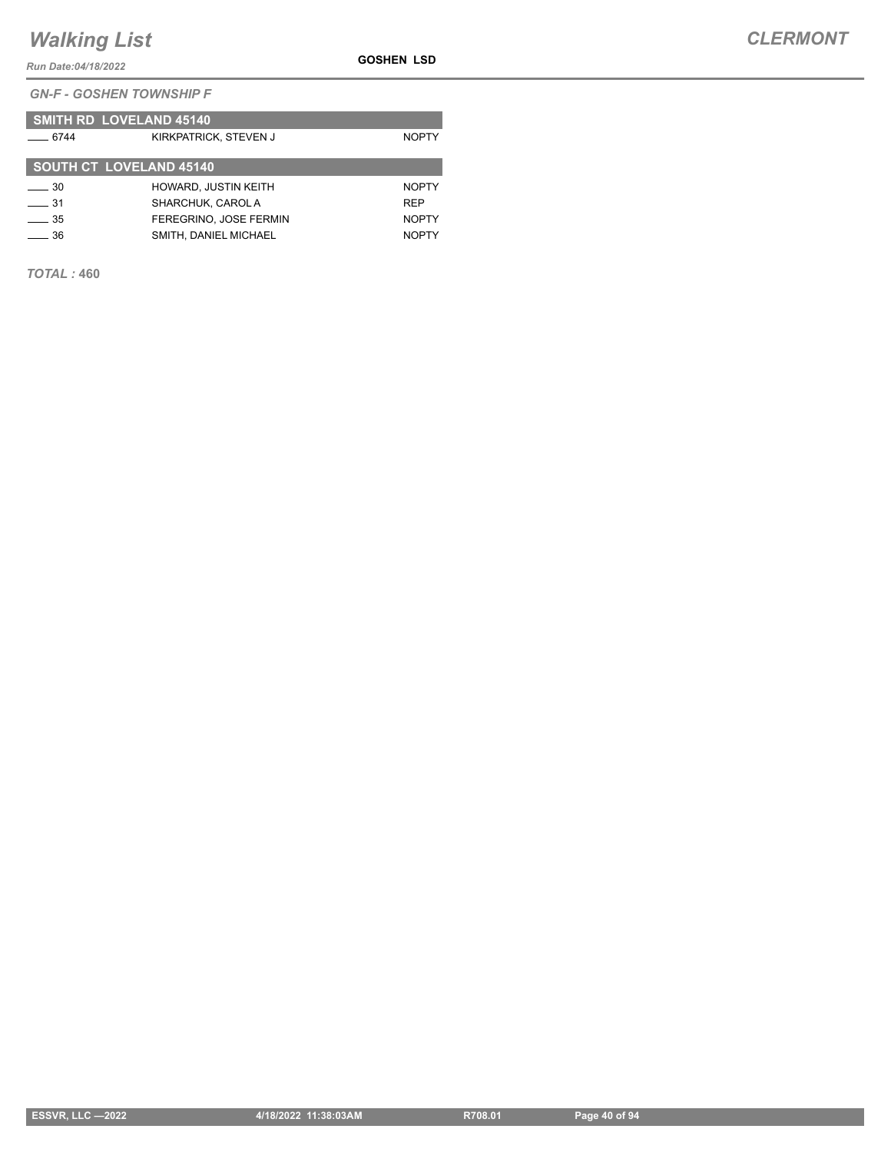*Run Date:04/18/2022*

*GN-F - GOSHEN TOWNSHIP F*

|             | <b>SMITH RD LOVELAND 45140</b> |              |
|-------------|--------------------------------|--------------|
| $-6744$     | KIRKPATRICK, STEVEN J          | <b>NOPTY</b> |
|             | <b>SOUTH CT LOVELAND 45140</b> |              |
| $\equiv$ 30 | <b>HOWARD, JUSTIN KEITH</b>    | <b>NOPTY</b> |
| $\equiv$ 31 | SHARCHUK, CAROL A              | <b>RFP</b>   |
| $\sim$ 35   | FEREGRINO. JOSE FERMIN         | <b>NOPTY</b> |
| 36          | SMITH, DANIEL MICHAEL          | <b>NOPTY</b> |

*TOTAL :* **460**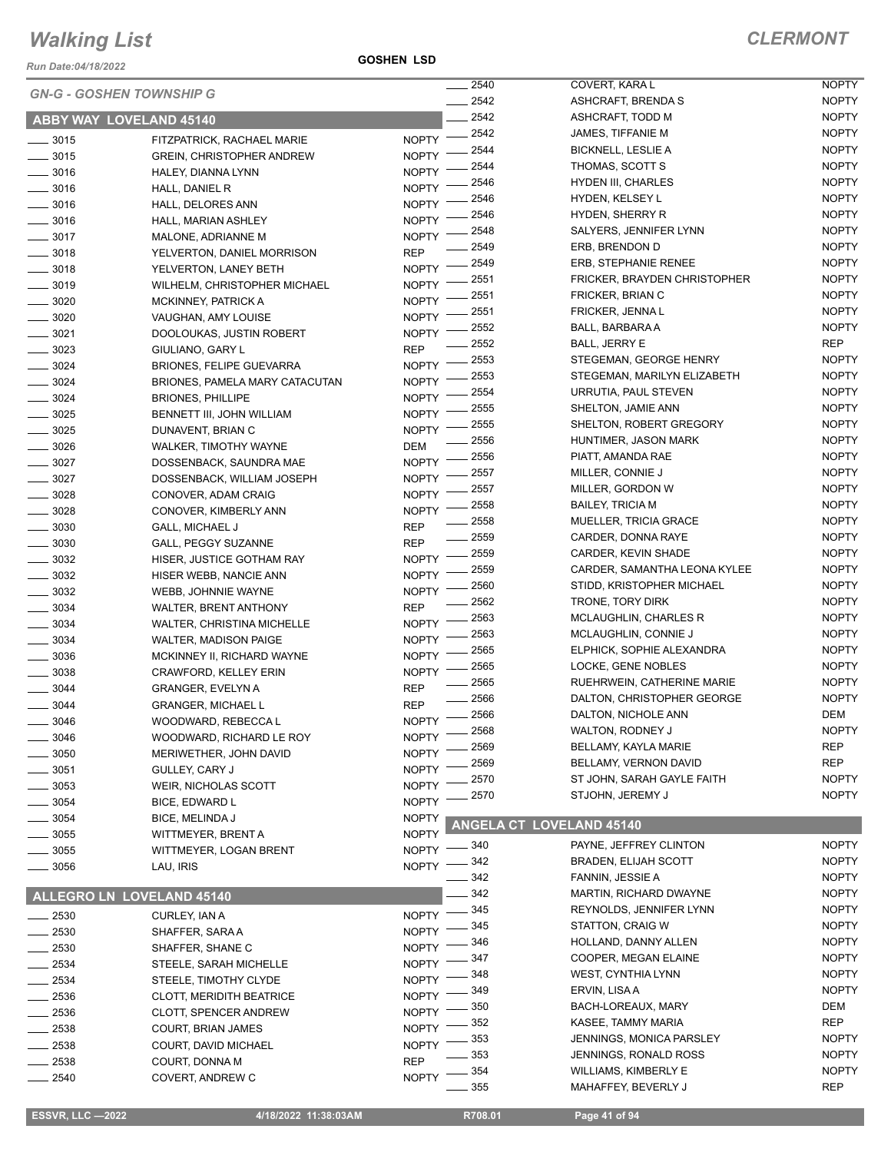*Run Date:04/18/2022*

#### **GOSHEN LSD**

|                                 |                                   |              | 2540         | COVERT, KARA L                                           | <b>NOPTY</b>                 |
|---------------------------------|-----------------------------------|--------------|--------------|----------------------------------------------------------|------------------------------|
| <b>GN-G - GOSHEN TOWNSHIP G</b> |                                   |              | 2542         | ASHCRAFT, BRENDA S                                       | <b>NOPTY</b>                 |
| <b>ABBY WAY LOVELAND 45140</b>  |                                   |              | 2542         | ASHCRAFT, TODD M                                         | <b>NOPTY</b>                 |
|                                 |                                   |              | 2542         | JAMES, TIFFANIE M                                        | <b>NOPTY</b>                 |
| $\frac{1}{2}$ 3015              | FITZPATRICK, RACHAEL MARIE        | <b>NOPTY</b> | 2544         | <b>BICKNELL, LESLIE A</b>                                | <b>NOPTY</b>                 |
| $- 3015$                        | <b>GREIN, CHRISTOPHER ANDREW</b>  | <b>NOPTY</b> | 2544         | THOMAS, SCOTT S                                          | <b>NOPTY</b>                 |
| $\frac{1}{2}$ 3016              | HALEY, DIANNA LYNN                | <b>NOPTY</b> | 2546         | <b>HYDEN III, CHARLES</b>                                | <b>NOPTY</b>                 |
| $\frac{1}{2}$ 3016              | HALL, DANIEL R                    | <b>NOPTY</b> | 2546         | HYDEN, KELSEY L                                          | <b>NOPTY</b>                 |
| $\frac{1}{2}$ 3016              | HALL, DELORES ANN                 | <b>NOPTY</b> | 2546         | <b>HYDEN, SHERRY R</b>                                   | <b>NOPTY</b>                 |
| $\frac{1}{2}$ 3016              | HALL, MARIAN ASHLEY               | <b>NOPTY</b> | 2548         | SALYERS, JENNIFER LYNN                                   | <b>NOPTY</b>                 |
| $-3017$                         | MALONE, ADRIANNE M                | <b>NOPTY</b> | 2549         | ERB, BRENDON D                                           | <b>NOPTY</b>                 |
| $\frac{1}{2}$ 3018              | YELVERTON, DANIEL MORRISON        | <b>REP</b>   | 2549         | ERB, STEPHANIE RENEE                                     | <b>NOPTY</b>                 |
| $\frac{1}{2}$ 3018              | YELVERTON, LANEY BETH             | <b>NOPTY</b> | 2551         | FRICKER, BRAYDEN CHRISTOPHER                             | <b>NOPTY</b>                 |
| $\frac{1}{2}$ 3019              | WILHELM, CHRISTOPHER MICHAEL      | <b>NOPTY</b> | 2551         | FRICKER, BRIAN C                                         | <b>NOPTY</b>                 |
| $\frac{1}{2}$ 3020              | MCKINNEY, PATRICK A               | <b>NOPTY</b> | 2551         | FRICKER, JENNA L                                         | <b>NOPTY</b>                 |
| 3020                            | VAUGHAN, AMY LOUISE               | <b>NOPTY</b> | 2552         | BALL, BARBARA A                                          | <b>NOPTY</b>                 |
| $-3021$                         | DOOLOUKAS, JUSTIN ROBERT          | <b>NOPTY</b> | 2552         | <b>BALL, JERRY E</b>                                     | <b>REP</b>                   |
| $-3023$                         | GIULIANO, GARY L                  | <b>REP</b>   | 2553         | STEGEMAN, GEORGE HENRY                                   | <b>NOPTY</b>                 |
| $-3024$                         | <b>BRIONES, FELIPE GUEVARRA</b>   | <b>NOPTY</b> | 2553         | STEGEMAN, MARILYN ELIZABETH                              | <b>NOPTY</b>                 |
| $\frac{1}{2}$ 3024              | BRIONES, PAMELA MARY CATACUTAN    | <b>NOPTY</b> | 2554         | URRUTIA, PAUL STEVEN                                     | <b>NOPTY</b>                 |
| $- 3024$                        | <b>BRIONES, PHILLIPE</b>          | <b>NOPTY</b> | 2555         | SHELTON, JAMIE ANN                                       | <b>NOPTY</b>                 |
| $\frac{1}{2}$ 3025              | BENNETT III, JOHN WILLIAM         | <b>NOPTY</b> | 2555         | SHELTON, ROBERT GREGORY                                  | <b>NOPTY</b>                 |
| 3025                            | DUNAVENT, BRIAN C                 | <b>NOPTY</b> | 2556         | HUNTIMER, JASON MARK                                     | <b>NOPTY</b>                 |
| $= 3026$                        | WALKER, TIMOTHY WAYNE             | DEM          | 2556         |                                                          | <b>NOPTY</b>                 |
| $-3027$                         | DOSSENBACK, SAUNDRA MAE           | <b>NOPTY</b> |              | PIATT, AMANDA RAE                                        |                              |
| $-3027$                         | DOSSENBACK, WILLIAM JOSEPH        | <b>NOPTY</b> | 2557<br>2557 | MILLER, CONNIE J<br>MILLER, GORDON W                     | <b>NOPTY</b><br><b>NOPTY</b> |
| $-3028$                         | CONOVER, ADAM CRAIG               | <b>NOPTY</b> |              |                                                          |                              |
| 3028                            | CONOVER, KIMBERLY ANN             | <b>NOPTY</b> | 2558         | <b>BAILEY, TRICIA M</b>                                  | <b>NOPTY</b><br><b>NOPTY</b> |
| 3030                            | <b>GALL, MICHAEL J</b>            | <b>REP</b>   | 2558<br>2559 | <b>MUELLER, TRICIA GRACE</b>                             | <b>NOPTY</b>                 |
| $-3030$                         | GALL, PEGGY SUZANNE               | <b>REP</b>   |              | CARDER, DONNA RAYE                                       |                              |
| $-3032$                         | HISER, JUSTICE GOTHAM RAY         | <b>NOPTY</b> | 2559<br>2559 | CARDER, KEVIN SHADE                                      | <b>NOPTY</b><br><b>NOPTY</b> |
| $-3032$                         | HISER WEBB, NANCIE ANN            | <b>NOPTY</b> | 2560         | CARDER, SAMANTHA LEONA KYLEE                             | <b>NOPTY</b>                 |
| 3032                            | WEBB, JOHNNIE WAYNE               | <b>NOPTY</b> | 2562         | STIDD, KRISTOPHER MICHAEL<br>TRONE, TORY DIRK            | <b>NOPTY</b>                 |
| $\frac{1}{2}$ 3034              | <b>WALTER, BRENT ANTHONY</b>      | <b>REP</b>   | 2563         | <b>MCLAUGHLIN, CHARLES R</b>                             | <b>NOPTY</b>                 |
| 3034                            | <b>WALTER, CHRISTINA MICHELLE</b> | <b>NOPTY</b> | 2563         |                                                          | <b>NOPTY</b>                 |
| 3034                            | <b>WALTER, MADISON PAIGE</b>      | <b>NOPTY</b> | 2565         | MCLAUGHLIN, CONNIE J<br>ELPHICK, SOPHIE ALEXANDRA        | <b>NOPTY</b>                 |
| _ 3036                          | MCKINNEY II, RICHARD WAYNE        | <b>NOPTY</b> | 2565         | LOCKE, GENE NOBLES                                       | <b>NOPTY</b>                 |
| 3038                            | CRAWFORD, KELLEY ERIN             | <b>NOPTY</b> | 2565         |                                                          | <b>NOPTY</b>                 |
| 3044                            | <b>GRANGER, EVELYN A</b>          | <b>REP</b>   | 2566         | RUEHRWEIN, CATHERINE MARIE<br>DALTON, CHRISTOPHER GEORGE | <b>NOPTY</b>                 |
| 3044                            | <b>GRANGER, MICHAEL L</b>         | <b>REP</b>   |              |                                                          |                              |
| 3046                            | WOODWARD, REBECCA L               | <b>NOPTY</b> | 2566<br>2568 | DALTON, NICHOLE ANN<br>WALTON, RODNEY J                  | DEM<br><b>NOPTY</b>          |
| 3046                            | WOODWARD, RICHARD LE ROY          | <b>NOPTY</b> | 2569         |                                                          |                              |
| 3050                            | MERIWETHER, JOHN DAVID            | <b>NOPTY</b> | 2569         | BELLAMY, KAYLA MARIE                                     | <b>REP</b><br><b>REP</b>     |
| $-3051$                         | GULLEY, CARY J                    | <b>NOPTY</b> |              | BELLAMY, VERNON DAVID                                    |                              |
| - 3053                          | <b>WEIR, NICHOLAS SCOTT</b>       | <b>NOPTY</b> | 2570         | ST JOHN, SARAH GAYLE FAITH                               | <b>NOPTY</b>                 |
| 3054                            | BICE, EDWARD L                    | <b>NOPTY</b> | 2570         | STJOHN, JEREMY J                                         | <b>NOPTY</b>                 |
| _ 3054                          | BICE, MELINDA J                   | <b>NOPTY</b> |              | <b>ANGELA CT LOVELAND 45140</b>                          |                              |
| 3055                            | WITTMEYER, BRENT A                | <b>NOPTY</b> |              |                                                          |                              |
| _ 3055                          | WITTMEYER, LOGAN BRENT            | <b>NOPTY</b> | 340          | PAYNE, JEFFREY CLINTON                                   | <b>NOPTY</b>                 |
| $-3056$                         | LAU, IRIS                         | <b>NOPTY</b> | 342          | <b>BRADEN, ELIJAH SCOTT</b>                              | <b>NOPTY</b>                 |
|                                 |                                   |              | 342          | FANNIN, JESSIE A                                         | <b>NOPTY</b>                 |
| ALLEGRO LN LOVELAND 45140       |                                   |              | 342          | MARTIN, RICHARD DWAYNE                                   | <b>NOPTY</b>                 |
| $-2530$                         | CURLEY, IAN A                     | <b>NOPTY</b> | 345          | REYNOLDS, JENNIFER LYNN                                  | <b>NOPTY</b>                 |
| $-2530$                         | SHAFFER, SARA A                   | <b>NOPTY</b> | 345          | STATTON, CRAIG W                                         | <b>NOPTY</b>                 |
| $-2530$                         | SHAFFER, SHANE C                  | <b>NOPTY</b> | 346          | HOLLAND, DANNY ALLEN                                     | <b>NOPTY</b>                 |
| $-2534$                         | STEELE, SARAH MICHELLE            | <b>NOPTY</b> | 347          | COOPER, MEGAN ELAINE                                     | <b>NOPTY</b>                 |
| 2534                            | STEELE, TIMOTHY CLYDE             | <b>NOPTY</b> | 348          | WEST, CYNTHIA LYNN                                       | <b>NOPTY</b>                 |
| - 2536                          | <b>CLOTT, MERIDITH BEATRICE</b>   | <b>NOPTY</b> | 349          | ERVIN, LISA A                                            | <b>NOPTY</b>                 |
| $= 2536$                        | <b>CLOTT, SPENCER ANDREW</b>      | <b>NOPTY</b> | 350          | BACH-LOREAUX, MARY                                       | DEM                          |
| - 2538                          | <b>COURT, BRIAN JAMES</b>         | <b>NOPTY</b> | 352          | KASEE, TAMMY MARIA                                       | <b>REP</b>                   |
| $-2538$                         | COURT, DAVID MICHAEL              | <b>NOPTY</b> | 353          | JENNINGS, MONICA PARSLEY                                 | <b>NOPTY</b>                 |
| 2538                            | COURT, DONNA M                    | <b>REP</b>   | 353          | JENNINGS, RONALD ROSS                                    | <b>NOPTY</b>                 |
| $-2540$                         | COVERT, ANDREW C                  | <b>NOPTY</b> | 354          | <b>WILLIAMS, KIMBERLY E</b>                              | <b>NOPTY</b>                 |
|                                 |                                   |              | 355          | MAHAFFEY, BEVERLY J                                      | <b>REP</b>                   |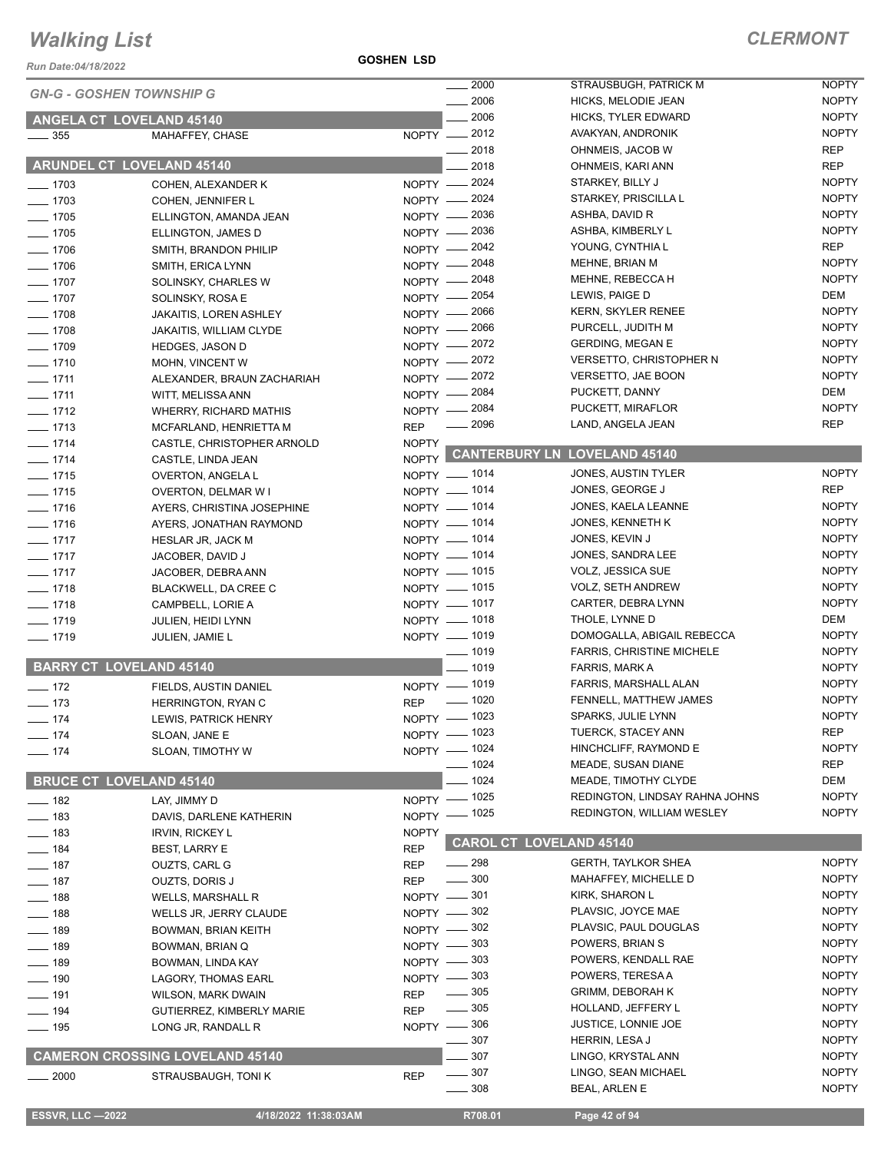#### **GOSHEN LSD**

| Run Date:04/18/2022             |                                                    | <b>GOSHEN LSD</b>        |                              |                                            |                              |
|---------------------------------|----------------------------------------------------|--------------------------|------------------------------|--------------------------------------------|------------------------------|
| <b>GN-G - GOSHEN TOWNSHIP G</b> |                                                    |                          | 2000                         | STRAUSBUGH, PATRICK M                      | <b>NOPTY</b>                 |
|                                 |                                                    |                          | 2006                         | HICKS, MELODIE JEAN                        | <b>NOPTY</b>                 |
| ANGELA CT LOVELAND 45140        |                                                    |                          | 2006                         | <b>HICKS, TYLER EDWARD</b>                 | <b>NOPTY</b>                 |
| $\frac{1}{2}$ 355               | MAHAFFEY, CHASE                                    |                          | NOPTY -2012                  | AVAKYAN, ANDRONIK                          | <b>NOPTY</b>                 |
|                                 |                                                    |                          | $-2018$                      | OHNMEIS, JACOB W                           | <b>REP</b>                   |
| ARUNDEL CT LOVELAND 45140       |                                                    |                          | 2018                         | OHNMEIS, KARI ANN                          | <b>REP</b>                   |
| $- 1703$                        | COHEN, ALEXANDER K                                 |                          | NOPTY - 2024                 | STARKEY, BILLY J                           | <b>NOPTY</b>                 |
| $- 1703$                        | COHEN, JENNIFER L                                  | NOPTY -                  | 2024                         | STARKEY, PRISCILLA L                       | <b>NOPTY</b>                 |
| $\frac{1}{2}$ 1705              | ELLINGTON, AMANDA JEAN                             |                          | NOPTY - 2036                 | ASHBA, DAVID R                             | <b>NOPTY</b>                 |
| $- 1705$                        | ELLINGTON, JAMES D                                 |                          | NOPTY - 2036                 | ASHBA, KIMBERLY L                          | <b>NOPTY</b>                 |
| $- 1706$                        | SMITH, BRANDON PHILIP                              |                          | NOPTY - 2042                 | YOUNG, CYNTHIA L                           | <b>REP</b>                   |
| $- 1706$                        | SMITH, ERICA LYNN                                  |                          | NOPTY - 2048                 | MEHNE, BRIAN M                             | <b>NOPTY</b><br><b>NOPTY</b> |
| $- 1707$                        | SOLINSKY, CHARLES W                                |                          | NOPTY -2048                  | MEHNE, REBECCA H<br>LEWIS, PAIGE D         | DEM                          |
| $- 1707$                        | SOLINSKY, ROSA E                                   |                          | NOPTY - 2054                 | <b>KERN, SKYLER RENEE</b>                  | <b>NOPTY</b>                 |
| $- 1708$                        | <b>JAKAITIS, LOREN ASHLEY</b>                      |                          | NOPTY - 2066<br>NOPTY - 2066 | PURCELL, JUDITH M                          | <b>NOPTY</b>                 |
| $\frac{1}{2}$ 1708              | <b>JAKAITIS, WILLIAM CLYDE</b>                     |                          | NOPTY - 2072                 | <b>GERDING, MEGAN E</b>                    | <b>NOPTY</b>                 |
| $- 1709$                        | HEDGES, JASON D                                    |                          | NOPTY -2072                  | <b>VERSETTO, CHRISTOPHER N</b>             | <b>NOPTY</b>                 |
| $- 1710$                        | MOHN, VINCENT W                                    |                          | NOPTY - 2072                 | <b>VERSETTO, JAE BOON</b>                  | <b>NOPTY</b>                 |
| $- 1711$<br>$-1711$             | ALEXANDER, BRAUN ZACHARIAH                         |                          | NOPTY - 2084                 | PUCKETT, DANNY                             | DEM                          |
| $- 1712$                        | WITT, MELISSA ANN<br><b>WHERRY, RICHARD MATHIS</b> | $NOPTY$ —                | 2084                         | PUCKETT, MIRAFLOR                          | <b>NOPTY</b>                 |
| $- 1713$                        | MCFARLAND, HENRIETTA M                             | <b>REP</b>               | 2096<br>$\frac{1}{2}$        | LAND, ANGELA JEAN                          | <b>REP</b>                   |
| $- 1714$                        | CASTLE, CHRISTOPHER ARNOLD                         | <b>NOPTY</b>             |                              |                                            |                              |
| $- 1714$                        | CASTLE, LINDA JEAN                                 | NOPTY                    | <b>CANTERBURY LN</b>         | <b>LOVELAND 45140</b>                      |                              |
| $- 1715$                        | OVERTON, ANGELA L                                  |                          | NOPTY - 1014                 | JONES, AUSTIN TYLER                        | <b>NOPTY</b>                 |
| $- 1715$                        | <b>OVERTON, DELMAR W I</b>                         |                          | NOPTY - 1014                 | JONES, GEORGE J                            | <b>REP</b>                   |
| $- 1716$                        | AYERS, CHRISTINA JOSEPHINE                         |                          | NOPTY - 1014                 | JONES, KAELA LEANNE                        | <b>NOPTY</b>                 |
| $- 1716$                        | AYERS, JONATHAN RAYMOND                            |                          | NOPTY - 1014                 | <b>JONES, KENNETH K</b>                    | <b>NOPTY</b>                 |
| $- 1717$                        | HESLAR JR, JACK M                                  |                          | NOPTY - 1014                 | JONES, KEVIN J                             | <b>NOPTY</b>                 |
| $- 1717$                        | JACOBER, DAVID J                                   |                          | NOPTY - 1014                 | JONES, SANDRA LEE                          | <b>NOPTY</b>                 |
| $- 1717$                        | JACOBER, DEBRA ANN                                 |                          | NOPTY - 1015                 | VOLZ, JESSICA SUE                          | <b>NOPTY</b>                 |
| $- 1718$                        | BLACKWELL, DA CREE C                               |                          | NOPTY - 1015                 | <b>VOLZ, SETH ANDREW</b>                   | <b>NOPTY</b>                 |
| $- 1718$                        | CAMPBELL, LORIE A                                  |                          | NOPTY - 1017                 | CARTER, DEBRA LYNN                         | <b>NOPTY</b>                 |
| $- 1719$                        | JULIEN, HEIDI LYNN                                 |                          | NOPTY - 1018                 | THOLE, LYNNE D                             | DEM                          |
| $- 1719$                        | JULIEN, JAMIE L                                    |                          | NOPTY - 1019                 | DOMOGALLA, ABIGAIL REBECCA                 | <b>NOPTY</b>                 |
|                                 |                                                    |                          | $- 1019$                     | <b>FARRIS, CHRISTINE MICHELE</b>           | <b>NOPTY</b>                 |
| <b>BARRY CT LOVELAND 45140</b>  |                                                    |                          | $-1019$                      | <b>FARRIS, MARK A</b>                      | <b>NOPTY</b>                 |
| $\frac{1}{2}$ 172               | FIELDS, AUSTIN DANIEL                              |                          | NOPTY - 1019                 | FARRIS, MARSHALL ALAN                      | <b>NOPTY</b>                 |
| $\frac{1}{2}$ 173               | HERRINGTON, RYAN C                                 | <b>REP</b>               | $- 1020$                     | FENNELL, MATTHEW JAMES                     | <b>NOPTY</b>                 |
| $- 174$                         | LEWIS, PATRICK HENRY                               |                          | NOPTY - 1023                 | SPARKS, JULIE LYNN<br>TUERCK, STACEY ANN   | <b>NOPTY</b><br><b>REP</b>   |
| $-174$                          | SLOAN, JANE E                                      |                          | NOPTY - 1023                 |                                            |                              |
| $- 174$                         | SLOAN, TIMOTHY W                                   |                          | NOPTY - 1024                 | HINCHCLIFF, RAYMOND E                      | <b>NOPTY</b><br><b>REP</b>   |
| <b>BRUCE CT LOVELAND 45140</b>  |                                                    |                          | —— 1024<br>$-1024$           | MEADE, SUSAN DIANE<br>MEADE, TIMOTHY CLYDE | <b>DEM</b>                   |
|                                 |                                                    |                          | _ 1025                       | REDINGTON, LINDSAY RAHNA JOHNS             | <b>NOPTY</b>                 |
| $\frac{1}{2}$ 182               | LAY, JIMMY D                                       | $NOPTY =$                | NOPTY - 1025                 | <b>REDINGTON, WILLIAM WESLEY</b>           | <b>NOPTY</b>                 |
| $\frac{1}{2}$ 183               | DAVIS, DARLENE KATHERIN                            |                          |                              |                                            |                              |
| $\frac{1}{2}$ 183               | <b>IRVIN, RICKEY L</b>                             | <b>NOPTY</b>             |                              | <b>CAROL CT LOVELAND 45140</b>             |                              |
| $- 184$<br>$- 187$              | <b>BEST, LARRY E</b><br><b>OUZTS, CARL G</b>       | <b>REP</b><br><b>REP</b> | $\frac{1}{2}$ 298            | <b>GERTH, TAYLKOR SHEA</b>                 | <b>NOPTY</b>                 |
| $\frac{1}{2}$ 187               | <b>OUZTS, DORIS J</b>                              | <b>REP</b>               | $\frac{1}{2}$ 300            | <b>MAHAFFEY, MICHELLE D</b>                | <b>NOPTY</b>                 |
| $- 188$                         | <b>WELLS, MARSHALL R</b>                           | NOPTY -                  | $=$ 301 $\,$                 | KIRK, SHARON L                             | <b>NOPTY</b>                 |
| $- 188$                         | WELLS JR, JERRY CLAUDE                             |                          | NOPTY -802                   | PLAVSIC, JOYCE MAE                         | <b>NOPTY</b>                 |
| $- 189$                         | BOWMAN, BRIAN KEITH                                |                          | NOPTY $-302$                 | PLAVSIC, PAUL DOUGLAS                      | <b>NOPTY</b>                 |
| $- 189$                         | BOWMAN, BRIAN Q                                    |                          | NOPTY - 303                  | POWERS, BRIAN S                            | <b>NOPTY</b>                 |
| $-189$                          | BOWMAN, LINDA KAY                                  |                          | NOPTY -803                   | POWERS, KENDALL RAE                        | <b>NOPTY</b>                 |
| $- 190$                         | LAGORY, THOMAS EARL                                |                          | NOPTY -803                   | POWERS, TERESA A                           | <b>NOPTY</b>                 |
| $\frac{1}{2}$ 191               | <b>WILSON, MARK DWAIN</b>                          | <b>REP</b>               | $\frac{1}{2}$ 305            | <b>GRIMM, DEBORAH K</b>                    | <b>NOPTY</b>                 |
| $- 194$                         | GUTIERREZ, KIMBERLY MARIE                          | <b>REP</b>               | 305                          | HOLLAND, JEFFERY L                         | <b>NOPTY</b>                 |
| $\frac{1}{2}$ 195               | LONG JR, RANDALL R                                 |                          | NOPTY -806                   | JUSTICE, LONNIE JOE                        | <b>NOPTY</b>                 |
|                                 |                                                    |                          | 307                          | HERRIN, LESA J                             | <b>NOPTY</b>                 |
|                                 | <b>CAMERON CROSSING LOVELAND 45140</b>             |                          | 307                          | LINGO, KRYSTAL ANN                         | <b>NOPTY</b>                 |
| $\frac{1}{2000}$                | STRAUSBAUGH, TONI K                                | <b>REP</b>               | $\frac{1}{2}$ 307            | LINGO, SEAN MICHAEL                        | <b>NOPTY</b>                 |
|                                 |                                                    |                          | $- 308$                      | <b>BEAL, ARLEN E</b>                       | <b>NOPTY</b>                 |
| <b>ESSVR, LLC -2022</b>         | 4/18/2022 11:38:03AM                               |                          | R708.01                      | Page 42 of 94                              |                              |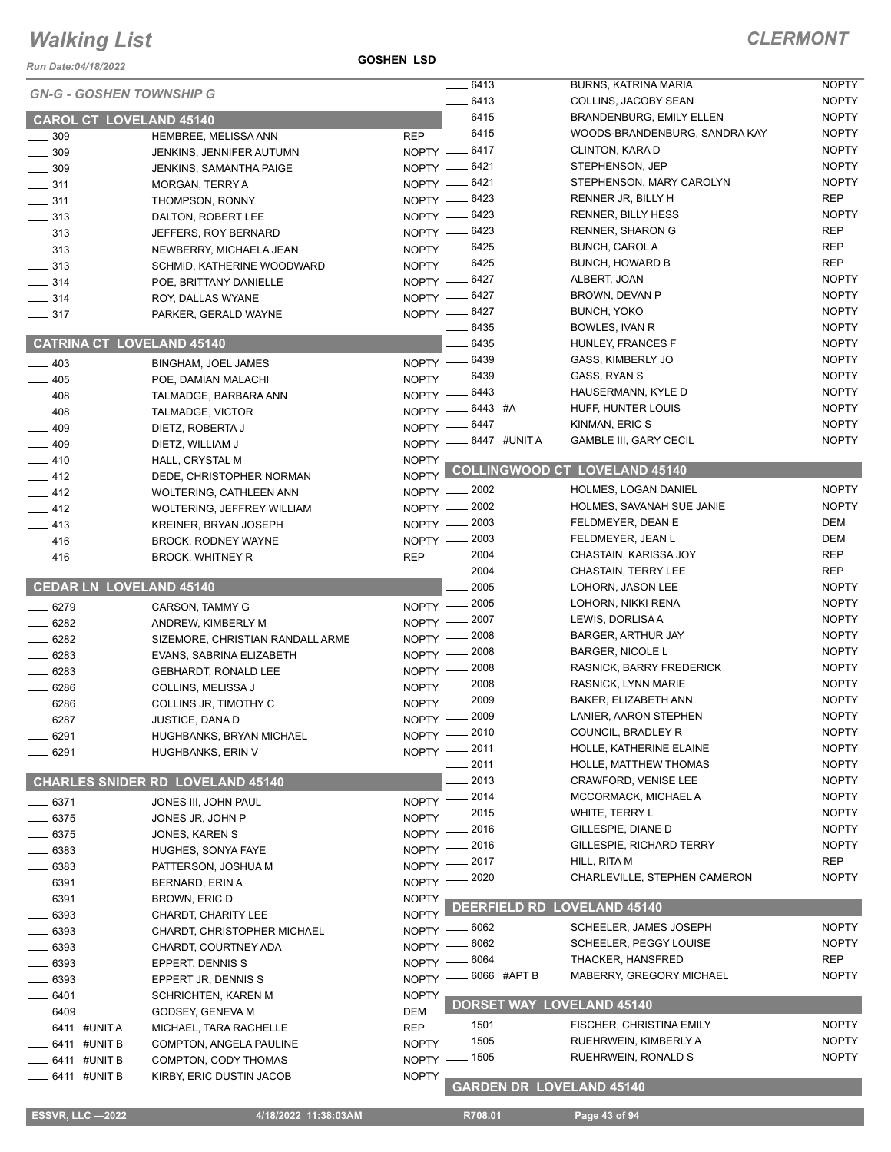*Run Date:04/18/2022*

**GOSHEN LSD**

|                         |                |                                         |                                   | $-6413$                        |             | <b>BURNS, KATRINA MARIA</b>          | <b>NOPTY</b> |
|-------------------------|----------------|-----------------------------------------|-----------------------------------|--------------------------------|-------------|--------------------------------------|--------------|
|                         |                | <b>GN-G - GOSHEN TOWNSHIP G</b>         |                                   | $-6413$                        |             | COLLINS, JACOBY SEAN                 | <b>NOPTY</b> |
|                         |                | <b>CAROL CT LOVELAND 45140</b>          |                                   | $-6415$                        |             | <b>BRANDENBURG, EMILY ELLEN</b>      | <b>NOPTY</b> |
| $\frac{1}{2}$ 309       |                | HEMBREE, MELISSA ANN                    | <b>REP</b>                        | $-6415$                        |             | WOODS-BRANDENBURG, SANDRA KAY        | <b>NOPTY</b> |
| $\frac{1}{2}$ 309       |                | JENKINS, JENNIFER AUTUMN                |                                   | NOPTY -6417                    |             | CLINTON, KARA D                      | <b>NOPTY</b> |
| $\frac{1}{2}$ 309       |                | <b>JENKINS, SAMANTHA PAIGE</b>          |                                   | NOPTY - 6421                   |             | STEPHENSON, JEP                      | <b>NOPTY</b> |
| $\frac{1}{2}$ 311       |                | MORGAN, TERRY A                         |                                   | NOPTY -6421                    |             | STEPHENSON, MARY CAROLYN             | <b>NOPTY</b> |
| $\frac{1}{2}$ 311       |                | THOMPSON, RONNY                         |                                   | NOPTY - 6423                   |             | RENNER JR, BILLY H                   | <b>REP</b>   |
| $\frac{1}{2}$ 313       |                | DALTON, ROBERT LEE                      |                                   | NOPTY -6423                    |             | <b>RENNER, BILLY HESS</b>            | <b>NOPTY</b> |
| $\frac{1}{2}$ 313       |                | JEFFERS, ROY BERNARD                    |                                   | NOPTY -6423                    |             | <b>RENNER, SHARON G</b>              | <b>REP</b>   |
| $\frac{1}{2}$ 313       |                | NEWBERRY, MICHAELA JEAN                 |                                   | NOPTY - 6425                   |             | <b>BUNCH, CAROL A</b>                | REP          |
| $\frac{1}{2}$ 313       |                | SCHMID, KATHERINE WOODWARD              |                                   | NOPTY -6425                    |             | <b>BUNCH, HOWARD B</b>               | <b>REP</b>   |
| $\frac{1}{2}$ 314       |                | POE, BRITTANY DANIELLE                  |                                   | NOPTY - 6427                   |             | ALBERT, JOAN                         | <b>NOPTY</b> |
| $\frac{1}{2}$ 314       |                | ROY, DALLAS WYANE                       |                                   | NOPTY -6427                    |             | BROWN, DEVAN P                       | <b>NOPTY</b> |
| $\frac{1}{2}$ 317       |                | PARKER, GERALD WAYNE                    |                                   | NOPTY -6427                    |             | <b>BUNCH, YOKO</b>                   | <b>NOPTY</b> |
|                         |                |                                         |                                   | 6435                           |             | BOWLES, IVAN R                       | <b>NOPTY</b> |
|                         |                | <b>CATRINA CT LOVELAND 45140</b>        |                                   | $-6435$                        |             | HUNLEY, FRANCES F                    | <b>NOPTY</b> |
|                         |                |                                         |                                   | 6439                           |             | GASS, KIMBERLY JO                    | <b>NOPTY</b> |
| $\frac{1}{2}$ 403       |                | <b>BINGHAM, JOEL JAMES</b>              | $N$ OPTY $\overline{\phantom{C}}$ | NOPTY - 6439                   |             | GASS, RYAN S                         | <b>NOPTY</b> |
| $-405$                  |                | POE. DAMIAN MALACHI                     |                                   |                                |             | HAUSERMANN, KYLE D                   | <b>NOPTY</b> |
| $-408$                  |                | TALMADGE, BARBARA ANN                   |                                   | NOPTY - 6443<br>NOPTY -6443 #A |             | HUFF, HUNTER LOUIS                   | <b>NOPTY</b> |
| $- 408$                 |                | TALMADGE, VICTOR                        |                                   |                                |             | KINMAN, ERIC S                       | <b>NOPTY</b> |
| $-409$                  |                | DIETZ, ROBERTA J                        |                                   | NOPTY -6447                    |             | <b>GAMBLE III, GARY CECIL</b>        | <b>NOPTY</b> |
| $-409$                  |                | DIETZ, WILLIAM J                        |                                   | NOPTY -6447 #UNITA             |             |                                      |              |
| $-410$                  |                | HALL, CRYSTAL M                         | <b>NOPTY</b>                      |                                |             | <b>COLLINGWOOD CT LOVELAND 45140</b> |              |
| $\frac{1}{2}$ 412       |                | DEDE, CHRISTOPHER NORMAN                | <b>NOPTY</b>                      |                                |             |                                      |              |
| $-412$                  |                | <b>WOLTERING, CATHLEEN ANN</b>          |                                   | NOPTY - 2002                   |             | HOLMES, LOGAN DANIEL                 | <b>NOPTY</b> |
| $-412$                  |                | WOLTERING, JEFFREY WILLIAM              |                                   | NOPTY - 2002                   |             | HOLMES, SAVANAH SUE JANIE            | <b>NOPTY</b> |
| $-413$                  |                | <b>KREINER, BRYAN JOSEPH</b>            |                                   | NOPTY - 2003                   |             | FELDMEYER, DEAN E                    | <b>DEM</b>   |
| $-416$                  |                | <b>BROCK, RODNEY WAYNE</b>              | $NOPTY$ —                         | 2003                           |             | FELDMEYER, JEAN L                    | <b>DEM</b>   |
| $-416$                  |                | <b>BROCK, WHITNEY R</b>                 | <b>REP</b>                        | 2004                           |             | CHASTAIN, KARISSA JOY                | <b>REP</b>   |
|                         |                |                                         |                                   | 2004                           |             | CHASTAIN, TERRY LEE                  | <b>REP</b>   |
|                         |                | <b>CEDAR LN LOVELAND 45140</b>          |                                   | 2005                           |             | LOHORN, JASON LEE                    | <b>NOPTY</b> |
| $- 6279$                |                | CARSON, TAMMY G                         |                                   | NOPTY - 2005                   |             | LOHORN, NIKKI RENA                   | <b>NOPTY</b> |
| $- 6282$                |                | ANDREW, KIMBERLY M                      | $N$ OPTY $-$                      | 2007                           |             | LEWIS, DORLISA A                     | <b>NOPTY</b> |
| $- 6282$                |                | SIZEMORE, CHRISTIAN RANDALL ARME        | $NOPTY$ –                         | 2008                           |             | <b>BARGER, ARTHUR JAY</b>            | <b>NOPTY</b> |
| 6283                    |                | EVANS, SABRINA ELIZABETH                | $NOPTY$ -                         | 2008                           |             | <b>BARGER, NICOLE L</b>              | <b>NOPTY</b> |
| $- 6283$                |                | <b>GEBHARDT, RONALD LEE</b>             | $N$ OPTY $-$                      | 2008                           |             | RASNICK, BARRY FREDERICK             | <b>NOPTY</b> |
| 6286                    |                | COLLINS, MELISSA J                      | $NOPTY$ -                         | 2008                           |             | RASNICK, LYNN MARIE                  | <b>NOPTY</b> |
| 6286                    |                | COLLINS JR, TIMOTHY C                   | $N$ OPTY $-$                      | 2009                           |             | BAKER, ELIZABETH ANN                 | <b>NOPTY</b> |
| 6287                    |                | JUSTICE, DANA D                         | $NOPTY =$                         | 2009                           |             | LANIER, AARON STEPHEN                | <b>NOPTY</b> |
| $- 6291$                |                | HUGHBANKS, BRYAN MICHAEL                |                                   | NOPTY -2010                    |             | COUNCIL, BRADLEY R                   | <b>NOPTY</b> |
| 6291                    |                | <b>HUGHBANKS, ERIN V</b>                |                                   | NOPTY -2011                    |             | HOLLE, KATHERINE ELAINE              | <b>NOPTY</b> |
|                         |                |                                         |                                   | 2011                           |             | HOLLE, MATTHEW THOMAS                | <b>NOPTY</b> |
|                         |                | <b>CHARLES SNIDER RD LOVELAND 45140</b> |                                   | 2013                           |             | CRAWFORD, VENISE LEE                 | <b>NOPTY</b> |
| 6371                    |                | JONES III, JOHN PAUL                    | NOPTY -                           | 2014                           |             | MCCORMACK, MICHAEL A                 | <b>NOPTY</b> |
| 6375                    |                | JONES JR, JOHN P                        | <b>NOPTY</b>                      | 2015                           |             | WHITE, TERRY L                       | <b>NOPTY</b> |
| 6375                    |                | JONES, KAREN S                          | <b>NOPTY</b>                      | 2016                           |             | GILLESPIE, DIANE D                   | <b>NOPTY</b> |
| 6383                    |                | HUGHES, SONYA FAYE                      | NOPTY -                           | 2016                           |             | GILLESPIE, RICHARD TERRY             | <b>NOPTY</b> |
|                         |                |                                         | NOPTY -                           | 2017                           |             | HILL, RITA M                         | <b>REP</b>   |
| 6383                    |                | PATTERSON, JOSHUA M                     | NOPTY -                           | 2020                           |             | CHARLEVILLE, STEPHEN CAMERON         | <b>NOPTY</b> |
| 6391                    |                | BERNARD, ERIN A                         |                                   |                                |             |                                      |              |
| $-6391$                 |                | BROWN, ERIC D                           | <b>NOPTY</b>                      |                                |             | DEERFIELD RD LOVELAND 45140          |              |
| $-6393$                 |                | CHARDT, CHARITY LEE                     | <b>NOPTY</b>                      | _ 6062                         |             | SCHEELER, JAMES JOSEPH               | <b>NOPTY</b> |
| 6393                    |                | CHARDT, CHRISTOPHER MICHAEL             | NOPTY -                           | 6062                           |             | SCHEELER, PEGGY LOUISE               | <b>NOPTY</b> |
| 6393                    |                | CHARDT, COURTNEY ADA                    | $N$ OPTY $-$                      | - 6064                         |             | THACKER, HANSFRED                    | <b>REP</b>   |
| 6393                    |                | EPPERT, DENNIS S                        | $N$ OPTY $-$                      |                                |             | MABERRY, GREGORY MICHAEL             | <b>NOPTY</b> |
| 6393                    |                | EPPERT JR, DENNIS S                     | $NOPTY -$                         |                                | 6066 #APT B |                                      |              |
| 6401                    |                | SCHRICHTEN, KAREN M                     | <b>NOPTY</b>                      |                                |             | DORSET WAY LOVELAND 45140            |              |
| 6409                    |                | GODSEY, GENEVA M                        | DEM                               |                                |             |                                      |              |
|                         | _ 6411 #UNIT A | MICHAEL, TARA RACHELLE                  | <b>REP</b>                        | $\frac{1}{2}$ 1501             |             | FISCHER, CHRISTINA EMILY             | <b>NOPTY</b> |
|                         | 6411 #UNIT B   | COMPTON, ANGELA PAULINE                 |                                   | NOPTY - 1505                   |             | RUEHRWEIN, KIMBERLY A                | <b>NOPTY</b> |
|                         | 6411 #UNIT B   | COMPTON, CODY THOMAS                    |                                   | NOPTY - 1505                   |             | RUEHRWEIN, RONALD S                  | <b>NOPTY</b> |
|                         | — 6411 #UNIT B | KIRBY, ERIC DUSTIN JACOB                | <b>NOPTY</b>                      |                                |             | <b>GARDEN DR LOVELAND 45140</b>      |              |
|                         |                |                                         |                                   |                                |             |                                      |              |
| <b>ESSVR, LLC -2022</b> |                | 4/18/2022 11:38:03AM                    |                                   | R708.01                        |             | Page 43 of 94                        |              |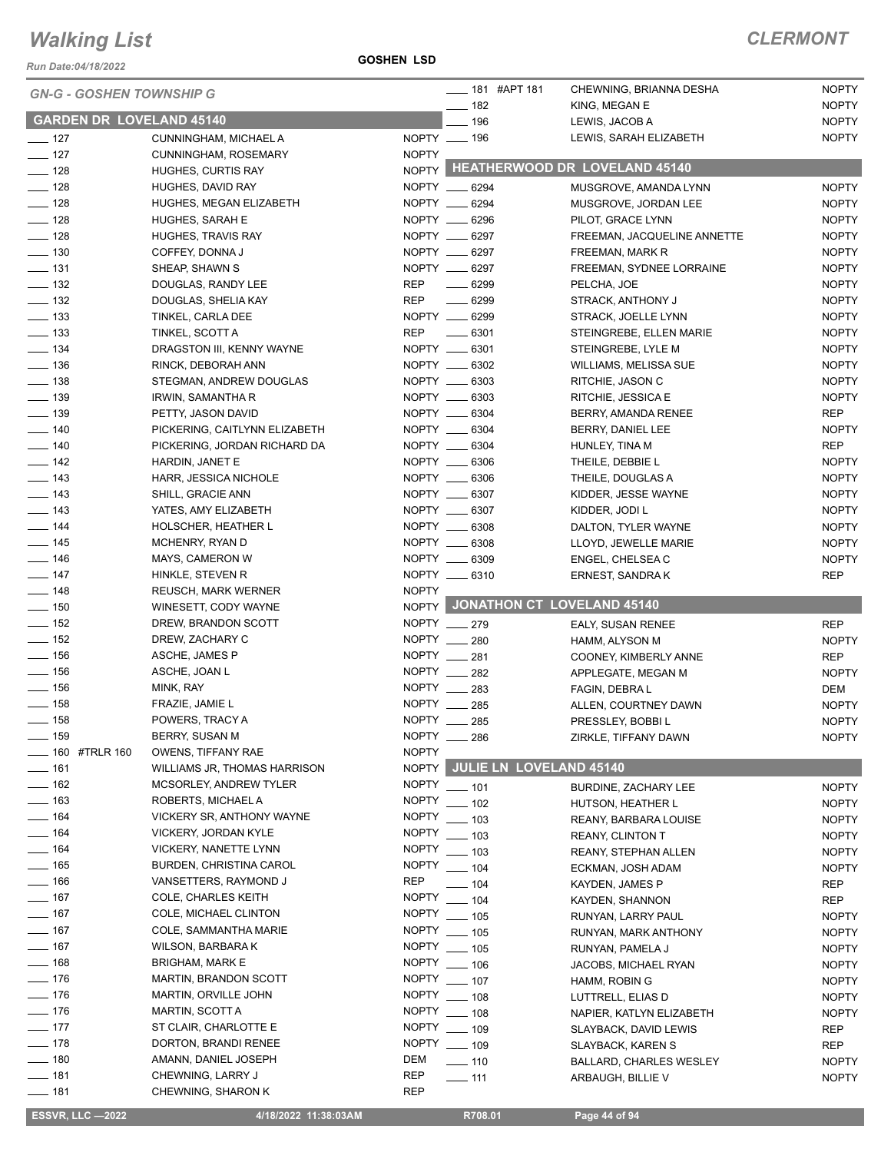*Run Date:04/18/2022*

| <b>GARDEN DR LOVELAND 45140</b><br>$-196$<br><b>NOPTY</b><br>LEWIS, JACOB A<br>NOPTY __ 196<br><b>NOPTY</b><br>LEWIS, SARAH ELIZABETH<br>$- 127$<br>CUNNINGHAM, MICHAEL A<br><b>NOPTY</b><br>$-$ 127<br>CUNNINGHAM, ROSEMARY<br>NOPTY HEATHERWOOD DR LOVELAND 45140<br>$- 128$<br><b>HUGHES, CURTIS RAY</b><br>$- 128$<br>NOPTY __ 6294<br>MUSGROVE, AMANDA LYNN<br><b>NOPTY</b><br>HUGHES, DAVID RAY<br>NOPTY __ 6294<br>MUSGROVE, JORDAN LEE<br><b>NOPTY</b><br>HUGHES, MEGAN ELIZABETH<br>NOPTY __ 6296<br>HUGHES, SARAH E<br><b>NOPTY</b><br>PILOT, GRACE LYNN<br>NOPTY __ 6297<br><b>NOPTY</b><br>HUGHES, TRAVIS RAY<br>FREEMAN, JACQUELINE ANNETTE<br>NOPTY __ 6297<br>COFFEY, DONNA J<br><b>NOPTY</b><br>FREEMAN, MARK R<br>$\frac{1}{2}$ 131<br>NOPTY __ 6297<br><b>NOPTY</b><br>SHEAP, SHAWN S<br>FREEMAN, SYDNEE LORRAINE<br>REP<br>DOUGLAS, RANDY LEE<br><b>NOPTY</b><br>$- 6299$<br>PELCHA, JOE<br><b>REP</b><br>DOUGLAS, SHELIA KAY<br>$- 6299$<br><b>NOPTY</b><br>STRACK, ANTHONY J<br>NOPTY __ 6299<br>TINKEL, CARLA DEE<br><b>NOPTY</b><br>STRACK, JOELLE LYNN<br>REP<br>$\frac{1}{2}$ 6301<br>TINKEL, SCOTT A<br><b>NOPTY</b><br>STEINGREBE, ELLEN MARIE<br>NOPTY __ 6301<br><b>NOPTY</b><br>DRAGSTON III, KENNY WAYNE<br>STEINGREBE, LYLE M<br>NOPTY __ 6302<br>RINCK, DEBORAH ANN<br><b>NOPTY</b><br><b>WILLIAMS, MELISSA SUE</b><br>STEGMAN, ANDREW DOUGLAS<br>NOPTY __ 6303<br><b>NOPTY</b><br>RITCHIE, JASON C<br>NOPTY __ 6303<br>IRWIN, SAMANTHA R<br><b>NOPTY</b><br>RITCHIE, JESSICA E<br>NOPTY __ 6304<br>PETTY, JASON DAVID<br><b>REP</b><br>BERRY, AMANDA RENEE<br>NOPTY __ 6304<br><b>NOPTY</b><br>PICKERING, CAITLYNN ELIZABETH<br>BERRY, DANIEL LEE<br>NOPTY __ 6304<br><b>REP</b><br>PICKERING, JORDAN RICHARD DA<br>HUNLEY, TINA M<br>NOPTY __ 6306<br>HARDIN, JANET E<br><b>NOPTY</b><br>THEILE, DEBBIE L<br>HARR, JESSICA NICHOLE<br>NOPTY __ 6306<br><b>NOPTY</b><br>THEILE, DOUGLAS A<br>NOPTY __ 6307<br>SHILL, GRACIE ANN<br><b>NOPTY</b><br>KIDDER, JESSE WAYNE<br>NOPTY __ 6307<br><b>NOPTY</b><br>YATES, AMY ELIZABETH<br>KIDDER, JODI L<br>NOPTY __ 6308<br>HOLSCHER, HEATHER L<br><b>NOPTY</b><br>DALTON, TYLER WAYNE<br>NOPTY __ 6308<br>MCHENRY, RYAN D<br><b>NOPTY</b><br>LLOYD, JEWELLE MARIE<br>NOPTY __ 6309<br><b>NOPTY</b><br>MAYS, CAMERON W<br>ENGEL, CHELSEA C<br>NOPTY __ 6310<br>HINKLE, STEVEN R<br><b>REP</b><br>ERNEST, SANDRA K<br><b>NOPTY</b><br>REUSCH, MARK WERNER<br>NOPTY JONATHON CT LOVELAND 45140<br>$- 150$<br>WINESETT, CODY WAYNE<br>$- 152$<br>NOPTY __ 279<br>DREW, BRANDON SCOTT<br><b>REP</b><br>EALY, SUSAN RENEE<br>$\frac{1}{2}$ 152<br>NOPTY __ 280<br>DREW, ZACHARY C<br>HAMM, ALYSON M<br><b>NOPTY</b><br>NOPTY __ 281<br>$\frac{1}{2}$ 156<br>ASCHE, JAMES P<br><b>REP</b><br>COONEY, KIMBERLY ANNE<br>NOPTY 282<br>$- 156$<br>ASCHE, JOAN L<br><b>NOPTY</b><br>APPLEGATE, MEGAN M<br>$- 156$<br>NOPTY __ 283<br>MINK, RAY<br>DEM<br>FAGIN, DEBRAL<br>$- 158$<br>NOPTY __ 285<br>FRAZIE, JAMIE L<br><b>NOPTY</b><br>ALLEN, COURTNEY DAWN<br>NOPTY __<br>$- 158$<br>POWERS, TRACY A<br><b>NOPTY</b><br>285<br>PRESSLEY, BOBBIL<br>NOPTY __ 286<br>—— 159<br>BERRY, SUSAN M<br><b>NOPTY</b><br>ZIRKLE, TIFFANY DAWN<br>____ 160 #TRLR 160<br><b>NOPTY</b><br><b>OWENS, TIFFANY RAE</b><br>NOPTY JULIE LN LOVELAND 45140<br>$- 161$<br>WILLIAMS JR, THOMAS HARRISON<br>$- 162$<br><b>MCSORLEY, ANDREW TYLER</b><br>NOPTY __ 101<br>BURDINE, ZACHARY LEE<br><b>NOPTY</b><br>$\frac{1}{163}$<br><b>NOPTY</b><br>ROBERTS, MICHAEL A<br>$\frac{1}{2}$ 102<br><b>NOPTY</b><br>HUTSON, HEATHER L<br>$- 164$<br>VICKERY SR, ANTHONY WAYNE<br>NOPTY __ 103<br>REANY, BARBARA LOUISE<br><b>NOPTY</b><br>$- 164$<br>VICKERY, JORDAN KYLE<br>NOPTY __ 103<br><b>NOPTY</b><br><b>REANY, CLINTON T</b><br>$- 164$<br>NOPTY __ 103<br>VICKERY, NANETTE LYNN<br>REANY, STEPHAN ALLEN<br><b>NOPTY</b><br>—— 165<br><b>BURDEN, CHRISTINA CAROL</b><br>NOPTY __ 104<br>ECKMAN, JOSH ADAM<br><b>NOPTY</b><br>$\frac{1}{166}$<br>REP<br>VANSETTERS, RAYMOND J<br>$- 104$<br>KAYDEN, JAMES P<br>REP<br>$- 167$<br>COLE, CHARLES KEITH<br>NOPTY __ 104<br>KAYDEN, SHANNON<br>REP<br>$- 167$<br>COLE, MICHAEL CLINTON<br>NOPTY __ 105<br><b>NOPTY</b><br>RUNYAN, LARRY PAUL<br>$- 167$<br>NOPTY __ 105<br>COLE, SAMMANTHA MARIE<br><b>NOPTY</b><br>RUNYAN, MARK ANTHONY<br>$- 167$<br>WILSON, BARBARA K<br>NOPTY __ 105<br>RUNYAN, PAMELA J<br><b>NOPTY</b><br><b>BRIGHAM, MARK E</b><br><b>NOPTY</b><br>$-106$<br>JACOBS, MICHAEL RYAN<br><b>NOPTY</b><br>$- 176$<br>NOPTY __ 107<br>MARTIN, BRANDON SCOTT<br>HAMM, ROBIN G<br><b>NOPTY</b><br>NOPTY __ 108<br>MARTIN, ORVILLE JOHN<br><b>NOPTY</b><br>LUTTRELL, ELIAS D<br>$- 176$<br>MARTIN, SCOTT A<br>NOPTY __ 108<br><b>NOPTY</b><br>NAPIER, KATLYN ELIZABETH<br>ST CLAIR, CHARLOTTE E<br><b>NOPTY</b><br>$\frac{1}{2}$ 109<br>SLAYBACK, DAVID LEWIS<br><b>REP</b><br>DORTON, BRANDI RENEE<br>NOPTY __ 109<br>SLAYBACK, KAREN S<br>REP<br>AMANN, DANIEL JOSEPH<br>DEM<br>$\rule{1.5ex}{0.110}\n1.10$<br><b>BALLARD, CHARLES WESLEY</b><br><b>NOPTY</b><br>CHEWNING, LARRY J<br>REP<br>ARBAUGH, BILLIE V<br><b>NOPTY</b><br>$- 111$<br><b>REP</b><br>CHEWNING, SHARON K | <b>GN-G - GOSHEN TOWNSHIP G</b> |  | $\frac{1}{2}$ 181 #APT 181<br>$-182$ | CHEWNING, BRIANNA DESHA<br>KING, MEGAN E | <b>NOPTY</b><br><b>NOPTY</b> |
|-----------------------------------------------------------------------------------------------------------------------------------------------------------------------------------------------------------------------------------------------------------------------------------------------------------------------------------------------------------------------------------------------------------------------------------------------------------------------------------------------------------------------------------------------------------------------------------------------------------------------------------------------------------------------------------------------------------------------------------------------------------------------------------------------------------------------------------------------------------------------------------------------------------------------------------------------------------------------------------------------------------------------------------------------------------------------------------------------------------------------------------------------------------------------------------------------------------------------------------------------------------------------------------------------------------------------------------------------------------------------------------------------------------------------------------------------------------------------------------------------------------------------------------------------------------------------------------------------------------------------------------------------------------------------------------------------------------------------------------------------------------------------------------------------------------------------------------------------------------------------------------------------------------------------------------------------------------------------------------------------------------------------------------------------------------------------------------------------------------------------------------------------------------------------------------------------------------------------------------------------------------------------------------------------------------------------------------------------------------------------------------------------------------------------------------------------------------------------------------------------------------------------------------------------------------------------------------------------------------------------------------------------------------------------------------------------------------------------------------------------------------------------------------------------------------------------------------------------------------------------------------------------------------------------------------------------------------------------------------------------------------------------------------------------------------------------------------------------------------------------------------------------------------------------------------------------------------------------------------------------------------------------------------------------------------------------------------------------------------------------------------------------------------------------------------------------------------------------------------------------------------------------------------------------------------------------------------------------------------------------------------------------------------------------------------------------------------------------------------------------------------------------------------------------------------------------------------------------------------------------------------------------------------------------------------------------------------------------------------------------------------------------------------------------------------------------------------------------------------------------------------------------------------------------------------------------------------------------------------------------------------------------------------------------------------------------------------------------------------------------------------------------------------------------------------------------------------------------------------------------------------------------------------------------------------------------------------------------------------------------------------------------------------------------------------------------------------------------------------------------------------------------------------------------------------------------------------------------------------------------------------------------------------------------------------------------------------------------------------------------------------------------------------------------------------------------------------------------------------------------------------------------------------------------------------------|---------------------------------|--|--------------------------------------|------------------------------------------|------------------------------|
|                                                                                                                                                                                                                                                                                                                                                                                                                                                                                                                                                                                                                                                                                                                                                                                                                                                                                                                                                                                                                                                                                                                                                                                                                                                                                                                                                                                                                                                                                                                                                                                                                                                                                                                                                                                                                                                                                                                                                                                                                                                                                                                                                                                                                                                                                                                                                                                                                                                                                                                                                                                                                                                                                                                                                                                                                                                                                                                                                                                                                                                                                                                                                                                                                                                                                                                                                                                                                                                                                                                                                                                                                                                                                                                                                                                                                                                                                                                                                                                                                                                                                                                                                                                                                                                                                                                                                                                                                                                                                                                                                                                                                                                                                                                                                                                                                                                                                                                                                                                                                                                                                                                                                                                         |                                 |  |                                      |                                          |                              |
|                                                                                                                                                                                                                                                                                                                                                                                                                                                                                                                                                                                                                                                                                                                                                                                                                                                                                                                                                                                                                                                                                                                                                                                                                                                                                                                                                                                                                                                                                                                                                                                                                                                                                                                                                                                                                                                                                                                                                                                                                                                                                                                                                                                                                                                                                                                                                                                                                                                                                                                                                                                                                                                                                                                                                                                                                                                                                                                                                                                                                                                                                                                                                                                                                                                                                                                                                                                                                                                                                                                                                                                                                                                                                                                                                                                                                                                                                                                                                                                                                                                                                                                                                                                                                                                                                                                                                                                                                                                                                                                                                                                                                                                                                                                                                                                                                                                                                                                                                                                                                                                                                                                                                                                         |                                 |  |                                      |                                          |                              |
|                                                                                                                                                                                                                                                                                                                                                                                                                                                                                                                                                                                                                                                                                                                                                                                                                                                                                                                                                                                                                                                                                                                                                                                                                                                                                                                                                                                                                                                                                                                                                                                                                                                                                                                                                                                                                                                                                                                                                                                                                                                                                                                                                                                                                                                                                                                                                                                                                                                                                                                                                                                                                                                                                                                                                                                                                                                                                                                                                                                                                                                                                                                                                                                                                                                                                                                                                                                                                                                                                                                                                                                                                                                                                                                                                                                                                                                                                                                                                                                                                                                                                                                                                                                                                                                                                                                                                                                                                                                                                                                                                                                                                                                                                                                                                                                                                                                                                                                                                                                                                                                                                                                                                                                         |                                 |  |                                      |                                          |                              |
|                                                                                                                                                                                                                                                                                                                                                                                                                                                                                                                                                                                                                                                                                                                                                                                                                                                                                                                                                                                                                                                                                                                                                                                                                                                                                                                                                                                                                                                                                                                                                                                                                                                                                                                                                                                                                                                                                                                                                                                                                                                                                                                                                                                                                                                                                                                                                                                                                                                                                                                                                                                                                                                                                                                                                                                                                                                                                                                                                                                                                                                                                                                                                                                                                                                                                                                                                                                                                                                                                                                                                                                                                                                                                                                                                                                                                                                                                                                                                                                                                                                                                                                                                                                                                                                                                                                                                                                                                                                                                                                                                                                                                                                                                                                                                                                                                                                                                                                                                                                                                                                                                                                                                                                         |                                 |  |                                      |                                          |                              |
|                                                                                                                                                                                                                                                                                                                                                                                                                                                                                                                                                                                                                                                                                                                                                                                                                                                                                                                                                                                                                                                                                                                                                                                                                                                                                                                                                                                                                                                                                                                                                                                                                                                                                                                                                                                                                                                                                                                                                                                                                                                                                                                                                                                                                                                                                                                                                                                                                                                                                                                                                                                                                                                                                                                                                                                                                                                                                                                                                                                                                                                                                                                                                                                                                                                                                                                                                                                                                                                                                                                                                                                                                                                                                                                                                                                                                                                                                                                                                                                                                                                                                                                                                                                                                                                                                                                                                                                                                                                                                                                                                                                                                                                                                                                                                                                                                                                                                                                                                                                                                                                                                                                                                                                         |                                 |  |                                      |                                          |                              |
|                                                                                                                                                                                                                                                                                                                                                                                                                                                                                                                                                                                                                                                                                                                                                                                                                                                                                                                                                                                                                                                                                                                                                                                                                                                                                                                                                                                                                                                                                                                                                                                                                                                                                                                                                                                                                                                                                                                                                                                                                                                                                                                                                                                                                                                                                                                                                                                                                                                                                                                                                                                                                                                                                                                                                                                                                                                                                                                                                                                                                                                                                                                                                                                                                                                                                                                                                                                                                                                                                                                                                                                                                                                                                                                                                                                                                                                                                                                                                                                                                                                                                                                                                                                                                                                                                                                                                                                                                                                                                                                                                                                                                                                                                                                                                                                                                                                                                                                                                                                                                                                                                                                                                                                         | $- 128$                         |  |                                      |                                          |                              |
|                                                                                                                                                                                                                                                                                                                                                                                                                                                                                                                                                                                                                                                                                                                                                                                                                                                                                                                                                                                                                                                                                                                                                                                                                                                                                                                                                                                                                                                                                                                                                                                                                                                                                                                                                                                                                                                                                                                                                                                                                                                                                                                                                                                                                                                                                                                                                                                                                                                                                                                                                                                                                                                                                                                                                                                                                                                                                                                                                                                                                                                                                                                                                                                                                                                                                                                                                                                                                                                                                                                                                                                                                                                                                                                                                                                                                                                                                                                                                                                                                                                                                                                                                                                                                                                                                                                                                                                                                                                                                                                                                                                                                                                                                                                                                                                                                                                                                                                                                                                                                                                                                                                                                                                         | $- 128$                         |  |                                      |                                          |                              |
|                                                                                                                                                                                                                                                                                                                                                                                                                                                                                                                                                                                                                                                                                                                                                                                                                                                                                                                                                                                                                                                                                                                                                                                                                                                                                                                                                                                                                                                                                                                                                                                                                                                                                                                                                                                                                                                                                                                                                                                                                                                                                                                                                                                                                                                                                                                                                                                                                                                                                                                                                                                                                                                                                                                                                                                                                                                                                                                                                                                                                                                                                                                                                                                                                                                                                                                                                                                                                                                                                                                                                                                                                                                                                                                                                                                                                                                                                                                                                                                                                                                                                                                                                                                                                                                                                                                                                                                                                                                                                                                                                                                                                                                                                                                                                                                                                                                                                                                                                                                                                                                                                                                                                                                         | $\frac{1}{2}$ 128               |  |                                      |                                          |                              |
|                                                                                                                                                                                                                                                                                                                                                                                                                                                                                                                                                                                                                                                                                                                                                                                                                                                                                                                                                                                                                                                                                                                                                                                                                                                                                                                                                                                                                                                                                                                                                                                                                                                                                                                                                                                                                                                                                                                                                                                                                                                                                                                                                                                                                                                                                                                                                                                                                                                                                                                                                                                                                                                                                                                                                                                                                                                                                                                                                                                                                                                                                                                                                                                                                                                                                                                                                                                                                                                                                                                                                                                                                                                                                                                                                                                                                                                                                                                                                                                                                                                                                                                                                                                                                                                                                                                                                                                                                                                                                                                                                                                                                                                                                                                                                                                                                                                                                                                                                                                                                                                                                                                                                                                         | $- 130$                         |  |                                      |                                          |                              |
|                                                                                                                                                                                                                                                                                                                                                                                                                                                                                                                                                                                                                                                                                                                                                                                                                                                                                                                                                                                                                                                                                                                                                                                                                                                                                                                                                                                                                                                                                                                                                                                                                                                                                                                                                                                                                                                                                                                                                                                                                                                                                                                                                                                                                                                                                                                                                                                                                                                                                                                                                                                                                                                                                                                                                                                                                                                                                                                                                                                                                                                                                                                                                                                                                                                                                                                                                                                                                                                                                                                                                                                                                                                                                                                                                                                                                                                                                                                                                                                                                                                                                                                                                                                                                                                                                                                                                                                                                                                                                                                                                                                                                                                                                                                                                                                                                                                                                                                                                                                                                                                                                                                                                                                         |                                 |  |                                      |                                          |                              |
|                                                                                                                                                                                                                                                                                                                                                                                                                                                                                                                                                                                                                                                                                                                                                                                                                                                                                                                                                                                                                                                                                                                                                                                                                                                                                                                                                                                                                                                                                                                                                                                                                                                                                                                                                                                                                                                                                                                                                                                                                                                                                                                                                                                                                                                                                                                                                                                                                                                                                                                                                                                                                                                                                                                                                                                                                                                                                                                                                                                                                                                                                                                                                                                                                                                                                                                                                                                                                                                                                                                                                                                                                                                                                                                                                                                                                                                                                                                                                                                                                                                                                                                                                                                                                                                                                                                                                                                                                                                                                                                                                                                                                                                                                                                                                                                                                                                                                                                                                                                                                                                                                                                                                                                         | $\frac{1}{2}$ 132               |  |                                      |                                          |                              |
|                                                                                                                                                                                                                                                                                                                                                                                                                                                                                                                                                                                                                                                                                                                                                                                                                                                                                                                                                                                                                                                                                                                                                                                                                                                                                                                                                                                                                                                                                                                                                                                                                                                                                                                                                                                                                                                                                                                                                                                                                                                                                                                                                                                                                                                                                                                                                                                                                                                                                                                                                                                                                                                                                                                                                                                                                                                                                                                                                                                                                                                                                                                                                                                                                                                                                                                                                                                                                                                                                                                                                                                                                                                                                                                                                                                                                                                                                                                                                                                                                                                                                                                                                                                                                                                                                                                                                                                                                                                                                                                                                                                                                                                                                                                                                                                                                                                                                                                                                                                                                                                                                                                                                                                         | $- 132$                         |  |                                      |                                          |                              |
|                                                                                                                                                                                                                                                                                                                                                                                                                                                                                                                                                                                                                                                                                                                                                                                                                                                                                                                                                                                                                                                                                                                                                                                                                                                                                                                                                                                                                                                                                                                                                                                                                                                                                                                                                                                                                                                                                                                                                                                                                                                                                                                                                                                                                                                                                                                                                                                                                                                                                                                                                                                                                                                                                                                                                                                                                                                                                                                                                                                                                                                                                                                                                                                                                                                                                                                                                                                                                                                                                                                                                                                                                                                                                                                                                                                                                                                                                                                                                                                                                                                                                                                                                                                                                                                                                                                                                                                                                                                                                                                                                                                                                                                                                                                                                                                                                                                                                                                                                                                                                                                                                                                                                                                         | $\frac{1}{2}$ 133               |  |                                      |                                          |                              |
|                                                                                                                                                                                                                                                                                                                                                                                                                                                                                                                                                                                                                                                                                                                                                                                                                                                                                                                                                                                                                                                                                                                                                                                                                                                                                                                                                                                                                                                                                                                                                                                                                                                                                                                                                                                                                                                                                                                                                                                                                                                                                                                                                                                                                                                                                                                                                                                                                                                                                                                                                                                                                                                                                                                                                                                                                                                                                                                                                                                                                                                                                                                                                                                                                                                                                                                                                                                                                                                                                                                                                                                                                                                                                                                                                                                                                                                                                                                                                                                                                                                                                                                                                                                                                                                                                                                                                                                                                                                                                                                                                                                                                                                                                                                                                                                                                                                                                                                                                                                                                                                                                                                                                                                         | $\equiv$ 133                    |  |                                      |                                          |                              |
|                                                                                                                                                                                                                                                                                                                                                                                                                                                                                                                                                                                                                                                                                                                                                                                                                                                                                                                                                                                                                                                                                                                                                                                                                                                                                                                                                                                                                                                                                                                                                                                                                                                                                                                                                                                                                                                                                                                                                                                                                                                                                                                                                                                                                                                                                                                                                                                                                                                                                                                                                                                                                                                                                                                                                                                                                                                                                                                                                                                                                                                                                                                                                                                                                                                                                                                                                                                                                                                                                                                                                                                                                                                                                                                                                                                                                                                                                                                                                                                                                                                                                                                                                                                                                                                                                                                                                                                                                                                                                                                                                                                                                                                                                                                                                                                                                                                                                                                                                                                                                                                                                                                                                                                         | $- 134$                         |  |                                      |                                          |                              |
|                                                                                                                                                                                                                                                                                                                                                                                                                                                                                                                                                                                                                                                                                                                                                                                                                                                                                                                                                                                                                                                                                                                                                                                                                                                                                                                                                                                                                                                                                                                                                                                                                                                                                                                                                                                                                                                                                                                                                                                                                                                                                                                                                                                                                                                                                                                                                                                                                                                                                                                                                                                                                                                                                                                                                                                                                                                                                                                                                                                                                                                                                                                                                                                                                                                                                                                                                                                                                                                                                                                                                                                                                                                                                                                                                                                                                                                                                                                                                                                                                                                                                                                                                                                                                                                                                                                                                                                                                                                                                                                                                                                                                                                                                                                                                                                                                                                                                                                                                                                                                                                                                                                                                                                         | $\frac{1}{2}$ 136               |  |                                      |                                          |                              |
|                                                                                                                                                                                                                                                                                                                                                                                                                                                                                                                                                                                                                                                                                                                                                                                                                                                                                                                                                                                                                                                                                                                                                                                                                                                                                                                                                                                                                                                                                                                                                                                                                                                                                                                                                                                                                                                                                                                                                                                                                                                                                                                                                                                                                                                                                                                                                                                                                                                                                                                                                                                                                                                                                                                                                                                                                                                                                                                                                                                                                                                                                                                                                                                                                                                                                                                                                                                                                                                                                                                                                                                                                                                                                                                                                                                                                                                                                                                                                                                                                                                                                                                                                                                                                                                                                                                                                                                                                                                                                                                                                                                                                                                                                                                                                                                                                                                                                                                                                                                                                                                                                                                                                                                         | $\frac{1}{2}$ 138               |  |                                      |                                          |                              |
|                                                                                                                                                                                                                                                                                                                                                                                                                                                                                                                                                                                                                                                                                                                                                                                                                                                                                                                                                                                                                                                                                                                                                                                                                                                                                                                                                                                                                                                                                                                                                                                                                                                                                                                                                                                                                                                                                                                                                                                                                                                                                                                                                                                                                                                                                                                                                                                                                                                                                                                                                                                                                                                                                                                                                                                                                                                                                                                                                                                                                                                                                                                                                                                                                                                                                                                                                                                                                                                                                                                                                                                                                                                                                                                                                                                                                                                                                                                                                                                                                                                                                                                                                                                                                                                                                                                                                                                                                                                                                                                                                                                                                                                                                                                                                                                                                                                                                                                                                                                                                                                                                                                                                                                         | $- 139$                         |  |                                      |                                          |                              |
|                                                                                                                                                                                                                                                                                                                                                                                                                                                                                                                                                                                                                                                                                                                                                                                                                                                                                                                                                                                                                                                                                                                                                                                                                                                                                                                                                                                                                                                                                                                                                                                                                                                                                                                                                                                                                                                                                                                                                                                                                                                                                                                                                                                                                                                                                                                                                                                                                                                                                                                                                                                                                                                                                                                                                                                                                                                                                                                                                                                                                                                                                                                                                                                                                                                                                                                                                                                                                                                                                                                                                                                                                                                                                                                                                                                                                                                                                                                                                                                                                                                                                                                                                                                                                                                                                                                                                                                                                                                                                                                                                                                                                                                                                                                                                                                                                                                                                                                                                                                                                                                                                                                                                                                         | $- 139$                         |  |                                      |                                          |                              |
|                                                                                                                                                                                                                                                                                                                                                                                                                                                                                                                                                                                                                                                                                                                                                                                                                                                                                                                                                                                                                                                                                                                                                                                                                                                                                                                                                                                                                                                                                                                                                                                                                                                                                                                                                                                                                                                                                                                                                                                                                                                                                                                                                                                                                                                                                                                                                                                                                                                                                                                                                                                                                                                                                                                                                                                                                                                                                                                                                                                                                                                                                                                                                                                                                                                                                                                                                                                                                                                                                                                                                                                                                                                                                                                                                                                                                                                                                                                                                                                                                                                                                                                                                                                                                                                                                                                                                                                                                                                                                                                                                                                                                                                                                                                                                                                                                                                                                                                                                                                                                                                                                                                                                                                         | $- 140$                         |  |                                      |                                          |                              |
|                                                                                                                                                                                                                                                                                                                                                                                                                                                                                                                                                                                                                                                                                                                                                                                                                                                                                                                                                                                                                                                                                                                                                                                                                                                                                                                                                                                                                                                                                                                                                                                                                                                                                                                                                                                                                                                                                                                                                                                                                                                                                                                                                                                                                                                                                                                                                                                                                                                                                                                                                                                                                                                                                                                                                                                                                                                                                                                                                                                                                                                                                                                                                                                                                                                                                                                                                                                                                                                                                                                                                                                                                                                                                                                                                                                                                                                                                                                                                                                                                                                                                                                                                                                                                                                                                                                                                                                                                                                                                                                                                                                                                                                                                                                                                                                                                                                                                                                                                                                                                                                                                                                                                                                         | $- 140$                         |  |                                      |                                          |                              |
|                                                                                                                                                                                                                                                                                                                                                                                                                                                                                                                                                                                                                                                                                                                                                                                                                                                                                                                                                                                                                                                                                                                                                                                                                                                                                                                                                                                                                                                                                                                                                                                                                                                                                                                                                                                                                                                                                                                                                                                                                                                                                                                                                                                                                                                                                                                                                                                                                                                                                                                                                                                                                                                                                                                                                                                                                                                                                                                                                                                                                                                                                                                                                                                                                                                                                                                                                                                                                                                                                                                                                                                                                                                                                                                                                                                                                                                                                                                                                                                                                                                                                                                                                                                                                                                                                                                                                                                                                                                                                                                                                                                                                                                                                                                                                                                                                                                                                                                                                                                                                                                                                                                                                                                         | $\frac{1}{2}$ 142               |  |                                      |                                          |                              |
|                                                                                                                                                                                                                                                                                                                                                                                                                                                                                                                                                                                                                                                                                                                                                                                                                                                                                                                                                                                                                                                                                                                                                                                                                                                                                                                                                                                                                                                                                                                                                                                                                                                                                                                                                                                                                                                                                                                                                                                                                                                                                                                                                                                                                                                                                                                                                                                                                                                                                                                                                                                                                                                                                                                                                                                                                                                                                                                                                                                                                                                                                                                                                                                                                                                                                                                                                                                                                                                                                                                                                                                                                                                                                                                                                                                                                                                                                                                                                                                                                                                                                                                                                                                                                                                                                                                                                                                                                                                                                                                                                                                                                                                                                                                                                                                                                                                                                                                                                                                                                                                                                                                                                                                         | $\frac{1}{2}$ 143               |  |                                      |                                          |                              |
|                                                                                                                                                                                                                                                                                                                                                                                                                                                                                                                                                                                                                                                                                                                                                                                                                                                                                                                                                                                                                                                                                                                                                                                                                                                                                                                                                                                                                                                                                                                                                                                                                                                                                                                                                                                                                                                                                                                                                                                                                                                                                                                                                                                                                                                                                                                                                                                                                                                                                                                                                                                                                                                                                                                                                                                                                                                                                                                                                                                                                                                                                                                                                                                                                                                                                                                                                                                                                                                                                                                                                                                                                                                                                                                                                                                                                                                                                                                                                                                                                                                                                                                                                                                                                                                                                                                                                                                                                                                                                                                                                                                                                                                                                                                                                                                                                                                                                                                                                                                                                                                                                                                                                                                         | $- 143$                         |  |                                      |                                          |                              |
|                                                                                                                                                                                                                                                                                                                                                                                                                                                                                                                                                                                                                                                                                                                                                                                                                                                                                                                                                                                                                                                                                                                                                                                                                                                                                                                                                                                                                                                                                                                                                                                                                                                                                                                                                                                                                                                                                                                                                                                                                                                                                                                                                                                                                                                                                                                                                                                                                                                                                                                                                                                                                                                                                                                                                                                                                                                                                                                                                                                                                                                                                                                                                                                                                                                                                                                                                                                                                                                                                                                                                                                                                                                                                                                                                                                                                                                                                                                                                                                                                                                                                                                                                                                                                                                                                                                                                                                                                                                                                                                                                                                                                                                                                                                                                                                                                                                                                                                                                                                                                                                                                                                                                                                         | $- 143$                         |  |                                      |                                          |                              |
|                                                                                                                                                                                                                                                                                                                                                                                                                                                                                                                                                                                                                                                                                                                                                                                                                                                                                                                                                                                                                                                                                                                                                                                                                                                                                                                                                                                                                                                                                                                                                                                                                                                                                                                                                                                                                                                                                                                                                                                                                                                                                                                                                                                                                                                                                                                                                                                                                                                                                                                                                                                                                                                                                                                                                                                                                                                                                                                                                                                                                                                                                                                                                                                                                                                                                                                                                                                                                                                                                                                                                                                                                                                                                                                                                                                                                                                                                                                                                                                                                                                                                                                                                                                                                                                                                                                                                                                                                                                                                                                                                                                                                                                                                                                                                                                                                                                                                                                                                                                                                                                                                                                                                                                         | $- 144$                         |  |                                      |                                          |                              |
|                                                                                                                                                                                                                                                                                                                                                                                                                                                                                                                                                                                                                                                                                                                                                                                                                                                                                                                                                                                                                                                                                                                                                                                                                                                                                                                                                                                                                                                                                                                                                                                                                                                                                                                                                                                                                                                                                                                                                                                                                                                                                                                                                                                                                                                                                                                                                                                                                                                                                                                                                                                                                                                                                                                                                                                                                                                                                                                                                                                                                                                                                                                                                                                                                                                                                                                                                                                                                                                                                                                                                                                                                                                                                                                                                                                                                                                                                                                                                                                                                                                                                                                                                                                                                                                                                                                                                                                                                                                                                                                                                                                                                                                                                                                                                                                                                                                                                                                                                                                                                                                                                                                                                                                         | —— 145                          |  |                                      |                                          |                              |
|                                                                                                                                                                                                                                                                                                                                                                                                                                                                                                                                                                                                                                                                                                                                                                                                                                                                                                                                                                                                                                                                                                                                                                                                                                                                                                                                                                                                                                                                                                                                                                                                                                                                                                                                                                                                                                                                                                                                                                                                                                                                                                                                                                                                                                                                                                                                                                                                                                                                                                                                                                                                                                                                                                                                                                                                                                                                                                                                                                                                                                                                                                                                                                                                                                                                                                                                                                                                                                                                                                                                                                                                                                                                                                                                                                                                                                                                                                                                                                                                                                                                                                                                                                                                                                                                                                                                                                                                                                                                                                                                                                                                                                                                                                                                                                                                                                                                                                                                                                                                                                                                                                                                                                                         | $- 146$                         |  |                                      |                                          |                              |
|                                                                                                                                                                                                                                                                                                                                                                                                                                                                                                                                                                                                                                                                                                                                                                                                                                                                                                                                                                                                                                                                                                                                                                                                                                                                                                                                                                                                                                                                                                                                                                                                                                                                                                                                                                                                                                                                                                                                                                                                                                                                                                                                                                                                                                                                                                                                                                                                                                                                                                                                                                                                                                                                                                                                                                                                                                                                                                                                                                                                                                                                                                                                                                                                                                                                                                                                                                                                                                                                                                                                                                                                                                                                                                                                                                                                                                                                                                                                                                                                                                                                                                                                                                                                                                                                                                                                                                                                                                                                                                                                                                                                                                                                                                                                                                                                                                                                                                                                                                                                                                                                                                                                                                                         | $- 147$                         |  |                                      |                                          |                              |
|                                                                                                                                                                                                                                                                                                                                                                                                                                                                                                                                                                                                                                                                                                                                                                                                                                                                                                                                                                                                                                                                                                                                                                                                                                                                                                                                                                                                                                                                                                                                                                                                                                                                                                                                                                                                                                                                                                                                                                                                                                                                                                                                                                                                                                                                                                                                                                                                                                                                                                                                                                                                                                                                                                                                                                                                                                                                                                                                                                                                                                                                                                                                                                                                                                                                                                                                                                                                                                                                                                                                                                                                                                                                                                                                                                                                                                                                                                                                                                                                                                                                                                                                                                                                                                                                                                                                                                                                                                                                                                                                                                                                                                                                                                                                                                                                                                                                                                                                                                                                                                                                                                                                                                                         | $- 148$                         |  |                                      |                                          |                              |
|                                                                                                                                                                                                                                                                                                                                                                                                                                                                                                                                                                                                                                                                                                                                                                                                                                                                                                                                                                                                                                                                                                                                                                                                                                                                                                                                                                                                                                                                                                                                                                                                                                                                                                                                                                                                                                                                                                                                                                                                                                                                                                                                                                                                                                                                                                                                                                                                                                                                                                                                                                                                                                                                                                                                                                                                                                                                                                                                                                                                                                                                                                                                                                                                                                                                                                                                                                                                                                                                                                                                                                                                                                                                                                                                                                                                                                                                                                                                                                                                                                                                                                                                                                                                                                                                                                                                                                                                                                                                                                                                                                                                                                                                                                                                                                                                                                                                                                                                                                                                                                                                                                                                                                                         |                                 |  |                                      |                                          |                              |
|                                                                                                                                                                                                                                                                                                                                                                                                                                                                                                                                                                                                                                                                                                                                                                                                                                                                                                                                                                                                                                                                                                                                                                                                                                                                                                                                                                                                                                                                                                                                                                                                                                                                                                                                                                                                                                                                                                                                                                                                                                                                                                                                                                                                                                                                                                                                                                                                                                                                                                                                                                                                                                                                                                                                                                                                                                                                                                                                                                                                                                                                                                                                                                                                                                                                                                                                                                                                                                                                                                                                                                                                                                                                                                                                                                                                                                                                                                                                                                                                                                                                                                                                                                                                                                                                                                                                                                                                                                                                                                                                                                                                                                                                                                                                                                                                                                                                                                                                                                                                                                                                                                                                                                                         |                                 |  |                                      |                                          |                              |
|                                                                                                                                                                                                                                                                                                                                                                                                                                                                                                                                                                                                                                                                                                                                                                                                                                                                                                                                                                                                                                                                                                                                                                                                                                                                                                                                                                                                                                                                                                                                                                                                                                                                                                                                                                                                                                                                                                                                                                                                                                                                                                                                                                                                                                                                                                                                                                                                                                                                                                                                                                                                                                                                                                                                                                                                                                                                                                                                                                                                                                                                                                                                                                                                                                                                                                                                                                                                                                                                                                                                                                                                                                                                                                                                                                                                                                                                                                                                                                                                                                                                                                                                                                                                                                                                                                                                                                                                                                                                                                                                                                                                                                                                                                                                                                                                                                                                                                                                                                                                                                                                                                                                                                                         |                                 |  |                                      |                                          |                              |
|                                                                                                                                                                                                                                                                                                                                                                                                                                                                                                                                                                                                                                                                                                                                                                                                                                                                                                                                                                                                                                                                                                                                                                                                                                                                                                                                                                                                                                                                                                                                                                                                                                                                                                                                                                                                                                                                                                                                                                                                                                                                                                                                                                                                                                                                                                                                                                                                                                                                                                                                                                                                                                                                                                                                                                                                                                                                                                                                                                                                                                                                                                                                                                                                                                                                                                                                                                                                                                                                                                                                                                                                                                                                                                                                                                                                                                                                                                                                                                                                                                                                                                                                                                                                                                                                                                                                                                                                                                                                                                                                                                                                                                                                                                                                                                                                                                                                                                                                                                                                                                                                                                                                                                                         |                                 |  |                                      |                                          |                              |
|                                                                                                                                                                                                                                                                                                                                                                                                                                                                                                                                                                                                                                                                                                                                                                                                                                                                                                                                                                                                                                                                                                                                                                                                                                                                                                                                                                                                                                                                                                                                                                                                                                                                                                                                                                                                                                                                                                                                                                                                                                                                                                                                                                                                                                                                                                                                                                                                                                                                                                                                                                                                                                                                                                                                                                                                                                                                                                                                                                                                                                                                                                                                                                                                                                                                                                                                                                                                                                                                                                                                                                                                                                                                                                                                                                                                                                                                                                                                                                                                                                                                                                                                                                                                                                                                                                                                                                                                                                                                                                                                                                                                                                                                                                                                                                                                                                                                                                                                                                                                                                                                                                                                                                                         |                                 |  |                                      |                                          |                              |
|                                                                                                                                                                                                                                                                                                                                                                                                                                                                                                                                                                                                                                                                                                                                                                                                                                                                                                                                                                                                                                                                                                                                                                                                                                                                                                                                                                                                                                                                                                                                                                                                                                                                                                                                                                                                                                                                                                                                                                                                                                                                                                                                                                                                                                                                                                                                                                                                                                                                                                                                                                                                                                                                                                                                                                                                                                                                                                                                                                                                                                                                                                                                                                                                                                                                                                                                                                                                                                                                                                                                                                                                                                                                                                                                                                                                                                                                                                                                                                                                                                                                                                                                                                                                                                                                                                                                                                                                                                                                                                                                                                                                                                                                                                                                                                                                                                                                                                                                                                                                                                                                                                                                                                                         |                                 |  |                                      |                                          |                              |
|                                                                                                                                                                                                                                                                                                                                                                                                                                                                                                                                                                                                                                                                                                                                                                                                                                                                                                                                                                                                                                                                                                                                                                                                                                                                                                                                                                                                                                                                                                                                                                                                                                                                                                                                                                                                                                                                                                                                                                                                                                                                                                                                                                                                                                                                                                                                                                                                                                                                                                                                                                                                                                                                                                                                                                                                                                                                                                                                                                                                                                                                                                                                                                                                                                                                                                                                                                                                                                                                                                                                                                                                                                                                                                                                                                                                                                                                                                                                                                                                                                                                                                                                                                                                                                                                                                                                                                                                                                                                                                                                                                                                                                                                                                                                                                                                                                                                                                                                                                                                                                                                                                                                                                                         |                                 |  |                                      |                                          |                              |
|                                                                                                                                                                                                                                                                                                                                                                                                                                                                                                                                                                                                                                                                                                                                                                                                                                                                                                                                                                                                                                                                                                                                                                                                                                                                                                                                                                                                                                                                                                                                                                                                                                                                                                                                                                                                                                                                                                                                                                                                                                                                                                                                                                                                                                                                                                                                                                                                                                                                                                                                                                                                                                                                                                                                                                                                                                                                                                                                                                                                                                                                                                                                                                                                                                                                                                                                                                                                                                                                                                                                                                                                                                                                                                                                                                                                                                                                                                                                                                                                                                                                                                                                                                                                                                                                                                                                                                                                                                                                                                                                                                                                                                                                                                                                                                                                                                                                                                                                                                                                                                                                                                                                                                                         |                                 |  |                                      |                                          |                              |
|                                                                                                                                                                                                                                                                                                                                                                                                                                                                                                                                                                                                                                                                                                                                                                                                                                                                                                                                                                                                                                                                                                                                                                                                                                                                                                                                                                                                                                                                                                                                                                                                                                                                                                                                                                                                                                                                                                                                                                                                                                                                                                                                                                                                                                                                                                                                                                                                                                                                                                                                                                                                                                                                                                                                                                                                                                                                                                                                                                                                                                                                                                                                                                                                                                                                                                                                                                                                                                                                                                                                                                                                                                                                                                                                                                                                                                                                                                                                                                                                                                                                                                                                                                                                                                                                                                                                                                                                                                                                                                                                                                                                                                                                                                                                                                                                                                                                                                                                                                                                                                                                                                                                                                                         |                                 |  |                                      |                                          |                              |
|                                                                                                                                                                                                                                                                                                                                                                                                                                                                                                                                                                                                                                                                                                                                                                                                                                                                                                                                                                                                                                                                                                                                                                                                                                                                                                                                                                                                                                                                                                                                                                                                                                                                                                                                                                                                                                                                                                                                                                                                                                                                                                                                                                                                                                                                                                                                                                                                                                                                                                                                                                                                                                                                                                                                                                                                                                                                                                                                                                                                                                                                                                                                                                                                                                                                                                                                                                                                                                                                                                                                                                                                                                                                                                                                                                                                                                                                                                                                                                                                                                                                                                                                                                                                                                                                                                                                                                                                                                                                                                                                                                                                                                                                                                                                                                                                                                                                                                                                                                                                                                                                                                                                                                                         |                                 |  |                                      |                                          |                              |
|                                                                                                                                                                                                                                                                                                                                                                                                                                                                                                                                                                                                                                                                                                                                                                                                                                                                                                                                                                                                                                                                                                                                                                                                                                                                                                                                                                                                                                                                                                                                                                                                                                                                                                                                                                                                                                                                                                                                                                                                                                                                                                                                                                                                                                                                                                                                                                                                                                                                                                                                                                                                                                                                                                                                                                                                                                                                                                                                                                                                                                                                                                                                                                                                                                                                                                                                                                                                                                                                                                                                                                                                                                                                                                                                                                                                                                                                                                                                                                                                                                                                                                                                                                                                                                                                                                                                                                                                                                                                                                                                                                                                                                                                                                                                                                                                                                                                                                                                                                                                                                                                                                                                                                                         |                                 |  |                                      |                                          |                              |
|                                                                                                                                                                                                                                                                                                                                                                                                                                                                                                                                                                                                                                                                                                                                                                                                                                                                                                                                                                                                                                                                                                                                                                                                                                                                                                                                                                                                                                                                                                                                                                                                                                                                                                                                                                                                                                                                                                                                                                                                                                                                                                                                                                                                                                                                                                                                                                                                                                                                                                                                                                                                                                                                                                                                                                                                                                                                                                                                                                                                                                                                                                                                                                                                                                                                                                                                                                                                                                                                                                                                                                                                                                                                                                                                                                                                                                                                                                                                                                                                                                                                                                                                                                                                                                                                                                                                                                                                                                                                                                                                                                                                                                                                                                                                                                                                                                                                                                                                                                                                                                                                                                                                                                                         |                                 |  |                                      |                                          |                              |
|                                                                                                                                                                                                                                                                                                                                                                                                                                                                                                                                                                                                                                                                                                                                                                                                                                                                                                                                                                                                                                                                                                                                                                                                                                                                                                                                                                                                                                                                                                                                                                                                                                                                                                                                                                                                                                                                                                                                                                                                                                                                                                                                                                                                                                                                                                                                                                                                                                                                                                                                                                                                                                                                                                                                                                                                                                                                                                                                                                                                                                                                                                                                                                                                                                                                                                                                                                                                                                                                                                                                                                                                                                                                                                                                                                                                                                                                                                                                                                                                                                                                                                                                                                                                                                                                                                                                                                                                                                                                                                                                                                                                                                                                                                                                                                                                                                                                                                                                                                                                                                                                                                                                                                                         |                                 |  |                                      |                                          |                              |
|                                                                                                                                                                                                                                                                                                                                                                                                                                                                                                                                                                                                                                                                                                                                                                                                                                                                                                                                                                                                                                                                                                                                                                                                                                                                                                                                                                                                                                                                                                                                                                                                                                                                                                                                                                                                                                                                                                                                                                                                                                                                                                                                                                                                                                                                                                                                                                                                                                                                                                                                                                                                                                                                                                                                                                                                                                                                                                                                                                                                                                                                                                                                                                                                                                                                                                                                                                                                                                                                                                                                                                                                                                                                                                                                                                                                                                                                                                                                                                                                                                                                                                                                                                                                                                                                                                                                                                                                                                                                                                                                                                                                                                                                                                                                                                                                                                                                                                                                                                                                                                                                                                                                                                                         |                                 |  |                                      |                                          |                              |
|                                                                                                                                                                                                                                                                                                                                                                                                                                                                                                                                                                                                                                                                                                                                                                                                                                                                                                                                                                                                                                                                                                                                                                                                                                                                                                                                                                                                                                                                                                                                                                                                                                                                                                                                                                                                                                                                                                                                                                                                                                                                                                                                                                                                                                                                                                                                                                                                                                                                                                                                                                                                                                                                                                                                                                                                                                                                                                                                                                                                                                                                                                                                                                                                                                                                                                                                                                                                                                                                                                                                                                                                                                                                                                                                                                                                                                                                                                                                                                                                                                                                                                                                                                                                                                                                                                                                                                                                                                                                                                                                                                                                                                                                                                                                                                                                                                                                                                                                                                                                                                                                                                                                                                                         |                                 |  |                                      |                                          |                              |
|                                                                                                                                                                                                                                                                                                                                                                                                                                                                                                                                                                                                                                                                                                                                                                                                                                                                                                                                                                                                                                                                                                                                                                                                                                                                                                                                                                                                                                                                                                                                                                                                                                                                                                                                                                                                                                                                                                                                                                                                                                                                                                                                                                                                                                                                                                                                                                                                                                                                                                                                                                                                                                                                                                                                                                                                                                                                                                                                                                                                                                                                                                                                                                                                                                                                                                                                                                                                                                                                                                                                                                                                                                                                                                                                                                                                                                                                                                                                                                                                                                                                                                                                                                                                                                                                                                                                                                                                                                                                                                                                                                                                                                                                                                                                                                                                                                                                                                                                                                                                                                                                                                                                                                                         |                                 |  |                                      |                                          |                              |
|                                                                                                                                                                                                                                                                                                                                                                                                                                                                                                                                                                                                                                                                                                                                                                                                                                                                                                                                                                                                                                                                                                                                                                                                                                                                                                                                                                                                                                                                                                                                                                                                                                                                                                                                                                                                                                                                                                                                                                                                                                                                                                                                                                                                                                                                                                                                                                                                                                                                                                                                                                                                                                                                                                                                                                                                                                                                                                                                                                                                                                                                                                                                                                                                                                                                                                                                                                                                                                                                                                                                                                                                                                                                                                                                                                                                                                                                                                                                                                                                                                                                                                                                                                                                                                                                                                                                                                                                                                                                                                                                                                                                                                                                                                                                                                                                                                                                                                                                                                                                                                                                                                                                                                                         |                                 |  |                                      |                                          |                              |
|                                                                                                                                                                                                                                                                                                                                                                                                                                                                                                                                                                                                                                                                                                                                                                                                                                                                                                                                                                                                                                                                                                                                                                                                                                                                                                                                                                                                                                                                                                                                                                                                                                                                                                                                                                                                                                                                                                                                                                                                                                                                                                                                                                                                                                                                                                                                                                                                                                                                                                                                                                                                                                                                                                                                                                                                                                                                                                                                                                                                                                                                                                                                                                                                                                                                                                                                                                                                                                                                                                                                                                                                                                                                                                                                                                                                                                                                                                                                                                                                                                                                                                                                                                                                                                                                                                                                                                                                                                                                                                                                                                                                                                                                                                                                                                                                                                                                                                                                                                                                                                                                                                                                                                                         |                                 |  |                                      |                                          |                              |
|                                                                                                                                                                                                                                                                                                                                                                                                                                                                                                                                                                                                                                                                                                                                                                                                                                                                                                                                                                                                                                                                                                                                                                                                                                                                                                                                                                                                                                                                                                                                                                                                                                                                                                                                                                                                                                                                                                                                                                                                                                                                                                                                                                                                                                                                                                                                                                                                                                                                                                                                                                                                                                                                                                                                                                                                                                                                                                                                                                                                                                                                                                                                                                                                                                                                                                                                                                                                                                                                                                                                                                                                                                                                                                                                                                                                                                                                                                                                                                                                                                                                                                                                                                                                                                                                                                                                                                                                                                                                                                                                                                                                                                                                                                                                                                                                                                                                                                                                                                                                                                                                                                                                                                                         |                                 |  |                                      |                                          |                              |
|                                                                                                                                                                                                                                                                                                                                                                                                                                                                                                                                                                                                                                                                                                                                                                                                                                                                                                                                                                                                                                                                                                                                                                                                                                                                                                                                                                                                                                                                                                                                                                                                                                                                                                                                                                                                                                                                                                                                                                                                                                                                                                                                                                                                                                                                                                                                                                                                                                                                                                                                                                                                                                                                                                                                                                                                                                                                                                                                                                                                                                                                                                                                                                                                                                                                                                                                                                                                                                                                                                                                                                                                                                                                                                                                                                                                                                                                                                                                                                                                                                                                                                                                                                                                                                                                                                                                                                                                                                                                                                                                                                                                                                                                                                                                                                                                                                                                                                                                                                                                                                                                                                                                                                                         |                                 |  |                                      |                                          |                              |
|                                                                                                                                                                                                                                                                                                                                                                                                                                                                                                                                                                                                                                                                                                                                                                                                                                                                                                                                                                                                                                                                                                                                                                                                                                                                                                                                                                                                                                                                                                                                                                                                                                                                                                                                                                                                                                                                                                                                                                                                                                                                                                                                                                                                                                                                                                                                                                                                                                                                                                                                                                                                                                                                                                                                                                                                                                                                                                                                                                                                                                                                                                                                                                                                                                                                                                                                                                                                                                                                                                                                                                                                                                                                                                                                                                                                                                                                                                                                                                                                                                                                                                                                                                                                                                                                                                                                                                                                                                                                                                                                                                                                                                                                                                                                                                                                                                                                                                                                                                                                                                                                                                                                                                                         |                                 |  |                                      |                                          |                              |
|                                                                                                                                                                                                                                                                                                                                                                                                                                                                                                                                                                                                                                                                                                                                                                                                                                                                                                                                                                                                                                                                                                                                                                                                                                                                                                                                                                                                                                                                                                                                                                                                                                                                                                                                                                                                                                                                                                                                                                                                                                                                                                                                                                                                                                                                                                                                                                                                                                                                                                                                                                                                                                                                                                                                                                                                                                                                                                                                                                                                                                                                                                                                                                                                                                                                                                                                                                                                                                                                                                                                                                                                                                                                                                                                                                                                                                                                                                                                                                                                                                                                                                                                                                                                                                                                                                                                                                                                                                                                                                                                                                                                                                                                                                                                                                                                                                                                                                                                                                                                                                                                                                                                                                                         | $- 168$                         |  |                                      |                                          |                              |
|                                                                                                                                                                                                                                                                                                                                                                                                                                                                                                                                                                                                                                                                                                                                                                                                                                                                                                                                                                                                                                                                                                                                                                                                                                                                                                                                                                                                                                                                                                                                                                                                                                                                                                                                                                                                                                                                                                                                                                                                                                                                                                                                                                                                                                                                                                                                                                                                                                                                                                                                                                                                                                                                                                                                                                                                                                                                                                                                                                                                                                                                                                                                                                                                                                                                                                                                                                                                                                                                                                                                                                                                                                                                                                                                                                                                                                                                                                                                                                                                                                                                                                                                                                                                                                                                                                                                                                                                                                                                                                                                                                                                                                                                                                                                                                                                                                                                                                                                                                                                                                                                                                                                                                                         |                                 |  |                                      |                                          |                              |
|                                                                                                                                                                                                                                                                                                                                                                                                                                                                                                                                                                                                                                                                                                                                                                                                                                                                                                                                                                                                                                                                                                                                                                                                                                                                                                                                                                                                                                                                                                                                                                                                                                                                                                                                                                                                                                                                                                                                                                                                                                                                                                                                                                                                                                                                                                                                                                                                                                                                                                                                                                                                                                                                                                                                                                                                                                                                                                                                                                                                                                                                                                                                                                                                                                                                                                                                                                                                                                                                                                                                                                                                                                                                                                                                                                                                                                                                                                                                                                                                                                                                                                                                                                                                                                                                                                                                                                                                                                                                                                                                                                                                                                                                                                                                                                                                                                                                                                                                                                                                                                                                                                                                                                                         | $- 176$                         |  |                                      |                                          |                              |
|                                                                                                                                                                                                                                                                                                                                                                                                                                                                                                                                                                                                                                                                                                                                                                                                                                                                                                                                                                                                                                                                                                                                                                                                                                                                                                                                                                                                                                                                                                                                                                                                                                                                                                                                                                                                                                                                                                                                                                                                                                                                                                                                                                                                                                                                                                                                                                                                                                                                                                                                                                                                                                                                                                                                                                                                                                                                                                                                                                                                                                                                                                                                                                                                                                                                                                                                                                                                                                                                                                                                                                                                                                                                                                                                                                                                                                                                                                                                                                                                                                                                                                                                                                                                                                                                                                                                                                                                                                                                                                                                                                                                                                                                                                                                                                                                                                                                                                                                                                                                                                                                                                                                                                                         |                                 |  |                                      |                                          |                              |
|                                                                                                                                                                                                                                                                                                                                                                                                                                                                                                                                                                                                                                                                                                                                                                                                                                                                                                                                                                                                                                                                                                                                                                                                                                                                                                                                                                                                                                                                                                                                                                                                                                                                                                                                                                                                                                                                                                                                                                                                                                                                                                                                                                                                                                                                                                                                                                                                                                                                                                                                                                                                                                                                                                                                                                                                                                                                                                                                                                                                                                                                                                                                                                                                                                                                                                                                                                                                                                                                                                                                                                                                                                                                                                                                                                                                                                                                                                                                                                                                                                                                                                                                                                                                                                                                                                                                                                                                                                                                                                                                                                                                                                                                                                                                                                                                                                                                                                                                                                                                                                                                                                                                                                                         | $-177$                          |  |                                      |                                          |                              |
|                                                                                                                                                                                                                                                                                                                                                                                                                                                                                                                                                                                                                                                                                                                                                                                                                                                                                                                                                                                                                                                                                                                                                                                                                                                                                                                                                                                                                                                                                                                                                                                                                                                                                                                                                                                                                                                                                                                                                                                                                                                                                                                                                                                                                                                                                                                                                                                                                                                                                                                                                                                                                                                                                                                                                                                                                                                                                                                                                                                                                                                                                                                                                                                                                                                                                                                                                                                                                                                                                                                                                                                                                                                                                                                                                                                                                                                                                                                                                                                                                                                                                                                                                                                                                                                                                                                                                                                                                                                                                                                                                                                                                                                                                                                                                                                                                                                                                                                                                                                                                                                                                                                                                                                         | $- 178$                         |  |                                      |                                          |                              |
|                                                                                                                                                                                                                                                                                                                                                                                                                                                                                                                                                                                                                                                                                                                                                                                                                                                                                                                                                                                                                                                                                                                                                                                                                                                                                                                                                                                                                                                                                                                                                                                                                                                                                                                                                                                                                                                                                                                                                                                                                                                                                                                                                                                                                                                                                                                                                                                                                                                                                                                                                                                                                                                                                                                                                                                                                                                                                                                                                                                                                                                                                                                                                                                                                                                                                                                                                                                                                                                                                                                                                                                                                                                                                                                                                                                                                                                                                                                                                                                                                                                                                                                                                                                                                                                                                                                                                                                                                                                                                                                                                                                                                                                                                                                                                                                                                                                                                                                                                                                                                                                                                                                                                                                         | $\equiv$ 180                    |  |                                      |                                          |                              |
|                                                                                                                                                                                                                                                                                                                                                                                                                                                                                                                                                                                                                                                                                                                                                                                                                                                                                                                                                                                                                                                                                                                                                                                                                                                                                                                                                                                                                                                                                                                                                                                                                                                                                                                                                                                                                                                                                                                                                                                                                                                                                                                                                                                                                                                                                                                                                                                                                                                                                                                                                                                                                                                                                                                                                                                                                                                                                                                                                                                                                                                                                                                                                                                                                                                                                                                                                                                                                                                                                                                                                                                                                                                                                                                                                                                                                                                                                                                                                                                                                                                                                                                                                                                                                                                                                                                                                                                                                                                                                                                                                                                                                                                                                                                                                                                                                                                                                                                                                                                                                                                                                                                                                                                         | <u>.</u> 181                    |  |                                      |                                          |                              |
|                                                                                                                                                                                                                                                                                                                                                                                                                                                                                                                                                                                                                                                                                                                                                                                                                                                                                                                                                                                                                                                                                                                                                                                                                                                                                                                                                                                                                                                                                                                                                                                                                                                                                                                                                                                                                                                                                                                                                                                                                                                                                                                                                                                                                                                                                                                                                                                                                                                                                                                                                                                                                                                                                                                                                                                                                                                                                                                                                                                                                                                                                                                                                                                                                                                                                                                                                                                                                                                                                                                                                                                                                                                                                                                                                                                                                                                                                                                                                                                                                                                                                                                                                                                                                                                                                                                                                                                                                                                                                                                                                                                                                                                                                                                                                                                                                                                                                                                                                                                                                                                                                                                                                                                         | $-$ 181                         |  |                                      |                                          |                              |

**ESSVR, LLC -2022** 4/18/2022 11:38:03AM R708.01 Page 44 of 94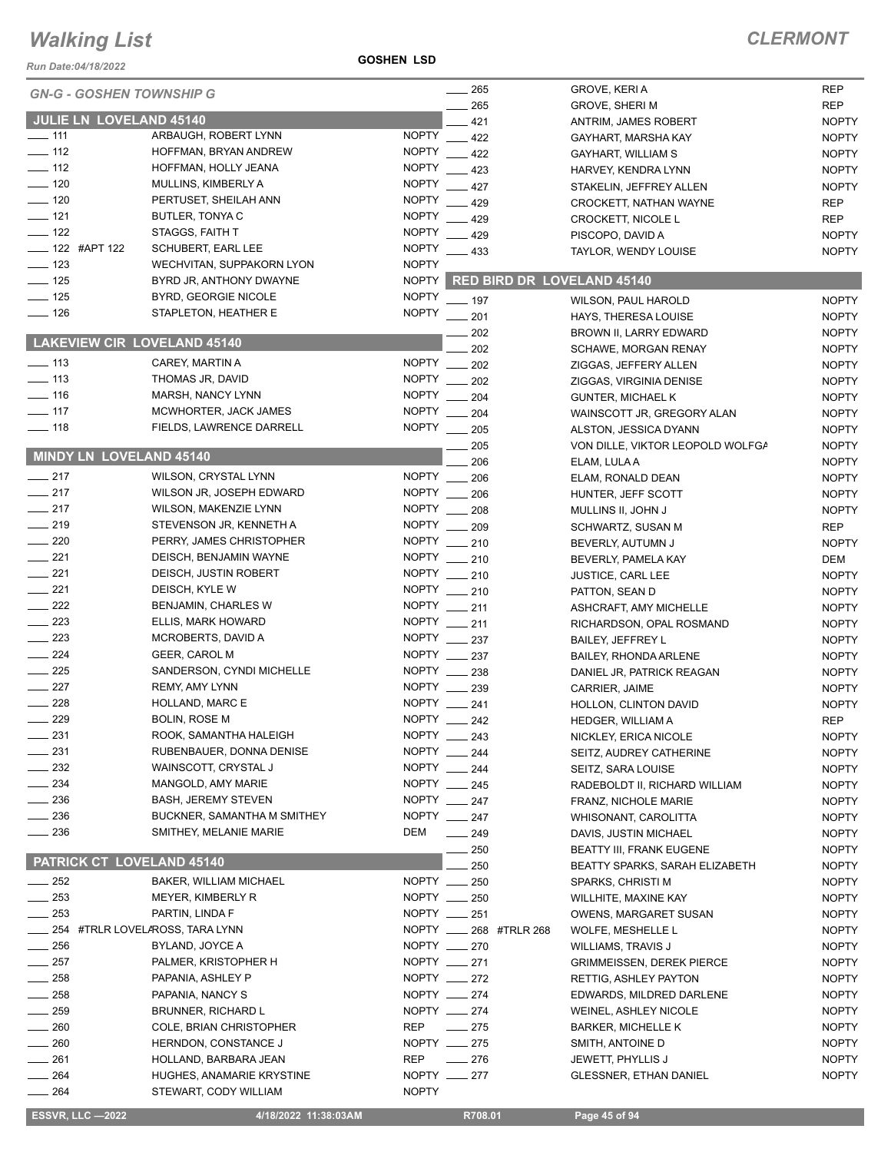#### *Run Date:04/18/2022*

**GOSHEN LSD**

| <b>GN-G - GOSHEN TOWNSHIP G</b>    |                                 |              | $\frac{1}{265}$           | GROVE, KERI A                     | <b>REP</b>   |
|------------------------------------|---------------------------------|--------------|---------------------------|-----------------------------------|--------------|
|                                    |                                 |              | 265                       | <b>GROVE, SHERI M</b>             | <b>REP</b>   |
| <b>JULIE LN LOVELAND 45140</b>     |                                 |              | 421                       | ANTRIM, JAMES ROBERT              | <b>NOPTY</b> |
| $- 111$                            | ARBAUGH, ROBERT LYNN            | <b>NOPTY</b> | 422                       | GAYHART, MARSHA KAY               | <b>NOPTY</b> |
| $\frac{1}{2}$ 112                  | HOFFMAN, BRYAN ANDREW           | <b>NOPTY</b> | 422                       | GAYHART, WILLIAM S                | <b>NOPTY</b> |
| $\frac{1}{2}$ 112                  | HOFFMAN, HOLLY JEANA            | <b>NOPTY</b> | 423                       | HARVEY, KENDRA LYNN               | <b>NOPTY</b> |
| $-120$                             | MULLINS, KIMBERLY A             | <b>NOPTY</b> | 427                       | STAKELIN, JEFFREY ALLEN           | <b>NOPTY</b> |
| $\frac{1}{2}$ 120                  | PERTUSET, SHEILAH ANN           | <b>NOPTY</b> | 429                       | CROCKETT, NATHAN WAYNE            | <b>REP</b>   |
| $\frac{1}{2}$ 121                  | BUTLER, TONYA C                 | <b>NOPTY</b> | 429                       |                                   | <b>REP</b>   |
| $\frac{1}{2}$ 122                  | STAGGS, FAITH T                 | <b>NOPTY</b> |                           | <b>CROCKETT, NICOLE L</b>         |              |
| $\frac{1}{2}$ 122 #APT 122         |                                 |              | $-429$                    | PISCOPO, DAVID A                  | <b>NOPTY</b> |
|                                    | <b>SCHUBERT, EARL LEE</b>       | <b>NOPTY</b> | $-433$                    | TAYLOR, WENDY LOUISE              | <b>NOPTY</b> |
| $\frac{1}{2}$ 123                  | WECHVITAN, SUPPAKORN LYON       | <b>NOPTY</b> |                           |                                   |              |
| $\frac{1}{2}$ 125                  | BYRD JR, ANTHONY DWAYNE         | <b>NOPTY</b> |                           | <b>RED BIRD DR LOVELAND 45140</b> |              |
| $\frac{1}{2}$ 125                  | BYRD, GEORGIE NICOLE            | <b>NOPTY</b> | $-197$                    | WILSON, PAUL HAROLD               | <b>NOPTY</b> |
| $- 126$                            | STAPLETON, HEATHER E            | <b>NOPTY</b> | $\frac{1}{201}$           | HAYS, THERESA LOUISE              | <b>NOPTY</b> |
|                                    |                                 |              | 202                       | BROWN II, LARRY EDWARD            | <b>NOPTY</b> |
| <b>LAKEVIEW CIR LOVELAND 45140</b> |                                 |              | 202                       | <b>SCHAWE, MORGAN RENAY</b>       | <b>NOPTY</b> |
| $\equiv$ 113                       | CAREY, MARTIN A                 | <b>NOPTY</b> | 202                       | ZIGGAS, JEFFERY ALLEN             | <b>NOPTY</b> |
| $\frac{1}{2}$ 113                  | THOMAS JR, DAVID                | <b>NOPTY</b> | 202                       | ZIGGAS, VIRGINIA DENISE           | <b>NOPTY</b> |
| $\frac{1}{2}$ 116                  | MARSH, NANCY LYNN               | <b>NOPTY</b> |                           |                                   |              |
| $\frac{1}{2}$ 117                  | MCWHORTER, JACK JAMES           | <b>NOPTY</b> | 204                       | <b>GUNTER, MICHAEL K</b>          | <b>NOPTY</b> |
|                                    |                                 |              | 204                       | WAINSCOTT JR, GREGORY ALAN        | <b>NOPTY</b> |
| $\frac{1}{2}$ 118                  | FIELDS, LAWRENCE DARRELL        | <b>NOPTY</b> | $\frac{1}{205}$           | ALSTON, JESSICA DYANN             | <b>NOPTY</b> |
|                                    |                                 |              | 205                       | VON DILLE, VIKTOR LEOPOLD WOLFGA  | <b>NOPTY</b> |
| MINDY LN LOVELAND 45140            |                                 |              | 206                       | ELAM, LULA A                      | <b>NOPTY</b> |
| $\frac{1}{217}$                    | <b>WILSON, CRYSTAL LYNN</b>     | NOPTY __     | 206                       | ELAM, RONALD DEAN                 | <b>NOPTY</b> |
| $\frac{1}{217}$                    | WILSON JR, JOSEPH EDWARD        | <b>NOPTY</b> | 206                       | HUNTER, JEFF SCOTT                | <b>NOPTY</b> |
| $\frac{1}{217}$                    | <b>WILSON, MAKENZIE LYNN</b>    | NOPTY ___    | 208                       | MULLINS II, JOHN J                | <b>NOPTY</b> |
| $\frac{1}{219}$                    | STEVENSON JR, KENNETH A         | <b>NOPTY</b> | 209                       | SCHWARTZ, SUSAN M                 | <b>REP</b>   |
| $\sim$ 220                         | PERRY, JAMES CHRISTOPHER        |              | NOPTY __ 210              | BEVERLY, AUTUMN J                 | <b>NOPTY</b> |
| $-221$                             | DEISCH, BENJAMIN WAYNE          |              | NOPTY __ 210              |                                   | DEM          |
| $\sim$ 221                         | DEISCH, JUSTIN ROBERT           |              | NOPTY __ 210              | BEVERLY, PAMELA KAY               |              |
|                                    |                                 |              |                           | <b>JUSTICE, CARL LEE</b>          | <b>NOPTY</b> |
| $\frac{1}{221}$                    | DEISCH, KYLE W                  |              | NOPTY __ 210              | PATTON, SEAN D                    | <b>NOPTY</b> |
| $-222$                             | BENJAMIN, CHARLES W             |              | NOPTY __ 211              | ASHCRAFT, AMY MICHELLE            | <b>NOPTY</b> |
| $\frac{223}{2}$                    | ELLIS, MARK HOWARD              |              | NOPTY __ 211              | RICHARDSON, OPAL ROSMAND          | <b>NOPTY</b> |
| $\frac{1}{223}$                    | MCROBERTS, DAVID A              |              | NOPTY __ 237              | <b>BAILEY, JEFFREY L</b>          | <b>NOPTY</b> |
| $\frac{1}{224}$                    | <b>GEER, CAROL M</b>            |              | NOPTY __ 237              | <b>BAILEY, RHONDA ARLENE</b>      | <b>NOPTY</b> |
| $\frac{1}{225}$                    | SANDERSON, CYNDI MICHELLE       |              | NOPTY __ 238              | DANIEL JR, PATRICK REAGAN         | <b>NOPTY</b> |
| $\frac{1}{227}$                    | <b>REMY, AMY LYNN</b>           |              | NOPTY __ 239              | CARRIER, JAIME                    | <b>NOPTY</b> |
| 228                                | HOLLAND, MARC E                 |              | NOPTY __ 241              | HOLLON, CLINTON DAVID             | <b>NOPTY</b> |
| 229                                | <b>BOLIN, ROSE M</b>            | <b>NOPTY</b> | 242                       | <b>HEDGER, WILLIAM A</b>          | <b>REP</b>   |
| $-231$                             | ROOK, SAMANTHA HALEIGH          |              | NOPTY __ 243              | NICKLEY, ERICA NICOLE             | <b>NOPTY</b> |
| 231                                | RUBENBAUER, DONNA DENISE        | <b>NOPTY</b> | 244                       |                                   |              |
| $-232$                             |                                 |              |                           | SEITZ, AUDREY CATHERINE           | <b>NOPTY</b> |
|                                    | WAINSCOTT, CRYSTAL J            |              | NOPTY $-244$              | SEITZ, SARA LOUISE                | <b>NOPTY</b> |
| 234                                | MANGOLD, AMY MARIE              |              | NOPTY __ 245              | RADEBOLDT II, RICHARD WILLIAM     | <b>NOPTY</b> |
| 236                                | <b>BASH, JEREMY STEVEN</b>      |              | NOPTY __ 247              | FRANZ, NICHOLE MARIE              | <b>NOPTY</b> |
| $-236$                             | BUCKNER, SAMANTHA M SMITHEY     |              | NOPTY __ 247              | WHISONANT, CAROLITTA              | <b>NOPTY</b> |
| 236                                | SMITHEY, MELANIE MARIE          | DEM          | $-249$                    | DAVIS, JUSTIN MICHAEL             | <b>NOPTY</b> |
|                                    |                                 |              | 250                       | <b>BEATTY III, FRANK EUGENE</b>   | <b>NOPTY</b> |
| PATRICK CT LOVELAND 45140          |                                 |              | 250                       | BEATTY SPARKS, SARAH ELIZABETH    | <b>NOPTY</b> |
| $\frac{1}{252}$                    | <b>BAKER, WILLIAM MICHAEL</b>   |              | NOPTY __ 250              | SPARKS, CHRISTI M                 | <b>NOPTY</b> |
| $\sim$ 253                         | MEYER, KIMBERLY R               |              | NOPTY __ 250              | WILLHITE, MAXINE KAY              | <b>NOPTY</b> |
| $-253$                             | PARTIN, LINDA F                 |              | NOPTY __ 251              | OWENS, MARGARET SUSAN             | <b>NOPTY</b> |
|                                    | 254 #TRLR LOVELAROSS, TARA LYNN |              | NOPTY _____ 268 #TRLR 268 | WOLFE, MESHELLE L                 | <b>NOPTY</b> |
| $-256$                             | BYLAND, JOYCE A                 |              | NOPTY __ 270              | WILLIAMS, TRAVIS J                | <b>NOPTY</b> |
|                                    |                                 |              | NOPTY __ 271              |                                   |              |
| $-257$                             | PALMER, KRISTOPHER H            |              |                           | <b>GRIMMEISSEN, DEREK PIERCE</b>  | <b>NOPTY</b> |
| 258                                | PAPANIA, ASHLEY P               |              | NOPTY __ 272              | RETTIG, ASHLEY PAYTON             | <b>NOPTY</b> |
| $=258$                             | PAPANIA, NANCY S                |              | NOPTY __ 274              | EDWARDS, MILDRED DARLENE          | <b>NOPTY</b> |
| 259                                | BRUNNER, RICHARD L              |              | NOPTY __ 274              | WEINEL, ASHLEY NICOLE             | <b>NOPTY</b> |
| 260                                | COLE, BRIAN CHRISTOPHER         | REP          | $\frac{275}{2}$           | <b>BARKER, MICHELLE K</b>         | <b>NOPTY</b> |
| $-260$                             | HERNDON, CONSTANCE J            |              | NOPTY __ 275              | SMITH, ANTOINE D                  | <b>NOPTY</b> |
| $-261$                             | HOLLAND, BARBARA JEAN           | <b>REP</b>   | $\frac{1}{276}$           | <b>JEWETT, PHYLLIS J</b>          | <b>NOPTY</b> |
| $\frac{1}{264}$                    | HUGHES, ANAMARIE KRYSTINE       |              | NOPTY __ 277              | <b>GLESSNER, ETHAN DANIEL</b>     | <b>NOPTY</b> |
| $\frac{1}{264}$                    | STEWART, CODY WILLIAM           | <b>NOPTY</b> |                           |                                   |              |
|                                    |                                 |              |                           |                                   |              |
| <b>ESSVR, LLC -2022</b>            | 4/18/2022 11:38:03AM            |              | R708.01                   | Page 45 of 94                     |              |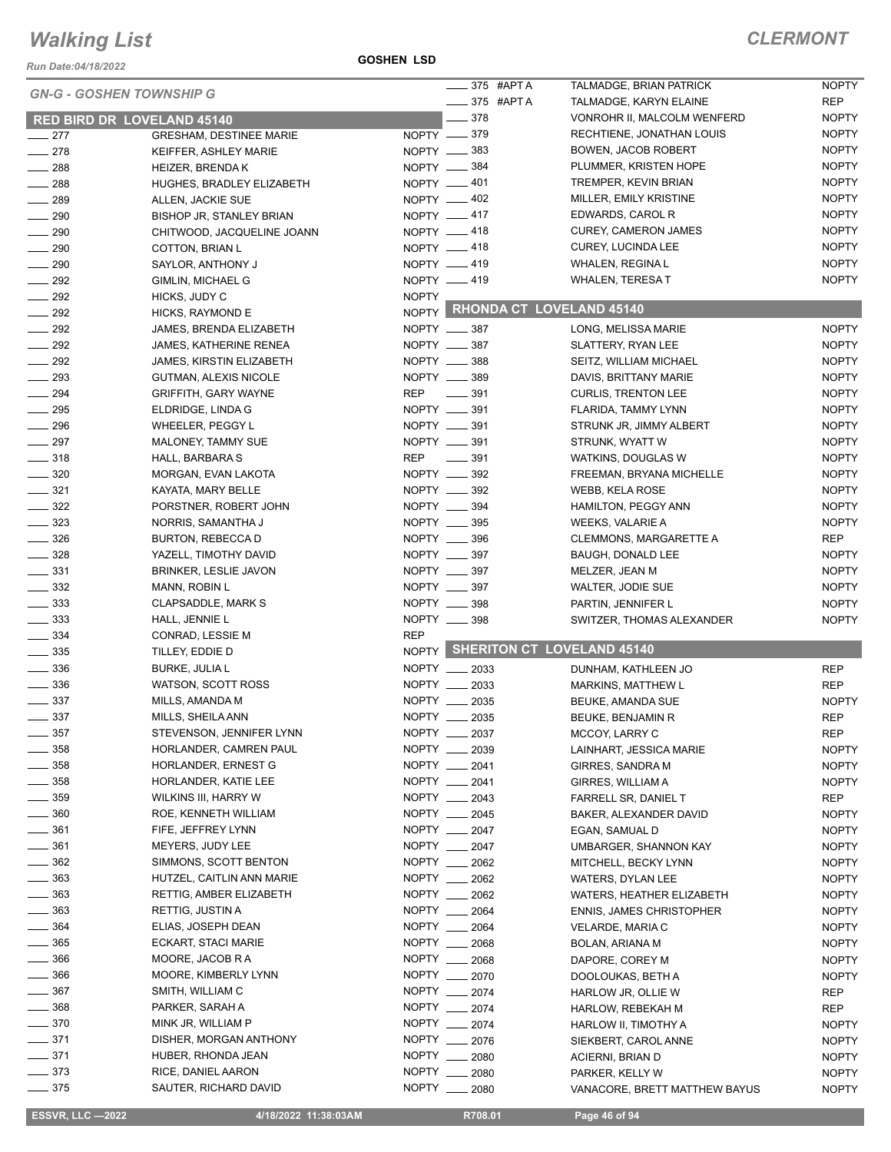*Run Date:04/18/2022*

#### **GOSHEN LSD**

|                                        |                                             |                  | $\frac{1}{2}$ 375 #APT A       | TALMADGE, BRIAN PATRICK                          | <b>NOPTY</b>                 |
|----------------------------------------|---------------------------------------------|------------------|--------------------------------|--------------------------------------------------|------------------------------|
| <b>GN-G - GOSHEN TOWNSHIP G</b>        |                                             |                  |                                |                                                  |                              |
|                                        |                                             |                  | $\frac{1}{2}$ 375 #APTA        | TALMADGE, KARYN ELAINE                           | <b>REP</b>                   |
| <b>RED BIRD DR LOVELAND 45140</b>      |                                             |                  | $-378$                         | VONROHR II, MALCOLM WENFERD                      | <b>NOPTY</b>                 |
| $-277$                                 | <b>GRESHAM, DESTINEE MARIE</b>              | $NOPTY$ ____ 379 |                                | RECHTIENE, JONATHAN LOUIS                        | <b>NOPTY</b>                 |
| $-278$                                 | KEIFFER, ASHLEY MARIE                       | NOPTY -883       |                                | <b>BOWEN, JACOB ROBERT</b>                       | <b>NOPTY</b>                 |
| $\frac{1}{288}$                        | <b>HEIZER, BRENDAK</b>                      | NOPTY __ 384     |                                | PLUMMER, KRISTEN HOPE                            | <b>NOPTY</b>                 |
| $\frac{1}{288}$                        | HUGHES, BRADLEY ELIZABETH                   | NOPTY -401       |                                | TREMPER, KEVIN BRIAN                             | <b>NOPTY</b>                 |
| $-289$                                 | ALLEN, JACKIE SUE                           | NOPTY -402       |                                | MILLER, EMILY KRISTINE                           | <b>NOPTY</b>                 |
| $\frac{1}{290}$                        | BISHOP JR, STANLEY BRIAN                    | NOPTY __ 417     |                                | EDWARDS, CAROL R                                 | <b>NOPTY</b>                 |
| $- 290$                                | CHITWOOD, JACQUELINE JOANN                  | NOPTY -418       |                                | <b>CUREY, CAMERON JAMES</b>                      | <b>NOPTY</b>                 |
| $\frac{1}{290}$                        | COTTON, BRIAN L                             | NOPTY 418        |                                | CUREY, LUCINDA LEE                               | <b>NOPTY</b>                 |
| $\sim$ 290                             | SAYLOR, ANTHONY J                           | NOPTY -419       |                                | WHALEN, REGINA L                                 | <b>NOPTY</b>                 |
| $\frac{1}{2}$ 292                      | GIMLIN, MICHAEL G                           | NOPTY -419       |                                | WHALEN, TERESA T                                 | <b>NOPTY</b>                 |
| $\frac{1}{2}$ 292                      | HICKS, JUDY C                               | <b>NOPTY</b>     |                                |                                                  |                              |
| $\frac{1}{2}$ 292                      | HICKS, RAYMOND E                            |                  |                                | NOPTY RHONDA CT LOVELAND 45140                   |                              |
| $\frac{292}{2}$                        | JAMES, BRENDA ELIZABETH                     | NOPTY __ 387     |                                | LONG, MELISSA MARIE                              | <b>NOPTY</b>                 |
| $\frac{292}{2}$                        | <b>JAMES, KATHERINE RENEA</b>               | NOPTY __ 387     |                                | SLATTERY, RYAN LEE                               | <b>NOPTY</b>                 |
|                                        |                                             |                  |                                |                                                  |                              |
| $\sim$ 292                             | JAMES, KIRSTIN ELIZABETH                    | NOPTY __ 388     |                                | SEITZ, WILLIAM MICHAEL                           | <b>NOPTY</b>                 |
| $\sim$ 293                             | <b>GUTMAN, ALEXIS NICOLE</b>                | NOPTY __ 389     |                                | DAVIS, BRITTANY MARIE                            | <b>NOPTY</b>                 |
| $\frac{1}{294}$                        | <b>GRIFFITH, GARY WAYNE</b>                 | REP __ 391       |                                | <b>CURLIS, TRENTON LEE</b>                       | <b>NOPTY</b>                 |
| $\frac{1}{295}$                        | ELDRIDGE, LINDA G                           | NOPTY __ 391     |                                | FLARIDA, TAMMY LYNN                              | <b>NOPTY</b>                 |
| $\frac{1}{296}$                        | WHEELER, PEGGY L                            | NOPTY __ 391     |                                | STRUNK JR, JIMMY ALBERT                          | <b>NOPTY</b>                 |
| $\frac{1}{297}$                        | MALONEY, TAMMY SUE                          | NOPTY __ 391     |                                | STRUNK, WYATT W                                  | <b>NOPTY</b>                 |
| $- 318$                                | HALL, BARBARA S                             | REP              | $\frac{1}{2}$ 391              | WATKINS, DOUGLAS W                               | <b>NOPTY</b>                 |
| $- 320$                                | MORGAN, EVAN LAKOTA                         | NOPTY __ 392     |                                | FREEMAN, BRYANA MICHELLE                         | <b>NOPTY</b>                 |
| $\frac{1}{2}$ 321                      | KAYATA, MARY BELLE                          | NOPTY __ 392     |                                | <b>WEBB, KELA ROSE</b>                           | <b>NOPTY</b>                 |
| $\frac{322}{2}$                        | PORSTNER, ROBERT JOHN                       | NOPTY __ 394     |                                | HAMILTON, PEGGY ANN                              | <b>NOPTY</b>                 |
| $\frac{1}{2}$ 323                      | NORRIS, SAMANTHA J                          | NOPTY __ 395     |                                | WEEKS, VALARIE A                                 | <b>NOPTY</b>                 |
| $\frac{1}{2}$ 326                      | BURTON, REBECCA D                           | NOPTY __ 396     |                                | <b>CLEMMONS, MARGARETTE A</b>                    | REP                          |
| $\frac{1}{2}$ 328                      | YAZELL, TIMOTHY DAVID                       | NOPTY __ 397     |                                | <b>BAUGH, DONALD LEE</b>                         | <b>NOPTY</b>                 |
| $\frac{1}{2}$ 331                      |                                             | NOPTY __ 397     |                                |                                                  |                              |
|                                        | <b>BRINKER, LESLIE JAVON</b>                | NOPTY __ 397     |                                | MELZER, JEAN M                                   | <b>NOPTY</b>                 |
| $\frac{1}{2}$ 332                      | MANN, ROBIN L                               |                  |                                | WALTER, JODIE SUE                                | <b>NOPTY</b>                 |
| $\frac{1}{2}$ 333                      | <b>CLAPSADDLE, MARK S</b>                   | NOPTY __ 398     |                                | PARTIN, JENNIFER L                               | <b>NOPTY</b>                 |
| $\frac{1}{2}$ 333                      | HALL, JENNIE L                              | NOPTY __ 398     |                                | SWITZER, THOMAS ALEXANDER                        | <b>NOPTY</b>                 |
| $\frac{1}{2}$ 334                      | CONRAD, LESSIE M                            | <b>REP</b>       |                                |                                                  |                              |
| $\frac{1}{2}$ 335                      | TILLEY, EDDIE D                             |                  |                                | NOPTY SHERITON CT LOVELAND 45140                 |                              |
| $\frac{1}{2}$ 336                      | <b>BURKE, JULIA L</b>                       |                  | NOPTY __ 2033                  | DUNHAM, KATHLEEN JO                              | <b>REP</b>                   |
| $\frac{1}{2}$ 336                      | WATSON, SCOTT ROSS                          |                  | NOPTY __ 2033                  | <b>MARKINS, MATTHEW L</b>                        | <b>REP</b>                   |
| $\frac{1}{2}$ 337                      | MILLS, AMANDA M                             |                  | NOPTY __ 2035                  | BEUKE, AMANDA SUE                                | <b>NOPTY</b>                 |
| $- 337$                                | MILLS, SHEILA ANN                           |                  | NOPTY __ 2035                  | BEUKE, BENJAMIN R                                | <b>REP</b>                   |
| $-357$                                 | STEVENSON, JENNIFER LYNN                    |                  | NOPTY __ 2037                  | MCCOY, LARRY C                                   | <b>REP</b>                   |
| $\frac{1}{2}$ 358                      | HORLANDER, CAMREN PAUL                      |                  | NOPTY __ 2039                  | LAINHART, JESSICA MARIE                          | <b>NOPTY</b>                 |
| $\frac{1}{2}$ 358                      | HORLANDER, ERNEST G                         |                  | NOPTY __ 2041                  | <b>GIRRES, SANDRA M</b>                          | <b>NOPTY</b>                 |
| $\frac{1}{2}$ 358                      | HORLANDER, KATIE LEE                        |                  | NOPTY __ 2041                  | GIRRES, WILLIAM A                                | <b>NOPTY</b>                 |
| $- 359$                                | WILKINS III, HARRY W                        |                  | NOPTY __ 2043                  | FARRELL SR, DANIEL T                             | REP                          |
| $\frac{1}{2}$ 360                      | ROE, KENNETH WILLIAM                        |                  | NOPTY __ 2045                  | BAKER, ALEXANDER DAVID                           | <b>NOPTY</b>                 |
| $- 361$                                | FIFE, JEFFREY LYNN                          |                  | NOPTY 2047                     |                                                  |                              |
|                                        |                                             |                  |                                | EGAN, SAMUAL D                                   | <b>NOPTY</b>                 |
| $- 361$                                | MEYERS, JUDY LEE                            |                  | NOPTY __ 2047                  | <b>UMBARGER, SHANNON KAY</b>                     | <b>NOPTY</b>                 |
| $\frac{1}{2}$ 362                      | SIMMONS, SCOTT BENTON                       |                  | NOPTY __ 2062                  | MITCHELL, BECKY LYNN                             | <b>NOPTY</b>                 |
| $\frac{1}{2}$ 363                      | HUTZEL, CAITLIN ANN MARIE                   |                  | NOPTY __ 2062                  | WATERS, DYLAN LEE                                | <b>NOPTY</b>                 |
| $\frac{1}{2}$ 363                      | RETTIG, AMBER ELIZABETH                     |                  |                                |                                                  | <b>NOPTY</b>                 |
| $\frac{1}{2}$ 363                      |                                             |                  | NOPTY __ 2062                  | WATERS, HEATHER ELIZABETH                        |                              |
|                                        | RETTIG, JUSTIN A                            |                  | NOPTY __ 2064                  | <b>ENNIS, JAMES CHRISTOPHER</b>                  | <b>NOPTY</b>                 |
| $- 364$                                | ELIAS, JOSEPH DEAN                          |                  | NOPTY __ 2064                  | VELARDE, MARIA C                                 | <b>NOPTY</b>                 |
| $\frac{1}{2}$ 365                      | ECKART, STACI MARIE                         |                  | NOPTY __ 2068                  | BOLAN, ARIANA M                                  | <b>NOPTY</b>                 |
| $\frac{1}{2}$ 366                      | MOORE, JACOB R A                            |                  | NOPTY __ 2068                  | DAPORE, COREY M                                  | <b>NOPTY</b>                 |
| 366                                    | MOORE, KIMBERLY LYNN                        |                  | NOPTY __ 2070                  | DOOLOUKAS, BETH A                                | <b>NOPTY</b>                 |
| $\frac{1}{2}$ 367                      | SMITH, WILLIAM C                            |                  |                                |                                                  |                              |
|                                        |                                             |                  | NOPTY __ 2074                  | HARLOW JR, OLLIE W                               | REP                          |
| $- 368$                                | PARKER, SARAH A                             |                  | NOPTY __ 2074                  | HARLOW, REBEKAH M                                | <b>REP</b>                   |
| $\frac{1}{2}$ 370                      | MINK JR, WILLIAM P                          |                  | NOPTY __ 2074                  | HARLOW II, TIMOTHY A                             | <b>NOPTY</b>                 |
| $- 371$                                | DISHER, MORGAN ANTHONY                      |                  | NOPTY __ 2076                  | SIEKBERT, CAROL ANNE                             | <b>NOPTY</b>                 |
| $\frac{1}{2}$ 371                      | HUBER, RHONDA JEAN                          |                  | NOPTY __ 2080                  | ACIERNI, BRIAN D                                 | <b>NOPTY</b>                 |
| $\frac{1}{2}$ 373<br>$\frac{1}{2}$ 375 | RICE, DANIEL AARON<br>SAUTER, RICHARD DAVID |                  | NOPTY __ 2080<br>NOPTY __ 2080 | PARKER, KELLY W<br>VANACORE, BRETT MATTHEW BAYUS | <b>NOPTY</b><br><b>NOPTY</b> |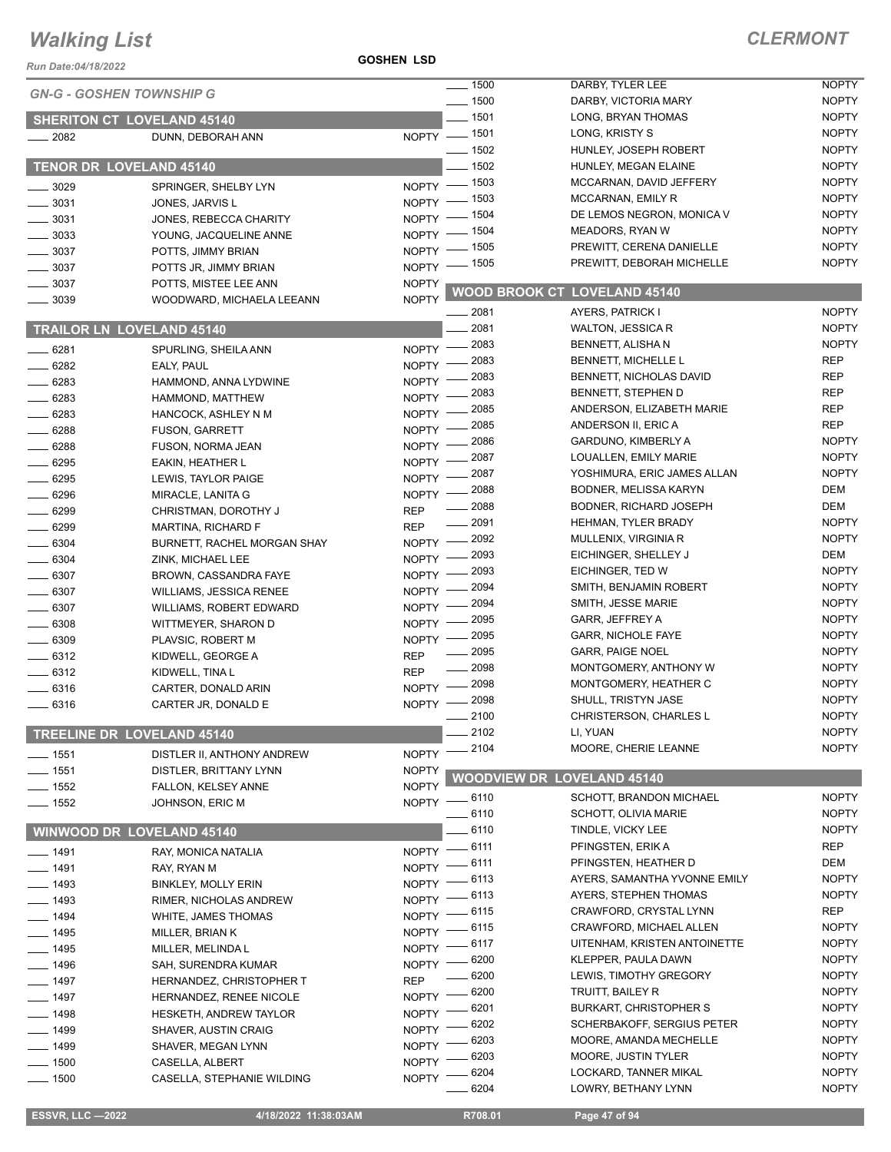#### **GOSHEN LSD**

| <b>Run Date:04/18/2022</b>        |                                | <b>GOSHEN LSD</b>            |                         |                                                      |                              |
|-----------------------------------|--------------------------------|------------------------------|-------------------------|------------------------------------------------------|------------------------------|
| <b>GN-G - GOSHEN TOWNSHIP G</b>   |                                |                              | $\frac{1}{2}$ 1500      | DARBY, TYLER LEE                                     | <b>NOPTY</b>                 |
|                                   |                                |                              | $\frac{1}{2}$ 1500      | DARBY, VICTORIA MARY                                 | <b>NOPTY</b>                 |
| <b>SHERITON CT LOVELAND 45140</b> |                                |                              | $- 1501$                | LONG, BRYAN THOMAS                                   | <b>NOPTY</b>                 |
| $-2082$                           | DUNN, DEBORAH ANN              |                              | NOPTY - 1501            | LONG, KRISTY S                                       | <b>NOPTY</b>                 |
|                                   |                                |                              | $- 1502$                | HUNLEY, JOSEPH ROBERT                                | <b>NOPTY</b>                 |
| TENOR DR LOVELAND 45140           |                                |                              | $-1502$                 | HUNLEY, MEGAN ELAINE                                 | <b>NOPTY</b>                 |
| $-3029$                           | SPRINGER, SHELBY LYN           |                              | NOPTY - 1503            | MCCARNAN, DAVID JEFFERY                              | <b>NOPTY</b>                 |
| 3031                              | JONES, JARVIS L                | $NOPTY$ -                    | $-1503$                 | MCCARNAN, EMILY R                                    | <b>NOPTY</b>                 |
| $-3031$                           | JONES, REBECCA CHARITY         | NOPTY $-$                    | _ 1504                  | DE LEMOS NEGRON, MONICA V                            | <b>NOPTY</b>                 |
| $-3033$                           | YOUNG, JACQUELINE ANNE         | $NOPTY =$                    | _ 1504                  | <b>MEADORS, RYAN W</b>                               | <b>NOPTY</b>                 |
| $-3037$                           | POTTS, JIMMY BRIAN             | NOPTY -                      | _ 1505                  | PREWITT, CERENA DANIELLE                             | <b>NOPTY</b>                 |
| $\frac{1}{2}$ 3037                | POTTS JR, JIMMY BRIAN          | $N$ OPTY $-$                 | _ 1505                  | PREWITT, DEBORAH MICHELLE                            | <b>NOPTY</b>                 |
| 3037                              | POTTS, MISTEE LEE ANN          | <b>NOPTY</b>                 |                         | <b>WOOD BROOK CT LOVELAND 45140</b>                  |                              |
| 3039                              | WOODWARD, MICHAELA LEEANN      | <b>NOPTY</b>                 |                         |                                                      |                              |
|                                   |                                |                              | $-2081$                 | AYERS, PATRICK I                                     | <b>NOPTY</b>                 |
| <b>TRAILOR LN LOVELAND 45140</b>  |                                |                              | 2081                    | WALTON, JESSICA R                                    | <b>NOPTY</b>                 |
| _ 6281                            | SPURLING, SHEILA ANN           | $N$ OPTY $-$                 | 2083                    | BENNETT, ALISHA N                                    | <b>NOPTY</b>                 |
| $-6282$                           | EALY, PAUL                     | NOPTY -                      | 2083                    | BENNETT, MICHELLE L                                  | <b>REP</b>                   |
| $-6283$                           | HAMMOND, ANNA LYDWINE          | <b>NOPTY</b>                 | 2083                    | BENNETT, NICHOLAS DAVID                              | <b>REP</b>                   |
| 6283                              | HAMMOND, MATTHEW               | <b>NOPTY</b>                 | 2083                    | BENNETT, STEPHEN D                                   | <b>REP</b>                   |
| $-6283$                           | HANCOCK, ASHLEY N M            | <b>NOPTY</b>                 | 2085                    | ANDERSON, ELIZABETH MARIE                            | <b>REP</b>                   |
| 6288                              | <b>FUSON, GARRETT</b>          | NOPTY -                      | 2085                    | ANDERSON II, ERIC A                                  | <b>REP</b>                   |
| $-6288$                           | FUSON, NORMA JEAN              | NOPTY -                      | 2086                    | GARDUNO, KIMBERLY A                                  | <b>NOPTY</b>                 |
| $-6295$                           | EAKIN, HEATHER L               | NOPTY -                      | 2087                    | LOUALLEN, EMILY MARIE                                | <b>NOPTY</b>                 |
| $-6295$                           | LEWIS, TAYLOR PAIGE            | <b>NOPTY</b>                 | 2087                    | YOSHIMURA, ERIC JAMES ALLAN                          | <b>NOPTY</b>                 |
| $- 6296$                          | MIRACLE, LANITA G              | NOPTY -                      | 2088                    | BODNER, MELISSA KARYN                                | <b>DEM</b>                   |
| 6299                              | CHRISTMAN, DOROTHY J           | <b>REP</b>                   | 2088                    | BODNER, RICHARD JOSEPH                               | <b>DEM</b>                   |
| $-6299$                           | <b>MARTINA, RICHARD F</b>      | <b>REP</b>                   | $-2091$                 | <b>HEHMAN, TYLER BRADY</b>                           | <b>NOPTY</b>                 |
| $-6304$                           | BURNETT, RACHEL MORGAN SHAY    |                              | NOPTY - 2092            | MULLENIX, VIRGINIA R                                 | <b>NOPTY</b>                 |
| $- 6304$                          | ZINK, MICHAEL LEE              | NOPTY =                      | 2093                    | EICHINGER, SHELLEY J                                 | DEM<br><b>NOPTY</b>          |
| $\frac{1}{2}$ 6307                | BROWN, CASSANDRA FAYE          | <b>NOPTY</b>                 | 2093                    | EICHINGER, TED W                                     |                              |
| $-6307$                           | <b>WILLIAMS, JESSICA RENEE</b> | <b>NOPTY</b>                 | 2094                    | SMITH, BENJAMIN ROBERT                               | <b>NOPTY</b>                 |
| $\frac{1}{2}$ 6307                | WILLIAMS, ROBERT EDWARD        | NOPTY -                      | 2094<br>2095            | SMITH, JESSE MARIE                                   | <b>NOPTY</b><br><b>NOPTY</b> |
| 6308                              | WITTMEYER, SHARON D            | NOPTY -                      |                         | GARR, JEFFREY A                                      | <b>NOPTY</b>                 |
| $-6309$                           | PLAVSIC, ROBERT M              | NOPTY -                      | 2095<br>2095            | <b>GARR, NICHOLE FAYE</b><br><b>GARR, PAIGE NOEL</b> | <b>NOPTY</b>                 |
| $-6312$                           | KIDWELL, GEORGE A              | <b>REP</b>                   | 2098                    | MONTGOMERY, ANTHONY W                                | <b>NOPTY</b>                 |
| $-6312$                           | KIDWELL, TINA L                | <b>REP</b>                   | 2098                    | MONTGOMERY, HEATHER C                                | <b>NOPTY</b>                 |
| $-6316$                           | CARTER, DONALD ARIN            | $N$ OPTY $-$                 |                         | SHULL, TRISTYN JASE                                  | <b>NOPTY</b>                 |
| 6316                              | CARTER JR, DONALD E            |                              | NOPTY - 2098<br>$-2100$ | <b>CHRISTERSON, CHARLES L</b>                        | <b>NOPTY</b>                 |
| <b>TREELINE DR LOVELAND 45140</b> |                                |                              | 2102                    | LI, YUAN                                             | <b>NOPTY</b>                 |
|                                   |                                |                              | .2104                   | MOORE, CHERIE LEANNE                                 | <b>NOPTY</b>                 |
| $-1551$                           | DISTLER II, ANTHONY ANDREW     | <b>NOPTY</b>                 |                         |                                                      |                              |
| 1551                              | DISTLER, BRITTANY LYNN         | <b>NOPTY</b>                 |                         | WOODVIEW DR LOVELAND 45140                           |                              |
| $-1552$                           | FALLON, KELSEY ANNE            | <b>NOPTY</b>                 | _ 6110                  | <b>SCHOTT, BRANDON MICHAEL</b>                       | <b>NOPTY</b>                 |
| $\frac{1}{1552}$                  | JOHNSON, ERIC M                | <b>NOPTY</b>                 | 6110                    | SCHOTT, OLIVIA MARIE                                 | <b>NOPTY</b>                 |
| <b>WINWOOD DR LOVELAND 45140</b>  |                                |                              | 6110                    | TINDLE, VICKY LEE                                    | <b>NOPTY</b>                 |
|                                   |                                |                              | $= 6111$                | PFINGSTEN, ERIK A                                    | <b>REP</b>                   |
| $- 1491$                          | RAY, MONICA NATALIA            | $NOPTY =$                    | 6111                    | PFINGSTEN, HEATHER D                                 | <b>DEM</b>                   |
| __ 1491                           | RAY, RYAN M                    | $NOPTY =$                    | 6113                    | AYERS, SAMANTHA YVONNE EMILY                         | <b>NOPTY</b>                 |
| $-1493$                           | <b>BINKLEY, MOLLY ERIN</b>     | $NOPTY$ -<br>NOPTY -         | 6113                    | AYERS, STEPHEN THOMAS                                | <b>NOPTY</b>                 |
| $-1493$                           | RIMER, NICHOLAS ANDREW         | <b>NOPTY</b>                 | 6115                    | CRAWFORD, CRYSTAL LYNN                               | <b>REP</b>                   |
| __ 1494                           | WHITE, JAMES THOMAS            |                              | 6115                    | CRAWFORD, MICHAEL ALLEN                              | <b>NOPTY</b>                 |
| $- 1495$                          | MILLER, BRIAN K                | <b>NOPTY</b><br><b>NOPTY</b> | . 6117                  | UITENHAM, KRISTEN ANTOINETTE                         | <b>NOPTY</b>                 |
| $- 1495$                          | MILLER, MELINDA L              |                              | 6200                    | KLEPPER, PAULA DAWN                                  | <b>NOPTY</b>                 |
| $- 1496$                          | SAH, SURENDRA KUMAR            | <b>NOPTY</b>                 | 6200                    | LEWIS, TIMOTHY GREGORY                               | <b>NOPTY</b>                 |
| $-1497$                           | HERNANDEZ, CHRISTOPHER T       | <b>REP</b>                   | 6200                    | TRUITT, BAILEY R                                     | <b>NOPTY</b>                 |
| _ 1497                            | HERNANDEZ, RENEE NICOLE        | <b>NOPTY</b>                 | 6201                    | <b>BURKART, CHRISTOPHER S</b>                        | <b>NOPTY</b>                 |
| $-1498$                           | <b>HESKETH, ANDREW TAYLOR</b>  | <b>NOPTY</b>                 | 6202                    | <b>SCHERBAKOFF, SERGIUS PETER</b>                    | <b>NOPTY</b>                 |
| $-1499$                           | SHAVER, AUSTIN CRAIG           | <b>NOPTY</b>                 | 6203                    | MOORE, AMANDA MECHELLE                               | <b>NOPTY</b>                 |
| $-1499$                           | SHAVER, MEGAN LYNN             | <b>NOPTY</b><br><b>NOPTY</b> | 6203                    | MOORE, JUSTIN TYLER                                  | <b>NOPTY</b>                 |
| $\frac{1}{2}$ 1500                | CASELLA, ALBERT                | <b>NOPTY</b>                 | 6204                    | LOCKARD, TANNER MIKAL                                | <b>NOPTY</b>                 |
| $\frac{1}{2}$ 1500                | CASELLA, STEPHANIE WILDING     |                              | 6204                    | LOWRY, BETHANY LYNN                                  | <b>NOPTY</b>                 |
|                                   |                                |                              |                         |                                                      |                              |
| <b>ESSVR, LLC -2022</b>           | 4/18/2022 11:38:03AM           |                              | R708.01                 | Page 47 of 94                                        |                              |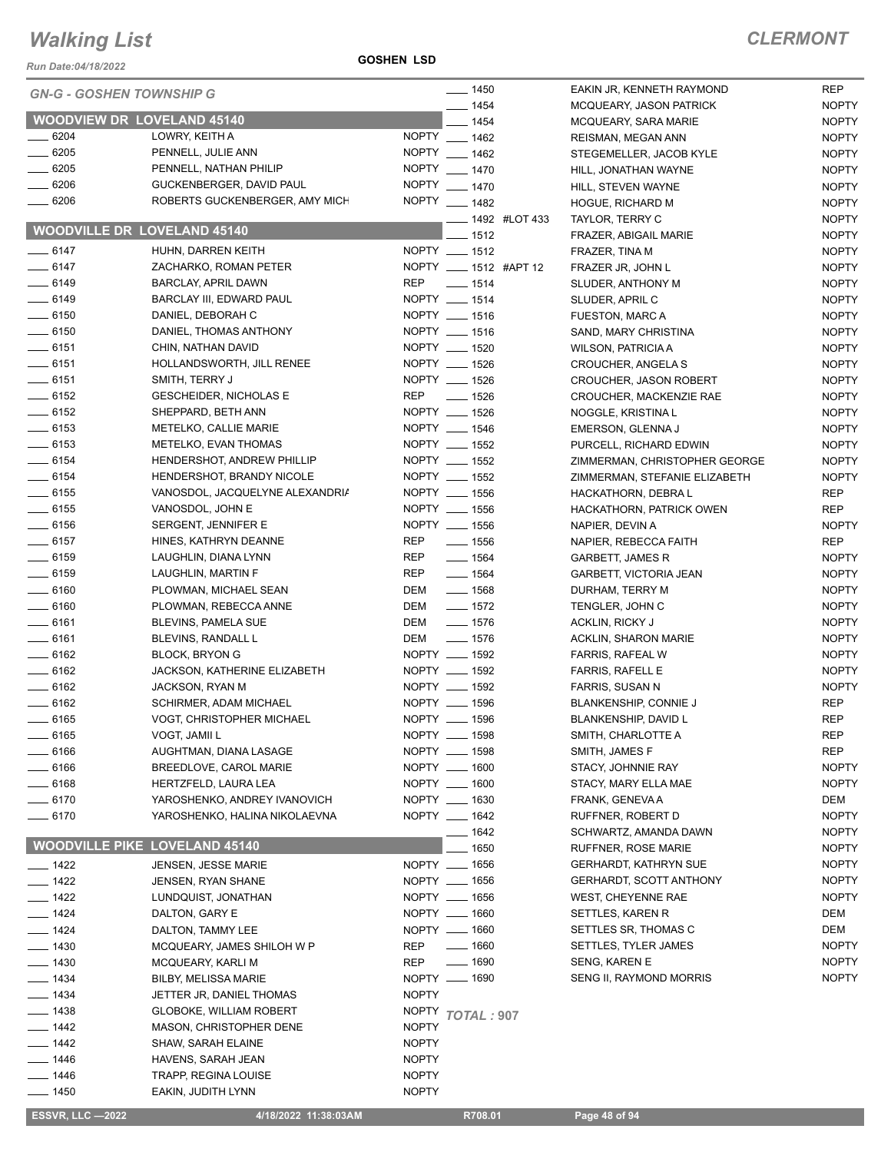*Run Date:04/18/2022*

**GOSHEN LSD**

| <b>ESSVR, LLC-2022</b>             | 4/18/2022 11:38:03AM                 |              | R708.01                    | Page 48 of 94                  |              |
|------------------------------------|--------------------------------------|--------------|----------------------------|--------------------------------|--------------|
| $- 1450$                           | EAKIN, JUDITH LYNN                   | <b>NOPTY</b> |                            |                                |              |
| —— 1446                            | TRAPP, REGINA LOUISE                 | <b>NOPTY</b> |                            |                                |              |
| $- 1446$                           | HAVENS, SARAH JEAN                   | <b>NOPTY</b> |                            |                                |              |
| $- 1442$                           | SHAW, SARAH ELAINE                   | <b>NOPTY</b> |                            |                                |              |
| $- 1442$                           | MASON, CHRISTOPHER DENE              | <b>NOPTY</b> |                            |                                |              |
| $- 1438$                           | <b>GLOBOKE, WILLIAM ROBERT</b>       |              | NOPTY TOTAL: 907           |                                |              |
| $- 1434$                           | JETTER JR, DANIEL THOMAS             | <b>NOPTY</b> |                            |                                |              |
| $- 1434$                           | <b>BILBY, MELISSA MARIE</b>          |              | NOPTY __ 1690              | SENG II, RAYMOND MORRIS        | <b>NOPTY</b> |
| $- 1430$                           | MCQUEARY, KARLI M                    | <b>REP</b>   | $- 1690$                   | <b>SENG, KAREN E</b>           | <b>NOPTY</b> |
| $- 1430$                           | MCQUEARY, JAMES SHILOH W P           | <b>REP</b>   | $- 1660$                   | SETTLES, TYLER JAMES           | <b>NOPTY</b> |
| $- 1424$                           | DALTON, TAMMY LEE                    |              | NOPTY __ 1660              | SETTLES SR, THOMAS C           | DEM          |
| $- 1424$                           | DALTON, GARY E                       |              | NOPTY __ 1660              | SETTLES, KAREN R               | DEM          |
| $\frac{1}{2}$ 1422                 | LUNDQUIST, JONATHAN                  |              | NOPTY __ 1656              | <b>WEST, CHEYENNE RAE</b>      | <b>NOPTY</b> |
| $\frac{1}{2}$ 1422                 | JENSEN, RYAN SHANE                   |              | NOPTY __ 1656              | <b>GERHARDT, SCOTT ANTHONY</b> | <b>NOPTY</b> |
| $- 1422$                           | JENSEN, JESSE MARIE                  |              | NOPTY __ 1656              | <b>GERHARDT, KATHRYN SUE</b>   | <b>NOPTY</b> |
|                                    | <b>WOODVILLE PIKE LOVELAND 45140</b> |              | _ 1650                     | <b>RUFFNER, ROSE MARIE</b>     | <b>NOPTY</b> |
|                                    |                                      |              | __ 1642                    | SCHWARTZ, AMANDA DAWN          | <b>NOPTY</b> |
| $- 6170$                           | YAROSHENKO, HALINA NIKOLAEVNA        |              | NOPTY __ 1642              | RUFFNER, ROBERT D              | <b>NOPTY</b> |
| $- 6170$                           | YAROSHENKO, ANDREY IVANOVICH         |              | NOPTY __ 1630              | FRANK, GENEVA A                | DEM          |
| $- 6168$                           | HERTZFELD, LAURA LEA                 |              | NOPTY __ 1600              | STACY, MARY ELLA MAE           | <b>NOPTY</b> |
| $- 6166$                           | BREEDLOVE, CAROL MARIE               |              | NOPTY __ 1600              | STACY, JOHNNIE RAY             | <b>NOPTY</b> |
| $-6166$                            | AUGHTMAN, DIANA LASAGE               |              | NOPTY __ 1598              | SMITH, JAMES F                 | <b>REP</b>   |
| __ 6165                            | VOGT, JAMII L                        |              | NOPTY __ 1598              | SMITH, CHARLOTTE A             | REP          |
| $- 6165$                           | VOGT, CHRISTOPHER MICHAEL            |              | NOPTY __ 1596              | BLANKENSHIP, DAVID L           | <b>REP</b>   |
| $-6162$                            | SCHIRMER, ADAM MICHAEL               |              | NOPTY __ 1596              | <b>BLANKENSHIP, CONNIE J</b>   | <b>REP</b>   |
| $-6162$                            | <b>JACKSON, RYAN M</b>               |              | NOPTY __ 1592              | <b>FARRIS, SUSAN N</b>         | <b>NOPTY</b> |
| $-6162$                            | JACKSON, KATHERINE ELIZABETH         |              | NOPTY __ 1592              | <b>FARRIS, RAFELL E</b>        | <b>NOPTY</b> |
| $-6162$                            | <b>BLOCK, BRYON G</b>                |              | NOPTY __ 1592              | <b>FARRIS, RAFEAL W</b>        | <b>NOPTY</b> |
| $-6161$                            | BLEVINS, RANDALL L                   | DEM          | $- 1576$                   | <b>ACKLIN, SHARON MARIE</b>    | <b>NOPTY</b> |
| $-6161$                            | BLEVINS, PAMELA SUE                  | DEM          | $- 1576$                   | ACKLIN, RICKY J                | <b>NOPTY</b> |
| $- 6160$                           | PLOWMAN, REBECCA ANNE                | DEM          | $- 1572$                   | TENGLER, JOHN C                | <b>NOPTY</b> |
| $\frac{1}{2}$ 6160                 | PLOWMAN, MICHAEL SEAN                | DEM          | $- 1568$                   | DURHAM, TERRY M                | <b>NOPTY</b> |
| $- 6159$                           | LAUGHLIN, MARTIN F                   | REP          | $- 1564$                   | GARBETT, VICTORIA JEAN         | <b>NOPTY</b> |
| $- 6159$                           | LAUGHLIN, DIANA LYNN                 | <b>REP</b>   | $- 1564$                   | <b>GARBETT, JAMES R</b>        | <b>NOPTY</b> |
| $-6157$                            | HINES, KATHRYN DEANNE                | REP          | $- 1556$                   | NAPIER, REBECCA FAITH          | <b>REP</b>   |
| $- 6156$                           | SERGENT, JENNIFER E                  |              | NOPTY __ 1556              | NAPIER, DEVIN A                | <b>NOPTY</b> |
| $\frac{1}{2}$ 6155                 | VANOSDOL, JOHN E                     |              | NOPTY __ 1556              | HACKATHORN, PATRICK OWEN       | <b>REP</b>   |
| $- 6155$                           | VANOSDOL, JACQUELYNE ALEXANDRIA      |              | NOPTY __ 1556              | HACKATHORN, DEBRA L            | <b>REP</b>   |
| $- 6154$                           | HENDERSHOT, BRANDY NICOLE            |              | NOPTY __ 1552              | ZIMMERMAN, STEFANIE ELIZABETH  | <b>NOPTY</b> |
| $-6154$                            | HENDERSHOT, ANDREW PHILLIP           |              | NOPTY __ 1552              | ZIMMERMAN, CHRISTOPHER GEORGE  | <b>NOPTY</b> |
| $- 6153$                           | METELKO, EVAN THOMAS                 |              | NOPTY __ 1552              | PURCELL, RICHARD EDWIN         | <b>NOPTY</b> |
| $-6153$                            | METELKO, CALLIE MARIE                |              | NOPTY __ 1546              | EMERSON, GLENNA J              | <b>NOPTY</b> |
| $-6152$                            | SHEPPARD, BETH ANN                   |              | NOPTY __ 1526              | NOGGLE, KRISTINA L             | <b>NOPTY</b> |
| $-6152$                            | <b>GESCHEIDER, NICHOLAS E</b>        |              | REP __ 1526                | CROUCHER, MACKENZIE RAE        | <b>NOPTY</b> |
| $-6151$                            | SMITH, TERRY J                       |              | NOPTY __ 1526              | CROUCHER, JASON ROBERT         | <b>NOPTY</b> |
| $-6151$                            | HOLLANDSWORTH, JILL RENEE            |              | NOPTY __ 1526              | CROUCHER, ANGELA S             | <b>NOPTY</b> |
| $-6151$                            | CHIN, NATHAN DAVID                   |              | NOPTY __ 1520              | <b>WILSON, PATRICIA A</b>      | <b>NOPTY</b> |
| $-6150$                            | DANIEL, THOMAS ANTHONY               |              | NOPTY __ 1516              | SAND, MARY CHRISTINA           | <b>NOPTY</b> |
| $- 6150$                           | DANIEL, DEBORAH C                    |              | NOPTY __ 1516              | FUESTON, MARC A                | <b>NOPTY</b> |
| $-6149$                            | BARCLAY III, EDWARD PAUL             |              | NOPTY __ 1514              | SLUDER, APRIL C                | <b>NOPTY</b> |
| $-6149$                            | <b>BARCLAY, APRIL DAWN</b>           | REP          | $\frac{1}{2}$ 1514         | SLUDER, ANTHONY M              | <b>NOPTY</b> |
| $-6147$                            | ZACHARKO, ROMAN PETER                |              | NOPTY __ 1512 #APT 12      | FRAZER JR, JOHN L              | <b>NOPTY</b> |
| $-6147$                            | HUHN, DARREN KEITH                   |              | NOPTY __ 1512              | FRAZER, TINA M                 | <b>NOPTY</b> |
| <b>WOODVILLE DR LOVELAND 45140</b> |                                      |              | 1512                       | FRAZER, ABIGAIL MARIE          | <b>NOPTY</b> |
|                                    |                                      |              | <b>LEGGE 1492 #LOT 433</b> | TAYLOR, TERRY C                | <b>NOPTY</b> |
| $- 6206$                           | ROBERTS GUCKENBERGER, AMY MICH       |              | NOPTY __ 1482              | HOGUE, RICHARD M               | <b>NOPTY</b> |
| $- 6206$                           | GUCKENBERGER, DAVID PAUL             |              | NOPTY __ 1470              | HILL, STEVEN WAYNE             | <b>NOPTY</b> |
| $- 6205$                           | PENNELL, NATHAN PHILIP               |              | NOPTY __ 1470              | HILL, JONATHAN WAYNE           | <b>NOPTY</b> |
| $-6205$                            | PENNELL, JULIE ANN                   |              | NOPTY __ 1462              | STEGEMELLER, JACOB KYLE        | <b>NOPTY</b> |
| $- 6204$                           | LOWRY, KEITH A                       |              | NOPTY __ 1462              | <b>REISMAN, MEGAN ANN</b>      | <b>NOPTY</b> |
| <b>WOODVIEW DR LOVELAND 45140</b>  |                                      |              | $-1454$                    | MCQUEARY, SARA MARIE           | <b>NOPTY</b> |
| <b>GN-G - GOSHEN TOWNSHIP G</b>    |                                      |              | $- 1454$                   | MCQUEARY, JASON PATRICK        | <b>NOPTY</b> |
|                                    |                                      |              | $- 1450$                   | EAKIN JR, KENNETH RAYMOND      | <b>REP</b>   |
|                                    |                                      |              |                            |                                |              |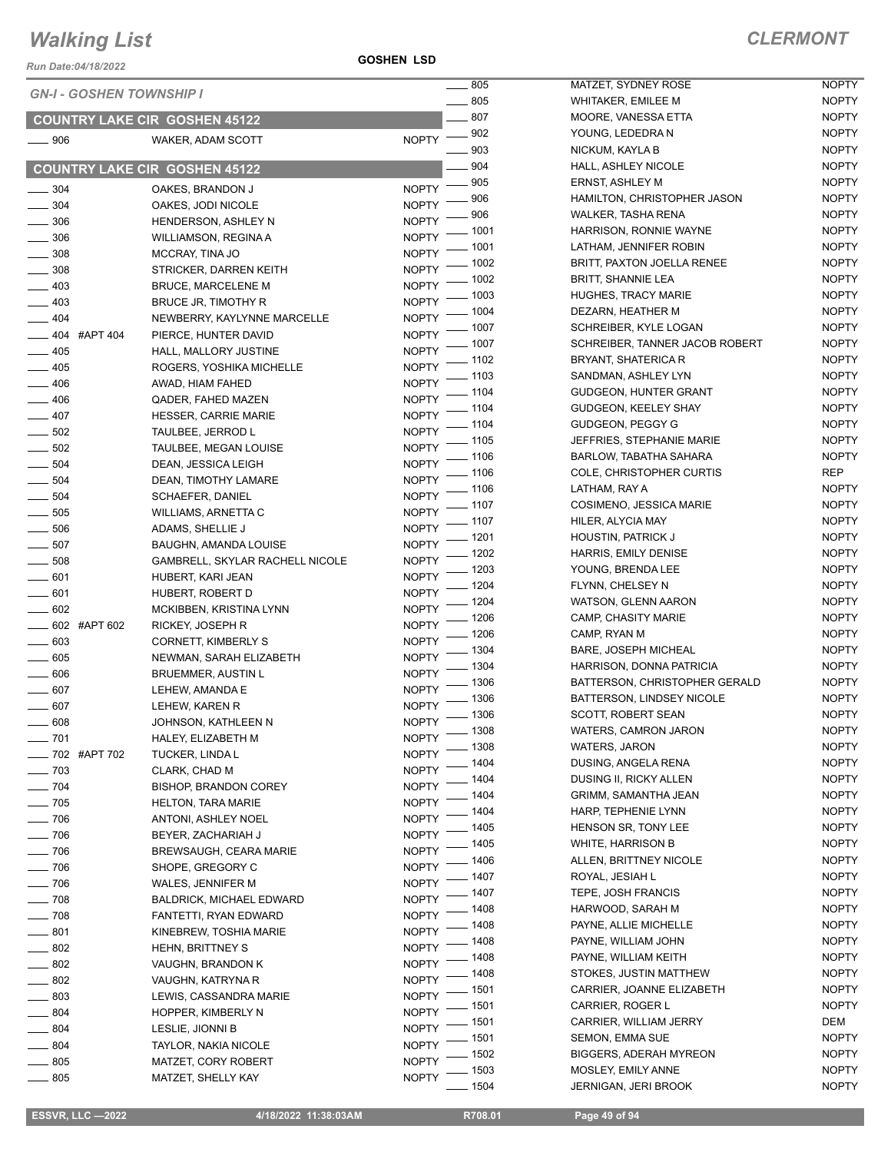*Run Date:04/18/2022*

**GOSHEN LSD**

|                            |                                      |                    | $\frac{1}{2}$ 805       | MATZET, SYDNEY ROSE                         | <b>NOPTY</b>                 |
|----------------------------|--------------------------------------|--------------------|-------------------------|---------------------------------------------|------------------------------|
|                            | <b>GN-I - GOSHEN TOWNSHIP I</b>      |                    | $\sim$ 805              | <b>WHITAKER, EMILEE M</b>                   | <b>NOPTY</b>                 |
|                            | <b>COUNTRY LAKE CIR GOSHEN 45122</b> |                    | 807                     | MOORE, VANESSA ETTA                         | <b>NOPTY</b>                 |
| $\frac{1}{2}$ 906          | WAKER, ADAM SCOTT                    | <b>NOPTY</b>       | - 902                   | YOUNG, LEDEDRA N                            | <b>NOPTY</b>                 |
|                            |                                      |                    | .903                    | NICKUM, KAYLA B                             | <b>NOPTY</b>                 |
|                            | <b>COUNTRY LAKE CIR GOSHEN 45122</b> |                    | 904                     | HALL, ASHLEY NICOLE                         | <b>NOPTY</b>                 |
| $\frac{1}{2}$ 304          | OAKES, BRANDON J                     | <b>NOPTY</b>       | $-905$                  | <b>ERNST, ASHLEY M</b>                      | <b>NOPTY</b>                 |
| $\frac{1}{2}$ 304          |                                      | <b>NOPTY</b>       | 906                     | HAMILTON, CHRISTOPHER JASON                 | <b>NOPTY</b>                 |
|                            | OAKES, JODI NICOLE                   | <b>NOPTY</b>       | 906                     | <b>WALKER, TASHA RENA</b>                   | <b>NOPTY</b>                 |
| $\frac{1}{2}$ 306          | HENDERSON, ASHLEY N                  | <b>NOPTY</b>       | - 1001                  | HARRISON, RONNIE WAYNE                      | <b>NOPTY</b>                 |
| $\frac{1}{2}$ 306          | <b>WILLIAMSON, REGINA A</b>          | NOPTY <sup>-</sup> | _ 1001                  | LATHAM, JENNIFER ROBIN                      | <b>NOPTY</b>                 |
| $\frac{1}{2}$ 308          | MCCRAY, TINA JO                      |                    | $-1002$                 | <b>BRITT, PAXTON JOELLA RENEE</b>           | <b>NOPTY</b>                 |
| $\frac{1}{2}$ 308          | STRICKER, DARREN KEITH               | NOPTY -            | _ 1002                  | <b>BRITT, SHANNIE LEA</b>                   | <b>NOPTY</b>                 |
| $\frac{1}{2}$ 403          | <b>BRUCE, MARCELENE M</b>            | NOPTY -            | $-1003$                 | <b>HUGHES, TRACY MARIE</b>                  | <b>NOPTY</b>                 |
| $\frac{1}{2}$ 403          | BRUCE JR, TIMOTHY R                  | <b>NOPTY</b>       | - 1004                  | DEZARN, HEATHER M                           | <b>NOPTY</b>                 |
| $-404$                     | NEWBERRY, KAYLYNNE MARCELLE          | <b>NOPTY</b>       | _ 1007                  | SCHREIBER, KYLE LOGAN                       | <b>NOPTY</b>                 |
| $\frac{1}{2}$ 404 #APT 404 | PIERCE, HUNTER DAVID                 | <b>NOPTY</b>       | .1007                   | SCHREIBER, TANNER JACOB ROBERT              | <b>NOPTY</b>                 |
| $- 405$                    | HALL, MALLORY JUSTINE                | <b>NOPTY</b>       | 1102                    | BRYANT, SHATERICA R                         | <b>NOPTY</b>                 |
| $-405$                     | ROGERS, YOSHIKA MICHELLE             | <b>NOPTY</b>       | _ 1103                  | SANDMAN, ASHLEY LYN                         | <b>NOPTY</b>                 |
| $-406$                     | AWAD, HIAM FAHED                     | NOPTY <sup>-</sup> | _ 1104                  | <b>GUDGEON, HUNTER GRANT</b>                | <b>NOPTY</b>                 |
| $\frac{1}{2}$ 406          | QADER, FAHED MAZEN                   | NOPTY <sup>-</sup> | $-1104$                 | GUDGEON, KEELEY SHAY                        | <b>NOPTY</b>                 |
| $-407$                     | <b>HESSER, CARRIE MARIE</b>          | <b>NOPTY</b>       | .1104                   | GUDGEON, PEGGY G                            | <b>NOPTY</b>                 |
| $- 502$                    | TAULBEE, JERROD L                    | <b>NOPTY</b>       | $-1105$                 | JEFFRIES, STEPHANIE MARIE                   | <b>NOPTY</b>                 |
| $\frac{1}{2}$ 502          | TAULBEE, MEGAN LOUISE                | <b>NOPTY</b>       | $-1106$                 | BARLOW, TABATHA SAHARA                      | <b>NOPTY</b>                 |
| $\frac{1}{2}$ 504          | DEAN, JESSICA LEIGH                  | NOPTY <sup>-</sup> |                         | COLE, CHRISTOPHER CURTIS                    | REP                          |
| $\frac{1}{2}$ 504          | DEAN, TIMOTHY LAMARE                 |                    | NOPTY - 1106            | LATHAM, RAY A                               | <b>NOPTY</b>                 |
| $\frac{1}{2}$ 504          | <b>SCHAEFER, DANIEL</b>              |                    | NOPTY - 1106<br>_ 1107  | COSIMENO, JESSICA MARIE                     | <b>NOPTY</b>                 |
| $\frac{1}{2}$ 505          | WILLIAMS, ARNETTA C                  | <b>NOPTY</b>       | 1107                    | HILER, ALYCIA MAY                           | <b>NOPTY</b>                 |
| $\frac{1}{2}$ 506          | ADAMS, SHELLIE J                     | <b>NOPTY</b>       | - 1201                  | <b>HOUSTIN, PATRICK J</b>                   | <b>NOPTY</b>                 |
| $\frac{1}{2}$ 507          | BAUGHN, AMANDA LOUISE                | <b>NOPTY</b>       | - 1202                  | HARRIS, EMILY DENISE                        | <b>NOPTY</b>                 |
| $\frac{1}{2}$ 508          | GAMBRELL, SKYLAR RACHELL NICOLE      | <b>NOPTY</b>       | - 1203                  | YOUNG, BRENDA LEE                           | <b>NOPTY</b>                 |
| $- 601$                    | HUBERT, KARI JEAN                    | <b>NOPTY</b>       | - 1204                  | FLYNN, CHELSEY N                            | <b>NOPTY</b>                 |
| $- 601$                    | HUBERT, ROBERT D                     | <b>NOPTY</b>       | . 1204                  | WATSON, GLENN AARON                         | <b>NOPTY</b>                 |
| $- 602$                    | MCKIBBEN, KRISTINA LYNN              | <b>NOPTY</b>       | _ 1206                  | CAMP, CHASITY MARIE                         | <b>NOPTY</b>                 |
| $\frac{1}{2}$ 602 #APT 602 | RICKEY, JOSEPH R                     | <b>NOPTY</b>       | _ 1206                  | CAMP, RYAN M                                | <b>NOPTY</b>                 |
| $\frac{1}{2}$ 603          | CORNETT, KIMBERLY S                  | <b>NOPTY</b>       | _ 1304                  | <b>BARE, JOSEPH MICHEAL</b>                 | <b>NOPTY</b>                 |
| $\frac{1}{2}$ 605          | NEWMAN, SARAH ELIZABETH              | <b>NOPTY</b>       | - 1304                  | HARRISON, DONNA PATRICIA                    | <b>NOPTY</b>                 |
| $\frac{1}{2}$ 606          | <b>BRUEMMER, AUSTIN L</b>            | <b>NOPTY</b>       | $-1306$                 | BATTERSON, CHRISTOPHER GERALD               | <b>NOPTY</b>                 |
| $- 607$                    | LEHEW, AMANDA E                      | $NOPTY$ -          |                         | BATTERSON, LINDSEY NICOLE                   | <b>NOPTY</b>                 |
| $- 607$                    | LEHEW, KAREN R                       |                    | NOPTY - 1306            | <b>SCOTT, ROBERT SEAN</b>                   | <b>NOPTY</b>                 |
| $\frac{1}{2}$ 608          | JOHNSON, KATHLEEN N                  |                    | NOPTY - 1306            | WATERS, CAMRON JARON                        | <b>NOPTY</b>                 |
| $- 701$                    | HALEY, ELIZABETH M                   |                    | NOPTY - 1308<br>$-1308$ | <b>WATERS, JARON</b>                        | <b>NOPTY</b>                 |
| -82 #APT 702               | <b>TUCKER, LINDA L</b>               | <b>NOPTY</b>       | $-1404$                 | DUSING, ANGELA RENA                         | <b>NOPTY</b>                 |
| $\frac{1}{2}$ 703          | CLARK, CHAD M                        | <b>NOPTY</b>       | $-1404$                 | <b>DUSING II, RICKY ALLEN</b>               | <b>NOPTY</b>                 |
| $- 704$                    | <b>BISHOP, BRANDON COREY</b>         | <b>NOPTY</b>       |                         |                                             |                              |
| $\frac{1}{2}$ 705          | <b>HELTON, TARA MARIE</b>            | NOPTY <sup>-</sup> | _ 1404                  | GRIMM, SAMANTHA JEAN<br>HARP, TEPHENIE LYNN | <b>NOPTY</b><br><b>NOPTY</b> |
| $\frac{1}{2}$ 706          | ANTONI, ASHLEY NOEL                  |                    | NOPTY - 1404            |                                             |                              |
| $\frac{1}{2}$ 706          | BEYER, ZACHARIAH J                   | NOPTY <sup>-</sup> | _ 1405                  | HENSON SR, TONY LEE                         | <b>NOPTY</b>                 |
| $\frac{1}{2}$ 706          | <b>BREWSAUGH, CEARA MARIE</b>        | <b>NOPTY</b>       | . 1405                  | <b>WHITE, HARRISON B</b>                    | <b>NOPTY</b>                 |
| $\frac{1}{2}$ 706          | SHOPE, GREGORY C                     | <b>NOPTY</b>       | $-1406$                 | ALLEN, BRITTNEY NICOLE                      | <b>NOPTY</b>                 |
| $- 706$                    | WALES, JENNIFER M                    | <b>NOPTY</b>       | . 1407                  | ROYAL, JESIAH L                             | <b>NOPTY</b>                 |
| $- 708$                    | <b>BALDRICK, MICHAEL EDWARD</b>      | NOPTY <sup>-</sup> | . 1407                  | TEPE, JOSH FRANCIS                          | <b>NOPTY</b>                 |
| $\frac{1}{2}$ 708          | FANTETTI, RYAN EDWARD                | <b>NOPTY</b>       | _ 1408                  | HARWOOD, SARAH M                            | <b>NOPTY</b>                 |
| $-801$                     | KINEBREW, TOSHIA MARIE               | <b>NOPTY</b>       | 1408                    | PAYNE, ALLIE MICHELLE                       | <b>NOPTY</b>                 |
| $\frac{1}{2}$ 802          | <b>HEHN, BRITTNEY S</b>              | <b>NOPTY</b>       | _ 1408                  | PAYNE, WILLIAM JOHN                         | <b>NOPTY</b>                 |
| $-802$                     | VAUGHN, BRANDON K                    | <b>NOPTY</b>       | - 1408                  | PAYNE, WILLIAM KEITH                        | <b>NOPTY</b>                 |
| $- 802$                    | VAUGHN, KATRYNA R                    | <b>NOPTY</b>       | $-1408$                 | STOKES, JUSTIN MATTHEW                      | <b>NOPTY</b>                 |
| $- 803$                    | LEWIS, CASSANDRA MARIE               | NOPTY <sup>-</sup> | $-1501$                 | CARRIER, JOANNE ELIZABETH                   | <b>NOPTY</b>                 |
| $-804$                     | HOPPER, KIMBERLY N                   | NOPTY <sup>-</sup> | _ 1501                  | CARRIER, ROGER L                            | <b>NOPTY</b>                 |
| $- 804$                    | LESLIE, JIONNI B                     |                    | NOPTY - 1501            | CARRIER, WILLIAM JERRY                      | DEM                          |
| $-804$                     | <b>TAYLOR, NAKIA NICOLE</b>          | NOPTY <sup>-</sup> | $-1501$                 | <b>SEMON, EMMA SUE</b>                      | <b>NOPTY</b>                 |
| $\frac{1}{2}$ 805          | MATZET, CORY ROBERT                  | <b>NOPTY</b>       | . 1502                  | <b>BIGGERS, ADERAH MYREON</b>               | <b>NOPTY</b>                 |
| $\frac{1}{2}$ 805          | MATZET, SHELLY KAY                   | <b>NOPTY</b>       | - 1503                  | MOSLEY, EMILY ANNE                          | <b>NOPTY</b>                 |
|                            |                                      |                    | 1504                    | JERNIGAN, JERI BROOK                        | <b>NOPTY</b>                 |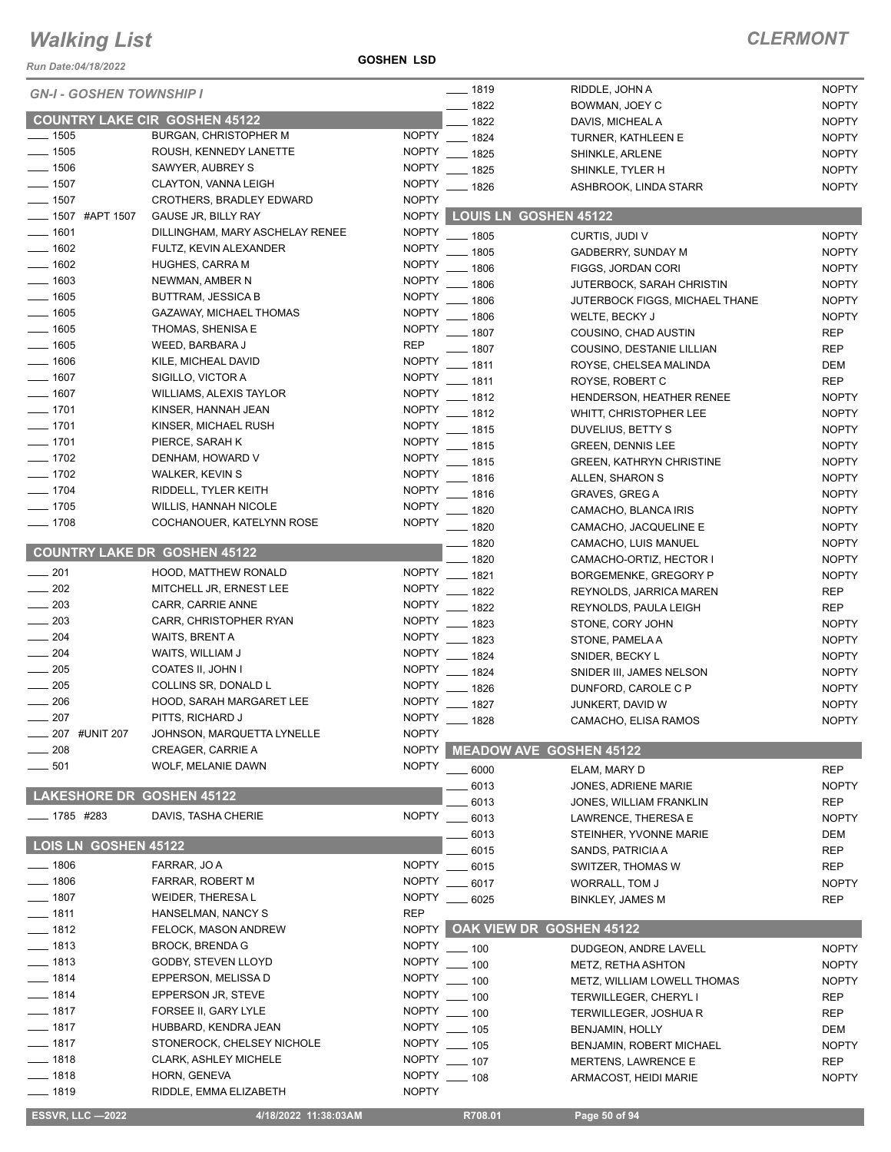*Run Date:04/18/2022*

**GOSHEN LSD**

| <b>NOPTY</b><br>___ 1819<br>RIDDLE, JOHN A<br><b>GN-I - GOSHEN TOWNSHIP I</b><br>$-1822$<br><b>NOPTY</b><br>BOWMAN, JOEY C<br><b>COUNTRY LAKE CIR GOSHEN 45122</b><br>1822<br><b>NOPTY</b><br>DAVIS, MICHEAL A<br>$\frac{1}{2}$ 1505<br><b>NOPTY</b><br><b>BURGAN, CHRISTOPHER M</b><br>$-1824$<br><b>NOPTY</b><br>TURNER, KATHLEEN E<br>$- 1505$<br>ROUSH, KENNEDY LANETTE<br><b>NOPTY</b><br>$-1825$<br><b>NOPTY</b><br>SHINKLE, ARLENE<br>$- 1506$<br><b>NOPTY</b><br>SAWYER, AUBREY S<br>1825<br><b>NOPTY</b><br>SHINKLE, TYLER H<br>$-1507$<br><b>NOPTY</b><br>CLAYTON, VANNA LEIGH<br>1826<br><b>NOPTY</b><br>ASHBROOK, LINDA STARR<br>$-1507$<br><b>NOPTY</b><br><b>CROTHERS, BRADLEY EDWARD</b><br><b>NOPTY</b><br><b>LOUIS LN GOSHEN 45122</b><br>$-1507$ #APT 1507<br>GAUSE JR, BILLY RAY<br>$- 1601$<br><b>NOPTY</b><br>DILLINGHAM, MARY ASCHELAY RENEE<br>$-1805$<br><b>NOPTY</b><br>CURTIS, JUDI V<br>$\frac{1}{2}$ 1602<br><b>NOPTY</b><br>FULTZ, KEVIN ALEXANDER<br>$-1805$<br>GADBERRY, SUNDAY M<br><b>NOPTY</b><br>$- 1602$<br><b>NOPTY</b><br><b>HUGHES, CARRA M</b><br>1806<br><b>NOPTY</b><br>FIGGS, JORDAN CORI<br>$- 1603$<br><b>NOPTY</b><br>NEWMAN, AMBER N<br>$-1806$<br><b>NOPTY</b><br>JUTERBOCK, SARAH CHRISTIN<br>$-1605$<br><b>NOPTY</b><br><b>BUTTRAM, JESSICA B</b><br>1806<br><b>NOPTY</b><br>JUTERBOCK FIGGS, MICHAEL THANE<br>$- 1605$<br><b>NOPTY</b><br>GAZAWAY, MICHAEL THOMAS<br>1806<br><b>NOPTY</b><br>WELTE, BECKY J<br>$- 1605$<br><b>NOPTY</b><br>THOMAS, SHENISA E<br>1807<br><b>REP</b><br>COUSINO, CHAD AUSTIN<br>$- 1605$<br><b>REP</b><br>WEED, BARBARA J<br>1807<br><b>REP</b><br>COUSINO, DESTANIE LILLIAN<br>$- 1606$<br><b>NOPTY</b><br>KILE, MICHEAL DAVID<br>$-1811$<br><b>DEM</b><br>ROYSE, CHELSEA MALINDA<br>$-1607$<br><b>NOPTY</b><br>SIGILLO, VICTOR A<br>$-1811$<br><b>REP</b><br>ROYSE, ROBERT C<br>$-1607$<br><b>NOPTY</b><br><b>WILLIAMS, ALEXIS TAYLOR</b><br>- 1812<br><b>NOPTY</b><br>HENDERSON, HEATHER RENEE<br>$-1701$<br><b>NOPTY</b><br>KINSER, HANNAH JEAN<br>1812<br>WHITT, CHRISTOPHER LEE<br><b>NOPTY</b><br>$- 1701$<br><b>NOPTY</b><br>KINSER, MICHAEL RUSH<br>1815<br><b>NOPTY</b><br>DUVELIUS, BETTY S<br>$- 1701$<br><b>NOPTY</b><br>PIERCE, SARAH K<br>. 1815<br><b>NOPTY</b><br><b>GREEN, DENNIS LEE</b><br>$- 1702$<br><b>NOPTY</b><br>DENHAM, HOWARD V<br>1815<br><b>NOPTY</b><br><b>GREEN, KATHRYN CHRISTINE</b><br>$- 1702$<br><b>NOPTY</b><br><b>WALKER, KEVIN S</b><br>$-1816$<br><b>NOPTY</b><br>ALLEN, SHARON S<br>$- 1704$<br><b>NOPTY</b><br>RIDDELL, TYLER KEITH<br><b>NOPTY</b><br>_ 1816<br><b>GRAVES, GREG A</b><br>$- 1705$<br><b>WILLIS, HANNAH NICOLE</b><br><b>NOPTY</b><br>1820<br><b>NOPTY</b><br>CAMACHO, BLANCA IRIS<br>$- 1708$<br><b>NOPTY</b><br>COCHANOUER, KATELYNN ROSE<br>$- 1820$<br><b>NOPTY</b><br>CAMACHO, JACQUELINE E<br>1820<br><b>NOPTY</b><br>CAMACHO, LUIS MANUEL<br><b>COUNTRY LAKE DR GOSHEN 45122</b><br>1820<br><b>NOPTY</b><br>CAMACHO-ORTIZ, HECTOR I<br>$-201$<br>HOOD, MATTHEW RONALD<br><b>NOPTY</b><br>1821<br><b>NOPTY</b><br>BORGEMENKE, GREGORY P<br>$\frac{1}{202}$<br><b>NOPTY</b><br>MITCHELL JR, ERNEST LEE<br>1822<br><b>REP</b><br>REYNOLDS, JARRICA MAREN<br>203<br>CARR, CARRIE ANNE<br><b>NOPTY</b><br>$- 1822$<br><b>REP</b><br>REYNOLDS, PAULA LEIGH<br>203<br><b>NOPTY</b><br>CARR, CHRISTOPHER RYAN<br>$-1823$<br><b>NOPTY</b><br>STONE, CORY JOHN<br>204<br><b>NOPTY</b><br><b>WAITS, BRENT A</b><br>1823<br><b>NOPTY</b><br>STONE, PAMELA A<br>$-204$<br><b>NOPTY</b><br>WAITS, WILLIAM J<br>1824<br><b>NOPTY</b><br>SNIDER, BECKY L<br>$\frac{1}{205}$<br><b>NOPTY</b><br>COATES II, JOHN I<br>1824<br><b>NOPTY</b><br>SNIDER III, JAMES NELSON<br>$\frac{1}{205}$<br><b>NOPTY</b><br>COLLINS SR, DONALD L<br>$- 1826$<br><b>NOPTY</b><br>DUNFORD, CAROLE C P<br>206<br><b>NOPTY</b><br>HOOD, SARAH MARGARET LEE<br>$-1827$<br><b>NOPTY</b><br>JUNKERT, DAVID W<br><b>NOPTY</b><br>207<br>PITTS, RICHARD J<br>1828<br><b>NOPTY</b><br>CAMACHO, ELISA RAMOS<br>_ 207 #UNIT 207<br><b>NOPTY</b><br>JOHNSON, MARQUETTA LYNELLE<br><b>NOPTY</b><br><b>MEADOW AVE GOSHEN 45122</b><br>208<br><b>CREAGER, CARRIE A</b><br>$\overline{\phantom{0}}$ 501<br><b>NOPTY</b><br>WOLF, MELANIE DAWN<br>6000<br><b>REP</b><br>ELAM, MARY D<br>6013<br><b>NOPTY</b><br>JONES, ADRIENE MARIE<br><b>LAKESHORE DR GOSHEN 45122</b><br>6013<br><b>REP</b><br>JONES, WILLIAM FRANKLIN<br>$- 1785$ #283<br><b>NOPTY</b><br>DAVIS, TASHA CHERIE<br>6013<br>LAWRENCE, THERESA E<br><b>NOPTY</b><br>6013<br>STEINHER, YVONNE MARIE<br>DEM<br>LOIS LN GOSHEN 45122<br>6015<br><b>REP</b><br>SANDS, PATRICIA A<br>$- 1806$<br>NOPTY __ 6015<br>FARRAR, JO A<br>SWITZER, THOMAS W<br><b>REP</b><br>$-1806$<br>NOPTY __ 6017<br>FARRAR, ROBERT M<br><b>NOPTY</b><br>WORRALL, TOM J<br>$- 1807$<br>NOPTY __ 6025<br>WEIDER, THERESA L<br><b>BINKLEY, JAMES M</b><br>REP<br>$- 1811$<br><b>REP</b><br>HANSELMAN, NANCY S<br>NOPTY OAK VIEW DR GOSHEN 45122<br>$- 1812$<br>FELOCK, MASON ANDREW<br>$- 1813$<br><b>BROCK, BRENDA G</b><br>NOPTY __ 100<br><b>NOPTY</b><br>DUDGEON, ANDRE LAVELL<br>$- 1813$<br>GODBY, STEVEN LLOYD<br>NOPTY __ 100<br>METZ, RETHA ASHTON<br><b>NOPTY</b><br>$-1814$<br>EPPERSON, MELISSA D<br><b>NOPTY</b><br>$- 100$<br><b>NOPTY</b><br>METZ, WILLIAM LOWELL THOMAS<br>$-1814$<br>EPPERSON JR, STEVE<br><b>NOPTY</b><br>$-100$<br><b>TERWILLEGER, CHERYLI</b><br>REP<br>$- 1817$<br>FORSEE II, GARY LYLE<br><b>NOPTY</b><br>$\equiv$ 100<br><b>TERWILLEGER, JOSHUAR</b><br>REP<br>$- 1817$<br><b>NOPTY</b><br>HUBBARD, KENDRA JEAN<br>$\frac{1}{2}$ 105<br><b>BENJAMIN, HOLLY</b><br>DEM<br>$- 1817$<br>STONEROCK, CHELSEY NICHOLE<br>NOPTY __ 105<br>BENJAMIN, ROBERT MICHAEL<br><b>NOPTY</b><br>$- 1818$<br><b>CLARK, ASHLEY MICHELE</b><br><b>NOPTY</b><br>$- 107$<br><b>REP</b><br><b>MERTENS, LAWRENCE E</b><br>$- 1818$<br><b>NOPTY</b><br>HORN, GENEVA<br>$-108$<br><b>NOPTY</b><br>ARMACOST, HEIDI MARIE<br>$- 1819$<br>RIDDLE, EMMA ELIZABETH<br><b>NOPTY</b><br><b>ESSVR, LLC -2022</b><br>4/18/2022 11:38:03AM<br>R708.01<br>Page 50 of 94 |  |  |  |
|----------------------------------------------------------------------------------------------------------------------------------------------------------------------------------------------------------------------------------------------------------------------------------------------------------------------------------------------------------------------------------------------------------------------------------------------------------------------------------------------------------------------------------------------------------------------------------------------------------------------------------------------------------------------------------------------------------------------------------------------------------------------------------------------------------------------------------------------------------------------------------------------------------------------------------------------------------------------------------------------------------------------------------------------------------------------------------------------------------------------------------------------------------------------------------------------------------------------------------------------------------------------------------------------------------------------------------------------------------------------------------------------------------------------------------------------------------------------------------------------------------------------------------------------------------------------------------------------------------------------------------------------------------------------------------------------------------------------------------------------------------------------------------------------------------------------------------------------------------------------------------------------------------------------------------------------------------------------------------------------------------------------------------------------------------------------------------------------------------------------------------------------------------------------------------------------------------------------------------------------------------------------------------------------------------------------------------------------------------------------------------------------------------------------------------------------------------------------------------------------------------------------------------------------------------------------------------------------------------------------------------------------------------------------------------------------------------------------------------------------------------------------------------------------------------------------------------------------------------------------------------------------------------------------------------------------------------------------------------------------------------------------------------------------------------------------------------------------------------------------------------------------------------------------------------------------------------------------------------------------------------------------------------------------------------------------------------------------------------------------------------------------------------------------------------------------------------------------------------------------------------------------------------------------------------------------------------------------------------------------------------------------------------------------------------------------------------------------------------------------------------------------------------------------------------------------------------------------------------------------------------------------------------------------------------------------------------------------------------------------------------------------------------------------------------------------------------------------------------------------------------------------------------------------------------------------------------------------------------------------------------------------------------------------------------------------------------------------------------------------------------------------------------------------------------------------------------------------------------------------------------------------------------------------------------------------------------------------------------------------------------------------------------------------------------------------------------------------------------------------------------------------------------------------------------------------------------------------------------------------------------------------------------------------------------------------------------------------------------------------------------------------------------------------------------------------------------------------------------------------------------------------------------------------------------------------------------------------------------------------------------------------------------------------------------------------------------------------------------------------------------------------------------------------------------------------------------------------------------------------------------------------------------------------------------------------------------------------------------------------------------------------------------------------------------------------------------------------------------------------------------------------------------------------------------------------------------------------------------------------------------------------------------------------------------------------------------------------------------------------------------------------------------------------------------------------------------------------------------------|--|--|--|
|                                                                                                                                                                                                                                                                                                                                                                                                                                                                                                                                                                                                                                                                                                                                                                                                                                                                                                                                                                                                                                                                                                                                                                                                                                                                                                                                                                                                                                                                                                                                                                                                                                                                                                                                                                                                                                                                                                                                                                                                                                                                                                                                                                                                                                                                                                                                                                                                                                                                                                                                                                                                                                                                                                                                                                                                                                                                                                                                                                                                                                                                                                                                                                                                                                                                                                                                                                                                                                                                                                                                                                                                                                                                                                                                                                                                                                                                                                                                                                                                                                                                                                                                                                                                                                                                                                                                                                                                                                                                                                                                                                                                                                                                                                                                                                                                                                                                                                                                                                                                                                                                                                                                                                                                                                                                                                                                                                                                                                                                                                                                                                                                                                                                                                                                                                                                                                                                                                                                                                                                                                                                                                                |  |  |  |
|                                                                                                                                                                                                                                                                                                                                                                                                                                                                                                                                                                                                                                                                                                                                                                                                                                                                                                                                                                                                                                                                                                                                                                                                                                                                                                                                                                                                                                                                                                                                                                                                                                                                                                                                                                                                                                                                                                                                                                                                                                                                                                                                                                                                                                                                                                                                                                                                                                                                                                                                                                                                                                                                                                                                                                                                                                                                                                                                                                                                                                                                                                                                                                                                                                                                                                                                                                                                                                                                                                                                                                                                                                                                                                                                                                                                                                                                                                                                                                                                                                                                                                                                                                                                                                                                                                                                                                                                                                                                                                                                                                                                                                                                                                                                                                                                                                                                                                                                                                                                                                                                                                                                                                                                                                                                                                                                                                                                                                                                                                                                                                                                                                                                                                                                                                                                                                                                                                                                                                                                                                                                                                                |  |  |  |
|                                                                                                                                                                                                                                                                                                                                                                                                                                                                                                                                                                                                                                                                                                                                                                                                                                                                                                                                                                                                                                                                                                                                                                                                                                                                                                                                                                                                                                                                                                                                                                                                                                                                                                                                                                                                                                                                                                                                                                                                                                                                                                                                                                                                                                                                                                                                                                                                                                                                                                                                                                                                                                                                                                                                                                                                                                                                                                                                                                                                                                                                                                                                                                                                                                                                                                                                                                                                                                                                                                                                                                                                                                                                                                                                                                                                                                                                                                                                                                                                                                                                                                                                                                                                                                                                                                                                                                                                                                                                                                                                                                                                                                                                                                                                                                                                                                                                                                                                                                                                                                                                                                                                                                                                                                                                                                                                                                                                                                                                                                                                                                                                                                                                                                                                                                                                                                                                                                                                                                                                                                                                                                                |  |  |  |
|                                                                                                                                                                                                                                                                                                                                                                                                                                                                                                                                                                                                                                                                                                                                                                                                                                                                                                                                                                                                                                                                                                                                                                                                                                                                                                                                                                                                                                                                                                                                                                                                                                                                                                                                                                                                                                                                                                                                                                                                                                                                                                                                                                                                                                                                                                                                                                                                                                                                                                                                                                                                                                                                                                                                                                                                                                                                                                                                                                                                                                                                                                                                                                                                                                                                                                                                                                                                                                                                                                                                                                                                                                                                                                                                                                                                                                                                                                                                                                                                                                                                                                                                                                                                                                                                                                                                                                                                                                                                                                                                                                                                                                                                                                                                                                                                                                                                                                                                                                                                                                                                                                                                                                                                                                                                                                                                                                                                                                                                                                                                                                                                                                                                                                                                                                                                                                                                                                                                                                                                                                                                                                                |  |  |  |
|                                                                                                                                                                                                                                                                                                                                                                                                                                                                                                                                                                                                                                                                                                                                                                                                                                                                                                                                                                                                                                                                                                                                                                                                                                                                                                                                                                                                                                                                                                                                                                                                                                                                                                                                                                                                                                                                                                                                                                                                                                                                                                                                                                                                                                                                                                                                                                                                                                                                                                                                                                                                                                                                                                                                                                                                                                                                                                                                                                                                                                                                                                                                                                                                                                                                                                                                                                                                                                                                                                                                                                                                                                                                                                                                                                                                                                                                                                                                                                                                                                                                                                                                                                                                                                                                                                                                                                                                                                                                                                                                                                                                                                                                                                                                                                                                                                                                                                                                                                                                                                                                                                                                                                                                                                                                                                                                                                                                                                                                                                                                                                                                                                                                                                                                                                                                                                                                                                                                                                                                                                                                                                                |  |  |  |
|                                                                                                                                                                                                                                                                                                                                                                                                                                                                                                                                                                                                                                                                                                                                                                                                                                                                                                                                                                                                                                                                                                                                                                                                                                                                                                                                                                                                                                                                                                                                                                                                                                                                                                                                                                                                                                                                                                                                                                                                                                                                                                                                                                                                                                                                                                                                                                                                                                                                                                                                                                                                                                                                                                                                                                                                                                                                                                                                                                                                                                                                                                                                                                                                                                                                                                                                                                                                                                                                                                                                                                                                                                                                                                                                                                                                                                                                                                                                                                                                                                                                                                                                                                                                                                                                                                                                                                                                                                                                                                                                                                                                                                                                                                                                                                                                                                                                                                                                                                                                                                                                                                                                                                                                                                                                                                                                                                                                                                                                                                                                                                                                                                                                                                                                                                                                                                                                                                                                                                                                                                                                                                                |  |  |  |
|                                                                                                                                                                                                                                                                                                                                                                                                                                                                                                                                                                                                                                                                                                                                                                                                                                                                                                                                                                                                                                                                                                                                                                                                                                                                                                                                                                                                                                                                                                                                                                                                                                                                                                                                                                                                                                                                                                                                                                                                                                                                                                                                                                                                                                                                                                                                                                                                                                                                                                                                                                                                                                                                                                                                                                                                                                                                                                                                                                                                                                                                                                                                                                                                                                                                                                                                                                                                                                                                                                                                                                                                                                                                                                                                                                                                                                                                                                                                                                                                                                                                                                                                                                                                                                                                                                                                                                                                                                                                                                                                                                                                                                                                                                                                                                                                                                                                                                                                                                                                                                                                                                                                                                                                                                                                                                                                                                                                                                                                                                                                                                                                                                                                                                                                                                                                                                                                                                                                                                                                                                                                                                                |  |  |  |
|                                                                                                                                                                                                                                                                                                                                                                                                                                                                                                                                                                                                                                                                                                                                                                                                                                                                                                                                                                                                                                                                                                                                                                                                                                                                                                                                                                                                                                                                                                                                                                                                                                                                                                                                                                                                                                                                                                                                                                                                                                                                                                                                                                                                                                                                                                                                                                                                                                                                                                                                                                                                                                                                                                                                                                                                                                                                                                                                                                                                                                                                                                                                                                                                                                                                                                                                                                                                                                                                                                                                                                                                                                                                                                                                                                                                                                                                                                                                                                                                                                                                                                                                                                                                                                                                                                                                                                                                                                                                                                                                                                                                                                                                                                                                                                                                                                                                                                                                                                                                                                                                                                                                                                                                                                                                                                                                                                                                                                                                                                                                                                                                                                                                                                                                                                                                                                                                                                                                                                                                                                                                                                                |  |  |  |
|                                                                                                                                                                                                                                                                                                                                                                                                                                                                                                                                                                                                                                                                                                                                                                                                                                                                                                                                                                                                                                                                                                                                                                                                                                                                                                                                                                                                                                                                                                                                                                                                                                                                                                                                                                                                                                                                                                                                                                                                                                                                                                                                                                                                                                                                                                                                                                                                                                                                                                                                                                                                                                                                                                                                                                                                                                                                                                                                                                                                                                                                                                                                                                                                                                                                                                                                                                                                                                                                                                                                                                                                                                                                                                                                                                                                                                                                                                                                                                                                                                                                                                                                                                                                                                                                                                                                                                                                                                                                                                                                                                                                                                                                                                                                                                                                                                                                                                                                                                                                                                                                                                                                                                                                                                                                                                                                                                                                                                                                                                                                                                                                                                                                                                                                                                                                                                                                                                                                                                                                                                                                                                                |  |  |  |
|                                                                                                                                                                                                                                                                                                                                                                                                                                                                                                                                                                                                                                                                                                                                                                                                                                                                                                                                                                                                                                                                                                                                                                                                                                                                                                                                                                                                                                                                                                                                                                                                                                                                                                                                                                                                                                                                                                                                                                                                                                                                                                                                                                                                                                                                                                                                                                                                                                                                                                                                                                                                                                                                                                                                                                                                                                                                                                                                                                                                                                                                                                                                                                                                                                                                                                                                                                                                                                                                                                                                                                                                                                                                                                                                                                                                                                                                                                                                                                                                                                                                                                                                                                                                                                                                                                                                                                                                                                                                                                                                                                                                                                                                                                                                                                                                                                                                                                                                                                                                                                                                                                                                                                                                                                                                                                                                                                                                                                                                                                                                                                                                                                                                                                                                                                                                                                                                                                                                                                                                                                                                                                                |  |  |  |
|                                                                                                                                                                                                                                                                                                                                                                                                                                                                                                                                                                                                                                                                                                                                                                                                                                                                                                                                                                                                                                                                                                                                                                                                                                                                                                                                                                                                                                                                                                                                                                                                                                                                                                                                                                                                                                                                                                                                                                                                                                                                                                                                                                                                                                                                                                                                                                                                                                                                                                                                                                                                                                                                                                                                                                                                                                                                                                                                                                                                                                                                                                                                                                                                                                                                                                                                                                                                                                                                                                                                                                                                                                                                                                                                                                                                                                                                                                                                                                                                                                                                                                                                                                                                                                                                                                                                                                                                                                                                                                                                                                                                                                                                                                                                                                                                                                                                                                                                                                                                                                                                                                                                                                                                                                                                                                                                                                                                                                                                                                                                                                                                                                                                                                                                                                                                                                                                                                                                                                                                                                                                                                                |  |  |  |
|                                                                                                                                                                                                                                                                                                                                                                                                                                                                                                                                                                                                                                                                                                                                                                                                                                                                                                                                                                                                                                                                                                                                                                                                                                                                                                                                                                                                                                                                                                                                                                                                                                                                                                                                                                                                                                                                                                                                                                                                                                                                                                                                                                                                                                                                                                                                                                                                                                                                                                                                                                                                                                                                                                                                                                                                                                                                                                                                                                                                                                                                                                                                                                                                                                                                                                                                                                                                                                                                                                                                                                                                                                                                                                                                                                                                                                                                                                                                                                                                                                                                                                                                                                                                                                                                                                                                                                                                                                                                                                                                                                                                                                                                                                                                                                                                                                                                                                                                                                                                                                                                                                                                                                                                                                                                                                                                                                                                                                                                                                                                                                                                                                                                                                                                                                                                                                                                                                                                                                                                                                                                                                                |  |  |  |
|                                                                                                                                                                                                                                                                                                                                                                                                                                                                                                                                                                                                                                                                                                                                                                                                                                                                                                                                                                                                                                                                                                                                                                                                                                                                                                                                                                                                                                                                                                                                                                                                                                                                                                                                                                                                                                                                                                                                                                                                                                                                                                                                                                                                                                                                                                                                                                                                                                                                                                                                                                                                                                                                                                                                                                                                                                                                                                                                                                                                                                                                                                                                                                                                                                                                                                                                                                                                                                                                                                                                                                                                                                                                                                                                                                                                                                                                                                                                                                                                                                                                                                                                                                                                                                                                                                                                                                                                                                                                                                                                                                                                                                                                                                                                                                                                                                                                                                                                                                                                                                                                                                                                                                                                                                                                                                                                                                                                                                                                                                                                                                                                                                                                                                                                                                                                                                                                                                                                                                                                                                                                                                                |  |  |  |
|                                                                                                                                                                                                                                                                                                                                                                                                                                                                                                                                                                                                                                                                                                                                                                                                                                                                                                                                                                                                                                                                                                                                                                                                                                                                                                                                                                                                                                                                                                                                                                                                                                                                                                                                                                                                                                                                                                                                                                                                                                                                                                                                                                                                                                                                                                                                                                                                                                                                                                                                                                                                                                                                                                                                                                                                                                                                                                                                                                                                                                                                                                                                                                                                                                                                                                                                                                                                                                                                                                                                                                                                                                                                                                                                                                                                                                                                                                                                                                                                                                                                                                                                                                                                                                                                                                                                                                                                                                                                                                                                                                                                                                                                                                                                                                                                                                                                                                                                                                                                                                                                                                                                                                                                                                                                                                                                                                                                                                                                                                                                                                                                                                                                                                                                                                                                                                                                                                                                                                                                                                                                                                                |  |  |  |
|                                                                                                                                                                                                                                                                                                                                                                                                                                                                                                                                                                                                                                                                                                                                                                                                                                                                                                                                                                                                                                                                                                                                                                                                                                                                                                                                                                                                                                                                                                                                                                                                                                                                                                                                                                                                                                                                                                                                                                                                                                                                                                                                                                                                                                                                                                                                                                                                                                                                                                                                                                                                                                                                                                                                                                                                                                                                                                                                                                                                                                                                                                                                                                                                                                                                                                                                                                                                                                                                                                                                                                                                                                                                                                                                                                                                                                                                                                                                                                                                                                                                                                                                                                                                                                                                                                                                                                                                                                                                                                                                                                                                                                                                                                                                                                                                                                                                                                                                                                                                                                                                                                                                                                                                                                                                                                                                                                                                                                                                                                                                                                                                                                                                                                                                                                                                                                                                                                                                                                                                                                                                                                                |  |  |  |
|                                                                                                                                                                                                                                                                                                                                                                                                                                                                                                                                                                                                                                                                                                                                                                                                                                                                                                                                                                                                                                                                                                                                                                                                                                                                                                                                                                                                                                                                                                                                                                                                                                                                                                                                                                                                                                                                                                                                                                                                                                                                                                                                                                                                                                                                                                                                                                                                                                                                                                                                                                                                                                                                                                                                                                                                                                                                                                                                                                                                                                                                                                                                                                                                                                                                                                                                                                                                                                                                                                                                                                                                                                                                                                                                                                                                                                                                                                                                                                                                                                                                                                                                                                                                                                                                                                                                                                                                                                                                                                                                                                                                                                                                                                                                                                                                                                                                                                                                                                                                                                                                                                                                                                                                                                                                                                                                                                                                                                                                                                                                                                                                                                                                                                                                                                                                                                                                                                                                                                                                                                                                                                                |  |  |  |
|                                                                                                                                                                                                                                                                                                                                                                                                                                                                                                                                                                                                                                                                                                                                                                                                                                                                                                                                                                                                                                                                                                                                                                                                                                                                                                                                                                                                                                                                                                                                                                                                                                                                                                                                                                                                                                                                                                                                                                                                                                                                                                                                                                                                                                                                                                                                                                                                                                                                                                                                                                                                                                                                                                                                                                                                                                                                                                                                                                                                                                                                                                                                                                                                                                                                                                                                                                                                                                                                                                                                                                                                                                                                                                                                                                                                                                                                                                                                                                                                                                                                                                                                                                                                                                                                                                                                                                                                                                                                                                                                                                                                                                                                                                                                                                                                                                                                                                                                                                                                                                                                                                                                                                                                                                                                                                                                                                                                                                                                                                                                                                                                                                                                                                                                                                                                                                                                                                                                                                                                                                                                                                                |  |  |  |
|                                                                                                                                                                                                                                                                                                                                                                                                                                                                                                                                                                                                                                                                                                                                                                                                                                                                                                                                                                                                                                                                                                                                                                                                                                                                                                                                                                                                                                                                                                                                                                                                                                                                                                                                                                                                                                                                                                                                                                                                                                                                                                                                                                                                                                                                                                                                                                                                                                                                                                                                                                                                                                                                                                                                                                                                                                                                                                                                                                                                                                                                                                                                                                                                                                                                                                                                                                                                                                                                                                                                                                                                                                                                                                                                                                                                                                                                                                                                                                                                                                                                                                                                                                                                                                                                                                                                                                                                                                                                                                                                                                                                                                                                                                                                                                                                                                                                                                                                                                                                                                                                                                                                                                                                                                                                                                                                                                                                                                                                                                                                                                                                                                                                                                                                                                                                                                                                                                                                                                                                                                                                                                                |  |  |  |
|                                                                                                                                                                                                                                                                                                                                                                                                                                                                                                                                                                                                                                                                                                                                                                                                                                                                                                                                                                                                                                                                                                                                                                                                                                                                                                                                                                                                                                                                                                                                                                                                                                                                                                                                                                                                                                                                                                                                                                                                                                                                                                                                                                                                                                                                                                                                                                                                                                                                                                                                                                                                                                                                                                                                                                                                                                                                                                                                                                                                                                                                                                                                                                                                                                                                                                                                                                                                                                                                                                                                                                                                                                                                                                                                                                                                                                                                                                                                                                                                                                                                                                                                                                                                                                                                                                                                                                                                                                                                                                                                                                                                                                                                                                                                                                                                                                                                                                                                                                                                                                                                                                                                                                                                                                                                                                                                                                                                                                                                                                                                                                                                                                                                                                                                                                                                                                                                                                                                                                                                                                                                                                                |  |  |  |
|                                                                                                                                                                                                                                                                                                                                                                                                                                                                                                                                                                                                                                                                                                                                                                                                                                                                                                                                                                                                                                                                                                                                                                                                                                                                                                                                                                                                                                                                                                                                                                                                                                                                                                                                                                                                                                                                                                                                                                                                                                                                                                                                                                                                                                                                                                                                                                                                                                                                                                                                                                                                                                                                                                                                                                                                                                                                                                                                                                                                                                                                                                                                                                                                                                                                                                                                                                                                                                                                                                                                                                                                                                                                                                                                                                                                                                                                                                                                                                                                                                                                                                                                                                                                                                                                                                                                                                                                                                                                                                                                                                                                                                                                                                                                                                                                                                                                                                                                                                                                                                                                                                                                                                                                                                                                                                                                                                                                                                                                                                                                                                                                                                                                                                                                                                                                                                                                                                                                                                                                                                                                                                                |  |  |  |
|                                                                                                                                                                                                                                                                                                                                                                                                                                                                                                                                                                                                                                                                                                                                                                                                                                                                                                                                                                                                                                                                                                                                                                                                                                                                                                                                                                                                                                                                                                                                                                                                                                                                                                                                                                                                                                                                                                                                                                                                                                                                                                                                                                                                                                                                                                                                                                                                                                                                                                                                                                                                                                                                                                                                                                                                                                                                                                                                                                                                                                                                                                                                                                                                                                                                                                                                                                                                                                                                                                                                                                                                                                                                                                                                                                                                                                                                                                                                                                                                                                                                                                                                                                                                                                                                                                                                                                                                                                                                                                                                                                                                                                                                                                                                                                                                                                                                                                                                                                                                                                                                                                                                                                                                                                                                                                                                                                                                                                                                                                                                                                                                                                                                                                                                                                                                                                                                                                                                                                                                                                                                                                                |  |  |  |
|                                                                                                                                                                                                                                                                                                                                                                                                                                                                                                                                                                                                                                                                                                                                                                                                                                                                                                                                                                                                                                                                                                                                                                                                                                                                                                                                                                                                                                                                                                                                                                                                                                                                                                                                                                                                                                                                                                                                                                                                                                                                                                                                                                                                                                                                                                                                                                                                                                                                                                                                                                                                                                                                                                                                                                                                                                                                                                                                                                                                                                                                                                                                                                                                                                                                                                                                                                                                                                                                                                                                                                                                                                                                                                                                                                                                                                                                                                                                                                                                                                                                                                                                                                                                                                                                                                                                                                                                                                                                                                                                                                                                                                                                                                                                                                                                                                                                                                                                                                                                                                                                                                                                                                                                                                                                                                                                                                                                                                                                                                                                                                                                                                                                                                                                                                                                                                                                                                                                                                                                                                                                                                                |  |  |  |
|                                                                                                                                                                                                                                                                                                                                                                                                                                                                                                                                                                                                                                                                                                                                                                                                                                                                                                                                                                                                                                                                                                                                                                                                                                                                                                                                                                                                                                                                                                                                                                                                                                                                                                                                                                                                                                                                                                                                                                                                                                                                                                                                                                                                                                                                                                                                                                                                                                                                                                                                                                                                                                                                                                                                                                                                                                                                                                                                                                                                                                                                                                                                                                                                                                                                                                                                                                                                                                                                                                                                                                                                                                                                                                                                                                                                                                                                                                                                                                                                                                                                                                                                                                                                                                                                                                                                                                                                                                                                                                                                                                                                                                                                                                                                                                                                                                                                                                                                                                                                                                                                                                                                                                                                                                                                                                                                                                                                                                                                                                                                                                                                                                                                                                                                                                                                                                                                                                                                                                                                                                                                                                                |  |  |  |
|                                                                                                                                                                                                                                                                                                                                                                                                                                                                                                                                                                                                                                                                                                                                                                                                                                                                                                                                                                                                                                                                                                                                                                                                                                                                                                                                                                                                                                                                                                                                                                                                                                                                                                                                                                                                                                                                                                                                                                                                                                                                                                                                                                                                                                                                                                                                                                                                                                                                                                                                                                                                                                                                                                                                                                                                                                                                                                                                                                                                                                                                                                                                                                                                                                                                                                                                                                                                                                                                                                                                                                                                                                                                                                                                                                                                                                                                                                                                                                                                                                                                                                                                                                                                                                                                                                                                                                                                                                                                                                                                                                                                                                                                                                                                                                                                                                                                                                                                                                                                                                                                                                                                                                                                                                                                                                                                                                                                                                                                                                                                                                                                                                                                                                                                                                                                                                                                                                                                                                                                                                                                                                                |  |  |  |
|                                                                                                                                                                                                                                                                                                                                                                                                                                                                                                                                                                                                                                                                                                                                                                                                                                                                                                                                                                                                                                                                                                                                                                                                                                                                                                                                                                                                                                                                                                                                                                                                                                                                                                                                                                                                                                                                                                                                                                                                                                                                                                                                                                                                                                                                                                                                                                                                                                                                                                                                                                                                                                                                                                                                                                                                                                                                                                                                                                                                                                                                                                                                                                                                                                                                                                                                                                                                                                                                                                                                                                                                                                                                                                                                                                                                                                                                                                                                                                                                                                                                                                                                                                                                                                                                                                                                                                                                                                                                                                                                                                                                                                                                                                                                                                                                                                                                                                                                                                                                                                                                                                                                                                                                                                                                                                                                                                                                                                                                                                                                                                                                                                                                                                                                                                                                                                                                                                                                                                                                                                                                                                                |  |  |  |
|                                                                                                                                                                                                                                                                                                                                                                                                                                                                                                                                                                                                                                                                                                                                                                                                                                                                                                                                                                                                                                                                                                                                                                                                                                                                                                                                                                                                                                                                                                                                                                                                                                                                                                                                                                                                                                                                                                                                                                                                                                                                                                                                                                                                                                                                                                                                                                                                                                                                                                                                                                                                                                                                                                                                                                                                                                                                                                                                                                                                                                                                                                                                                                                                                                                                                                                                                                                                                                                                                                                                                                                                                                                                                                                                                                                                                                                                                                                                                                                                                                                                                                                                                                                                                                                                                                                                                                                                                                                                                                                                                                                                                                                                                                                                                                                                                                                                                                                                                                                                                                                                                                                                                                                                                                                                                                                                                                                                                                                                                                                                                                                                                                                                                                                                                                                                                                                                                                                                                                                                                                                                                                                |  |  |  |
|                                                                                                                                                                                                                                                                                                                                                                                                                                                                                                                                                                                                                                                                                                                                                                                                                                                                                                                                                                                                                                                                                                                                                                                                                                                                                                                                                                                                                                                                                                                                                                                                                                                                                                                                                                                                                                                                                                                                                                                                                                                                                                                                                                                                                                                                                                                                                                                                                                                                                                                                                                                                                                                                                                                                                                                                                                                                                                                                                                                                                                                                                                                                                                                                                                                                                                                                                                                                                                                                                                                                                                                                                                                                                                                                                                                                                                                                                                                                                                                                                                                                                                                                                                                                                                                                                                                                                                                                                                                                                                                                                                                                                                                                                                                                                                                                                                                                                                                                                                                                                                                                                                                                                                                                                                                                                                                                                                                                                                                                                                                                                                                                                                                                                                                                                                                                                                                                                                                                                                                                                                                                                                                |  |  |  |
|                                                                                                                                                                                                                                                                                                                                                                                                                                                                                                                                                                                                                                                                                                                                                                                                                                                                                                                                                                                                                                                                                                                                                                                                                                                                                                                                                                                                                                                                                                                                                                                                                                                                                                                                                                                                                                                                                                                                                                                                                                                                                                                                                                                                                                                                                                                                                                                                                                                                                                                                                                                                                                                                                                                                                                                                                                                                                                                                                                                                                                                                                                                                                                                                                                                                                                                                                                                                                                                                                                                                                                                                                                                                                                                                                                                                                                                                                                                                                                                                                                                                                                                                                                                                                                                                                                                                                                                                                                                                                                                                                                                                                                                                                                                                                                                                                                                                                                                                                                                                                                                                                                                                                                                                                                                                                                                                                                                                                                                                                                                                                                                                                                                                                                                                                                                                                                                                                                                                                                                                                                                                                                                |  |  |  |
|                                                                                                                                                                                                                                                                                                                                                                                                                                                                                                                                                                                                                                                                                                                                                                                                                                                                                                                                                                                                                                                                                                                                                                                                                                                                                                                                                                                                                                                                                                                                                                                                                                                                                                                                                                                                                                                                                                                                                                                                                                                                                                                                                                                                                                                                                                                                                                                                                                                                                                                                                                                                                                                                                                                                                                                                                                                                                                                                                                                                                                                                                                                                                                                                                                                                                                                                                                                                                                                                                                                                                                                                                                                                                                                                                                                                                                                                                                                                                                                                                                                                                                                                                                                                                                                                                                                                                                                                                                                                                                                                                                                                                                                                                                                                                                                                                                                                                                                                                                                                                                                                                                                                                                                                                                                                                                                                                                                                                                                                                                                                                                                                                                                                                                                                                                                                                                                                                                                                                                                                                                                                                                                |  |  |  |
|                                                                                                                                                                                                                                                                                                                                                                                                                                                                                                                                                                                                                                                                                                                                                                                                                                                                                                                                                                                                                                                                                                                                                                                                                                                                                                                                                                                                                                                                                                                                                                                                                                                                                                                                                                                                                                                                                                                                                                                                                                                                                                                                                                                                                                                                                                                                                                                                                                                                                                                                                                                                                                                                                                                                                                                                                                                                                                                                                                                                                                                                                                                                                                                                                                                                                                                                                                                                                                                                                                                                                                                                                                                                                                                                                                                                                                                                                                                                                                                                                                                                                                                                                                                                                                                                                                                                                                                                                                                                                                                                                                                                                                                                                                                                                                                                                                                                                                                                                                                                                                                                                                                                                                                                                                                                                                                                                                                                                                                                                                                                                                                                                                                                                                                                                                                                                                                                                                                                                                                                                                                                                                                |  |  |  |
|                                                                                                                                                                                                                                                                                                                                                                                                                                                                                                                                                                                                                                                                                                                                                                                                                                                                                                                                                                                                                                                                                                                                                                                                                                                                                                                                                                                                                                                                                                                                                                                                                                                                                                                                                                                                                                                                                                                                                                                                                                                                                                                                                                                                                                                                                                                                                                                                                                                                                                                                                                                                                                                                                                                                                                                                                                                                                                                                                                                                                                                                                                                                                                                                                                                                                                                                                                                                                                                                                                                                                                                                                                                                                                                                                                                                                                                                                                                                                                                                                                                                                                                                                                                                                                                                                                                                                                                                                                                                                                                                                                                                                                                                                                                                                                                                                                                                                                                                                                                                                                                                                                                                                                                                                                                                                                                                                                                                                                                                                                                                                                                                                                                                                                                                                                                                                                                                                                                                                                                                                                                                                                                |  |  |  |
|                                                                                                                                                                                                                                                                                                                                                                                                                                                                                                                                                                                                                                                                                                                                                                                                                                                                                                                                                                                                                                                                                                                                                                                                                                                                                                                                                                                                                                                                                                                                                                                                                                                                                                                                                                                                                                                                                                                                                                                                                                                                                                                                                                                                                                                                                                                                                                                                                                                                                                                                                                                                                                                                                                                                                                                                                                                                                                                                                                                                                                                                                                                                                                                                                                                                                                                                                                                                                                                                                                                                                                                                                                                                                                                                                                                                                                                                                                                                                                                                                                                                                                                                                                                                                                                                                                                                                                                                                                                                                                                                                                                                                                                                                                                                                                                                                                                                                                                                                                                                                                                                                                                                                                                                                                                                                                                                                                                                                                                                                                                                                                                                                                                                                                                                                                                                                                                                                                                                                                                                                                                                                                                |  |  |  |
|                                                                                                                                                                                                                                                                                                                                                                                                                                                                                                                                                                                                                                                                                                                                                                                                                                                                                                                                                                                                                                                                                                                                                                                                                                                                                                                                                                                                                                                                                                                                                                                                                                                                                                                                                                                                                                                                                                                                                                                                                                                                                                                                                                                                                                                                                                                                                                                                                                                                                                                                                                                                                                                                                                                                                                                                                                                                                                                                                                                                                                                                                                                                                                                                                                                                                                                                                                                                                                                                                                                                                                                                                                                                                                                                                                                                                                                                                                                                                                                                                                                                                                                                                                                                                                                                                                                                                                                                                                                                                                                                                                                                                                                                                                                                                                                                                                                                                                                                                                                                                                                                                                                                                                                                                                                                                                                                                                                                                                                                                                                                                                                                                                                                                                                                                                                                                                                                                                                                                                                                                                                                                                                |  |  |  |
|                                                                                                                                                                                                                                                                                                                                                                                                                                                                                                                                                                                                                                                                                                                                                                                                                                                                                                                                                                                                                                                                                                                                                                                                                                                                                                                                                                                                                                                                                                                                                                                                                                                                                                                                                                                                                                                                                                                                                                                                                                                                                                                                                                                                                                                                                                                                                                                                                                                                                                                                                                                                                                                                                                                                                                                                                                                                                                                                                                                                                                                                                                                                                                                                                                                                                                                                                                                                                                                                                                                                                                                                                                                                                                                                                                                                                                                                                                                                                                                                                                                                                                                                                                                                                                                                                                                                                                                                                                                                                                                                                                                                                                                                                                                                                                                                                                                                                                                                                                                                                                                                                                                                                                                                                                                                                                                                                                                                                                                                                                                                                                                                                                                                                                                                                                                                                                                                                                                                                                                                                                                                                                                |  |  |  |
|                                                                                                                                                                                                                                                                                                                                                                                                                                                                                                                                                                                                                                                                                                                                                                                                                                                                                                                                                                                                                                                                                                                                                                                                                                                                                                                                                                                                                                                                                                                                                                                                                                                                                                                                                                                                                                                                                                                                                                                                                                                                                                                                                                                                                                                                                                                                                                                                                                                                                                                                                                                                                                                                                                                                                                                                                                                                                                                                                                                                                                                                                                                                                                                                                                                                                                                                                                                                                                                                                                                                                                                                                                                                                                                                                                                                                                                                                                                                                                                                                                                                                                                                                                                                                                                                                                                                                                                                                                                                                                                                                                                                                                                                                                                                                                                                                                                                                                                                                                                                                                                                                                                                                                                                                                                                                                                                                                                                                                                                                                                                                                                                                                                                                                                                                                                                                                                                                                                                                                                                                                                                                                                |  |  |  |
|                                                                                                                                                                                                                                                                                                                                                                                                                                                                                                                                                                                                                                                                                                                                                                                                                                                                                                                                                                                                                                                                                                                                                                                                                                                                                                                                                                                                                                                                                                                                                                                                                                                                                                                                                                                                                                                                                                                                                                                                                                                                                                                                                                                                                                                                                                                                                                                                                                                                                                                                                                                                                                                                                                                                                                                                                                                                                                                                                                                                                                                                                                                                                                                                                                                                                                                                                                                                                                                                                                                                                                                                                                                                                                                                                                                                                                                                                                                                                                                                                                                                                                                                                                                                                                                                                                                                                                                                                                                                                                                                                                                                                                                                                                                                                                                                                                                                                                                                                                                                                                                                                                                                                                                                                                                                                                                                                                                                                                                                                                                                                                                                                                                                                                                                                                                                                                                                                                                                                                                                                                                                                                                |  |  |  |
|                                                                                                                                                                                                                                                                                                                                                                                                                                                                                                                                                                                                                                                                                                                                                                                                                                                                                                                                                                                                                                                                                                                                                                                                                                                                                                                                                                                                                                                                                                                                                                                                                                                                                                                                                                                                                                                                                                                                                                                                                                                                                                                                                                                                                                                                                                                                                                                                                                                                                                                                                                                                                                                                                                                                                                                                                                                                                                                                                                                                                                                                                                                                                                                                                                                                                                                                                                                                                                                                                                                                                                                                                                                                                                                                                                                                                                                                                                                                                                                                                                                                                                                                                                                                                                                                                                                                                                                                                                                                                                                                                                                                                                                                                                                                                                                                                                                                                                                                                                                                                                                                                                                                                                                                                                                                                                                                                                                                                                                                                                                                                                                                                                                                                                                                                                                                                                                                                                                                                                                                                                                                                                                |  |  |  |
|                                                                                                                                                                                                                                                                                                                                                                                                                                                                                                                                                                                                                                                                                                                                                                                                                                                                                                                                                                                                                                                                                                                                                                                                                                                                                                                                                                                                                                                                                                                                                                                                                                                                                                                                                                                                                                                                                                                                                                                                                                                                                                                                                                                                                                                                                                                                                                                                                                                                                                                                                                                                                                                                                                                                                                                                                                                                                                                                                                                                                                                                                                                                                                                                                                                                                                                                                                                                                                                                                                                                                                                                                                                                                                                                                                                                                                                                                                                                                                                                                                                                                                                                                                                                                                                                                                                                                                                                                                                                                                                                                                                                                                                                                                                                                                                                                                                                                                                                                                                                                                                                                                                                                                                                                                                                                                                                                                                                                                                                                                                                                                                                                                                                                                                                                                                                                                                                                                                                                                                                                                                                                                                |  |  |  |
|                                                                                                                                                                                                                                                                                                                                                                                                                                                                                                                                                                                                                                                                                                                                                                                                                                                                                                                                                                                                                                                                                                                                                                                                                                                                                                                                                                                                                                                                                                                                                                                                                                                                                                                                                                                                                                                                                                                                                                                                                                                                                                                                                                                                                                                                                                                                                                                                                                                                                                                                                                                                                                                                                                                                                                                                                                                                                                                                                                                                                                                                                                                                                                                                                                                                                                                                                                                                                                                                                                                                                                                                                                                                                                                                                                                                                                                                                                                                                                                                                                                                                                                                                                                                                                                                                                                                                                                                                                                                                                                                                                                                                                                                                                                                                                                                                                                                                                                                                                                                                                                                                                                                                                                                                                                                                                                                                                                                                                                                                                                                                                                                                                                                                                                                                                                                                                                                                                                                                                                                                                                                                                                |  |  |  |
|                                                                                                                                                                                                                                                                                                                                                                                                                                                                                                                                                                                                                                                                                                                                                                                                                                                                                                                                                                                                                                                                                                                                                                                                                                                                                                                                                                                                                                                                                                                                                                                                                                                                                                                                                                                                                                                                                                                                                                                                                                                                                                                                                                                                                                                                                                                                                                                                                                                                                                                                                                                                                                                                                                                                                                                                                                                                                                                                                                                                                                                                                                                                                                                                                                                                                                                                                                                                                                                                                                                                                                                                                                                                                                                                                                                                                                                                                                                                                                                                                                                                                                                                                                                                                                                                                                                                                                                                                                                                                                                                                                                                                                                                                                                                                                                                                                                                                                                                                                                                                                                                                                                                                                                                                                                                                                                                                                                                                                                                                                                                                                                                                                                                                                                                                                                                                                                                                                                                                                                                                                                                                                                |  |  |  |
|                                                                                                                                                                                                                                                                                                                                                                                                                                                                                                                                                                                                                                                                                                                                                                                                                                                                                                                                                                                                                                                                                                                                                                                                                                                                                                                                                                                                                                                                                                                                                                                                                                                                                                                                                                                                                                                                                                                                                                                                                                                                                                                                                                                                                                                                                                                                                                                                                                                                                                                                                                                                                                                                                                                                                                                                                                                                                                                                                                                                                                                                                                                                                                                                                                                                                                                                                                                                                                                                                                                                                                                                                                                                                                                                                                                                                                                                                                                                                                                                                                                                                                                                                                                                                                                                                                                                                                                                                                                                                                                                                                                                                                                                                                                                                                                                                                                                                                                                                                                                                                                                                                                                                                                                                                                                                                                                                                                                                                                                                                                                                                                                                                                                                                                                                                                                                                                                                                                                                                                                                                                                                                                |  |  |  |
|                                                                                                                                                                                                                                                                                                                                                                                                                                                                                                                                                                                                                                                                                                                                                                                                                                                                                                                                                                                                                                                                                                                                                                                                                                                                                                                                                                                                                                                                                                                                                                                                                                                                                                                                                                                                                                                                                                                                                                                                                                                                                                                                                                                                                                                                                                                                                                                                                                                                                                                                                                                                                                                                                                                                                                                                                                                                                                                                                                                                                                                                                                                                                                                                                                                                                                                                                                                                                                                                                                                                                                                                                                                                                                                                                                                                                                                                                                                                                                                                                                                                                                                                                                                                                                                                                                                                                                                                                                                                                                                                                                                                                                                                                                                                                                                                                                                                                                                                                                                                                                                                                                                                                                                                                                                                                                                                                                                                                                                                                                                                                                                                                                                                                                                                                                                                                                                                                                                                                                                                                                                                                                                |  |  |  |
|                                                                                                                                                                                                                                                                                                                                                                                                                                                                                                                                                                                                                                                                                                                                                                                                                                                                                                                                                                                                                                                                                                                                                                                                                                                                                                                                                                                                                                                                                                                                                                                                                                                                                                                                                                                                                                                                                                                                                                                                                                                                                                                                                                                                                                                                                                                                                                                                                                                                                                                                                                                                                                                                                                                                                                                                                                                                                                                                                                                                                                                                                                                                                                                                                                                                                                                                                                                                                                                                                                                                                                                                                                                                                                                                                                                                                                                                                                                                                                                                                                                                                                                                                                                                                                                                                                                                                                                                                                                                                                                                                                                                                                                                                                                                                                                                                                                                                                                                                                                                                                                                                                                                                                                                                                                                                                                                                                                                                                                                                                                                                                                                                                                                                                                                                                                                                                                                                                                                                                                                                                                                                                                |  |  |  |
|                                                                                                                                                                                                                                                                                                                                                                                                                                                                                                                                                                                                                                                                                                                                                                                                                                                                                                                                                                                                                                                                                                                                                                                                                                                                                                                                                                                                                                                                                                                                                                                                                                                                                                                                                                                                                                                                                                                                                                                                                                                                                                                                                                                                                                                                                                                                                                                                                                                                                                                                                                                                                                                                                                                                                                                                                                                                                                                                                                                                                                                                                                                                                                                                                                                                                                                                                                                                                                                                                                                                                                                                                                                                                                                                                                                                                                                                                                                                                                                                                                                                                                                                                                                                                                                                                                                                                                                                                                                                                                                                                                                                                                                                                                                                                                                                                                                                                                                                                                                                                                                                                                                                                                                                                                                                                                                                                                                                                                                                                                                                                                                                                                                                                                                                                                                                                                                                                                                                                                                                                                                                                                                |  |  |  |
|                                                                                                                                                                                                                                                                                                                                                                                                                                                                                                                                                                                                                                                                                                                                                                                                                                                                                                                                                                                                                                                                                                                                                                                                                                                                                                                                                                                                                                                                                                                                                                                                                                                                                                                                                                                                                                                                                                                                                                                                                                                                                                                                                                                                                                                                                                                                                                                                                                                                                                                                                                                                                                                                                                                                                                                                                                                                                                                                                                                                                                                                                                                                                                                                                                                                                                                                                                                                                                                                                                                                                                                                                                                                                                                                                                                                                                                                                                                                                                                                                                                                                                                                                                                                                                                                                                                                                                                                                                                                                                                                                                                                                                                                                                                                                                                                                                                                                                                                                                                                                                                                                                                                                                                                                                                                                                                                                                                                                                                                                                                                                                                                                                                                                                                                                                                                                                                                                                                                                                                                                                                                                                                |  |  |  |
|                                                                                                                                                                                                                                                                                                                                                                                                                                                                                                                                                                                                                                                                                                                                                                                                                                                                                                                                                                                                                                                                                                                                                                                                                                                                                                                                                                                                                                                                                                                                                                                                                                                                                                                                                                                                                                                                                                                                                                                                                                                                                                                                                                                                                                                                                                                                                                                                                                                                                                                                                                                                                                                                                                                                                                                                                                                                                                                                                                                                                                                                                                                                                                                                                                                                                                                                                                                                                                                                                                                                                                                                                                                                                                                                                                                                                                                                                                                                                                                                                                                                                                                                                                                                                                                                                                                                                                                                                                                                                                                                                                                                                                                                                                                                                                                                                                                                                                                                                                                                                                                                                                                                                                                                                                                                                                                                                                                                                                                                                                                                                                                                                                                                                                                                                                                                                                                                                                                                                                                                                                                                                                                |  |  |  |
|                                                                                                                                                                                                                                                                                                                                                                                                                                                                                                                                                                                                                                                                                                                                                                                                                                                                                                                                                                                                                                                                                                                                                                                                                                                                                                                                                                                                                                                                                                                                                                                                                                                                                                                                                                                                                                                                                                                                                                                                                                                                                                                                                                                                                                                                                                                                                                                                                                                                                                                                                                                                                                                                                                                                                                                                                                                                                                                                                                                                                                                                                                                                                                                                                                                                                                                                                                                                                                                                                                                                                                                                                                                                                                                                                                                                                                                                                                                                                                                                                                                                                                                                                                                                                                                                                                                                                                                                                                                                                                                                                                                                                                                                                                                                                                                                                                                                                                                                                                                                                                                                                                                                                                                                                                                                                                                                                                                                                                                                                                                                                                                                                                                                                                                                                                                                                                                                                                                                                                                                                                                                                                                |  |  |  |
|                                                                                                                                                                                                                                                                                                                                                                                                                                                                                                                                                                                                                                                                                                                                                                                                                                                                                                                                                                                                                                                                                                                                                                                                                                                                                                                                                                                                                                                                                                                                                                                                                                                                                                                                                                                                                                                                                                                                                                                                                                                                                                                                                                                                                                                                                                                                                                                                                                                                                                                                                                                                                                                                                                                                                                                                                                                                                                                                                                                                                                                                                                                                                                                                                                                                                                                                                                                                                                                                                                                                                                                                                                                                                                                                                                                                                                                                                                                                                                                                                                                                                                                                                                                                                                                                                                                                                                                                                                                                                                                                                                                                                                                                                                                                                                                                                                                                                                                                                                                                                                                                                                                                                                                                                                                                                                                                                                                                                                                                                                                                                                                                                                                                                                                                                                                                                                                                                                                                                                                                                                                                                                                |  |  |  |
|                                                                                                                                                                                                                                                                                                                                                                                                                                                                                                                                                                                                                                                                                                                                                                                                                                                                                                                                                                                                                                                                                                                                                                                                                                                                                                                                                                                                                                                                                                                                                                                                                                                                                                                                                                                                                                                                                                                                                                                                                                                                                                                                                                                                                                                                                                                                                                                                                                                                                                                                                                                                                                                                                                                                                                                                                                                                                                                                                                                                                                                                                                                                                                                                                                                                                                                                                                                                                                                                                                                                                                                                                                                                                                                                                                                                                                                                                                                                                                                                                                                                                                                                                                                                                                                                                                                                                                                                                                                                                                                                                                                                                                                                                                                                                                                                                                                                                                                                                                                                                                                                                                                                                                                                                                                                                                                                                                                                                                                                                                                                                                                                                                                                                                                                                                                                                                                                                                                                                                                                                                                                                                                |  |  |  |
|                                                                                                                                                                                                                                                                                                                                                                                                                                                                                                                                                                                                                                                                                                                                                                                                                                                                                                                                                                                                                                                                                                                                                                                                                                                                                                                                                                                                                                                                                                                                                                                                                                                                                                                                                                                                                                                                                                                                                                                                                                                                                                                                                                                                                                                                                                                                                                                                                                                                                                                                                                                                                                                                                                                                                                                                                                                                                                                                                                                                                                                                                                                                                                                                                                                                                                                                                                                                                                                                                                                                                                                                                                                                                                                                                                                                                                                                                                                                                                                                                                                                                                                                                                                                                                                                                                                                                                                                                                                                                                                                                                                                                                                                                                                                                                                                                                                                                                                                                                                                                                                                                                                                                                                                                                                                                                                                                                                                                                                                                                                                                                                                                                                                                                                                                                                                                                                                                                                                                                                                                                                                                                                |  |  |  |
|                                                                                                                                                                                                                                                                                                                                                                                                                                                                                                                                                                                                                                                                                                                                                                                                                                                                                                                                                                                                                                                                                                                                                                                                                                                                                                                                                                                                                                                                                                                                                                                                                                                                                                                                                                                                                                                                                                                                                                                                                                                                                                                                                                                                                                                                                                                                                                                                                                                                                                                                                                                                                                                                                                                                                                                                                                                                                                                                                                                                                                                                                                                                                                                                                                                                                                                                                                                                                                                                                                                                                                                                                                                                                                                                                                                                                                                                                                                                                                                                                                                                                                                                                                                                                                                                                                                                                                                                                                                                                                                                                                                                                                                                                                                                                                                                                                                                                                                                                                                                                                                                                                                                                                                                                                                                                                                                                                                                                                                                                                                                                                                                                                                                                                                                                                                                                                                                                                                                                                                                                                                                                                                |  |  |  |
|                                                                                                                                                                                                                                                                                                                                                                                                                                                                                                                                                                                                                                                                                                                                                                                                                                                                                                                                                                                                                                                                                                                                                                                                                                                                                                                                                                                                                                                                                                                                                                                                                                                                                                                                                                                                                                                                                                                                                                                                                                                                                                                                                                                                                                                                                                                                                                                                                                                                                                                                                                                                                                                                                                                                                                                                                                                                                                                                                                                                                                                                                                                                                                                                                                                                                                                                                                                                                                                                                                                                                                                                                                                                                                                                                                                                                                                                                                                                                                                                                                                                                                                                                                                                                                                                                                                                                                                                                                                                                                                                                                                                                                                                                                                                                                                                                                                                                                                                                                                                                                                                                                                                                                                                                                                                                                                                                                                                                                                                                                                                                                                                                                                                                                                                                                                                                                                                                                                                                                                                                                                                                                                |  |  |  |
|                                                                                                                                                                                                                                                                                                                                                                                                                                                                                                                                                                                                                                                                                                                                                                                                                                                                                                                                                                                                                                                                                                                                                                                                                                                                                                                                                                                                                                                                                                                                                                                                                                                                                                                                                                                                                                                                                                                                                                                                                                                                                                                                                                                                                                                                                                                                                                                                                                                                                                                                                                                                                                                                                                                                                                                                                                                                                                                                                                                                                                                                                                                                                                                                                                                                                                                                                                                                                                                                                                                                                                                                                                                                                                                                                                                                                                                                                                                                                                                                                                                                                                                                                                                                                                                                                                                                                                                                                                                                                                                                                                                                                                                                                                                                                                                                                                                                                                                                                                                                                                                                                                                                                                                                                                                                                                                                                                                                                                                                                                                                                                                                                                                                                                                                                                                                                                                                                                                                                                                                                                                                                                                |  |  |  |
|                                                                                                                                                                                                                                                                                                                                                                                                                                                                                                                                                                                                                                                                                                                                                                                                                                                                                                                                                                                                                                                                                                                                                                                                                                                                                                                                                                                                                                                                                                                                                                                                                                                                                                                                                                                                                                                                                                                                                                                                                                                                                                                                                                                                                                                                                                                                                                                                                                                                                                                                                                                                                                                                                                                                                                                                                                                                                                                                                                                                                                                                                                                                                                                                                                                                                                                                                                                                                                                                                                                                                                                                                                                                                                                                                                                                                                                                                                                                                                                                                                                                                                                                                                                                                                                                                                                                                                                                                                                                                                                                                                                                                                                                                                                                                                                                                                                                                                                                                                                                                                                                                                                                                                                                                                                                                                                                                                                                                                                                                                                                                                                                                                                                                                                                                                                                                                                                                                                                                                                                                                                                                                                |  |  |  |
|                                                                                                                                                                                                                                                                                                                                                                                                                                                                                                                                                                                                                                                                                                                                                                                                                                                                                                                                                                                                                                                                                                                                                                                                                                                                                                                                                                                                                                                                                                                                                                                                                                                                                                                                                                                                                                                                                                                                                                                                                                                                                                                                                                                                                                                                                                                                                                                                                                                                                                                                                                                                                                                                                                                                                                                                                                                                                                                                                                                                                                                                                                                                                                                                                                                                                                                                                                                                                                                                                                                                                                                                                                                                                                                                                                                                                                                                                                                                                                                                                                                                                                                                                                                                                                                                                                                                                                                                                                                                                                                                                                                                                                                                                                                                                                                                                                                                                                                                                                                                                                                                                                                                                                                                                                                                                                                                                                                                                                                                                                                                                                                                                                                                                                                                                                                                                                                                                                                                                                                                                                                                                                                |  |  |  |
|                                                                                                                                                                                                                                                                                                                                                                                                                                                                                                                                                                                                                                                                                                                                                                                                                                                                                                                                                                                                                                                                                                                                                                                                                                                                                                                                                                                                                                                                                                                                                                                                                                                                                                                                                                                                                                                                                                                                                                                                                                                                                                                                                                                                                                                                                                                                                                                                                                                                                                                                                                                                                                                                                                                                                                                                                                                                                                                                                                                                                                                                                                                                                                                                                                                                                                                                                                                                                                                                                                                                                                                                                                                                                                                                                                                                                                                                                                                                                                                                                                                                                                                                                                                                                                                                                                                                                                                                                                                                                                                                                                                                                                                                                                                                                                                                                                                                                                                                                                                                                                                                                                                                                                                                                                                                                                                                                                                                                                                                                                                                                                                                                                                                                                                                                                                                                                                                                                                                                                                                                                                                                                                |  |  |  |
|                                                                                                                                                                                                                                                                                                                                                                                                                                                                                                                                                                                                                                                                                                                                                                                                                                                                                                                                                                                                                                                                                                                                                                                                                                                                                                                                                                                                                                                                                                                                                                                                                                                                                                                                                                                                                                                                                                                                                                                                                                                                                                                                                                                                                                                                                                                                                                                                                                                                                                                                                                                                                                                                                                                                                                                                                                                                                                                                                                                                                                                                                                                                                                                                                                                                                                                                                                                                                                                                                                                                                                                                                                                                                                                                                                                                                                                                                                                                                                                                                                                                                                                                                                                                                                                                                                                                                                                                                                                                                                                                                                                                                                                                                                                                                                                                                                                                                                                                                                                                                                                                                                                                                                                                                                                                                                                                                                                                                                                                                                                                                                                                                                                                                                                                                                                                                                                                                                                                                                                                                                                                                                                |  |  |  |
|                                                                                                                                                                                                                                                                                                                                                                                                                                                                                                                                                                                                                                                                                                                                                                                                                                                                                                                                                                                                                                                                                                                                                                                                                                                                                                                                                                                                                                                                                                                                                                                                                                                                                                                                                                                                                                                                                                                                                                                                                                                                                                                                                                                                                                                                                                                                                                                                                                                                                                                                                                                                                                                                                                                                                                                                                                                                                                                                                                                                                                                                                                                                                                                                                                                                                                                                                                                                                                                                                                                                                                                                                                                                                                                                                                                                                                                                                                                                                                                                                                                                                                                                                                                                                                                                                                                                                                                                                                                                                                                                                                                                                                                                                                                                                                                                                                                                                                                                                                                                                                                                                                                                                                                                                                                                                                                                                                                                                                                                                                                                                                                                                                                                                                                                                                                                                                                                                                                                                                                                                                                                                                                |  |  |  |
|                                                                                                                                                                                                                                                                                                                                                                                                                                                                                                                                                                                                                                                                                                                                                                                                                                                                                                                                                                                                                                                                                                                                                                                                                                                                                                                                                                                                                                                                                                                                                                                                                                                                                                                                                                                                                                                                                                                                                                                                                                                                                                                                                                                                                                                                                                                                                                                                                                                                                                                                                                                                                                                                                                                                                                                                                                                                                                                                                                                                                                                                                                                                                                                                                                                                                                                                                                                                                                                                                                                                                                                                                                                                                                                                                                                                                                                                                                                                                                                                                                                                                                                                                                                                                                                                                                                                                                                                                                                                                                                                                                                                                                                                                                                                                                                                                                                                                                                                                                                                                                                                                                                                                                                                                                                                                                                                                                                                                                                                                                                                                                                                                                                                                                                                                                                                                                                                                                                                                                                                                                                                                                                |  |  |  |
|                                                                                                                                                                                                                                                                                                                                                                                                                                                                                                                                                                                                                                                                                                                                                                                                                                                                                                                                                                                                                                                                                                                                                                                                                                                                                                                                                                                                                                                                                                                                                                                                                                                                                                                                                                                                                                                                                                                                                                                                                                                                                                                                                                                                                                                                                                                                                                                                                                                                                                                                                                                                                                                                                                                                                                                                                                                                                                                                                                                                                                                                                                                                                                                                                                                                                                                                                                                                                                                                                                                                                                                                                                                                                                                                                                                                                                                                                                                                                                                                                                                                                                                                                                                                                                                                                                                                                                                                                                                                                                                                                                                                                                                                                                                                                                                                                                                                                                                                                                                                                                                                                                                                                                                                                                                                                                                                                                                                                                                                                                                                                                                                                                                                                                                                                                                                                                                                                                                                                                                                                                                                                                                |  |  |  |
|                                                                                                                                                                                                                                                                                                                                                                                                                                                                                                                                                                                                                                                                                                                                                                                                                                                                                                                                                                                                                                                                                                                                                                                                                                                                                                                                                                                                                                                                                                                                                                                                                                                                                                                                                                                                                                                                                                                                                                                                                                                                                                                                                                                                                                                                                                                                                                                                                                                                                                                                                                                                                                                                                                                                                                                                                                                                                                                                                                                                                                                                                                                                                                                                                                                                                                                                                                                                                                                                                                                                                                                                                                                                                                                                                                                                                                                                                                                                                                                                                                                                                                                                                                                                                                                                                                                                                                                                                                                                                                                                                                                                                                                                                                                                                                                                                                                                                                                                                                                                                                                                                                                                                                                                                                                                                                                                                                                                                                                                                                                                                                                                                                                                                                                                                                                                                                                                                                                                                                                                                                                                                                                |  |  |  |
|                                                                                                                                                                                                                                                                                                                                                                                                                                                                                                                                                                                                                                                                                                                                                                                                                                                                                                                                                                                                                                                                                                                                                                                                                                                                                                                                                                                                                                                                                                                                                                                                                                                                                                                                                                                                                                                                                                                                                                                                                                                                                                                                                                                                                                                                                                                                                                                                                                                                                                                                                                                                                                                                                                                                                                                                                                                                                                                                                                                                                                                                                                                                                                                                                                                                                                                                                                                                                                                                                                                                                                                                                                                                                                                                                                                                                                                                                                                                                                                                                                                                                                                                                                                                                                                                                                                                                                                                                                                                                                                                                                                                                                                                                                                                                                                                                                                                                                                                                                                                                                                                                                                                                                                                                                                                                                                                                                                                                                                                                                                                                                                                                                                                                                                                                                                                                                                                                                                                                                                                                                                                                                                |  |  |  |
|                                                                                                                                                                                                                                                                                                                                                                                                                                                                                                                                                                                                                                                                                                                                                                                                                                                                                                                                                                                                                                                                                                                                                                                                                                                                                                                                                                                                                                                                                                                                                                                                                                                                                                                                                                                                                                                                                                                                                                                                                                                                                                                                                                                                                                                                                                                                                                                                                                                                                                                                                                                                                                                                                                                                                                                                                                                                                                                                                                                                                                                                                                                                                                                                                                                                                                                                                                                                                                                                                                                                                                                                                                                                                                                                                                                                                                                                                                                                                                                                                                                                                                                                                                                                                                                                                                                                                                                                                                                                                                                                                                                                                                                                                                                                                                                                                                                                                                                                                                                                                                                                                                                                                                                                                                                                                                                                                                                                                                                                                                                                                                                                                                                                                                                                                                                                                                                                                                                                                                                                                                                                                                                |  |  |  |
|                                                                                                                                                                                                                                                                                                                                                                                                                                                                                                                                                                                                                                                                                                                                                                                                                                                                                                                                                                                                                                                                                                                                                                                                                                                                                                                                                                                                                                                                                                                                                                                                                                                                                                                                                                                                                                                                                                                                                                                                                                                                                                                                                                                                                                                                                                                                                                                                                                                                                                                                                                                                                                                                                                                                                                                                                                                                                                                                                                                                                                                                                                                                                                                                                                                                                                                                                                                                                                                                                                                                                                                                                                                                                                                                                                                                                                                                                                                                                                                                                                                                                                                                                                                                                                                                                                                                                                                                                                                                                                                                                                                                                                                                                                                                                                                                                                                                                                                                                                                                                                                                                                                                                                                                                                                                                                                                                                                                                                                                                                                                                                                                                                                                                                                                                                                                                                                                                                                                                                                                                                                                                                                |  |  |  |
|                                                                                                                                                                                                                                                                                                                                                                                                                                                                                                                                                                                                                                                                                                                                                                                                                                                                                                                                                                                                                                                                                                                                                                                                                                                                                                                                                                                                                                                                                                                                                                                                                                                                                                                                                                                                                                                                                                                                                                                                                                                                                                                                                                                                                                                                                                                                                                                                                                                                                                                                                                                                                                                                                                                                                                                                                                                                                                                                                                                                                                                                                                                                                                                                                                                                                                                                                                                                                                                                                                                                                                                                                                                                                                                                                                                                                                                                                                                                                                                                                                                                                                                                                                                                                                                                                                                                                                                                                                                                                                                                                                                                                                                                                                                                                                                                                                                                                                                                                                                                                                                                                                                                                                                                                                                                                                                                                                                                                                                                                                                                                                                                                                                                                                                                                                                                                                                                                                                                                                                                                                                                                                                |  |  |  |
|                                                                                                                                                                                                                                                                                                                                                                                                                                                                                                                                                                                                                                                                                                                                                                                                                                                                                                                                                                                                                                                                                                                                                                                                                                                                                                                                                                                                                                                                                                                                                                                                                                                                                                                                                                                                                                                                                                                                                                                                                                                                                                                                                                                                                                                                                                                                                                                                                                                                                                                                                                                                                                                                                                                                                                                                                                                                                                                                                                                                                                                                                                                                                                                                                                                                                                                                                                                                                                                                                                                                                                                                                                                                                                                                                                                                                                                                                                                                                                                                                                                                                                                                                                                                                                                                                                                                                                                                                                                                                                                                                                                                                                                                                                                                                                                                                                                                                                                                                                                                                                                                                                                                                                                                                                                                                                                                                                                                                                                                                                                                                                                                                                                                                                                                                                                                                                                                                                                                                                                                                                                                                                                |  |  |  |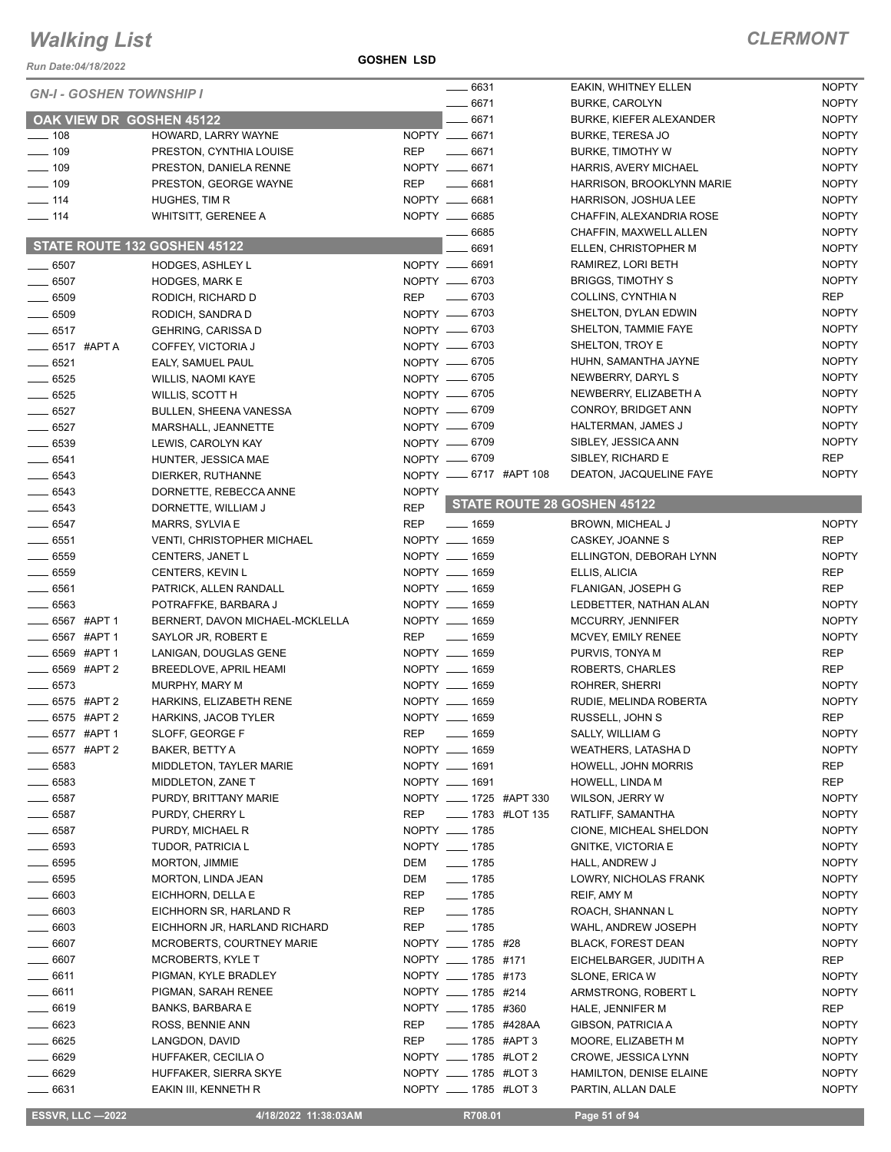**GOSHEN LSD**

| Run Date:04/18/2022             |                                                      | <b>GOSHEN LSD</b>              |                           |                            |                                                   |                              |
|---------------------------------|------------------------------------------------------|--------------------------------|---------------------------|----------------------------|---------------------------------------------------|------------------------------|
|                                 |                                                      |                                | 6631                      |                            | EAKIN, WHITNEY ELLEN                              | <b>NOPTY</b>                 |
| <b>GN-I - GOSHEN TOWNSHIP I</b> |                                                      |                                | 6671                      |                            | <b>BURKE, CAROLYN</b>                             | <b>NOPTY</b>                 |
|                                 | OAK VIEW DR GOSHEN 45122                             |                                | 6671                      |                            | <b>BURKE, KIEFER ALEXANDER</b>                    | <b>NOPTY</b>                 |
| $\frac{1}{2}$ 108               | HOWARD, LARRY WAYNE                                  | NOPTY __ 6671                  |                           |                            | <b>BURKE, TERESA JO</b>                           | <b>NOPTY</b>                 |
| $- 109$                         | PRESTON, CYNTHIA LOUISE                              | <b>REP</b>                     | $-6671$                   |                            | <b>BURKE, TIMOTHY W</b>                           | <b>NOPTY</b>                 |
| $- 109$                         | PRESTON, DANIELA RENNE                               | NOPTY __ 6671                  |                           |                            | <b>HARRIS, AVERY MICHAEL</b>                      | <b>NOPTY</b>                 |
| $- 109$                         | PRESTON, GEORGE WAYNE                                | <b>REP</b>                     | $-6681$                   |                            | HARRISON, BROOKLYNN MARIE                         | <b>NOPTY</b>                 |
| $\equiv$ 114                    | HUGHES, TIM R                                        | NOPTY __ 6681                  |                           |                            | HARRISON, JOSHUA LEE                              | <b>NOPTY</b>                 |
| $- 114$                         | WHITSITT, GERENEE A                                  | NOPTY __ 6685                  |                           |                            | CHAFFIN, ALEXANDRIA ROSE                          | <b>NOPTY</b>                 |
|                                 |                                                      |                                | 6685                      |                            | CHAFFIN, MAXWELL ALLEN                            | <b>NOPTY</b>                 |
|                                 | STATE ROUTE 132 GOSHEN 45122                         |                                | 6691                      |                            | ELLEN, CHRISTOPHER M                              | <b>NOPTY</b>                 |
| $\frac{1}{2}$ 6507              | <b>HODGES, ASHLEY L</b>                              | NOPTY __ 6691                  |                           |                            | RAMIREZ, LORI BETH                                | <b>NOPTY</b>                 |
| $-6507$                         | <b>HODGES, MARK E</b>                                | NOPTY __ 6703                  |                           |                            | <b>BRIGGS, TIMOTHY S</b>                          | <b>NOPTY</b>                 |
| $\frac{1}{2}$ 6509              | RODICH, RICHARD D                                    | <b>REP</b>                     | $- 6703$                  |                            | COLLINS, CYNTHIA N                                | REP                          |
| $- 6509$                        | RODICH, SANDRA D                                     | NOPTY -6703                    |                           |                            | SHELTON, DYLAN EDWIN                              | <b>NOPTY</b>                 |
| $-6517$                         | <b>GEHRING, CARISSA D</b>                            | NOPTY -6703                    |                           |                            | SHELTON, TAMMIE FAYE                              | <b>NOPTY</b>                 |
| $\frac{1}{2}$ 6517 #APTA        | COFFEY, VICTORIA J                                   | NOPTY __ 6703                  |                           |                            | SHELTON, TROY E                                   | <b>NOPTY</b>                 |
| $- 6521$                        | EALY, SAMUEL PAUL                                    | NOPTY __ 6705<br>NOPTY __ 6705 |                           |                            | HUHN, SAMANTHA JAYNE<br>NEWBERRY, DARYL S         | <b>NOPTY</b><br><b>NOPTY</b> |
| $-6525$<br>$-6525$              | WILLIS, NAOMI KAYE                                   | NOPTY -6705                    |                           |                            | NEWBERRY, ELIZABETH A                             | <b>NOPTY</b>                 |
| $- 6527$                        | WILLIS, SCOTT H                                      | NOPTY __ 6709                  |                           |                            | CONROY, BRIDGET ANN                               | <b>NOPTY</b>                 |
| $- 6527$                        | <b>BULLEN, SHEENA VANESSA</b><br>MARSHALL, JEANNETTE | NOPTY __ 6709                  |                           |                            | HALTERMAN, JAMES J                                | <b>NOPTY</b>                 |
| $- 6539$                        | LEWIS, CAROLYN KAY                                   | NOPTY -6709                    |                           |                            | SIBLEY, JESSICA ANN                               | <b>NOPTY</b>                 |
| $-6541$                         | HUNTER, JESSICA MAE                                  | NOPTY __ 6709                  |                           |                            | SIBLEY, RICHARD E                                 | <b>REP</b>                   |
| $- 6543$                        | DIERKER, RUTHANNE                                    | NOPTY __ 6717 #APT 108         |                           |                            | DEATON, JACQUELINE FAYE                           | <b>NOPTY</b>                 |
| $- 6543$                        | DORNETTE, REBECCA ANNE                               | <b>NOPTY</b>                   |                           |                            |                                                   |                              |
| $- 6543$                        | DORNETTE, WILLIAM J                                  | <b>REP</b>                     |                           |                            | STATE ROUTE 28 GOSHEN 45122                       |                              |
| $-6547$                         | MARRS, SYLVIA E                                      | <b>REP</b>                     | $- 1659$                  |                            | <b>BROWN, MICHEAL J</b>                           | <b>NOPTY</b>                 |
| $- 6551$                        | <b>VENTI, CHRISTOPHER MICHAEL</b>                    | NOPTY __ 1659                  |                           |                            | CASKEY, JOANNE S                                  | <b>REP</b>                   |
| $- 6559$                        | CENTERS, JANET L                                     | NOPTY __ 1659                  |                           |                            | ELLINGTON, DEBORAH LYNN                           | <b>NOPTY</b>                 |
| $-6559$                         | CENTERS, KEVIN L                                     | NOPTY __ 1659                  |                           |                            | ELLIS, ALICIA                                     | <b>REP</b>                   |
| $-6561$                         | PATRICK, ALLEN RANDALL                               | NOPTY __ 1659                  |                           |                            | FLANIGAN, JOSEPH G                                | <b>REP</b>                   |
| $-6563$                         | POTRAFFKE, BARBARA J                                 | NOPTY __ 1659                  |                           |                            | LEDBETTER, NATHAN ALAN                            | <b>NOPTY</b>                 |
| __ 6567 #APT 1                  | BERNERT, DAVON MICHAEL-MCKLELLA                      | NOPTY __ 1659                  |                           |                            | MCCURRY, JENNIFER                                 | <b>NOPTY</b>                 |
| $-6567$ #APT 1                  | SAYLOR JR, ROBERT E                                  | <b>REP</b>                     | $\frac{1}{2}$ 1659        |                            | MCVEY, EMILY RENEE                                | <b>NOPTY</b>                 |
| ____ 6569 #APT 1                | LANIGAN, DOUGLAS GENE                                | NOPTY __ 1659                  |                           |                            | PURVIS, TONYA M                                   | <b>REP</b>                   |
| $-6569$ #APT 2                  | BREEDLOVE, APRIL HEAMI                               | NOPTY __ 1659                  |                           |                            | ROBERTS, CHARLES                                  | <b>REP</b>                   |
| $- 6573$                        | MURPHY, MARY M                                       | NOPTY __ 1659                  |                           |                            | ROHRER, SHERRI                                    | <b>NOPTY</b>                 |
| _ 6575 #APT 2                   | HARKINS, ELIZABETH RENE                              | NOPTY __ 1659                  |                           |                            | RUDIE, MELINDA ROBERTA                            | <b>NOPTY</b>                 |
| _ 6575 #APT 2                   | HARKINS, JACOB TYLER                                 | NOPTY __ 1659                  |                           |                            | RUSSELL, JOHN S                                   | <b>REP</b>                   |
| 6577 #APT 1                     | SLOFF, GEORGE F                                      | <b>REP</b><br>NOPTY __ 1659    | $- 1659$                  |                            | SALLY, WILLIAM G                                  | <b>NOPTY</b>                 |
| 6577 #APT 2<br>. 6583           | BAKER, BETTY A<br>MIDDLETON, TAYLER MARIE            | NOPTY __ 1691                  |                           |                            | WEATHERS, LATASHA D<br><b>HOWELL, JOHN MORRIS</b> | <b>NOPTY</b><br>REP          |
| 6583                            | MIDDLETON, ZANE T                                    | NOPTY __ 1691                  |                           |                            | HOWELL, LINDA M                                   | <b>REP</b>                   |
| 6587                            | PURDY, BRITTANY MARIE                                | NOPTY _____ 1725 #APT 330      |                           |                            | WILSON, JERRY W                                   | <b>NOPTY</b>                 |
| _ 6587                          | PURDY, CHERRY L                                      | <b>REP</b>                     |                           | <b>_____</b> 1783 #LOT 135 | RATLIFF, SAMANTHA                                 | <b>NOPTY</b>                 |
| $- 6587$                        | PURDY, MICHAEL R                                     | NOPTY __ 1785                  |                           |                            | CIONE, MICHEAL SHELDON                            | <b>NOPTY</b>                 |
| _ 6593                          | TUDOR, PATRICIA L                                    | NOPTY __ 1785                  |                           |                            | <b>GNITKE, VICTORIA E</b>                         | <b>NOPTY</b>                 |
| _ 6595                          | MORTON, JIMMIE                                       | DEM                            | $- 1785$                  |                            | HALL, ANDREW J                                    | <b>NOPTY</b>                 |
| __ 6595                         | MORTON, LINDA JEAN                                   | DEM                            | $- 1785$                  |                            | LOWRY, NICHOLAS FRANK                             | <b>NOPTY</b>                 |
| .6603                           | EICHHORN, DELLA E                                    | REP                            | $\frac{1}{2}$ 1785        |                            | REIF, AMY M                                       | <b>NOPTY</b>                 |
| 6603                            | EICHHORN SR, HARLAND R                               | REP                            | $- 1785$                  |                            | ROACH, SHANNAN L                                  | <b>NOPTY</b>                 |
| - 6603                          | EICHHORN JR, HARLAND RICHARD                         | REP                            | $- 1785$                  |                            | WAHL, ANDREW JOSEPH                               | <b>NOPTY</b>                 |
| $-6607$                         | <b>MCROBERTS, COURTNEY MARIE</b>                     | NOPTY ____ 1785 #28            |                           |                            | <b>BLACK, FOREST DEAN</b>                         | <b>NOPTY</b>                 |
| 6607                            | MCROBERTS, KYLE T                                    | NOPTY __ 1785 #171             |                           |                            | EICHELBARGER, JUDITH A                            | REP                          |
| . 6611                          | PIGMAN, KYLE BRADLEY                                 | NOPTY __ 1785 #173             |                           |                            | SLONE, ERICA W                                    | <b>NOPTY</b>                 |
| $- 6611$                        | PIGMAN, SARAH RENEE                                  | NOPTY __ 1785 #214             |                           |                            | ARMSTRONG, ROBERT L                               | <b>NOPTY</b>                 |
| . 6619                          | <b>BANKS, BARBARA E</b>                              | NOPTY _____ 1785 #360          |                           |                            | HALE, JENNIFER M                                  | REP                          |
| _ 6623                          | ROSS, BENNIE ANN                                     | REP                            | _____ 1785   #428AA       |                            | GIBSON, PATRICIA A                                | <b>NOPTY</b>                 |
| $= 6625$                        | LANGDON, DAVID                                       | REP                            | $\frac{1}{2}$ 1785 #APT 3 |                            | MOORE, ELIZABETH M                                | <b>NOPTY</b>                 |
| _ 6629                          | HUFFAKER, CECILIA O                                  | NOPTY ____ 1785 #LOT 2         |                           |                            | CROWE, JESSICA LYNN                               | <b>NOPTY</b>                 |
| $-6629$                         | HUFFAKER, SIERRA SKYE                                | NOPTY __ 1785 #LOT 3           |                           |                            | HAMILTON, DENISE ELAINE                           | <b>NOPTY</b>                 |
| 6631                            | EAKIN III, KENNETH R                                 | NOPTY __ 1785 #LOT 3           |                           |                            | PARTIN, ALLAN DALE                                | <b>NOPTY</b>                 |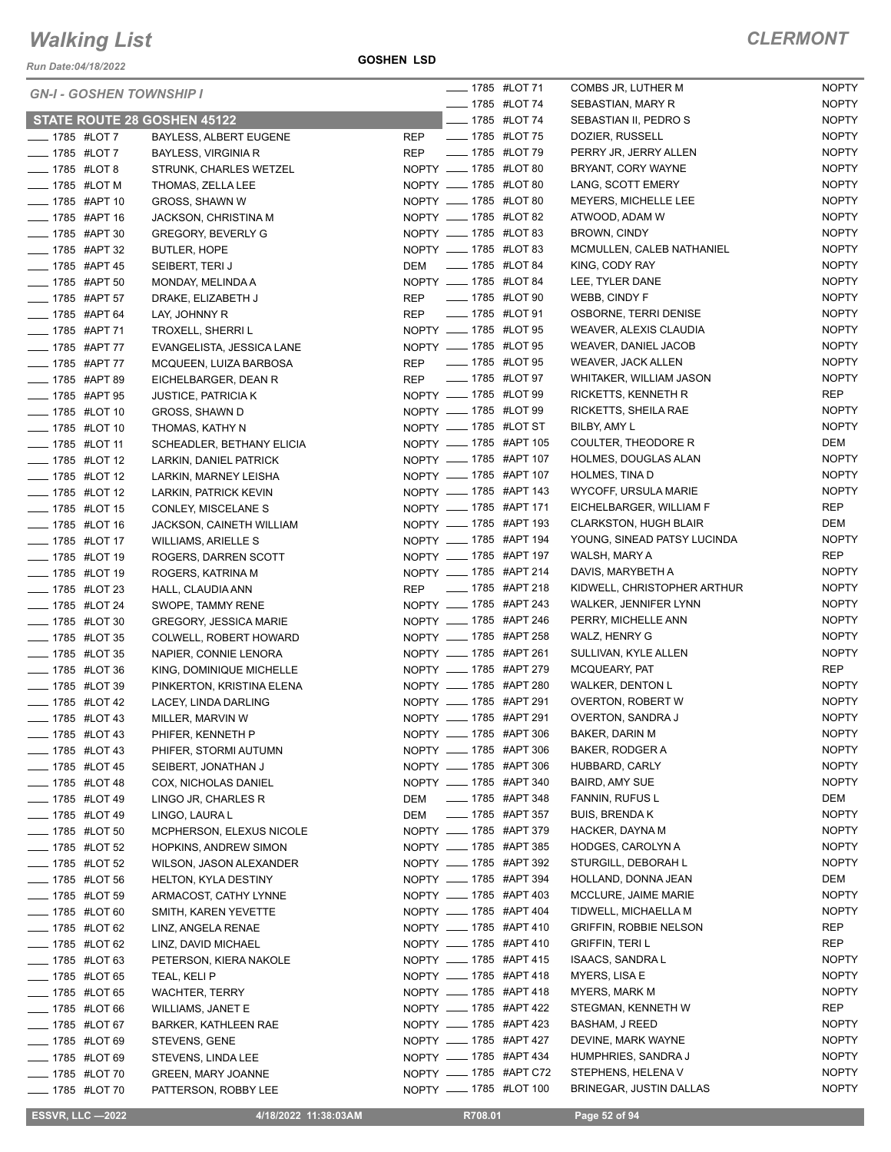| <b>GN-I - GOSHEN TOWNSHIP I</b> |                               |            | <b>_____</b> 1785 #LOT 71    |                        | COMBS JR, LUTHER M            | <b>NOPTY</b> |
|---------------------------------|-------------------------------|------------|------------------------------|------------------------|-------------------------------|--------------|
|                                 |                               |            | <b>IMPLE 1785 #LOT 74</b>    |                        | SEBASTIAN, MARY R             | <b>NOPTY</b> |
| STATE ROUTE 28 GOSHEN 45122     |                               |            | <b>______ 1785 #LOT 74</b>   |                        | SEBASTIAN II, PEDRO S         | <b>NOPTY</b> |
| $-$ 1785 #LOT 7                 | BAYLESS, ALBERT EUGENE        | REP        | - 1785 #LOT 75               |                        | DOZIER, RUSSELL               | <b>NOPTY</b> |
| <b>____</b> 1785 #LOT 7         | <b>BAYLESS, VIRGINIA R</b>    | REP        | - 1785 #LOT 79               |                        | PERRY JR, JERRY ALLEN         | <b>NOPTY</b> |
| <b>______ 1785 #LOT 8</b>       | STRUNK, CHARLES WETZEL        |            | NOPTY __ 1785 #LOT 80        |                        | BRYANT, CORY WAYNE            | <b>NOPTY</b> |
| $\frac{1}{2}$ 1785 #LOT M       | THOMAS, ZELLA LEE             |            | NOPTY __ 1785 #LOT 80        |                        | LANG, SCOTT EMERY             | <b>NOPTY</b> |
| ____ 1785 #APT 10               | <b>GROSS, SHAWN W</b>         |            | NOPTY __ 1785 #LOT 80        |                        | MEYERS, MICHELLE LEE          | <b>NOPTY</b> |
| -85 #APT 16                     | <b>JACKSON, CHRISTINA M</b>   |            | NOPTY __ 1785 #LOT 82        |                        | ATWOOD, ADAM W                | <b>NOPTY</b> |
| - 1785 #APT 30                  | <b>GREGORY, BEVERLY G</b>     |            | NOPTY __ 1785 #LOT 83        |                        | <b>BROWN, CINDY</b>           | <b>NOPTY</b> |
| <b>______ 1785 #APT 32</b>      | <b>BUTLER, HOPE</b>           |            | NOPTY __ 1785 #LOT 83        |                        | MCMULLEN, CALEB NATHANIEL     | <b>NOPTY</b> |
| <b>LEGGE 1785 #APT 45</b>       | SEIBERT, TERI J               |            | DEM __ 1785 #LOT 84          |                        | KING, CODY RAY                | <b>NOPTY</b> |
| <b>______ 1785 #APT 50</b>      | MONDAY, MELINDA A             |            | NOPTY __ 1785 #LOT 84        |                        | LEE, TYLER DANE               | <b>NOPTY</b> |
| <b>______ 1785 #APT 57</b>      | DRAKE, ELIZABETH J            | <b>REP</b> | ____ 1785 #LOT 90            |                        | WEBB, CINDY F                 | <b>NOPTY</b> |
| ____ 1785 #APT 64               | LAY, JOHNNY R                 |            | REP __ 1785 #LOT 91          |                        | OSBORNE, TERRI DENISE         | <b>NOPTY</b> |
| -1785 #APT 71                   | TROXELL, SHERRI L             |            | NOPTY __ 1785 #LOT 95        |                        | WEAVER, ALEXIS CLAUDIA        | <b>NOPTY</b> |
| ____ 1785 #APT 77               | EVANGELISTA, JESSICA LANE     |            | NOPTY __ 1785 #LOT 95        |                        | WEAVER, DANIEL JACOB          | <b>NOPTY</b> |
| <b>____ 1785 #APT 77</b>        | MCQUEEN, LUIZA BARBOSA        |            | REP __ 1785 #LOT 95          |                        | <b>WEAVER, JACK ALLEN</b>     | <b>NOPTY</b> |
| <b>______ 1785 #APT 89</b>      | EICHELBARGER, DEAN R          |            | REP __ 1785 #LOT 97          |                        | WHITAKER, WILLIAM JASON       | <b>NOPTY</b> |
| <b>LEGGE 44PT 95</b>            | <b>JUSTICE, PATRICIA K</b>    |            | NOPTY __ 1785 #LOT 99        |                        | RICKETTS, KENNETH R           | REP          |
| -4785 #LOT 10                   | GROSS, SHAWN D                |            | NOPTY __ 1785 #LOT 99        |                        | RICKETTS, SHEILA RAE          | <b>NOPTY</b> |
| LOT 10                          | THOMAS, KATHY N               |            | NOPTY __ 1785 #LOT ST        |                        | BILBY, AMY L                  | <b>NOPTY</b> |
| - 1785 #LOT 11                  | SCHEADLER, BETHANY ELICIA     |            | NOPTY __ 1785 #APT 105       |                        | COULTER, THEODORE R           | DEM          |
| -4785 #LOT 12                   | LARKIN, DANIEL PATRICK        |            | NOPTY __ 1785 #APT 107       |                        | HOLMES, DOUGLAS ALAN          | <b>NOPTY</b> |
| <b>LEGGE 44 1785 #LOT 12</b>    | LARKIN, MARNEY LEISHA         |            | NOPTY __ 1785 #APT 107       |                        | <b>HOLMES, TINA D</b>         | <b>NOPTY</b> |
| -4785 #LOT 12                   | LARKIN, PATRICK KEVIN         |            | NOPTY __ 1785 #APT 143       |                        | WYCOFF, URSULA MARIE          | <b>NOPTY</b> |
| <b>LEGGE 44 1785 #LOT 15</b>    | CONLEY, MISCELANE S           |            | NOPTY __ 1785 #APT 171       |                        | EICHELBARGER, WILLIAM F       | REP          |
| - 1785 #LOT 16                  | JACKSON, CAINETH WILLIAM      |            | NOPTY __ 1785 #APT 193       |                        | <b>CLARKSTON, HUGH BLAIR</b>  | DEM          |
| - 1785 #LOT 17                  | <b>WILLIAMS, ARIELLE S</b>    |            | NOPTY __ 1785 #APT 194       |                        | YOUNG, SINEAD PATSY LUCINDA   | <b>NOPTY</b> |
| <b>LEGGE 1785 #LOT 19</b>       | ROGERS, DARREN SCOTT          |            | NOPTY __ 1785 #APT 197       |                        | WALSH, MARY A                 | REP          |
| - 1785 #LOT 19                  | ROGERS, KATRINA M             |            | NOPTY __ 1785 #APT 214       |                        | DAVIS, MARYBETH A             | <b>NOPTY</b> |
| <b>IMPLE 1785 #LOT 23</b>       | HALL, CLAUDIA ANN             |            | REP __ 1785 #APT 218         |                        | KIDWELL, CHRISTOPHER ARTHUR   | <b>NOPTY</b> |
| - 1785 #LOT 24                  | SWOPE, TAMMY RENE             |            |                              | NOPTY __ 1785 #APT 243 | WALKER, JENNIFER LYNN         | <b>NOPTY</b> |
| <b>______ 1785 #LOT 30</b>      | <b>GREGORY, JESSICA MARIE</b> |            | NOPTY __ 1785 #APT 246       |                        | PERRY, MICHELLE ANN           | <b>NOPTY</b> |
| - 1785 #LOT 35                  | COLWELL, ROBERT HOWARD        |            | NOPTY __ 1785 #APT 258       |                        | WALZ, HENRY G                 | <b>NOPTY</b> |
| -4785 #LOT 35                   | NAPIER, CONNIE LENORA         |            | NOPTY __ 1785 #APT 261       |                        | SULLIVAN, KYLE ALLEN          | <b>NOPTY</b> |
| <b>LEGGE 1785 #LOT 36</b>       | KING, DOMINIQUE MICHELLE      |            | NOPTY __ 1785 #APT 279       |                        | MCQUEARY, PAT                 | REP          |
| <b>LEGGE 44 1785</b> #LOT 39    | PINKERTON, KRISTINA ELENA     |            | NOPTY __ 1785 #APT 280       |                        | <b>WALKER, DENTON L</b>       | <b>NOPTY</b> |
| <b>____</b> 1785 #LOT 42        | LACEY, LINDA DARLING          |            | NOPTY __ 1785 #APT 291       |                        | OVERTON, ROBERT W             | <b>NOPTY</b> |
| <b>LEGGE 43</b>                 | MILLER, MARVIN W              |            | NOPTY __ 1785 #APT 291       |                        | <b>OVERTON, SANDRA J</b>      | <b>NOPTY</b> |
| _ 1785 #LOT 43                  | PHIFER, KENNETH P             |            |                              | NOPTY __ 1785 #APT 306 | BAKER, DARIN M                | <b>NOPTY</b> |
| $\frac{1}{2}$ 1785 #LOT 43      | PHIFER, STORMI AUTUMN         |            | NOPTY _____ 1785 #APT 306    |                        | <b>BAKER, RODGER A</b>        | <b>NOPTY</b> |
| <b>LEGGE 45</b> 4785 #LOT 45    | SEIBERT, JONATHAN J           |            |                              | NOPTY __ 1785 #APT 306 | HUBBARD, CARLY                | <b>NOPTY</b> |
| <b>______ 1785 #LOT 48</b>      | COX, NICHOLAS DANIEL          |            | NOPTY __ 1785 #APT 340       |                        | <b>BAIRD, AMY SUE</b>         | <b>NOPTY</b> |
| <b>_____ 1785 #LOT 49</b>       | LINGO JR, CHARLES R           | DEM        | _____ 1785 #APT 348          |                        | FANNIN, RUFUS L               | DEM          |
| — 1785 #LOT 49                  | LINGO, LAURA L                | DEM        | <b>_______ 1785 #APT 357</b> |                        | <b>BUIS, BRENDAK</b>          | <b>NOPTY</b> |
| $\frac{1}{2}$ 1785 #LOT 50      | MCPHERSON, ELEXUS NICOLE      |            | NOPTY __ 1785 #APT 379       |                        | HACKER, DAYNA M               | <b>NOPTY</b> |
| <b>_____</b> 1785 #LOT 52       | <b>HOPKINS, ANDREW SIMON</b>  |            | NOPTY __ 1785 #APT 385       |                        | HODGES, CAROLYN A             | <b>NOPTY</b> |
| <b>______ 1785 #LOT 52</b>      | WILSON, JASON ALEXANDER       |            | NOPTY __ 1785 #APT 392       |                        | STURGILL, DEBORAH L           | <b>NOPTY</b> |
| <b>IMPLE 1785 #LOT 56</b>       | <b>HELTON, KYLA DESTINY</b>   |            | NOPTY __ 1785 #APT 394       |                        | HOLLAND, DONNA JEAN           | DEM          |
| <b>______ 1785 #LOT 59</b>      | ARMACOST, CATHY LYNNE         |            | NOPTY __ 1785 #APT 403       |                        | MCCLURE, JAIME MARIE          | <b>NOPTY</b> |
| $\frac{1}{2}$ 1785 #LOT 60      | SMITH, KAREN YEVETTE          |            | NOPTY __ 1785 #APT 404       |                        | TIDWELL, MICHAELLA M          | <b>NOPTY</b> |
| $\frac{1}{2}$ 1785 #LOT 62      | LINZ, ANGELA RENAE            |            | NOPTY __ 1785 #APT 410       |                        | <b>GRIFFIN, ROBBIE NELSON</b> | REP          |
| ____ 1785 #LOT 62               | LINZ, DAVID MICHAEL           |            | NOPTY __ 1785 #APT 410       |                        | <b>GRIFFIN, TERIL</b>         | REP          |
| <b>IMPLE 1785 #LOT 63</b>       | PETERSON, KIERA NAKOLE        |            |                              | NOPTY __ 1785 #APT 415 | ISAACS, SANDRA L              | <b>NOPTY</b> |
| $\frac{1}{2}$ 1785 #LOT 65      | TEAL, KELI P                  |            | NOPTY __ 1785 #APT 418       |                        | MYERS, LISA E                 | <b>NOPTY</b> |
| $\frac{1}{2}$ 1785 #LOT 65      | <b>WACHTER, TERRY</b>         |            | NOPTY __ 1785 #APT 418       |                        | MYERS, MARK M                 | <b>NOPTY</b> |
| ____ 1785 #LOT 66               | WILLIAMS, JANET E             |            |                              | NOPTY __ 1785 #APT 422 | STEGMAN, KENNETH W            | REP          |
| _ 1785 #LOT 67                  | BARKER, KATHLEEN RAE          |            | NOPTY __ 1785 #APT 423       |                        | BASHAM, J REED                | <b>NOPTY</b> |
| __ 1785 #LOT 69                 | STEVENS, GENE                 |            | NOPTY __ 1785 #APT 427       |                        | DEVINE, MARK WAYNE            | <b>NOPTY</b> |
| ____ 1785 #LOT 69               | STEVENS, LINDA LEE            |            | NOPTY __ 1785 #APT 434       |                        | HUMPHRIES, SANDRA J           | <b>NOPTY</b> |
| <b>IMPLE 1785 #LOT 70</b>       | <b>GREEN, MARY JOANNE</b>     |            |                              | NOPTY __ 1785 #APT C72 | STEPHENS, HELENA V            | <b>NOPTY</b> |
| <b>______ 1785 #LOT 70</b>      | PATTERSON, ROBBY LEE          |            | NOPTY __ 1785 #LOT 100       |                        | BRINEGAR, JUSTIN DALLAS       | <b>NOPTY</b> |
| <b>ESSVR, LLC -2022</b>         | 4/18/2022 11:38:03AM          |            | R708.01                      |                        | Page 52 of 94                 |              |
|                                 |                               |            |                              |                        |                               |              |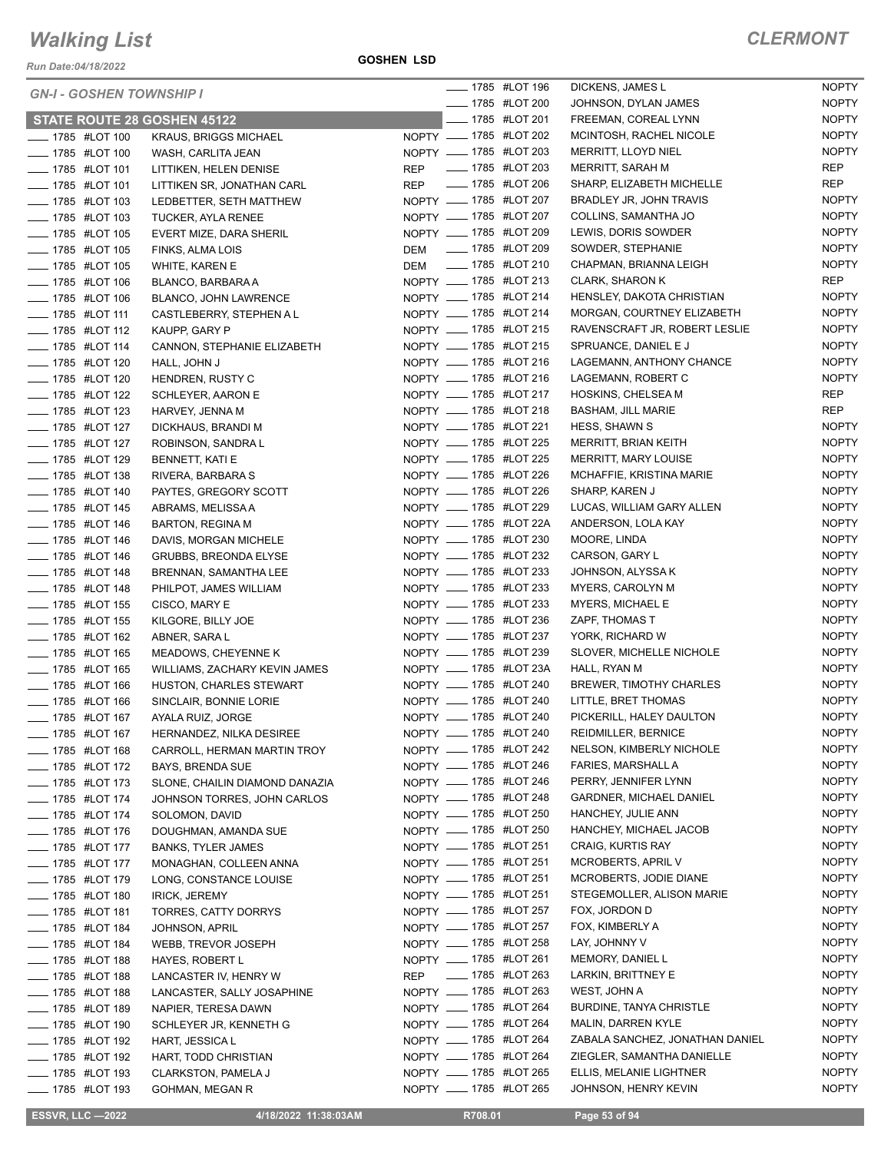| <b>GN-I - GOSHEN TOWNSHIP I</b>        |                                |            | <b>LEGGE 44 1785 #LOT 196</b> | DICKENS, JAMES L                | <b>NOPTY</b> |
|----------------------------------------|--------------------------------|------------|-------------------------------|---------------------------------|--------------|
|                                        |                                |            | <b>______ 1785 #LOT 200</b>   | JOHNSON, DYLAN JAMES            | <b>NOPTY</b> |
| STATE ROUTE 28 GOSHEN 45122            |                                |            | <b>IMPLE 1785 #LOT 201</b>    | FREEMAN, COREAL LYNN            | <b>NOPTY</b> |
| -4785 #LOT 100                         | <b>KRAUS, BRIGGS MICHAEL</b>   |            | NOPTY __ 1785 #LOT 202        | MCINTOSH, RACHEL NICOLE         | <b>NOPTY</b> |
| <b>LEGGE 44 1785 #LOT 100</b>          | WASH, CARLITA JEAN             |            | NOPTY _____ 1785 #LOT 203     | MERRITT, LLOYD NIEL             | <b>NOPTY</b> |
| $\frac{1}{2}$ 1785 #LOT 101            | LITTIKEN, HELEN DENISE         |            | REP __ 1785 #LOT 203          | MERRITT, SARAH M                | REP          |
| <b>____</b> 1785 #LOT 101              | LITTIKEN SR, JONATHAN CARL     |            | REP __ 1785 #LOT 206          | SHARP, ELIZABETH MICHELLE       | <b>REP</b>   |
| <b>LEGGE 44 1785 #LOT 103</b>          | LEDBETTER, SETH MATTHEW        |            | NOPTY __ 1785 #LOT 207        | BRADLEY JR, JOHN TRAVIS         | <b>NOPTY</b> |
| - 1785 #LOT 103                        | TUCKER, AYLA RENEE             |            | NOPTY __ 1785 #LOT 207        | COLLINS, SAMANTHA JO            | <b>NOPTY</b> |
| LOT 105                                | EVERT MIZE, DARA SHERIL        |            | NOPTY __ 1785 #LOT 209        | LEWIS, DORIS SOWDER             | <b>NOPTY</b> |
| <b>LEGGE 44 1785 #LOT 105</b>          | FINKS, ALMA LOIS               | <b>DEM</b> | ____ 1785 #LOT 209            | SOWDER, STEPHANIE               | <b>NOPTY</b> |
| <b>____ 1785 #LOT 105</b>              | WHITE, KAREN E                 |            | DEM __ 1785 #LOT 210          | CHAPMAN, BRIANNA LEIGH          | <b>NOPTY</b> |
| <b>LEGGE 1785 #LOT 106</b>             | BLANCO, BARBARA A              |            | NOPTY __ 1785 #LOT 213        | <b>CLARK, SHARON K</b>          | REP          |
| <b>_____ 1785 #LOT 106</b>             | BLANCO, JOHN LAWRENCE          |            | NOPTY __ 1785 #LOT 214        | HENSLEY, DAKOTA CHRISTIAN       | <b>NOPTY</b> |
| LOT 111                                | CASTLEBERRY, STEPHEN A L       |            | NOPTY __ 1785 #LOT 214        | MORGAN, COURTNEY ELIZABETH      | <b>NOPTY</b> |
| - 1785 #LOT 112                        | KAUPP, GARY P                  |            | NOPTY __ 1785 #LOT 215        | RAVENSCRAFT JR, ROBERT LESLIE   | <b>NOPTY</b> |
| - 1785 #LOT 114                        | CANNON, STEPHANIE ELIZABETH    |            | NOPTY __ 1785 #LOT 215        | SPRUANCE, DANIEL E J            | <b>NOPTY</b> |
| <b>____ 1785 #LOT 120</b>              | HALL, JOHN J                   |            | NOPTY __ 1785 #LOT 216        | LAGEMANN, ANTHONY CHANCE        | <b>NOPTY</b> |
| -4785 #LOT 120                         | HENDREN, RUSTY C               |            | NOPTY __ 1785 #LOT 216        | LAGEMANN, ROBERT C              | <b>NOPTY</b> |
| <b>LEGGE 44 1785 #LOT 122</b>          | <b>SCHLEYER, AARON E</b>       |            | NOPTY __ 1785 #LOT 217        | HOSKINS, CHELSEA M              | REP          |
| <b>LEGGE 44 1785 #LOT 123</b>          | HARVEY, JENNA M                |            | NOPTY __ 1785 #LOT 218        | BASHAM, JILL MARIE              | <b>REP</b>   |
| <b>_____ 1785 #LOT 127</b>             | DICKHAUS, BRANDI M             |            | NOPTY __ 1785 #LOT 221        | HESS, SHAWN S                   | <b>NOPTY</b> |
| - 1785 #LOT 127                        | ROBINSON, SANDRA L             |            | NOPTY __ 1785 #LOT 225        | MERRITT, BRIAN KEITH            | <b>NOPTY</b> |
| - 1785 #LOT 129                        | BENNETT, KATI E                |            | NOPTY __ 1785 #LOT 225        | MERRITT, MARY LOUISE            | <b>NOPTY</b> |
| <b>LEGGE 44 1785 #LOT 138</b>          | RIVERA, BARBARA S              |            | NOPTY __ 1785 #LOT 226        | MCHAFFIE, KRISTINA MARIE        | <b>NOPTY</b> |
| <b>_____ 1785 #LOT 140</b>             | PAYTES, GREGORY SCOTT          |            | NOPTY __ 1785 #LOT 226        | SHARP, KAREN J                  | <b>NOPTY</b> |
| <b>_____ 1785 #LOT 145</b>             | ABRAMS, MELISSA A              |            | NOPTY __ 1785 #LOT 229        | LUCAS, WILLIAM GARY ALLEN       | <b>NOPTY</b> |
| <b>LEGGE 44 1785 #LOT 146</b>          | <b>BARTON, REGINA M</b>        |            | NOPTY __ 1785 #LOT 22A        | ANDERSON, LOLA KAY              | <b>NOPTY</b> |
| - 1785 #LOT 146                        | DAVIS, MORGAN MICHELE          |            | NOPTY __ 1785 #LOT 230        | MOORE, LINDA                    | <b>NOPTY</b> |
| LOT 146                                | GRUBBS, BREONDA ELYSE          |            | NOPTY ____ 1785 #LOT 232      | CARSON, GARY L                  | <b>NOPTY</b> |
| <b>LEGGE 440 1785</b> #LOT 148         | BRENNAN, SAMANTHA LEE          |            | NOPTY __ 1785 #LOT 233        | JOHNSON, ALYSSA K               | <b>NOPTY</b> |
| - 1785 #LOT 148                        |                                |            | NOPTY __ 1785 #LOT 233        | MYERS, CAROLYN M                | <b>NOPTY</b> |
| <b>LEGGE 44 1785</b> #LOT 155          | PHILPOT, JAMES WILLIAM         |            | NOPTY __ 1785 #LOT 233        | MYERS, MICHAEL E                | <b>NOPTY</b> |
|                                        | CISCO, MARY E                  |            | NOPTY __ 1785 #LOT 236        | ZAPF, THOMAS T                  | <b>NOPTY</b> |
| <b>______ 1785 #LOT 155</b><br>LOT 162 | KILGORE, BILLY JOE             |            | NOPTY __ 1785 #LOT 237        | YORK, RICHARD W                 | <b>NOPTY</b> |
|                                        | ABNER, SARA L                  |            | NOPTY __ 1785 #LOT 239        | SLOVER, MICHELLE NICHOLE        | <b>NOPTY</b> |
| - 1785 #LOT 165                        | MEADOWS, CHEYENNE K            |            |                               |                                 |              |
| -85 #LOT 165                           | WILLIAMS, ZACHARY KEVIN JAMES  |            | NOPTY __ 1785 #LOT 23A        | HALL, RYAN M                    | <b>NOPTY</b> |
| <b>LEGGE 44 1785 #LOT 166</b>          | HUSTON, CHARLES STEWART        |            | NOPTY __ 1785 #LOT 240        | <b>BREWER, TIMOTHY CHARLES</b>  | <b>NOPTY</b> |
| - 1785 #LOT 166                        | SINCLAIR, BONNIE LORIE         |            | NOPTY __ 1785 #LOT 240        | LITTLE, BRET THOMAS             | <b>NOPTY</b> |
| LOT 167                                | AYALA RUIZ, JORGE              |            | NOPTY __ 1785 #LOT 240        | PICKERILL, HALEY DAULTON        | <b>NOPTY</b> |
| __ 1785 #LOT 167                       | HERNANDEZ, NILKA DESIREE       |            | NOPTY __ 1785 #LOT 240        | REIDMILLER, BERNICE             | <b>NOPTY</b> |
| <b>_____</b> 1785 #LOT 168             | CARROLL, HERMAN MARTIN TROY    |            | NOPTY __ 1785 #LOT 242        | NELSON, KIMBERLY NICHOLE        | <b>NOPTY</b> |
| - 1785 #LOT 172                        | BAYS, BRENDA SUE               |            | NOPTY __ 1785 #LOT 246        | FARIES, MARSHALL A              | <b>NOPTY</b> |
| <b>____ 1785 #LOT 173</b>              | SLONE, CHAILIN DIAMOND DANAZIA |            | NOPTY __ 1785 #LOT 246        | PERRY, JENNIFER LYNN            | <b>NOPTY</b> |
| ___ 1785 #LOT 174                      | JOHNSON TORRES, JOHN CARLOS    |            | NOPTY __ 1785 #LOT 248        | GARDNER, MICHAEL DANIEL         | <b>NOPTY</b> |
| ____ 1785 #LOT 174                     | SOLOMON, DAVID                 |            | NOPTY __ 1785 #LOT 250        | HANCHEY, JULIE ANN              | <b>NOPTY</b> |
| ____ 1785 #LOT 176                     | DOUGHMAN, AMANDA SUE           |            | NOPTY __ 1785 #LOT 250        | HANCHEY, MICHAEL JACOB          | <b>NOPTY</b> |
| ____ 1785 #LOT 177                     | <b>BANKS, TYLER JAMES</b>      |            | NOPTY __ 1785 #LOT 251        | CRAIG, KURTIS RAY               | <b>NOPTY</b> |
| -4785 #LOT 177                         | MONAGHAN, COLLEEN ANNA         |            | NOPTY __ 1785 #LOT 251        | MCROBERTS, APRIL V              | <b>NOPTY</b> |
| <b>LEGGE 44 179</b>                    | LONG, CONSTANCE LOUISE         |            | NOPTY __ 1785 #LOT 251        | MCROBERTS, JODIE DIANE          | <b>NOPTY</b> |
| <b>LEGGE 44 1785 #LOT 180</b>          | <b>IRICK, JEREMY</b>           |            | NOPTY __ 1785 #LOT 251        | STEGEMOLLER, ALISON MARIE       | <b>NOPTY</b> |
| <b>____ 1785 #LOT 181</b>              | TORRES, CATTY DORRYS           |            | NOPTY __ 1785 #LOT 257        | FOX, JORDON D                   | <b>NOPTY</b> |
| ____ 1785 #LOT 184                     | <b>JOHNSON, APRIL</b>          |            | NOPTY __ 1785 #LOT 257        | FOX, KIMBERLY A                 | <b>NOPTY</b> |
| <b>______ 1785 #LOT 184</b>            | WEBB, TREVOR JOSEPH            |            | NOPTY __ 1785 #LOT 258        | LAY, JOHNNY V                   | <b>NOPTY</b> |
| <b>LEGGE 44 1785 #LOT 188</b>          | HAYES, ROBERT L                |            | NOPTY __ 1785 #LOT 261        | MEMORY, DANIEL L                | <b>NOPTY</b> |
| <b>LEGGE 44 1785 #LOT 188</b>          | LANCASTER IV, HENRY W          |            | REP __ 1785 #LOT 263          | LARKIN, BRITTNEY E              | <b>NOPTY</b> |
| <b>____ 1785 #LOT 188</b>              | LANCASTER, SALLY JOSAPHINE     |            | NOPTY __ 1785 #LOT 263        | WEST, JOHN A                    | <b>NOPTY</b> |
| <b>_____ 1785 #LOT 189</b>             | NAPIER, TERESA DAWN            |            | NOPTY __ 1785 #LOT 264        | BURDINE, TANYA CHRISTLE         | <b>NOPTY</b> |
| <b>_____</b> 1785 #LOT 190             | SCHLEYER JR, KENNETH G         |            | NOPTY __ 1785 #LOT 264        | MALIN, DARREN KYLE              | <b>NOPTY</b> |
| <b>_____</b> 1785 #LOT 192             | HART, JESSICA L                |            | NOPTY ____ 1785 #LOT 264      | ZABALA SANCHEZ, JONATHAN DANIEL | <b>NOPTY</b> |
| <b>_____</b> 1785 #LOT 192             | HART, TODD CHRISTIAN           |            | NOPTY __ 1785 #LOT 264        | ZIEGLER, SAMANTHA DANIELLE      | <b>NOPTY</b> |
| <b>_____</b> 1785 #LOT 193             | <b>CLARKSTON, PAMELA J</b>     |            | NOPTY __ 1785 #LOT 265        | ELLIS, MELANIE LIGHTNER         | <b>NOPTY</b> |
| <b>LEGGE 44 1785 #LOT 193</b>          | GOHMAN, MEGAN R                |            | NOPTY __ 1785 #LOT 265        | JOHNSON, HENRY KEVIN            | <b>NOPTY</b> |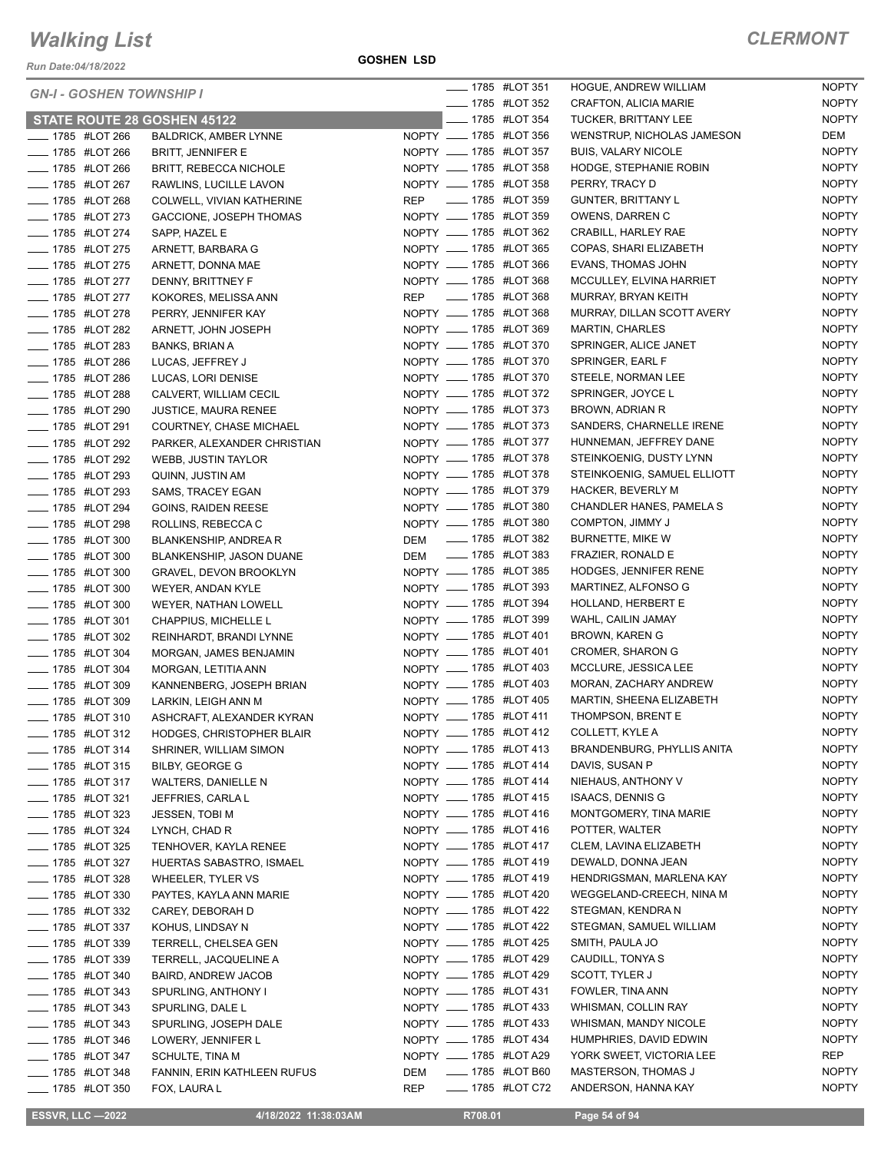**GOSHEN LSD**

| <b>GN-I - GOSHEN TOWNSHIP I</b>               |                                                  |            | <b>IMPLE 1785 #LOT 351</b>                       |                            | HOGUE, ANDREW WILLIAM                             | <b>NOPTY</b>                 |
|-----------------------------------------------|--------------------------------------------------|------------|--------------------------------------------------|----------------------------|---------------------------------------------------|------------------------------|
|                                               |                                                  |            | <b>______ 1785 #LOT 352</b>                      |                            | CRAFTON, ALICIA MARIE                             | <b>NOPTY</b>                 |
| STATE ROUTE 28 GOSHEN 45122                   |                                                  |            |                                                  | <b>IMPLE 1785 #LOT 354</b> | <b>TUCKER, BRITTANY LEE</b>                       | <b>NOPTY</b>                 |
| ____ 1785 #LOT 266                            | <b>BALDRICK, AMBER LYNNE</b>                     |            | NOPTY __ 1785 #LOT 356                           |                            | WENSTRUP, NICHOLAS JAMESON                        | DEM                          |
| <b>_____ 1785 #LOT 266</b>                    | <b>BRITT, JENNIFER E</b>                         |            | NOPTY __ 1785 #LOT 357                           |                            | <b>BUIS, VALARY NICOLE</b>                        | <b>NOPTY</b>                 |
| <b>_____ 1785 #LOT 266</b>                    | BRITT, REBECCA NICHOLE                           |            | NOPTY __ 1785 #LOT 358                           |                            | HODGE, STEPHANIE ROBIN                            | <b>NOPTY</b>                 |
| - 1785 #LOT 267                               | RAWLINS, LUCILLE LAVON                           |            | NOPTY __ 1785 #LOT 358                           |                            | PERRY, TRACY D                                    | <b>NOPTY</b>                 |
| LOT 268                                       | COLWELL, VIVIAN KATHERINE                        |            | REP __ 1785 #LOT 359                             |                            | <b>GUNTER, BRITTANY L</b>                         | <b>NOPTY</b>                 |
| <b>IMPLE 1785 #LOT 273</b>                    | GACCIONE, JOSEPH THOMAS                          |            | NOPTY __ 1785 #LOT 359                           |                            | OWENS, DARREN C                                   | <b>NOPTY</b>                 |
| - 1785 #LOT 274                               | SAPP. HAZEL E                                    |            | NOPTY __ 1785 #LOT 362                           |                            | CRABILL, HARLEY RAE                               | <b>NOPTY</b>                 |
| <b>LEGGE 44 1785 #LOT 275</b>                 | ARNETT, BARBARA G                                |            | NOPTY __ 1785 #LOT 365                           |                            | COPAS, SHARI ELIZABETH                            | <b>NOPTY</b>                 |
| <b>____ 1785 #LOT 275</b>                     | ARNETT, DONNA MAE                                |            | NOPTY __ 1785 #LOT 366                           |                            | <b>EVANS, THOMAS JOHN</b>                         | <b>NOPTY</b><br><b>NOPTY</b> |
| <b>_____ 1785 #LOT 277</b>                    | DENNY, BRITTNEY F                                |            | NOPTY __ 1785 #LOT 368                           |                            | MCCULLEY, ELVINA HARRIET                          |                              |
| <b>IMPLE 1785 #LOT 277</b>                    | KOKORES, MELISSA ANN                             |            | REP __ 1785 #LOT 368                             |                            | MURRAY, BRYAN KEITH                               | <b>NOPTY</b>                 |
| - 1785 #LOT 278                               | PERRY, JENNIFER KAY                              |            | NOPTY __ 1785 #LOT 368                           |                            | MURRAY, DILLAN SCOTT AVERY                        | <b>NOPTY</b>                 |
| - 1785 #LOT 282                               | ARNETT, JOHN JOSEPH                              |            | NOPTY __ 1785 #LOT 369                           |                            | <b>MARTIN, CHARLES</b>                            | <b>NOPTY</b>                 |
| - 1785 #LOT 283                               | <b>BANKS, BRIAN A</b>                            |            | NOPTY __ 1785 #LOT 370                           |                            | SPRINGER, ALICE JANET                             | <b>NOPTY</b>                 |
| <b>LEGGE 44 1785 #LOT 286</b>                 | LUCAS, JEFFREY J                                 |            | NOPTY __ 1785 #LOT 370                           |                            | SPRINGER, EARL F                                  | <b>NOPTY</b>                 |
| <b>____ 1785 #LOT 286</b>                     | LUCAS, LORI DENISE                               |            | NOPTY __ 1785 #LOT 370                           |                            | STEELE, NORMAN LEE                                | <b>NOPTY</b>                 |
| <b>______ 1785 #LOT 288</b>                   | CALVERT, WILLIAM CECIL                           |            | NOPTY __ 1785 #LOT 372<br>NOPTY __ 1785 #LOT 373 |                            | SPRINGER, JOYCE L                                 | <b>NOPTY</b>                 |
| <b>IMPLE 1785 #LOT 290</b>                    | <b>JUSTICE, MAURA RENEE</b>                      |            |                                                  |                            | BROWN, ADRIAN R                                   | <b>NOPTY</b>                 |
| - 1785 #LOT 291                               | COURTNEY, CHASE MICHAEL                          |            | NOPTY __ 1785 #LOT 373                           |                            | SANDERS, CHARNELLE IRENE                          | <b>NOPTY</b>                 |
| LOT 292                                       | PARKER, ALEXANDER CHRISTIAN                      |            | NOPTY __ 1785 #LOT 377                           |                            | HUNNEMAN, JEFFREY DANE                            | <b>NOPTY</b>                 |
| <b>IVELAGO #LOT 292</b>                       | <b>WEBB, JUSTIN TAYLOR</b>                       |            | NOPTY __ 1785 #LOT 378                           |                            | STEINKOENIG, DUSTY LYNN                           | <b>NOPTY</b>                 |
| -4785 #LOT 293                                | QUINN, JUSTIN AM                                 |            | NOPTY __ 1785 #LOT 378                           |                            | STEINKOENIG, SAMUEL ELLIOTT                       | <b>NOPTY</b><br><b>NOPTY</b> |
| <b>_____ 1785 #LOT 293</b>                    | SAMS, TRACEY EGAN                                |            | NOPTY __ 1785 #LOT 379                           |                            | <b>HACKER, BEVERLY M</b>                          | <b>NOPTY</b>                 |
| <b>_____ 1785 #LOT 294</b>                    | <b>GOINS, RAIDEN REESE</b>                       |            | NOPTY __ 1785 #LOT 380<br>NOPTY __ 1785 #LOT 380 |                            | CHANDLER HANES, PAMELA S                          | <b>NOPTY</b>                 |
| <b>IMPLE 1785 #LOT 298</b>                    | ROLLINS, REBECCA C                               |            |                                                  |                            | COMPTON, JIMMY J                                  | <b>NOPTY</b>                 |
| - 1785 #LOT 300                               | BLANKENSHIP, ANDREA R                            |            | DEM __ 1785 #LOT 382                             |                            | BURNETTE, MIKE W                                  |                              |
| - 1785 #LOT 300                               | BLANKENSHIP, JASON DUANE                         |            | DEM __ 1785 #LOT 383                             |                            | FRAZIER, RONALD E<br><b>HODGES, JENNIFER RENE</b> | <b>NOPTY</b><br><b>NOPTY</b> |
| - 1785 #LOT 300                               | <b>GRAVEL, DEVON BROOKLYN</b>                    |            | NOPTY __ 1785 #LOT 385<br>NOPTY __ 1785 #LOT 393 |                            | MARTINEZ, ALFONSO G                               | <b>NOPTY</b>                 |
| -4785 #LOT 300<br><b>LEGGE 1785 #LOT 300</b>  | WEYER, ANDAN KYLE                                |            | NOPTY _____ 1785 #LOT 394                        |                            | HOLLAND, HERBERT E                                | <b>NOPTY</b>                 |
|                                               | WEYER, NATHAN LOWELL                             |            | NOPTY __ 1785 #LOT 399                           |                            | WAHL, CAILIN JAMAY                                | <b>NOPTY</b>                 |
| <b>IMPLE 1785 #LOT 301</b><br>- 1785 #LOT 302 | CHAPPIUS, MICHELLE L                             |            | NOPTY __ 1785 #LOT 401                           |                            | <b>BROWN, KAREN G</b>                             | <b>NOPTY</b>                 |
| <b>LEGGE 44 1785 #LOT 304</b>                 | REINHARDT, BRANDI LYNNE                          |            | NOPTY __ 1785 #LOT 401                           |                            | <b>CROMER, SHARON G</b>                           | <b>NOPTY</b>                 |
| - 1785 #LOT 304                               | MORGAN, JAMES BENJAMIN<br>MORGAN, LETITIA ANN    |            | NOPTY __ 1785 #LOT 403                           |                            | MCCLURE, JESSICA LEE                              | <b>NOPTY</b>                 |
| LOT 309                                       | KANNENBERG, JOSEPH BRIAN                         |            | NOPTY __ 1785 #LOT 403                           |                            | MORAN, ZACHARY ANDREW                             | <b>NOPTY</b>                 |
| <b>_____ 1785 #LOT 309</b>                    |                                                  |            | NOPTY __ 1785 #LOT 405                           |                            | MARTIN, SHEENA ELIZABETH                          | <b>NOPTY</b>                 |
| <b>____</b> 1785 #LOT 310                     | LARKIN, LEIGH ANN M<br>ASHCRAFT, ALEXANDER KYRAN |            | NOPTY __ 1785 #LOT 411                           |                            | THOMPSON, BRENT E                                 | <b>NOPTY</b>                 |
| __ 1785 #LOT 312                              | HODGES, CHRISTOPHER BLAIR                        |            | NOPTY __ 1785 #LOT 412                           |                            | COLLETT, KYLE A                                   | <b>NOPTY</b>                 |
| <b>INCOLLEGAT 45 THE 1785 #LOT 314</b>        | SHRINER, WILLIAM SIMON                           |            | NOPTY __ 1785 #LOT 413                           |                            | BRANDENBURG, PHYLLIS ANITA                        | <b>NOPTY</b>                 |
| <b>LEGGE 44 1785 #LOT 315</b>                 | <b>BILBY, GEORGE G</b>                           |            | NOPTY __ 1785 #LOT 414                           |                            | DAVIS, SUSAN P                                    | <b>NOPTY</b>                 |
| <b>IMPLE 1785 #LOT 317</b>                    | WALTERS, DANIELLE N                              |            | NOPTY __ 1785 #LOT 414                           |                            | NIEHAUS, ANTHONY V                                | <b>NOPTY</b>                 |
| <b>____</b> 1785 #LOT 321                     | JEFFRIES, CARLA L                                |            | NOPTY __ 1785 #LOT 415                           |                            | <b>ISAACS, DENNIS G</b>                           | <b>NOPTY</b>                 |
| ____ 1785 #LOT 323                            | <b>JESSEN, TOBI M</b>                            |            | NOPTY __ 1785 #LOT 416                           |                            | MONTGOMERY, TINA MARIE                            | <b>NOPTY</b>                 |
| <b>_____ 1785 #LOT 324</b>                    | LYNCH, CHAD R                                    |            | NOPTY __ 1785 #LOT 416                           |                            | POTTER, WALTER                                    | <b>NOPTY</b>                 |
| <b>LEGGE 44 1785 #LOT 325</b>                 | TENHOVER, KAYLA RENEE                            |            | NOPTY __ 1785 #LOT 417                           |                            | CLEM, LAVINA ELIZABETH                            | <b>NOPTY</b>                 |
| <b>_____</b> 1785 #LOT 327                    | HUERTAS SABASTRO, ISMAEL                         |            | NOPTY __ 1785 #LOT 419                           |                            | DEWALD, DONNA JEAN                                | <b>NOPTY</b>                 |
| <b>____ 1785 #LOT 328</b>                     | <b>WHEELER, TYLER VS</b>                         |            | NOPTY __ 1785 #LOT 419                           |                            | HENDRIGSMAN, MARLENA KAY                          | <b>NOPTY</b>                 |
| <b>IMPLE 1785 #LOT 330</b>                    | PAYTES, KAYLA ANN MARIE                          |            | NOPTY __ 1785 #LOT 420                           |                            | WEGGELAND-CREECH, NINA M                          | <b>NOPTY</b>                 |
| <b>____ 1785 #LOT 332</b>                     | CAREY, DEBORAH D                                 |            | NOPTY __ 1785 #LOT 422                           |                            | STEGMAN, KENDRA N                                 | <b>NOPTY</b>                 |
| <b>IMPLE 1785 #LOT 337</b>                    | KOHUS, LINDSAY N                                 |            | NOPTY __ 1785 #LOT 422                           |                            | STEGMAN, SAMUEL WILLIAM                           | <b>NOPTY</b>                 |
| <b>IMPLE 1785 #LOT 339</b>                    | TERRELL, CHELSEA GEN                             |            | NOPTY __ 1785 #LOT 425                           |                            | SMITH, PAULA JO                                   | <b>NOPTY</b>                 |
| <b>_____ 1785 #LOT 339</b>                    | TERRELL, JACQUELINE A                            |            | NOPTY __ 1785 #LOT 429                           |                            | CAUDILL, TONYA S                                  | <b>NOPTY</b>                 |
| <b>IMPLE 1785 #LOT 340</b>                    | BAIRD, ANDREW JACOB                              |            | NOPTY __ 1785 #LOT 429                           |                            | SCOTT, TYLER J                                    | <b>NOPTY</b>                 |
| <b>LEGGE 44 1785 #LOT 343</b>                 | SPURLING, ANTHONY I                              |            | NOPTY __ 1785 #LOT 431                           |                            | FOWLER, TINA ANN                                  | <b>NOPTY</b>                 |
| <b>LEGGE #LOT 343</b>                         | SPURLING, DALE L                                 |            | NOPTY __ 1785 #LOT 433                           |                            | WHISMAN, COLLIN RAY                               | <b>NOPTY</b>                 |
| <b>LEGGE 44 1785 #LOT 343</b>                 | SPURLING, JOSEPH DALE                            |            | NOPTY __ 1785 #LOT 433                           |                            | WHISMAN, MANDY NICOLE                             | <b>NOPTY</b>                 |
| <b>_____</b> 1785 #LOT 346                    | LOWERY, JENNIFER L                               |            | NOPTY __ 1785 #LOT 434                           |                            | HUMPHRIES, DAVID EDWIN                            | <b>NOPTY</b>                 |
| ____ 1785 #LOT 347                            | SCHULTE, TINA M                                  |            | NOPTY __ 1785 #LOT A29                           |                            | YORK SWEET, VICTORIA LEE                          | REP                          |
| <b>_____</b> 1785 #LOT 348                    | FANNIN, ERIN KATHLEEN RUFUS                      | DEM        | - 1785 #LOT B60                                  |                            | <b>MASTERSON, THOMAS J</b>                        | <b>NOPTY</b>                 |
| <b>LEGGE 44 1785 #LOT 350</b>                 | FOX, LAURA L                                     | <b>REP</b> |                                                  | ____ 1785 #LOT C72         | ANDERSON, HANNA KAY                               | <b>NOPTY</b>                 |
|                                               |                                                  |            |                                                  |                            |                                                   |                              |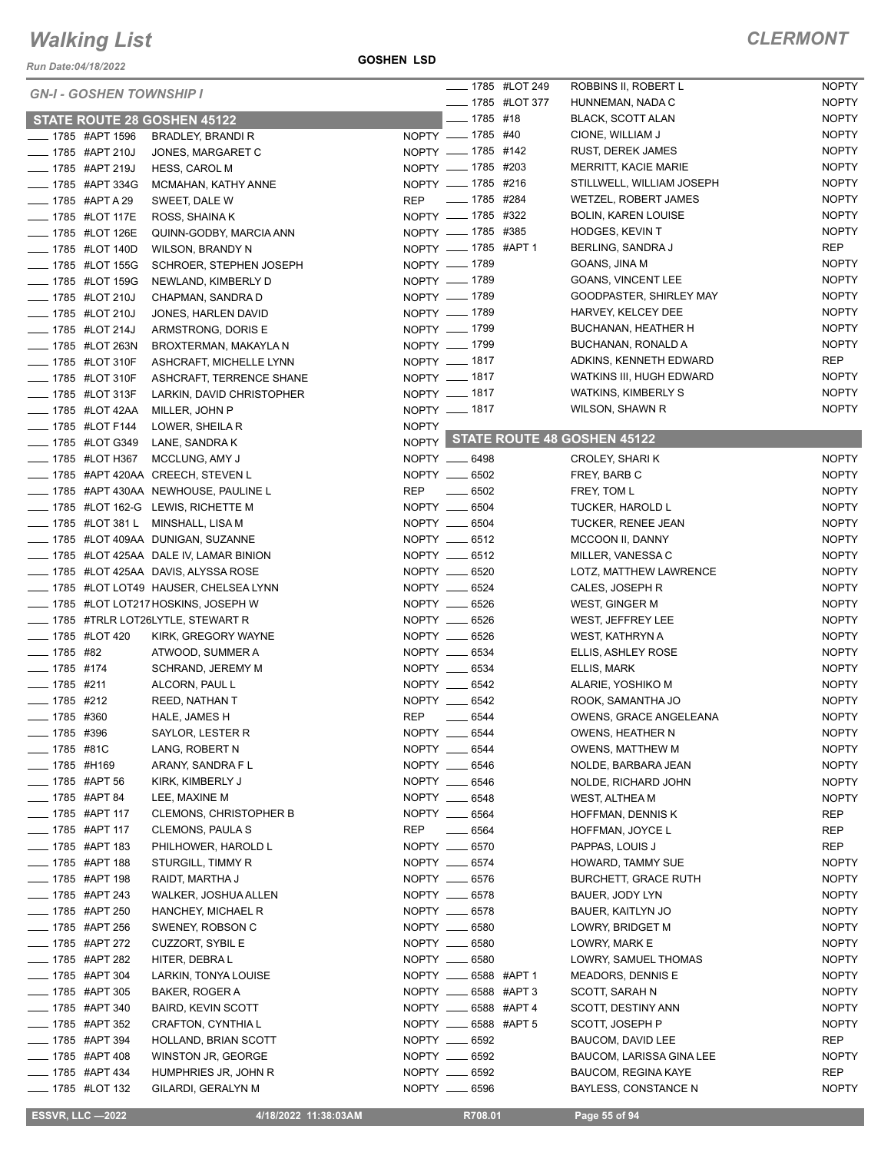*Run Date:04/18/2022*

|                             | <b>GN-I - GOSHEN TOWNSHIP I</b>  |                                         |              |                                | ____ 1785 #LOT 249 | ROBBINS II, ROBERT L                             | <b>NOPTY</b>        |
|-----------------------------|----------------------------------|-----------------------------------------|--------------|--------------------------------|--------------------|--------------------------------------------------|---------------------|
|                             |                                  |                                         |              |                                | ____ 1785 #LOT 377 | HUNNEMAN, NADA C                                 | <b>NOPTY</b>        |
|                             |                                  | <b>STATE ROUTE 28 GOSHEN 45122</b>      |              | $- 1785$ #18                   |                    | <b>BLACK, SCOTT ALAN</b>                         | <b>NOPTY</b>        |
|                             | ____ 1785 #APT 1596              | BRADLEY, BRANDI R                       |              | NOPTY __ 1785 #40              |                    | CIONE, WILLIAM J                                 | <b>NOPTY</b>        |
|                             | <b>LEGGE 44PT 210J</b>           | JONES, MARGARET C                       |              | NOPTY __ 1785 #142             |                    | <b>RUST, DEREK JAMES</b>                         | <b>NOPTY</b>        |
|                             | <b>LEGGE 44PT 219J</b>           | <b>HESS, CAROL M</b>                    |              | NOPTY __ 1785 #203             |                    | <b>MERRITT, KACIE MARIE</b>                      | <b>NOPTY</b>        |
|                             | - 1785 #APT 334G                 | MCMAHAN, KATHY ANNE                     |              | NOPTY __ 1785 #216             |                    | STILLWELL, WILLIAM JOSEPH                        | <b>NOPTY</b>        |
|                             | _ 1785 #APT A 29                 | SWEET, DALE W                           | <b>REP</b>   | _____ 1785 #284                |                    | WETZEL, ROBERT JAMES                             | <b>NOPTY</b>        |
|                             | ____ 1785 #LOT 117E              | ROSS, SHAINA K                          |              | NOPTY __ 1785 #322             |                    | <b>BOLIN, KAREN LOUISE</b>                       | <b>NOPTY</b>        |
|                             | <b>_____ 1785 #LOT 126E</b>      | QUINN-GODBY, MARCIA ANN                 |              | NOPTY __ 1785 #385             |                    | <b>HODGES, KEVIN T</b>                           | <b>NOPTY</b>        |
|                             | <b>LEGGE 4400</b> 1785 #LOT 140D | WILSON, BRANDY N                        |              | NOPTY __ 1785 #APT 1           |                    | BERLING, SANDRA J                                | <b>REP</b>          |
|                             | <b>LEGGE 44 1785 #LOT 155G</b>   | SCHROER, STEPHEN JOSEPH                 |              | NOPTY __ 1789                  |                    | GOANS, JINA M                                    | <b>NOPTY</b>        |
|                             | <b>_____ 1785 #LOT 159G</b>      | NEWLAND, KIMBERLY D                     |              | NOPTY - 1789                   |                    | GOANS, VINCENT LEE                               | <b>NOPTY</b>        |
|                             | <b>IMPLE 1785 #LOT 210J</b>      | CHAPMAN, SANDRA D                       |              | NOPTY __ 1789                  |                    | GOODPASTER, SHIRLEY MAY                          | <b>NOPTY</b>        |
|                             | <b>_____ 1785 #LOT 210J</b>      | JONES, HARLEN DAVID                     |              | NOPTY - 1789                   |                    | HARVEY, KELCEY DEE                               | <b>NOPTY</b>        |
|                             | _ 1785 #LOT 214J                 | ARMSTRONG, DORIS E                      |              | NOPTY __ 1799                  |                    | BUCHANAN, HEATHER H                              | <b>NOPTY</b>        |
|                             | <b>LEGGE 44 1785 #LOT 263N</b>   | BROXTERMAN, MAKAYLA N                   |              | NOPTY - 1799                   |                    | BUCHANAN, RONALD A                               | <b>NOPTY</b>        |
|                             | __ 1785 #LOT 310F                | ASHCRAFT, MICHELLE LYNN                 |              | NOPTY __ 1817                  |                    | ADKINS, KENNETH EDWARD                           | <b>REP</b>          |
|                             | ____ 1785 #LOT 310F              | ASHCRAFT, TERRENCE SHANE                |              | NOPTY __ 1817                  |                    | WATKINS III, HUGH EDWARD                         | <b>NOPTY</b>        |
|                             | <b>LEGGE 44 1785 #LOT 313F</b>   | LARKIN, DAVID CHRISTOPHER               |              | NOPTY - 1817                   |                    | <b>WATKINS, KIMBERLY S</b>                       | <b>NOPTY</b>        |
|                             | <b>LEGGE 42AA</b>                | MILLER, JOHN P                          |              | NOPTY __ 1817                  |                    | WILSON, SHAWN R                                  | <b>NOPTY</b>        |
|                             | <b>LEGGE 44 1785 #LOT F144</b>   | LOWER, SHEILA R                         | <b>NOPTY</b> |                                |                    |                                                  |                     |
|                             | _ 1785 #LOT G349                 | LANE, SANDRA K                          |              |                                |                    | NOPTY STATE ROUTE 48 GOSHEN 45122                |                     |
|                             | ____ 1785 #LOT H367              | MCCLUNG, AMY J                          |              | NOPTY __ 6498                  |                    | CROLEY, SHARI K                                  | <b>NOPTY</b>        |
|                             |                                  | ____ 1785 #APT 420AA CREECH, STEVEN L   |              | NOPTY __ 6502                  |                    | FREY, BARB C                                     | <b>NOPTY</b>        |
|                             |                                  | 1785 #APT 430AA NEWHOUSE, PAULINE L     | REP          | $\sim$ 6502                    |                    | FREY, TOM L                                      | <b>NOPTY</b>        |
|                             |                                  | 1785 #LOT 162-G LEWIS, RICHETTE M       |              | NOPTY __ 6504                  |                    | <b>TUCKER, HAROLD L</b>                          | <b>NOPTY</b>        |
|                             |                                  | 1785 #LOT 381 L MINSHALL, LISA M        |              | NOPTY __ 6504                  |                    | TUCKER, RENEE JEAN                               | <b>NOPTY</b>        |
|                             |                                  | _ 1785 #LOT 409AA DUNIGAN, SUZANNE      |              | NOPTY __ 6512                  |                    | MCCOON II, DANNY                                 | <b>NOPTY</b>        |
|                             |                                  | _ 1785 #LOT 425AA DALE IV, LAMAR BINION |              | NOPTY __ 6512                  |                    | MILLER, VANESSA C                                | <b>NOPTY</b>        |
|                             |                                  | 1785 #LOT 425AA DAVIS, ALYSSA ROSE      |              | NOPTY __ 6520                  |                    | LOTZ, MATTHEW LAWRENCE                           | <b>NOPTY</b>        |
|                             |                                  | 1785 #LOT LOT49 HAUSER, CHELSEA LYNN    |              | NOPTY __ 6524                  |                    | CALES, JOSEPH R                                  | <b>NOPTY</b>        |
|                             |                                  | 1785 #LOT LOT217 HOSKINS, JOSEPH W      |              | NOPTY __ 6526                  |                    | WEST, GINGER M                                   | <b>NOPTY</b>        |
|                             |                                  | ___ 1785 #TRLR LOT26LYTLE, STEWART R    |              | NOPTY __ 6526                  |                    | WEST, JEFFREY LEE                                | <b>NOPTY</b>        |
| -420 1785 #LOT 420          |                                  | KIRK, GREGORY WAYNE                     |              | NOPTY __ 6526                  |                    | WEST, KATHRYN A                                  | <b>NOPTY</b>        |
| $- 1785$ #82                |                                  | ATWOOD, SUMMER A                        |              | NOPTY __ 6534                  |                    | ELLIS, ASHLEY ROSE                               | <b>NOPTY</b>        |
| $- 1785$ #174               |                                  | SCHRAND, JEREMY M                       |              | NOPTY __ 6534                  |                    | ELLIS, MARK                                      | <b>NOPTY</b>        |
| $- 1785$ #211               |                                  | ALCORN, PAUL L                          |              | NOPTY __ 6542                  |                    | ALARIE, YOSHIKO M                                | <b>NOPTY</b>        |
| $- 1785$ #212               |                                  | REED, NATHAN T                          |              | NOPTY __ 6542                  |                    | ROOK, SAMANTHA JO                                | <b>NOPTY</b>        |
| $\frac{1}{2}$ 1785 #360     |                                  | HALE, JAMES H                           | <b>REP</b>   | $\frac{1}{2}$ 6544             |                    | OWENS, GRACE ANGELEANA                           | <b>NOPTY</b>        |
| $\frac{1}{2}$ 1785 #396     |                                  | SAYLOR, LESTER R                        |              | NOPTY __ 6544                  |                    | OWENS, HEATHER N                                 | <b>NOPTY</b>        |
| $\frac{1}{2}$ 1785 #81C     |                                  | LANG, ROBERT N                          |              | NOPTY __ 6544                  |                    | OWENS, MATTHEW M                                 | <b>NOPTY</b>        |
| ____ 1785 #H169             |                                  | ARANY, SANDRA F L                       |              | NOPTY __ 6546                  |                    | NOLDE, BARBARA JEAN                              | <b>NOPTY</b>        |
| ____ 1785 #APT 56           |                                  | KIRK, KIMBERLY J                        |              | NOPTY __ 6546                  |                    | NOLDE, RICHARD JOHN                              | <b>NOPTY</b>        |
| <b>____ 1785 #APT 84</b>    |                                  | LEE, MAXINE M                           |              | NOPTY __ 6548                  |                    | WEST, ALTHEA M                                   | <b>NOPTY</b>        |
| $\frac{1}{2}$ 1785 #APT 117 |                                  | <b>CLEMONS, CHRISTOPHER B</b>           |              | NOPTY __ 6564                  |                    | HOFFMAN, DENNIS K                                | REP                 |
| <b>INCOCO #APT 117</b>      |                                  | CLEMONS, PAULA S                        | REP          | $\frac{1}{1}$ 6564             |                    | HOFFMAN, JOYCE L                                 | REP                 |
|                             |                                  |                                         |              |                                |                    |                                                  |                     |
| ____ 1785 #APT 183          | <sub>___</sub> 1785 #APT 188     | PHILHOWER, HAROLD L                     |              | NOPTY __ 6570<br>NOPTY __ 6574 |                    | PAPPAS, LOUIS J                                  | REP<br><b>NOPTY</b> |
|                             | <sub>_</sub> _ 1785 #APT 198     | STURGILL, TIMMY R                       |              | NOPTY __ 6576                  |                    | HOWARD, TAMMY SUE<br><b>BURCHETT, GRACE RUTH</b> |                     |
|                             |                                  | RAIDT, MARTHA J                         |              |                                |                    |                                                  | <b>NOPTY</b>        |
| $\frac{1}{2}$ 1785 #APT 243 |                                  | WALKER, JOSHUA ALLEN                    |              | NOPTY __ 6578<br>NOPTY __ 6578 |                    | BAUER, JODY LYN                                  | <b>NOPTY</b>        |
| ____ 1785 #APT 250          |                                  | HANCHEY, MICHAEL R                      |              |                                |                    | BAUER, KAITLYN JO                                | <b>NOPTY</b>        |
| ____ 1785 #APT 256          |                                  | SWENEY, ROBSON C                        |              | NOPTY __ 6580                  |                    | LOWRY, BRIDGET M                                 | <b>NOPTY</b>        |
| ____ 1785 #APT 272          |                                  | <b>CUZZORT, SYBIL E</b>                 |              | NOPTY __ 6580                  |                    | LOWRY, MARK E                                    | <b>NOPTY</b>        |
| ____ 1785 #APT 282          |                                  | HITER, DEBRAL                           |              | NOPTY __ 6580                  |                    | LOWRY, SAMUEL THOMAS                             | <b>NOPTY</b>        |
| $\frac{1}{2}$ 1785 #APT 304 |                                  | LARKIN, TONYA LOUISE                    |              | NOPTY ____ 6588 #APT 1         |                    | MEADORS, DENNIS E                                | <b>NOPTY</b>        |
| ____ 1785 #APT 305          |                                  | BAKER, ROGER A                          |              | NOPTY _____ 6588 #APT 3        |                    | SCOTT, SARAH N                                   | <b>NOPTY</b>        |
| ____ 1785 #APT 340          |                                  | <b>BAIRD, KEVIN SCOTT</b>               |              | NOPTY __ 6588 #APT 4           |                    | SCOTT, DESTINY ANN                               | <b>NOPTY</b>        |
| _____ 1785 #APT 352         |                                  | CRAFTON, CYNTHIA L                      |              | NOPTY _____ 6588 #APT 5        |                    | SCOTT, JOSEPH P                                  | <b>NOPTY</b>        |
| -4785 #APT 394              |                                  | HOLLAND, BRIAN SCOTT                    |              | NOPTY __ 6592                  |                    | BAUCOM, DAVID LEE                                | REP                 |
| $\frac{1}{2}$ 1785 #APT 408 |                                  | WINSTON JR, GEORGE                      |              | NOPTY __ 6592                  |                    | BAUCOM, LARISSA GINA LEE                         | <b>NOPTY</b>        |
| ____ 1785 #APT 434          |                                  | HUMPHRIES JR, JOHN R                    |              | NOPTY __ 6592                  |                    | <b>BAUCOM, REGINA KAYE</b>                       | <b>REP</b>          |
| <b>____ 1785 #LOT 132</b>   |                                  | GILARDI, GERALYN M                      |              | NOPTY __ 6596                  |                    | <b>BAYLESS, CONSTANCE N</b>                      | <b>NOPTY</b>        |

**ESSVR, LLC -2022 4/18/2022 11:38:03AM R708.01 Page 55 of 94**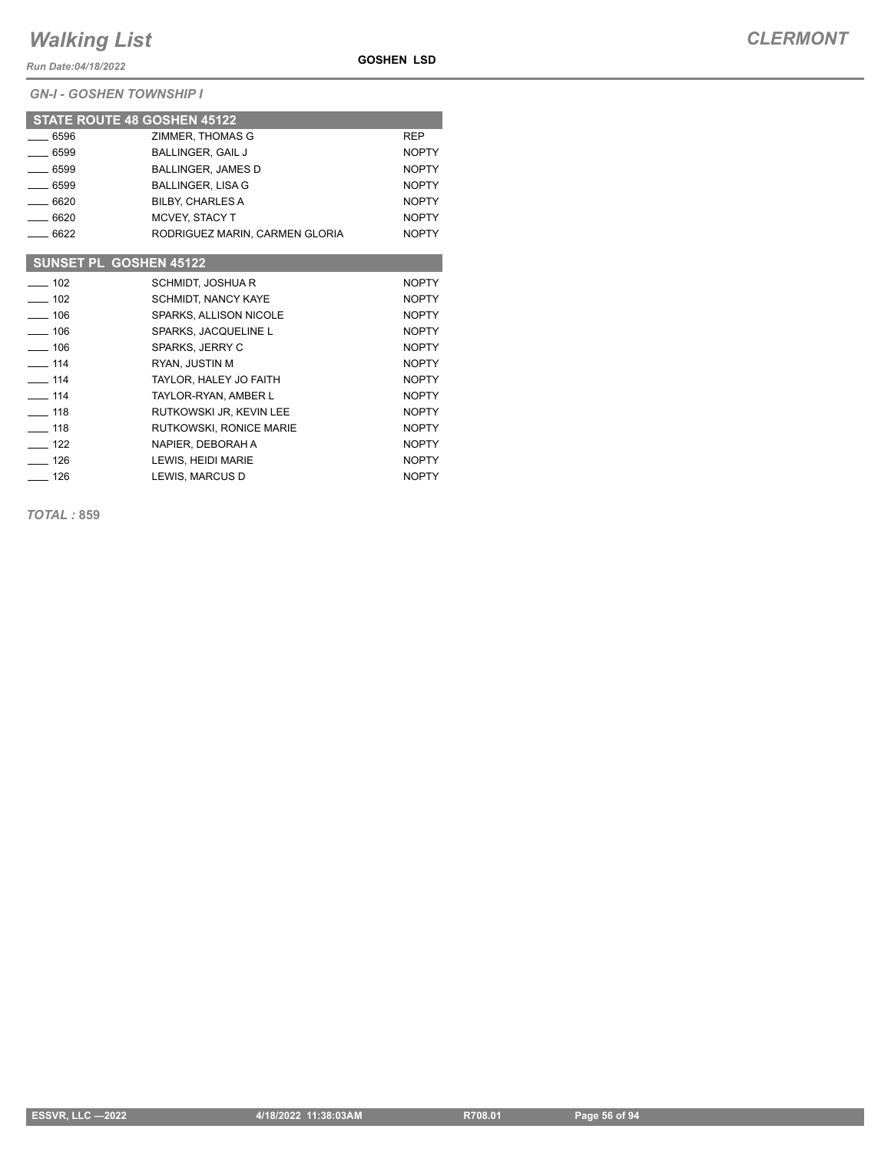*Run Date:04/18/2022*

*GN-I - GOSHEN TOWNSHIP I*

|                               | <b>STATE ROUTE 48 GOSHEN 45122</b> |              |
|-------------------------------|------------------------------------|--------------|
| $-6596$                       | ZIMMER, THOMAS G                   | <b>REP</b>   |
| $-6599$                       | <b>BALLINGER, GAIL J</b>           | <b>NOPTY</b> |
| $-6599$                       | BALLINGER, JAMES D                 | <b>NOPTY</b> |
| 6599                          | <b>BALLINGER, LISA G</b>           | <b>NOPTY</b> |
| $-6620$                       | <b>BILBY, CHARLES A</b>            | <b>NOPTY</b> |
| $-6620$                       | MCVEY, STACY T                     | <b>NOPTY</b> |
| $-6622$                       | RODRIGUEZ MARIN, CARMEN GLORIA     | <b>NOPTY</b> |
|                               |                                    |              |
| <b>SUNSET PL GOSHEN 45122</b> |                                    |              |
| $-102$                        | SCHMIDT, JOSHUA R                  | <b>NOPTY</b> |
| $\equiv$ 102                  | <b>SCHMIDT, NANCY KAYE</b>         | <b>NOPTY</b> |
| $\sim$ 106                    | SPARKS, ALLISON NICOLE             | <b>NOPTY</b> |
| $\equiv$ 106                  | SPARKS, JACQUELINE L               | <b>NOPTY</b> |
| $- 106$                       | SPARKS, JERRY C                    | <b>NOPTY</b> |
| $- 114$                       | RYAN, JUSTIN M                     | <b>NOPTY</b> |
| $\equiv$ 114                  | TAYLOR, HALEY JO FAITH             | <b>NOPTY</b> |
| $\overline{\phantom{0}}$ 114  | TAYLOR-RYAN, AMBER L               | <b>NOPTY</b> |
| $-118$                        | RUTKOWSKI JR, KEVIN LEE            | <b>NOPTY</b> |
| $-118$                        | RUTKOWSKI, RONICE MARIE            | <b>NOPTY</b> |
| $-122$                        | NAPIER, DEBORAH A                  | <b>NOPTY</b> |

LEWIS, HEIDI MARIE NOPTY  $\frac{126}{2}$  126 LEWIS, MARCUS D

**GOSHEN LSD**

*TOTAL :* **859**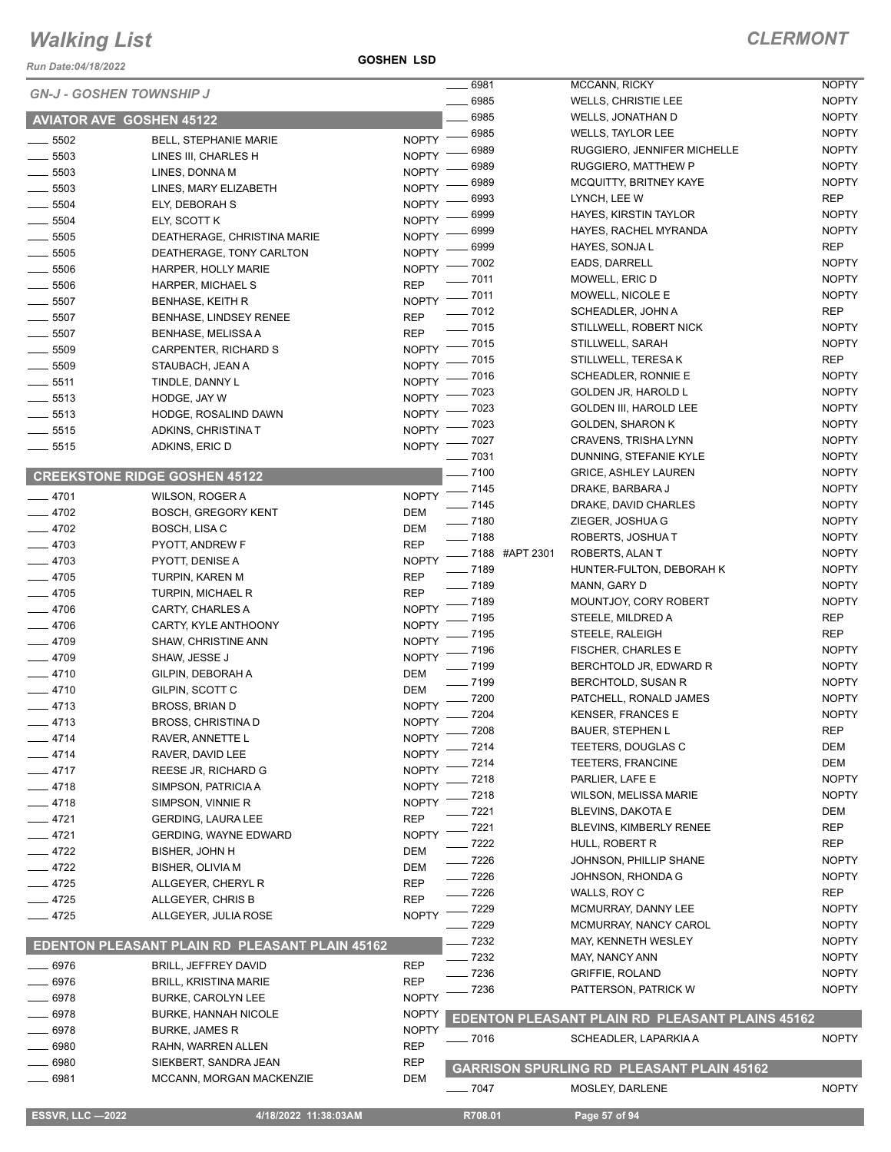**GOSHEN LSD**

|                                 |                                                |                              | $- 6981$ |                            | <b>MCCANN, RICKY</b>                             | <b>NOPTY</b>                 |
|---------------------------------|------------------------------------------------|------------------------------|----------|----------------------------|--------------------------------------------------|------------------------------|
| <b>GN-J - GOSHEN TOWNSHIP J</b> |                                                | $-6985$                      |          | <b>WELLS, CHRISTIE LEE</b> | <b>NOPTY</b>                                     |                              |
| <b>AVIATOR AVE GOSHEN 45122</b> |                                                |                              | 6985     |                            | WELLS, JONATHAN D                                | <b>NOPTY</b>                 |
| $\frac{1}{2}$ 5502              | <b>BELL, STEPHANIE MARIE</b>                   | $NOPTY$ –                    | 6985     |                            | <b>WELLS, TAYLOR LEE</b>                         | <b>NOPTY</b>                 |
| $\frac{1}{2}$ 5503              | LINES III, CHARLES H                           | NOPTY -                      | 6989     |                            | RUGGIERO, JENNIFER MICHELLE                      | <b>NOPTY</b>                 |
| $- 5503$                        | LINES, DONNA M                                 | <b>NOPTY</b>                 | 6989     |                            | RUGGIERO, MATTHEW P                              | <b>NOPTY</b>                 |
| $\frac{1}{2}$ 5503              | LINES, MARY ELIZABETH                          | <b>NOPTY</b>                 | 6989     |                            | MCQUITTY, BRITNEY KAYE                           | <b>NOPTY</b>                 |
| $- 5504$                        | ELY, DEBORAH S                                 | <b>NOPTY</b>                 | 6993     |                            | LYNCH, LEE W                                     | <b>REP</b>                   |
| $\frac{1}{2}$ 5504              |                                                | <b>NOPTY</b>                 | 6999     |                            | HAYES, KIRSTIN TAYLOR                            | <b>NOPTY</b>                 |
|                                 | ELY, SCOTT K                                   | <b>NOPTY</b>                 | 6999     |                            | HAYES, RACHEL MYRANDA                            | <b>NOPTY</b>                 |
| $\frac{1}{2}$ 5505              | DEATHERAGE, CHRISTINA MARIE                    |                              | 6999     |                            | HAYES, SONJA L                                   | <b>REP</b>                   |
| $\frac{1}{2}$ 5505              | DEATHERAGE, TONY CARLTON                       | <b>NOPTY</b>                 | _ 7002   |                            | EADS, DARRELL                                    | <b>NOPTY</b>                 |
| $\frac{1}{2}$ 5506              | HARPER, HOLLY MARIE                            | $N$ OPTY $-$                 | $-7011$  |                            | MOWELL, ERIC D                                   | <b>NOPTY</b>                 |
| $\frac{1}{2}$ 5506              | HARPER, MICHAEL S                              | <b>REP</b>                   | $-7011$  |                            | MOWELL, NICOLE E                                 | <b>NOPTY</b>                 |
| $\frac{1}{2}$ 5507              | <b>BENHASE, KEITH R</b>                        | <b>NOPTY</b>                 | $-7012$  |                            | SCHEADLER, JOHN A                                | <b>REP</b>                   |
| $\frac{1}{2}$ 5507              | BENHASE, LINDSEY RENEE                         | <b>REP</b>                   | $-7015$  |                            | STILLWELL, ROBERT NICK                           | <b>NOPTY</b>                 |
| $\frac{1}{2}$ 5507              | <b>BENHASE, MELISSA A</b>                      | <b>REP</b>                   | $-7015$  |                            | STILLWELL, SARAH                                 | <b>NOPTY</b>                 |
| $\frac{1}{2}$ 5509              | CARPENTER, RICHARD S                           | <b>NOPTY</b>                 | 7015     |                            | STILLWELL, TERESA K                              | <b>REP</b>                   |
| 5509                            | STAUBACH, JEAN A                               | <b>NOPTY</b>                 | 7016     |                            | SCHEADLER, RONNIE E                              | <b>NOPTY</b>                 |
| $-5511$                         | TINDLE, DANNY L                                | <b>NOPTY</b>                 | 7023     |                            | <b>GOLDEN JR, HAROLD L</b>                       | <b>NOPTY</b>                 |
| $\frac{1}{2}$ 5513              | HODGE, JAY W                                   | <b>NOPTY</b>                 | 7023     |                            | <b>GOLDEN III, HAROLD LEE</b>                    | <b>NOPTY</b>                 |
| $\frac{1}{2}$ 5513              | HODGE, ROSALIND DAWN                           | <b>NOPTY</b>                 |          |                            |                                                  |                              |
| $- 5515$                        | ADKINS, CHRISTINA T                            | <b>NOPTY</b>                 | .7023    |                            | <b>GOLDEN, SHARON K</b>                          | <b>NOPTY</b><br><b>NOPTY</b> |
| $\frac{1}{2}$ 5515              | ADKINS, ERIC D                                 | NOPTY <sup>-</sup>           | .7027    |                            | CRAVENS, TRISHA LYNN                             |                              |
|                                 |                                                |                              | $-7031$  |                            | DUNNING, STEFANIE KYLE                           | <b>NOPTY</b>                 |
|                                 | <b>CREEKSTONE RIDGE GOSHEN 45122</b>           |                              | $- 7100$ |                            | <b>GRICE, ASHLEY LAUREN</b>                      | <b>NOPTY</b>                 |
| $-4701$                         | WILSON, ROGER A                                | <b>NOPTY</b>                 | $- 7145$ |                            | DRAKE, BARBARA J                                 | <b>NOPTY</b>                 |
| $-4702$                         | <b>BOSCH, GREGORY KENT</b>                     | <b>DEM</b>                   | $- 7145$ |                            | DRAKE, DAVID CHARLES                             | <b>NOPTY</b>                 |
| $-4702$                         | BOSCH, LISA C                                  | <b>DEM</b>                   | $- 7180$ |                            | ZIEGER, JOSHUA G                                 | <b>NOPTY</b>                 |
| $-4703$                         | PYOTT, ANDREW F                                | <b>REP</b>                   | $- 7188$ |                            | ROBERTS, JOSHUAT                                 | <b>NOPTY</b>                 |
| $-4703$                         | PYOTT, DENISE A                                | <b>NOPTY</b>                 |          | -88 #APT 2301              | ROBERTS, ALAN T                                  | <b>NOPTY</b>                 |
| $-4705$                         | TURPIN, KAREN M                                | <b>REP</b>                   | $- 7189$ |                            | HUNTER-FULTON, DEBORAH K                         | <b>NOPTY</b>                 |
| $-4705$                         | <b>TURPIN, MICHAEL R</b>                       | <b>REP</b>                   | $- 7189$ |                            | MANN, GARY D                                     | <b>NOPTY</b>                 |
| $-4706$                         | CARTY, CHARLES A                               | <b>NOPTY</b>                 | $-7189$  |                            | MOUNTJOY, CORY ROBERT                            | <b>NOPTY</b>                 |
| $-4706$                         | CARTY, KYLE ANTHOONY                           | <b>NOPTY</b>                 | 7195     |                            | STEELE, MILDRED A                                | <b>REP</b>                   |
| $-4709$                         | <b>SHAW, CHRISTINE ANN</b>                     | <b>NOPTY</b>                 | 7195     |                            | STEELE, RALEIGH                                  | <b>REP</b>                   |
| $-4709$                         | SHAW, JESSE J                                  | <b>NOPTY</b>                 | - 7196   |                            | FISCHER, CHARLES E                               | <b>NOPTY</b>                 |
| $-4710$                         | GILPIN, DEBORAH A                              | <b>DEM</b>                   | $-7199$  |                            | BERCHTOLD JR, EDWARD R                           | <b>NOPTY</b>                 |
| $-4710$                         | GILPIN, SCOTT C                                | DEM                          | $- 7199$ |                            | BERCHTOLD, SUSAN R                               | <b>NOPTY</b>                 |
| $-4713$                         | <b>BROSS, BRIAN D</b>                          | <b>NOPTY</b>                 | $-7200$  |                            | PATCHELL, RONALD JAMES                           | <b>NOPTY</b>                 |
| $-4713$                         | <b>BROSS, CHRISTINA D</b>                      | <b>NOPTY</b>                 | $-7204$  |                            | <b>KENSER, FRANCES E</b>                         | <b>NOPTY</b>                 |
|                                 |                                                |                              | $-7208$  |                            | BAUER, STEPHEN L                                 | <b>REP</b>                   |
| $-4714$                         | RAVER, ANNETTE L                               | <b>NOPTY</b><br><b>NOPTY</b> | - 7214   |                            | TEETERS, DOUGLAS C                               | <b>DEM</b>                   |
| 4714                            | RAVER, DAVID LEE                               | <b>NOPTY</b>                 | 7214     |                            | <b>TEETERS, FRANCINE</b>                         | <b>DEM</b>                   |
| $-4717$                         | REESE JR, RICHARD G                            |                              | 7218     |                            | PARLIER, LAFE E                                  | <b>NOPTY</b>                 |
| $-4718$                         | SIMPSON, PATRICIA A                            | <b>NOPTY</b>                 | 7218     |                            | <b>WILSON, MELISSA MARIE</b>                     | <b>NOPTY</b>                 |
| 4718                            | SIMPSON, VINNIE R                              | <b>NOPTY</b>                 | 7221     |                            | <b>BLEVINS, DAKOTA E</b>                         | <b>DEM</b>                   |
| - 4721                          | <b>GERDING, LAURA LEE</b>                      | <b>REP</b>                   | 7221     |                            | BLEVINS, KIMBERLY RENEE                          | <b>REP</b>                   |
| $-4721$                         | <b>GERDING, WAYNE EDWARD</b>                   | <b>NOPTY</b>                 | 7222     |                            | HULL, ROBERT R                                   | <b>REP</b>                   |
| $-4722$                         | <b>BISHER, JOHN H</b>                          | DEM                          | . 7226   |                            | JOHNSON, PHILLIP SHANE                           | <b>NOPTY</b>                 |
| $-4722$                         | <b>BISHER, OLIVIA M</b>                        | <b>DEM</b>                   | $-7226$  |                            | JOHNSON, RHONDA G                                | <b>NOPTY</b>                 |
| $-4725$                         | ALLGEYER, CHERYL R                             | <b>REP</b>                   | $-7226$  |                            | WALLS, ROY C                                     | <b>REP</b>                   |
| $-4725$                         | ALLGEYER, CHRIS B                              | <b>REP</b>                   | - 7229   |                            | MCMURRAY, DANNY LEE                              | <b>NOPTY</b>                 |
| $-4725$                         | ALLGEYER, JULIA ROSE                           | <b>NOPTY</b>                 | 7229     |                            | MCMURRAY, NANCY CAROL                            | <b>NOPTY</b>                 |
|                                 |                                                |                              | 7232     |                            | MAY, KENNETH WESLEY                              | <b>NOPTY</b>                 |
|                                 | EDENTON PLEASANT PLAIN RD PLEASANT PLAIN 45162 |                              | 7232     |                            | MAY, NANCY ANN                                   | <b>NOPTY</b>                 |
| 6976                            | BRILL, JEFFREY DAVID                           | <b>REP</b>                   | 7236     |                            | <b>GRIFFIE, ROLAND</b>                           | <b>NOPTY</b>                 |
| 6976                            | <b>BRILL, KRISTINA MARIE</b>                   | <b>REP</b>                   | 7236     |                            | PATTERSON, PATRICK W                             | <b>NOPTY</b>                 |
| 6978                            | <b>BURKE, CAROLYN LEE</b>                      | <b>NOPTY</b>                 |          |                            |                                                  |                              |
| 6978                            | <b>BURKE, HANNAH NICOLE</b>                    | <b>NOPTY</b>                 |          |                            | EDENTON PLEASANT PLAIN RD PLEASANT PLAINS 45162  |                              |
| 6978                            | <b>BURKE, JAMES R</b>                          | <b>NOPTY</b>                 |          |                            |                                                  |                              |
| 6980                            | RAHN, WARREN ALLEN                             | <b>REP</b>                   | $- 7016$ |                            | SCHEADLER, LAPARKIA A                            | <b>NOPTY</b>                 |
| 6980                            | SIEKBERT, SANDRA JEAN                          | <b>REP</b>                   |          |                            | <b>GARRISON SPURLING RD PLEASANT PLAIN 45162</b> |                              |
| $-6981$                         | MCCANN, MORGAN MACKENZIE                       | <b>DEM</b>                   |          |                            |                                                  |                              |
|                                 |                                                |                              | $- 7047$ |                            | MOSLEY, DARLENE                                  | <b>NOPTY</b>                 |
| <b>ESSVR, LLC -2022</b>         | 4/18/2022 11:38:03AM                           |                              | R708.01  |                            | Page 57 of 94                                    |                              |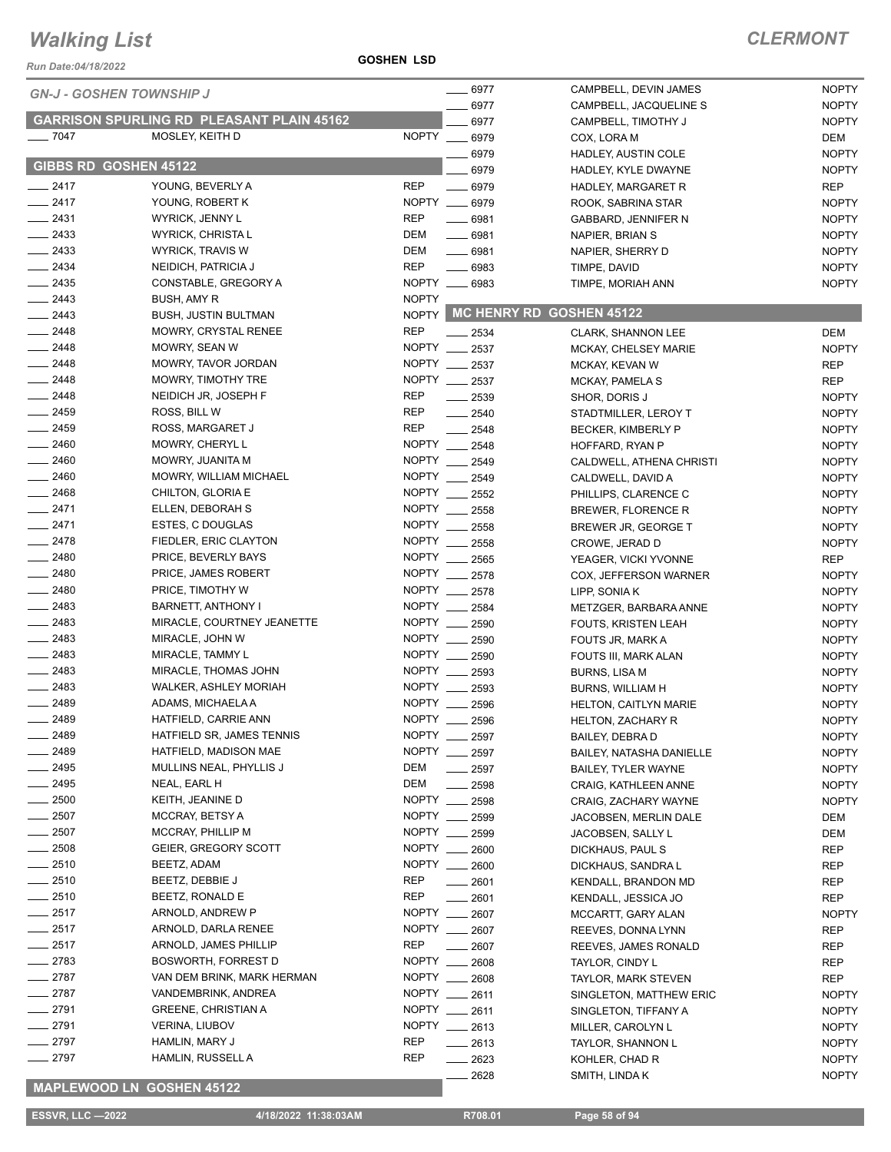### **GOSHEN LSD**

### *CLERMONT*

| Run Date:04/18/2022          |                                                  | <b>GOSHEN LSD</b> |                          |                             |              |
|------------------------------|--------------------------------------------------|-------------------|--------------------------|-----------------------------|--------------|
|                              | <b>GN-J - GOSHEN TOWNSHIP J</b>                  |                   | $- 6977$                 | CAMPBELL, DEVIN JAMES       | <b>NOPTY</b> |
|                              |                                                  |                   | 6977                     | CAMPBELL, JACQUELINE S      | <b>NOPTY</b> |
|                              | <b>GARRISON SPURLING RD PLEASANT PLAIN 45162</b> |                   | 6977                     | CAMPBELL, TIMOTHY J         | <b>NOPTY</b> |
| $- 7047$                     | MOSLEY, KEITH D                                  |                   | NOPTY __ 6979            | COX, LORA M                 | DEM          |
|                              |                                                  |                   | 6979                     | HADLEY, AUSTIN COLE         | <b>NOPTY</b> |
| <b>GIBBS RD GOSHEN 45122</b> |                                                  |                   | 6979                     | HADLEY, KYLE DWAYNE         | <b>NOPTY</b> |
| $-2417$                      | YOUNG, BEVERLY A                                 | <b>REP</b>        | $- 6979$                 | HADLEY, MARGARET R          | <b>REP</b>   |
| $-2417$                      | YOUNG, ROBERT K                                  |                   | NOPTY __ 6979            | ROOK, SABRINA STAR          | <b>NOPTY</b> |
| $-2431$                      | WYRICK, JENNY L                                  | <b>REP</b>        | $-6981$                  | GABBARD, JENNIFER N         | <b>NOPTY</b> |
| $-2433$                      | WYRICK, CHRISTA L                                | DEM               | $- 6981$                 | NAPIER, BRIAN S             | <b>NOPTY</b> |
| $\equiv$ 2433                | <b>WYRICK, TRAVIS W</b>                          | DEM               | $- 6981$                 | NAPIER, SHERRY D            | <b>NOPTY</b> |
| $\frac{2434}{2}$             | NEIDICH, PATRICIA J                              | <b>REP</b>        | $- 6983$                 | TIMPE, DAVID                | <b>NOPTY</b> |
| $-2435$                      | CONSTABLE, GREGORY A                             |                   | NOPTY __ 6983            | TIMPE, MORIAH ANN           | <b>NOPTY</b> |
| $\frac{2443}{2}$             | BUSH, AMY R                                      | <b>NOPTY</b>      |                          |                             |              |
| $\frac{2443}{2}$             | <b>BUSH, JUSTIN BULTMAN</b>                      | <b>NOPTY</b>      |                          | MC HENRY RD GOSHEN 45122    |              |
| $-2448$                      | MOWRY, CRYSTAL RENEE                             | <b>REP</b>        |                          |                             |              |
| $-2448$                      | MOWRY, SEAN W                                    |                   | $-2534$<br>NOPTY __ 2537 | <b>CLARK, SHANNON LEE</b>   | <b>DEM</b>   |
| $\frac{2448}{5}$             | MOWRY, TAVOR JORDAN                              |                   | NOPTY __ 2537            | <b>MCKAY, CHELSEY MARIE</b> | <b>NOPTY</b> |
| $\frac{2448}{5}$             |                                                  |                   |                          | MCKAY, KEVAN W              | <b>REP</b>   |
|                              | MOWRY, TIMOTHY TRE                               |                   | NOPTY __ 2537            | <b>MCKAY, PAMELA S</b>      | <b>REP</b>   |
| $-2448$                      | NEIDICH JR, JOSEPH F                             | <b>REP</b>        | $-2539$                  | SHOR, DORIS J               | <b>NOPTY</b> |
| $\frac{1}{2459}$             | ROSS, BILL W                                     | <b>REP</b>        | $-2540$                  | STADTMILLER, LEROY T        | <b>NOPTY</b> |
| $-2459$                      | ROSS, MARGARET J                                 | <b>REP</b>        | $-2548$                  | BECKER, KIMBERLY P          | <b>NOPTY</b> |
| $-2460$                      | MOWRY, CHERYL L                                  |                   | NOPTY __ 2548            | HOFFARD, RYAN P             | <b>NOPTY</b> |
| $-2460$                      | MOWRY, JUANITA M                                 |                   | NOPTY __ 2549            | CALDWELL, ATHENA CHRISTI    | <b>NOPTY</b> |
| $-2460$                      | MOWRY, WILLIAM MICHAEL                           |                   | NOPTY __ 2549            | CALDWELL, DAVID A           | <b>NOPTY</b> |
| $\frac{1}{2468}$             | CHILTON, GLORIA E                                |                   | NOPTY __ 2552            | PHILLIPS, CLARENCE C        | <b>NOPTY</b> |
| $-2471$                      | ELLEN, DEBORAH S                                 |                   | NOPTY __ 2558            | BREWER, FLORENCE R          | <b>NOPTY</b> |
| $-2471$                      | ESTES, C DOUGLAS                                 |                   | NOPTY __ 2558            | BREWER JR, GEORGE T         | <b>NOPTY</b> |
| $-2478$                      | FIEDLER, ERIC CLAYTON                            |                   | NOPTY __ 2558            | CROWE, JERAD D              | <b>NOPTY</b> |
| $-2480$                      | PRICE, BEVERLY BAYS                              |                   | NOPTY __ 2565            | YEAGER, VICKI YVONNE        | <b>REP</b>   |
| $-2480$                      | PRICE, JAMES ROBERT                              |                   | NOPTY __ 2578            | COX, JEFFERSON WARNER       | <b>NOPTY</b> |
| $-2480$                      | PRICE, TIMOTHY W                                 |                   | NOPTY __ 2578            | LIPP, SONIA K               | <b>NOPTY</b> |
| $-2483$                      | BARNETT, ANTHONY I                               | NOPTY __          | 2584                     | METZGER, BARBARA ANNE       | <b>NOPTY</b> |
| $\frac{1}{2483}$             | MIRACLE, COURTNEY JEANETTE                       | NOPTY             | 2590                     | <b>FOUTS, KRISTEN LEAH</b>  | <b>NOPTY</b> |
| $-2483$                      | MIRACLE, JOHN W                                  |                   | NOPTY __ 2590            | FOUTS JR, MARK A            | <b>NOPTY</b> |
| $-2483$                      | MIRACLE, TAMMY L                                 |                   | NOPTY __ 2590            | FOUTS III, MARK ALAN        | <b>NOPTY</b> |
| $-2483$                      | MIRACLE, THOMAS JOHN                             |                   | NOPTY __ 2593            | <b>BURNS, LISA M</b>        | <b>NOPTY</b> |
| $-2483$                      | WALKER, ASHLEY MORIAH                            | NOPTY __          | 2593                     | <b>BURNS, WILLIAM H</b>     | <b>NOPTY</b> |
| $-2489$                      | ADAMS, MICHAELA A                                | <b>NOPTY</b>      | 2596                     | HELTON, CAITLYN MARIE       | <b>NOPTY</b> |
| 2489                         | HATFIELD, CARRIE ANN                             |                   | NOPTY __ 2596            | HELTON, ZACHARY R           | <b>NOPTY</b> |
| 2489                         | HATFIELD SR, JAMES TENNIS                        | NOPTY ___         | 2597                     | <b>BAILEY, DEBRA D</b>      | <b>NOPTY</b> |
| 2489                         | HATFIELD, MADISON MAE                            | NOPTY __          | 2597                     | BAILEY, NATASHA DANIELLE    | <b>NOPTY</b> |
| $-2495$                      | MULLINS NEAL, PHYLLIS J                          | DEM               | 2597                     | BAILEY, TYLER WAYNE         | <b>NOPTY</b> |
| $-2495$                      | NEAL, EARL H                                     | DEM               | 2598                     | CRAIG, KATHLEEN ANNE        | <b>NOPTY</b> |
| $-2500$                      | KEITH, JEANINE D                                 | NOPTY __          | 2598                     | CRAIG, ZACHARY WAYNE        | <b>NOPTY</b> |
| $\frac{1}{2507}$             | MCCRAY, BETSY A                                  | NOPTY ___         | 2599                     | JACOBSEN, MERLIN DALE       | DEM          |
| $\frac{1}{2507}$             | MCCRAY, PHILLIP M                                | NOPTY __          | 2599                     |                             | <b>DEM</b>   |
| $\frac{1}{2508}$             | GEIER, GREGORY SCOTT                             | NOPTY __          |                          | JACOBSEN, SALLY L           |              |
| $-2510$                      | BEETZ, ADAM                                      |                   | 2600<br>NOPTY __ 2600    | DICKHAUS, PAUL S            | REP          |
| $-2510$                      |                                                  | REP               |                          | DICKHAUS, SANDRA L          | REP          |
|                              | BEETZ, DEBBIE J<br>BEETZ, RONALD E               |                   | 2601                     | KENDALL, BRANDON MD         | REP          |
| $-2510$                      |                                                  | <b>REP</b>        | 2601                     | KENDALL, JESSICA JO         | REP          |
| $-2517$                      | ARNOLD, ANDREW P                                 | <b>NOPTY</b>      | 2607                     | MCCARTT, GARY ALAN          | <b>NOPTY</b> |
| $= 2517$                     | ARNOLD, DARLA RENEE                              | <b>NOPTY</b>      | 2607                     | REEVES, DONNA LYNN          | REP          |
| 2517                         | ARNOLD, JAMES PHILLIP                            | <b>REP</b>        | 2607                     | REEVES, JAMES RONALD        | REP          |
| 2783                         | BOSWORTH, FORREST D                              | NOPTY __          | 2608                     | TAYLOR, CINDY L             | REP          |
| $-2787$                      | VAN DEM BRINK, MARK HERMAN                       | NOPTY __          | 2608                     | TAYLOR, MARK STEVEN         | REP          |
| $-2787$                      | VANDEMBRINK, ANDREA                              | NOPTY ___         | 2611                     | SINGLETON, MATTHEW ERIC     | <b>NOPTY</b> |
| $-2791$                      | <b>GREENE, CHRISTIAN A</b>                       |                   | NOPTY __ 2611            | SINGLETON, TIFFANY A        | <b>NOPTY</b> |
| $-2791$                      | <b>VERINA, LIUBOV</b>                            | <b>NOPTY</b>      | $-2613$                  | MILLER, CAROLYN L           | <b>NOPTY</b> |
| $-2797$                      | HAMLIN, MARY J                                   | <b>REP</b>        | 2613                     | TAYLOR, SHANNON L           | <b>NOPTY</b> |
| $-2797$                      | HAMLIN, RUSSELL A                                | <b>REP</b>        | 2623                     | KOHLER, CHAD R              | <b>NOPTY</b> |
|                              |                                                  |                   | 2628                     | SMITH, LINDA K              | <b>NOPTY</b> |

### **MAPLEWOOD LN GOSHEN 45122**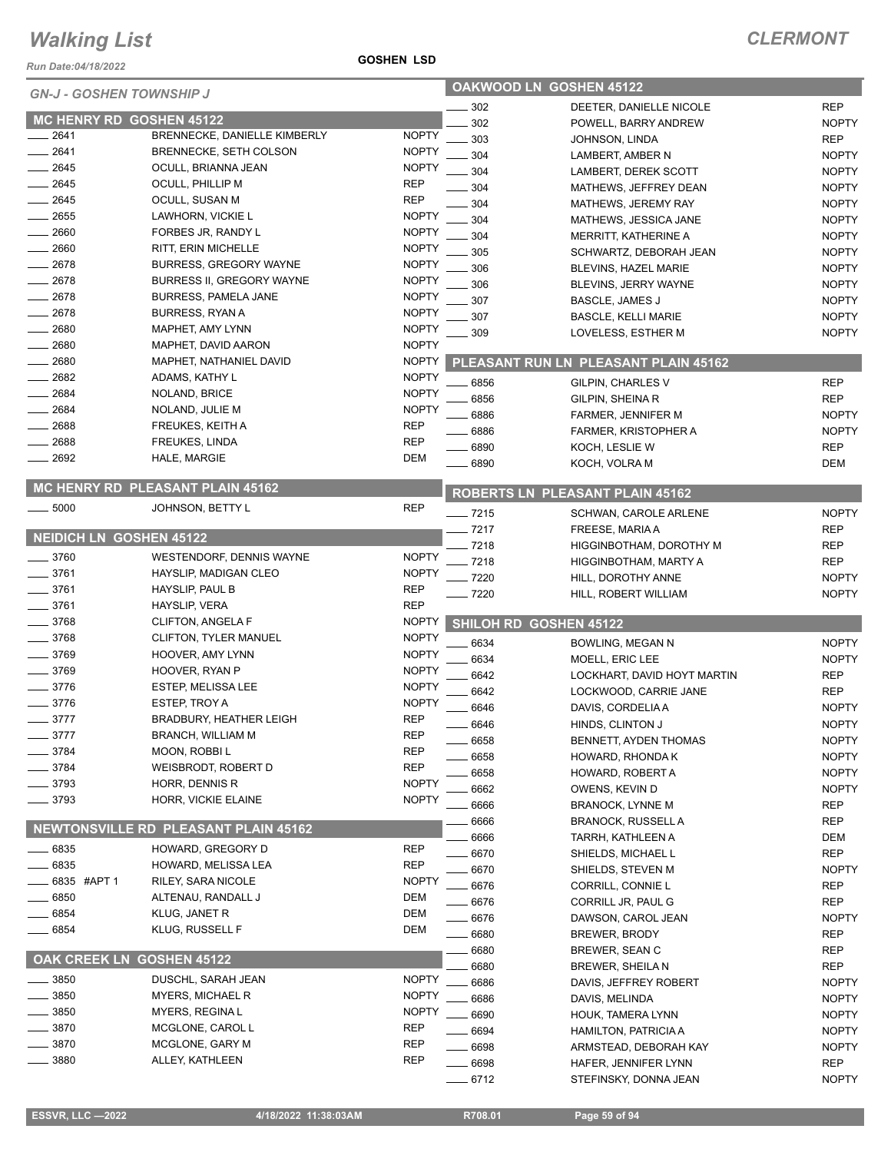*Run Date:04/18/2022*

| <b>GN-J - GOSHEN TOWNSHIP J</b> |                                      | OAKWOOD LN GOSHEN 45122 |                         |                                      |              |
|---------------------------------|--------------------------------------|-------------------------|-------------------------|--------------------------------------|--------------|
|                                 |                                      | 302                     | DEETER, DANIELLE NICOLE | <b>REP</b>                           |              |
| MC HENRY RD GOSHEN 45122        |                                      |                         | 302                     | POWELL, BARRY ANDREW                 | <b>NOPTY</b> |
| 2641                            | BRENNECKE, DANIELLE KIMBERLY         | <b>NOPTY</b>            | 303                     | JOHNSON, LINDA                       | <b>REP</b>   |
| 2641                            | BRENNECKE, SETH COLSON               | <b>NOPTY</b>            | 304                     | LAMBERT, AMBER N                     | <b>NOPTY</b> |
| 2645                            | OCULL, BRIANNA JEAN                  | <b>NOPTY</b>            | 304                     | LAMBERT, DEREK SCOTT                 | <b>NOPTY</b> |
| 2645                            | OCULL, PHILLIP M                     | <b>REP</b>              | 304                     | MATHEWS, JEFFREY DEAN                | <b>NOPTY</b> |
| 2645                            | OCULL, SUSAN M                       | <b>REP</b>              | 304                     | MATHEWS, JEREMY RAY                  | <b>NOPTY</b> |
| $-2655$                         | LAWHORN, VICKIE L                    | <b>NOPTY</b>            | 304                     | MATHEWS, JESSICA JANE                | <b>NOPTY</b> |
| 2660                            | FORBES JR, RANDY L                   | <b>NOPTY</b>            | 304                     | MERRITT, KATHERINE A                 | <b>NOPTY</b> |
| 2660                            | <b>RITT, ERIN MICHELLE</b>           | <b>NOPTY</b>            | 305                     | SCHWARTZ, DEBORAH JEAN               | <b>NOPTY</b> |
| $= 2678$                        | <b>BURRESS, GREGORY WAYNE</b>        | <b>NOPTY</b>            | 306                     | BLEVINS, HAZEL MARIE                 | <b>NOPTY</b> |
| 2678                            | BURRESS II, GREGORY WAYNE            | <b>NOPTY</b>            | 306                     | BLEVINS, JERRY WAYNE                 | <b>NOPTY</b> |
| 2678                            | BURRESS, PAMELA JANE                 | <b>NOPTY</b>            | 307                     | BASCLE, JAMES J                      | <b>NOPTY</b> |
| 2678                            | <b>BURRESS, RYAN A</b>               | <b>NOPTY</b>            | 307                     |                                      | <b>NOPTY</b> |
| 2680                            | MAPHET, AMY LYNN                     | <b>NOPTY</b>            | 309                     | <b>BASCLE, KELLI MARIE</b>           |              |
| 2680                            | MAPHET, DAVID AARON                  | <b>NOPTY</b>            |                         | LOVELESS, ESTHER M                   | <b>NOPTY</b> |
| 2680                            | MAPHET, NATHANIEL DAVID              | <b>NOPTY</b>            |                         | PLEASANT RUN LN PLEASANT PLAIN 45162 |              |
| 2682                            | ADAMS, KATHY L                       | <b>NOPTY</b>            |                         |                                      |              |
| 2684                            | NOLAND, BRICE                        | <b>NOPTY</b>            | 6856                    | GILPIN, CHARLES V                    | <b>REP</b>   |
| 2684                            | NOLAND, JULIE M                      | <b>NOPTY</b>            | 6856                    | GILPIN, SHEINA R                     | <b>REP</b>   |
| 2688                            | FREUKES, KEITH A                     | <b>REP</b>              | 6886                    | FARMER, JENNIFER M                   | <b>NOPTY</b> |
| 2688                            | <b>FREUKES, LINDA</b>                | <b>REP</b>              | 6886                    | FARMER, KRISTOPHER A                 | <b>NOPTY</b> |
| 2692                            |                                      | <b>DEM</b>              | 6890                    | KOCH, LESLIE W                       | <b>REP</b>   |
|                                 | HALE, MARGIE                         |                         | 6890                    | KOCH, VOLRA M                        | <b>DEM</b>   |
|                                 | MC HENRY RD PLEASANT PLAIN 45162     |                         |                         | ROBERTS LN PLEASANT PLAIN 45162      |              |
| $\frac{1}{2}$ 5000              | JOHNSON, BETTY L                     | <b>REP</b>              | $- 7215$                | SCHWAN, CAROLE ARLENE                | <b>NOPTY</b> |
|                                 |                                      |                         | 7217                    | FREESE, MARIA A                      | <b>REP</b>   |
| <b>NEIDICH LN GOSHEN 45122</b>  |                                      |                         | $-7218$                 | HIGGINBOTHAM, DOROTHY M              | <b>REP</b>   |
| $-3760$                         | WESTENDORF, DENNIS WAYNE             | <b>NOPTY</b>            | $-7218$                 | HIGGINBOTHAM, MARTY A                | <b>REP</b>   |
| 3761                            | HAYSLIP, MADIGAN CLEO                | <b>NOPTY</b>            | $-7220$                 | HILL, DOROTHY ANNE                   | <b>NOPTY</b> |
| 3761                            | HAYSLIP, PAUL B                      | <b>REP</b>              | $-7220$                 | HILL, ROBERT WILLIAM                 | <b>NOPTY</b> |
| $-3761$                         | HAYSLIP, VERA                        | <b>REP</b>              |                         |                                      |              |
| _ 3768                          | CLIFTON, ANGELA F                    | <b>NOPTY</b>            |                         | SHILOH RD GOSHEN 45122               |              |
| $-3768$                         | CLIFTON, TYLER MANUEL                | <b>NOPTY</b>            | 6634                    | BOWLING, MEGAN N                     | <b>NOPTY</b> |
| $=$ 3769                        | HOOVER, AMY LYNN                     | <b>NOPTY</b>            | 6634                    | MOELL, ERIC LEE                      | <b>NOPTY</b> |
| _ 3769                          | HOOVER, RYAN P                       | <b>NOPTY</b>            | 6642                    | LOCKHART, DAVID HOYT MARTIN          | <b>REP</b>   |
| $-3776$                         | ESTEP, MELISSA LEE                   | <b>NOPTY</b>            | 6642                    | LOCKWOOD, CARRIE JANE                | <b>REP</b>   |
| $-3776$                         | ESTEP, TROY A                        | <b>NOPTY</b>            | 6646                    | DAVIS, CORDELIA A                    | <b>NOPTY</b> |
| $-3777$                         | <b>BRADBURY, HEATHER LEIGH</b>       | <b>REP</b>              | 6646                    | HINDS, CLINTON J                     | <b>NOPTY</b> |
| 3777                            | <b>BRANCH, WILLIAM M</b>             | <b>REP</b>              | 6658                    | BENNETT, AYDEN THOMAS                | <b>NOPTY</b> |
| 3784                            | MOON, ROBBIL                         | <b>REP</b>              |                         |                                      |              |
| 3784                            | WEISBRODT, ROBERT D                  | <b>REP</b>              | 6658                    | HOWARD, RHONDA K                     | <b>NOPTY</b> |
| 3793                            | HORR, DENNIS R                       | <b>NOPTY</b>            | 6658                    | HOWARD, ROBERT A                     | <b>NOPTY</b> |
| 3793                            | HORR, VICKIE ELAINE                  | <b>NOPTY</b>            | 6662                    | OWENS, KEVIN D                       | <b>NOPTY</b> |
|                                 |                                      |                         | 6666                    | <b>BRANOCK, LYNNE M</b>              | <b>REP</b>   |
|                                 | NEWTONSVILLE RD PLEASANT PLAIN 45162 |                         | 6666                    | <b>BRANOCK, RUSSELL A</b>            | <b>REP</b>   |
| 6835                            | HOWARD, GREGORY D                    | <b>REP</b>              | 6666                    | TARRH, KATHLEEN A                    | DEM          |
| 6835                            | HOWARD, MELISSA LEA                  | <b>REP</b>              | 6670                    | SHIELDS, MICHAEL L                   | <b>REP</b>   |
|                                 |                                      |                         | 6670                    | SHIELDS, STEVEN M                    | <b>NOPTY</b> |
| 6835 #APT 1                     | RILEY, SARA NICOLE                   | <b>NOPTY</b>            | 6676                    | CORRILL, CONNIE L                    | REP          |
| 6850                            | ALTENAU, RANDALL J                   | <b>DEM</b>              | 6676                    | CORRILL JR, PAUL G                   | <b>REP</b>   |
| 6854                            | KLUG, JANET R                        | DEM                     | 6676                    | DAWSON, CAROL JEAN                   | <b>NOPTY</b> |
| 6854                            | KLUG, RUSSELL F                      | DEM                     | 6680                    | BREWER, BRODY                        | <b>REP</b>   |
|                                 |                                      |                         | 6680                    | BREWER, SEAN C                       | REP          |
| OAK CREEK LN GOSHEN 45122       |                                      |                         | 6680                    | <b>BREWER, SHEILAN</b>               | <b>REP</b>   |
| 3850                            | DUSCHL, SARAH JEAN                   | <b>NOPTY</b>            | 6686                    | DAVIS, JEFFREY ROBERT                | <b>NOPTY</b> |
| 3850                            | <b>MYERS, MICHAEL R</b>              | <b>NOPTY</b>            | 6686                    | DAVIS, MELINDA                       | <b>NOPTY</b> |
| 3850                            | MYERS, REGINA L                      | <b>NOPTY</b>            | 6690                    | HOUK, TAMERA LYNN                    | <b>NOPTY</b> |
| 3870                            | MCGLONE, CAROL L                     | <b>REP</b>              | 6694                    | <b>HAMILTON, PATRICIA A</b>          | <b>NOPTY</b> |
| 3870                            | MCGLONE, GARY M                      | <b>REP</b>              | 6698                    | ARMSTEAD, DEBORAH KAY                | <b>NOPTY</b> |
| 3880                            | ALLEY, KATHLEEN                      | <b>REP</b>              | 6698                    | HAFER, JENNIFER LYNN                 | <b>REP</b>   |

**GOSHEN LSD**

6712 STEFINSKY, DONNA JEAN NOPTY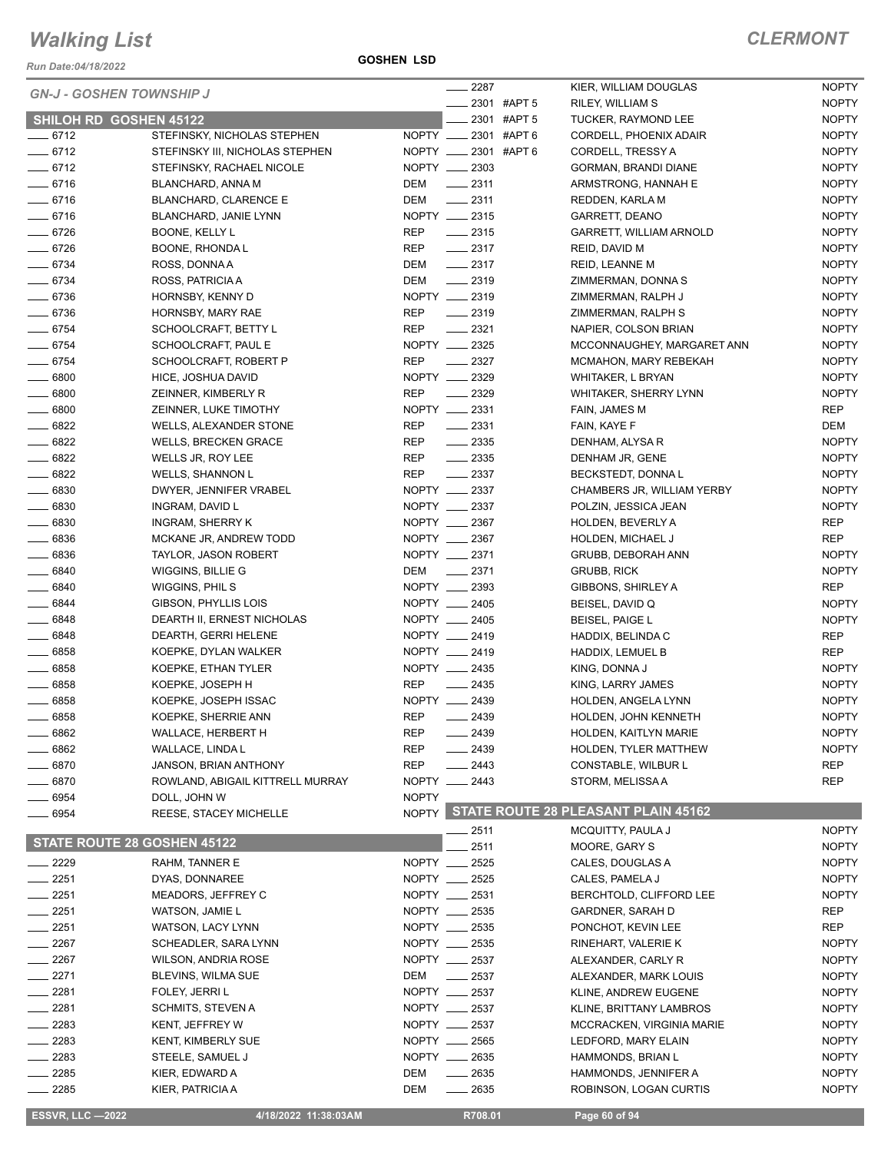*Run Date:04/18/2022*

**GOSHEN LSD**

|  |  |  | <i><b>LERMONT</b></i> |
|--|--|--|-----------------------|
|--|--|--|-----------------------|

| <b>GN-J - GOSHEN TOWNSHIP J</b> |                                  |              | $-2287$                 |             | KIER, WILLIAM DOUGLAS                     | <b>NOPTY</b> |
|---------------------------------|----------------------------------|--------------|-------------------------|-------------|-------------------------------------------|--------------|
|                                 |                                  |              |                         | 2301 #APT 5 | RILEY, WILLIAM S                          | <b>NOPTY</b> |
| <b>SHILOH RD GOSHEN 45122</b>   |                                  |              |                         | 2301 #APT 5 | TUCKER, RAYMOND LEE                       | <b>NOPTY</b> |
| $- 6712$                        | STEFINSKY, NICHOLAS STEPHEN      |              | NOPTY __ 2301 #APT 6    |             | CORDELL, PHOENIX ADAIR                    | <b>NOPTY</b> |
| $- 6712$                        | STEFINSKY III, NICHOLAS STEPHEN  |              | NOPTY _____ 2301 #APT 6 |             | CORDELL, TRESSY A                         | <b>NOPTY</b> |
| $-6712$                         | STEFINSKY, RACHAEL NICOLE        |              | NOPTY __ 2303           |             | GORMAN, BRANDI DIANE                      | <b>NOPTY</b> |
| $-6716$                         | BLANCHARD, ANNA M                | DEM          | $\frac{2311}{2}$        |             | ARMSTRONG, HANNAH E                       | <b>NOPTY</b> |
| $- 6716$                        | <b>BLANCHARD, CLARENCE E</b>     | DEM          | $-2311$                 |             | REDDEN, KARLA M                           | <b>NOPTY</b> |
| $-6716$                         | BLANCHARD, JANIE LYNN            |              | NOPTY __ 2315           |             | GARRETT, DEANO                            | <b>NOPTY</b> |
| $- 6726$                        | BOONE, KELLY L                   | REP          | $\frac{1}{2}$ 2315      |             | <b>GARRETT, WILLIAM ARNOLD</b>            | <b>NOPTY</b> |
| $- 6726$                        | BOONE, RHONDA L                  | REP          | $-2317$                 |             | REID, DAVID M                             | <b>NOPTY</b> |
| $- 6734$                        | ROSS, DONNA A                    | DEM          | $\frac{2317}{2}$        |             | REID, LEANNE M                            | <b>NOPTY</b> |
| $- 6734$                        | ROSS, PATRICIA A                 | DEM          | $-2319$                 |             | ZIMMERMAN, DONNA S                        | <b>NOPTY</b> |
| $- 6736$                        | HORNSBY, KENNY D                 |              | NOPTY __ 2319           |             | ZIMMERMAN, RALPH J                        | <b>NOPTY</b> |
| $- 6736$                        | HORNSBY, MARY RAE                | REP          | $\frac{1}{2}$ 2319      |             | ZIMMERMAN, RALPH S                        | <b>NOPTY</b> |
| $- 6754$                        | SCHOOLCRAFT, BETTY L             | REP          | $-2321$                 |             | NAPIER, COLSON BRIAN                      | <b>NOPTY</b> |
| $- 6754$                        | SCHOOLCRAFT, PAUL E              |              | NOPTY __ 2325           |             | MCCONNAUGHEY, MARGARET ANN                | <b>NOPTY</b> |
| $- 6754$                        | SCHOOLCRAFT, ROBERT P            | <b>REP</b>   | $\frac{2327}{2}$        |             | MCMAHON, MARY REBEKAH                     | <b>NOPTY</b> |
| $- 6800$                        | HICE, JOSHUA DAVID               |              | NOPTY __ 2329           |             | WHITAKER, L BRYAN                         | <b>NOPTY</b> |
| $- 6800$                        | ZEINNER, KIMBERLY R              | <b>REP</b>   | $-2329$                 |             | <b>WHITAKER, SHERRY LYNN</b>              | <b>NOPTY</b> |
| $\frac{1}{2}$ 6800              | ZEINNER, LUKE TIMOTHY            |              | NOPTY __ 2331           |             | FAIN, JAMES M                             | REP          |
| $- 6822$                        | WELLS, ALEXANDER STONE           | <b>REP</b>   | $\frac{1}{2}$ 2331      |             | FAIN, KAYE F                              | DEM          |
| $- 6822$                        | <b>WELLS, BRECKEN GRACE</b>      | REP          | $\frac{1}{2}$ 2335      |             | DENHAM, ALYSA R                           | <b>NOPTY</b> |
| $- 6822$                        | WELLS JR, ROY LEE                | REP          | $\frac{1}{2}$ 2335      |             | DENHAM JR, GENE                           | <b>NOPTY</b> |
| $- 6822$                        | <b>WELLS, SHANNON L</b>          | REP          | $\frac{1}{2}$ 2337      |             | BECKSTEDT, DONNAL                         | <b>NOPTY</b> |
| $- 6830$                        | DWYER, JENNIFER VRABEL           |              | NOPTY __ 2337           |             | CHAMBERS JR, WILLIAM YERBY                | <b>NOPTY</b> |
| $- 6830$                        | INGRAM, DAVID L                  |              | NOPTY __ 2337           |             | POLZIN, JESSICA JEAN                      | <b>NOPTY</b> |
|                                 |                                  |              |                         |             |                                           |              |
| $\frac{1}{2}$ 6830              | INGRAM, SHERRY K                 |              | NOPTY __ 2367           |             | <b>HOLDEN, BEVERLY A</b>                  | REP          |
| $- 6836$                        | MCKANE JR, ANDREW TODD           |              | NOPTY __ 2367           |             | HOLDEN, MICHAEL J                         | REP          |
| $\frac{1}{2}6836$               | <b>TAYLOR, JASON ROBERT</b>      |              | NOPTY __ 2371           |             | GRUBB, DEBORAH ANN                        | <b>NOPTY</b> |
| $- 6840$                        | WIGGINS, BILLIE G                | DEM          | $-2371$                 |             | <b>GRUBB, RICK</b>                        | <b>NOPTY</b> |
| $- 6840$                        | WIGGINS, PHIL S                  |              | NOPTY __ 2393           |             | GIBBONS, SHIRLEY A                        | REP          |
| $- 6844$                        | GIBSON, PHYLLIS LOIS             |              | NOPTY __ 2405           |             | BEISEL, DAVID Q                           | <b>NOPTY</b> |
| $- 6848$                        | DEARTH II, ERNEST NICHOLAS       |              | NOPTY __ 2405           |             | <b>BEISEL, PAIGE L</b>                    | <b>NOPTY</b> |
| $- 6848$                        | DEARTH, GERRI HELENE             |              | NOPTY __ 2419           |             | HADDIX, BELINDA C                         | REP          |
| $- 6858$                        | KOEPKE, DYLAN WALKER             |              | NOPTY __ 2419           |             | HADDIX, LEMUEL B                          | REP          |
| $- 6858$                        | KOEPKE, ETHAN TYLER              |              | NOPTY __ 2435           |             | KING, DONNA J                             | <b>NOPTY</b> |
| $- 6858$                        | KOEPKE, JOSEPH H                 | REP          | $\frac{1}{2435}$        |             | KING, LARRY JAMES                         | <b>NOPTY</b> |
| 6858                            | KOEPKE, JOSEPH ISSAC             |              | NOPTY __ 2439           |             | HOLDEN, ANGELA LYNN                       | <b>NOPTY</b> |
| - 6858                          | KOEPKE, SHERRIE ANN              | <b>REP</b>   | $-2439$                 |             | HOLDEN, JOHN KENNETH                      | <b>NOPTY</b> |
| $-6862$                         | WALLACE, HERBERT H               | <b>REP</b>   | $-2439$                 |             | HOLDEN, KAITLYN MARIE                     | <b>NOPTY</b> |
| __ 6862                         | WALLACE, LINDA L                 | REP          | $\frac{1}{2439}$        |             | HOLDEN, TYLER MATTHEW                     | <b>NOPTY</b> |
| $- 6870$                        | JANSON, BRIAN ANTHONY            | <b>REP</b>   | $-2443$                 |             | CONSTABLE, WILBUR L                       | REP          |
| $- 6870$                        | ROWLAND, ABIGAIL KITTRELL MURRAY |              | NOPTY __ 2443           |             | STORM, MELISSA A                          | REP          |
| 6954                            | DOLL, JOHN W                     | <b>NOPTY</b> |                         |             |                                           |              |
| 6954                            | REESE, STACEY MICHELLE           |              |                         |             | NOPTY STATE ROUTE 28 PLEASANT PLAIN 45162 |              |
|                                 |                                  |              | _ 2511                  |             | MCQUITTY, PAULA J                         | <b>NOPTY</b> |
| STATE ROUTE 28 GOSHEN 45122     |                                  |              | 2511                    |             | MOORE, GARY S                             | <b>NOPTY</b> |
| $- 2229$                        | RAHM, TANNER E                   |              | NOPTY __ 2525           |             | CALES, DOUGLAS A                          | <b>NOPTY</b> |
|                                 |                                  |              | NOPTY __ 2525           |             |                                           |              |
| $-2251$                         | DYAS, DONNAREE                   |              |                         |             | CALES, PAMELA J                           | <b>NOPTY</b> |
| $-2251$                         | MEADORS, JEFFREY C               |              | NOPTY __ 2531           |             | BERCHTOLD, CLIFFORD LEE                   | <b>NOPTY</b> |
| $-2251$                         | WATSON, JAMIE L                  |              | NOPTY __ 2535           |             | <b>GARDNER, SARAH D</b>                   | REP          |
| 2251                            | WATSON, LACY LYNN                |              | NOPTY __ 2535           |             | PONCHOT, KEVIN LEE                        | REP          |
| 2267                            | SCHEADLER, SARA LYNN             |              | NOPTY __ 2535           |             | RINEHART, VALERIE K                       | <b>NOPTY</b> |
| $-2267$                         | WILSON, ANDRIA ROSE              |              | NOPTY __ 2537           |             | ALEXANDER, CARLY R                        | <b>NOPTY</b> |
| $-2271$                         | <b>BLEVINS, WILMA SUE</b>        | DEM          | $\frac{1}{2537}$        |             | ALEXANDER, MARK LOUIS                     | <b>NOPTY</b> |
| $-2281$                         | FOLEY, JERRI L                   |              | NOPTY __ 2537           |             | KLINE, ANDREW EUGENE                      | <b>NOPTY</b> |
| $-2281$                         | SCHMITS, STEVEN A                |              | NOPTY __ 2537           |             | KLINE, BRITTANY LAMBROS                   | <b>NOPTY</b> |
| 2283                            | KENT, JEFFREY W                  |              | NOPTY __ 2537           |             | MCCRACKEN, VIRGINIA MARIE                 | <b>NOPTY</b> |
| 2283                            | <b>KENT, KIMBERLY SUE</b>        |              | NOPTY __ 2565           |             | LEDFORD, MARY ELAIN                       | <b>NOPTY</b> |
| - 2283                          | STEELE, SAMUEL J                 |              | NOPTY __ 2635           |             | HAMMONDS, BRIAN L                         | <b>NOPTY</b> |
| _ 2285                          | KIER, EDWARD A                   | DEM          | $-2635$                 |             | HAMMONDS, JENNIFER A                      | <b>NOPTY</b> |
| $-2285$                         | KIER, PATRICIA A                 | DEM          | $-2635$                 |             | ROBINSON, LOGAN CURTIS                    | <b>NOPTY</b> |
|                                 |                                  |              |                         |             |                                           |              |
| <b>ESSVR, LLC -2022</b>         | 4/18/2022 11:38:03AM             |              | R708.01                 |             | Page 60 of 94                             |              |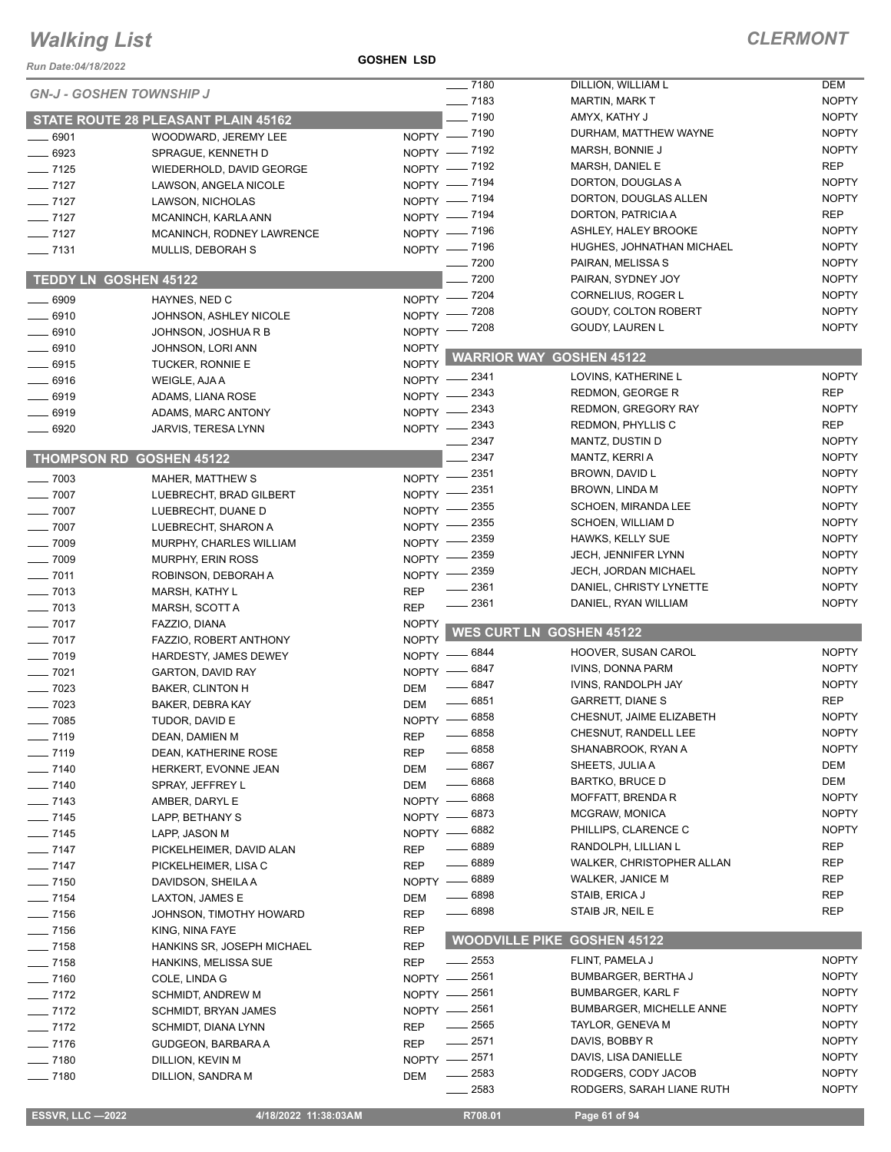#### **GOSHEN LSD**

| Run Date:04/18/2022             |                                                     | <b>GOSHEN LSD</b>         |                       |                                  |                              |
|---------------------------------|-----------------------------------------------------|---------------------------|-----------------------|----------------------------------|------------------------------|
| <b>GN-J - GOSHEN TOWNSHIP J</b> |                                                     |                           | $- 7180$              | DILLION, WILLIAM L               | <b>DEM</b>                   |
|                                 |                                                     |                           | $- 7183$              | <b>MARTIN, MARK T</b>            | <b>NOPTY</b>                 |
|                                 | <b>STATE ROUTE 28 PLEASANT PLAIN 45162</b>          |                           | $-7190$               | AMYX, KATHY J                    | <b>NOPTY</b>                 |
| $- 6901$                        | WOODWARD, JEREMY LEE                                |                           | NOPTY - 7190          | DURHAM, MATTHEW WAYNE            | <b>NOPTY</b>                 |
| ___ 6923                        | SPRAGUE, KENNETH D                                  |                           | NOPTY - 7192          | MARSH, BONNIE J                  | <b>NOPTY</b>                 |
| $-7125$                         | WIEDERHOLD, DAVID GEORGE                            |                           | NOPTY - 7192          | MARSH, DANIEL E                  | <b>REP</b>                   |
| $-7127$                         | LAWSON, ANGELA NICOLE                               |                           | NOPTY - 7194          | DORTON, DOUGLAS A                | <b>NOPTY</b>                 |
| $- 7127$                        | LAWSON, NICHOLAS                                    |                           | NOPTY - 7194          | DORTON, DOUGLAS ALLEN            | <b>NOPTY</b>                 |
| $- 7127$                        | MCANINCH, KARLA ANN                                 |                           | NOPTY - 7194          | DORTON, PATRICIA A               | <b>REP</b>                   |
| $- 7127$                        | MCANINCH, RODNEY LAWRENCE                           |                           | NOPTY - 7196          | ASHLEY, HALEY BROOKE             | <b>NOPTY</b>                 |
| $\frac{1}{2}$ 7131              | MULLIS, DEBORAH S                                   |                           | NOPTY - 7196          | HUGHES, JOHNATHAN MICHAEL        | <b>NOPTY</b>                 |
|                                 |                                                     |                           | $- 7200$              | PAIRAN, MELISSA S                | <b>NOPTY</b>                 |
| TEDDY LN GOSHEN 45122           |                                                     |                           | $-7200$               | PAIRAN, SYDNEY JOY               | <b>NOPTY</b>                 |
| $-6909$                         | HAYNES, NED C                                       |                           | NOPTY - 7204          | CORNELIUS, ROGER L               | <b>NOPTY</b>                 |
| $-6910$                         | JOHNSON, ASHLEY NICOLE                              |                           | NOPTY - 7208          | GOUDY, COLTON ROBERT             | <b>NOPTY</b>                 |
| $- 6910$                        | JOHNSON, JOSHUA R B                                 |                           | NOPTY - 7208          | GOUDY, LAUREN L                  | <b>NOPTY</b>                 |
| $- 6910$                        | JOHNSON, LORI ANN                                   | <b>NOPTY</b>              |                       | <b>WARRIOR WAY GOSHEN 45122</b>  |                              |
| $-6915$                         | TUCKER, RONNIE E                                    | <b>NOPTY</b>              |                       |                                  |                              |
| $- 6916$                        | WEIGLE, AJA A                                       |                           | NOPTY -2341           | LOVINS, KATHERINE L              | <b>NOPTY</b>                 |
| $-6919$                         | ADAMS, LIANA ROSE                                   | NOPTY -                   | . 2343                | REDMON, GEORGE R                 | <b>REP</b>                   |
| $-6919$                         | ADAMS, MARC ANTONY                                  |                           | NOPTY -2343           | REDMON, GREGORY RAY              | <b>NOPTY</b>                 |
| $-6920$                         | JARVIS, TERESA LYNN                                 |                           | NOPTY -2343           | REDMON, PHYLLIS C                | <b>REP</b>                   |
|                                 |                                                     |                           | 2347<br>2347          | MANTZ, DUSTIN D                  | <b>NOPTY</b><br><b>NOPTY</b> |
|                                 | <b>THOMPSON RD GOSHEN 45122</b>                     |                           |                       | MANTZ, KERRI A                   | <b>NOPTY</b>                 |
| $- 7003$                        | MAHER, MATTHEW S                                    | NOPTY -                   | _ 2351                | BROWN, DAVID L<br>BROWN, LINDA M | <b>NOPTY</b>                 |
| $- 7007$                        | LUEBRECHT, BRAD GILBERT                             | NOPTY -                   | 2351 ـ<br>2355        | SCHOEN, MIRANDA LEE              | <b>NOPTY</b>                 |
| $- 7007$                        | LUEBRECHT, DUANE D                                  | NOPTY -                   | - 2355                | SCHOEN, WILLIAM D                | <b>NOPTY</b>                 |
| $- 7007$                        | LUEBRECHT, SHARON A                                 | NOPTY -                   | 2359                  | HAWKS, KELLY SUE                 | <b>NOPTY</b>                 |
| $- 7009$                        | MURPHY, CHARLES WILLIAM                             | $N$ OPTY $-$              | 2359                  | <b>JECH, JENNIFER LYNN</b>       | <b>NOPTY</b>                 |
| $- 7009$                        | MURPHY, ERIN ROSS                                   | NOPTY -                   | 2359                  | <b>JECH, JORDAN MICHAEL</b>      | <b>NOPTY</b>                 |
| $- 7011$                        | ROBINSON, DEBORAH A                                 | NOPTY -                   | 2361                  | DANIEL, CHRISTY LYNETTE          | <b>NOPTY</b>                 |
| $- 7013$                        | MARSH, KATHY L                                      | <b>REP</b>                | _ 2361                | DANIEL, RYAN WILLIAM             | <b>NOPTY</b>                 |
| $- 7013$                        | MARSH, SCOTT A                                      | <b>REP</b>                |                       |                                  |                              |
| $- 7017$                        | FAZZIO, DIANA                                       | <b>NOPTY</b>              |                       | <b>WES CURT LN GOSHEN 45122</b>  |                              |
| $- 7017$                        | FAZZIO, ROBERT ANTHONY                              | <b>NOPTY</b><br>$NOPTY -$ | __ 6844               | HOOVER, SUSAN CAROL              | <b>NOPTY</b>                 |
| $- 7019$                        | HARDESTY, JAMES DEWEY                               |                           | NOPTY - 6847          | IVINS, DONNA PARM                | <b>NOPTY</b>                 |
| $- 7021$<br>$- 7023$            | <b>GARTON, DAVID RAY</b><br><b>BAKER, CLINTON H</b> | <b>DEM</b>                | $-6847$               | IVINS, RANDOLPH JAY              | <b>NOPTY</b>                 |
| $- 7023$                        | BAKER, DEBRA KAY                                    | <b>DEM</b>                | $\frac{1}{2}$ 6851    | <b>GARRETT, DIANE S</b>          | <b>REP</b>                   |
| $- 7085$                        | TUDOR, DAVID E                                      |                           | NOPTY -8858           | CHESNUT, JAIME ELIZABETH         | <b>NOPTY</b>                 |
| $-7119$                         | DEAN, DAMIEN M                                      | <b>REP</b>                | 6858                  | CHESNUT, RANDELL LEE             | <b>NOPTY</b>                 |
| $- 7119$                        | DEAN, KATHERINE ROSE                                | <b>REP</b>                | $-6858$               | SHANABROOK, RYAN A               | <b>NOPTY</b>                 |
| $- 7140$                        | HERKERT, EVONNE JEAN                                | DEM                       | $- 6867$              | SHEETS, JULIA A                  | DEM                          |
| $- 7140$                        | SPRAY, JEFFREY L                                    | DEM                       | 6868                  | <b>BARTKO, BRUCE D</b>           | DEM                          |
| $- 7143$                        | AMBER, DARYL E                                      | NOPTY -                   | - 6868                | MOFFATT, BRENDA R                | <b>NOPTY</b>                 |
| $- 7145$                        | LAPP, BETHANY S                                     | NOPTY -                   | 6873                  | MCGRAW, MONICA                   | <b>NOPTY</b>                 |
| $- 7145$                        | LAPP, JASON M                                       | NOPTY -                   | _ 6882                | PHILLIPS, CLARENCE C             | <b>NOPTY</b>                 |
| $- 7147$                        | PICKELHEIMER, DAVID ALAN                            | <b>REP</b>                | 6889                  | RANDOLPH, LILLIAN L              | <b>REP</b>                   |
| $- 7147$                        | PICKELHEIMER, LISA C                                | <b>REP</b>                | 6889                  | WALKER, CHRISTOPHER ALLAN        | REP                          |
| $\frac{1}{2}$ 7150              | DAVIDSON, SHEILA A                                  | NOPTY -                   | 6889                  | <b>WALKER, JANICE M</b>          | REP                          |
| $- 7154$                        | LAXTON, JAMES E                                     | <b>DEM</b>                | 6898                  | STAIB, ERICA J                   | REP                          |
| $- 7156$                        | JOHNSON, TIMOTHY HOWARD                             | <b>REP</b>                | 6898                  | STAIB JR, NEIL E                 | <b>REP</b>                   |
| $- 7156$                        | KING, NINA FAYE                                     | <b>REP</b>                |                       |                                  |                              |
| $\frac{1}{2}$ 7158              | HANKINS SR, JOSEPH MICHAEL                          | <b>REP</b>                | <b>WOODVILLE PIKE</b> | <b>GOSHEN 45122</b>              |                              |
| $-7158$                         | HANKINS, MELISSA SUE                                | <b>REP</b>                | $\frac{1}{2553}$      | FLINT, PAMELA J                  | <b>NOPTY</b>                 |
| $- 7160$                        | COLE, LINDA G                                       |                           | NOPTY -2561           | <b>BUMBARGER, BERTHA J</b>       | <b>NOPTY</b>                 |
| $- 7172$                        | <b>SCHMIDT, ANDREW M</b>                            | $NOPTY -$                 | 2561                  | BUMBARGER, KARL F                | <b>NOPTY</b>                 |
| $- 7172$                        | SCHMIDT, BRYAN JAMES                                |                           | NOPTY -2561           | <b>BUMBARGER, MICHELLE ANNE</b>  | <b>NOPTY</b>                 |
| $- 7172$                        | SCHMIDT, DIANA LYNN                                 | <b>REP</b>                | 2565                  | TAYLOR, GENEVA M                 | <b>NOPTY</b>                 |
| $- 7176$                        | GUDGEON, BARBARA A                                  | <b>REP</b>                | _ 2571                | DAVIS, BOBBY R                   | <b>NOPTY</b>                 |
| $- 7180$                        | DILLION, KEVIN M                                    | NOPTY -                   | $-2571$               | DAVIS, LISA DANIELLE             | <b>NOPTY</b>                 |
| $- 7180$                        | DILLION, SANDRA M                                   | DEM                       | 2583                  | RODGERS, CODY JACOB              | <b>NOPTY</b>                 |
|                                 |                                                     |                           | 2583                  | RODGERS, SARAH LIANE RUTH        | <b>NOPTY</b>                 |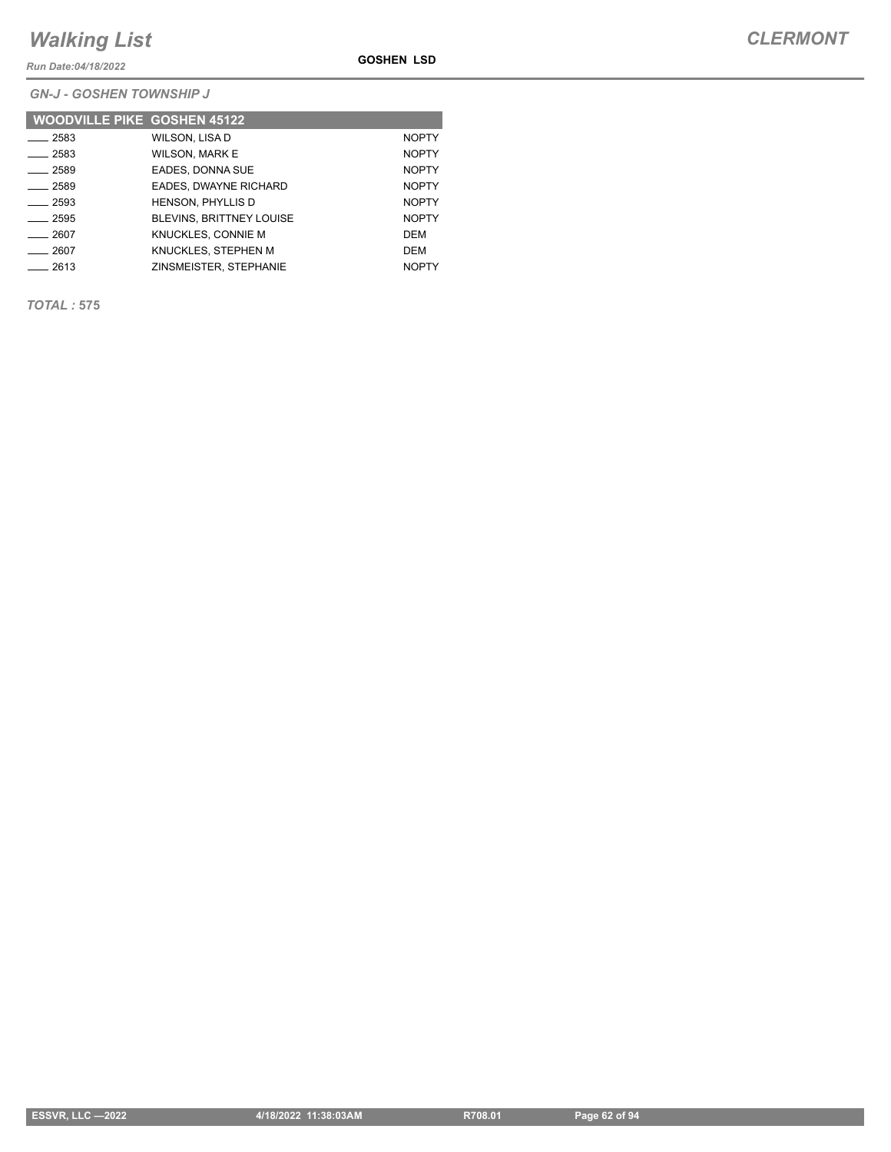*Run Date:04/18/2022*

*GN-J - GOSHEN TOWNSHIP J*

| <b>WOODVILLE PIKE GOSHEN 45122</b> |                                 |              |
|------------------------------------|---------------------------------|--------------|
| 2583                               | WILSON, LISA D                  | <b>NOPTY</b> |
| $-2583$                            | <b>WILSON, MARK E</b>           | <b>NOPTY</b> |
| $-2589$                            | EADES, DONNA SUE                | <b>NOPTY</b> |
| 2589                               | EADES, DWAYNE RICHARD           | <b>NOPTY</b> |
| 2593                               | <b>HENSON, PHYLLIS D</b>        | <b>NOPTY</b> |
| $-2595$                            | <b>BLEVINS, BRITTNEY LOUISE</b> | <b>NOPTY</b> |
| 2607                               | KNUCKLES, CONNIE M              | DEM          |
| 2607                               | KNUCKLES. STEPHEN M             | DEM          |
| 2613                               | ZINSMEISTER, STEPHANIE          | <b>NOPTY</b> |

*TOTAL :* **575**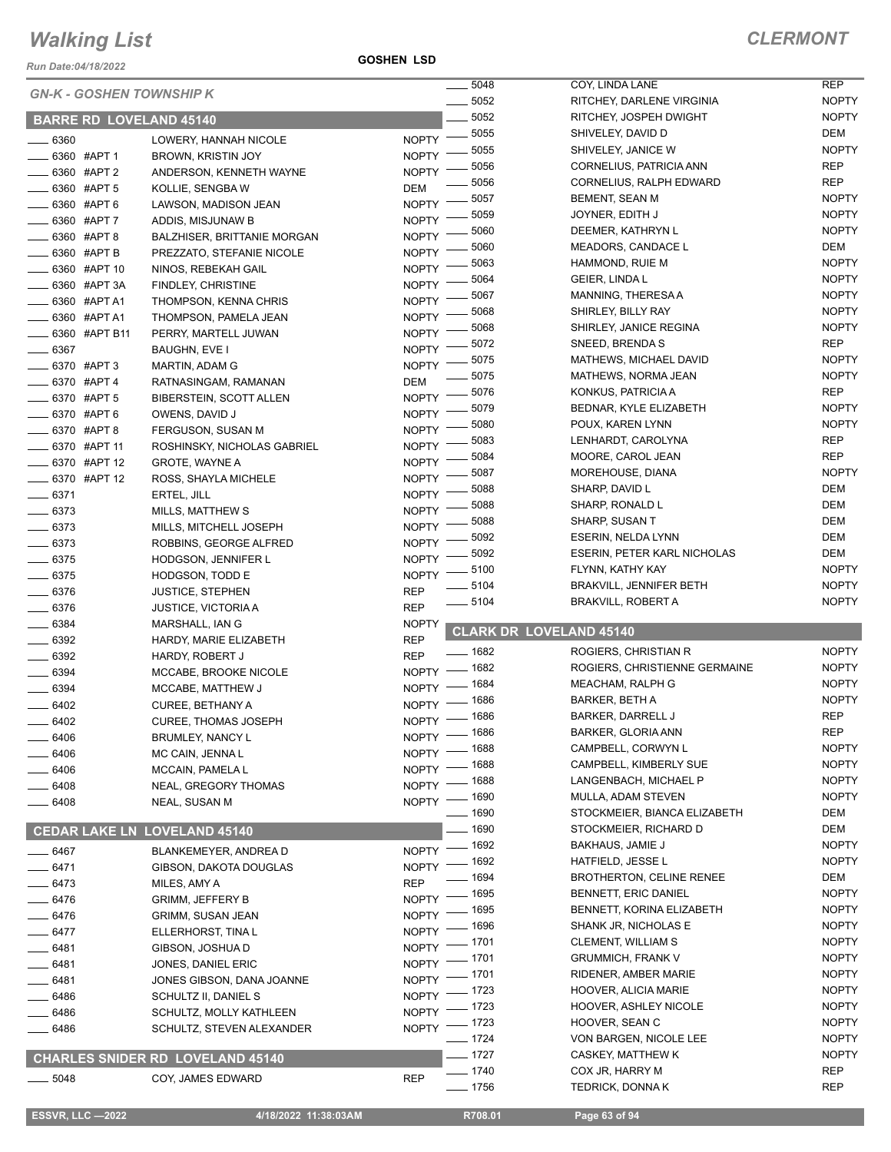*Run Date:04/18/2022*

|            |                 |                                         |              | 5048                 | COY, LINDA LANE                           | <b>REP</b>                   |
|------------|-----------------|-----------------------------------------|--------------|----------------------|-------------------------------------------|------------------------------|
|            |                 | <b>GN-K - GOSHEN TOWNSHIP K</b>         |              | 5052                 | RITCHEY, DARLENE VIRGINIA                 | <b>NOPTY</b>                 |
|            |                 | <b>BARRE RD LOVELAND 45140</b>          |              | 5052                 | RITCHEY, JOSPEH DWIGHT                    | <b>NOPTY</b>                 |
|            |                 |                                         |              | 5055                 | SHIVELEY, DAVID D                         | DEM                          |
| $-6360$    |                 | LOWERY, HANNAH NICOLE                   | <b>NOPTY</b> | 5055                 | SHIVELEY, JANICE W                        | <b>NOPTY</b>                 |
|            | 6360 #APT 1     | <b>BROWN, KRISTIN JOY</b>               | <b>NOPTY</b> | 5056                 | CORNELIUS, PATRICIA ANN                   | <b>REP</b>                   |
|            | 6360 #APT 2     | ANDERSON, KENNETH WAYNE                 | <b>NOPTY</b> | 5056                 | CORNELIUS, RALPH EDWARD                   | <b>REP</b>                   |
|            | 6360 #APT 5     | KOLLIE, SENGBA W                        | <b>DEM</b>   | 5057                 | BEMENT, SEAN M                            | <b>NOPTY</b>                 |
|            | 6360 #APT 6     | LAWSON, MADISON JEAN                    | <b>NOPTY</b> | 5059                 |                                           | <b>NOPTY</b>                 |
|            | 6360 #APT 7     | ADDIS, MISJUNAW B                       | <b>NOPTY</b> |                      | JOYNER, EDITH J                           |                              |
|            | 5360 #APT 8     | <b>BALZHISER, BRITTANIE MORGAN</b>      | <b>NOPTY</b> | 5060                 | DEEMER, KATHRYN L                         | <b>NOPTY</b>                 |
|            | - 6360 #APT B   | PREZZATO, STEFANIE NICOLE               | <b>NOPTY</b> | 5060                 | <b>MEADORS, CANDACE L</b>                 | DEM                          |
|            | 6360 #APT 10    | NINOS, REBEKAH GAIL                     | <b>NOPTY</b> | 5063                 | HAMMOND, RUIE M                           | <b>NOPTY</b>                 |
|            | 6360 #APT 3A    | FINDLEY, CHRISTINE                      | <b>NOPTY</b> | 5064                 | GEIER, LINDA L                            | <b>NOPTY</b>                 |
|            | 6360 #APT A1    | THOMPSON, KENNA CHRIS                   | <b>NOPTY</b> | 5067                 | MANNING, THERESA A                        | <b>NOPTY</b>                 |
|            | 6360 #APT A1    | THOMPSON, PAMELA JEAN                   | <b>NOPTY</b> | 5068                 | SHIRLEY, BILLY RAY                        | <b>NOPTY</b>                 |
|            | _ 6360 #APT B11 | PERRY, MARTELL JUWAN                    | <b>NOPTY</b> | 5068                 | SHIRLEY, JANICE REGINA                    | <b>NOPTY</b>                 |
| 6367       |                 | BAUGHN, EVE I                           | <b>NOPTY</b> | 5072                 | SNEED, BRENDA S                           | <b>REP</b>                   |
|            | _ 6370 #APT 3   | MARTIN, ADAM G                          | <b>NOPTY</b> | 5075                 | MATHEWS, MICHAEL DAVID                    | <b>NOPTY</b>                 |
|            | _ 6370 #APT 4   | RATNASINGAM, RAMANAN                    | DEM          | 5075                 | MATHEWS, NORMA JEAN                       | <b>NOPTY</b>                 |
|            | 6370 #APT 5     | BIBERSTEIN, SCOTT ALLEN                 | <b>NOPTY</b> | 5076                 | KONKUS, PATRICIA A                        | <b>REP</b>                   |
|            | 6370 #APT 6     | OWENS, DAVID J                          | <b>NOPTY</b> | 5079                 | BEDNAR, KYLE ELIZABETH                    | <b>NOPTY</b>                 |
|            | 6370 #APT 8     | FERGUSON, SUSAN M                       | <b>NOPTY</b> | 5080                 | POUX, KAREN LYNN                          | <b>NOPTY</b>                 |
|            |                 |                                         |              | 5083                 | LENHARDT, CAROLYNA                        | <b>REP</b>                   |
|            | - 6370 #APT 11  | ROSHINSKY, NICHOLAS GABRIEL             | <b>NOPTY</b> | 5084                 | MOORE, CAROL JEAN                         | <b>REP</b>                   |
|            | 6370 #APT 12    | <b>GROTE, WAYNE A</b>                   | <b>NOPTY</b> | 5087                 | MOREHOUSE, DIANA                          | <b>NOPTY</b>                 |
|            | $-6370$ #APT 12 | ROSS, SHAYLA MICHELE                    | <b>NOPTY</b> | 5088                 | SHARP, DAVID L                            | <b>DEM</b>                   |
| $- 6371$   |                 | ERTEL, JILL                             | <b>NOPTY</b> | 5088                 | SHARP, RONALD L                           | <b>DEM</b>                   |
| $-6373$    |                 | MILLS, MATTHEW S                        | <b>NOPTY</b> | 5088                 | SHARP, SUSAN T                            | <b>DEM</b>                   |
| $-6373$    |                 | MILLS, MITCHELL JOSEPH                  | <b>NOPTY</b> | 5092                 | ESERIN, NELDA LYNN                        | <b>DEM</b>                   |
| $- 6373$   |                 | ROBBINS, GEORGE ALFRED                  | <b>NOPTY</b> | 5092                 | ESERIN, PETER KARL NICHOLAS               | DEM                          |
| $- 6375$   |                 | HODGSON, JENNIFER L                     | <b>NOPTY</b> | 5100                 | FLYNN, KATHY KAY                          | <b>NOPTY</b>                 |
| $- 6375$   |                 | HODGSON, TODD E                         | <b>NOPTY</b> |                      |                                           | <b>NOPTY</b>                 |
|            |                 |                                         |              | 5104                 | <b>BRAKVILL, JENNIFER BETH</b>            |                              |
| $- 6376$   |                 | <b>JUSTICE, STEPHEN</b>                 | <b>REP</b>   |                      |                                           |                              |
| $- 6376$   |                 | <b>JUSTICE, VICTORIA A</b>              | <b>REP</b>   | $-5104$              | <b>BRAKVILL, ROBERT A</b>                 | <b>NOPTY</b>                 |
| $- 6384$   |                 | MARSHALL, IAN G                         | <b>NOPTY</b> |                      |                                           |                              |
| $- 6392$   |                 | HARDY, MARIE ELIZABETH                  | <b>REP</b>   |                      | <b>CLARK DR LOVELAND 45140</b>            |                              |
| $- 6392$   |                 | <b>HARDY, ROBERT J</b>                  | <b>REP</b>   | $- 1682$             | ROGIERS, CHRISTIAN R                      | <b>NOPTY</b>                 |
| $-6394$    |                 | MCCABE, BROOKE NICOLE                   | <b>NOPTY</b> | _ 1682               | ROGIERS, CHRISTIENNE GERMAINE             | <b>NOPTY</b>                 |
| $- 6394$   |                 | MCCABE, MATTHEW J                       | <b>NOPTY</b> | 1684                 | MEACHAM, RALPH G                          | <b>NOPTY</b>                 |
| $-6402$    |                 | CUREE, BETHANY A                        | <b>NOPTY</b> | 1686                 | <b>BARKER, BETH A</b>                     | <b>NOPTY</b>                 |
| 6402       |                 | <b>CUREE, THOMAS JOSEPH</b>             |              | _ 1686               | <b>BARKER, DARRELL J</b>                  | <b>REP</b>                   |
|            |                 |                                         | $N$ OPTY $-$ |                      | BARKER, GLORIA ANN                        | REP                          |
| $-6406$    |                 | BRUMLEY, NANCY L                        |              | NOPTY - 1686<br>1688 | CAMPBELL, CORWYN L                        | <b>NOPTY</b>                 |
| 6406       |                 | MC CAIN, JENNA L                        | NOPTY -      | 1688                 | CAMPBELL, KIMBERLY SUE                    | <b>NOPTY</b>                 |
| $-6406$    |                 | MCCAIN, PAMELA L                        | NOPTY -      | 1688                 | LANGENBACH, MICHAEL P                     | <b>NOPTY</b>                 |
| $-6408$    |                 | NEAL, GREGORY THOMAS                    | NOPTY -      | _ 1690               | MULLA, ADAM STEVEN                        | <b>NOPTY</b>                 |
| _____ 6408 |                 | NEAL, SUSAN M                           | $NOPTY =$    | ___ 1690             | STOCKMEIER, BIANCA ELIZABETH              | DEM                          |
|            |                 |                                         |              | $- 1690$             | STOCKMEIER, RICHARD D                     | DEM                          |
|            |                 | <b>CEDAR LAKE LN LOVELAND 45140</b>     |              |                      |                                           |                              |
| ____ 6467  |                 | BLANKEMEYER, ANDREA D                   |              | NOPTY - 1692         | <b>BAKHAUS, JAMIE J</b>                   | <b>NOPTY</b><br><b>NOPTY</b> |
| $- 6471$   |                 | GIBSON, DAKOTA DOUGLAS                  | NOPTY $^-$   | 1692                 | HATFIELD, JESSE L                         |                              |
| $-6473$    |                 | MILES, AMY A                            | <b>REP</b>   | 1694                 | <b>BROTHERTON, CELINE RENEE</b>           | DEM                          |
| $- 6476$   |                 | <b>GRIMM, JEFFERY B</b>                 | <b>NOPTY</b> | - 1695               | BENNETT, ERIC DANIEL                      | <b>NOPTY</b>                 |
| $- 6476$   |                 | GRIMM, SUSAN JEAN                       | <b>NOPTY</b> | 1695                 | BENNETT, KORINA ELIZABETH                 | <b>NOPTY</b>                 |
| $-6477$    |                 | ELLERHORST, TINA L                      | <b>NOPTY</b> | . 1696               | SHANK JR, NICHOLAS E                      | <b>NOPTY</b>                 |
| $- 6481$   |                 | GIBSON, JOSHUA D                        | NOPTY $^-$   | _ 1701               | CLEMENT, WILLIAM S                        | <b>NOPTY</b>                 |
| $- 6481$   |                 | JONES, DANIEL ERIC                      | $N$ OPTY $-$ | _ 1701               | <b>GRUMMICH, FRANK V</b>                  | <b>NOPTY</b>                 |
| $- 6481$   |                 | JONES GIBSON, DANA JOANNE               |              | NOPTY - 1701         | RIDENER, AMBER MARIE                      | <b>NOPTY</b>                 |
| $- 6486$   |                 | SCHULTZ II, DANIEL S                    | NOPTY $^-$   | $-1723$              | HOOVER, ALICIA MARIE                      | <b>NOPTY</b>                 |
| _ 6486     |                 | SCHULTZ, MOLLY KATHLEEN                 | NOPTY -      | - 1723               | HOOVER, ASHLEY NICOLE                     | <b>NOPTY</b>                 |
| ____ 6486  |                 | SCHULTZ, STEVEN ALEXANDER               |              | NOPTY - 1723         | HOOVER, SEAN C                            | <b>NOPTY</b>                 |
|            |                 |                                         |              | $- 1724$             | VON BARGEN, NICOLE LEE                    | <b>NOPTY</b>                 |
|            |                 | <b>CHARLES SNIDER RD LOVELAND 45140</b> |              | $- 1727$             | CASKEY, MATTHEW K                         | <b>NOPTY</b>                 |
| $=$ 5048   |                 | COY, JAMES EDWARD                       | <b>REP</b>   | $- 1740$<br>$- 1756$ | COX JR, HARRY M<br><b>TEDRICK, DONNAK</b> | <b>REP</b><br>REP            |

 **ESSVR, LLC —2022 4/18/2022 11:38:03AM R708.01 Page 63 of 94**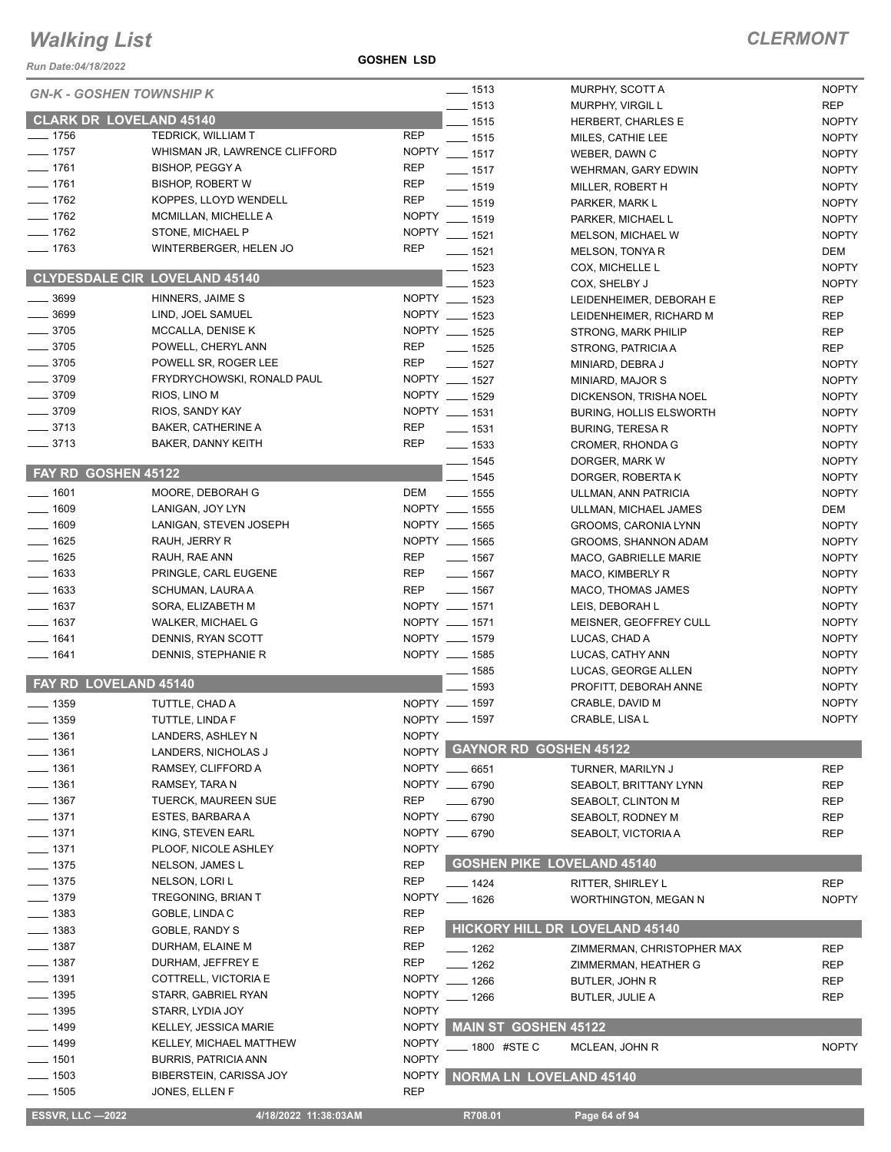*Run Date:04/18/2022*

**GOSHEN LSD**

| <b>NOPTY</b><br>$- 1513$<br>MURPHY, SCOTT A<br><b>GN-K - GOSHEN TOWNSHIP K</b><br><b>REP</b><br>$- 1513$<br><b>MURPHY, VIRGIL L</b><br><b>CLARK DR LOVELAND 45140</b><br>$- 1515$<br><b>NOPTY</b><br>HERBERT, CHARLES E<br>$- 1756$<br>TEDRICK, WILLIAM T<br><b>REP</b><br>$- 1515$<br><b>NOPTY</b><br>MILES, CATHIE LEE<br>$- 1757$<br><b>NOPTY</b><br>WHISMAN JR, LAWRENCE CLIFFORD<br>$\frac{1}{2}$ 1517<br><b>NOPTY</b><br>WEBER, DAWN C<br>$- 1761$<br><b>BISHOP, PEGGY A</b><br><b>REP</b><br><b>NOPTY</b><br>$- 1517$<br>WEHRMAN, GARY EDWIN<br>$- 1761$<br><b>REP</b><br><b>BISHOP, ROBERT W</b><br>$- 1519$<br><b>NOPTY</b><br>MILLER, ROBERT H<br>$- 1762$<br>KOPPES, LLOYD WENDELL<br><b>REP</b><br>$- 1519$<br>PARKER, MARK L<br><b>NOPTY</b><br>$- 1762$<br><b>NOPTY</b><br>MCMILLAN, MICHELLE A<br>$- 1519$<br><b>NOPTY</b><br>PARKER, MICHAEL L<br>$- 1762$<br>STONE, MICHAEL P<br><b>NOPTY</b><br>$- 1521$<br><b>NOPTY</b><br><b>MELSON, MICHAEL W</b><br>$- 1763$<br>WINTERBERGER, HELEN JO<br><b>REP</b><br>$- 1521$<br><b>DEM</b><br>MELSON, TONYA R<br>$- 1523$<br><b>NOPTY</b><br>COX, MICHELLE L<br><b>CLYDESDALE CIR LOVELAND 45140</b><br>$-1523$<br>COX, SHELBY J<br><b>NOPTY</b><br>NOPTY __ 1523<br>$\frac{1}{2}$ 3699<br>HINNERS, JAIME S<br><b>REP</b><br>LEIDENHEIMER, DEBORAH E<br>$- 3699$<br>NOPTY __ 1523<br>LIND, JOEL SAMUEL<br><b>REP</b><br>LEIDENHEIMER, RICHARD M<br>$- 3705$<br>NOPTY __ 1525<br>MCCALLA, DENISE K<br><b>REP</b><br><b>STRONG, MARK PHILIP</b><br>$- 3705$<br><b>REP</b><br>POWELL, CHERYL ANN<br><b>REP</b><br>$- 1525$<br>STRONG, PATRICIA A<br>$- 3705$<br><b>REP</b><br>POWELL SR, ROGER LEE<br>$- 1527$<br><b>NOPTY</b><br>MINIARD, DEBRA J<br>NOPTY __ 1527<br>$-3709$<br>FRYDRYCHOWSKI, RONALD PAUL<br><b>NOPTY</b><br>MINIARD, MAJOR S<br>$- 3709$<br>NOPTY __ 1529<br>RIOS, LINO M<br><b>NOPTY</b><br>DICKENSON, TRISHA NOEL<br>NOPTY __ 1531<br>$- 3709$<br>RIOS, SANDY KAY<br><b>NOPTY</b><br><b>BURING, HOLLIS ELSWORTH</b><br>$\frac{1}{2}$ 3713<br><b>REP</b><br><b>BAKER, CATHERINE A</b><br>$- 1531$<br><b>NOPTY</b><br><b>BURING, TERESA R</b><br>$- 3713$<br><b>REP</b><br>BAKER, DANNY KEITH<br>$\frac{1}{2}$ 1533<br><b>NOPTY</b><br>CROMER, RHONDA G<br>$\frac{1}{2}$ 1545<br><b>NOPTY</b><br>DORGER, MARK W<br>FAY RD GOSHEN 45122<br>$- 1545$<br><b>NOPTY</b><br>DORGER, ROBERTA K<br>$- 1601$<br>MOORE, DEBORAH G<br>DEM<br><b>NOPTY</b><br>$\sim$ 1555<br>ULLMAN, ANN PATRICIA<br>NOPTY __ 1555<br>$- 1609$<br><b>DEM</b><br>LANIGAN, JOY LYN<br>ULLMAN, MICHAEL JAMES<br>NOPTY __ 1565<br>$- 1609$<br>LANIGAN, STEVEN JOSEPH<br><b>NOPTY</b><br>GROOMS, CARONIA LYNN<br>NOPTY __ 1565<br><b>NOPTY</b><br>$- 1625$<br>RAUH, JERRY R<br>GROOMS, SHANNON ADAM<br>$- 1625$<br>REP<br>RAUH, RAE ANN<br>$\frac{1}{2}$ 1567<br>MACO, GABRIELLE MARIE<br><b>NOPTY</b><br>$\frac{1}{2}$ 1633<br>PRINGLE, CARL EUGENE<br>REP<br>$\frac{1}{2}$ 1567<br><b>NOPTY</b><br>MACO, KIMBERLY R<br>$\equiv$ 1633<br>REP<br>SCHUMAN, LAURA A<br>$\frac{1}{2}$ 1567<br>MACO, THOMAS JAMES<br><b>NOPTY</b><br>$- 1637$<br>NOPTY __ 1571<br>SORA, ELIZABETH M<br>LEIS, DEBORAH L<br><b>NOPTY</b><br>NOPTY __ 1571<br>$- 1637$<br>MEISNER, GEOFFREY CULL<br><b>NOPTY</b><br><b>WALKER, MICHAEL G</b><br>NOPTY __ 1579<br>$- 1641$<br>DENNIS, RYAN SCOTT<br>LUCAS, CHAD A<br><b>NOPTY</b><br>NOPTY __ 1585<br>$- 1641$<br>DENNIS, STEPHANIE R<br><b>NOPTY</b><br>LUCAS, CATHY ANN<br>$\frac{1}{2}$ 1585<br><b>NOPTY</b><br>LUCAS, GEORGE ALLEN<br>FAY RD LOVELAND 45140<br>$-1593$<br><b>NOPTY</b><br>PROFITT, DEBORAH ANNE<br><b>NOPTY</b><br>NOPTY __ 1597<br>CRABLE, DAVID M<br>$\frac{1}{2}$ 1359<br>TUTTLE, CHAD A<br>NOPTY __ 1597<br>CRABLE, LISA L<br><b>NOPTY</b><br>$- 1359$<br>TUTTLE, LINDA F<br><b>NOPTY</b><br>__ 1361<br>LANDERS, ASHLEY N<br>NOPTY GAYNOR RD GOSHEN 45122<br>$-1361$<br>LANDERS, NICHOLAS J<br>$-1361$<br>NOPTY __ 6651<br>RAMSEY, CLIFFORD A<br>TURNER, MARILYN J<br><b>REP</b><br>$- 1361$<br>NOPTY __ 6790<br>RAMSEY, TARA N<br>SEABOLT, BRITTANY LYNN<br><b>REP</b><br>$- 1367$<br><b>REP</b><br>TUERCK, MAUREEN SUE<br>$- 6790$<br><b>REP</b><br>SEABOLT, CLINTON M<br>$- 1371$<br>ESTES, BARBARA A<br>NOPTY __ 6790<br><b>REP</b><br>SEABOLT, RODNEY M<br>$- 1371$<br>KING, STEVEN EARL<br>NOPTY __ 6790<br><b>REP</b><br>SEABOLT, VICTORIA A<br>$- 1371$<br><b>NOPTY</b><br>PLOOF, NICOLE ASHLEY<br><b>GOSHEN PIKE LOVELAND 45140</b><br>$- 1375$<br><b>REP</b><br>NELSON, JAMES L<br>$- 1375$<br><b>REP</b><br>NELSON, LORI L<br><b>REP</b><br>$- 1424$<br>RITTER, SHIRLEY L<br>$- 1379$<br><b>TREGONING, BRIAN T</b><br><b>NOPTY</b><br>$- 1626$<br><b>NOPTY</b><br><b>WORTHINGTON, MEGAN N</b><br>$- 1383$<br>GOBLE, LINDA C<br><b>REP</b><br><b>HICKORY HILL DR LOVELAND 45140</b><br><u>.</u> 1383<br><b>REP</b><br>GOBLE, RANDY S<br>$- 1387$<br><b>REP</b><br>DURHAM, ELAINE M<br>$- 1262$<br>ZIMMERMAN, CHRISTOPHER MAX<br><b>REP</b><br>$\equiv$ 1387<br><b>REP</b><br>DURHAM, JEFFREY E<br>$-1262$<br><b>REP</b><br>ZIMMERMAN, HEATHER G<br>$\equiv$ 1391<br><b>NOPTY</b><br>COTTRELL, VICTORIA E<br>$-1266$<br><b>REP</b><br><b>BUTLER, JOHN R</b><br><b>NOPTY</b><br>$- 1395$<br>STARR, GABRIEL RYAN<br>$- 1266$<br><b>REP</b><br><b>BUTLER, JULIE A</b><br>$\frac{1}{2}$ 1395<br><b>NOPTY</b><br>STARR, LYDIA JOY<br><b>NOPTY</b><br><b>MAIN ST GOSHEN 45122</b><br>$\frac{1}{2}$ 1499<br>KELLEY, JESSICA MARIE<br>$- 1499$<br><b>NOPTY</b><br>KELLEY, MICHAEL MATTHEW<br><b>NOPTY</b><br>_ 1800 #STE C<br>MCLEAN, JOHN R<br><b>NOPTY</b><br>—— 1501<br><b>BURRIS, PATRICIA ANN</b><br>$- 1503$<br><b>NOPTY</b><br>BIBERSTEIN, CARISSA JOY<br><b>NORMA LN LOVELAND 45140</b><br><b>REP</b><br>$- 1505$<br>JONES, ELLEN F<br><b>ESSVR, LLC-2022</b><br>R708.01<br>Page 64 of 94<br>4/18/2022 11:38:03AM |  |  |  |
|----------------------------------------------------------------------------------------------------------------------------------------------------------------------------------------------------------------------------------------------------------------------------------------------------------------------------------------------------------------------------------------------------------------------------------------------------------------------------------------------------------------------------------------------------------------------------------------------------------------------------------------------------------------------------------------------------------------------------------------------------------------------------------------------------------------------------------------------------------------------------------------------------------------------------------------------------------------------------------------------------------------------------------------------------------------------------------------------------------------------------------------------------------------------------------------------------------------------------------------------------------------------------------------------------------------------------------------------------------------------------------------------------------------------------------------------------------------------------------------------------------------------------------------------------------------------------------------------------------------------------------------------------------------------------------------------------------------------------------------------------------------------------------------------------------------------------------------------------------------------------------------------------------------------------------------------------------------------------------------------------------------------------------------------------------------------------------------------------------------------------------------------------------------------------------------------------------------------------------------------------------------------------------------------------------------------------------------------------------------------------------------------------------------------------------------------------------------------------------------------------------------------------------------------------------------------------------------------------------------------------------------------------------------------------------------------------------------------------------------------------------------------------------------------------------------------------------------------------------------------------------------------------------------------------------------------------------------------------------------------------------------------------------------------------------------------------------------------------------------------------------------------------------------------------------------------------------------------------------------------------------------------------------------------------------------------------------------------------------------------------------------------------------------------------------------------------------------------------------------------------------------------------------------------------------------------------------------------------------------------------------------------------------------------------------------------------------------------------------------------------------------------------------------------------------------------------------------------------------------------------------------------------------------------------------------------------------------------------------------------------------------------------------------------------------------------------------------------------------------------------------------------------------------------------------------------------------------------------------------------------------------------------------------------------------------------------------------------------------------------------------------------------------------------------------------------------------------------------------------------------------------------------------------------------------------------------------------------------------------------------------------------------------------------------------------------------------------------------------------------------------------------------------------------------------------------------------------------------------------------------------------------------------------------------------------------------------------------------------------------------------------------------------------------------------------------------------------------------------------------------------------------------------------------------------------------------------------------------------------------------------------------------------------------------------------------------------------------------------------------------------------------------------------------------------------------------------------------------------------------------------------------------------------------------------------------------------------------------------------------------------------------------------------------------------------------------------------------------------------------------------------------------------------------------------------------|--|--|--|
|                                                                                                                                                                                                                                                                                                                                                                                                                                                                                                                                                                                                                                                                                                                                                                                                                                                                                                                                                                                                                                                                                                                                                                                                                                                                                                                                                                                                                                                                                                                                                                                                                                                                                                                                                                                                                                                                                                                                                                                                                                                                                                                                                                                                                                                                                                                                                                                                                                                                                                                                                                                                                                                                                                                                                                                                                                                                                                                                                                                                                                                                                                                                                                                                                                                                                                                                                                                                                                                                                                                                                                                                                                                                                                                                                                                                                                                                                                                                                                                                                                                                                                                                                                                                                                                                                                                                                                                                                                                                                                                                                                                                                                                                                                                                                                                                                                                                                                                                                                                                                                                                                                                                                                                                                                                                                                                                                                                                                                                                                                                                                                                                                                                                                                                                                                                                                      |  |  |  |
|                                                                                                                                                                                                                                                                                                                                                                                                                                                                                                                                                                                                                                                                                                                                                                                                                                                                                                                                                                                                                                                                                                                                                                                                                                                                                                                                                                                                                                                                                                                                                                                                                                                                                                                                                                                                                                                                                                                                                                                                                                                                                                                                                                                                                                                                                                                                                                                                                                                                                                                                                                                                                                                                                                                                                                                                                                                                                                                                                                                                                                                                                                                                                                                                                                                                                                                                                                                                                                                                                                                                                                                                                                                                                                                                                                                                                                                                                                                                                                                                                                                                                                                                                                                                                                                                                                                                                                                                                                                                                                                                                                                                                                                                                                                                                                                                                                                                                                                                                                                                                                                                                                                                                                                                                                                                                                                                                                                                                                                                                                                                                                                                                                                                                                                                                                                                                      |  |  |  |
|                                                                                                                                                                                                                                                                                                                                                                                                                                                                                                                                                                                                                                                                                                                                                                                                                                                                                                                                                                                                                                                                                                                                                                                                                                                                                                                                                                                                                                                                                                                                                                                                                                                                                                                                                                                                                                                                                                                                                                                                                                                                                                                                                                                                                                                                                                                                                                                                                                                                                                                                                                                                                                                                                                                                                                                                                                                                                                                                                                                                                                                                                                                                                                                                                                                                                                                                                                                                                                                                                                                                                                                                                                                                                                                                                                                                                                                                                                                                                                                                                                                                                                                                                                                                                                                                                                                                                                                                                                                                                                                                                                                                                                                                                                                                                                                                                                                                                                                                                                                                                                                                                                                                                                                                                                                                                                                                                                                                                                                                                                                                                                                                                                                                                                                                                                                                                      |  |  |  |
|                                                                                                                                                                                                                                                                                                                                                                                                                                                                                                                                                                                                                                                                                                                                                                                                                                                                                                                                                                                                                                                                                                                                                                                                                                                                                                                                                                                                                                                                                                                                                                                                                                                                                                                                                                                                                                                                                                                                                                                                                                                                                                                                                                                                                                                                                                                                                                                                                                                                                                                                                                                                                                                                                                                                                                                                                                                                                                                                                                                                                                                                                                                                                                                                                                                                                                                                                                                                                                                                                                                                                                                                                                                                                                                                                                                                                                                                                                                                                                                                                                                                                                                                                                                                                                                                                                                                                                                                                                                                                                                                                                                                                                                                                                                                                                                                                                                                                                                                                                                                                                                                                                                                                                                                                                                                                                                                                                                                                                                                                                                                                                                                                                                                                                                                                                                                                      |  |  |  |
|                                                                                                                                                                                                                                                                                                                                                                                                                                                                                                                                                                                                                                                                                                                                                                                                                                                                                                                                                                                                                                                                                                                                                                                                                                                                                                                                                                                                                                                                                                                                                                                                                                                                                                                                                                                                                                                                                                                                                                                                                                                                                                                                                                                                                                                                                                                                                                                                                                                                                                                                                                                                                                                                                                                                                                                                                                                                                                                                                                                                                                                                                                                                                                                                                                                                                                                                                                                                                                                                                                                                                                                                                                                                                                                                                                                                                                                                                                                                                                                                                                                                                                                                                                                                                                                                                                                                                                                                                                                                                                                                                                                                                                                                                                                                                                                                                                                                                                                                                                                                                                                                                                                                                                                                                                                                                                                                                                                                                                                                                                                                                                                                                                                                                                                                                                                                                      |  |  |  |
|                                                                                                                                                                                                                                                                                                                                                                                                                                                                                                                                                                                                                                                                                                                                                                                                                                                                                                                                                                                                                                                                                                                                                                                                                                                                                                                                                                                                                                                                                                                                                                                                                                                                                                                                                                                                                                                                                                                                                                                                                                                                                                                                                                                                                                                                                                                                                                                                                                                                                                                                                                                                                                                                                                                                                                                                                                                                                                                                                                                                                                                                                                                                                                                                                                                                                                                                                                                                                                                                                                                                                                                                                                                                                                                                                                                                                                                                                                                                                                                                                                                                                                                                                                                                                                                                                                                                                                                                                                                                                                                                                                                                                                                                                                                                                                                                                                                                                                                                                                                                                                                                                                                                                                                                                                                                                                                                                                                                                                                                                                                                                                                                                                                                                                                                                                                                                      |  |  |  |
|                                                                                                                                                                                                                                                                                                                                                                                                                                                                                                                                                                                                                                                                                                                                                                                                                                                                                                                                                                                                                                                                                                                                                                                                                                                                                                                                                                                                                                                                                                                                                                                                                                                                                                                                                                                                                                                                                                                                                                                                                                                                                                                                                                                                                                                                                                                                                                                                                                                                                                                                                                                                                                                                                                                                                                                                                                                                                                                                                                                                                                                                                                                                                                                                                                                                                                                                                                                                                                                                                                                                                                                                                                                                                                                                                                                                                                                                                                                                                                                                                                                                                                                                                                                                                                                                                                                                                                                                                                                                                                                                                                                                                                                                                                                                                                                                                                                                                                                                                                                                                                                                                                                                                                                                                                                                                                                                                                                                                                                                                                                                                                                                                                                                                                                                                                                                                      |  |  |  |
|                                                                                                                                                                                                                                                                                                                                                                                                                                                                                                                                                                                                                                                                                                                                                                                                                                                                                                                                                                                                                                                                                                                                                                                                                                                                                                                                                                                                                                                                                                                                                                                                                                                                                                                                                                                                                                                                                                                                                                                                                                                                                                                                                                                                                                                                                                                                                                                                                                                                                                                                                                                                                                                                                                                                                                                                                                                                                                                                                                                                                                                                                                                                                                                                                                                                                                                                                                                                                                                                                                                                                                                                                                                                                                                                                                                                                                                                                                                                                                                                                                                                                                                                                                                                                                                                                                                                                                                                                                                                                                                                                                                                                                                                                                                                                                                                                                                                                                                                                                                                                                                                                                                                                                                                                                                                                                                                                                                                                                                                                                                                                                                                                                                                                                                                                                                                                      |  |  |  |
|                                                                                                                                                                                                                                                                                                                                                                                                                                                                                                                                                                                                                                                                                                                                                                                                                                                                                                                                                                                                                                                                                                                                                                                                                                                                                                                                                                                                                                                                                                                                                                                                                                                                                                                                                                                                                                                                                                                                                                                                                                                                                                                                                                                                                                                                                                                                                                                                                                                                                                                                                                                                                                                                                                                                                                                                                                                                                                                                                                                                                                                                                                                                                                                                                                                                                                                                                                                                                                                                                                                                                                                                                                                                                                                                                                                                                                                                                                                                                                                                                                                                                                                                                                                                                                                                                                                                                                                                                                                                                                                                                                                                                                                                                                                                                                                                                                                                                                                                                                                                                                                                                                                                                                                                                                                                                                                                                                                                                                                                                                                                                                                                                                                                                                                                                                                                                      |  |  |  |
|                                                                                                                                                                                                                                                                                                                                                                                                                                                                                                                                                                                                                                                                                                                                                                                                                                                                                                                                                                                                                                                                                                                                                                                                                                                                                                                                                                                                                                                                                                                                                                                                                                                                                                                                                                                                                                                                                                                                                                                                                                                                                                                                                                                                                                                                                                                                                                                                                                                                                                                                                                                                                                                                                                                                                                                                                                                                                                                                                                                                                                                                                                                                                                                                                                                                                                                                                                                                                                                                                                                                                                                                                                                                                                                                                                                                                                                                                                                                                                                                                                                                                                                                                                                                                                                                                                                                                                                                                                                                                                                                                                                                                                                                                                                                                                                                                                                                                                                                                                                                                                                                                                                                                                                                                                                                                                                                                                                                                                                                                                                                                                                                                                                                                                                                                                                                                      |  |  |  |
|                                                                                                                                                                                                                                                                                                                                                                                                                                                                                                                                                                                                                                                                                                                                                                                                                                                                                                                                                                                                                                                                                                                                                                                                                                                                                                                                                                                                                                                                                                                                                                                                                                                                                                                                                                                                                                                                                                                                                                                                                                                                                                                                                                                                                                                                                                                                                                                                                                                                                                                                                                                                                                                                                                                                                                                                                                                                                                                                                                                                                                                                                                                                                                                                                                                                                                                                                                                                                                                                                                                                                                                                                                                                                                                                                                                                                                                                                                                                                                                                                                                                                                                                                                                                                                                                                                                                                                                                                                                                                                                                                                                                                                                                                                                                                                                                                                                                                                                                                                                                                                                                                                                                                                                                                                                                                                                                                                                                                                                                                                                                                                                                                                                                                                                                                                                                                      |  |  |  |
|                                                                                                                                                                                                                                                                                                                                                                                                                                                                                                                                                                                                                                                                                                                                                                                                                                                                                                                                                                                                                                                                                                                                                                                                                                                                                                                                                                                                                                                                                                                                                                                                                                                                                                                                                                                                                                                                                                                                                                                                                                                                                                                                                                                                                                                                                                                                                                                                                                                                                                                                                                                                                                                                                                                                                                                                                                                                                                                                                                                                                                                                                                                                                                                                                                                                                                                                                                                                                                                                                                                                                                                                                                                                                                                                                                                                                                                                                                                                                                                                                                                                                                                                                                                                                                                                                                                                                                                                                                                                                                                                                                                                                                                                                                                                                                                                                                                                                                                                                                                                                                                                                                                                                                                                                                                                                                                                                                                                                                                                                                                                                                                                                                                                                                                                                                                                                      |  |  |  |
|                                                                                                                                                                                                                                                                                                                                                                                                                                                                                                                                                                                                                                                                                                                                                                                                                                                                                                                                                                                                                                                                                                                                                                                                                                                                                                                                                                                                                                                                                                                                                                                                                                                                                                                                                                                                                                                                                                                                                                                                                                                                                                                                                                                                                                                                                                                                                                                                                                                                                                                                                                                                                                                                                                                                                                                                                                                                                                                                                                                                                                                                                                                                                                                                                                                                                                                                                                                                                                                                                                                                                                                                                                                                                                                                                                                                                                                                                                                                                                                                                                                                                                                                                                                                                                                                                                                                                                                                                                                                                                                                                                                                                                                                                                                                                                                                                                                                                                                                                                                                                                                                                                                                                                                                                                                                                                                                                                                                                                                                                                                                                                                                                                                                                                                                                                                                                      |  |  |  |
|                                                                                                                                                                                                                                                                                                                                                                                                                                                                                                                                                                                                                                                                                                                                                                                                                                                                                                                                                                                                                                                                                                                                                                                                                                                                                                                                                                                                                                                                                                                                                                                                                                                                                                                                                                                                                                                                                                                                                                                                                                                                                                                                                                                                                                                                                                                                                                                                                                                                                                                                                                                                                                                                                                                                                                                                                                                                                                                                                                                                                                                                                                                                                                                                                                                                                                                                                                                                                                                                                                                                                                                                                                                                                                                                                                                                                                                                                                                                                                                                                                                                                                                                                                                                                                                                                                                                                                                                                                                                                                                                                                                                                                                                                                                                                                                                                                                                                                                                                                                                                                                                                                                                                                                                                                                                                                                                                                                                                                                                                                                                                                                                                                                                                                                                                                                                                      |  |  |  |
|                                                                                                                                                                                                                                                                                                                                                                                                                                                                                                                                                                                                                                                                                                                                                                                                                                                                                                                                                                                                                                                                                                                                                                                                                                                                                                                                                                                                                                                                                                                                                                                                                                                                                                                                                                                                                                                                                                                                                                                                                                                                                                                                                                                                                                                                                                                                                                                                                                                                                                                                                                                                                                                                                                                                                                                                                                                                                                                                                                                                                                                                                                                                                                                                                                                                                                                                                                                                                                                                                                                                                                                                                                                                                                                                                                                                                                                                                                                                                                                                                                                                                                                                                                                                                                                                                                                                                                                                                                                                                                                                                                                                                                                                                                                                                                                                                                                                                                                                                                                                                                                                                                                                                                                                                                                                                                                                                                                                                                                                                                                                                                                                                                                                                                                                                                                                                      |  |  |  |
|                                                                                                                                                                                                                                                                                                                                                                                                                                                                                                                                                                                                                                                                                                                                                                                                                                                                                                                                                                                                                                                                                                                                                                                                                                                                                                                                                                                                                                                                                                                                                                                                                                                                                                                                                                                                                                                                                                                                                                                                                                                                                                                                                                                                                                                                                                                                                                                                                                                                                                                                                                                                                                                                                                                                                                                                                                                                                                                                                                                                                                                                                                                                                                                                                                                                                                                                                                                                                                                                                                                                                                                                                                                                                                                                                                                                                                                                                                                                                                                                                                                                                                                                                                                                                                                                                                                                                                                                                                                                                                                                                                                                                                                                                                                                                                                                                                                                                                                                                                                                                                                                                                                                                                                                                                                                                                                                                                                                                                                                                                                                                                                                                                                                                                                                                                                                                      |  |  |  |
|                                                                                                                                                                                                                                                                                                                                                                                                                                                                                                                                                                                                                                                                                                                                                                                                                                                                                                                                                                                                                                                                                                                                                                                                                                                                                                                                                                                                                                                                                                                                                                                                                                                                                                                                                                                                                                                                                                                                                                                                                                                                                                                                                                                                                                                                                                                                                                                                                                                                                                                                                                                                                                                                                                                                                                                                                                                                                                                                                                                                                                                                                                                                                                                                                                                                                                                                                                                                                                                                                                                                                                                                                                                                                                                                                                                                                                                                                                                                                                                                                                                                                                                                                                                                                                                                                                                                                                                                                                                                                                                                                                                                                                                                                                                                                                                                                                                                                                                                                                                                                                                                                                                                                                                                                                                                                                                                                                                                                                                                                                                                                                                                                                                                                                                                                                                                                      |  |  |  |
|                                                                                                                                                                                                                                                                                                                                                                                                                                                                                                                                                                                                                                                                                                                                                                                                                                                                                                                                                                                                                                                                                                                                                                                                                                                                                                                                                                                                                                                                                                                                                                                                                                                                                                                                                                                                                                                                                                                                                                                                                                                                                                                                                                                                                                                                                                                                                                                                                                                                                                                                                                                                                                                                                                                                                                                                                                                                                                                                                                                                                                                                                                                                                                                                                                                                                                                                                                                                                                                                                                                                                                                                                                                                                                                                                                                                                                                                                                                                                                                                                                                                                                                                                                                                                                                                                                                                                                                                                                                                                                                                                                                                                                                                                                                                                                                                                                                                                                                                                                                                                                                                                                                                                                                                                                                                                                                                                                                                                                                                                                                                                                                                                                                                                                                                                                                                                      |  |  |  |
|                                                                                                                                                                                                                                                                                                                                                                                                                                                                                                                                                                                                                                                                                                                                                                                                                                                                                                                                                                                                                                                                                                                                                                                                                                                                                                                                                                                                                                                                                                                                                                                                                                                                                                                                                                                                                                                                                                                                                                                                                                                                                                                                                                                                                                                                                                                                                                                                                                                                                                                                                                                                                                                                                                                                                                                                                                                                                                                                                                                                                                                                                                                                                                                                                                                                                                                                                                                                                                                                                                                                                                                                                                                                                                                                                                                                                                                                                                                                                                                                                                                                                                                                                                                                                                                                                                                                                                                                                                                                                                                                                                                                                                                                                                                                                                                                                                                                                                                                                                                                                                                                                                                                                                                                                                                                                                                                                                                                                                                                                                                                                                                                                                                                                                                                                                                                                      |  |  |  |
|                                                                                                                                                                                                                                                                                                                                                                                                                                                                                                                                                                                                                                                                                                                                                                                                                                                                                                                                                                                                                                                                                                                                                                                                                                                                                                                                                                                                                                                                                                                                                                                                                                                                                                                                                                                                                                                                                                                                                                                                                                                                                                                                                                                                                                                                                                                                                                                                                                                                                                                                                                                                                                                                                                                                                                                                                                                                                                                                                                                                                                                                                                                                                                                                                                                                                                                                                                                                                                                                                                                                                                                                                                                                                                                                                                                                                                                                                                                                                                                                                                                                                                                                                                                                                                                                                                                                                                                                                                                                                                                                                                                                                                                                                                                                                                                                                                                                                                                                                                                                                                                                                                                                                                                                                                                                                                                                                                                                                                                                                                                                                                                                                                                                                                                                                                                                                      |  |  |  |
|                                                                                                                                                                                                                                                                                                                                                                                                                                                                                                                                                                                                                                                                                                                                                                                                                                                                                                                                                                                                                                                                                                                                                                                                                                                                                                                                                                                                                                                                                                                                                                                                                                                                                                                                                                                                                                                                                                                                                                                                                                                                                                                                                                                                                                                                                                                                                                                                                                                                                                                                                                                                                                                                                                                                                                                                                                                                                                                                                                                                                                                                                                                                                                                                                                                                                                                                                                                                                                                                                                                                                                                                                                                                                                                                                                                                                                                                                                                                                                                                                                                                                                                                                                                                                                                                                                                                                                                                                                                                                                                                                                                                                                                                                                                                                                                                                                                                                                                                                                                                                                                                                                                                                                                                                                                                                                                                                                                                                                                                                                                                                                                                                                                                                                                                                                                                                      |  |  |  |
|                                                                                                                                                                                                                                                                                                                                                                                                                                                                                                                                                                                                                                                                                                                                                                                                                                                                                                                                                                                                                                                                                                                                                                                                                                                                                                                                                                                                                                                                                                                                                                                                                                                                                                                                                                                                                                                                                                                                                                                                                                                                                                                                                                                                                                                                                                                                                                                                                                                                                                                                                                                                                                                                                                                                                                                                                                                                                                                                                                                                                                                                                                                                                                                                                                                                                                                                                                                                                                                                                                                                                                                                                                                                                                                                                                                                                                                                                                                                                                                                                                                                                                                                                                                                                                                                                                                                                                                                                                                                                                                                                                                                                                                                                                                                                                                                                                                                                                                                                                                                                                                                                                                                                                                                                                                                                                                                                                                                                                                                                                                                                                                                                                                                                                                                                                                                                      |  |  |  |
|                                                                                                                                                                                                                                                                                                                                                                                                                                                                                                                                                                                                                                                                                                                                                                                                                                                                                                                                                                                                                                                                                                                                                                                                                                                                                                                                                                                                                                                                                                                                                                                                                                                                                                                                                                                                                                                                                                                                                                                                                                                                                                                                                                                                                                                                                                                                                                                                                                                                                                                                                                                                                                                                                                                                                                                                                                                                                                                                                                                                                                                                                                                                                                                                                                                                                                                                                                                                                                                                                                                                                                                                                                                                                                                                                                                                                                                                                                                                                                                                                                                                                                                                                                                                                                                                                                                                                                                                                                                                                                                                                                                                                                                                                                                                                                                                                                                                                                                                                                                                                                                                                                                                                                                                                                                                                                                                                                                                                                                                                                                                                                                                                                                                                                                                                                                                                      |  |  |  |
|                                                                                                                                                                                                                                                                                                                                                                                                                                                                                                                                                                                                                                                                                                                                                                                                                                                                                                                                                                                                                                                                                                                                                                                                                                                                                                                                                                                                                                                                                                                                                                                                                                                                                                                                                                                                                                                                                                                                                                                                                                                                                                                                                                                                                                                                                                                                                                                                                                                                                                                                                                                                                                                                                                                                                                                                                                                                                                                                                                                                                                                                                                                                                                                                                                                                                                                                                                                                                                                                                                                                                                                                                                                                                                                                                                                                                                                                                                                                                                                                                                                                                                                                                                                                                                                                                                                                                                                                                                                                                                                                                                                                                                                                                                                                                                                                                                                                                                                                                                                                                                                                                                                                                                                                                                                                                                                                                                                                                                                                                                                                                                                                                                                                                                                                                                                                                      |  |  |  |
|                                                                                                                                                                                                                                                                                                                                                                                                                                                                                                                                                                                                                                                                                                                                                                                                                                                                                                                                                                                                                                                                                                                                                                                                                                                                                                                                                                                                                                                                                                                                                                                                                                                                                                                                                                                                                                                                                                                                                                                                                                                                                                                                                                                                                                                                                                                                                                                                                                                                                                                                                                                                                                                                                                                                                                                                                                                                                                                                                                                                                                                                                                                                                                                                                                                                                                                                                                                                                                                                                                                                                                                                                                                                                                                                                                                                                                                                                                                                                                                                                                                                                                                                                                                                                                                                                                                                                                                                                                                                                                                                                                                                                                                                                                                                                                                                                                                                                                                                                                                                                                                                                                                                                                                                                                                                                                                                                                                                                                                                                                                                                                                                                                                                                                                                                                                                                      |  |  |  |
|                                                                                                                                                                                                                                                                                                                                                                                                                                                                                                                                                                                                                                                                                                                                                                                                                                                                                                                                                                                                                                                                                                                                                                                                                                                                                                                                                                                                                                                                                                                                                                                                                                                                                                                                                                                                                                                                                                                                                                                                                                                                                                                                                                                                                                                                                                                                                                                                                                                                                                                                                                                                                                                                                                                                                                                                                                                                                                                                                                                                                                                                                                                                                                                                                                                                                                                                                                                                                                                                                                                                                                                                                                                                                                                                                                                                                                                                                                                                                                                                                                                                                                                                                                                                                                                                                                                                                                                                                                                                                                                                                                                                                                                                                                                                                                                                                                                                                                                                                                                                                                                                                                                                                                                                                                                                                                                                                                                                                                                                                                                                                                                                                                                                                                                                                                                                                      |  |  |  |
|                                                                                                                                                                                                                                                                                                                                                                                                                                                                                                                                                                                                                                                                                                                                                                                                                                                                                                                                                                                                                                                                                                                                                                                                                                                                                                                                                                                                                                                                                                                                                                                                                                                                                                                                                                                                                                                                                                                                                                                                                                                                                                                                                                                                                                                                                                                                                                                                                                                                                                                                                                                                                                                                                                                                                                                                                                                                                                                                                                                                                                                                                                                                                                                                                                                                                                                                                                                                                                                                                                                                                                                                                                                                                                                                                                                                                                                                                                                                                                                                                                                                                                                                                                                                                                                                                                                                                                                                                                                                                                                                                                                                                                                                                                                                                                                                                                                                                                                                                                                                                                                                                                                                                                                                                                                                                                                                                                                                                                                                                                                                                                                                                                                                                                                                                                                                                      |  |  |  |
|                                                                                                                                                                                                                                                                                                                                                                                                                                                                                                                                                                                                                                                                                                                                                                                                                                                                                                                                                                                                                                                                                                                                                                                                                                                                                                                                                                                                                                                                                                                                                                                                                                                                                                                                                                                                                                                                                                                                                                                                                                                                                                                                                                                                                                                                                                                                                                                                                                                                                                                                                                                                                                                                                                                                                                                                                                                                                                                                                                                                                                                                                                                                                                                                                                                                                                                                                                                                                                                                                                                                                                                                                                                                                                                                                                                                                                                                                                                                                                                                                                                                                                                                                                                                                                                                                                                                                                                                                                                                                                                                                                                                                                                                                                                                                                                                                                                                                                                                                                                                                                                                                                                                                                                                                                                                                                                                                                                                                                                                                                                                                                                                                                                                                                                                                                                                                      |  |  |  |
|                                                                                                                                                                                                                                                                                                                                                                                                                                                                                                                                                                                                                                                                                                                                                                                                                                                                                                                                                                                                                                                                                                                                                                                                                                                                                                                                                                                                                                                                                                                                                                                                                                                                                                                                                                                                                                                                                                                                                                                                                                                                                                                                                                                                                                                                                                                                                                                                                                                                                                                                                                                                                                                                                                                                                                                                                                                                                                                                                                                                                                                                                                                                                                                                                                                                                                                                                                                                                                                                                                                                                                                                                                                                                                                                                                                                                                                                                                                                                                                                                                                                                                                                                                                                                                                                                                                                                                                                                                                                                                                                                                                                                                                                                                                                                                                                                                                                                                                                                                                                                                                                                                                                                                                                                                                                                                                                                                                                                                                                                                                                                                                                                                                                                                                                                                                                                      |  |  |  |
|                                                                                                                                                                                                                                                                                                                                                                                                                                                                                                                                                                                                                                                                                                                                                                                                                                                                                                                                                                                                                                                                                                                                                                                                                                                                                                                                                                                                                                                                                                                                                                                                                                                                                                                                                                                                                                                                                                                                                                                                                                                                                                                                                                                                                                                                                                                                                                                                                                                                                                                                                                                                                                                                                                                                                                                                                                                                                                                                                                                                                                                                                                                                                                                                                                                                                                                                                                                                                                                                                                                                                                                                                                                                                                                                                                                                                                                                                                                                                                                                                                                                                                                                                                                                                                                                                                                                                                                                                                                                                                                                                                                                                                                                                                                                                                                                                                                                                                                                                                                                                                                                                                                                                                                                                                                                                                                                                                                                                                                                                                                                                                                                                                                                                                                                                                                                                      |  |  |  |
|                                                                                                                                                                                                                                                                                                                                                                                                                                                                                                                                                                                                                                                                                                                                                                                                                                                                                                                                                                                                                                                                                                                                                                                                                                                                                                                                                                                                                                                                                                                                                                                                                                                                                                                                                                                                                                                                                                                                                                                                                                                                                                                                                                                                                                                                                                                                                                                                                                                                                                                                                                                                                                                                                                                                                                                                                                                                                                                                                                                                                                                                                                                                                                                                                                                                                                                                                                                                                                                                                                                                                                                                                                                                                                                                                                                                                                                                                                                                                                                                                                                                                                                                                                                                                                                                                                                                                                                                                                                                                                                                                                                                                                                                                                                                                                                                                                                                                                                                                                                                                                                                                                                                                                                                                                                                                                                                                                                                                                                                                                                                                                                                                                                                                                                                                                                                                      |  |  |  |
|                                                                                                                                                                                                                                                                                                                                                                                                                                                                                                                                                                                                                                                                                                                                                                                                                                                                                                                                                                                                                                                                                                                                                                                                                                                                                                                                                                                                                                                                                                                                                                                                                                                                                                                                                                                                                                                                                                                                                                                                                                                                                                                                                                                                                                                                                                                                                                                                                                                                                                                                                                                                                                                                                                                                                                                                                                                                                                                                                                                                                                                                                                                                                                                                                                                                                                                                                                                                                                                                                                                                                                                                                                                                                                                                                                                                                                                                                                                                                                                                                                                                                                                                                                                                                                                                                                                                                                                                                                                                                                                                                                                                                                                                                                                                                                                                                                                                                                                                                                                                                                                                                                                                                                                                                                                                                                                                                                                                                                                                                                                                                                                                                                                                                                                                                                                                                      |  |  |  |
|                                                                                                                                                                                                                                                                                                                                                                                                                                                                                                                                                                                                                                                                                                                                                                                                                                                                                                                                                                                                                                                                                                                                                                                                                                                                                                                                                                                                                                                                                                                                                                                                                                                                                                                                                                                                                                                                                                                                                                                                                                                                                                                                                                                                                                                                                                                                                                                                                                                                                                                                                                                                                                                                                                                                                                                                                                                                                                                                                                                                                                                                                                                                                                                                                                                                                                                                                                                                                                                                                                                                                                                                                                                                                                                                                                                                                                                                                                                                                                                                                                                                                                                                                                                                                                                                                                                                                                                                                                                                                                                                                                                                                                                                                                                                                                                                                                                                                                                                                                                                                                                                                                                                                                                                                                                                                                                                                                                                                                                                                                                                                                                                                                                                                                                                                                                                                      |  |  |  |
|                                                                                                                                                                                                                                                                                                                                                                                                                                                                                                                                                                                                                                                                                                                                                                                                                                                                                                                                                                                                                                                                                                                                                                                                                                                                                                                                                                                                                                                                                                                                                                                                                                                                                                                                                                                                                                                                                                                                                                                                                                                                                                                                                                                                                                                                                                                                                                                                                                                                                                                                                                                                                                                                                                                                                                                                                                                                                                                                                                                                                                                                                                                                                                                                                                                                                                                                                                                                                                                                                                                                                                                                                                                                                                                                                                                                                                                                                                                                                                                                                                                                                                                                                                                                                                                                                                                                                                                                                                                                                                                                                                                                                                                                                                                                                                                                                                                                                                                                                                                                                                                                                                                                                                                                                                                                                                                                                                                                                                                                                                                                                                                                                                                                                                                                                                                                                      |  |  |  |
|                                                                                                                                                                                                                                                                                                                                                                                                                                                                                                                                                                                                                                                                                                                                                                                                                                                                                                                                                                                                                                                                                                                                                                                                                                                                                                                                                                                                                                                                                                                                                                                                                                                                                                                                                                                                                                                                                                                                                                                                                                                                                                                                                                                                                                                                                                                                                                                                                                                                                                                                                                                                                                                                                                                                                                                                                                                                                                                                                                                                                                                                                                                                                                                                                                                                                                                                                                                                                                                                                                                                                                                                                                                                                                                                                                                                                                                                                                                                                                                                                                                                                                                                                                                                                                                                                                                                                                                                                                                                                                                                                                                                                                                                                                                                                                                                                                                                                                                                                                                                                                                                                                                                                                                                                                                                                                                                                                                                                                                                                                                                                                                                                                                                                                                                                                                                                      |  |  |  |
|                                                                                                                                                                                                                                                                                                                                                                                                                                                                                                                                                                                                                                                                                                                                                                                                                                                                                                                                                                                                                                                                                                                                                                                                                                                                                                                                                                                                                                                                                                                                                                                                                                                                                                                                                                                                                                                                                                                                                                                                                                                                                                                                                                                                                                                                                                                                                                                                                                                                                                                                                                                                                                                                                                                                                                                                                                                                                                                                                                                                                                                                                                                                                                                                                                                                                                                                                                                                                                                                                                                                                                                                                                                                                                                                                                                                                                                                                                                                                                                                                                                                                                                                                                                                                                                                                                                                                                                                                                                                                                                                                                                                                                                                                                                                                                                                                                                                                                                                                                                                                                                                                                                                                                                                                                                                                                                                                                                                                                                                                                                                                                                                                                                                                                                                                                                                                      |  |  |  |
|                                                                                                                                                                                                                                                                                                                                                                                                                                                                                                                                                                                                                                                                                                                                                                                                                                                                                                                                                                                                                                                                                                                                                                                                                                                                                                                                                                                                                                                                                                                                                                                                                                                                                                                                                                                                                                                                                                                                                                                                                                                                                                                                                                                                                                                                                                                                                                                                                                                                                                                                                                                                                                                                                                                                                                                                                                                                                                                                                                                                                                                                                                                                                                                                                                                                                                                                                                                                                                                                                                                                                                                                                                                                                                                                                                                                                                                                                                                                                                                                                                                                                                                                                                                                                                                                                                                                                                                                                                                                                                                                                                                                                                                                                                                                                                                                                                                                                                                                                                                                                                                                                                                                                                                                                                                                                                                                                                                                                                                                                                                                                                                                                                                                                                                                                                                                                      |  |  |  |
|                                                                                                                                                                                                                                                                                                                                                                                                                                                                                                                                                                                                                                                                                                                                                                                                                                                                                                                                                                                                                                                                                                                                                                                                                                                                                                                                                                                                                                                                                                                                                                                                                                                                                                                                                                                                                                                                                                                                                                                                                                                                                                                                                                                                                                                                                                                                                                                                                                                                                                                                                                                                                                                                                                                                                                                                                                                                                                                                                                                                                                                                                                                                                                                                                                                                                                                                                                                                                                                                                                                                                                                                                                                                                                                                                                                                                                                                                                                                                                                                                                                                                                                                                                                                                                                                                                                                                                                                                                                                                                                                                                                                                                                                                                                                                                                                                                                                                                                                                                                                                                                                                                                                                                                                                                                                                                                                                                                                                                                                                                                                                                                                                                                                                                                                                                                                                      |  |  |  |
|                                                                                                                                                                                                                                                                                                                                                                                                                                                                                                                                                                                                                                                                                                                                                                                                                                                                                                                                                                                                                                                                                                                                                                                                                                                                                                                                                                                                                                                                                                                                                                                                                                                                                                                                                                                                                                                                                                                                                                                                                                                                                                                                                                                                                                                                                                                                                                                                                                                                                                                                                                                                                                                                                                                                                                                                                                                                                                                                                                                                                                                                                                                                                                                                                                                                                                                                                                                                                                                                                                                                                                                                                                                                                                                                                                                                                                                                                                                                                                                                                                                                                                                                                                                                                                                                                                                                                                                                                                                                                                                                                                                                                                                                                                                                                                                                                                                                                                                                                                                                                                                                                                                                                                                                                                                                                                                                                                                                                                                                                                                                                                                                                                                                                                                                                                                                                      |  |  |  |
|                                                                                                                                                                                                                                                                                                                                                                                                                                                                                                                                                                                                                                                                                                                                                                                                                                                                                                                                                                                                                                                                                                                                                                                                                                                                                                                                                                                                                                                                                                                                                                                                                                                                                                                                                                                                                                                                                                                                                                                                                                                                                                                                                                                                                                                                                                                                                                                                                                                                                                                                                                                                                                                                                                                                                                                                                                                                                                                                                                                                                                                                                                                                                                                                                                                                                                                                                                                                                                                                                                                                                                                                                                                                                                                                                                                                                                                                                                                                                                                                                                                                                                                                                                                                                                                                                                                                                                                                                                                                                                                                                                                                                                                                                                                                                                                                                                                                                                                                                                                                                                                                                                                                                                                                                                                                                                                                                                                                                                                                                                                                                                                                                                                                                                                                                                                                                      |  |  |  |
|                                                                                                                                                                                                                                                                                                                                                                                                                                                                                                                                                                                                                                                                                                                                                                                                                                                                                                                                                                                                                                                                                                                                                                                                                                                                                                                                                                                                                                                                                                                                                                                                                                                                                                                                                                                                                                                                                                                                                                                                                                                                                                                                                                                                                                                                                                                                                                                                                                                                                                                                                                                                                                                                                                                                                                                                                                                                                                                                                                                                                                                                                                                                                                                                                                                                                                                                                                                                                                                                                                                                                                                                                                                                                                                                                                                                                                                                                                                                                                                                                                                                                                                                                                                                                                                                                                                                                                                                                                                                                                                                                                                                                                                                                                                                                                                                                                                                                                                                                                                                                                                                                                                                                                                                                                                                                                                                                                                                                                                                                                                                                                                                                                                                                                                                                                                                                      |  |  |  |
|                                                                                                                                                                                                                                                                                                                                                                                                                                                                                                                                                                                                                                                                                                                                                                                                                                                                                                                                                                                                                                                                                                                                                                                                                                                                                                                                                                                                                                                                                                                                                                                                                                                                                                                                                                                                                                                                                                                                                                                                                                                                                                                                                                                                                                                                                                                                                                                                                                                                                                                                                                                                                                                                                                                                                                                                                                                                                                                                                                                                                                                                                                                                                                                                                                                                                                                                                                                                                                                                                                                                                                                                                                                                                                                                                                                                                                                                                                                                                                                                                                                                                                                                                                                                                                                                                                                                                                                                                                                                                                                                                                                                                                                                                                                                                                                                                                                                                                                                                                                                                                                                                                                                                                                                                                                                                                                                                                                                                                                                                                                                                                                                                                                                                                                                                                                                                      |  |  |  |
|                                                                                                                                                                                                                                                                                                                                                                                                                                                                                                                                                                                                                                                                                                                                                                                                                                                                                                                                                                                                                                                                                                                                                                                                                                                                                                                                                                                                                                                                                                                                                                                                                                                                                                                                                                                                                                                                                                                                                                                                                                                                                                                                                                                                                                                                                                                                                                                                                                                                                                                                                                                                                                                                                                                                                                                                                                                                                                                                                                                                                                                                                                                                                                                                                                                                                                                                                                                                                                                                                                                                                                                                                                                                                                                                                                                                                                                                                                                                                                                                                                                                                                                                                                                                                                                                                                                                                                                                                                                                                                                                                                                                                                                                                                                                                                                                                                                                                                                                                                                                                                                                                                                                                                                                                                                                                                                                                                                                                                                                                                                                                                                                                                                                                                                                                                                                                      |  |  |  |
|                                                                                                                                                                                                                                                                                                                                                                                                                                                                                                                                                                                                                                                                                                                                                                                                                                                                                                                                                                                                                                                                                                                                                                                                                                                                                                                                                                                                                                                                                                                                                                                                                                                                                                                                                                                                                                                                                                                                                                                                                                                                                                                                                                                                                                                                                                                                                                                                                                                                                                                                                                                                                                                                                                                                                                                                                                                                                                                                                                                                                                                                                                                                                                                                                                                                                                                                                                                                                                                                                                                                                                                                                                                                                                                                                                                                                                                                                                                                                                                                                                                                                                                                                                                                                                                                                                                                                                                                                                                                                                                                                                                                                                                                                                                                                                                                                                                                                                                                                                                                                                                                                                                                                                                                                                                                                                                                                                                                                                                                                                                                                                                                                                                                                                                                                                                                                      |  |  |  |
|                                                                                                                                                                                                                                                                                                                                                                                                                                                                                                                                                                                                                                                                                                                                                                                                                                                                                                                                                                                                                                                                                                                                                                                                                                                                                                                                                                                                                                                                                                                                                                                                                                                                                                                                                                                                                                                                                                                                                                                                                                                                                                                                                                                                                                                                                                                                                                                                                                                                                                                                                                                                                                                                                                                                                                                                                                                                                                                                                                                                                                                                                                                                                                                                                                                                                                                                                                                                                                                                                                                                                                                                                                                                                                                                                                                                                                                                                                                                                                                                                                                                                                                                                                                                                                                                                                                                                                                                                                                                                                                                                                                                                                                                                                                                                                                                                                                                                                                                                                                                                                                                                                                                                                                                                                                                                                                                                                                                                                                                                                                                                                                                                                                                                                                                                                                                                      |  |  |  |
|                                                                                                                                                                                                                                                                                                                                                                                                                                                                                                                                                                                                                                                                                                                                                                                                                                                                                                                                                                                                                                                                                                                                                                                                                                                                                                                                                                                                                                                                                                                                                                                                                                                                                                                                                                                                                                                                                                                                                                                                                                                                                                                                                                                                                                                                                                                                                                                                                                                                                                                                                                                                                                                                                                                                                                                                                                                                                                                                                                                                                                                                                                                                                                                                                                                                                                                                                                                                                                                                                                                                                                                                                                                                                                                                                                                                                                                                                                                                                                                                                                                                                                                                                                                                                                                                                                                                                                                                                                                                                                                                                                                                                                                                                                                                                                                                                                                                                                                                                                                                                                                                                                                                                                                                                                                                                                                                                                                                                                                                                                                                                                                                                                                                                                                                                                                                                      |  |  |  |
|                                                                                                                                                                                                                                                                                                                                                                                                                                                                                                                                                                                                                                                                                                                                                                                                                                                                                                                                                                                                                                                                                                                                                                                                                                                                                                                                                                                                                                                                                                                                                                                                                                                                                                                                                                                                                                                                                                                                                                                                                                                                                                                                                                                                                                                                                                                                                                                                                                                                                                                                                                                                                                                                                                                                                                                                                                                                                                                                                                                                                                                                                                                                                                                                                                                                                                                                                                                                                                                                                                                                                                                                                                                                                                                                                                                                                                                                                                                                                                                                                                                                                                                                                                                                                                                                                                                                                                                                                                                                                                                                                                                                                                                                                                                                                                                                                                                                                                                                                                                                                                                                                                                                                                                                                                                                                                                                                                                                                                                                                                                                                                                                                                                                                                                                                                                                                      |  |  |  |
|                                                                                                                                                                                                                                                                                                                                                                                                                                                                                                                                                                                                                                                                                                                                                                                                                                                                                                                                                                                                                                                                                                                                                                                                                                                                                                                                                                                                                                                                                                                                                                                                                                                                                                                                                                                                                                                                                                                                                                                                                                                                                                                                                                                                                                                                                                                                                                                                                                                                                                                                                                                                                                                                                                                                                                                                                                                                                                                                                                                                                                                                                                                                                                                                                                                                                                                                                                                                                                                                                                                                                                                                                                                                                                                                                                                                                                                                                                                                                                                                                                                                                                                                                                                                                                                                                                                                                                                                                                                                                                                                                                                                                                                                                                                                                                                                                                                                                                                                                                                                                                                                                                                                                                                                                                                                                                                                                                                                                                                                                                                                                                                                                                                                                                                                                                                                                      |  |  |  |
|                                                                                                                                                                                                                                                                                                                                                                                                                                                                                                                                                                                                                                                                                                                                                                                                                                                                                                                                                                                                                                                                                                                                                                                                                                                                                                                                                                                                                                                                                                                                                                                                                                                                                                                                                                                                                                                                                                                                                                                                                                                                                                                                                                                                                                                                                                                                                                                                                                                                                                                                                                                                                                                                                                                                                                                                                                                                                                                                                                                                                                                                                                                                                                                                                                                                                                                                                                                                                                                                                                                                                                                                                                                                                                                                                                                                                                                                                                                                                                                                                                                                                                                                                                                                                                                                                                                                                                                                                                                                                                                                                                                                                                                                                                                                                                                                                                                                                                                                                                                                                                                                                                                                                                                                                                                                                                                                                                                                                                                                                                                                                                                                                                                                                                                                                                                                                      |  |  |  |
|                                                                                                                                                                                                                                                                                                                                                                                                                                                                                                                                                                                                                                                                                                                                                                                                                                                                                                                                                                                                                                                                                                                                                                                                                                                                                                                                                                                                                                                                                                                                                                                                                                                                                                                                                                                                                                                                                                                                                                                                                                                                                                                                                                                                                                                                                                                                                                                                                                                                                                                                                                                                                                                                                                                                                                                                                                                                                                                                                                                                                                                                                                                                                                                                                                                                                                                                                                                                                                                                                                                                                                                                                                                                                                                                                                                                                                                                                                                                                                                                                                                                                                                                                                                                                                                                                                                                                                                                                                                                                                                                                                                                                                                                                                                                                                                                                                                                                                                                                                                                                                                                                                                                                                                                                                                                                                                                                                                                                                                                                                                                                                                                                                                                                                                                                                                                                      |  |  |  |
|                                                                                                                                                                                                                                                                                                                                                                                                                                                                                                                                                                                                                                                                                                                                                                                                                                                                                                                                                                                                                                                                                                                                                                                                                                                                                                                                                                                                                                                                                                                                                                                                                                                                                                                                                                                                                                                                                                                                                                                                                                                                                                                                                                                                                                                                                                                                                                                                                                                                                                                                                                                                                                                                                                                                                                                                                                                                                                                                                                                                                                                                                                                                                                                                                                                                                                                                                                                                                                                                                                                                                                                                                                                                                                                                                                                                                                                                                                                                                                                                                                                                                                                                                                                                                                                                                                                                                                                                                                                                                                                                                                                                                                                                                                                                                                                                                                                                                                                                                                                                                                                                                                                                                                                                                                                                                                                                                                                                                                                                                                                                                                                                                                                                                                                                                                                                                      |  |  |  |
|                                                                                                                                                                                                                                                                                                                                                                                                                                                                                                                                                                                                                                                                                                                                                                                                                                                                                                                                                                                                                                                                                                                                                                                                                                                                                                                                                                                                                                                                                                                                                                                                                                                                                                                                                                                                                                                                                                                                                                                                                                                                                                                                                                                                                                                                                                                                                                                                                                                                                                                                                                                                                                                                                                                                                                                                                                                                                                                                                                                                                                                                                                                                                                                                                                                                                                                                                                                                                                                                                                                                                                                                                                                                                                                                                                                                                                                                                                                                                                                                                                                                                                                                                                                                                                                                                                                                                                                                                                                                                                                                                                                                                                                                                                                                                                                                                                                                                                                                                                                                                                                                                                                                                                                                                                                                                                                                                                                                                                                                                                                                                                                                                                                                                                                                                                                                                      |  |  |  |
|                                                                                                                                                                                                                                                                                                                                                                                                                                                                                                                                                                                                                                                                                                                                                                                                                                                                                                                                                                                                                                                                                                                                                                                                                                                                                                                                                                                                                                                                                                                                                                                                                                                                                                                                                                                                                                                                                                                                                                                                                                                                                                                                                                                                                                                                                                                                                                                                                                                                                                                                                                                                                                                                                                                                                                                                                                                                                                                                                                                                                                                                                                                                                                                                                                                                                                                                                                                                                                                                                                                                                                                                                                                                                                                                                                                                                                                                                                                                                                                                                                                                                                                                                                                                                                                                                                                                                                                                                                                                                                                                                                                                                                                                                                                                                                                                                                                                                                                                                                                                                                                                                                                                                                                                                                                                                                                                                                                                                                                                                                                                                                                                                                                                                                                                                                                                                      |  |  |  |
|                                                                                                                                                                                                                                                                                                                                                                                                                                                                                                                                                                                                                                                                                                                                                                                                                                                                                                                                                                                                                                                                                                                                                                                                                                                                                                                                                                                                                                                                                                                                                                                                                                                                                                                                                                                                                                                                                                                                                                                                                                                                                                                                                                                                                                                                                                                                                                                                                                                                                                                                                                                                                                                                                                                                                                                                                                                                                                                                                                                                                                                                                                                                                                                                                                                                                                                                                                                                                                                                                                                                                                                                                                                                                                                                                                                                                                                                                                                                                                                                                                                                                                                                                                                                                                                                                                                                                                                                                                                                                                                                                                                                                                                                                                                                                                                                                                                                                                                                                                                                                                                                                                                                                                                                                                                                                                                                                                                                                                                                                                                                                                                                                                                                                                                                                                                                                      |  |  |  |
|                                                                                                                                                                                                                                                                                                                                                                                                                                                                                                                                                                                                                                                                                                                                                                                                                                                                                                                                                                                                                                                                                                                                                                                                                                                                                                                                                                                                                                                                                                                                                                                                                                                                                                                                                                                                                                                                                                                                                                                                                                                                                                                                                                                                                                                                                                                                                                                                                                                                                                                                                                                                                                                                                                                                                                                                                                                                                                                                                                                                                                                                                                                                                                                                                                                                                                                                                                                                                                                                                                                                                                                                                                                                                                                                                                                                                                                                                                                                                                                                                                                                                                                                                                                                                                                                                                                                                                                                                                                                                                                                                                                                                                                                                                                                                                                                                                                                                                                                                                                                                                                                                                                                                                                                                                                                                                                                                                                                                                                                                                                                                                                                                                                                                                                                                                                                                      |  |  |  |
|                                                                                                                                                                                                                                                                                                                                                                                                                                                                                                                                                                                                                                                                                                                                                                                                                                                                                                                                                                                                                                                                                                                                                                                                                                                                                                                                                                                                                                                                                                                                                                                                                                                                                                                                                                                                                                                                                                                                                                                                                                                                                                                                                                                                                                                                                                                                                                                                                                                                                                                                                                                                                                                                                                                                                                                                                                                                                                                                                                                                                                                                                                                                                                                                                                                                                                                                                                                                                                                                                                                                                                                                                                                                                                                                                                                                                                                                                                                                                                                                                                                                                                                                                                                                                                                                                                                                                                                                                                                                                                                                                                                                                                                                                                                                                                                                                                                                                                                                                                                                                                                                                                                                                                                                                                                                                                                                                                                                                                                                                                                                                                                                                                                                                                                                                                                                                      |  |  |  |
|                                                                                                                                                                                                                                                                                                                                                                                                                                                                                                                                                                                                                                                                                                                                                                                                                                                                                                                                                                                                                                                                                                                                                                                                                                                                                                                                                                                                                                                                                                                                                                                                                                                                                                                                                                                                                                                                                                                                                                                                                                                                                                                                                                                                                                                                                                                                                                                                                                                                                                                                                                                                                                                                                                                                                                                                                                                                                                                                                                                                                                                                                                                                                                                                                                                                                                                                                                                                                                                                                                                                                                                                                                                                                                                                                                                                                                                                                                                                                                                                                                                                                                                                                                                                                                                                                                                                                                                                                                                                                                                                                                                                                                                                                                                                                                                                                                                                                                                                                                                                                                                                                                                                                                                                                                                                                                                                                                                                                                                                                                                                                                                                                                                                                                                                                                                                                      |  |  |  |
|                                                                                                                                                                                                                                                                                                                                                                                                                                                                                                                                                                                                                                                                                                                                                                                                                                                                                                                                                                                                                                                                                                                                                                                                                                                                                                                                                                                                                                                                                                                                                                                                                                                                                                                                                                                                                                                                                                                                                                                                                                                                                                                                                                                                                                                                                                                                                                                                                                                                                                                                                                                                                                                                                                                                                                                                                                                                                                                                                                                                                                                                                                                                                                                                                                                                                                                                                                                                                                                                                                                                                                                                                                                                                                                                                                                                                                                                                                                                                                                                                                                                                                                                                                                                                                                                                                                                                                                                                                                                                                                                                                                                                                                                                                                                                                                                                                                                                                                                                                                                                                                                                                                                                                                                                                                                                                                                                                                                                                                                                                                                                                                                                                                                                                                                                                                                                      |  |  |  |
|                                                                                                                                                                                                                                                                                                                                                                                                                                                                                                                                                                                                                                                                                                                                                                                                                                                                                                                                                                                                                                                                                                                                                                                                                                                                                                                                                                                                                                                                                                                                                                                                                                                                                                                                                                                                                                                                                                                                                                                                                                                                                                                                                                                                                                                                                                                                                                                                                                                                                                                                                                                                                                                                                                                                                                                                                                                                                                                                                                                                                                                                                                                                                                                                                                                                                                                                                                                                                                                                                                                                                                                                                                                                                                                                                                                                                                                                                                                                                                                                                                                                                                                                                                                                                                                                                                                                                                                                                                                                                                                                                                                                                                                                                                                                                                                                                                                                                                                                                                                                                                                                                                                                                                                                                                                                                                                                                                                                                                                                                                                                                                                                                                                                                                                                                                                                                      |  |  |  |
|                                                                                                                                                                                                                                                                                                                                                                                                                                                                                                                                                                                                                                                                                                                                                                                                                                                                                                                                                                                                                                                                                                                                                                                                                                                                                                                                                                                                                                                                                                                                                                                                                                                                                                                                                                                                                                                                                                                                                                                                                                                                                                                                                                                                                                                                                                                                                                                                                                                                                                                                                                                                                                                                                                                                                                                                                                                                                                                                                                                                                                                                                                                                                                                                                                                                                                                                                                                                                                                                                                                                                                                                                                                                                                                                                                                                                                                                                                                                                                                                                                                                                                                                                                                                                                                                                                                                                                                                                                                                                                                                                                                                                                                                                                                                                                                                                                                                                                                                                                                                                                                                                                                                                                                                                                                                                                                                                                                                                                                                                                                                                                                                                                                                                                                                                                                                                      |  |  |  |
|                                                                                                                                                                                                                                                                                                                                                                                                                                                                                                                                                                                                                                                                                                                                                                                                                                                                                                                                                                                                                                                                                                                                                                                                                                                                                                                                                                                                                                                                                                                                                                                                                                                                                                                                                                                                                                                                                                                                                                                                                                                                                                                                                                                                                                                                                                                                                                                                                                                                                                                                                                                                                                                                                                                                                                                                                                                                                                                                                                                                                                                                                                                                                                                                                                                                                                                                                                                                                                                                                                                                                                                                                                                                                                                                                                                                                                                                                                                                                                                                                                                                                                                                                                                                                                                                                                                                                                                                                                                                                                                                                                                                                                                                                                                                                                                                                                                                                                                                                                                                                                                                                                                                                                                                                                                                                                                                                                                                                                                                                                                                                                                                                                                                                                                                                                                                                      |  |  |  |
|                                                                                                                                                                                                                                                                                                                                                                                                                                                                                                                                                                                                                                                                                                                                                                                                                                                                                                                                                                                                                                                                                                                                                                                                                                                                                                                                                                                                                                                                                                                                                                                                                                                                                                                                                                                                                                                                                                                                                                                                                                                                                                                                                                                                                                                                                                                                                                                                                                                                                                                                                                                                                                                                                                                                                                                                                                                                                                                                                                                                                                                                                                                                                                                                                                                                                                                                                                                                                                                                                                                                                                                                                                                                                                                                                                                                                                                                                                                                                                                                                                                                                                                                                                                                                                                                                                                                                                                                                                                                                                                                                                                                                                                                                                                                                                                                                                                                                                                                                                                                                                                                                                                                                                                                                                                                                                                                                                                                                                                                                                                                                                                                                                                                                                                                                                                                                      |  |  |  |
|                                                                                                                                                                                                                                                                                                                                                                                                                                                                                                                                                                                                                                                                                                                                                                                                                                                                                                                                                                                                                                                                                                                                                                                                                                                                                                                                                                                                                                                                                                                                                                                                                                                                                                                                                                                                                                                                                                                                                                                                                                                                                                                                                                                                                                                                                                                                                                                                                                                                                                                                                                                                                                                                                                                                                                                                                                                                                                                                                                                                                                                                                                                                                                                                                                                                                                                                                                                                                                                                                                                                                                                                                                                                                                                                                                                                                                                                                                                                                                                                                                                                                                                                                                                                                                                                                                                                                                                                                                                                                                                                                                                                                                                                                                                                                                                                                                                                                                                                                                                                                                                                                                                                                                                                                                                                                                                                                                                                                                                                                                                                                                                                                                                                                                                                                                                                                      |  |  |  |
|                                                                                                                                                                                                                                                                                                                                                                                                                                                                                                                                                                                                                                                                                                                                                                                                                                                                                                                                                                                                                                                                                                                                                                                                                                                                                                                                                                                                                                                                                                                                                                                                                                                                                                                                                                                                                                                                                                                                                                                                                                                                                                                                                                                                                                                                                                                                                                                                                                                                                                                                                                                                                                                                                                                                                                                                                                                                                                                                                                                                                                                                                                                                                                                                                                                                                                                                                                                                                                                                                                                                                                                                                                                                                                                                                                                                                                                                                                                                                                                                                                                                                                                                                                                                                                                                                                                                                                                                                                                                                                                                                                                                                                                                                                                                                                                                                                                                                                                                                                                                                                                                                                                                                                                                                                                                                                                                                                                                                                                                                                                                                                                                                                                                                                                                                                                                                      |  |  |  |
|                                                                                                                                                                                                                                                                                                                                                                                                                                                                                                                                                                                                                                                                                                                                                                                                                                                                                                                                                                                                                                                                                                                                                                                                                                                                                                                                                                                                                                                                                                                                                                                                                                                                                                                                                                                                                                                                                                                                                                                                                                                                                                                                                                                                                                                                                                                                                                                                                                                                                                                                                                                                                                                                                                                                                                                                                                                                                                                                                                                                                                                                                                                                                                                                                                                                                                                                                                                                                                                                                                                                                                                                                                                                                                                                                                                                                                                                                                                                                                                                                                                                                                                                                                                                                                                                                                                                                                                                                                                                                                                                                                                                                                                                                                                                                                                                                                                                                                                                                                                                                                                                                                                                                                                                                                                                                                                                                                                                                                                                                                                                                                                                                                                                                                                                                                                                                      |  |  |  |
|                                                                                                                                                                                                                                                                                                                                                                                                                                                                                                                                                                                                                                                                                                                                                                                                                                                                                                                                                                                                                                                                                                                                                                                                                                                                                                                                                                                                                                                                                                                                                                                                                                                                                                                                                                                                                                                                                                                                                                                                                                                                                                                                                                                                                                                                                                                                                                                                                                                                                                                                                                                                                                                                                                                                                                                                                                                                                                                                                                                                                                                                                                                                                                                                                                                                                                                                                                                                                                                                                                                                                                                                                                                                                                                                                                                                                                                                                                                                                                                                                                                                                                                                                                                                                                                                                                                                                                                                                                                                                                                                                                                                                                                                                                                                                                                                                                                                                                                                                                                                                                                                                                                                                                                                                                                                                                                                                                                                                                                                                                                                                                                                                                                                                                                                                                                                                      |  |  |  |
|                                                                                                                                                                                                                                                                                                                                                                                                                                                                                                                                                                                                                                                                                                                                                                                                                                                                                                                                                                                                                                                                                                                                                                                                                                                                                                                                                                                                                                                                                                                                                                                                                                                                                                                                                                                                                                                                                                                                                                                                                                                                                                                                                                                                                                                                                                                                                                                                                                                                                                                                                                                                                                                                                                                                                                                                                                                                                                                                                                                                                                                                                                                                                                                                                                                                                                                                                                                                                                                                                                                                                                                                                                                                                                                                                                                                                                                                                                                                                                                                                                                                                                                                                                                                                                                                                                                                                                                                                                                                                                                                                                                                                                                                                                                                                                                                                                                                                                                                                                                                                                                                                                                                                                                                                                                                                                                                                                                                                                                                                                                                                                                                                                                                                                                                                                                                                      |  |  |  |
|                                                                                                                                                                                                                                                                                                                                                                                                                                                                                                                                                                                                                                                                                                                                                                                                                                                                                                                                                                                                                                                                                                                                                                                                                                                                                                                                                                                                                                                                                                                                                                                                                                                                                                                                                                                                                                                                                                                                                                                                                                                                                                                                                                                                                                                                                                                                                                                                                                                                                                                                                                                                                                                                                                                                                                                                                                                                                                                                                                                                                                                                                                                                                                                                                                                                                                                                                                                                                                                                                                                                                                                                                                                                                                                                                                                                                                                                                                                                                                                                                                                                                                                                                                                                                                                                                                                                                                                                                                                                                                                                                                                                                                                                                                                                                                                                                                                                                                                                                                                                                                                                                                                                                                                                                                                                                                                                                                                                                                                                                                                                                                                                                                                                                                                                                                                                                      |  |  |  |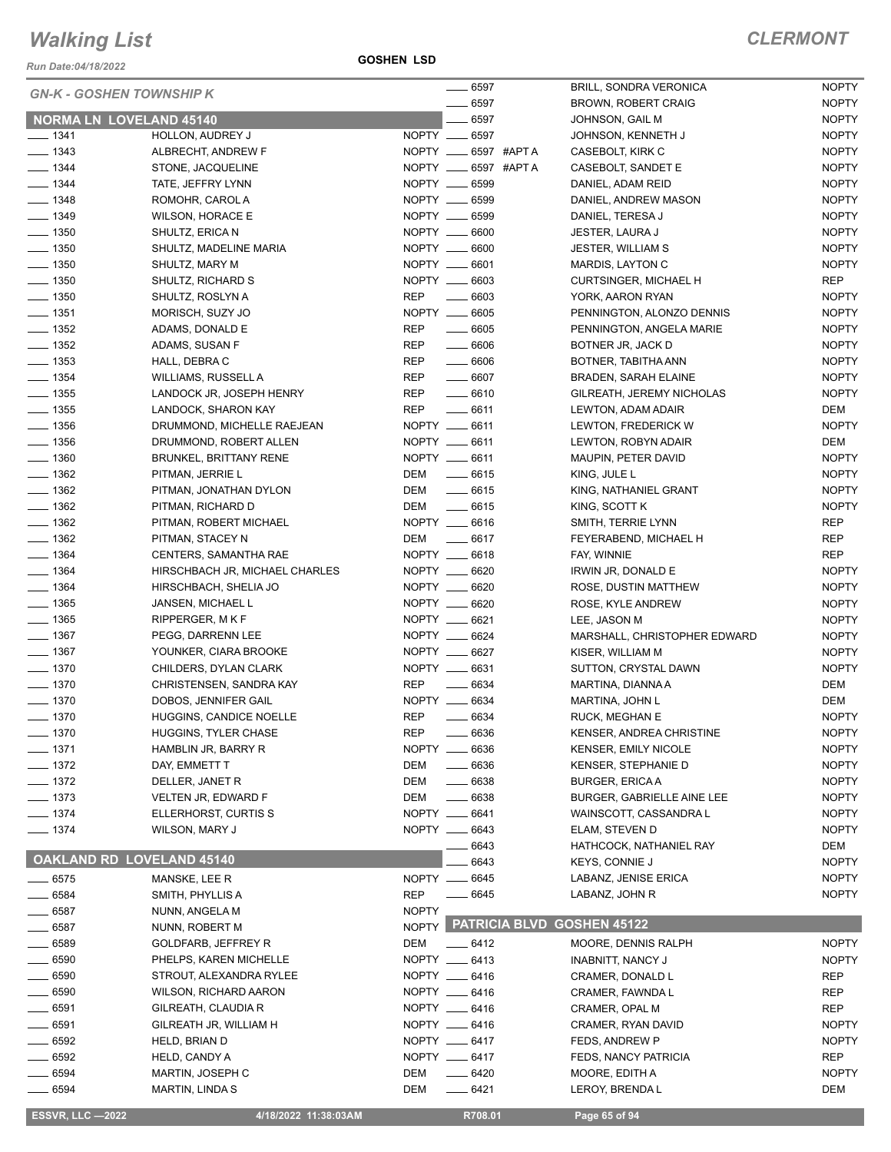*Run Date:04/18/2022*

**GOSHEN LSD**

| <b>GN-K - GOSHEN TOWNSHIP K</b> |                                               |                          | _ 6597                    | <b>BRILL, SONDRA VERONICA</b>                    | <b>NOPTY</b>                 |
|---------------------------------|-----------------------------------------------|--------------------------|---------------------------|--------------------------------------------------|------------------------------|
|                                 |                                               |                          | $\frac{1}{2}$ 6597        | <b>BROWN, ROBERT CRAIG</b>                       | <b>NOPTY</b>                 |
| NORMA LN LOVELAND 45140         |                                               |                          | 6597                      | JOHNSON, GAIL M                                  | <b>NOPTY</b>                 |
| $- 1341$                        | HOLLON, AUDREY J                              |                          | NOPTY __ 6597             | JOHNSON, KENNETH J                               | <b>NOPTY</b>                 |
| $- 1343$                        | ALBRECHT, ANDREW F                            |                          | NOPTY __ 6597 #APT A      | CASEBOLT, KIRK C                                 | <b>NOPTY</b>                 |
| $- 1344$                        | STONE, JACQUELINE                             |                          | NOPTY __ 6597 #APTA       | CASEBOLT, SANDET E                               | <b>NOPTY</b>                 |
| $\frac{1}{2}$ 1344              | TATE, JEFFRY LYNN                             |                          | NOPTY __ 6599             | DANIEL, ADAM REID                                | <b>NOPTY</b>                 |
| $\frac{1}{2}$ 1348              | ROMOHR, CAROL A                               |                          | NOPTY __ 6599             | DANIEL, ANDREW MASON                             | <b>NOPTY</b>                 |
| $\frac{1}{2}$ 1349              | WILSON, HORACE E                              |                          | NOPTY __ 6599             | DANIEL, TERESA J                                 | <b>NOPTY</b>                 |
| $\frac{1}{2}$ 1350              | SHULTZ, ERICA N                               |                          | NOPTY __ 6600             | JESTER, LAURA J                                  | <b>NOPTY</b>                 |
| $\frac{1}{2}$ 1350              | SHULTZ, MADELINE MARIA                        |                          | NOPTY __ 6600             | <b>JESTER, WILLIAM S</b>                         | <b>NOPTY</b>                 |
| $- 1350$                        | SHULTZ, MARY M                                |                          | NOPTY __ 6601             | MARDIS, LAYTON C                                 | <b>NOPTY</b>                 |
| $\frac{1}{2}$ 1350              | SHULTZ, RICHARD S                             |                          | NOPTY __ 6603             | <b>CURTSINGER, MICHAEL H</b>                     | REP                          |
| $- 1350$                        | SHULTZ, ROSLYN A                              | <b>REP</b>               | $- 6603$                  | YORK, AARON RYAN                                 | <b>NOPTY</b>                 |
| $\frac{1}{2}$ 1351              | MORISCH, SUZY JO                              |                          | NOPTY __ 6605             | PENNINGTON, ALONZO DENNIS                        | <b>NOPTY</b>                 |
| $\frac{1}{2}$ 1352              | ADAMS, DONALD E                               | <b>REP</b>               | $- 6605$                  | PENNINGTON, ANGELA MARIE                         | <b>NOPTY</b>                 |
| $\frac{1}{2}$ 1352              | ADAMS, SUSAN F                                | REP                      | $\frac{1}{2}$ 6606        | BOTNER JR, JACK D                                | <b>NOPTY</b>                 |
| $\frac{1}{2}$ 1353              | HALL, DEBRA C                                 | <b>REP</b>               | $- 6606$                  | BOTNER, TABITHA ANN                              | <b>NOPTY</b>                 |
| $- 1354$                        | WILLIAMS, RUSSELL A                           | REP                      | $- 6607$                  | <b>BRADEN, SARAH ELAINE</b>                      | <b>NOPTY</b>                 |
| $- 1355$                        | LANDOCK JR, JOSEPH HENRY                      | REP                      | $- 6610$                  | GILREATH, JEREMY NICHOLAS                        | <b>NOPTY</b>                 |
| $\frac{1}{2}$ 1355              | LANDOCK, SHARON KAY                           | <b>REP</b>               | $-6611$                   | LEWTON, ADAM ADAIR                               | DEM                          |
| $\frac{1}{2}$ 1356              | DRUMMOND, MICHELLE RAEJEAN                    |                          | NOPTY __ 6611             | LEWTON, FREDERICK W                              | <b>NOPTY</b>                 |
| $\frac{1}{2}$ 1356              | DRUMMOND, ROBERT ALLEN                        |                          | NOPTY __ 6611             | LEWTON, ROBYN ADAIR                              | DEM                          |
| $- 1360$                        | <b>BRUNKEL, BRITTANY RENE</b>                 |                          | NOPTY __ 6611             | MAUPIN, PETER DAVID                              | <b>NOPTY</b>                 |
| $- 1362$                        | PITMAN, JERRIE L                              | DEM                      | $\frac{1}{2}$ 6615        | KING, JULE L                                     | <b>NOPTY</b>                 |
| $\frac{1}{2}$ 1362              | PITMAN, JONATHAN DYLON                        | DEM                      | $\frac{1}{2}$ 6615        | KING, NATHANIEL GRANT                            | <b>NOPTY</b>                 |
| $\frac{1}{2}$ 1362              | PITMAN, RICHARD D                             |                          | DEM __ 6615               | KING, SCOTT K                                    | <b>NOPTY</b>                 |
| $\frac{1}{2}$ 1362              | PITMAN, ROBERT MICHAEL                        |                          | NOPTY __ 6616             | SMITH, TERRIE LYNN                               | <b>REP</b>                   |
| $- 1362$                        | PITMAN, STACEY N                              |                          | DEM _______ 6617          | FEYERABEND, MICHAEL H                            | REP                          |
| $\frac{1}{2}$ 1364              | CENTERS, SAMANTHA RAE                         |                          | NOPTY __ 6618             | FAY, WINNIE                                      | REP                          |
| $\frac{1}{2}$ 1364              | HIRSCHBACH JR, MICHAEL CHARLES                |                          | NOPTY __ 6620             | IRWIN JR, DONALD E                               | <b>NOPTY</b>                 |
| $- 1364$                        | HIRSCHBACH, SHELIA JO                         |                          | NOPTY __ 6620             | ROSE, DUSTIN MATTHEW                             | <b>NOPTY</b>                 |
| $- 1365$                        | JANSEN, MICHAEL L                             |                          | NOPTY __ 6620             | ROSE, KYLE ANDREW                                | <b>NOPTY</b>                 |
| $- 1365$                        | RIPPERGER, M K F                              |                          | NOPTY __ 6621             | LEE, JASON M                                     | <b>NOPTY</b>                 |
| $- 1367$                        | PEGG, DARRENN LEE                             |                          | NOPTY __ 6624             | MARSHALL, CHRISTOPHER EDWARD                     | <b>NOPTY</b>                 |
| $\frac{1}{2}$ 1367              | YOUNKER, CIARA BROOKE                         |                          | NOPTY __ 6627             | KISER, WILLIAM M                                 | <b>NOPTY</b>                 |
| $- 1370$                        | CHILDERS, DYLAN CLARK                         |                          | NOPTY __ 6631             | SUTTON, CRYSTAL DAWN                             | <b>NOPTY</b>                 |
| $- 1370$                        | CHRISTENSEN, SANDRA KAY                       | <b>REP</b>               | $\frac{1}{2}$ 6634        | MARTINA, DIANNA A                                | DEM                          |
| $- 1370$                        | DOBOS, JENNIFER GAIL                          |                          | NOPTY __ 6634             | MARTINA, JOHN L                                  | DEM<br><b>NOPTY</b>          |
| $- 1370$<br>$-1370$             | HUGGINS, CANDICE NOELLE                       | <b>REP</b><br><b>REP</b> | $- 6634$                  | <b>RUCK, MEGHAN E</b>                            |                              |
|                                 | HUGGINS, TYLER CHASE                          |                          | $- 6636$<br>NOPTY __ 6636 | KENSER, ANDREA CHRISTINE                         | <b>NOPTY</b>                 |
| $- 1371$<br>$\frac{1}{2}$ 1372  | HAMBLIN JR, BARRY R                           |                          | $- 6636$                  | <b>KENSER, EMILY NICOLE</b>                      | <b>NOPTY</b>                 |
|                                 | DAY, EMMETT T                                 | DEM<br>DEM               |                           | <b>KENSER, STEPHANIE D</b>                       | <b>NOPTY</b>                 |
| $- 1372$<br>$- 1373$            | DELLER, JANET R<br>VELTEN JR, EDWARD F        | DEM                      | $- 6638$<br>$- 6638$      | <b>BURGER, ERICA A</b>                           | <b>NOPTY</b><br><b>NOPTY</b> |
| $-1374$                         | ELLERHORST, CURTIS S                          |                          | NOPTY __ 6641             | <b>BURGER, GABRIELLE AINE LEE</b>                | <b>NOPTY</b>                 |
| $- 1374$                        | WILSON, MARY J                                |                          | NOPTY __ 6643             | WAINSCOTT, CASSANDRA L<br>ELAM, STEVEN D         | <b>NOPTY</b>                 |
|                                 |                                               |                          |                           |                                                  | DEM                          |
| OAKLAND RD LOVELAND 45140       |                                               |                          | 6643<br>6643              | HATHCOCK, NATHANIEL RAY<br><b>KEYS, CONNIE J</b> | <b>NOPTY</b>                 |
|                                 |                                               |                          | NOPTY __ 6645             | LABANZ, JENISE ERICA                             | <b>NOPTY</b>                 |
| $- 6575$<br>$- 6584$            | MANSKE, LEE R<br>SMITH, PHYLLIS A             | REP                      | $- 6645$                  | LABANZ, JOHN R                                   | <b>NOPTY</b>                 |
|                                 |                                               | <b>NOPTY</b>             |                           |                                                  |                              |
| $\frac{1}{2}$ 6587              | NUNN, ANGELA M                                |                          |                           | NOPTY PATRICIA BLVD GOSHEN 45122                 |                              |
| $- 6587$                        | NUNN, ROBERT M                                | DEM                      |                           |                                                  | <b>NOPTY</b>                 |
| $\_\_6589$<br>__ 6590           | GOLDFARB, JEFFREY R<br>PHELPS, KAREN MICHELLE |                          | $-6412$<br>NOPTY __ 6413  | MOORE, DENNIS RALPH<br><b>INABNITT, NANCY J</b>  | <b>NOPTY</b>                 |
| $- 6590$                        | STROUT, ALEXANDRA RYLEE                       |                          | NOPTY __ 6416             | CRAMER, DONALD L                                 | REP                          |
| $-6590$                         | <b>WILSON, RICHARD AARON</b>                  |                          | NOPTY __ 6416             | CRAMER, FAWNDA L                                 | REP                          |
| $- 6591$                        | GILREATH, CLAUDIA R                           |                          | NOPTY __ 6416             | CRAMER, OPAL M                                   | REP                          |
| $-6591$                         | GILREATH JR, WILLIAM H                        |                          | NOPTY __ 6416             | CRAMER, RYAN DAVID                               | <b>NOPTY</b>                 |
| $-6592$                         | HELD, BRIAN D                                 |                          | NOPTY __ 6417             | FEDS, ANDREW P                                   | <b>NOPTY</b>                 |
| $-6592$                         | HELD, CANDY A                                 |                          | NOPTY __ 6417             | FEDS, NANCY PATRICIA                             | REP                          |
| 6594                            | MARTIN, JOSEPH C                              | DEM                      | $- 6420$                  | MOORE, EDITH A                                   | <b>NOPTY</b>                 |
| $-6594$                         | <b>MARTIN, LINDA S</b>                        | DEM                      | $-6421$                   | LEROY, BRENDA L                                  | DEM                          |
|                                 |                                               |                          |                           |                                                  |                              |
| <b>ESSVR, LLC -2022</b>         | 4/18/2022 11:38:03AM                          |                          | R708.01                   | Page 65 of 94                                    |                              |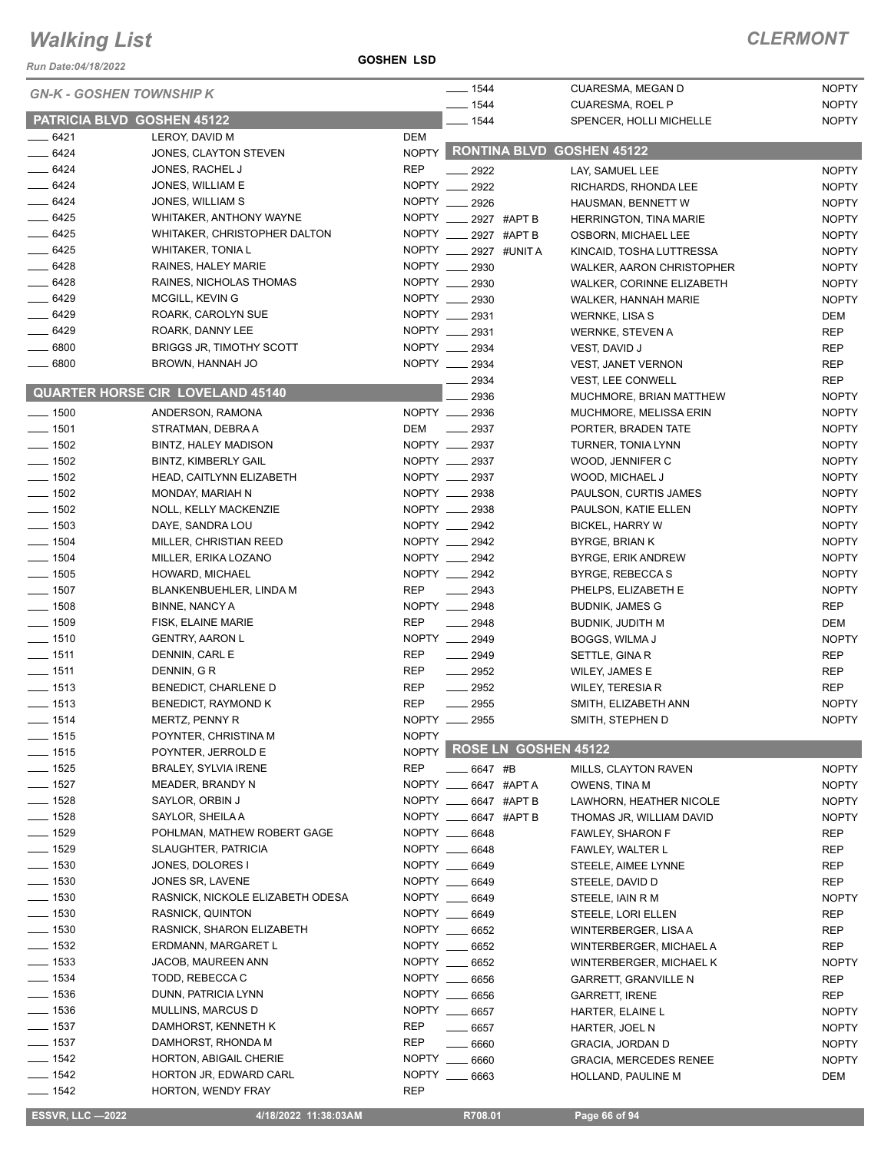#### *Run Date:04/18/2022*

**GOSHEN LSD**

### *CLERMONT*

| <b>GN-K - GOSHEN TOWNSHIP K</b> |                                         |              | $- 1544$              |                      | CUARESMA, MEGAN D                               | <b>NOPTY</b>                 |
|---------------------------------|-----------------------------------------|--------------|-----------------------|----------------------|-------------------------------------------------|------------------------------|
|                                 |                                         |              | $-1544$               |                      | <b>CUARESMA, ROEL P</b>                         | <b>NOPTY</b>                 |
| PATRICIA BLVD GOSHEN 45122      |                                         |              | 1544                  |                      | SPENCER, HOLLI MICHELLE                         | <b>NOPTY</b>                 |
| $-6421$                         | LEROY, DAVID M                          | DEM          |                       |                      | NOPTY RONTINA BLVD GOSHEN 45122                 |                              |
| $-6424$<br>$- 6424$             | JONES, CLAYTON STEVEN                   | <b>REP</b>   |                       |                      |                                                 |                              |
| $- 6424$                        | JONES, RACHEL J<br>JONES, WILLIAM E     | NOPTY        | 2922                  |                      | LAY. SAMUEL LEE                                 | <b>NOPTY</b>                 |
| $-6424$                         | JONES, WILLIAM S                        | NOPTY ___    | 2922                  |                      | RICHARDS, RHONDA LEE                            | <b>NOPTY</b>                 |
| $-6425$                         | WHITAKER, ANTHONY WAYNE                 | NOPTY ___    | 2926                  | 2927 #APT B          | HAUSMAN, BENNETT W                              | <b>NOPTY</b>                 |
| $-6425$                         | WHITAKER, CHRISTOPHER DALTON            | NOPTY        |                       | 2927 #APT B          | <b>HERRINGTON, TINA MARIE</b>                   | <b>NOPTY</b>                 |
| $-6425$                         | <b>WHITAKER, TONIA L</b>                | NOPTY ___    |                       | 2927 #UNIT A         | OSBORN, MICHAEL LEE<br>KINCAID, TOSHA LUTTRESSA | <b>NOPTY</b><br><b>NOPTY</b> |
| $-6428$                         | RAINES, HALEY MARIE                     | NOPTY ___    | 2930                  |                      | WALKER, AARON CHRISTOPHER                       | <b>NOPTY</b>                 |
| $-6428$                         | RAINES, NICHOLAS THOMAS                 | NOPTY __     | 2930                  |                      | WALKER, CORINNE ELIZABETH                       | <b>NOPTY</b>                 |
| $-6429$                         | MCGILL, KEVIN G                         |              | NOPTY __ 2930         |                      | WALKER, HANNAH MARIE                            | <b>NOPTY</b>                 |
| $-6429$                         | ROARK, CAROLYN SUE                      | NOPTY ___    | 2931                  |                      | <b>WERNKE, LISA S</b>                           | <b>DEM</b>                   |
| $- 6429$                        | ROARK, DANNY LEE                        | NOPTY        | 2931                  |                      | <b>WERNKE, STEVEN A</b>                         | <b>REP</b>                   |
| $\frac{1}{2}$ 6800              | <b>BRIGGS JR, TIMOTHY SCOTT</b>         | NOPTY ___    | 2934                  |                      | VEST, DAVID J                                   | <b>REP</b>                   |
| $\frac{1}{2}$ 6800              | BROWN, HANNAH JO                        | NOPTY __     | 2934                  |                      | <b>VEST, JANET VERNON</b>                       | REP                          |
|                                 |                                         |              | 2934                  |                      | <b>VEST, LEE CONWELL</b>                        | <b>REP</b>                   |
|                                 | <b>QUARTER HORSE CIR LOVELAND 45140</b> |              | 2936                  |                      | MUCHMORE, BRIAN MATTHEW                         | <b>NOPTY</b>                 |
| $- 1500$                        | ANDERSON, RAMONA                        |              | NOPTY __ 2936         |                      | MUCHMORE, MELISSA ERIN                          | <b>NOPTY</b>                 |
| $- 1501$                        | STRATMAN, DEBRA A                       | DEM          | $\frac{1}{2937}$      |                      | PORTER, BRADEN TATE                             | <b>NOPTY</b>                 |
| $\frac{1}{2}$ 1502              | <b>BINTZ, HALEY MADISON</b>             |              | NOPTY __ 2937         |                      | TURNER, TONIA LYNN                              | <b>NOPTY</b>                 |
| $- 1502$                        | <b>BINTZ. KIMBERLY GAIL</b>             |              | NOPTY __ 2937         |                      | WOOD, JENNIFER C                                | <b>NOPTY</b>                 |
| $\frac{1}{2}$ 1502              | HEAD, CAITLYNN ELIZABETH                |              | NOPTY __ 2937         |                      | WOOD, MICHAEL J                                 | <b>NOPTY</b>                 |
| $- 1502$                        | MONDAY, MARIAH N                        |              | NOPTY __ 2938         |                      | PAULSON, CURTIS JAMES                           | <b>NOPTY</b>                 |
| $\frac{1}{2}$ 1502              | NOLL, KELLY MACKENZIE                   |              | NOPTY __ 2938         |                      | PAULSON, KATIE ELLEN                            | <b>NOPTY</b>                 |
| $- 1503$                        | DAYE, SANDRA LOU                        |              | NOPTY __ 2942         |                      | <b>BICKEL, HARRY W</b>                          | <b>NOPTY</b>                 |
| $- 1504$                        | MILLER, CHRISTIAN REED                  |              | NOPTY __ 2942         |                      | BYRGE, BRIAN K                                  | <b>NOPTY</b>                 |
| $\frac{1}{2}$ 1504              | MILLER, ERIKA LOZANO                    |              | NOPTY __ 2942         |                      | BYRGE, ERIK ANDREW                              | <b>NOPTY</b>                 |
| $- 1505$                        | HOWARD, MICHAEL                         |              | NOPTY __ 2942         |                      | BYRGE, REBECCA S                                | <b>NOPTY</b>                 |
| $\frac{1}{2}$ 1507              | BLANKENBUEHLER, LINDA M                 | <b>REP</b>   | 2943                  |                      | PHELPS, ELIZABETH E                             | <b>NOPTY</b>                 |
| $- 1508$                        | <b>BINNE, NANCY A</b>                   |              | NOPTY __ 2948         |                      | <b>BUDNIK, JAMES G</b>                          | <b>REP</b>                   |
| $\frac{1}{2}$ 1509              | FISK, ELAINE MARIE                      | <b>REP</b>   | 2948<br>$\frac{1}{1}$ |                      | BUDNIK, JUDITH M                                | <b>DEM</b>                   |
| $- 1510$                        | <b>GENTRY, AARON L</b>                  | NOPTY __     | 2949                  |                      | BOGGS, WILMA J                                  | <b>NOPTY</b>                 |
| $- 1511$                        | DENNIN, CARL E                          | <b>REP</b>   | $-2949$               |                      | SETTLE, GINA R                                  | <b>REP</b>                   |
| $- 1511$                        | DENNIN, GR                              | <b>REP</b>   | $\frac{1}{2952}$      |                      | WILEY, JAMES E                                  | <b>REP</b>                   |
| $- 1513$                        | BENEDICT, CHARLENE D                    | <b>REP</b>   | 2952                  |                      | <b>WILEY, TERESIA R</b>                         | <b>REP</b>                   |
| $- 1513$                        | BENEDICT, RAYMOND K                     | <b>REP</b>   | 2955                  |                      | SMITH, ELIZABETH ANN                            | <b>NOPTY</b>                 |
| _ 1514                          | MERTZ, PENNY R                          | NOPTY _      | 2955                  |                      | SMITH, STEPHEN D                                | <b>NOPTY</b>                 |
| $- 1515$                        | POYNTER, CHRISTINA M                    | <b>NOPTY</b> |                       |                      |                                                 |                              |
| $- 1515$                        | POYNTER, JERROLD E                      | <b>NOPTY</b> |                       | ROSE LN GOSHEN 45122 |                                                 |                              |
| $- 1525$                        | BRALEY, SYLVIA IRENE                    | <b>REP</b>   | 6647 #B               |                      | MILLS, CLAYTON RAVEN                            | <b>NOPTY</b>                 |
| $- 1527$                        | <b>MEADER, BRANDY N</b>                 |              | NOPTY __ 6647 #APTA   |                      | OWENS, TINA M                                   | <b>NOPTY</b>                 |
| $- 1528$                        | SAYLOR, ORBIN J                         |              | NOPTY __ 6647 #APT B  |                      | LAWHORN, HEATHER NICOLE                         | <b>NOPTY</b>                 |
| $- 1528$                        | SAYLOR, SHEILA A                        | NOPTY __     |                       | 6647 #APT B          | THOMAS JR, WILLIAM DAVID                        | <b>NOPTY</b>                 |
| $\frac{1}{2}$ 1529              | POHLMAN, MATHEW ROBERT GAGE             |              | NOPTY __ 6648         |                      | FAWLEY, SHARON F                                | REP                          |
| $- 1529$                        | SLAUGHTER, PATRICIA                     |              | NOPTY __ 6648         |                      | FAWLEY, WALTER L                                | REP                          |
| $- 1530$                        | JONES, DOLORES I                        | NOPTY __     | 6649                  |                      | STEELE, AIMEE LYNNE                             | REP                          |
| $\frac{1}{2}$ 1530              | JONES SR, LAVENE                        |              | NOPTY __ 6649         |                      | STEELE, DAVID D                                 | REP                          |
| $\frac{1}{2}$ 1530              | RASNICK, NICKOLE ELIZABETH ODESA        |              | NOPTY __ 6649         |                      | STEELE, IAIN R M                                | <b>NOPTY</b>                 |
| $\frac{1}{2}$ 1530              | <b>RASNICK, QUINTON</b>                 |              | NOPTY __ 6649         |                      | STEELE, LORI ELLEN                              | REP                          |
| $\frac{1}{2}$ 1530              | RASNICK, SHARON ELIZABETH               |              | NOPTY __ 6652         |                      | WINTERBERGER, LISA A                            | <b>REP</b>                   |
| $\frac{1}{2}$ 1532              | ERDMANN, MARGARET L                     |              | NOPTY __ 6652         |                      | WINTERBERGER, MICHAEL A                         | REP                          |
| $\frac{1}{2}$ 1533              | JACOB, MAUREEN ANN                      |              | NOPTY __ 6652         |                      | WINTERBERGER, MICHAEL K                         | <b>NOPTY</b>                 |
| $- 1534$                        | TODD, REBECCA C                         | NOPTY __     | 6656                  |                      | GARRETT, GRANVILLE N                            | REP                          |
| $\frac{1}{2}$ 1536              | DUNN, PATRICIA LYNN                     |              | NOPTY __ 6656         |                      | <b>GARRETT, IRENE</b>                           | <b>REP</b>                   |
| $- 1536$                        | MULLINS, MARCUS D                       |              | NOPTY __ 6657         |                      | HARTER, ELAINE L                                | <b>NOPTY</b>                 |
| $- 1537$                        | DAMHORST, KENNETH K                     | <b>REP</b>   | $- 6657$              |                      | HARTER, JOEL N                                  | <b>NOPTY</b>                 |
| $\frac{1}{2}$ 1537              | DAMHORST, RHONDA M                      | <b>REP</b>   | $- 6660$              |                      | <b>GRACIA, JORDAN D</b>                         | <b>NOPTY</b>                 |
| $- 1542$                        | HORTON, ABIGAIL CHERIE                  |              | NOPTY __ 6660         |                      | <b>GRACIA, MERCEDES RENEE</b>                   | <b>NOPTY</b>                 |
| $- 1542$                        | HORTON JR, EDWARD CARL                  |              | NOPTY __ 6663         |                      | HOLLAND, PAULINE M                              | DEM                          |
| $\frac{1}{2}$ 1542              | HORTON, WENDY FRAY                      | REP          |                       |                      |                                                 |                              |

**ESSVR, LLC —2022 4/18/2022 11:38:03AM** R708.01 **Page 66 of 94**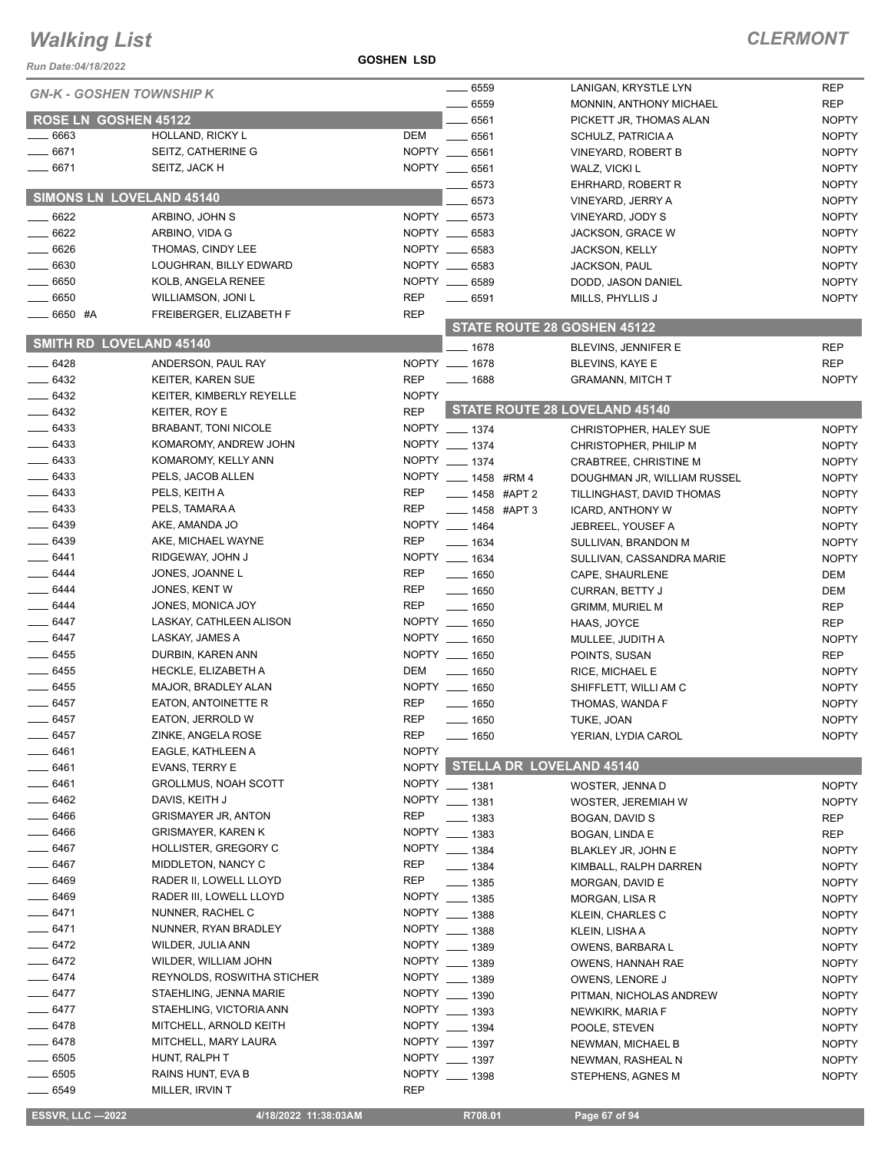#### **GOSHEN LSD**

| $- 6559$<br><b>REP</b><br>LANIGAN, KRYSTLE LYN<br><b>GN-K - GOSHEN TOWNSHIP K</b><br><b>REP</b><br>6559<br>MONNIN, ANTHONY MICHAEL<br><b>ROSE LN GOSHEN 45122</b><br>6561<br><b>NOPTY</b><br>PICKETT JR, THOMAS ALAN<br>6663<br>HOLLAND, RICKY L<br>DEM<br>6561<br><b>NOPTY</b><br>SCHULZ, PATRICIA A<br>6671<br>NOPTY ___<br>SEITZ, CATHERINE G<br>6561<br><b>NOPTY</b><br><b>VINEYARD, ROBERT B</b><br>6671<br>SEITZ, JACK H<br>NOPTY __ 6561<br>WALZ, VICKI L<br><b>NOPTY</b><br>$-6573$<br><b>NOPTY</b><br>EHRHARD, ROBERT R<br>SIMONS LN LOVELAND 45140<br><b>NOPTY</b><br>6573<br>VINEYARD, JERRY A<br>6622<br>NOPTY __ 6573<br><b>NOPTY</b><br>ARBINO, JOHN S<br>VINEYARD, JODY S<br>6622<br><b>NOPTY</b><br>NOPTY __ 6583<br>ARBINO, VIDA G<br><b>JACKSON, GRACE W</b><br>6626<br>NOPTY __ 6583<br><b>NOPTY</b><br>THOMAS, CINDY LEE<br><b>JACKSON, KELLY</b><br>6630<br>NOPTY __ 6583<br><b>NOPTY</b><br>LOUGHRAN, BILLY EDWARD<br>JACKSON, PAUL<br>NOPTY __ 6589<br>$-6650$<br><b>NOPTY</b><br>KOLB, ANGELA RENEE<br>DODD, JASON DANIEL<br>$-6650$<br><b>REP</b><br>$\frac{1}{2}$ 6591<br><b>NOPTY</b><br>WILLIAMSON, JONI L<br>MILLS, PHYLLIS J<br><b>REP</b><br>—— 6650 #A<br>FREIBERGER, ELIZABETH F<br>STATE ROUTE 28 GOSHEN 45122<br>SMITH RD LOVELAND 45140<br>$- 1678$<br><b>REP</b><br>BLEVINS, JENNIFER E<br>$-6428$<br>NOPTY __ 1678<br><b>REP</b><br>ANDERSON, PAUL RAY<br><b>BLEVINS, KAYE E</b><br>6432<br><b>REP</b><br><b>KEITER, KAREN SUE</b><br><b>NOPTY</b><br>$\frac{1}{1688}$<br><b>GRAMANN, MITCH T</b><br>$-6432$<br><b>NOPTY</b><br>KEITER, KIMBERLY REYELLE<br>STATE ROUTE 28 LOVELAND 45140<br>$-6432$<br><b>REP</b><br>KEITER, ROY E<br>$- 6433$<br>NOPTY __ 1374<br><b>BRABANT, TONI NICOLE</b><br><b>NOPTY</b><br>CHRISTOPHER, HALEY SUE<br>$- 6433$<br>NOPTY __ 1374<br>KOMAROMY, ANDREW JOHN<br><b>NOPTY</b><br>CHRISTOPHER, PHILIP M<br>$- 6433$<br>NOPTY __ 1374<br>KOMAROMY, KELLY ANN<br><b>NOPTY</b><br>CRABTREE, CHRISTINE M<br>$- 6433$<br>PELS, JACOB ALLEN<br>NOPTY ____ 1458 #RM 4<br><b>NOPTY</b><br>DOUGHMAN JR, WILLIAM RUSSEL<br>$- 6433$<br><b>REP</b><br>PELS, KEITH A<br>$\frac{1}{2}$ 1458 #APT 2<br><b>NOPTY</b><br>TILLINGHAST, DAVID THOMAS<br>$- 6433$<br>PELS, TAMARA A<br><b>REP</b><br>____ 1458 #APT 3<br><b>NOPTY</b><br>ICARD, ANTHONY W<br>$- 6439$<br>NOPTY __ 1464<br>AKE, AMANDA JO<br><b>NOPTY</b><br>JEBREEL, YOUSEF A<br>$-6439$<br><b>REP</b><br>AKE, MICHAEL WAYNE<br>$- 1634$<br><b>NOPTY</b><br>SULLIVAN, BRANDON M<br>NOPTY __ 1634<br>$-6441$<br>RIDGEWAY, JOHN J<br><b>NOPTY</b><br>SULLIVAN, CASSANDRA MARIE<br>6444<br><b>REP</b><br>JONES, JOANNE L<br>$- 1650$<br>DEM<br>CAPE, SHAURLENE<br>6444<br>JONES, KENT W<br>REP<br>$\frac{1}{1650}$<br>DEM<br>CURRAN, BETTY J<br>$-6444$<br><b>REP</b><br>JONES, MONICA JOY<br>$- 1650$<br><b>REP</b><br><b>GRIMM, MURIEL M</b><br>6447<br>NOPTY __ 1650<br>LASKAY, CATHLEEN ALISON<br><b>REP</b><br>HAAS, JOYCE<br>$-6447$<br>NOPTY __ 1650<br>LASKAY, JAMES A<br><b>NOPTY</b><br>MULLEE, JUDITH A<br>NOPTY __ 1650<br>$- 6455$<br>DURBIN, KAREN ANN<br><b>REP</b><br>POINTS, SUSAN<br>$-6455$<br><b>HECKLE, ELIZABETH A</b><br>DEM<br>$- 1650$<br><b>NOPTY</b><br>RICE, MICHAEL E<br>6455<br>NOPTY __ 1650<br>MAJOR, BRADLEY ALAN<br><b>NOPTY</b><br>SHIFFLETT, WILLI AM C<br>6457<br><b>REP</b><br>EATON, ANTOINETTE R<br><b>NOPTY</b><br>—— 1650<br>THOMAS, WANDA F<br>6457<br>EATON, JERROLD W<br><b>REP</b><br><b>NOPTY</b><br>___ 1650<br>TUKE, JOAN<br>6457<br><b>REP</b><br>ZINKE, ANGELA ROSE<br>$- 1650$<br><b>NOPTY</b><br>YERIAN, LYDIA CAROL<br>6461<br><b>NOPTY</b><br>EAGLE, KATHLEEN A<br>STELLA DR LOVELAND 45140<br><b>NOPTY</b><br>6461<br><b>EVANS, TERRY E</b><br>6461<br><b>GROLLMUS, NOAH SCOTT</b><br><b>NOPTY</b><br>$- 1381$<br><b>NOPTY</b><br>WOSTER, JENNA D<br>6462<br>DAVIS, KEITH J<br><b>NOPTY</b><br>$\frac{1}{2}$ 1381<br><b>NOPTY</b><br>WOSTER, JEREMIAH W<br>6466<br><b>GRISMAYER JR, ANTON</b><br><b>REP</b><br>$- 1383$<br>BOGAN, DAVID S<br>REP<br>_ 6466<br><b>GRISMAYER, KAREN K</b><br><b>NOPTY</b><br>$- 1383$<br><b>REP</b><br>BOGAN, LINDA E<br>$- 6467$<br><b>NOPTY</b><br>HOLLISTER, GREGORY C<br>$- 1384$<br><b>NOPTY</b><br>BLAKLEY JR, JOHN E<br><b>REP</b><br>6467<br>MIDDLETON, NANCY C<br>$- 1384$<br>KIMBALL, RALPH DARREN<br><b>NOPTY</b><br>$-6469$<br><b>REP</b><br>RADER II, LOWELL LLOYD<br>$- 1385$<br><b>NOPTY</b><br>MORGAN, DAVID E<br>6469<br>RADER III, LOWELL LLOYD<br>NOPTY __ 1385<br><b>NOPTY</b><br>MORGAN, LISA R<br>6471<br>NUNNER, RACHEL C<br>NOPTY __ 1388<br><b>NOPTY</b><br>KLEIN, CHARLES C<br>6471<br>NUNNER, RYAN BRADLEY<br>NOPTY __ 1388<br><b>NOPTY</b><br>KLEIN, LISHA A<br>6472<br>WILDER, JULIA ANN<br>NOPTY __ 1389<br>OWENS, BARBARA L<br><b>NOPTY</b><br>$-6472$<br>NOPTY __ 1389<br>WILDER, WILLIAM JOHN<br><b>NOPTY</b><br>OWENS, HANNAH RAE<br>6474<br>NOPTY __ 1389<br>REYNOLDS, ROSWITHA STICHER<br><b>NOPTY</b><br>OWENS, LENORE J<br>6477<br>NOPTY __ 1390<br>STAEHLING, JENNA MARIE<br><b>NOPTY</b><br>PITMAN, NICHOLAS ANDREW<br>6477<br>STAEHLING, VICTORIA ANN<br>NOPTY __ 1393<br><b>NOPTY</b><br>NEWKIRK, MARIA F<br>6478<br>MITCHELL, ARNOLD KEITH<br>NOPTY __ 1394<br><b>NOPTY</b><br>POOLE, STEVEN<br>$-6478$<br>MITCHELL, MARY LAURA<br>NOPTY __ 1397<br><b>NOPTY</b><br>NEWMAN, MICHAEL B<br>$-6505$<br>HUNT, RALPH T<br>NOPTY __ 1397<br><b>NOPTY</b><br>NEWMAN, RASHEAL N<br>$-6505$<br>NOPTY __ 1398<br>RAINS HUNT, EVA B<br><b>NOPTY</b><br>STEPHENS, AGNES M<br>$-6549$<br><b>REP</b><br>MILLER, IRVIN T<br><b>ESSVR, LLC-2022</b><br>R708.01<br>4/18/2022 11:38:03AM<br>Page 67 of 94 | Run Date:04/18/2022 | <b>GOSHEN LSD</b> |  |  |
|-------------------------------------------------------------------------------------------------------------------------------------------------------------------------------------------------------------------------------------------------------------------------------------------------------------------------------------------------------------------------------------------------------------------------------------------------------------------------------------------------------------------------------------------------------------------------------------------------------------------------------------------------------------------------------------------------------------------------------------------------------------------------------------------------------------------------------------------------------------------------------------------------------------------------------------------------------------------------------------------------------------------------------------------------------------------------------------------------------------------------------------------------------------------------------------------------------------------------------------------------------------------------------------------------------------------------------------------------------------------------------------------------------------------------------------------------------------------------------------------------------------------------------------------------------------------------------------------------------------------------------------------------------------------------------------------------------------------------------------------------------------------------------------------------------------------------------------------------------------------------------------------------------------------------------------------------------------------------------------------------------------------------------------------------------------------------------------------------------------------------------------------------------------------------------------------------------------------------------------------------------------------------------------------------------------------------------------------------------------------------------------------------------------------------------------------------------------------------------------------------------------------------------------------------------------------------------------------------------------------------------------------------------------------------------------------------------------------------------------------------------------------------------------------------------------------------------------------------------------------------------------------------------------------------------------------------------------------------------------------------------------------------------------------------------------------------------------------------------------------------------------------------------------------------------------------------------------------------------------------------------------------------------------------------------------------------------------------------------------------------------------------------------------------------------------------------------------------------------------------------------------------------------------------------------------------------------------------------------------------------------------------------------------------------------------------------------------------------------------------------------------------------------------------------------------------------------------------------------------------------------------------------------------------------------------------------------------------------------------------------------------------------------------------------------------------------------------------------------------------------------------------------------------------------------------------------------------------------------------------------------------------------------------------------------------------------------------------------------------------------------------------------------------------------------------------------------------------------------------------------------------------------------------------------------------------------------------------------------------------------------------------------------------------------------------------------------------------------------------------------------------------------------------------------------------------------------------------------------------------------------------------------------------------------------------------------------------------------------------------------------------------------------------------------------------------------------------------------------------------------------------------------------------------------------------------------------------------------------------------------------------------------------------------------------------------------------------------------------------------------------------------------------------------------------------------------------------------------------------------------------------------------------------------------------------------------------------------------------------------------------------------|---------------------|-------------------|--|--|
|                                                                                                                                                                                                                                                                                                                                                                                                                                                                                                                                                                                                                                                                                                                                                                                                                                                                                                                                                                                                                                                                                                                                                                                                                                                                                                                                                                                                                                                                                                                                                                                                                                                                                                                                                                                                                                                                                                                                                                                                                                                                                                                                                                                                                                                                                                                                                                                                                                                                                                                                                                                                                                                                                                                                                                                                                                                                                                                                                                                                                                                                                                                                                                                                                                                                                                                                                                                                                                                                                                                                                                                                                                                                                                                                                                                                                                                                                                                                                                                                                                                                                                                                                                                                                                                                                                                                                                                                                                                                                                                                                                                                                                                                                                                                                                                                                                                                                                                                                                                                                                                                                                                                                                                                                                                                                                                                                                                                                                                                                                                                                                                                                                           |                     |                   |  |  |
|                                                                                                                                                                                                                                                                                                                                                                                                                                                                                                                                                                                                                                                                                                                                                                                                                                                                                                                                                                                                                                                                                                                                                                                                                                                                                                                                                                                                                                                                                                                                                                                                                                                                                                                                                                                                                                                                                                                                                                                                                                                                                                                                                                                                                                                                                                                                                                                                                                                                                                                                                                                                                                                                                                                                                                                                                                                                                                                                                                                                                                                                                                                                                                                                                                                                                                                                                                                                                                                                                                                                                                                                                                                                                                                                                                                                                                                                                                                                                                                                                                                                                                                                                                                                                                                                                                                                                                                                                                                                                                                                                                                                                                                                                                                                                                                                                                                                                                                                                                                                                                                                                                                                                                                                                                                                                                                                                                                                                                                                                                                                                                                                                                           |                     |                   |  |  |
|                                                                                                                                                                                                                                                                                                                                                                                                                                                                                                                                                                                                                                                                                                                                                                                                                                                                                                                                                                                                                                                                                                                                                                                                                                                                                                                                                                                                                                                                                                                                                                                                                                                                                                                                                                                                                                                                                                                                                                                                                                                                                                                                                                                                                                                                                                                                                                                                                                                                                                                                                                                                                                                                                                                                                                                                                                                                                                                                                                                                                                                                                                                                                                                                                                                                                                                                                                                                                                                                                                                                                                                                                                                                                                                                                                                                                                                                                                                                                                                                                                                                                                                                                                                                                                                                                                                                                                                                                                                                                                                                                                                                                                                                                                                                                                                                                                                                                                                                                                                                                                                                                                                                                                                                                                                                                                                                                                                                                                                                                                                                                                                                                                           |                     |                   |  |  |
|                                                                                                                                                                                                                                                                                                                                                                                                                                                                                                                                                                                                                                                                                                                                                                                                                                                                                                                                                                                                                                                                                                                                                                                                                                                                                                                                                                                                                                                                                                                                                                                                                                                                                                                                                                                                                                                                                                                                                                                                                                                                                                                                                                                                                                                                                                                                                                                                                                                                                                                                                                                                                                                                                                                                                                                                                                                                                                                                                                                                                                                                                                                                                                                                                                                                                                                                                                                                                                                                                                                                                                                                                                                                                                                                                                                                                                                                                                                                                                                                                                                                                                                                                                                                                                                                                                                                                                                                                                                                                                                                                                                                                                                                                                                                                                                                                                                                                                                                                                                                                                                                                                                                                                                                                                                                                                                                                                                                                                                                                                                                                                                                                                           |                     |                   |  |  |
|                                                                                                                                                                                                                                                                                                                                                                                                                                                                                                                                                                                                                                                                                                                                                                                                                                                                                                                                                                                                                                                                                                                                                                                                                                                                                                                                                                                                                                                                                                                                                                                                                                                                                                                                                                                                                                                                                                                                                                                                                                                                                                                                                                                                                                                                                                                                                                                                                                                                                                                                                                                                                                                                                                                                                                                                                                                                                                                                                                                                                                                                                                                                                                                                                                                                                                                                                                                                                                                                                                                                                                                                                                                                                                                                                                                                                                                                                                                                                                                                                                                                                                                                                                                                                                                                                                                                                                                                                                                                                                                                                                                                                                                                                                                                                                                                                                                                                                                                                                                                                                                                                                                                                                                                                                                                                                                                                                                                                                                                                                                                                                                                                                           |                     |                   |  |  |
|                                                                                                                                                                                                                                                                                                                                                                                                                                                                                                                                                                                                                                                                                                                                                                                                                                                                                                                                                                                                                                                                                                                                                                                                                                                                                                                                                                                                                                                                                                                                                                                                                                                                                                                                                                                                                                                                                                                                                                                                                                                                                                                                                                                                                                                                                                                                                                                                                                                                                                                                                                                                                                                                                                                                                                                                                                                                                                                                                                                                                                                                                                                                                                                                                                                                                                                                                                                                                                                                                                                                                                                                                                                                                                                                                                                                                                                                                                                                                                                                                                                                                                                                                                                                                                                                                                                                                                                                                                                                                                                                                                                                                                                                                                                                                                                                                                                                                                                                                                                                                                                                                                                                                                                                                                                                                                                                                                                                                                                                                                                                                                                                                                           |                     |                   |  |  |
|                                                                                                                                                                                                                                                                                                                                                                                                                                                                                                                                                                                                                                                                                                                                                                                                                                                                                                                                                                                                                                                                                                                                                                                                                                                                                                                                                                                                                                                                                                                                                                                                                                                                                                                                                                                                                                                                                                                                                                                                                                                                                                                                                                                                                                                                                                                                                                                                                                                                                                                                                                                                                                                                                                                                                                                                                                                                                                                                                                                                                                                                                                                                                                                                                                                                                                                                                                                                                                                                                                                                                                                                                                                                                                                                                                                                                                                                                                                                                                                                                                                                                                                                                                                                                                                                                                                                                                                                                                                                                                                                                                                                                                                                                                                                                                                                                                                                                                                                                                                                                                                                                                                                                                                                                                                                                                                                                                                                                                                                                                                                                                                                                                           |                     |                   |  |  |
|                                                                                                                                                                                                                                                                                                                                                                                                                                                                                                                                                                                                                                                                                                                                                                                                                                                                                                                                                                                                                                                                                                                                                                                                                                                                                                                                                                                                                                                                                                                                                                                                                                                                                                                                                                                                                                                                                                                                                                                                                                                                                                                                                                                                                                                                                                                                                                                                                                                                                                                                                                                                                                                                                                                                                                                                                                                                                                                                                                                                                                                                                                                                                                                                                                                                                                                                                                                                                                                                                                                                                                                                                                                                                                                                                                                                                                                                                                                                                                                                                                                                                                                                                                                                                                                                                                                                                                                                                                                                                                                                                                                                                                                                                                                                                                                                                                                                                                                                                                                                                                                                                                                                                                                                                                                                                                                                                                                                                                                                                                                                                                                                                                           |                     |                   |  |  |
|                                                                                                                                                                                                                                                                                                                                                                                                                                                                                                                                                                                                                                                                                                                                                                                                                                                                                                                                                                                                                                                                                                                                                                                                                                                                                                                                                                                                                                                                                                                                                                                                                                                                                                                                                                                                                                                                                                                                                                                                                                                                                                                                                                                                                                                                                                                                                                                                                                                                                                                                                                                                                                                                                                                                                                                                                                                                                                                                                                                                                                                                                                                                                                                                                                                                                                                                                                                                                                                                                                                                                                                                                                                                                                                                                                                                                                                                                                                                                                                                                                                                                                                                                                                                                                                                                                                                                                                                                                                                                                                                                                                                                                                                                                                                                                                                                                                                                                                                                                                                                                                                                                                                                                                                                                                                                                                                                                                                                                                                                                                                                                                                                                           |                     |                   |  |  |
|                                                                                                                                                                                                                                                                                                                                                                                                                                                                                                                                                                                                                                                                                                                                                                                                                                                                                                                                                                                                                                                                                                                                                                                                                                                                                                                                                                                                                                                                                                                                                                                                                                                                                                                                                                                                                                                                                                                                                                                                                                                                                                                                                                                                                                                                                                                                                                                                                                                                                                                                                                                                                                                                                                                                                                                                                                                                                                                                                                                                                                                                                                                                                                                                                                                                                                                                                                                                                                                                                                                                                                                                                                                                                                                                                                                                                                                                                                                                                                                                                                                                                                                                                                                                                                                                                                                                                                                                                                                                                                                                                                                                                                                                                                                                                                                                                                                                                                                                                                                                                                                                                                                                                                                                                                                                                                                                                                                                                                                                                                                                                                                                                                           |                     |                   |  |  |
|                                                                                                                                                                                                                                                                                                                                                                                                                                                                                                                                                                                                                                                                                                                                                                                                                                                                                                                                                                                                                                                                                                                                                                                                                                                                                                                                                                                                                                                                                                                                                                                                                                                                                                                                                                                                                                                                                                                                                                                                                                                                                                                                                                                                                                                                                                                                                                                                                                                                                                                                                                                                                                                                                                                                                                                                                                                                                                                                                                                                                                                                                                                                                                                                                                                                                                                                                                                                                                                                                                                                                                                                                                                                                                                                                                                                                                                                                                                                                                                                                                                                                                                                                                                                                                                                                                                                                                                                                                                                                                                                                                                                                                                                                                                                                                                                                                                                                                                                                                                                                                                                                                                                                                                                                                                                                                                                                                                                                                                                                                                                                                                                                                           |                     |                   |  |  |
|                                                                                                                                                                                                                                                                                                                                                                                                                                                                                                                                                                                                                                                                                                                                                                                                                                                                                                                                                                                                                                                                                                                                                                                                                                                                                                                                                                                                                                                                                                                                                                                                                                                                                                                                                                                                                                                                                                                                                                                                                                                                                                                                                                                                                                                                                                                                                                                                                                                                                                                                                                                                                                                                                                                                                                                                                                                                                                                                                                                                                                                                                                                                                                                                                                                                                                                                                                                                                                                                                                                                                                                                                                                                                                                                                                                                                                                                                                                                                                                                                                                                                                                                                                                                                                                                                                                                                                                                                                                                                                                                                                                                                                                                                                                                                                                                                                                                                                                                                                                                                                                                                                                                                                                                                                                                                                                                                                                                                                                                                                                                                                                                                                           |                     |                   |  |  |
|                                                                                                                                                                                                                                                                                                                                                                                                                                                                                                                                                                                                                                                                                                                                                                                                                                                                                                                                                                                                                                                                                                                                                                                                                                                                                                                                                                                                                                                                                                                                                                                                                                                                                                                                                                                                                                                                                                                                                                                                                                                                                                                                                                                                                                                                                                                                                                                                                                                                                                                                                                                                                                                                                                                                                                                                                                                                                                                                                                                                                                                                                                                                                                                                                                                                                                                                                                                                                                                                                                                                                                                                                                                                                                                                                                                                                                                                                                                                                                                                                                                                                                                                                                                                                                                                                                                                                                                                                                                                                                                                                                                                                                                                                                                                                                                                                                                                                                                                                                                                                                                                                                                                                                                                                                                                                                                                                                                                                                                                                                                                                                                                                                           |                     |                   |  |  |
|                                                                                                                                                                                                                                                                                                                                                                                                                                                                                                                                                                                                                                                                                                                                                                                                                                                                                                                                                                                                                                                                                                                                                                                                                                                                                                                                                                                                                                                                                                                                                                                                                                                                                                                                                                                                                                                                                                                                                                                                                                                                                                                                                                                                                                                                                                                                                                                                                                                                                                                                                                                                                                                                                                                                                                                                                                                                                                                                                                                                                                                                                                                                                                                                                                                                                                                                                                                                                                                                                                                                                                                                                                                                                                                                                                                                                                                                                                                                                                                                                                                                                                                                                                                                                                                                                                                                                                                                                                                                                                                                                                                                                                                                                                                                                                                                                                                                                                                                                                                                                                                                                                                                                                                                                                                                                                                                                                                                                                                                                                                                                                                                                                           |                     |                   |  |  |
|                                                                                                                                                                                                                                                                                                                                                                                                                                                                                                                                                                                                                                                                                                                                                                                                                                                                                                                                                                                                                                                                                                                                                                                                                                                                                                                                                                                                                                                                                                                                                                                                                                                                                                                                                                                                                                                                                                                                                                                                                                                                                                                                                                                                                                                                                                                                                                                                                                                                                                                                                                                                                                                                                                                                                                                                                                                                                                                                                                                                                                                                                                                                                                                                                                                                                                                                                                                                                                                                                                                                                                                                                                                                                                                                                                                                                                                                                                                                                                                                                                                                                                                                                                                                                                                                                                                                                                                                                                                                                                                                                                                                                                                                                                                                                                                                                                                                                                                                                                                                                                                                                                                                                                                                                                                                                                                                                                                                                                                                                                                                                                                                                                           |                     |                   |  |  |
|                                                                                                                                                                                                                                                                                                                                                                                                                                                                                                                                                                                                                                                                                                                                                                                                                                                                                                                                                                                                                                                                                                                                                                                                                                                                                                                                                                                                                                                                                                                                                                                                                                                                                                                                                                                                                                                                                                                                                                                                                                                                                                                                                                                                                                                                                                                                                                                                                                                                                                                                                                                                                                                                                                                                                                                                                                                                                                                                                                                                                                                                                                                                                                                                                                                                                                                                                                                                                                                                                                                                                                                                                                                                                                                                                                                                                                                                                                                                                                                                                                                                                                                                                                                                                                                                                                                                                                                                                                                                                                                                                                                                                                                                                                                                                                                                                                                                                                                                                                                                                                                                                                                                                                                                                                                                                                                                                                                                                                                                                                                                                                                                                                           |                     |                   |  |  |
|                                                                                                                                                                                                                                                                                                                                                                                                                                                                                                                                                                                                                                                                                                                                                                                                                                                                                                                                                                                                                                                                                                                                                                                                                                                                                                                                                                                                                                                                                                                                                                                                                                                                                                                                                                                                                                                                                                                                                                                                                                                                                                                                                                                                                                                                                                                                                                                                                                                                                                                                                                                                                                                                                                                                                                                                                                                                                                                                                                                                                                                                                                                                                                                                                                                                                                                                                                                                                                                                                                                                                                                                                                                                                                                                                                                                                                                                                                                                                                                                                                                                                                                                                                                                                                                                                                                                                                                                                                                                                                                                                                                                                                                                                                                                                                                                                                                                                                                                                                                                                                                                                                                                                                                                                                                                                                                                                                                                                                                                                                                                                                                                                                           |                     |                   |  |  |
|                                                                                                                                                                                                                                                                                                                                                                                                                                                                                                                                                                                                                                                                                                                                                                                                                                                                                                                                                                                                                                                                                                                                                                                                                                                                                                                                                                                                                                                                                                                                                                                                                                                                                                                                                                                                                                                                                                                                                                                                                                                                                                                                                                                                                                                                                                                                                                                                                                                                                                                                                                                                                                                                                                                                                                                                                                                                                                                                                                                                                                                                                                                                                                                                                                                                                                                                                                                                                                                                                                                                                                                                                                                                                                                                                                                                                                                                                                                                                                                                                                                                                                                                                                                                                                                                                                                                                                                                                                                                                                                                                                                                                                                                                                                                                                                                                                                                                                                                                                                                                                                                                                                                                                                                                                                                                                                                                                                                                                                                                                                                                                                                                                           |                     |                   |  |  |
|                                                                                                                                                                                                                                                                                                                                                                                                                                                                                                                                                                                                                                                                                                                                                                                                                                                                                                                                                                                                                                                                                                                                                                                                                                                                                                                                                                                                                                                                                                                                                                                                                                                                                                                                                                                                                                                                                                                                                                                                                                                                                                                                                                                                                                                                                                                                                                                                                                                                                                                                                                                                                                                                                                                                                                                                                                                                                                                                                                                                                                                                                                                                                                                                                                                                                                                                                                                                                                                                                                                                                                                                                                                                                                                                                                                                                                                                                                                                                                                                                                                                                                                                                                                                                                                                                                                                                                                                                                                                                                                                                                                                                                                                                                                                                                                                                                                                                                                                                                                                                                                                                                                                                                                                                                                                                                                                                                                                                                                                                                                                                                                                                                           |                     |                   |  |  |
|                                                                                                                                                                                                                                                                                                                                                                                                                                                                                                                                                                                                                                                                                                                                                                                                                                                                                                                                                                                                                                                                                                                                                                                                                                                                                                                                                                                                                                                                                                                                                                                                                                                                                                                                                                                                                                                                                                                                                                                                                                                                                                                                                                                                                                                                                                                                                                                                                                                                                                                                                                                                                                                                                                                                                                                                                                                                                                                                                                                                                                                                                                                                                                                                                                                                                                                                                                                                                                                                                                                                                                                                                                                                                                                                                                                                                                                                                                                                                                                                                                                                                                                                                                                                                                                                                                                                                                                                                                                                                                                                                                                                                                                                                                                                                                                                                                                                                                                                                                                                                                                                                                                                                                                                                                                                                                                                                                                                                                                                                                                                                                                                                                           |                     |                   |  |  |
|                                                                                                                                                                                                                                                                                                                                                                                                                                                                                                                                                                                                                                                                                                                                                                                                                                                                                                                                                                                                                                                                                                                                                                                                                                                                                                                                                                                                                                                                                                                                                                                                                                                                                                                                                                                                                                                                                                                                                                                                                                                                                                                                                                                                                                                                                                                                                                                                                                                                                                                                                                                                                                                                                                                                                                                                                                                                                                                                                                                                                                                                                                                                                                                                                                                                                                                                                                                                                                                                                                                                                                                                                                                                                                                                                                                                                                                                                                                                                                                                                                                                                                                                                                                                                                                                                                                                                                                                                                                                                                                                                                                                                                                                                                                                                                                                                                                                                                                                                                                                                                                                                                                                                                                                                                                                                                                                                                                                                                                                                                                                                                                                                                           |                     |                   |  |  |
|                                                                                                                                                                                                                                                                                                                                                                                                                                                                                                                                                                                                                                                                                                                                                                                                                                                                                                                                                                                                                                                                                                                                                                                                                                                                                                                                                                                                                                                                                                                                                                                                                                                                                                                                                                                                                                                                                                                                                                                                                                                                                                                                                                                                                                                                                                                                                                                                                                                                                                                                                                                                                                                                                                                                                                                                                                                                                                                                                                                                                                                                                                                                                                                                                                                                                                                                                                                                                                                                                                                                                                                                                                                                                                                                                                                                                                                                                                                                                                                                                                                                                                                                                                                                                                                                                                                                                                                                                                                                                                                                                                                                                                                                                                                                                                                                                                                                                                                                                                                                                                                                                                                                                                                                                                                                                                                                                                                                                                                                                                                                                                                                                                           |                     |                   |  |  |
|                                                                                                                                                                                                                                                                                                                                                                                                                                                                                                                                                                                                                                                                                                                                                                                                                                                                                                                                                                                                                                                                                                                                                                                                                                                                                                                                                                                                                                                                                                                                                                                                                                                                                                                                                                                                                                                                                                                                                                                                                                                                                                                                                                                                                                                                                                                                                                                                                                                                                                                                                                                                                                                                                                                                                                                                                                                                                                                                                                                                                                                                                                                                                                                                                                                                                                                                                                                                                                                                                                                                                                                                                                                                                                                                                                                                                                                                                                                                                                                                                                                                                                                                                                                                                                                                                                                                                                                                                                                                                                                                                                                                                                                                                                                                                                                                                                                                                                                                                                                                                                                                                                                                                                                                                                                                                                                                                                                                                                                                                                                                                                                                                                           |                     |                   |  |  |
|                                                                                                                                                                                                                                                                                                                                                                                                                                                                                                                                                                                                                                                                                                                                                                                                                                                                                                                                                                                                                                                                                                                                                                                                                                                                                                                                                                                                                                                                                                                                                                                                                                                                                                                                                                                                                                                                                                                                                                                                                                                                                                                                                                                                                                                                                                                                                                                                                                                                                                                                                                                                                                                                                                                                                                                                                                                                                                                                                                                                                                                                                                                                                                                                                                                                                                                                                                                                                                                                                                                                                                                                                                                                                                                                                                                                                                                                                                                                                                                                                                                                                                                                                                                                                                                                                                                                                                                                                                                                                                                                                                                                                                                                                                                                                                                                                                                                                                                                                                                                                                                                                                                                                                                                                                                                                                                                                                                                                                                                                                                                                                                                                                           |                     |                   |  |  |
|                                                                                                                                                                                                                                                                                                                                                                                                                                                                                                                                                                                                                                                                                                                                                                                                                                                                                                                                                                                                                                                                                                                                                                                                                                                                                                                                                                                                                                                                                                                                                                                                                                                                                                                                                                                                                                                                                                                                                                                                                                                                                                                                                                                                                                                                                                                                                                                                                                                                                                                                                                                                                                                                                                                                                                                                                                                                                                                                                                                                                                                                                                                                                                                                                                                                                                                                                                                                                                                                                                                                                                                                                                                                                                                                                                                                                                                                                                                                                                                                                                                                                                                                                                                                                                                                                                                                                                                                                                                                                                                                                                                                                                                                                                                                                                                                                                                                                                                                                                                                                                                                                                                                                                                                                                                                                                                                                                                                                                                                                                                                                                                                                                           |                     |                   |  |  |
|                                                                                                                                                                                                                                                                                                                                                                                                                                                                                                                                                                                                                                                                                                                                                                                                                                                                                                                                                                                                                                                                                                                                                                                                                                                                                                                                                                                                                                                                                                                                                                                                                                                                                                                                                                                                                                                                                                                                                                                                                                                                                                                                                                                                                                                                                                                                                                                                                                                                                                                                                                                                                                                                                                                                                                                                                                                                                                                                                                                                                                                                                                                                                                                                                                                                                                                                                                                                                                                                                                                                                                                                                                                                                                                                                                                                                                                                                                                                                                                                                                                                                                                                                                                                                                                                                                                                                                                                                                                                                                                                                                                                                                                                                                                                                                                                                                                                                                                                                                                                                                                                                                                                                                                                                                                                                                                                                                                                                                                                                                                                                                                                                                           |                     |                   |  |  |
|                                                                                                                                                                                                                                                                                                                                                                                                                                                                                                                                                                                                                                                                                                                                                                                                                                                                                                                                                                                                                                                                                                                                                                                                                                                                                                                                                                                                                                                                                                                                                                                                                                                                                                                                                                                                                                                                                                                                                                                                                                                                                                                                                                                                                                                                                                                                                                                                                                                                                                                                                                                                                                                                                                                                                                                                                                                                                                                                                                                                                                                                                                                                                                                                                                                                                                                                                                                                                                                                                                                                                                                                                                                                                                                                                                                                                                                                                                                                                                                                                                                                                                                                                                                                                                                                                                                                                                                                                                                                                                                                                                                                                                                                                                                                                                                                                                                                                                                                                                                                                                                                                                                                                                                                                                                                                                                                                                                                                                                                                                                                                                                                                                           |                     |                   |  |  |
|                                                                                                                                                                                                                                                                                                                                                                                                                                                                                                                                                                                                                                                                                                                                                                                                                                                                                                                                                                                                                                                                                                                                                                                                                                                                                                                                                                                                                                                                                                                                                                                                                                                                                                                                                                                                                                                                                                                                                                                                                                                                                                                                                                                                                                                                                                                                                                                                                                                                                                                                                                                                                                                                                                                                                                                                                                                                                                                                                                                                                                                                                                                                                                                                                                                                                                                                                                                                                                                                                                                                                                                                                                                                                                                                                                                                                                                                                                                                                                                                                                                                                                                                                                                                                                                                                                                                                                                                                                                                                                                                                                                                                                                                                                                                                                                                                                                                                                                                                                                                                                                                                                                                                                                                                                                                                                                                                                                                                                                                                                                                                                                                                                           |                     |                   |  |  |
|                                                                                                                                                                                                                                                                                                                                                                                                                                                                                                                                                                                                                                                                                                                                                                                                                                                                                                                                                                                                                                                                                                                                                                                                                                                                                                                                                                                                                                                                                                                                                                                                                                                                                                                                                                                                                                                                                                                                                                                                                                                                                                                                                                                                                                                                                                                                                                                                                                                                                                                                                                                                                                                                                                                                                                                                                                                                                                                                                                                                                                                                                                                                                                                                                                                                                                                                                                                                                                                                                                                                                                                                                                                                                                                                                                                                                                                                                                                                                                                                                                                                                                                                                                                                                                                                                                                                                                                                                                                                                                                                                                                                                                                                                                                                                                                                                                                                                                                                                                                                                                                                                                                                                                                                                                                                                                                                                                                                                                                                                                                                                                                                                                           |                     |                   |  |  |
|                                                                                                                                                                                                                                                                                                                                                                                                                                                                                                                                                                                                                                                                                                                                                                                                                                                                                                                                                                                                                                                                                                                                                                                                                                                                                                                                                                                                                                                                                                                                                                                                                                                                                                                                                                                                                                                                                                                                                                                                                                                                                                                                                                                                                                                                                                                                                                                                                                                                                                                                                                                                                                                                                                                                                                                                                                                                                                                                                                                                                                                                                                                                                                                                                                                                                                                                                                                                                                                                                                                                                                                                                                                                                                                                                                                                                                                                                                                                                                                                                                                                                                                                                                                                                                                                                                                                                                                                                                                                                                                                                                                                                                                                                                                                                                                                                                                                                                                                                                                                                                                                                                                                                                                                                                                                                                                                                                                                                                                                                                                                                                                                                                           |                     |                   |  |  |
|                                                                                                                                                                                                                                                                                                                                                                                                                                                                                                                                                                                                                                                                                                                                                                                                                                                                                                                                                                                                                                                                                                                                                                                                                                                                                                                                                                                                                                                                                                                                                                                                                                                                                                                                                                                                                                                                                                                                                                                                                                                                                                                                                                                                                                                                                                                                                                                                                                                                                                                                                                                                                                                                                                                                                                                                                                                                                                                                                                                                                                                                                                                                                                                                                                                                                                                                                                                                                                                                                                                                                                                                                                                                                                                                                                                                                                                                                                                                                                                                                                                                                                                                                                                                                                                                                                                                                                                                                                                                                                                                                                                                                                                                                                                                                                                                                                                                                                                                                                                                                                                                                                                                                                                                                                                                                                                                                                                                                                                                                                                                                                                                                                           |                     |                   |  |  |
|                                                                                                                                                                                                                                                                                                                                                                                                                                                                                                                                                                                                                                                                                                                                                                                                                                                                                                                                                                                                                                                                                                                                                                                                                                                                                                                                                                                                                                                                                                                                                                                                                                                                                                                                                                                                                                                                                                                                                                                                                                                                                                                                                                                                                                                                                                                                                                                                                                                                                                                                                                                                                                                                                                                                                                                                                                                                                                                                                                                                                                                                                                                                                                                                                                                                                                                                                                                                                                                                                                                                                                                                                                                                                                                                                                                                                                                                                                                                                                                                                                                                                                                                                                                                                                                                                                                                                                                                                                                                                                                                                                                                                                                                                                                                                                                                                                                                                                                                                                                                                                                                                                                                                                                                                                                                                                                                                                                                                                                                                                                                                                                                                                           |                     |                   |  |  |
|                                                                                                                                                                                                                                                                                                                                                                                                                                                                                                                                                                                                                                                                                                                                                                                                                                                                                                                                                                                                                                                                                                                                                                                                                                                                                                                                                                                                                                                                                                                                                                                                                                                                                                                                                                                                                                                                                                                                                                                                                                                                                                                                                                                                                                                                                                                                                                                                                                                                                                                                                                                                                                                                                                                                                                                                                                                                                                                                                                                                                                                                                                                                                                                                                                                                                                                                                                                                                                                                                                                                                                                                                                                                                                                                                                                                                                                                                                                                                                                                                                                                                                                                                                                                                                                                                                                                                                                                                                                                                                                                                                                                                                                                                                                                                                                                                                                                                                                                                                                                                                                                                                                                                                                                                                                                                                                                                                                                                                                                                                                                                                                                                                           |                     |                   |  |  |
|                                                                                                                                                                                                                                                                                                                                                                                                                                                                                                                                                                                                                                                                                                                                                                                                                                                                                                                                                                                                                                                                                                                                                                                                                                                                                                                                                                                                                                                                                                                                                                                                                                                                                                                                                                                                                                                                                                                                                                                                                                                                                                                                                                                                                                                                                                                                                                                                                                                                                                                                                                                                                                                                                                                                                                                                                                                                                                                                                                                                                                                                                                                                                                                                                                                                                                                                                                                                                                                                                                                                                                                                                                                                                                                                                                                                                                                                                                                                                                                                                                                                                                                                                                                                                                                                                                                                                                                                                                                                                                                                                                                                                                                                                                                                                                                                                                                                                                                                                                                                                                                                                                                                                                                                                                                                                                                                                                                                                                                                                                                                                                                                                                           |                     |                   |  |  |
|                                                                                                                                                                                                                                                                                                                                                                                                                                                                                                                                                                                                                                                                                                                                                                                                                                                                                                                                                                                                                                                                                                                                                                                                                                                                                                                                                                                                                                                                                                                                                                                                                                                                                                                                                                                                                                                                                                                                                                                                                                                                                                                                                                                                                                                                                                                                                                                                                                                                                                                                                                                                                                                                                                                                                                                                                                                                                                                                                                                                                                                                                                                                                                                                                                                                                                                                                                                                                                                                                                                                                                                                                                                                                                                                                                                                                                                                                                                                                                                                                                                                                                                                                                                                                                                                                                                                                                                                                                                                                                                                                                                                                                                                                                                                                                                                                                                                                                                                                                                                                                                                                                                                                                                                                                                                                                                                                                                                                                                                                                                                                                                                                                           |                     |                   |  |  |
|                                                                                                                                                                                                                                                                                                                                                                                                                                                                                                                                                                                                                                                                                                                                                                                                                                                                                                                                                                                                                                                                                                                                                                                                                                                                                                                                                                                                                                                                                                                                                                                                                                                                                                                                                                                                                                                                                                                                                                                                                                                                                                                                                                                                                                                                                                                                                                                                                                                                                                                                                                                                                                                                                                                                                                                                                                                                                                                                                                                                                                                                                                                                                                                                                                                                                                                                                                                                                                                                                                                                                                                                                                                                                                                                                                                                                                                                                                                                                                                                                                                                                                                                                                                                                                                                                                                                                                                                                                                                                                                                                                                                                                                                                                                                                                                                                                                                                                                                                                                                                                                                                                                                                                                                                                                                                                                                                                                                                                                                                                                                                                                                                                           |                     |                   |  |  |
|                                                                                                                                                                                                                                                                                                                                                                                                                                                                                                                                                                                                                                                                                                                                                                                                                                                                                                                                                                                                                                                                                                                                                                                                                                                                                                                                                                                                                                                                                                                                                                                                                                                                                                                                                                                                                                                                                                                                                                                                                                                                                                                                                                                                                                                                                                                                                                                                                                                                                                                                                                                                                                                                                                                                                                                                                                                                                                                                                                                                                                                                                                                                                                                                                                                                                                                                                                                                                                                                                                                                                                                                                                                                                                                                                                                                                                                                                                                                                                                                                                                                                                                                                                                                                                                                                                                                                                                                                                                                                                                                                                                                                                                                                                                                                                                                                                                                                                                                                                                                                                                                                                                                                                                                                                                                                                                                                                                                                                                                                                                                                                                                                                           |                     |                   |  |  |
|                                                                                                                                                                                                                                                                                                                                                                                                                                                                                                                                                                                                                                                                                                                                                                                                                                                                                                                                                                                                                                                                                                                                                                                                                                                                                                                                                                                                                                                                                                                                                                                                                                                                                                                                                                                                                                                                                                                                                                                                                                                                                                                                                                                                                                                                                                                                                                                                                                                                                                                                                                                                                                                                                                                                                                                                                                                                                                                                                                                                                                                                                                                                                                                                                                                                                                                                                                                                                                                                                                                                                                                                                                                                                                                                                                                                                                                                                                                                                                                                                                                                                                                                                                                                                                                                                                                                                                                                                                                                                                                                                                                                                                                                                                                                                                                                                                                                                                                                                                                                                                                                                                                                                                                                                                                                                                                                                                                                                                                                                                                                                                                                                                           |                     |                   |  |  |
|                                                                                                                                                                                                                                                                                                                                                                                                                                                                                                                                                                                                                                                                                                                                                                                                                                                                                                                                                                                                                                                                                                                                                                                                                                                                                                                                                                                                                                                                                                                                                                                                                                                                                                                                                                                                                                                                                                                                                                                                                                                                                                                                                                                                                                                                                                                                                                                                                                                                                                                                                                                                                                                                                                                                                                                                                                                                                                                                                                                                                                                                                                                                                                                                                                                                                                                                                                                                                                                                                                                                                                                                                                                                                                                                                                                                                                                                                                                                                                                                                                                                                                                                                                                                                                                                                                                                                                                                                                                                                                                                                                                                                                                                                                                                                                                                                                                                                                                                                                                                                                                                                                                                                                                                                                                                                                                                                                                                                                                                                                                                                                                                                                           |                     |                   |  |  |
|                                                                                                                                                                                                                                                                                                                                                                                                                                                                                                                                                                                                                                                                                                                                                                                                                                                                                                                                                                                                                                                                                                                                                                                                                                                                                                                                                                                                                                                                                                                                                                                                                                                                                                                                                                                                                                                                                                                                                                                                                                                                                                                                                                                                                                                                                                                                                                                                                                                                                                                                                                                                                                                                                                                                                                                                                                                                                                                                                                                                                                                                                                                                                                                                                                                                                                                                                                                                                                                                                                                                                                                                                                                                                                                                                                                                                                                                                                                                                                                                                                                                                                                                                                                                                                                                                                                                                                                                                                                                                                                                                                                                                                                                                                                                                                                                                                                                                                                                                                                                                                                                                                                                                                                                                                                                                                                                                                                                                                                                                                                                                                                                                                           |                     |                   |  |  |
|                                                                                                                                                                                                                                                                                                                                                                                                                                                                                                                                                                                                                                                                                                                                                                                                                                                                                                                                                                                                                                                                                                                                                                                                                                                                                                                                                                                                                                                                                                                                                                                                                                                                                                                                                                                                                                                                                                                                                                                                                                                                                                                                                                                                                                                                                                                                                                                                                                                                                                                                                                                                                                                                                                                                                                                                                                                                                                                                                                                                                                                                                                                                                                                                                                                                                                                                                                                                                                                                                                                                                                                                                                                                                                                                                                                                                                                                                                                                                                                                                                                                                                                                                                                                                                                                                                                                                                                                                                                                                                                                                                                                                                                                                                                                                                                                                                                                                                                                                                                                                                                                                                                                                                                                                                                                                                                                                                                                                                                                                                                                                                                                                                           |                     |                   |  |  |
|                                                                                                                                                                                                                                                                                                                                                                                                                                                                                                                                                                                                                                                                                                                                                                                                                                                                                                                                                                                                                                                                                                                                                                                                                                                                                                                                                                                                                                                                                                                                                                                                                                                                                                                                                                                                                                                                                                                                                                                                                                                                                                                                                                                                                                                                                                                                                                                                                                                                                                                                                                                                                                                                                                                                                                                                                                                                                                                                                                                                                                                                                                                                                                                                                                                                                                                                                                                                                                                                                                                                                                                                                                                                                                                                                                                                                                                                                                                                                                                                                                                                                                                                                                                                                                                                                                                                                                                                                                                                                                                                                                                                                                                                                                                                                                                                                                                                                                                                                                                                                                                                                                                                                                                                                                                                                                                                                                                                                                                                                                                                                                                                                                           |                     |                   |  |  |
|                                                                                                                                                                                                                                                                                                                                                                                                                                                                                                                                                                                                                                                                                                                                                                                                                                                                                                                                                                                                                                                                                                                                                                                                                                                                                                                                                                                                                                                                                                                                                                                                                                                                                                                                                                                                                                                                                                                                                                                                                                                                                                                                                                                                                                                                                                                                                                                                                                                                                                                                                                                                                                                                                                                                                                                                                                                                                                                                                                                                                                                                                                                                                                                                                                                                                                                                                                                                                                                                                                                                                                                                                                                                                                                                                                                                                                                                                                                                                                                                                                                                                                                                                                                                                                                                                                                                                                                                                                                                                                                                                                                                                                                                                                                                                                                                                                                                                                                                                                                                                                                                                                                                                                                                                                                                                                                                                                                                                                                                                                                                                                                                                                           |                     |                   |  |  |
|                                                                                                                                                                                                                                                                                                                                                                                                                                                                                                                                                                                                                                                                                                                                                                                                                                                                                                                                                                                                                                                                                                                                                                                                                                                                                                                                                                                                                                                                                                                                                                                                                                                                                                                                                                                                                                                                                                                                                                                                                                                                                                                                                                                                                                                                                                                                                                                                                                                                                                                                                                                                                                                                                                                                                                                                                                                                                                                                                                                                                                                                                                                                                                                                                                                                                                                                                                                                                                                                                                                                                                                                                                                                                                                                                                                                                                                                                                                                                                                                                                                                                                                                                                                                                                                                                                                                                                                                                                                                                                                                                                                                                                                                                                                                                                                                                                                                                                                                                                                                                                                                                                                                                                                                                                                                                                                                                                                                                                                                                                                                                                                                                                           |                     |                   |  |  |
|                                                                                                                                                                                                                                                                                                                                                                                                                                                                                                                                                                                                                                                                                                                                                                                                                                                                                                                                                                                                                                                                                                                                                                                                                                                                                                                                                                                                                                                                                                                                                                                                                                                                                                                                                                                                                                                                                                                                                                                                                                                                                                                                                                                                                                                                                                                                                                                                                                                                                                                                                                                                                                                                                                                                                                                                                                                                                                                                                                                                                                                                                                                                                                                                                                                                                                                                                                                                                                                                                                                                                                                                                                                                                                                                                                                                                                                                                                                                                                                                                                                                                                                                                                                                                                                                                                                                                                                                                                                                                                                                                                                                                                                                                                                                                                                                                                                                                                                                                                                                                                                                                                                                                                                                                                                                                                                                                                                                                                                                                                                                                                                                                                           |                     |                   |  |  |
|                                                                                                                                                                                                                                                                                                                                                                                                                                                                                                                                                                                                                                                                                                                                                                                                                                                                                                                                                                                                                                                                                                                                                                                                                                                                                                                                                                                                                                                                                                                                                                                                                                                                                                                                                                                                                                                                                                                                                                                                                                                                                                                                                                                                                                                                                                                                                                                                                                                                                                                                                                                                                                                                                                                                                                                                                                                                                                                                                                                                                                                                                                                                                                                                                                                                                                                                                                                                                                                                                                                                                                                                                                                                                                                                                                                                                                                                                                                                                                                                                                                                                                                                                                                                                                                                                                                                                                                                                                                                                                                                                                                                                                                                                                                                                                                                                                                                                                                                                                                                                                                                                                                                                                                                                                                                                                                                                                                                                                                                                                                                                                                                                                           |                     |                   |  |  |
|                                                                                                                                                                                                                                                                                                                                                                                                                                                                                                                                                                                                                                                                                                                                                                                                                                                                                                                                                                                                                                                                                                                                                                                                                                                                                                                                                                                                                                                                                                                                                                                                                                                                                                                                                                                                                                                                                                                                                                                                                                                                                                                                                                                                                                                                                                                                                                                                                                                                                                                                                                                                                                                                                                                                                                                                                                                                                                                                                                                                                                                                                                                                                                                                                                                                                                                                                                                                                                                                                                                                                                                                                                                                                                                                                                                                                                                                                                                                                                                                                                                                                                                                                                                                                                                                                                                                                                                                                                                                                                                                                                                                                                                                                                                                                                                                                                                                                                                                                                                                                                                                                                                                                                                                                                                                                                                                                                                                                                                                                                                                                                                                                                           |                     |                   |  |  |
|                                                                                                                                                                                                                                                                                                                                                                                                                                                                                                                                                                                                                                                                                                                                                                                                                                                                                                                                                                                                                                                                                                                                                                                                                                                                                                                                                                                                                                                                                                                                                                                                                                                                                                                                                                                                                                                                                                                                                                                                                                                                                                                                                                                                                                                                                                                                                                                                                                                                                                                                                                                                                                                                                                                                                                                                                                                                                                                                                                                                                                                                                                                                                                                                                                                                                                                                                                                                                                                                                                                                                                                                                                                                                                                                                                                                                                                                                                                                                                                                                                                                                                                                                                                                                                                                                                                                                                                                                                                                                                                                                                                                                                                                                                                                                                                                                                                                                                                                                                                                                                                                                                                                                                                                                                                                                                                                                                                                                                                                                                                                                                                                                                           |                     |                   |  |  |
|                                                                                                                                                                                                                                                                                                                                                                                                                                                                                                                                                                                                                                                                                                                                                                                                                                                                                                                                                                                                                                                                                                                                                                                                                                                                                                                                                                                                                                                                                                                                                                                                                                                                                                                                                                                                                                                                                                                                                                                                                                                                                                                                                                                                                                                                                                                                                                                                                                                                                                                                                                                                                                                                                                                                                                                                                                                                                                                                                                                                                                                                                                                                                                                                                                                                                                                                                                                                                                                                                                                                                                                                                                                                                                                                                                                                                                                                                                                                                                                                                                                                                                                                                                                                                                                                                                                                                                                                                                                                                                                                                                                                                                                                                                                                                                                                                                                                                                                                                                                                                                                                                                                                                                                                                                                                                                                                                                                                                                                                                                                                                                                                                                           |                     |                   |  |  |
|                                                                                                                                                                                                                                                                                                                                                                                                                                                                                                                                                                                                                                                                                                                                                                                                                                                                                                                                                                                                                                                                                                                                                                                                                                                                                                                                                                                                                                                                                                                                                                                                                                                                                                                                                                                                                                                                                                                                                                                                                                                                                                                                                                                                                                                                                                                                                                                                                                                                                                                                                                                                                                                                                                                                                                                                                                                                                                                                                                                                                                                                                                                                                                                                                                                                                                                                                                                                                                                                                                                                                                                                                                                                                                                                                                                                                                                                                                                                                                                                                                                                                                                                                                                                                                                                                                                                                                                                                                                                                                                                                                                                                                                                                                                                                                                                                                                                                                                                                                                                                                                                                                                                                                                                                                                                                                                                                                                                                                                                                                                                                                                                                                           |                     |                   |  |  |
|                                                                                                                                                                                                                                                                                                                                                                                                                                                                                                                                                                                                                                                                                                                                                                                                                                                                                                                                                                                                                                                                                                                                                                                                                                                                                                                                                                                                                                                                                                                                                                                                                                                                                                                                                                                                                                                                                                                                                                                                                                                                                                                                                                                                                                                                                                                                                                                                                                                                                                                                                                                                                                                                                                                                                                                                                                                                                                                                                                                                                                                                                                                                                                                                                                                                                                                                                                                                                                                                                                                                                                                                                                                                                                                                                                                                                                                                                                                                                                                                                                                                                                                                                                                                                                                                                                                                                                                                                                                                                                                                                                                                                                                                                                                                                                                                                                                                                                                                                                                                                                                                                                                                                                                                                                                                                                                                                                                                                                                                                                                                                                                                                                           |                     |                   |  |  |
|                                                                                                                                                                                                                                                                                                                                                                                                                                                                                                                                                                                                                                                                                                                                                                                                                                                                                                                                                                                                                                                                                                                                                                                                                                                                                                                                                                                                                                                                                                                                                                                                                                                                                                                                                                                                                                                                                                                                                                                                                                                                                                                                                                                                                                                                                                                                                                                                                                                                                                                                                                                                                                                                                                                                                                                                                                                                                                                                                                                                                                                                                                                                                                                                                                                                                                                                                                                                                                                                                                                                                                                                                                                                                                                                                                                                                                                                                                                                                                                                                                                                                                                                                                                                                                                                                                                                                                                                                                                                                                                                                                                                                                                                                                                                                                                                                                                                                                                                                                                                                                                                                                                                                                                                                                                                                                                                                                                                                                                                                                                                                                                                                                           |                     |                   |  |  |
|                                                                                                                                                                                                                                                                                                                                                                                                                                                                                                                                                                                                                                                                                                                                                                                                                                                                                                                                                                                                                                                                                                                                                                                                                                                                                                                                                                                                                                                                                                                                                                                                                                                                                                                                                                                                                                                                                                                                                                                                                                                                                                                                                                                                                                                                                                                                                                                                                                                                                                                                                                                                                                                                                                                                                                                                                                                                                                                                                                                                                                                                                                                                                                                                                                                                                                                                                                                                                                                                                                                                                                                                                                                                                                                                                                                                                                                                                                                                                                                                                                                                                                                                                                                                                                                                                                                                                                                                                                                                                                                                                                                                                                                                                                                                                                                                                                                                                                                                                                                                                                                                                                                                                                                                                                                                                                                                                                                                                                                                                                                                                                                                                                           |                     |                   |  |  |
|                                                                                                                                                                                                                                                                                                                                                                                                                                                                                                                                                                                                                                                                                                                                                                                                                                                                                                                                                                                                                                                                                                                                                                                                                                                                                                                                                                                                                                                                                                                                                                                                                                                                                                                                                                                                                                                                                                                                                                                                                                                                                                                                                                                                                                                                                                                                                                                                                                                                                                                                                                                                                                                                                                                                                                                                                                                                                                                                                                                                                                                                                                                                                                                                                                                                                                                                                                                                                                                                                                                                                                                                                                                                                                                                                                                                                                                                                                                                                                                                                                                                                                                                                                                                                                                                                                                                                                                                                                                                                                                                                                                                                                                                                                                                                                                                                                                                                                                                                                                                                                                                                                                                                                                                                                                                                                                                                                                                                                                                                                                                                                                                                                           |                     |                   |  |  |
|                                                                                                                                                                                                                                                                                                                                                                                                                                                                                                                                                                                                                                                                                                                                                                                                                                                                                                                                                                                                                                                                                                                                                                                                                                                                                                                                                                                                                                                                                                                                                                                                                                                                                                                                                                                                                                                                                                                                                                                                                                                                                                                                                                                                                                                                                                                                                                                                                                                                                                                                                                                                                                                                                                                                                                                                                                                                                                                                                                                                                                                                                                                                                                                                                                                                                                                                                                                                                                                                                                                                                                                                                                                                                                                                                                                                                                                                                                                                                                                                                                                                                                                                                                                                                                                                                                                                                                                                                                                                                                                                                                                                                                                                                                                                                                                                                                                                                                                                                                                                                                                                                                                                                                                                                                                                                                                                                                                                                                                                                                                                                                                                                                           |                     |                   |  |  |
|                                                                                                                                                                                                                                                                                                                                                                                                                                                                                                                                                                                                                                                                                                                                                                                                                                                                                                                                                                                                                                                                                                                                                                                                                                                                                                                                                                                                                                                                                                                                                                                                                                                                                                                                                                                                                                                                                                                                                                                                                                                                                                                                                                                                                                                                                                                                                                                                                                                                                                                                                                                                                                                                                                                                                                                                                                                                                                                                                                                                                                                                                                                                                                                                                                                                                                                                                                                                                                                                                                                                                                                                                                                                                                                                                                                                                                                                                                                                                                                                                                                                                                                                                                                                                                                                                                                                                                                                                                                                                                                                                                                                                                                                                                                                                                                                                                                                                                                                                                                                                                                                                                                                                                                                                                                                                                                                                                                                                                                                                                                                                                                                                                           |                     |                   |  |  |
|                                                                                                                                                                                                                                                                                                                                                                                                                                                                                                                                                                                                                                                                                                                                                                                                                                                                                                                                                                                                                                                                                                                                                                                                                                                                                                                                                                                                                                                                                                                                                                                                                                                                                                                                                                                                                                                                                                                                                                                                                                                                                                                                                                                                                                                                                                                                                                                                                                                                                                                                                                                                                                                                                                                                                                                                                                                                                                                                                                                                                                                                                                                                                                                                                                                                                                                                                                                                                                                                                                                                                                                                                                                                                                                                                                                                                                                                                                                                                                                                                                                                                                                                                                                                                                                                                                                                                                                                                                                                                                                                                                                                                                                                                                                                                                                                                                                                                                                                                                                                                                                                                                                                                                                                                                                                                                                                                                                                                                                                                                                                                                                                                                           |                     |                   |  |  |
|                                                                                                                                                                                                                                                                                                                                                                                                                                                                                                                                                                                                                                                                                                                                                                                                                                                                                                                                                                                                                                                                                                                                                                                                                                                                                                                                                                                                                                                                                                                                                                                                                                                                                                                                                                                                                                                                                                                                                                                                                                                                                                                                                                                                                                                                                                                                                                                                                                                                                                                                                                                                                                                                                                                                                                                                                                                                                                                                                                                                                                                                                                                                                                                                                                                                                                                                                                                                                                                                                                                                                                                                                                                                                                                                                                                                                                                                                                                                                                                                                                                                                                                                                                                                                                                                                                                                                                                                                                                                                                                                                                                                                                                                                                                                                                                                                                                                                                                                                                                                                                                                                                                                                                                                                                                                                                                                                                                                                                                                                                                                                                                                                                           |                     |                   |  |  |
|                                                                                                                                                                                                                                                                                                                                                                                                                                                                                                                                                                                                                                                                                                                                                                                                                                                                                                                                                                                                                                                                                                                                                                                                                                                                                                                                                                                                                                                                                                                                                                                                                                                                                                                                                                                                                                                                                                                                                                                                                                                                                                                                                                                                                                                                                                                                                                                                                                                                                                                                                                                                                                                                                                                                                                                                                                                                                                                                                                                                                                                                                                                                                                                                                                                                                                                                                                                                                                                                                                                                                                                                                                                                                                                                                                                                                                                                                                                                                                                                                                                                                                                                                                                                                                                                                                                                                                                                                                                                                                                                                                                                                                                                                                                                                                                                                                                                                                                                                                                                                                                                                                                                                                                                                                                                                                                                                                                                                                                                                                                                                                                                                                           |                     |                   |  |  |
|                                                                                                                                                                                                                                                                                                                                                                                                                                                                                                                                                                                                                                                                                                                                                                                                                                                                                                                                                                                                                                                                                                                                                                                                                                                                                                                                                                                                                                                                                                                                                                                                                                                                                                                                                                                                                                                                                                                                                                                                                                                                                                                                                                                                                                                                                                                                                                                                                                                                                                                                                                                                                                                                                                                                                                                                                                                                                                                                                                                                                                                                                                                                                                                                                                                                                                                                                                                                                                                                                                                                                                                                                                                                                                                                                                                                                                                                                                                                                                                                                                                                                                                                                                                                                                                                                                                                                                                                                                                                                                                                                                                                                                                                                                                                                                                                                                                                                                                                                                                                                                                                                                                                                                                                                                                                                                                                                                                                                                                                                                                                                                                                                                           |                     |                   |  |  |
|                                                                                                                                                                                                                                                                                                                                                                                                                                                                                                                                                                                                                                                                                                                                                                                                                                                                                                                                                                                                                                                                                                                                                                                                                                                                                                                                                                                                                                                                                                                                                                                                                                                                                                                                                                                                                                                                                                                                                                                                                                                                                                                                                                                                                                                                                                                                                                                                                                                                                                                                                                                                                                                                                                                                                                                                                                                                                                                                                                                                                                                                                                                                                                                                                                                                                                                                                                                                                                                                                                                                                                                                                                                                                                                                                                                                                                                                                                                                                                                                                                                                                                                                                                                                                                                                                                                                                                                                                                                                                                                                                                                                                                                                                                                                                                                                                                                                                                                                                                                                                                                                                                                                                                                                                                                                                                                                                                                                                                                                                                                                                                                                                                           |                     |                   |  |  |
|                                                                                                                                                                                                                                                                                                                                                                                                                                                                                                                                                                                                                                                                                                                                                                                                                                                                                                                                                                                                                                                                                                                                                                                                                                                                                                                                                                                                                                                                                                                                                                                                                                                                                                                                                                                                                                                                                                                                                                                                                                                                                                                                                                                                                                                                                                                                                                                                                                                                                                                                                                                                                                                                                                                                                                                                                                                                                                                                                                                                                                                                                                                                                                                                                                                                                                                                                                                                                                                                                                                                                                                                                                                                                                                                                                                                                                                                                                                                                                                                                                                                                                                                                                                                                                                                                                                                                                                                                                                                                                                                                                                                                                                                                                                                                                                                                                                                                                                                                                                                                                                                                                                                                                                                                                                                                                                                                                                                                                                                                                                                                                                                                                           |                     |                   |  |  |
|                                                                                                                                                                                                                                                                                                                                                                                                                                                                                                                                                                                                                                                                                                                                                                                                                                                                                                                                                                                                                                                                                                                                                                                                                                                                                                                                                                                                                                                                                                                                                                                                                                                                                                                                                                                                                                                                                                                                                                                                                                                                                                                                                                                                                                                                                                                                                                                                                                                                                                                                                                                                                                                                                                                                                                                                                                                                                                                                                                                                                                                                                                                                                                                                                                                                                                                                                                                                                                                                                                                                                                                                                                                                                                                                                                                                                                                                                                                                                                                                                                                                                                                                                                                                                                                                                                                                                                                                                                                                                                                                                                                                                                                                                                                                                                                                                                                                                                                                                                                                                                                                                                                                                                                                                                                                                                                                                                                                                                                                                                                                                                                                                                           |                     |                   |  |  |
|                                                                                                                                                                                                                                                                                                                                                                                                                                                                                                                                                                                                                                                                                                                                                                                                                                                                                                                                                                                                                                                                                                                                                                                                                                                                                                                                                                                                                                                                                                                                                                                                                                                                                                                                                                                                                                                                                                                                                                                                                                                                                                                                                                                                                                                                                                                                                                                                                                                                                                                                                                                                                                                                                                                                                                                                                                                                                                                                                                                                                                                                                                                                                                                                                                                                                                                                                                                                                                                                                                                                                                                                                                                                                                                                                                                                                                                                                                                                                                                                                                                                                                                                                                                                                                                                                                                                                                                                                                                                                                                                                                                                                                                                                                                                                                                                                                                                                                                                                                                                                                                                                                                                                                                                                                                                                                                                                                                                                                                                                                                                                                                                                                           |                     |                   |  |  |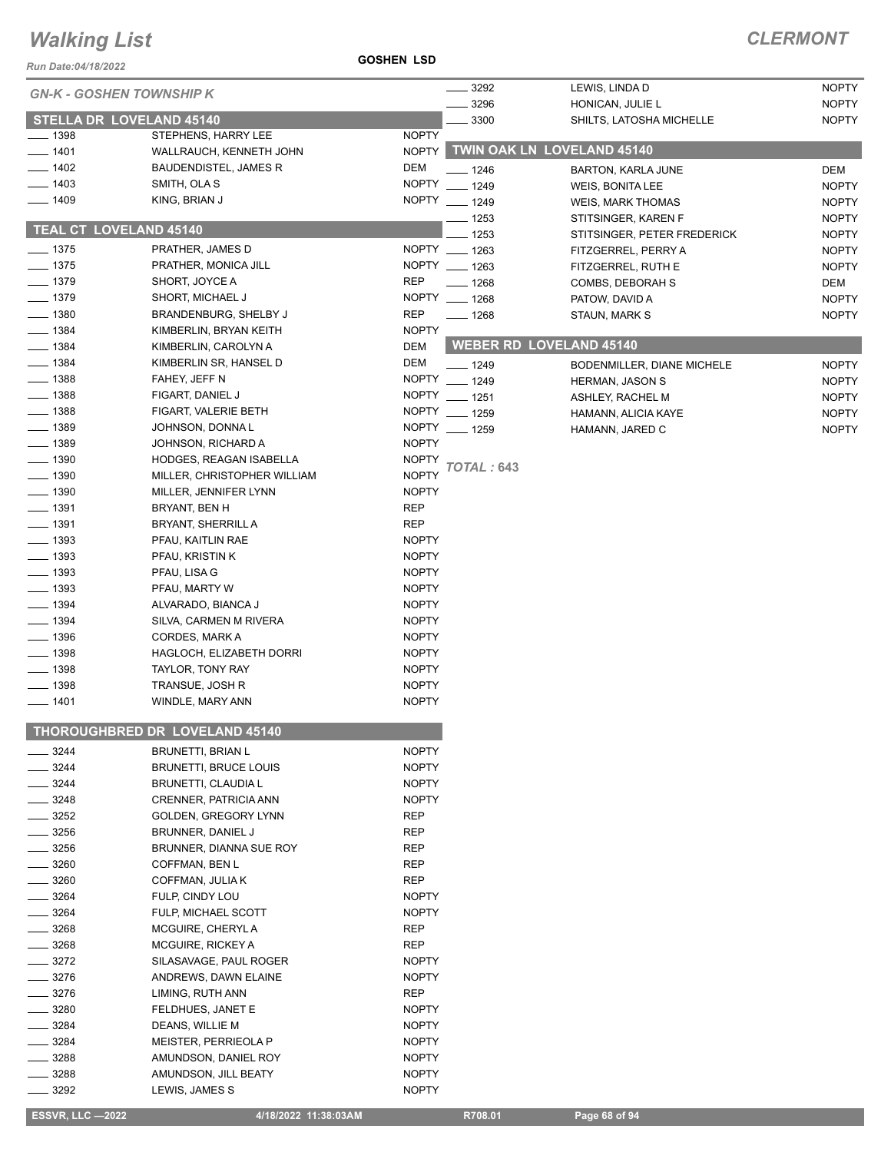### **ESSVR, LLC -2022 4/18/2022 11:38:03AM** R708.01

|  | Page 68 of 94 |  |
|--|---------------|--|
|  |               |  |

| Run Date:04/18/2022  |                                           | <b>GOSHEN LSD</b> |                           |                                            |              |
|----------------------|-------------------------------------------|-------------------|---------------------------|--------------------------------------------|--------------|
|                      | <b>GN-K - GOSHEN TOWNSHIP K</b>           |                   | $- 3292$                  | LEWIS, LINDA D                             | <b>NOPTY</b> |
|                      |                                           |                   | 3296                      | HONICAN, JULIE L                           | <b>NOPTY</b> |
|                      | <b>STELLA DR LOVELAND 45140</b>           |                   | 3300                      | SHILTS, LATOSHA MICHELLE                   | <b>NOPTY</b> |
| $- 1398$             | STEPHENS, HARRY LEE                       | <b>NOPTY</b>      |                           |                                            |              |
| $- 1401$             | WALLRAUCH, KENNETH JOHN                   | <b>NOPTY</b>      |                           | <b>TWIN OAK LN LOVELAND 45140</b>          |              |
| $- 1402$             | <b>BAUDENDISTEL, JAMES R</b>              | <b>DEM</b>        | $-1246$                   | <b>BARTON, KARLA JUNE</b>                  | DEM          |
| $- 1403$             | SMITH, OLA S                              | <b>NOPTY</b>      | $- 1249$                  | WEIS, BONITA LEE                           | <b>NOPTY</b> |
| $- 1409$             | KING, BRIAN J                             |                   | NOPTY __ 1249             | <b>WEIS, MARK THOMAS</b>                   | <b>NOPTY</b> |
|                      | <b>TEAL CT LOVELAND 45140</b>             |                   | $- 1253$                  | STITSINGER, KAREN F                        | <b>NOPTY</b> |
|                      |                                           |                   | $-1253$                   | STITSINGER, PETER FREDERICK                | <b>NOPTY</b> |
| $- 1375$             | PRATHER, JAMES D                          |                   | NOPTY __ 1263             | FITZGERREL, PERRY A                        | <b>NOPTY</b> |
| $- 1375$             | PRATHER, MONICA JILL                      |                   | NOPTY __ 1263             | FITZGERREL, RUTH E                         | <b>NOPTY</b> |
| $- 1379$<br>$- 1379$ | SHORT, JOYCE A                            | REP               | $- 1268$<br>NOPTY __ 1268 | COMBS, DEBORAH S                           | DEM          |
| $- 1380$             | SHORT, MICHAEL J<br>BRANDENBURG, SHELBY J | <b>REP</b>        |                           | PATOW, DAVID A                             | <b>NOPTY</b> |
| $- 1384$             | KIMBERLIN, BRYAN KEITH                    | <b>NOPTY</b>      | $- 1268$                  | STAUN, MARK S                              | <b>NOPTY</b> |
| $- 1384$             | KIMBERLIN, CAROLYN A                      | DEM               |                           | <b>WEBER RD LOVELAND 45140</b>             |              |
| $- 1384$             | KIMBERLIN SR, HANSEL D                    | DEM               | $- 1249$                  |                                            | <b>NOPTY</b> |
| $- 1388$             | FAHEY, JEFF N                             | <b>NOPTY</b>      | $- 1249$                  | BODENMILLER, DIANE MICHELE                 | <b>NOPTY</b> |
| $- 1388$             | FIGART, DANIEL J                          |                   | NOPTY __ 1251             | <b>HERMAN, JASON S</b><br>ASHLEY, RACHEL M | <b>NOPTY</b> |
| $- 1388$             | FIGART, VALERIE BETH                      |                   | NOPTY __ 1259             | HAMANN, ALICIA KAYE                        | <b>NOPTY</b> |
| $- 1389$             | JOHNSON, DONNA L                          |                   | NOPTY __ 1259             | HAMANN, JARED C                            | <b>NOPTY</b> |
| $- 1389$             | JOHNSON, RICHARD A                        | <b>NOPTY</b>      |                           |                                            |              |
| $- 1390$             | HODGES, REAGAN ISABELLA                   | <b>NOPTY</b>      |                           |                                            |              |
| $\frac{1}{2}$ 1390   | MILLER, CHRISTOPHER WILLIAM               | <b>NOPTY</b>      | TOTAL : 643               |                                            |              |
| $- 1390$             | MILLER, JENNIFER LYNN                     | <b>NOPTY</b>      |                           |                                            |              |
| $- 1391$             | BRYANT, BEN H                             | <b>REP</b>        |                           |                                            |              |
| ___ 1391             | BRYANT, SHERRILL A                        | <b>REP</b>        |                           |                                            |              |
| $\frac{1}{2}$ 1393   | PFAU, KAITLIN RAE                         | <b>NOPTY</b>      |                           |                                            |              |
| $\frac{1}{2}$ 1393   | PFAU, KRISTIN K                           | <b>NOPTY</b>      |                           |                                            |              |
| $\frac{1}{2}$ 1393   | PFAU, LISA G                              | <b>NOPTY</b>      |                           |                                            |              |
| $- 1393$             | PFAU, MARTY W                             | <b>NOPTY</b>      |                           |                                            |              |
| $- 1394$             | ALVARADO, BIANCA J                        | <b>NOPTY</b>      |                           |                                            |              |
| $\frac{1}{2}$ 1394   | SILVA, CARMEN M RIVERA                    | <b>NOPTY</b>      |                           |                                            |              |
| $- 1396$             | CORDES, MARK A                            | <b>NOPTY</b>      |                           |                                            |              |
| $\frac{1}{2}$ 1398   | HAGLOCH, ELIZABETH DORRI                  | <b>NOPTY</b>      |                           |                                            |              |
| $\frac{1}{2}$ 1398   | TAYLOR, TONY RAY                          | <b>NOPTY</b>      |                           |                                            |              |
| $\frac{1}{2}$ 1398   | TRANSUE, JOSH R                           | <b>NOPTY</b>      |                           |                                            |              |
| $- 1401$             | WINDLE, MARY ANN                          | <b>NOPTY</b>      |                           |                                            |              |
|                      | THOROUGHBRED DR LOVELAND 45140            |                   |                           |                                            |              |
| 3244                 | <b>BRUNETTI, BRIAN L</b>                  | <b>NOPTY</b>      |                           |                                            |              |
| $- 3244$             | <b>BRUNETTI, BRUCE LOUIS</b>              | <b>NOPTY</b>      |                           |                                            |              |
| 3244                 | <b>BRUNETTI, CLAUDIA L</b>                | <b>NOPTY</b>      |                           |                                            |              |
| 3248                 | CRENNER, PATRICIA ANN                     | <b>NOPTY</b>      |                           |                                            |              |
| 3252                 | GOLDEN, GREGORY LYNN                      | <b>REP</b>        |                           |                                            |              |
| 3256                 | BRUNNER, DANIEL J                         | REP               |                           |                                            |              |
| _ 3256               | BRUNNER, DIANNA SUE ROY                   | <b>REP</b>        |                           |                                            |              |
| 3260                 | COFFMAN, BEN L                            | <b>REP</b>        |                           |                                            |              |
| 3260                 | COFFMAN, JULIA K                          | <b>REP</b>        |                           |                                            |              |
| 3264                 | FULP, CINDY LOU                           | <b>NOPTY</b>      |                           |                                            |              |
| 3264                 | FULP, MICHAEL SCOTT                       | <b>NOPTY</b>      |                           |                                            |              |
| 3268                 | MCGUIRE, CHERYLA                          | <b>REP</b>        |                           |                                            |              |
| 3268                 | MCGUIRE, RICKEY A                         | <b>REP</b>        |                           |                                            |              |
| $=$ 3272             | SILASAVAGE, PAUL ROGER                    | <b>NOPTY</b>      |                           |                                            |              |
| 3276                 | ANDREWS, DAWN ELAINE                      | <b>NOPTY</b>      |                           |                                            |              |
| 3276                 | LIMING, RUTH ANN                          | REP               |                           |                                            |              |
| 3280                 | FELDHUES, JANET E                         | <b>NOPTY</b>      |                           |                                            |              |
| 3284                 | DEANS, WILLIE M                           | <b>NOPTY</b>      |                           |                                            |              |
| 3284                 | MEISTER, PERRIEOLA P                      | <b>NOPTY</b>      |                           |                                            |              |
| 3288                 | AMUNDSON, DANIEL ROY                      | <b>NOPTY</b>      |                           |                                            |              |
| 3288                 | AMUNDSON, JILL BEATY<br>LEWIS, JAMES S    | <b>NOPTY</b>      |                           |                                            |              |
| 3292                 |                                           | <b>NOPTY</b>      |                           |                                            |              |

# *Walking List*

#### **GOSHEN LSD**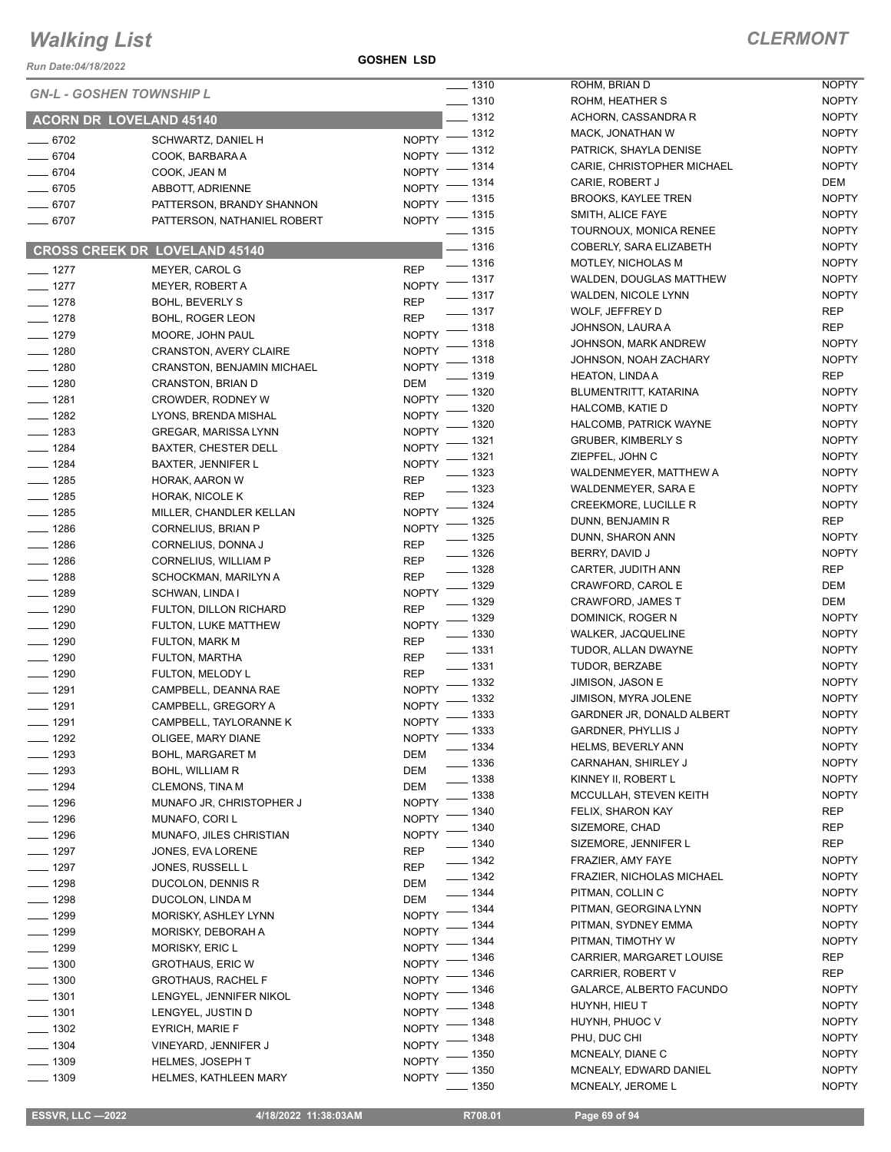*Run Date:04/18/2022*

**GOSHEN LSD**

| Run Date:04/18/2022  |                                                             | $\frac{1}{2}$ 1310                             | ROHM, BRIAN D                                   | <b>NOPTY</b>                 |
|----------------------|-------------------------------------------------------------|------------------------------------------------|-------------------------------------------------|------------------------------|
|                      | <b>GN-L - GOSHEN TOWNSHIP L</b>                             | $- 1310$                                       | ROHM, HEATHER S                                 | <b>NOPTY</b>                 |
|                      | <b>ACORN DR LOVELAND 45140</b>                              | $-1312$                                        | ACHORN, CASSANDRA R                             | <b>NOPTY</b>                 |
| $- 6702$             | SCHWARTZ, DANIEL H                                          | NOPTY - 1312                                   | MACK, JONATHAN W                                | <b>NOPTY</b>                 |
| $- 6704$             | COOK, BARBARA A                                             | NOPTY - 1312                                   | PATRICK, SHAYLA DENISE                          | <b>NOPTY</b>                 |
| $- 6704$             | COOK, JEAN M                                                | NOPTY - 1314                                   | CARIE, CHRISTOPHER MICHAEL                      | <b>NOPTY</b>                 |
| $- 6705$             | ABBOTT, ADRIENNE                                            | NOPTY - 1314                                   | CARIE, ROBERT J                                 | DEM<br><b>NOPTY</b>          |
| $- 6707$             | PATTERSON, BRANDY SHANNON                                   | NOPTY - 1315                                   | <b>BROOKS, KAYLEE TREN</b><br>SMITH, ALICE FAYE | <b>NOPTY</b>                 |
| $- 6707$             | PATTERSON, NATHANIEL ROBERT                                 | NOPTY - 1315<br>$- 1315$                       | TOURNOUX, MONICA RENEE                          | <b>NOPTY</b>                 |
|                      |                                                             | $\frac{1}{2}$ 1316                             | COBERLY, SARA ELIZABETH                         | <b>NOPTY</b>                 |
|                      | <b>CROSS CREEK DR LOVELAND 45140</b>                        | $\frac{1}{2}$ 1316                             | <b>MOTLEY, NICHOLAS M</b>                       | <b>NOPTY</b>                 |
| $- 1277$             | MEYER, CAROL G                                              | <b>REP</b><br>NOPTY $-$ 1317                   | <b>WALDEN, DOUGLAS MATTHEW</b>                  | <b>NOPTY</b>                 |
| $- 1277$             | MEYER, ROBERT A                                             | $- 1317$                                       | WALDEN, NICOLE LYNN                             | <b>NOPTY</b>                 |
| $- 1278$             | <b>BOHL, BEVERLY S</b>                                      | <b>REP</b><br>$\frac{1}{2}$ 1317               | WOLF, JEFFREY D                                 | REP                          |
| $- 1278$             | <b>BOHL, ROGER LEON</b>                                     | <b>REP</b><br>$- 1318$<br><b>NOPTY</b>         | JOHNSON, LAURA A                                | <b>REP</b>                   |
| $- 1279$             | MOORE, JOHN PAUL                                            | $-1318$<br><b>NOPTY</b>                        | JOHNSON, MARK ANDREW                            | <b>NOPTY</b>                 |
| $- 1280$<br>$- 1280$ | <b>CRANSTON, AVERY CLAIRE</b><br>CRANSTON, BENJAMIN MICHAEL | $-1318$<br><b>NOPTY</b>                        | JOHNSON, NOAH ZACHARY                           | <b>NOPTY</b>                 |
| $- 1280$             | <b>CRANSTON, BRIAN D</b>                                    | $- 1319$<br><b>DEM</b>                         | <b>HEATON, LINDA A</b>                          | REP                          |
| $- 1281$             | CROWDER, RODNEY W                                           | NOPTY - 1320                                   | BLUMENTRITT, KATARINA                           | <b>NOPTY</b>                 |
| $- 1282$             | LYONS, BRENDA MISHAL                                        | NOPTY - 1320                                   | <b>HALCOMB, KATIE D</b>                         | <b>NOPTY</b>                 |
| $- 1283$             | GREGAR, MARISSA LYNN                                        | $-1320$<br>NOPTY -                             | HALCOMB, PATRICK WAYNE                          | <b>NOPTY</b>                 |
| $- 1284$             | BAXTER, CHESTER DELL                                        | $\frac{1}{2}$ 1321<br><b>NOPTY</b>             | <b>GRUBER, KIMBERLY S</b>                       | <b>NOPTY</b>                 |
| $- 1284$             | <b>BAXTER, JENNIFER L</b>                                   | $-1321$<br>NOPTY <sup>-</sup>                  | ZIEPFEL, JOHN C                                 | <b>NOPTY</b>                 |
| $- 1285$             | HORAK, AARON W                                              | $- 1323$<br><b>REP</b>                         | WALDENMEYER, MATTHEW A                          | <b>NOPTY</b>                 |
| $\frac{1}{2}$ 1285   | HORAK, NICOLE K                                             | $\frac{1}{2}$ 1323<br><b>REP</b>               | WALDENMEYER, SARA E                             | <b>NOPTY</b>                 |
| $- 1285$             | MILLER, CHANDLER KELLAN                                     | $- 1324$<br><b>NOPTY</b>                       | <b>CREEKMORE, LUCILLE R</b>                     | <b>NOPTY</b>                 |
| $- 1286$             | CORNELIUS, BRIAN P                                          | $\frac{1}{2}$ 1325<br><b>NOPTY</b>             | DUNN, BENJAMIN R                                | REP                          |
| $- 1286$             | CORNELIUS, DONNA J                                          | $\frac{1}{2}$ 1325<br><b>REP</b>               | DUNN, SHARON ANN                                | <b>NOPTY</b>                 |
| $- 1286$             | CORNELIUS, WILLIAM P                                        | $\frac{1}{2}$ 1326<br><b>REP</b>               | BERRY, DAVID J                                  | <b>NOPTY</b>                 |
| $- 1288$             | SCHOCKMAN, MARILYN A                                        | $- 1328$<br><b>REP</b>                         | CARTER, JUDITH ANN                              | REP                          |
| $- 1289$             | SCHWAN, LINDA I                                             | NOPTY - 1329<br>$- 1329$                       | CRAWFORD, CAROL E                               | DEM<br>DEM                   |
| $- 1290$             | FULTON, DILLON RICHARD                                      | <b>REP</b>                                     | <b>CRAWFORD, JAMES T</b>                        | <b>NOPTY</b>                 |
| $- 1290$             | FULTON, LUKE MATTHEW                                        | $- 1329$<br><b>NOPTY</b><br>$\frac{1}{2}$ 1330 | DOMINICK, ROGER N<br><b>WALKER, JACQUELINE</b>  | <b>NOPTY</b>                 |
| $- 1290$             | <b>FULTON, MARK M</b>                                       | <b>REP</b><br>$\frac{1}{2}$ 1331               | TUDOR, ALLAN DWAYNE                             | <b>NOPTY</b>                 |
| $\frac{1}{2}$ 1290   | FULTON, MARTHA                                              | <b>REP</b><br>$\frac{1}{2}$ 1331               | TUDOR, BERZABE                                  | <b>NOPTY</b>                 |
| $- 1290$             | FULTON, MELODY L                                            | <b>REP</b><br>$\frac{1}{2}$ 1332               | JIMISON, JASON E                                | <b>NOPTY</b>                 |
| $- 1291$             | CAMPBELL, DEANNA RAE                                        | <b>NOPTY</b><br>$NOPTY$ - 1332                 | JIMISON, MYRA JOLENE                            | <b>NOPTY</b>                 |
| $- 1291$             | CAMPBELL, GREGORY A                                         | NOPTY - 1333                                   | GARDNER JR, DONALD ALBERT                       | <b>NOPTY</b>                 |
| ____ 1291            | CAMPBELL, TAYLORANNE K                                      | $\frac{1}{2}$ 1333                             | <b>GARDNER, PHYLLIS J</b>                       | <b>NOPTY</b>                 |
| $- 1292$             | OLIGEE, MARY DIANE                                          | <b>NOPTY</b><br>$-1334$                        | HELMS, BEVERLY ANN                              | <b>NOPTY</b>                 |
| $- 1293$             | <b>BOHL, MARGARET M</b>                                     | DEM<br>$-1336$                                 | CARNAHAN, SHIRLEY J                             | <b>NOPTY</b>                 |
| $- 1293$             | BOHL, WILLIAM R                                             | <b>DEM</b><br>$-1338$                          | KINNEY II, ROBERT L                             | <b>NOPTY</b>                 |
| $- 1294$             | <b>CLEMONS, TINA M</b>                                      | DEM<br>$-1338$<br><b>NOPTY</b>                 | MCCULLAH, STEVEN KEITH                          | <b>NOPTY</b>                 |
| $- 1296$             | MUNAFO JR, CHRISTOPHER J<br>MUNAFO, CORI L                  | $-1340$<br><b>NOPTY</b>                        | FELIX, SHARON KAY                               | REP                          |
| $- 1296$<br>$- 1296$ | MUNAFO, JILES CHRISTIAN                                     | __ 1340<br>NOPTY <sup>-</sup>                  | SIZEMORE, CHAD                                  | REP                          |
| $- 1297$             | JONES, EVA LORENE                                           | $\frac{1}{2}$ 1340<br><b>REP</b>               | SIZEMORE, JENNIFER L                            | REP                          |
| $- 1297$             | JONES, RUSSELL L                                            | $- 1342$<br><b>REP</b>                         | FRAZIER, AMY FAYE                               | <b>NOPTY</b>                 |
| $- 1298$             | DUCOLON, DENNIS R                                           | $- 1342$<br>DEM                                | FRAZIER, NICHOLAS MICHAEL                       | <b>NOPTY</b>                 |
| $- 1298$             | DUCOLON, LINDA M                                            | $- 1344$<br>DEM                                | PITMAN, COLLIN C                                | <b>NOPTY</b>                 |
| $- 1299$             | MORISKY, ASHLEY LYNN                                        | $- 1344$<br><b>NOPTY</b>                       | PITMAN, GEORGINA LYNN                           | <b>NOPTY</b>                 |
| $- 1299$             | MORISKY, DEBORAH A                                          | NOPTY - 1344                                   | PITMAN, SYDNEY EMMA                             | <b>NOPTY</b>                 |
| $- 1299$             | <b>MORISKY, ERIC L</b>                                      | __ 1344<br>NOPTY <sup>-</sup>                  | PITMAN, TIMOTHY W                               | <b>NOPTY</b>                 |
| $- 1300$             | <b>GROTHAUS, ERIC W</b>                                     | $-1346$<br>$N$ OPTY $-$                        | CARRIER, MARGARET LOUISE                        | REP                          |
| $\frac{1}{2}$ 1300   | <b>GROTHAUS, RACHEL F</b>                                   | $-1346$<br><b>NOPTY</b>                        | CARRIER, ROBERT V                               | REP                          |
| $\frac{1}{2}$ 1301   | LENGYEL, JENNIFER NIKOL                                     | _ 1346<br><b>NOPTY</b>                         | GALARCE, ALBERTO FACUNDO                        | <b>NOPTY</b>                 |
| $- 1301$             | LENGYEL, JUSTIN D                                           | - 1348<br><b>NOPTY</b>                         | HUYNH, HIEU T                                   | <b>NOPTY</b>                 |
| $\frac{1}{2}$ 1302   | EYRICH, MARIE F                                             | - 1348<br><b>NOPTY</b>                         | HUYNH, PHUOC V                                  | <b>NOPTY</b>                 |
| $- 1304$             | VINEYARD, JENNIFER J                                        | $-1348$<br><b>NOPTY</b>                        | PHU, DUC CHI                                    | <b>NOPTY</b>                 |
| $\frac{1}{2}$ 1309   | <b>HELMES, JOSEPH T</b>                                     | _ 1350<br><b>NOPTY</b>                         | MCNEALY, DIANE C                                | <b>NOPTY</b><br><b>NOPTY</b> |
| $- 1309$             | <b>HELMES, KATHLEEN MARY</b>                                | _ 1350<br><b>NOPTY</b><br>$-1350$              | MCNEALY, EDWARD DANIEL<br>MCNEALY, JEROME L     | <b>NOPTY</b>                 |
|                      |                                                             |                                                |                                                 |                              |

| 1310 | ROHM, HEATHER S                             | <b>NOPTY</b>          |
|------|---------------------------------------------|-----------------------|
| 1312 | ACHORN, CASSANDRA R                         | <b>NOPTY</b>          |
| 1312 | MACK, JONATHAN W                            | <b>NOPTY</b>          |
| 1312 | PATRICK, SHAYLA DENISE                      | <b>NOPTY</b>          |
| 1314 | CARIE, CHRISTOPHER MICHAEL                  | <b>NOPTY</b>          |
| 1314 | CARIE, ROBERT J                             | DEM                   |
| 1315 | <b>BROOKS, KAYLEE TREN</b>                  | <b>NOPTY</b>          |
| 1315 | SMITH, ALICE FAYE                           | <b>NOPTY</b>          |
| 1315 | TOURNOUX, MONICA RENEE                      | <b>NOPTY</b>          |
| 1316 | COBERLY, SARA ELIZABETH                     | <b>NOPTY</b>          |
| 1316 | <b>MOTLEY, NICHOLAS M</b>                   | <b>NOPTY</b>          |
| 1317 | WALDEN, DOUGLAS MATTHEW                     | <b>NOPTY</b>          |
| 1317 | WALDEN, NICOLE LYNN                         | <b>NOPTY</b>          |
| 1317 | WOLF, JEFFREY D                             | REP                   |
| 1318 | JOHNSON, LAURA A                            | REP                   |
| 1318 | JOHNSON, MARK ANDREW                        | <b>NOPTY</b>          |
| 1318 | JOHNSON, NOAH ZACHARY                       | <b>NOPTY</b>          |
| 1319 | <b>HEATON, LINDA A</b>                      | REP                   |
| 1320 | BLUMENTRITT, KATARINA                       | <b>NOPTY</b>          |
| 1320 | HALCOMB, KATIE D                            | <b>NOPTY</b>          |
| 1320 | <b>HALCOMB. PATRICK WAYNE</b>               | <b>NOPTY</b>          |
| 1321 | <b>GRUBER, KIMBERLY S</b>                   | <b>NOPTY</b>          |
| 1321 | ZIEPFEL, JOHN C                             | <b>NOPTY</b>          |
| 1323 | WALDENMEYER, MATTHEW A                      | <b>NOPTY</b>          |
| 1323 | <b>WALDENMEYER, SARA E</b>                  | <b>NOPTY</b>          |
| 1324 | <b>CREEKMORE, LUCILLE R</b>                 | <b>NOPTY</b>          |
| 1325 | DUNN, BENJAMIN R                            | <b>REP</b>            |
| 1325 | DUNN, SHARON ANN                            | <b>NOPTY</b>          |
| 1326 | BERRY, DAVID J                              | <b>NOPTY</b>          |
| 1328 | CARTER, JUDITH ANN                          | REP                   |
| 1329 | CRAWFORD, CAROL E                           | DEM                   |
| 1329 | <b>CRAWFORD, JAMES T</b>                    | DEM                   |
| 1329 | DOMINICK, ROGER N                           | <b>NOPTY</b>          |
| 1330 | <b>WALKER, JACQUELINE</b>                   | <b>NOPTY</b>          |
| 1331 | TUDOR, ALLAN DWAYNE                         | <b>NOPTY</b>          |
| 1331 | TUDOR, BERZABE                              | <b>NOPTY</b>          |
| 1332 | <b>JIMISON, JASON E</b>                     | <b>NOPTY</b>          |
| 1332 | JIMISON, MYRA JOLENE                        | <b>NOPTY</b>          |
| 1333 | GARDNER JR. DONALD ALBERT                   | <b>NOPTY</b>          |
| 1333 | <b>GARDNER, PHYLLIS J</b>                   | <b>NOPTY</b>          |
| 1334 | <b>HELMS, BEVERLY ANN</b>                   | <b>NOPTY</b>          |
| 1336 | CARNAHAN, SHIRLEY J                         | <b>NOPTY</b>          |
| 1338 | KINNEY II, ROBERT L                         | <b>NOPTY</b>          |
| 1338 | MCCULLAH, STEVEN KEITH                      | <b>NOPTY</b>          |
| 1340 | FELIX, SHARON KAY                           | <b>REP</b>            |
| 1340 | SIZEMORE, CHAD                              | <b>REP</b>            |
| 1340 | SIZEMORE, JENNIFER L                        | REP                   |
| 1342 | FRAZIER, AMY FAYE                           | <b>NOPTY</b>          |
| 1342 | FRAZIER, NICHOLAS MICHAEL                   | <b>NOPTY</b>          |
| 1344 | PITMAN, COLLIN C                            | <b>NOPTY</b>          |
| 1344 | PITMAN, GEORGINA LYNN                       | <b>NOPTY</b>          |
| 1344 | PITMAN, SYDNEY EMMA                         | <b>NOPTY</b>          |
|      |                                             | <b>NOPTY</b>          |
| 1344 | PITMAN, TIMOTHY W                           |                       |
| 1346 | CARRIER, MARGARET LOUISE                    | <b>REP</b>            |
| 1346 | CARRIER, ROBERT V                           | <b>REP</b>            |
| 1346 | GALARCE, ALBERTO FACUNDO                    | <b>NOPTY</b>          |
| 1348 | HUYNH, HIEU T                               | <b>NOPTY</b>          |
| 1348 | HUYNH, PHUOC V                              | <b>NOPTY</b>          |
| 1348 | PHU, DUC CHI                                | <b>NOPTY</b>          |
| 1350 | MCNEALY, DIANE C                            | <b>NOPTY</b>          |
| 1350 | MCNEALY, EDWARD DANIEL<br>MCNEALY, JEROME L | <b>NOPTY</b><br>NOPTY |
| 1350 |                                             |                       |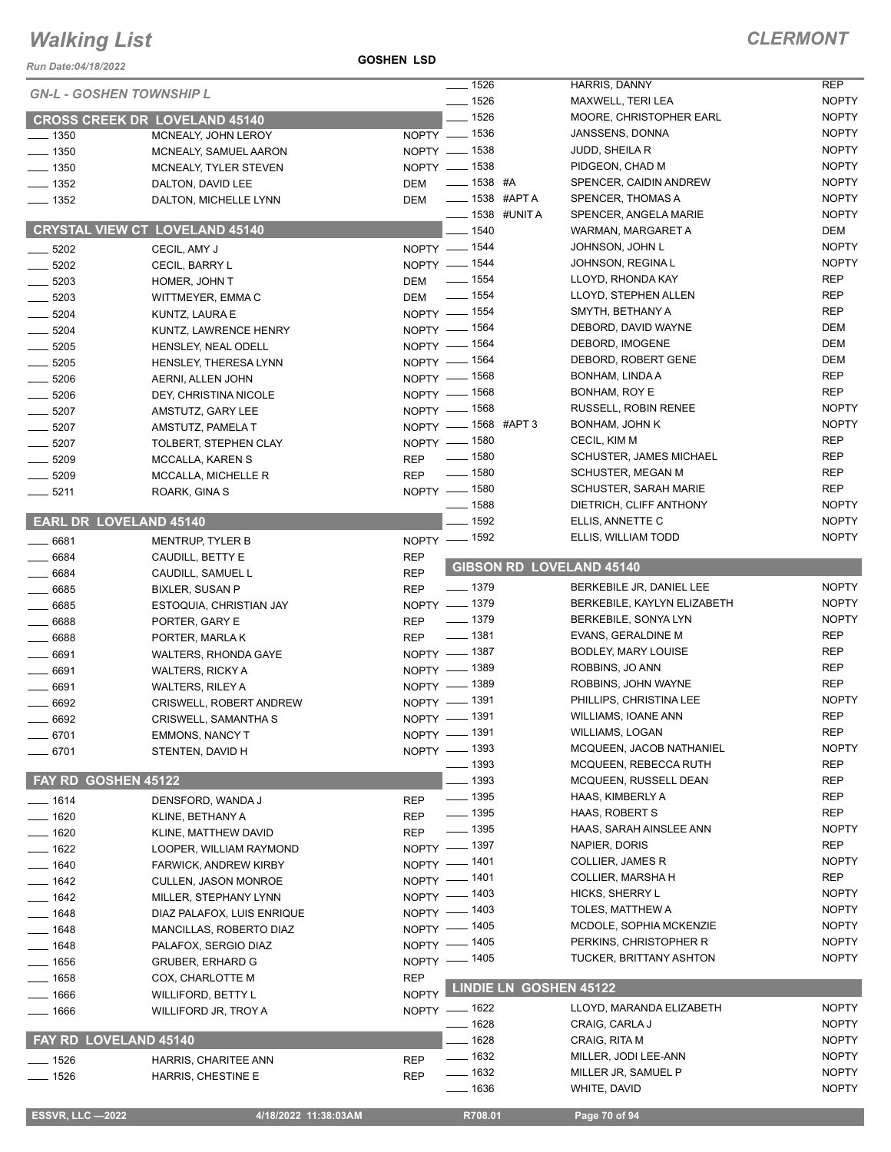*Run Date:04/18/2022*

**GOSHEN LSD**

|                                 |                                       |              | $- 1526$             | <b>HARRIS, DANNY</b>            | <b>REP</b>   |
|---------------------------------|---------------------------------------|--------------|----------------------|---------------------------------|--------------|
| <b>GN-L - GOSHEN TOWNSHIP L</b> |                                       |              | $- 1526$             | MAXWELL, TERI LEA               | <b>NOPTY</b> |
|                                 | <b>CROSS CREEK DR LOVELAND 45140</b>  |              | $- 1526$             | MOORE, CHRISTOPHER EARL         | <b>NOPTY</b> |
| $\frac{1}{2}$ 1350              | MCNEALY, JOHN LEROY                   |              | NOPTY - 1536         | JANSSENS, DONNA                 | <b>NOPTY</b> |
| $- 1350$                        | MCNEALY, SAMUEL AARON                 |              | NOPTY - 1538         | JUDD, SHEILA R                  | <b>NOPTY</b> |
| $\frac{1}{2}$ 1350              | MCNEALY, TYLER STEVEN                 |              | NOPTY - 1538         | PIDGEON, CHAD M                 | <b>NOPTY</b> |
| $- 1352$                        | DALTON, DAVID LEE                     | DEM          | $\frac{1}{1538}$ #A  | SPENCER, CAIDIN ANDREW          | <b>NOPTY</b> |
| $- 1352$                        | DALTON, MICHELLE LYNN                 | DEM          | <b>LE 1538 #APTA</b> | SPENCER, THOMAS A               | <b>NOPTY</b> |
|                                 |                                       |              | ____ 1538 #UNIT A    | SPENCER, ANGELA MARIE           | <b>NOPTY</b> |
|                                 | <b>CRYSTAL VIEW CT LOVELAND 45140</b> |              | $- 1540$             | WARMAN, MARGARET A              | DEM          |
|                                 |                                       |              |                      | JOHNSON, JOHN L                 | <b>NOPTY</b> |
| $\frac{1}{2}$ 5202              | CECIL, AMY J                          |              | NOPTY - 1544         |                                 | <b>NOPTY</b> |
| $\frac{1}{2}$ 5202              | CECIL, BARRY L                        |              | NOPTY - 1544         | JOHNSON, REGINA L               | <b>REP</b>   |
| $- 5203$                        | HOMER, JOHN T                         |              | DEM - 1554           | LLOYD, RHONDA KAY               |              |
| $\frac{1}{2}$ 5203              | WITTMEYER, EMMA C                     |              | DEM - 1554           | LLOYD, STEPHEN ALLEN            | <b>REP</b>   |
| $- 5204$                        | KUNTZ, LAURA E                        |              | NOPTY - 1554         | SMYTH, BETHANY A                | <b>REP</b>   |
| $- 5204$                        | KUNTZ, LAWRENCE HENRY                 |              | NOPTY - 1564         | DEBORD, DAVID WAYNE             | DEM          |
| $\frac{1}{2}$ 5205              | HENSLEY, NEAL ODELL                   |              | NOPTY $-$ 1564       | DEBORD, IMOGENE                 | <b>DEM</b>   |
| $\frac{1}{2}$ 5205              | HENSLEY, THERESA LYNN                 |              | NOPTY - 1564         | DEBORD, ROBERT GENE             | <b>DEM</b>   |
| $- 5206$                        | AERNI, ALLEN JOHN                     |              | NOPTY - 1568         | BONHAM, LINDA A                 | <b>REP</b>   |
| $- 5206$                        | DEY, CHRISTINA NICOLE                 |              | NOPTY - 1568         | BONHAM, ROY E                   | <b>REP</b>   |
| $- 5207$                        | AMSTUTZ, GARY LEE                     |              | NOPTY - 1568         | RUSSELL, ROBIN RENEE            | <b>NOPTY</b> |
| $- 5207$                        | AMSTUTZ, PAMELA T                     |              | NOPTY - 1568 #APT 3  | <b>BONHAM, JOHN K</b>           | <b>NOPTY</b> |
| $\frac{1}{2}$ 5207              | TOLBERT, STEPHEN CLAY                 |              | NOPTY - 1580         | CECIL, KIM M                    | <b>REP</b>   |
| $\frac{1}{2}$ 5209              | <b>MCCALLA, KAREN S</b>               | <b>REP</b>   | $\frac{1}{2}$ 1580   | <b>SCHUSTER, JAMES MICHAEL</b>  | <b>REP</b>   |
| $- 5209$                        | MCCALLA, MICHELLE R                   | <b>REP</b>   | $\frac{1}{2}$ 1580   | SCHUSTER, MEGAN M               | <b>REP</b>   |
| $-5211$                         | ROARK, GINA S                         |              | NOPTY - 1580         | SCHUSTER, SARAH MARIE           | <b>REP</b>   |
|                                 |                                       |              | $- 1588$             | DIETRICH, CLIFF ANTHONY         | <b>NOPTY</b> |
| <b>EARL DR LOVELAND 45140</b>   |                                       |              | $- 1592$             | ELLIS, ANNETTE C                | <b>NOPTY</b> |
| 6681                            |                                       |              | NOPTY - 1592         | ELLIS, WILLIAM TODD             | <b>NOPTY</b> |
|                                 | MENTRUP, TYLER B                      |              |                      |                                 |              |
| $- 6684$                        | CAUDILL, BETTY E                      | <b>REP</b>   |                      | <b>GIBSON RD LOVELAND 45140</b> |              |
| $- 6684$                        | CAUDILL, SAMUEL L                     | <b>REP</b>   | $- 1379$             | BERKEBILE JR, DANIEL LEE        | <b>NOPTY</b> |
| $\frac{1}{2}$ 6685              | <b>BIXLER, SUSAN P</b>                | <b>REP</b>   | NOPTY - 1379         | BERKEBILE, KAYLYN ELIZABETH     | <b>NOPTY</b> |
| $- 6685$                        | ESTOQUIA, CHRISTIAN JAY               |              | <u>_</u> ____ 1379   |                                 | <b>NOPTY</b> |
| 6688                            | PORTER, GARY E                        | <b>REP</b>   |                      | BERKEBILE, SONYA LYN            |              |
| $- 6688$                        | PORTER, MARLAK                        | <b>REP</b>   | $\frac{1381}{1381}$  | EVANS, GERALDINE M              | <b>REP</b>   |
| $- 6691$                        | <b>WALTERS, RHONDA GAYE</b>           |              | NOPTY - 1387         | <b>BODLEY, MARY LOUISE</b>      | <b>REP</b>   |
| $- 6691$                        | <b>WALTERS, RICKY A</b>               |              | NOPTY - 1389         | ROBBINS, JO ANN                 | <b>REP</b>   |
| $- 6691$                        | <b>WALTERS, RILEY A</b>               |              | NOPTY - 1389         | ROBBINS, JOHN WAYNE             | <b>REP</b>   |
| 6692                            | <b>CRISWELL, ROBERT ANDREW</b>        |              | NOPTY - 1391         | PHILLIPS, CHRISTINA LEE         | <b>NOPTY</b> |
| 6692                            | CRISWELL, SAMANTHA S                  |              | NOPTY - 1391         | WILLIAMS, IOANE ANN             | <b>REP</b>   |
| $-6701$                         | <b>EMMONS, NANCY T</b>                |              | NOPTY - 1391         | <b>WILLIAMS, LOGAN</b>          | <b>REP</b>   |
| $- 6701$                        | STENTEN, DAVID H                      |              | NOPTY - 1393         | MCQUEEN, JACOB NATHANIEL        | <b>NOPTY</b> |
|                                 |                                       |              | $- 1393$             | MCQUEEN, REBECCA RUTH           | <b>REP</b>   |
| FAY RD GOSHEN 45122             |                                       |              | $-1393$              | MCQUEEN, RUSSELL DEAN           | <b>REP</b>   |
| $- 1614$                        | DENSFORD, WANDA J                     | <b>REP</b>   | $- 1395$             | HAAS, KIMBERLY A                | REP          |
| $- 1620$                        | KLINE, BETHANY A                      | <b>REP</b>   | $\frac{1}{2}$ 1395   | <b>HAAS, ROBERT S</b>           | <b>REP</b>   |
| $- 1620$                        | KLINE, MATTHEW DAVID                  | <b>REP</b>   | $\frac{1}{2}$ 1395   | HAAS, SARAH AINSLEE ANN         | <b>NOPTY</b> |
| $-1622$                         | LOOPER, WILLIAM RAYMOND               |              | NOPTY - 1397         | NAPIER, DORIS                   | <b>REP</b>   |
| $- 1640$                        | <b>FARWICK, ANDREW KIRBY</b>          |              | NOPTY - 1401         | COLLIER, JAMES R                | <b>NOPTY</b> |
|                                 |                                       |              | NOPTY - 1401         | <b>COLLIER, MARSHA H</b>        | <b>REP</b>   |
| $- 1642$                        | CULLEN, JASON MONROE                  |              | NOPTY - 1403         | HICKS, SHERRY L                 | <b>NOPTY</b> |
| $- 1642$                        | MILLER, STEPHANY LYNN                 |              | NOPTY - 1403         | TOLES, MATTHEW A                | <b>NOPTY</b> |
| $- 1648$                        | DIAZ PALAFOX, LUIS ENRIQUE            |              | NOPTY - 1405         | MCDOLE, SOPHIA MCKENZIE         | <b>NOPTY</b> |
| ____ 1648                       | MANCILLAS, ROBERTO DIAZ               |              |                      | PERKINS, CHRISTOPHER R          | <b>NOPTY</b> |
| $-1648$                         | PALAFOX, SERGIO DIAZ                  |              | NOPTY - 1405         |                                 |              |
| 1656                            | <b>GRUBER, ERHARD G</b>               |              | NOPTY - 1405         | <b>TUCKER, BRITTANY ASHTON</b>  | <b>NOPTY</b> |
| $-1658$                         | COX, CHARLOTTE M                      | <b>REP</b>   |                      | <b>LINDIE LN GOSHEN 45122</b>   |              |
| $-1666$                         | <b>WILLIFORD, BETTY L</b>             | <b>NOPTY</b> |                      |                                 |              |
| ___ 1666                        | WILLIFORD JR, TROY A                  |              | NOPTY - 1622         | LLOYD, MARANDA ELIZABETH        | <b>NOPTY</b> |
|                                 |                                       |              | __ 1628              | CRAIG, CARLA J                  | <b>NOPTY</b> |
| FAY RD LOVELAND 45140           |                                       |              | $-1628$              | CRAIG, RITA M                   | <b>NOPTY</b> |
| ___ 1526                        | HARRIS, CHARITEE ANN                  | <b>REP</b>   | $- 1632$             | MILLER, JODI LEE-ANN            | <b>NOPTY</b> |
| $- 1526$                        | HARRIS, CHESTINE E                    | <b>REP</b>   | $- 1632$             | MILLER JR, SAMUEL P             | <b>NOPTY</b> |
|                                 |                                       |              | $- 1636$             | WHITE, DAVID                    | <b>NOPTY</b> |
|                                 |                                       |              |                      |                                 |              |
| <b>ESSVR, LLC -2022</b>         | 4/18/2022 11:38:03AM                  |              | R708.01              | Page 70 of 94                   |              |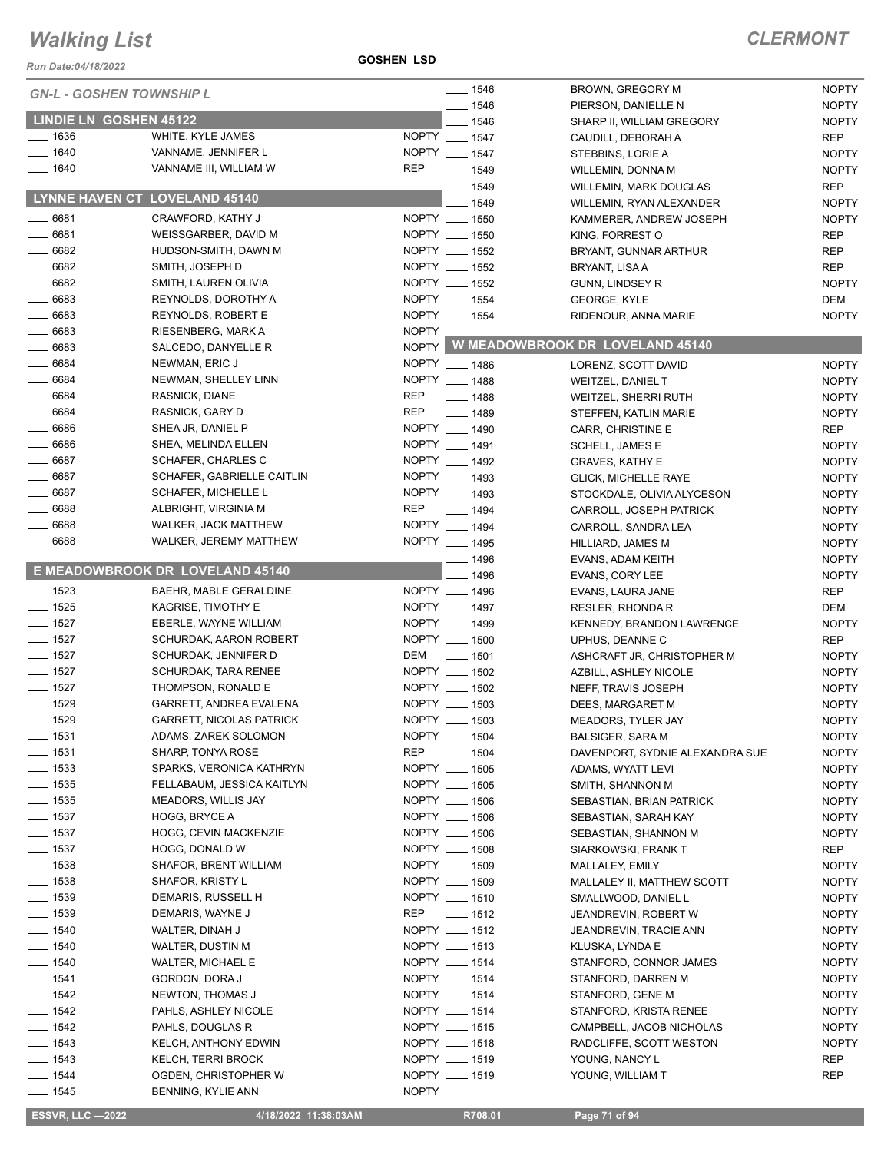*Run Date:04/18/2022*

**GOSHEN LSD**

|                        | <b>GN-L - GOSHEN TOWNSHIP L</b> | $- 1546$                         | BROWN, GREGORY M                      | <b>NOPTY</b> |
|------------------------|---------------------------------|----------------------------------|---------------------------------------|--------------|
|                        |                                 | $-1546$                          | PIERSON, DANIELLE N                   | <b>NOPTY</b> |
| LINDIE LN GOSHEN 45122 |                                 | $-1546$                          | SHARP II, WILLIAM GREGORY             | <b>NOPTY</b> |
| $- 1636$               | WHITE, KYLE JAMES               | NOPTY __ 1547                    | CAUDILL, DEBORAH A                    | <b>REP</b>   |
| $- 1640$               | VANNAME, JENNIFER L             | NOPTY __ 1547                    | STEBBINS, LORIE A                     | <b>NOPTY</b> |
| $- 1640$               | VANNAME III, WILLIAM W          | <b>REP</b><br>$- 1549$           | WILLEMIN, DONNA M                     | <b>NOPTY</b> |
|                        |                                 | $- 1549$                         | WILLEMIN, MARK DOUGLAS                | <b>REP</b>   |
|                        | LYNNE HAVEN CT LOVELAND 45140   | $-1549$                          | WILLEMIN, RYAN ALEXANDER              | <b>NOPTY</b> |
| $- 6681$               | CRAWFORD, KATHY J               | NOPTY __ 1550                    | KAMMERER, ANDREW JOSEPH               | <b>NOPTY</b> |
| 6681                   | WEISSGARBER, DAVID M            | NOPTY __ 1550                    | KING, FORREST O                       | <b>REP</b>   |
| $- 6682$               | HUDSON-SMITH, DAWN M            | NOPTY __ 1552                    | BRYANT, GUNNAR ARTHUR                 | <b>REP</b>   |
| 6682                   | SMITH, JOSEPH D                 | NOPTY __ 1552                    | BRYANT, LISA A                        | <b>REP</b>   |
| $- 6682$               | SMITH, LAUREN OLIVIA            | NOPTY __ 1552                    | GUNN, LINDSEY R                       | <b>NOPTY</b> |
| $- 6683$               | REYNOLDS, DOROTHY A             | NOPTY __ 1554                    | <b>GEORGE, KYLE</b>                   | DEM          |
| $- 6683$               | REYNOLDS, ROBERT E              | NOPTY __ 1554                    | RIDENOUR, ANNA MARIE                  | <b>NOPTY</b> |
| $- 6683$               | RIESENBERG, MARK A              | <b>NOPTY</b>                     |                                       |              |
| $- 6683$               |                                 |                                  | NOPTY W MEADOWBROOK DR LOVELAND 45140 |              |
|                        | SALCEDO, DANYELLE R             |                                  |                                       |              |
| $- 6684$               | NEWMAN, ERIC J                  | NOPTY __ 1486                    | LORENZ, SCOTT DAVID                   | <b>NOPTY</b> |
| $- 6684$               | NEWMAN, SHELLEY LINN            | NOPTY __ 1488                    | <b>WEITZEL, DANIEL T</b>              | <b>NOPTY</b> |
| 6684                   | RASNICK, DIANE                  | <b>REP</b><br>$- 1488$           | WEITZEL, SHERRI RUTH                  | <b>NOPTY</b> |
| $- 6684$               | RASNICK, GARY D                 | <b>REP</b><br>$- 1489$           | STEFFEN, KATLIN MARIE                 | <b>NOPTY</b> |
| $- 6686$               | SHEA JR, DANIEL P               | NOPTY __ 1490                    | CARR, CHRISTINE E                     | <b>REP</b>   |
| $- 6686$               | SHEA, MELINDA ELLEN             | NOPTY __ 1491                    | SCHELL, JAMES E                       | <b>NOPTY</b> |
| $- 6687$               | <b>SCHAFER, CHARLES C</b>       | NOPTY __ 1492                    | <b>GRAVES, KATHY E</b>                | <b>NOPTY</b> |
| 6687                   | SCHAFER, GABRIELLE CAITLIN      | NOPTY __ 1493                    | <b>GLICK, MICHELLE RAYE</b>           | <b>NOPTY</b> |
| $- 6687$               | <b>SCHAFER, MICHELLE L</b>      | NOPTY __ 1493                    | STOCKDALE, OLIVIA ALYCESON            | <b>NOPTY</b> |
| $- 6688$               | ALBRIGHT, VIRGINIA M            | <b>REP</b><br>$- 1494$           | CARROLL, JOSEPH PATRICK               | <b>NOPTY</b> |
| $-6688$                | <b>WALKER, JACK MATTHEW</b>     | NOPTY __ 1494                    | CARROLL, SANDRA LEA                   | <b>NOPTY</b> |
| $- 6688$               | WALKER, JEREMY MATTHEW          | NOPTY __ 1495                    | HILLIARD, JAMES M                     | <b>NOPTY</b> |
|                        |                                 | __ 1496                          | EVANS, ADAM KEITH                     | <b>NOPTY</b> |
|                        | E MEADOWBROOK DR LOVELAND 45140 | $-1496$                          | EVANS, CORY LEE                       | <b>NOPTY</b> |
| $- 1523$               | BAEHR, MABLE GERALDINE          | NOPTY __ 1496                    | EVANS, LAURA JANE                     | <b>REP</b>   |
| $\frac{1}{2}$ 1525     | KAGRISE, TIMOTHY E              | NOPTY __ 1497                    | RESLER, RHONDA R                      | <b>DEM</b>   |
| $- 1527$               | EBERLE, WAYNE WILLIAM           | NOPTY __ 1499                    | KENNEDY, BRANDON LAWRENCE             | <b>NOPTY</b> |
| $- 1527$               | SCHURDAK, AARON ROBERT          | NOPTY __ 1500                    | UPHUS, DEANNE C                       | <b>REP</b>   |
| $- 1527$               | SCHURDAK, JENNIFER D            | DEM<br>$\sim$ 1501               | ASHCRAFT JR, CHRISTOPHER M            | <b>NOPTY</b> |
| $- 1527$               | <b>SCHURDAK, TARA RENEE</b>     | NOPTY __ 1502                    | AZBILL, ASHLEY NICOLE                 | <b>NOPTY</b> |
| $- 1527$               | THOMPSON, RONALD E              | NOPTY __ 1502                    |                                       | <b>NOPTY</b> |
| $- 1529$               |                                 | NOPTY __ 1503                    | NEFF, TRAVIS JOSEPH                   |              |
|                        | GARRETT, ANDREA EVALENA         |                                  | DEES, MARGARET M                      | <b>NOPTY</b> |
| $\frac{1}{2}$ 1529     | GARRETT, NICOLAS PATRICK        | NOPTY __ 1503                    | MEADORS, TYLER JAY                    | <b>NOPTY</b> |
| ___ 1531               | ADAMS, ZAREK SOLOMON            | NOPTY __ 1504                    | <b>BALSIGER, SARA M</b>               | <b>NOPTY</b> |
| $- 1531$               | SHARP, TONYA ROSE               | <b>REP</b><br>$\frac{1}{2}$ 1504 | DAVENPORT, SYDNIE ALEXANDRA SUE       | <b>NOPTY</b> |
| $\frac{1}{2}$ 1533     | SPARKS, VERONICA KATHRYN        | NOPTY __ 1505                    | ADAMS, WYATT LEVI                     | <b>NOPTY</b> |
| $- 1535$               | FELLABAUM, JESSICA KAITLYN      | NOPTY __ 1505                    | SMITH, SHANNON M                      | <b>NOPTY</b> |
| $- 1535$               | MEADORS, WILLIS JAY             | NOPTY __ 1506                    | SEBASTIAN, BRIAN PATRICK              | <b>NOPTY</b> |
| $\frac{1}{2}$ 1537     | HOGG, BRYCE A                   | NOPTY __ 1506                    | SEBASTIAN, SARAH KAY                  | <b>NOPTY</b> |
| $\frac{1}{2}$ 1537     | HOGG, CEVIN MACKENZIE           | NOPTY __ 1506                    | SEBASTIAN, SHANNON M                  | <b>NOPTY</b> |
| $\frac{1}{2}$ 1537     | HOGG, DONALD W                  | NOPTY __ 1508                    | SIARKOWSKI, FRANK T                   | REP          |
| $- 1538$               | SHAFOR, BRENT WILLIAM           | NOPTY __ 1509                    | MALLALEY, EMILY                       | <b>NOPTY</b> |
| $- 1538$               | SHAFOR, KRISTY L                | NOPTY __ 1509                    | MALLALEY II, MATTHEW SCOTT            | <b>NOPTY</b> |
| $- 1539$               | DEMARIS, RUSSELL H              | NOPTY __ 1510                    | SMALLWOOD, DANIEL L                   | <b>NOPTY</b> |
| $\frac{1}{2}$ 1539     | DEMARIS, WAYNE J                | $- 1512$<br>REP                  | JEANDREVIN, ROBERT W                  | <b>NOPTY</b> |
| $- 1540$               | WALTER, DINAH J                 | NOPTY __ 1512                    | JEANDREVIN, TRACIE ANN                | <b>NOPTY</b> |
| $- 1540$               | <b>WALTER, DUSTIN M</b>         | NOPTY __ 1513                    | KLUSKA, LYNDA E                       | <b>NOPTY</b> |
| $- 1540$               | WALTER, MICHAEL E               | NOPTY __ 1514                    | STANFORD, CONNOR JAMES                | <b>NOPTY</b> |
| $- 1541$               | GORDON, DORA J                  | NOPTY __ 1514                    | STANFORD, DARREN M                    | <b>NOPTY</b> |
| $- 1542$               | NEWTON, THOMAS J                | NOPTY __ 1514                    | STANFORD, GENE M                      | <b>NOPTY</b> |
| $- 1542$               | PAHLS, ASHLEY NICOLE            | NOPTY __ 1514                    | STANFORD, KRISTA RENEE                | <b>NOPTY</b> |
| $\frac{1}{2}$ 1542     | PAHLS, DOUGLAS R                | NOPTY __ 1515                    | CAMPBELL, JACOB NICHOLAS              | <b>NOPTY</b> |
| $\frac{1}{2}$ 1543     | KELCH, ANTHONY EDWIN            | NOPTY __ 1518                    | RADCLIFFE, SCOTT WESTON               | <b>NOPTY</b> |
| $- 1543$               | <b>KELCH, TERRI BROCK</b>       | NOPTY __ 1519                    |                                       |              |
| $- 1544$               | OGDEN, CHRISTOPHER W            | NOPTY __ 1519                    | YOUNG, NANCY L                        | REP<br>REP   |
|                        |                                 |                                  | YOUNG, WILLIAM T                      |              |
| $- 1545$               | BENNING, KYLIE ANN              | <b>NOPTY</b>                     |                                       |              |

 **ESSVR, LLC —2022 4/18/2022 11:38:03AM R708.01 Page 71 of 94**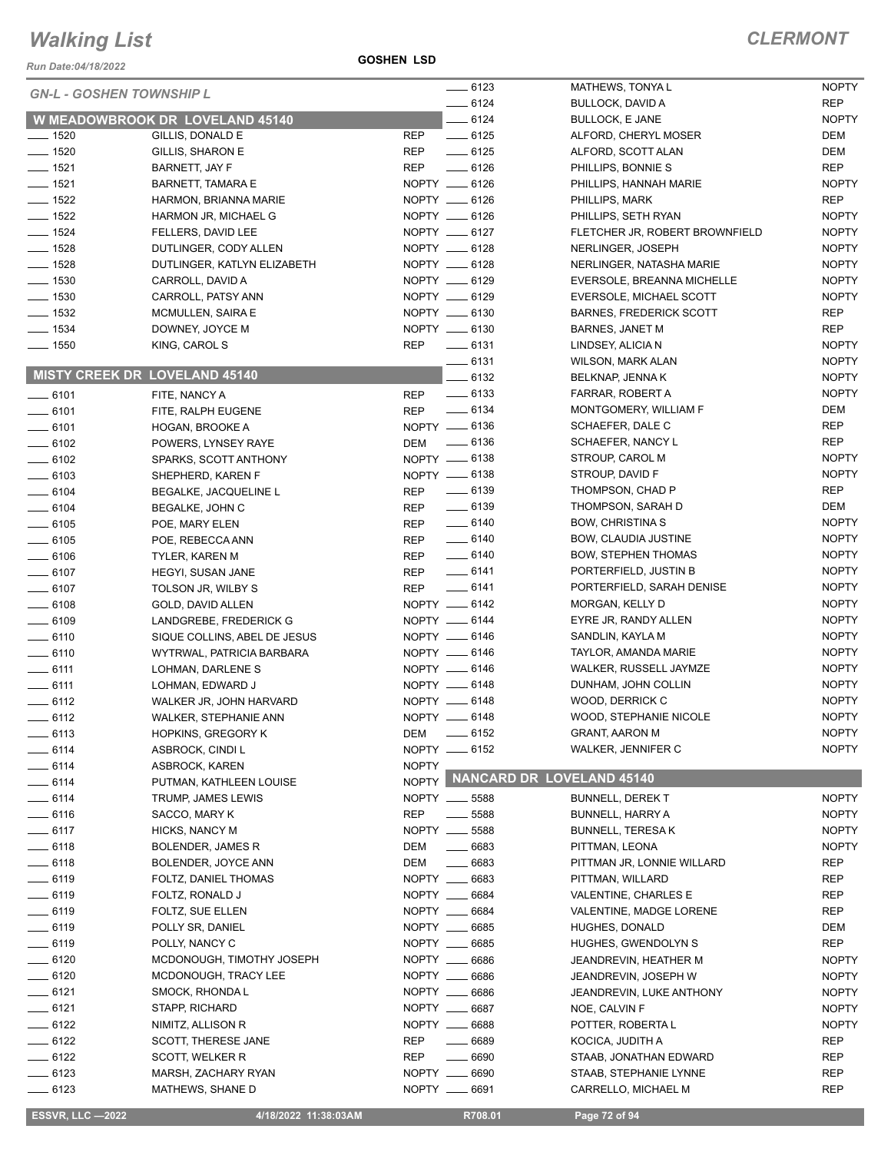#### **GOSHEN LSD**

| Run Date:04/18/2022             |                                                   | <b>GOSHEN LSD</b> |                                  |                                               |                            |
|---------------------------------|---------------------------------------------------|-------------------|----------------------------------|-----------------------------------------------|----------------------------|
| <b>GN-L - GOSHEN TOWNSHIP L</b> |                                                   |                   | $-6123$                          | MATHEWS, TONYAL                               | <b>NOPTY</b>               |
|                                 |                                                   |                   | $-6124$                          | <b>BULLOCK, DAVID A</b>                       | <b>REP</b>                 |
|                                 | <b>W MEADOWBROOK DR LOVELAND 45140</b>            |                   | $-6124$                          | <b>BULLOCK, E JANE</b>                        | <b>NOPTY</b>               |
| $- 1520$                        | GILLIS, DONALD E                                  | <b>REP</b>        | $-6125$                          | ALFORD, CHERYL MOSER                          | DEM                        |
| $- 1520$<br>$- 1521$            | GILLIS, SHARON E                                  | <b>REP</b>        | $-6125$                          | ALFORD, SCOTT ALAN                            | DEM                        |
| $- 1521$                        | BARNETT, JAY F                                    | <b>REP</b>        | $-6126$<br>NOPTY __ 6126         | PHILLIPS, BONNIE S                            | <b>REP</b><br><b>NOPTY</b> |
| $\frac{1}{2}$ 1522              | <b>BARNETT, TAMARA E</b><br>HARMON, BRIANNA MARIE |                   | NOPTY __ 6126                    | PHILLIPS, HANNAH MARIE<br>PHILLIPS, MARK      | <b>REP</b>                 |
| $- 1522$                        | HARMON JR, MICHAEL G                              |                   | NOPTY __ 6126                    | PHILLIPS, SETH RYAN                           | <b>NOPTY</b>               |
| $- 1524$                        | FELLERS, DAVID LEE                                |                   | NOPTY __ 6127                    | FLETCHER JR, ROBERT BROWNFIELD                | <b>NOPTY</b>               |
| $- 1528$                        | DUTLINGER, CODY ALLEN                             |                   | NOPTY __ 6128                    | NERLINGER, JOSEPH                             | <b>NOPTY</b>               |
| $- 1528$                        | DUTLINGER, KATLYN ELIZABETH                       |                   | NOPTY __ 6128                    | NERLINGER, NATASHA MARIE                      | <b>NOPTY</b>               |
| $\frac{1}{2}$ 1530              | CARROLL, DAVID A                                  |                   | NOPTY __ 6129                    | EVERSOLE, BREANNA MICHELLE                    | <b>NOPTY</b>               |
| $\frac{1}{2}$ 1530              | CARROLL, PATSY ANN                                |                   | NOPTY __ 6129                    | EVERSOLE, MICHAEL SCOTT                       | <b>NOPTY</b>               |
| $\frac{1}{2}$ 1532              | MCMULLEN, SAIRA E                                 |                   | NOPTY __ 6130                    | <b>BARNES, FREDERICK SCOTT</b>                | <b>REP</b>                 |
| $\frac{1}{2}$ 1534              | DOWNEY, JOYCE M                                   |                   | NOPTY __ 6130                    | <b>BARNES, JANET M</b>                        | <b>REP</b>                 |
| $\frac{1}{2}$ 1550              | KING, CAROL S                                     | REP               | $-6131$                          | LINDSEY, ALICIA N                             | <b>NOPTY</b>               |
|                                 |                                                   |                   | $-6131$                          | <b>WILSON, MARK ALAN</b>                      | <b>NOPTY</b>               |
| MISTY CREEK DR LOVELAND 45140   |                                                   |                   | 6132                             | BELKNAP, JENNA K                              | <b>NOPTY</b>               |
| $- 6101$                        | FITE, NANCY A                                     | <b>REP</b>        | $\frac{1}{2}$ 6133               | FARRAR, ROBERT A                              | <b>NOPTY</b>               |
| $-6101$                         | FITE, RALPH EUGENE                                | <b>REP</b>        | $\frac{1}{2}$ 6134               | MONTGOMERY, WILLIAM F                         | DEM                        |
| $- 6101$                        | HOGAN, BROOKE A                                   |                   | NOPTY __ 6136                    | SCHAEFER, DALE C                              | REP                        |
| $- 6102$                        | POWERS, LYNSEY RAYE                               | DEM               | $\frac{1}{2}$ 6136               | SCHAEFER, NANCY L                             | <b>REP</b>                 |
| $- 6102$                        | SPARKS, SCOTT ANTHONY                             |                   | NOPTY __ 6138<br>NOPTY -6138     | STROUP, CAROL M                               | <b>NOPTY</b>               |
| $- 6103$                        | SHEPHERD, KAREN F                                 |                   | $\frac{1}{2}$ 6139               | STROUP, DAVID F<br>THOMPSON, CHAD P           | <b>NOPTY</b><br><b>REP</b> |
| $-6104$<br>$-6104$              | BEGALKE, JACQUELINE L                             | REP<br><b>REP</b> | $- 6139$                         | THOMPSON, SARAH D                             | DEM                        |
| $- 6105$                        | BEGALKE, JOHN C<br>POE, MARY ELEN                 | <b>REP</b>        | $\frac{1}{2}$ 6140               | <b>BOW, CHRISTINA S</b>                       | <b>NOPTY</b>               |
| $- 6105$                        | POE, REBECCA ANN                                  | <b>REP</b>        | $-6140$                          | <b>BOW, CLAUDIA JUSTINE</b>                   | <b>NOPTY</b>               |
| $- 6106$                        | <b>TYLER, KAREN M</b>                             | <b>REP</b>        | $- 6140$                         | <b>BOW, STEPHEN THOMAS</b>                    | <b>NOPTY</b>               |
| $- 6107$                        | HEGYI, SUSAN JANE                                 | <b>REP</b>        | $-6141$                          | PORTERFIELD, JUSTIN B                         | <b>NOPTY</b>               |
| $- 6107$                        | TOLSON JR, WILBY S                                | <b>REP</b>        | $-6141$                          | PORTERFIELD, SARAH DENISE                     | <b>NOPTY</b>               |
| $- 6108$                        | GOLD, DAVID ALLEN                                 |                   | NOPTY -6142                      | MORGAN, KELLY D                               | <b>NOPTY</b>               |
| $- 6109$                        | LANDGREBE, FREDERICK G                            |                   | NOPTY __ 6144                    | EYRE JR, RANDY ALLEN                          | <b>NOPTY</b>               |
| $- 6110$                        | SIQUE COLLINS, ABEL DE JESUS                      |                   | NOPTY __ 6146                    | SANDLIN, KAYLA M                              | <b>NOPTY</b>               |
| $- 6110$                        | WYTRWAL, PATRICIA BARBARA                         |                   | NOPTY -6146                      | TAYLOR, AMANDA MARIE                          | <b>NOPTY</b>               |
| $\frac{1}{2}$ 6111              | LOHMAN, DARLENE S                                 |                   | NOPTY __ 6146                    | WALKER, RUSSELL JAYMZE                        | <b>NOPTY</b>               |
| $-6111$                         | LOHMAN, EDWARD J                                  |                   | NOPTY -6148                      | DUNHAM, JOHN COLLIN                           | <b>NOPTY</b>               |
| $-6112$                         | WALKER JR, JOHN HARVARD                           |                   | NOPTY __ 6148                    | WOOD, DERRICK C                               | <b>NOPTY</b>               |
| $=$ 6112                        | <b>WALKER, STEPHANIE ANN</b>                      |                   | NOPTY -6148                      | WOOD, STEPHANIE NICOLE                        | <b>NOPTY</b>               |
| $-6113$                         | <b>HOPKINS, GREGORY K</b>                         | DEM               | $-6152$                          | <b>GRANT, AARON M</b>                         | <b>NOPTY</b>               |
| $- 6114$                        | ASBROCK, CINDI L                                  |                   | NOPTY __ 6152                    | <b>WALKER, JENNIFER C</b>                     | <b>NOPTY</b>               |
| $=$ 6114<br>$-6114$             | ASBROCK, KAREN                                    | <b>NOPTY</b>      |                                  | NOPTY NANCARD DR LOVELAND 45140               |                            |
| __ 6114                         | PUTMAN, KATHLEEN LOUISE<br>TRUMP, JAMES LEWIS     |                   | NOPTY __ 5588                    | <b>BUNNELL, DEREK T</b>                       | <b>NOPTY</b>               |
| $-6116$                         | SACCO, MARY K                                     | <b>REP</b>        | 5588                             | <b>BUNNELL, HARRY A</b>                       | <b>NOPTY</b>               |
| $-6117$                         | <b>HICKS, NANCY M</b>                             | NOPTY __          | 5588                             | <b>BUNNELL, TERESAK</b>                       | <b>NOPTY</b>               |
| __ 6118                         | BOLENDER, JAMES R                                 | DEM               | $\frac{1}{1}$<br>6683            | PITTMAN, LEONA                                | <b>NOPTY</b>               |
| $- 6118$                        | BOLENDER, JOYCE ANN                               | DEM               | 6683<br>$\overline{\phantom{a}}$ | PITTMAN JR, LONNIE WILLARD                    | REP                        |
| — 6119                          | FOLTZ, DANIEL THOMAS                              | NOPTY __          | 6683                             | PITTMAN, WILLARD                              | REP                        |
| $-6119$                         | FOLTZ, RONALD J                                   |                   | NOPTY __ 6684                    | VALENTINE, CHARLES E                          | <b>REP</b>                 |
| $- 6119$                        | FOLTZ, SUE ELLEN                                  |                   | NOPTY __ 6684                    | VALENTINE, MADGE LORENE                       | REP                        |
| _ 6119                          | POLLY SR, DANIEL                                  |                   | NOPTY __ 6685                    | HUGHES, DONALD                                | DEM                        |
| $- 6119$                        | POLLY, NANCY C                                    | NOPTY __          | 6685                             | HUGHES, GWENDOLYN S                           | <b>REP</b>                 |
| $- 6120$                        | MCDONOUGH, TIMOTHY JOSEPH                         |                   | NOPTY __ 6686                    | JEANDREVIN, HEATHER M                         | <b>NOPTY</b>               |
| $- 6120$                        | MCDONOUGH, TRACY LEE                              |                   | NOPTY __ 6686                    | JEANDREVIN, JOSEPH W                          | <b>NOPTY</b>               |
| $= 6121$                        | SMOCK, RHONDA L                                   |                   | NOPTY __ 6686                    | JEANDREVIN, LUKE ANTHONY                      | <b>NOPTY</b>               |
| — 6121                          | STAPP, RICHARD                                    |                   | NOPTY __ 6687                    | NOE, CALVIN F                                 | <b>NOPTY</b>               |
| $-6122$                         | NIMITZ, ALLISON R                                 |                   | NOPTY __ 6688                    | POTTER, ROBERTA L                             | <b>NOPTY</b>               |
| $-6122$                         | SCOTT, THERESE JANE                               | <b>REP</b>        | 6689                             | KOCICA, JUDITH A                              | <b>REP</b>                 |
| $-6122$                         | SCOTT, WELKER R                                   | <b>REP</b>        | $\overline{\phantom{a}}$<br>6690 | STAAB, JONATHAN EDWARD                        | <b>REP</b>                 |
| $-6123$                         | MARSH, ZACHARY RYAN<br>MATHEWS, SHANE D           | NOPTY __          | 6690<br>NOPTY __ 6691            | STAAB, STEPHANIE LYNNE<br>CARRELLO, MICHAEL M | REP<br>REP                 |
| —— 6123                         |                                                   |                   |                                  |                                               |                            |
| <b>ESSVR, LLC -2022</b>         | 4/18/2022 11:38:03AM                              |                   | R708.01                          | Page 72 of 94                                 |                            |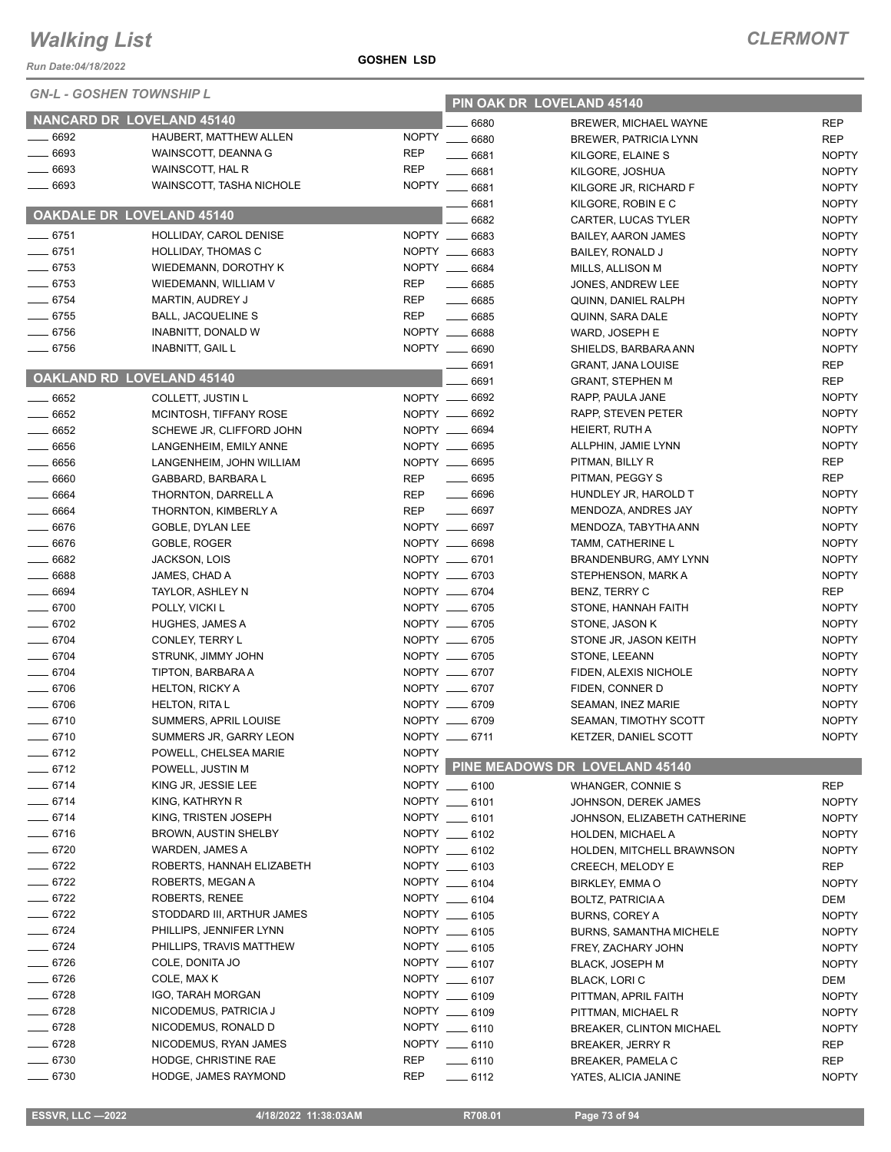| <b>ESSVR, LLC -2022</b> | 4/18/2022 11:38:03AM | R708.01 | Page 73 of 94 |
|-------------------------|----------------------|---------|---------------|

| GN-L - GOSHEN TOWNSHIP L |                                             |              | PIN OAK DR LOVELAND 45140      |                                        |                              |  |
|--------------------------|---------------------------------------------|--------------|--------------------------------|----------------------------------------|------------------------------|--|
|                          | NANCARD DR LOVELAND 45140                   |              | 6680                           | <b>BREWER, MICHAEL WAYNE</b>           | <b>REP</b>                   |  |
| $- 6692$                 | HAUBERT, MATTHEW ALLEN                      | <b>NOPTY</b> | 6680                           | <b>BREWER, PATRICIA LYNN</b>           | <b>REP</b>                   |  |
| $- 6693$                 | WAINSCOTT, DEANNA G                         | <b>REP</b>   | 6681                           | KILGORE, ELAINE S                      | <b>NOPTY</b>                 |  |
| $- 6693$                 | WAINSCOTT, HAL R                            | <b>REP</b>   | 6681                           | KILGORE, JOSHUA                        | <b>NOPTY</b>                 |  |
| 6693                     | WAINSCOTT, TASHA NICHOLE                    |              | NOPTY __ 6681                  | KILGORE JR, RICHARD F                  | <b>NOPTY</b>                 |  |
|                          |                                             |              | $-6681$                        | KILGORE, ROBIN E C                     | <b>NOPTY</b>                 |  |
|                          | <b>OAKDALE DR LOVELAND 45140</b>            |              | 6682                           | CARTER, LUCAS TYLER                    | <b>NOPTY</b>                 |  |
| $- 6751$                 | HOLLIDAY, CAROL DENISE                      |              | NOPTY __ 6683                  | <b>BAILEY, AARON JAMES</b>             | <b>NOPTY</b>                 |  |
| $- 6751$                 | <b>HOLLIDAY, THOMAS C</b>                   |              | NOPTY __ 6683                  | BAILEY, RONALD J                       | <b>NOPTY</b>                 |  |
| $- 6753$                 | WIEDEMANN, DOROTHY K                        |              | NOPTY __ 6684                  | MILLS, ALLISON M                       | <b>NOPTY</b>                 |  |
| $- 6753$                 | WIEDEMANN, WILLIAM V                        | <b>REP</b>   | $- 6685$                       | JONES, ANDREW LEE                      | <b>NOPTY</b>                 |  |
| $- 6754$                 | <b>MARTIN, AUDREY J</b>                     | <b>REP</b>   | $- 6685$                       | QUINN, DANIEL RALPH                    | <b>NOPTY</b>                 |  |
| $- 6755$                 | BALL, JACQUELINE S                          | <b>REP</b>   | $- 6685$                       | QUINN, SARA DALE                       | <b>NOPTY</b>                 |  |
| $- 6756$                 | INABNITT, DONALD W                          |              | NOPTY __ 6688                  | WARD, JOSEPH E                         | <b>NOPTY</b>                 |  |
| $- 6756$                 | <b>INABNITT, GAIL L</b>                     |              | NOPTY __ 6690                  | SHIELDS, BARBARA ANN                   | <b>NOPTY</b>                 |  |
|                          |                                             |              | 6691                           | <b>GRANT, JANA LOUISE</b>              | <b>REP</b>                   |  |
|                          | OAKLAND RD LOVELAND 45140                   |              | 6691                           | <b>GRANT, STEPHEN M</b>                | <b>REP</b>                   |  |
| $- 6652$                 | COLLETT, JUSTIN L                           |              | NOPTY __ 6692                  | RAPP, PAULA JANE                       | <b>NOPTY</b>                 |  |
| $- 6652$                 | MCINTOSH, TIFFANY ROSE                      |              | NOPTY __ 6692                  | RAPP, STEVEN PETER                     | <b>NOPTY</b>                 |  |
| $- 6652$                 | SCHEWE JR, CLIFFORD JOHN                    |              | NOPTY __ 6694                  | HEIERT, RUTH A                         | <b>NOPTY</b>                 |  |
| $- 6656$                 | LANGENHEIM, EMILY ANNE                      |              | NOPTY __ 6695                  | ALLPHIN, JAMIE LYNN                    | <b>NOPTY</b>                 |  |
| $- 6656$                 | LANGENHEIM, JOHN WILLIAM                    |              | NOPTY __ 6695                  | PITMAN, BILLY R                        | REP                          |  |
| $- 6660$                 | GABBARD, BARBARA L                          | REP          | $- 6695$                       | PITMAN, PEGGY S                        | <b>REP</b>                   |  |
| $- 6664$                 | THORNTON, DARRELL A                         | REP          | $- 6696$                       | HUNDLEY JR, HAROLD T                   | <b>NOPTY</b>                 |  |
| $- 6664$                 | THORNTON, KIMBERLY A                        | <b>REP</b>   | $- 6697$                       | MENDOZA, ANDRES JAY                    | <b>NOPTY</b>                 |  |
| $- 6676$                 | GOBLE, DYLAN LEE                            |              | NOPTY __ 6697                  | MENDOZA, TABYTHA ANN                   | <b>NOPTY</b>                 |  |
| $- 6676$                 | GOBLE, ROGER                                |              | NOPTY __ 6698                  | TAMM, CATHERINE L                      | <b>NOPTY</b>                 |  |
| $- 6682$                 |                                             |              | NOPTY __ 6701                  | BRANDENBURG, AMY LYNN                  | <b>NOPTY</b>                 |  |
| $- 6688$                 | JACKSON, LOIS                               |              | NOPTY __ 6703                  |                                        | <b>NOPTY</b>                 |  |
|                          | JAMES, CHAD A                               |              |                                | STEPHENSON, MARK A                     | <b>REP</b>                   |  |
| $- 6694$<br>$- 6700$     | TAYLOR, ASHLEY N                            |              | NOPTY __ 6704<br>NOPTY __ 6705 | BENZ, TERRY C                          | <b>NOPTY</b>                 |  |
| $- 6702$                 | POLLY, VICKI L                              |              | NOPTY __ 6705                  | STONE, HANNAH FAITH                    | <b>NOPTY</b>                 |  |
|                          | HUGHES, JAMES A                             |              | NOPTY __ 6705                  | STONE, JASON K                         | <b>NOPTY</b>                 |  |
| $- 6704$<br>$- 6704$     | CONLEY, TERRY L                             |              | NOPTY __ 6705                  | STONE JR, JASON KEITH<br>STONE, LEEANN | <b>NOPTY</b>                 |  |
|                          | STRUNK, JIMMY JOHN                          |              | NOPTY __ 6707                  |                                        | <b>NOPTY</b>                 |  |
| $- 6704$<br>$- 6706$     | TIPTON, BARBARA A<br><b>HELTON, RICKY A</b> |              | NOPTY __ 6707                  | FIDEN, ALEXIS NICHOLE                  | <b>NOPTY</b>                 |  |
| $- 6706$                 |                                             |              | NOPTY __ 6709                  | FIDEN, CONNER D                        |                              |  |
|                          | <b>HELTON, RITA L</b>                       |              | NOPTY __ 6709                  | SEAMAN, INEZ MARIE                     | <b>NOPTY</b><br><b>NOPTY</b> |  |
| $- 6710$                 | SUMMERS, APRIL LOUISE                       |              | NOPTY __ 6711                  | SEAMAN, TIMOTHY SCOTT                  | <b>NOPTY</b>                 |  |
| $- 6710$                 | SUMMERS JR, GARRY LEON                      |              |                                | <b>KETZER, DANIEL SCOTT</b>            |                              |  |
| _ 6712                   | POWELL, CHELSEA MARIE                       | <b>NOPTY</b> |                                | NOPTY PINE MEADOWS DR LOVELAND 45140   |                              |  |
| $-6712$<br>$- 6714$      | POWELL, JUSTIN M                            |              |                                |                                        |                              |  |
|                          | KING JR, JESSIE LEE                         |              | NOPTY __ 6100                  | <b>WHANGER, CONNIE S</b>               | <b>REP</b>                   |  |
| $-6714$<br>$-6714$       | KING, KATHRYN R                             |              | NOPTY __ 6101                  | JOHNSON, DEREK JAMES                   | <b>NOPTY</b>                 |  |
|                          | KING, TRISTEN JOSEPH                        |              | NOPTY __ 6101                  | JOHNSON, ELIZABETH CATHERINE           | <b>NOPTY</b>                 |  |
| $- 6716$                 | BROWN, AUSTIN SHELBY                        |              | NOPTY __ 6102                  | HOLDEN, MICHAEL A                      | <b>NOPTY</b>                 |  |
| $- 6720$                 | WARDEN, JAMES A                             |              | NOPTY __ 6102                  | HOLDEN, MITCHELL BRAWNSON              | <b>NOPTY</b>                 |  |
| $- 6722$                 | ROBERTS, HANNAH ELIZABETH                   |              | NOPTY __ 6103                  | CREECH, MELODY E                       | REP                          |  |
| $- 6722$                 | ROBERTS, MEGAN A                            |              | NOPTY __ 6104                  | BIRKLEY, EMMA O                        | <b>NOPTY</b>                 |  |
| $- 6722$                 | ROBERTS, RENEE                              |              | NOPTY __ 6104                  | <b>BOLTZ, PATRICIA A</b>               | DEM                          |  |
| $-6722$                  | STODDARD III, ARTHUR JAMES                  |              | NOPTY __ 6105                  | BURNS, COREY A                         | <b>NOPTY</b>                 |  |
| $- 6724$                 | PHILLIPS, JENNIFER LYNN                     |              | NOPTY __ 6105                  | <b>BURNS, SAMANTHA MICHELE</b>         | <b>NOPTY</b>                 |  |
| $- 6724$                 | PHILLIPS, TRAVIS MATTHEW                    |              | NOPTY __ 6105                  | FREY, ZACHARY JOHN                     | <b>NOPTY</b>                 |  |
| $- 6726$                 | COLE, DONITA JO                             |              | NOPTY __ 6107                  | <b>BLACK, JOSEPH M</b>                 | <b>NOPTY</b>                 |  |
| $- 6726$                 | COLE, MAX K                                 |              | NOPTY __ 6107                  | <b>BLACK, LORIC</b>                    | DEM                          |  |
| $- 6728$                 | IGO, TARAH MORGAN                           |              | NOPTY __ 6109                  | PITTMAN, APRIL FAITH                   | <b>NOPTY</b>                 |  |
| $- 6728$                 | NICODEMUS, PATRICIA J                       |              | NOPTY __ 6109                  | PITTMAN, MICHAEL R                     | <b>NOPTY</b>                 |  |
| $- 6728$                 | NICODEMUS, RONALD D                         |              | NOPTY __ 6110                  | <b>BREAKER, CLINTON MICHAEL</b>        | <b>NOPTY</b>                 |  |
| $- 6728$                 | NICODEMUS, RYAN JAMES                       |              | NOPTY __ 6110                  | <b>BREAKER, JERRY R</b>                | <b>REP</b>                   |  |
| $- 6730$                 | HODGE, CHRISTINE RAE                        | REP          | $- 6110$                       | BREAKER, PAMELA C                      | REP                          |  |
| 6730                     | HODGE, JAMES RAYMOND                        | <b>REP</b>   | 6112                           | YATES, ALICIA JANINE                   | <b>NOPTY</b>                 |  |

*Run Date:04/18/2022*

*GN-L - GOSHEN TOWNSHIP L*

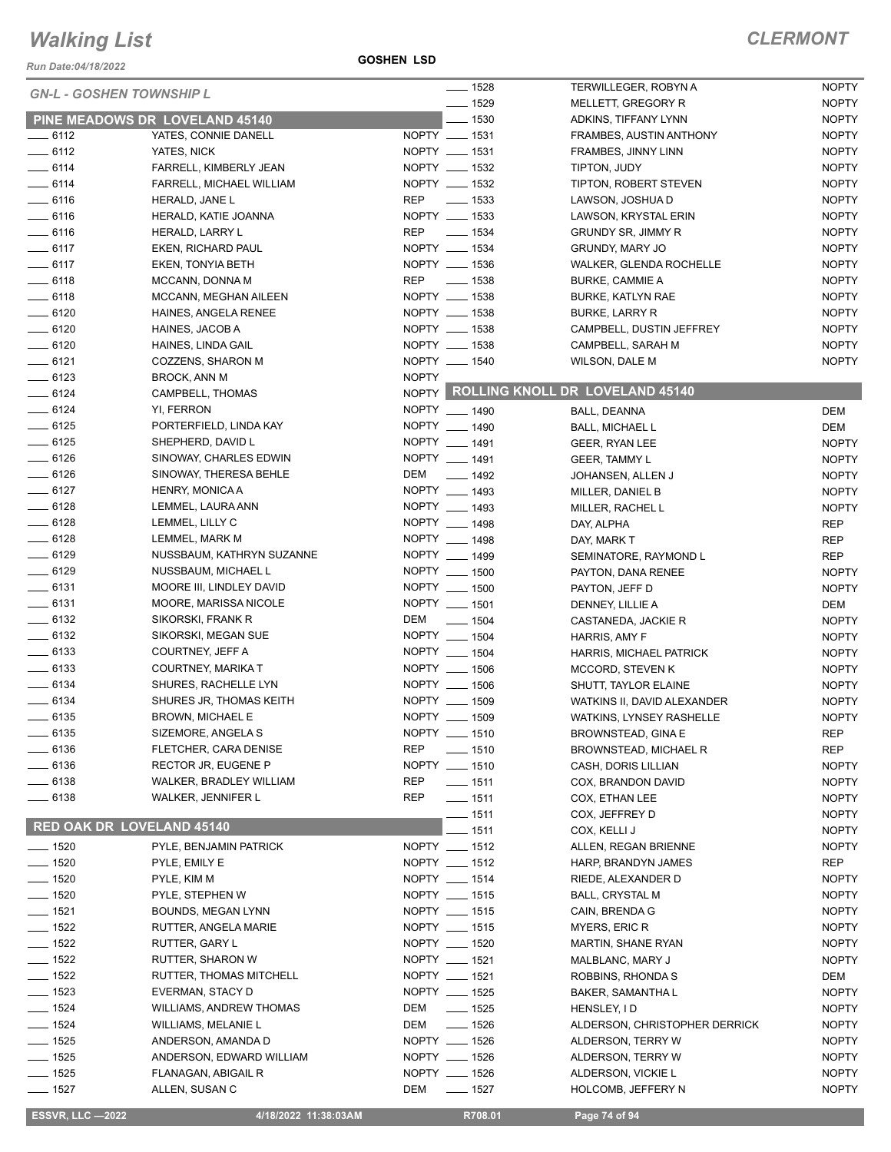*Run Date:04/18/2022*

**GOSHEN LSD**

|                                  |                                |              | $- 1528$           | TERWILLEGER, ROBYN A                  | <b>NOPTY</b> |
|----------------------------------|--------------------------------|--------------|--------------------|---------------------------------------|--------------|
| <b>GN-L - GOSHEN TOWNSHIP L</b>  |                                |              | $- 1529$           | MELLETT, GREGORY R                    | <b>NOPTY</b> |
|                                  | PINE MEADOWS DR LOVELAND 45140 |              | $- 1530$           | ADKINS, TIFFANY LYNN                  | <b>NOPTY</b> |
| $-6112$                          | YATES, CONNIE DANELL           |              | NOPTY __ 1531      | FRAMBES, AUSTIN ANTHONY               | <b>NOPTY</b> |
| $- 6112$                         | YATES, NICK                    |              | NOPTY __ 1531      | FRAMBES, JINNY LINN                   | <b>NOPTY</b> |
| $-6114$                          | FARRELL, KIMBERLY JEAN         |              | NOPTY __ 1532      | TIPTON, JUDY                          | <b>NOPTY</b> |
| $\frac{1}{2}$ 6114               | FARRELL, MICHAEL WILLIAM       |              | NOPTY __ 1532      | TIPTON, ROBERT STEVEN                 | <b>NOPTY</b> |
| $\frac{1}{2}$ 6116               | HERALD, JANE L                 | <b>REP</b>   | $\frac{1}{2}$ 1533 | LAWSON, JOSHUA D                      | <b>NOPTY</b> |
| $-6116$                          | HERALD, KATIE JOANNA           |              | NOPTY __ 1533      | LAWSON, KRYSTAL ERIN                  | <b>NOPTY</b> |
| $- 6116$                         | HERALD, LARRY L                | <b>REP</b>   | $\frac{1}{2}$ 1534 | <b>GRUNDY SR, JIMMY R</b>             | <b>NOPTY</b> |
| $-6117$                          | EKEN, RICHARD PAUL             |              | NOPTY __ 1534      | GRUNDY, MARY JO                       | <b>NOPTY</b> |
| $-6117$                          | EKEN, TONYIA BETH              |              | NOPTY __ 1536      | WALKER, GLENDA ROCHELLE               | <b>NOPTY</b> |
| $-6118$                          | MCCANN, DONNA M                | <b>REP</b>   | $\frac{1}{2}$ 1538 | <b>BURKE, CAMMIE A</b>                | <b>NOPTY</b> |
| $-6118$                          | MCCANN, MEGHAN AILEEN          |              | NOPTY __ 1538      | <b>BURKE, KATLYN RAE</b>              | <b>NOPTY</b> |
| $-6120$                          | HAINES, ANGELA RENEE           |              | NOPTY __ 1538      | <b>BURKE, LARRY R</b>                 | <b>NOPTY</b> |
| $- 6120$                         |                                |              | NOPTY __ 1538      |                                       |              |
|                                  | HAINES, JACOB A                |              |                    | CAMPBELL, DUSTIN JEFFREY              | <b>NOPTY</b> |
| $- 6120$                         | HAINES, LINDA GAIL             |              | NOPTY __ 1538      | CAMPBELL, SARAH M                     | <b>NOPTY</b> |
| $-6121$                          | COZZENS, SHARON M              |              | NOPTY __ 1540      | <b>WILSON, DALE M</b>                 | <b>NOPTY</b> |
| $-6123$                          | <b>BROCK, ANN M</b>            | <b>NOPTY</b> |                    | NOPTY ROLLING KNOLL DR LOVELAND 45140 |              |
| $- 6124$                         | CAMPBELL, THOMAS               |              |                    |                                       |              |
| $-6124$                          | YI, FERRON                     |              | NOPTY __ 1490      | BALL, DEANNA                          | <b>DEM</b>   |
| $-6125$                          | PORTERFIELD, LINDA KAY         |              | NOPTY __ 1490      | <b>BALL, MICHAEL L</b>                | <b>DEM</b>   |
| $-6125$                          | SHEPHERD, DAVID L              |              | NOPTY __ 1491      | GEER, RYAN LEE                        | <b>NOPTY</b> |
| $-6126$                          | SINOWAY, CHARLES EDWIN         |              | NOPTY __ 1491      | <b>GEER, TAMMY L</b>                  | <b>NOPTY</b> |
| $- 6126$                         | SINOWAY, THERESA BEHLE         | DEM          | $- 1492$           | JOHANSEN, ALLEN J                     | <b>NOPTY</b> |
| $-6127$                          | HENRY, MONICA A                |              | NOPTY __ 1493      | MILLER, DANIEL B                      | <b>NOPTY</b> |
| $-6128$                          | LEMMEL, LAURA ANN              |              | NOPTY __ 1493      | MILLER, RACHEL L                      | <b>NOPTY</b> |
| $-6128$                          | LEMMEL, LILLY C                |              | NOPTY __ 1498      | DAY, ALPHA                            | <b>REP</b>   |
| $-6128$                          | LEMMEL, MARK M                 |              | NOPTY __ 1498      | DAY, MARK T                           | <b>REP</b>   |
| $\frac{1}{2}$ 6129               | NUSSBAUM, KATHRYN SUZANNE      |              | NOPTY __ 1499      | SEMINATORE, RAYMOND L                 | <b>REP</b>   |
| $-6129$                          | NUSSBAUM, MICHAEL L            |              | NOPTY __ 1500      | PAYTON, DANA RENEE                    | <b>NOPTY</b> |
| $-6131$                          | MOORE III, LINDLEY DAVID       |              | NOPTY __ 1500      | PAYTON, JEFF D                        | <b>NOPTY</b> |
| $- 6131$                         | MOORE, MARISSA NICOLE          |              | NOPTY __ 1501      | DENNEY, LILLIE A                      | DEM          |
| $-6132$                          | SIKORSKI, FRANK R              | DEM          | $\frac{1}{2}$ 1504 | CASTANEDA, JACKIE R                   | <b>NOPTY</b> |
| $\frac{1}{2}$ 6132               | SIKORSKI, MEGAN SUE            |              | NOPTY __ 1504      | HARRIS, AMY F                         | <b>NOPTY</b> |
| $\frac{1}{2}$ 6133               | COURTNEY, JEFF A               |              | NOPTY __ 1504      | <b>HARRIS, MICHAEL PATRICK</b>        | <b>NOPTY</b> |
| $\frac{1}{2}$ 6133               | COURTNEY, MARIKA T             |              | NOPTY __ 1506      | MCCORD, STEVEN K                      | <b>NOPTY</b> |
| $- 6134$                         | SHURES, RACHELLE LYN           |              | NOPTY __ 1506      | SHUTT, TAYLOR ELAINE                  | <b>NOPTY</b> |
| $-6134$                          | SHURES JR, THOMAS KEITH        |              | NOPTY __ 1509      | WATKINS II, DAVID ALEXANDER           | <b>NOPTY</b> |
| $- 6135$                         | <b>BROWN, MICHAEL E</b>        |              | NOPTY __ 1509      | <b>WATKINS, LYNSEY RASHELLE</b>       | <b>NOPTY</b> |
| _ 6135                           | SIZEMORE, ANGELA S             |              | NOPTY __ 1510      | <b>BROWNSTEAD, GINA E</b>             | <b>REP</b>   |
| $-6136$                          | FLETCHER, CARA DENISE          | <b>REP</b>   | $- 1510$           | <b>BROWNSTEAD, MICHAEL R</b>          | <b>REP</b>   |
| $- 6136$                         | RECTOR JR, EUGENE P            |              | NOPTY __ 1510      | CASH, DORIS LILLIAN                   | <b>NOPTY</b> |
| $\frac{1}{2}$ 6138               | WALKER, BRADLEY WILLIAM        | REP          | $\frac{1}{2}$ 1511 | COX, BRANDON DAVID                    | <b>NOPTY</b> |
| $= 6138$                         | WALKER, JENNIFER L             | <b>REP</b>   | $- 1511$           | COX, ETHAN LEE                        | <b>NOPTY</b> |
|                                  |                                |              | $- 1511$           | COX, JEFFREY D                        | <b>NOPTY</b> |
| <b>RED OAK DR LOVELAND 45140</b> |                                |              | $-1511$            | COX, KELLI J                          | <b>NOPTY</b> |
| $\frac{1}{2}$ 1520               | PYLE, BENJAMIN PATRICK         |              | NOPTY __ 1512      | ALLEN, REGAN BRIENNE                  | <b>NOPTY</b> |
| $- 1520$                         | PYLE, EMILY E                  |              | NOPTY __ 1512      | HARP, BRANDYN JAMES                   | <b>REP</b>   |
| $- 1520$                         | PYLE, KIM M                    |              | NOPTY __ 1514      | RIEDE, ALEXANDER D                    | <b>NOPTY</b> |
| $- 1520$                         | PYLE, STEPHEN W                |              | NOPTY __ 1515      | <b>BALL, CRYSTAL M</b>                | <b>NOPTY</b> |
| $- 1521$                         | <b>BOUNDS, MEGAN LYNN</b>      |              | NOPTY __ 1515      | CAIN, BRENDA G                        | <b>NOPTY</b> |
| $- 1522$                         | RUTTER, ANGELA MARIE           |              | NOPTY __ 1515      | MYERS, ERIC R                         | <b>NOPTY</b> |
| $- 1522$                         |                                |              | NOPTY __ 1520      |                                       | <b>NOPTY</b> |
|                                  | RUTTER, GARY L                 |              |                    | MARTIN, SHANE RYAN                    |              |
| $- 1522$                         | RUTTER, SHARON W               |              | NOPTY __ 1521      | MALBLANC, MARY J                      | <b>NOPTY</b> |
| $- 1522$                         | RUTTER, THOMAS MITCHELL        |              | NOPTY __ 1521      | ROBBINS, RHONDA S                     | DEM          |
| $- 1523$                         | EVERMAN, STACY D               |              | NOPTY __ 1525      | BAKER, SAMANTHA L                     | <b>NOPTY</b> |
| $- 1524$                         | WILLIAMS, ANDREW THOMAS        | DEM          | $- 1525$           | HENSLEY, ID                           | <b>NOPTY</b> |
| $\frac{1}{2}$ 1524               | WILLIAMS, MELANIE L            | DEM          | $- 1526$           | ALDERSON, CHRISTOPHER DERRICK         | <b>NOPTY</b> |
| $- 1525$                         | ANDERSON, AMANDA D             |              | NOPTY __ 1526      | ALDERSON, TERRY W                     | <b>NOPTY</b> |
| $- 1525$                         | ANDERSON, EDWARD WILLIAM       |              | NOPTY __ 1526      | ALDERSON, TERRY W                     | <b>NOPTY</b> |
| $\frac{1}{2}$ 1525               | FLANAGAN, ABIGAIL R            |              | NOPTY __ 1526      | ALDERSON, VICKIE L                    | <b>NOPTY</b> |
| $- 1527$                         | ALLEN, SUSAN C                 | DEM          | $- 1527$           | HOLCOMB, JEFFERY N                    | <b>NOPTY</b> |
| <b>ESSVR, LLC -2022</b>          | 4/18/2022 11:38:03AM           |              | R708.01            | Page 74 of 94                         |              |
|                                  |                                |              |                    |                                       |              |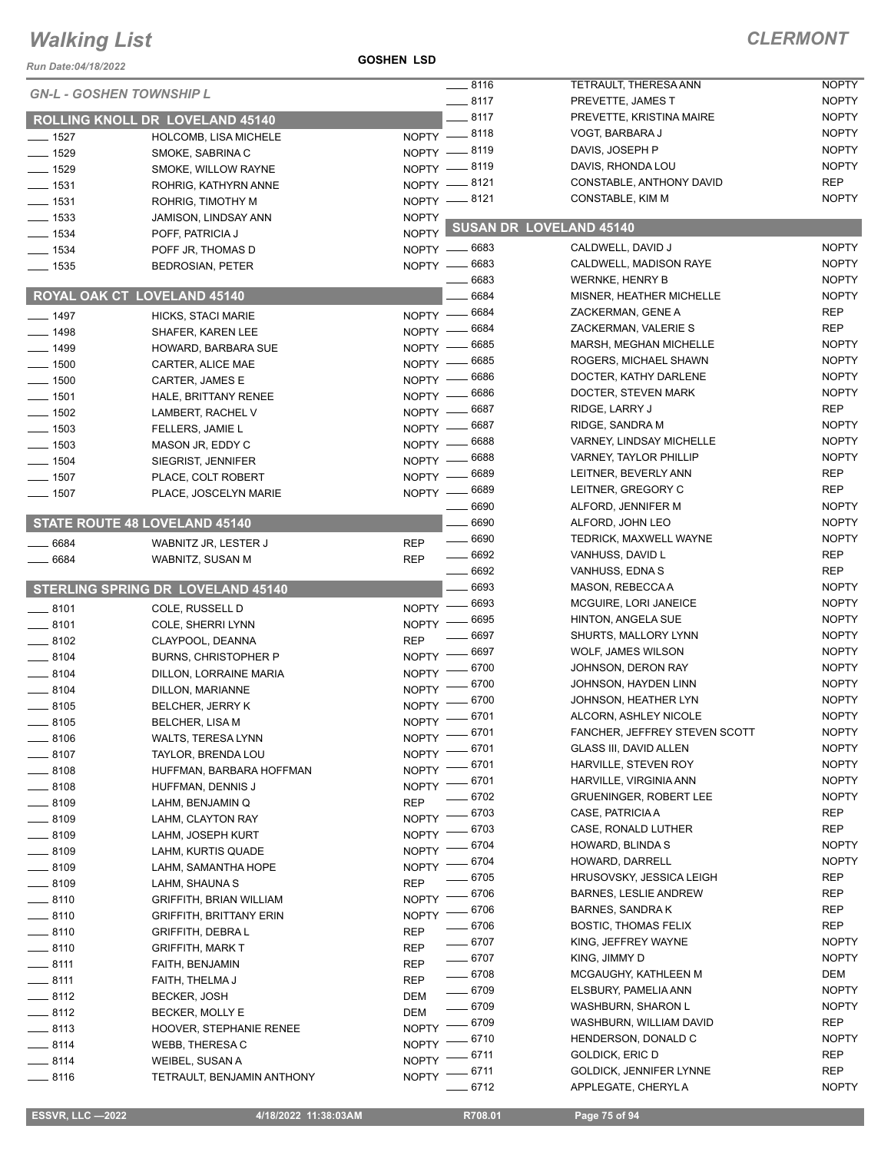#### **GOSHEN LSD**

| Run Date:04/18/2022 |                                          |                                    |                    |                                                        |                              |
|---------------------|------------------------------------------|------------------------------------|--------------------|--------------------------------------------------------|------------------------------|
|                     | <b>GN-L - GOSHEN TOWNSHIP L</b>          |                                    | $-8116$            | TETRAULT, THERESA ANN                                  | <b>NOPTY</b>                 |
|                     |                                          | $-8117$                            |                    | PREVETTE, JAMES T                                      | <b>NOPTY</b>                 |
|                     | ROLLING KNOLL DR LOVELAND 45140          |                                    | $-8117$            | PREVETTE, KRISTINA MAIRE                               | <b>NOPTY</b>                 |
| $- 1527$            | HOLCOMB, LISA MICHELE                    | NOPTY -8118                        |                    | VOGT, BARBARA J                                        | <b>NOPTY</b>                 |
| $- 1529$            | SMOKE, SABRINA C                         | NOPTY -8119                        |                    | DAVIS, JOSEPH P                                        | <b>NOPTY</b>                 |
| $- 1529$            | SMOKE, WILLOW RAYNE                      | NOPTY -8119                        |                    | DAVIS, RHONDA LOU                                      | <b>NOPTY</b>                 |
| $- 1531$            | ROHRIG, KATHYRN ANNE                     | NOPTY -8121                        |                    | CONSTABLE, ANTHONY DAVID                               | <b>REP</b>                   |
| $- 1531$            | ROHRIG, TIMOTHY M                        | NOPTY -8121                        |                    | CONSTABLE, KIM M                                       | <b>NOPTY</b>                 |
| $\equiv$ 1533       | JAMISON, LINDSAY ANN                     | <b>NOPTY</b>                       |                    | SUSAN DR LOVELAND 45140                                |                              |
| $\frac{1}{2}$ 1534  | POFF, PATRICIA J                         | NOPTY <sup>I</sup>                 |                    |                                                        |                              |
| $- 1534$            | POFF JR, THOMAS D                        | NOPTY - 6683                       |                    | CALDWELL, DAVID J                                      | <b>NOPTY</b>                 |
| $\frac{1}{2}$ 1535  | <b>BEDROSIAN, PETER</b>                  | NOPTY -6683                        |                    | CALDWELL, MADISON RAYE                                 | <b>NOPTY</b>                 |
|                     |                                          |                                    | 6683               | <b>WERNKE, HENRY B</b>                                 | <b>NOPTY</b>                 |
|                     | ROYAL OAK CT LOVELAND 45140              |                                    | 6684               | MISNER, HEATHER MICHELLE                               | <b>NOPTY</b>                 |
| $-1497$             | <b>HICKS, STACI MARIE</b>                | NOPTY - 6684                       |                    | ZACKERMAN, GENE A                                      | <b>REP</b>                   |
| $-1498$             | SHAFER, KAREN LEE                        | $N$ OPTY $-$                       | 6684               | ZACKERMAN, VALERIE S                                   | <b>REP</b>                   |
| $-1499$             | HOWARD, BARBARA SUE                      | $NOPTY$ —                          | 6685               | MARSH, MEGHAN MICHELLE                                 | <b>NOPTY</b>                 |
| $\frac{1}{2}$ 1500  | CARTER, ALICE MAE                        | $NOPTY -$                          | 6685               | ROGERS, MICHAEL SHAWN                                  | <b>NOPTY</b>                 |
| $- 1500$            | CARTER, JAMES E                          | $NOPTY -$                          | _ 6686             | DOCTER, KATHY DARLENE                                  | <b>NOPTY</b>                 |
| $\frac{1}{2}$ 1501  | HALE, BRITTANY RENEE                     | NOPTY - 6686                       |                    | DOCTER, STEVEN MARK                                    | <b>NOPTY</b>                 |
| $\frac{1}{2}$ 1502  | LAMBERT, RACHEL V                        | NOPTY -                            | 6687               | RIDGE, LARRY J                                         | <b>REP</b>                   |
| $-1503$             | FELLERS, JAMIE L                         | $N$ OPTY $-$                       | _ 6687             | RIDGE, SANDRA M                                        | <b>NOPTY</b>                 |
| $\frac{1}{2}$ 1503  | MASON JR, EDDY C                         | NOPTY -                            | 6688               | VARNEY, LINDSAY MICHELLE                               | <b>NOPTY</b>                 |
| $- 1504$            | SIEGRIST, JENNIFER                       | $N$ OPTY $-$                       | 6688               | <b>VARNEY, TAYLOR PHILLIP</b>                          | <b>NOPTY</b>                 |
| $\frac{1}{2}$ 1507  | PLACE, COLT ROBERT                       | $N$ OPTY $-$                       | - 6689             | LEITNER, BEVERLY ANN                                   | <b>REP</b>                   |
| $- 1507$            | PLACE, JOSCELYN MARIE                    | $NOPTY -$                          | _ 6689             | LEITNER, GREGORY C                                     | <b>REP</b>                   |
|                     |                                          |                                    | $-6690$            | ALFORD, JENNIFER M                                     | <b>NOPTY</b>                 |
|                     | STATE ROUTE 48 LOVELAND 45140            |                                    | 6690               | ALFORD, JOHN LEO                                       | <b>NOPTY</b>                 |
| 6684                | WABNITZ JR, LESTER J                     | <b>REP</b>                         | $\frac{1}{2}$ 6690 | TEDRICK, MAXWELL WAYNE                                 | <b>NOPTY</b>                 |
| 6684                | WABNITZ, SUSAN M                         | $- 6692$<br><b>REP</b>             |                    | VANHUSS, DAVID L                                       | <b>REP</b>                   |
|                     |                                          |                                    | 6692               | VANHUSS, EDNA S                                        | <b>REP</b>                   |
|                     | <b>STERLING SPRING DR LOVELAND 45140</b> |                                    | 6693               | MASON, REBECCA A                                       | <b>NOPTY</b>                 |
| $\frac{1}{2}$ 8101  | COLE, RUSSELL D                          | <b>NOPTY</b>                       | 6693               | MCGUIRE, LORI JANEICE                                  | <b>NOPTY</b>                 |
| $-8101$             | COLE, SHERRI LYNN                        | NOPTY <sup>-</sup>                 | 6695               | <b>HINTON, ANGELA SUE</b>                              | <b>NOPTY</b>                 |
| $-8102$             | CLAYPOOL, DEANNA                         | <b>REP</b>                         | 6697               | SHURTS, MALLORY LYNN                                   | <b>NOPTY</b>                 |
| $\frac{1}{2}$ 8104  | <b>BURNS, CHRISTOPHER P</b>              | NOPTY -                            | 6697               | WOLF, JAMES WILSON                                     | <b>NOPTY</b>                 |
| $-8104$             | DILLON, LORRAINE MARIA                   | NOPTY -                            | 6700               | JOHNSON, DERON RAY                                     | <b>NOPTY</b><br><b>NOPTY</b> |
| $-8104$             | DILLON, MARIANNE                         | <b>NOPTY</b>                       | 6700<br>6700       | JOHNSON, HAYDEN LINN                                   | <b>NOPTY</b>                 |
| $\frac{1}{2}$ 8105  | <b>BELCHER, JERRY K</b>                  | <b>NOPTY</b>                       |                    | JOHNSON, HEATHER LYN                                   |                              |
| $\frac{1}{2}$ 8105  | <b>BELCHER, LISA M</b>                   | $- 6701$<br><b>NOPTY</b>           | $-6701$            | ALCORN, ASHLEY NICOLE<br>FANCHER, JEFFREY STEVEN SCOTT | <b>NOPTY</b><br><b>NOPTY</b> |
| $-8106$             | WALTS, TERESA LYNN                       | $NOPTY =$                          |                    |                                                        |                              |
| $-8107$             | TAYLOR, BRENDA LOU                       | NOPTY <sup>-</sup>                 | 6701               | <b>GLASS III, DAVID ALLEN</b>                          | <b>NOPTY</b>                 |
| $-8108$             | HUFFMAN, BARBARA HOFFMAN                 | NOPTY -8701                        |                    | HARVILLE, STEVEN ROY                                   | <b>NOPTY</b><br><b>NOPTY</b> |
| $\frac{1}{2}$ 8108  | HUFFMAN, DENNIS J                        | NOPTY -8701                        |                    | HARVILLE, VIRGINIA ANN                                 | <b>NOPTY</b>                 |
| $-8109$             | LAHM, BENJAMIN Q                         | <b>REP</b>                         | 6702<br>6703       | <b>GRUENINGER, ROBERT LEE</b><br>CASE, PATRICIA A      | <b>REP</b>                   |
| $-8109$             | LAHM, CLAYTON RAY                        | <b>NOPTY</b>                       | 6703               | CASE, RONALD LUTHER                                    | <b>REP</b>                   |
| __ 8109             | LAHM, JOSEPH KURT                        | <b>NOPTY</b>                       | 6704               | HOWARD, BLINDA S                                       | <b>NOPTY</b>                 |
| $\frac{1}{2}$ 8109  | LAHM, KURTIS QUADE                       | <b>NOPTY</b>                       |                    | HOWARD, DARRELL                                        | <b>NOPTY</b>                 |
| __ 8109             | LAHM, SAMANTHA HOPE                      | NOPTY <sup>-</sup>                 | 6704<br>$-6705$    | HRUSOVSKY, JESSICA LEIGH                               | <b>REP</b>                   |
| $-8109$             | LAHM, SHAUNA S                           | <b>REP</b>                         | 6706               | <b>BARNES, LESLIE ANDREW</b>                           | REP                          |
| $-8110$             | <b>GRIFFITH, BRIAN WILLIAM</b>           | NOPTY $-$                          | $-6706$            | <b>BARNES, SANDRAK</b>                                 | <b>REP</b>                   |
| __ 8110             | <b>GRIFFITH, BRITTANY ERIN</b>           | $NOPTY =$                          |                    |                                                        |                              |
| $\frac{1}{2}$ 8110  | GRIFFITH, DEBRA L                        | <b>REP</b><br>$- 6707$             | $- 6706$           | <b>BOSTIC, THOMAS FELIX</b>                            | <b>REP</b><br><b>NOPTY</b>   |
| $-8110$             | <b>GRIFFITH, MARK T</b>                  | <b>REP</b>                         |                    | KING, JEFFREY WAYNE                                    | <b>NOPTY</b>                 |
| $\frac{1}{2}$ 8111  | FAITH, BENJAMIN                          | $- 6707$<br><b>REP</b><br>$- 6708$ |                    | KING, JIMMY D                                          |                              |
| $-8111$             | FAITH, THELMA J                          | <b>REP</b>                         |                    | MCGAUGHY, KATHLEEN M                                   | DEM<br><b>NOPTY</b>          |
| $-8112$             | <b>BECKER, JOSH</b>                      | $- 6709$<br>DEM                    |                    | ELSBURY, PAMELIA ANN                                   |                              |
| $-8112$             | BECKER, MOLLY E                          | DEM                                | $- 6709$           | WASHBURN, SHARON L                                     | <b>NOPTY</b>                 |
| $-8113$             | HOOVER, STEPHANIE RENEE                  | <b>NOPTY</b>                       | _ 6709             | WASHBURN, WILLIAM DAVID                                | <b>REP</b>                   |
| $-8114$             | WEBB, THERESA C                          | <b>NOPTY</b>                       | 6710               | HENDERSON, DONALD C                                    | <b>NOPTY</b>                 |
| $-8114$             | WEIBEL, SUSAN A                          | NOPTY -                            | 6711               | GOLDICK, ERIC D                                        | <b>REP</b>                   |
| $-8116$             | TETRAULT, BENJAMIN ANTHONY               | NOPTY $-$                          | $-6711$            | GOLDICK, JENNIFER LYNNE                                | <b>REP</b><br><b>NOPTY</b>   |
|                     |                                          |                                    | 6712               | APPLEGATE, CHERYLA                                     |                              |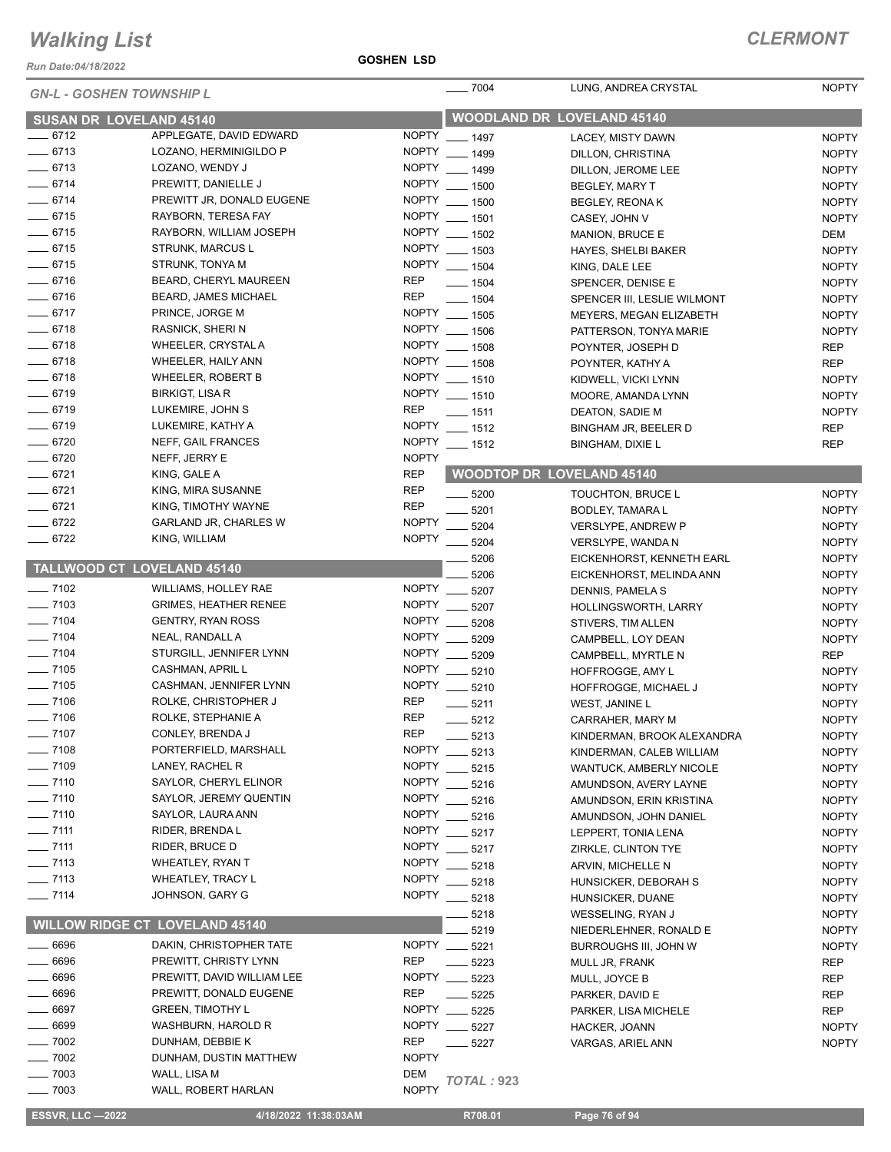*Run Date:04/18/2022*

#### **GOSHEN LSD**

| <b>GN-L - GOSHEN TOWNSHIP L</b>   |                                       |                              | $- 7004$                 | LUNG, ANDREA CRYSTAL              | <b>NOPTY</b> |
|-----------------------------------|---------------------------------------|------------------------------|--------------------------|-----------------------------------|--------------|
| <b>SUSAN DR LOVELAND 45140</b>    |                                       |                              |                          | <b>WOODLAND DR LOVELAND 45140</b> |              |
| $-6712$                           | APPLEGATE, DAVID EDWARD               |                              | NOPTY __ 1497            | LACEY, MISTY DAWN                 | <b>NOPTY</b> |
| $- 6713$                          | LOZANO, HERMINIGILDO P                |                              | NOPTY __ 1499            | DILLON, CHRISTINA                 | <b>NOPTY</b> |
| $-6713$                           | LOZANO, WENDY J                       |                              | NOPTY __ 1499            | DILLON, JEROME LEE                | <b>NOPTY</b> |
| $-6714$                           | PREWITT, DANIELLE J                   | <b>NOPTY</b>                 | $- 1500$                 | BEGLEY, MARY T                    | <b>NOPTY</b> |
| $- 6714$                          | PREWITT JR, DONALD EUGENE             |                              | NOPTY __ 1500            | <b>BEGLEY, REONAK</b>             | <b>NOPTY</b> |
| $-6715$                           | RAYBORN, TERESA FAY                   |                              | NOPTY __ 1501            | CASEY, JOHN V                     | <b>NOPTY</b> |
| $-6715$                           | RAYBORN, WILLIAM JOSEPH               |                              | NOPTY __ 1502            | <b>MANION, BRUCE E</b>            | DEM          |
| $- 6715$                          | <b>STRUNK, MARCUS L</b>               |                              | NOPTY __ 1503            |                                   |              |
| $- 6715$                          | STRUNK, TONYA M                       |                              | NOPTY __ 1504            | <b>HAYES, SHELBI BAKER</b>        | <b>NOPTY</b> |
|                                   |                                       |                              |                          | KING, DALE LEE                    | <b>NOPTY</b> |
| $- 6716$                          | BEARD, CHERYL MAUREEN                 | <b>REP</b>                   | $- 1504$                 | SPENCER, DENISE E                 | <b>NOPTY</b> |
| $- 6716$                          | <b>BEARD, JAMES MICHAEL</b>           | <b>REP</b>                   | $- 1504$                 | SPENCER III, LESLIE WILMONT       | <b>NOPTY</b> |
| $- 6717$                          | PRINCE, JORGE M                       |                              | NOPTY __ 1505            | MEYERS, MEGAN ELIZABETH           | <b>NOPTY</b> |
| $- 6718$                          | <b>RASNICK, SHERIN</b>                |                              | NOPTY __ 1506            | PATTERSON, TONYA MARIE            | <b>NOPTY</b> |
| $-6718$                           | WHEELER, CRYSTAL A                    |                              | NOPTY __ 1508            | POYNTER, JOSEPH D                 | <b>REP</b>   |
| $-6718$                           | WHEELER, HAILY ANN                    |                              | NOPTY __ 1508            | POYNTER, KATHY A                  | <b>REP</b>   |
| $-6718$                           | <b>WHEELER, ROBERT B</b>              | NOPTY                        | $- 1510$                 | KIDWELL, VICKI LYNN               | <b>NOPTY</b> |
| $-6719$                           | <b>BIRKIGT, LISA R</b>                |                              | NOPTY __ 1510            | MOORE, AMANDA LYNN                | <b>NOPTY</b> |
| $- 6719$                          | LUKEMIRE, JOHN S                      | <b>REP</b>                   | $- 1511$                 | DEATON, SADIE M                   | <b>NOPTY</b> |
| $- 6719$                          | LUKEMIRE, KATHY A                     | <b>NOPTY</b>                 | $- 1512$                 | BINGHAM JR, BEELER D              | <b>REP</b>   |
| $- 6720$                          | NEFF, GAIL FRANCES                    | <b>NOPTY</b>                 | $- 1512$                 | <b>BINGHAM, DIXIE L</b>           | <b>REP</b>   |
| $- 6720$                          | NEFF, JERRY E                         | <b>NOPTY</b>                 |                          |                                   |              |
| $-6721$                           | KING, GALE A                          | <b>REP</b>                   |                          | <b>WOODTOP DR LOVELAND 45140</b>  |              |
| $-6721$                           | KING, MIRA SUSANNE                    | <b>REP</b>                   | $- 5200$                 | TOUCHTON, BRUCE L                 | <b>NOPTY</b> |
| $-6721$                           | KING, TIMOTHY WAYNE                   | <b>REP</b>                   | 5201                     | <b>BODLEY, TAMARA L</b>           | <b>NOPTY</b> |
| $- 6722$                          | GARLAND JR, CHARLES W                 | <b>NOPTY</b>                 | 5204                     | <b>VERSLYPE, ANDREW P</b>         | <b>NOPTY</b> |
| $- 6722$                          | KING, WILLIAM                         | <b>NOPTY</b>                 | $- 5204$                 |                                   | <b>NOPTY</b> |
|                                   |                                       |                              |                          | <b>VERSLYPE, WANDA N</b>          |              |
| <b>TALLWOOD CT LOVELAND 45140</b> |                                       |                              | 5206                     | EICKENHORST, KENNETH EARL         | <b>NOPTY</b> |
| $- 7102$                          | <b>WILLIAMS, HOLLEY RAE</b>           |                              | 5206<br>NOPTY _____ 5207 | EICKENHORST, MELINDA ANN          | <b>NOPTY</b> |
|                                   |                                       |                              |                          | DENNIS, PAMELA S                  | <b>NOPTY</b> |
| $- 7103$                          | <b>GRIMES, HEATHER RENEE</b>          | <b>NOPTY</b><br><b>NOPTY</b> | 5207                     | HOLLINGSWORTH, LARRY              | <b>NOPTY</b> |
| $- 7104$                          | <b>GENTRY, RYAN ROSS</b>              |                              | 5208                     | STIVERS, TIM ALLEN                | <b>NOPTY</b> |
| $- 7104$                          | NEAL, RANDALL A                       | <b>NOPTY</b>                 | 5209                     | CAMPBELL, LOY DEAN                | <b>NOPTY</b> |
| $\frac{1}{2}$ 7104                | STURGILL, JENNIFER LYNN               | <b>NOPTY</b>                 | 5209                     | CAMPBELL, MYRTLE N                | <b>REP</b>   |
| $- 7105$                          | CASHMAN, APRIL L                      | <b>NOPTY</b>                 | 5210                     | HOFFROGGE, AMY L                  | <b>NOPTY</b> |
| $\frac{1}{2}$ 7105                | CASHMAN, JENNIFER LYNN                | <b>NOPTY</b>                 | $- 5210$                 | HOFFROGGE, MICHAEL J              | <b>NOPTY</b> |
| $- 7106$                          | ROLKE, CHRISTOPHER J                  | <b>REP</b>                   | $-5211$                  | WEST, JANINE L                    | <b>NOPTY</b> |
| $- 7106$                          | ROLKE, STEPHANIE A                    | <b>REP</b>                   | $-5212$                  | CARRAHER, MARY M                  | <b>NOPTY</b> |
| $- 7107$                          | CONLEY, BRENDA J                      | <b>REP</b>                   | $- 5213$                 | KINDERMAN, BROOK ALEXANDRA        | <b>NOPTY</b> |
| $- 7108$                          | PORTERFIELD, MARSHALL                 | <b>NOPTY</b>                 | $- 5213$                 | KINDERMAN, CALEB WILLIAM          | <b>NOPTY</b> |
| $- 7109$                          | LANEY, RACHEL R                       | <b>NOPTY</b>                 | $-5215$                  | WANTUCK, AMBERLY NICOLE           | <b>NOPTY</b> |
| $- 7110$                          | SAYLOR, CHERYL ELINOR                 | <b>NOPTY</b>                 | $-5216$                  | AMUNDSON, AVERY LAYNE             | <b>NOPTY</b> |
| $- 7110$                          | SAYLOR, JEREMY QUENTIN                | <b>NOPTY</b>                 | $-5216$                  | AMUNDSON, ERIN KRISTINA           | <b>NOPTY</b> |
| $- 7110$                          | SAYLOR, LAURA ANN                     |                              | NOPTY __ 5216            | AMUNDSON, JOHN DANIEL             | <b>NOPTY</b> |
| $- 7111$                          | RIDER, BRENDA L                       | <b>NOPTY</b>                 | 5217                     | LEPPERT, TONIA LENA               | <b>NOPTY</b> |
| $- 7111$                          | RIDER, BRUCE D                        |                              | NOPTY _____ 5217         | ZIRKLE, CLINTON TYE               | <b>NOPTY</b> |
| $\frac{1}{2}$ 7113                | WHEATLEY, RYAN T                      | <b>NOPTY</b>                 | $- 5218$                 | ARVIN, MICHELLE N                 | <b>NOPTY</b> |
| $\frac{1}{2}$ 7113                | <b>WHEATLEY, TRACY L</b>              |                              | NOPTY _____ 5218         | HUNSICKER, DEBORAH S              | <b>NOPTY</b> |
| $- 7114$                          | JOHNSON, GARY G                       |                              | NOPTY __ 5218            | HUNSICKER, DUANE                  | <b>NOPTY</b> |
|                                   |                                       |                              | 5218                     | WESSELING, RYAN J                 | <b>NOPTY</b> |
|                                   | <b>WILLOW RIDGE CT LOVELAND 45140</b> |                              | 5219                     |                                   |              |
|                                   |                                       |                              |                          | NIEDERLEHNER, RONALD E            | <b>NOPTY</b> |
| $- 6696$                          | DAKIN, CHRISTOPHER TATE               |                              | NOPTY __ 5221            | BURROUGHS III, JOHN W             | <b>NOPTY</b> |
| $- 6696$                          | PREWITT, CHRISTY LYNN                 | <b>REP</b>                   | 5223                     | MULL JR, FRANK                    | REP          |
| __ 6696                           | PREWITT, DAVID WILLIAM LEE            |                              | NOPTY __ 5223            | MULL, JOYCE B                     | <b>REP</b>   |
| $- 6696$                          | PREWITT, DONALD EUGENE                | <b>REP</b>                   | 5225                     | PARKER, DAVID E                   | REP          |
| $-6697$                           | <b>GREEN, TIMOTHY L</b>               |                              | NOPTY __ 5225            | PARKER, LISA MICHELE              | <b>REP</b>   |
| $-6699$                           | WASHBURN, HAROLD R                    |                              | NOPTY __ 5227            | HACKER, JOANN                     | <b>NOPTY</b> |
| $-7002$                           | DUNHAM, DEBBIE K                      | REP                          | $\equiv$ 5227            | VARGAS, ARIEL ANN                 | <b>NOPTY</b> |
| $-7002$                           | DUNHAM, DUSTIN MATTHEW                | <b>NOPTY</b>                 |                          |                                   |              |
| $-7003$                           | WALL, LISA M                          | DEM                          | <b>TOTAL: 923</b>        |                                   |              |
| $-7003$                           | WALL, ROBERT HARLAN                   | <b>NOPTY</b>                 |                          |                                   |              |

**ESSVR, LLC -2022 4/18/2022 11:38:03AM** R708.01 **Page 76 of 94**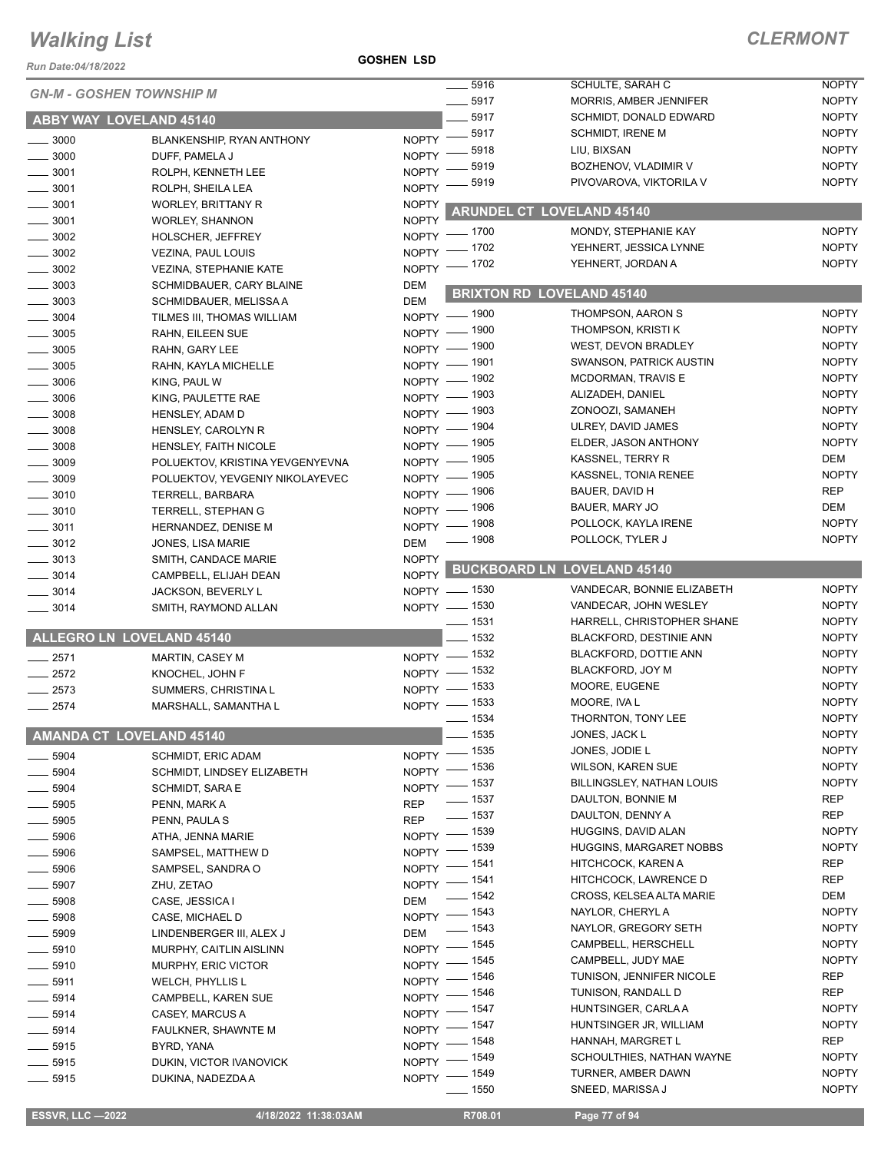*Run Date:04/18/2022*

**GOSHEN LSD**

| 10/2022 3/2010 NULLE            |                                  |                               |                                            |                                                              |                              |
|---------------------------------|----------------------------------|-------------------------------|--------------------------------------------|--------------------------------------------------------------|------------------------------|
| <b>GN-M - GOSHEN TOWNSHIP M</b> |                                  | $\frac{1}{2}$ 5916<br>$-5917$ | SCHULTE, SARAH C<br>MORRIS, AMBER JENNIFER | <b>NOPTY</b><br><b>NOPTY</b>                                 |                              |
|                                 |                                  |                               | $-5917$                                    | SCHMIDT, DONALD EDWARD                                       | <b>NOPTY</b>                 |
|                                 | <b>ABBY WAY LOVELAND 45140</b>   |                               |                                            | <b>SCHMIDT, IRENE M</b>                                      | <b>NOPTY</b>                 |
| $\frac{1}{2}$ 3000              | BLANKENSHIP, RYAN ANTHONY        |                               | NOPTY -8917<br>5918                        | LIU, BIXSAN                                                  | <b>NOPTY</b>                 |
| $\frac{1}{2}$ 3000              | DUFF, PAMELA J                   | $NOPTY =$                     | 5919                                       | BOZHENOV, VLADIMIR V                                         | <b>NOPTY</b>                 |
| $\frac{1}{2}$ 3001              | ROLPH, KENNETH LEE               | <b>NOPTY</b>                  | 5919                                       | PIVOVAROVA, VIKTORILA V                                      | <b>NOPTY</b>                 |
| $\frac{1}{2}$ 3001              | ROLPH, SHEILA LEA                | <b>NOPTY</b>                  |                                            |                                                              |                              |
| $\frac{1}{2}$ 3001              | <b>WORLEY, BRITTANY R</b>        | <b>NOPTY</b>                  |                                            | <b>ARUNDEL CT LOVELAND 45140</b>                             |                              |
| $\frac{1}{2}$ 3001              | <b>WORLEY, SHANNON</b>           | <b>NOPTY</b>                  | NOPTY - 1700                               | MONDY, STEPHANIE KAY                                         | <b>NOPTY</b>                 |
| $\frac{1}{2}$ 3002              | <b>HOLSCHER, JEFFREY</b>         |                               | NOPTY - 1702                               | YEHNERT, JESSICA LYNNE                                       | <b>NOPTY</b>                 |
| $\frac{1}{2}$ 3002              | VEZINA, PAUL LOUIS               |                               | NOPTY - 1702                               | YEHNERT, JORDAN A                                            | <b>NOPTY</b>                 |
| $\frac{1}{2}$ 3002              | <b>VEZINA, STEPHANIE KATE</b>    |                               |                                            |                                                              |                              |
| $\frac{1}{2}$ 3003              | SCHMIDBAUER, CARY BLAINE         | <b>DEM</b>                    |                                            | <b>BRIXTON RD LOVELAND 45140</b>                             |                              |
| $\frac{1}{2}$ 3003              | SCHMIDBAUER, MELISSA A           | <b>DEM</b>                    |                                            | THOMPSON, AARON S                                            | <b>NOPTY</b>                 |
| $\frac{1}{2}$ 3004              | TILMES III, THOMAS WILLIAM       |                               | NOPTY - 1900                               | THOMPSON, KRISTI K                                           | <b>NOPTY</b>                 |
| $\frac{1}{2}$ 3005              | RAHN, EILEEN SUE                 |                               | NOPTY - 1900                               |                                                              |                              |
| $\frac{1}{2}$ 3005              | RAHN, GARY LEE                   |                               | NOPTY - 1900                               | <b>WEST, DEVON BRADLEY</b><br><b>SWANSON, PATRICK AUSTIN</b> | <b>NOPTY</b><br><b>NOPTY</b> |
| $\frac{1}{2}$ 3005              | RAHN, KAYLA MICHELLE             |                               | NOPTY - 1901                               |                                                              |                              |
| $\frac{1}{2}$ 3006              | KING, PAUL W                     |                               | NOPTY - 1902                               | MCDORMAN, TRAVIS E                                           | <b>NOPTY</b>                 |
| $\frac{1}{2}$ 3006              | KING, PAULETTE RAE               |                               | NOPTY - 1903                               | ALIZADEH, DANIEL                                             | <b>NOPTY</b>                 |
| $\frac{1}{2}$ 3008              | <b>HENSLEY, ADAM D</b>           |                               | NOPTY - 1903                               | ZONOOZI, SAMANEH                                             | <b>NOPTY</b>                 |
| $\frac{1}{2}$ 3008              | HENSLEY, CAROLYN R               |                               | NOPTY - 1904                               | ULREY, DAVID JAMES                                           | <b>NOPTY</b>                 |
| $\frac{1}{2}$ 3008              | HENSLEY, FAITH NICOLE            |                               | NOPTY - 1905                               | ELDER, JASON ANTHONY                                         | <b>NOPTY</b>                 |
| $\frac{1}{2}$ 3009              | POLUEKTOV, KRISTINA YEVGENYEVNA  |                               | NOPTY - 1905                               | <b>KASSNEL, TERRY R</b>                                      | <b>DEM</b>                   |
| $\frac{1}{2}$ 3009              | POLUEKTOV, YEVGENIY NIKOLAYEVEC  |                               | NOPTY - 1905                               | KASSNEL, TONIA RENEE                                         | <b>NOPTY</b>                 |
| $\frac{1}{2}$ 3010              | TERRELL, BARBARA                 |                               | NOPTY - 1906                               | BAUER, DAVID H                                               | <b>REP</b>                   |
| $\frac{1}{2}$ 3010              | TERRELL, STEPHAN G               |                               | NOPTY - 1906                               | BAUER, MARY JO                                               | DEM                          |
| $\frac{1}{2}$ 3011              | HERNANDEZ, DENISE M              |                               | NOPTY - 1908                               | POLLOCK, KAYLA IRENE                                         | <b>NOPTY</b>                 |
| $\frac{1}{2}$ 3012              | JONES, LISA MARIE                | <b>DEM</b>                    | $- 1908$                                   | POLLOCK, TYLER J                                             | <b>NOPTY</b>                 |
| $\frac{1}{2}$ 3013              | SMITH, CANDACE MARIE             | <b>NOPTY</b>                  |                                            | <b>BUCKBOARD LN LOVELAND 45140</b>                           |                              |
| $- 3014$                        | CAMPBELL, ELIJAH DEAN            | NOPTY                         |                                            |                                                              |                              |
| $\frac{1}{2}$ 3014              | JACKSON, BEVERLY L               |                               | NOPTY - 1530                               | VANDECAR, BONNIE ELIZABETH                                   | <b>NOPTY</b>                 |
| $\frac{1}{2}$ 3014              | SMITH, RAYMOND ALLAN             |                               | NOPTY - 1530                               | VANDECAR, JOHN WESLEY                                        | <b>NOPTY</b>                 |
|                                 |                                  |                               | $\frac{1}{2}$ 1531                         | HARRELL, CHRISTOPHER SHANE                                   | <b>NOPTY</b>                 |
|                                 | <b>ALLEGRO LN LOVELAND 45140</b> |                               | $- 1532$                                   | <b>BLACKFORD, DESTINIE ANN</b>                               | <b>NOPTY</b>                 |
| $-2571$                         | <b>MARTIN, CASEY M</b>           |                               | NOPTY - 1532                               | BLACKFORD, DOTTIE ANN                                        | <b>NOPTY</b>                 |
| $-2572$                         | KNOCHEL, JOHN F                  |                               | NOPTY - 1532                               | BLACKFORD, JOY M                                             | <b>NOPTY</b>                 |
| $-2573$                         | SUMMERS, CHRISTINA L             |                               | NOPTY - 1533                               | MOORE, EUGENE                                                | <b>NOPTY</b>                 |
| $-2574$                         | MARSHALL, SAMANTHA L             |                               | NOPTY - 1533                               | MOORE, IVA L                                                 | <b>NOPTY</b>                 |
|                                 |                                  |                               | $-1534$                                    | THORNTON, TONY LEE                                           | <b>NOPTY</b>                 |
|                                 | <b>AMANDA CT LOVELAND 45140</b>  |                               | $- 1535$                                   | JONES, JACK L                                                | <b>NOPTY</b>                 |
| $- 5904$                        | <b>SCHMIDT, ERIC ADAM</b>        |                               | NOPTY - 1535                               | JONES, JODIE L                                               | <b>NOPTY</b>                 |
| $\frac{1}{2}$ 5904              | SCHMIDT, LINDSEY ELIZABETH       |                               | NOPTY - 1536                               | <b>WILSON, KAREN SUE</b>                                     | <b>NOPTY</b>                 |
| $\frac{1}{2}$ 5904              | SCHMIDT, SARA E                  |                               | NOPTY - 1537                               | BILLINGSLEY, NATHAN LOUIS                                    | <b>NOPTY</b>                 |
| $\frac{1}{2}$ 5905              | PENN, MARK A                     | <b>REP</b>                    | $- 1537$                                   | DAULTON, BONNIE M                                            | <b>REP</b>                   |
| $\frac{1}{2}$ 5905              | PENN, PAULA S                    | <b>REP</b>                    | $\frac{1}{2}$ 1537                         | DAULTON, DENNY A                                             | <b>REP</b>                   |
| $\frac{1}{2}$ 5906              | ATHA, JENNA MARIE                |                               | NOPTY - 1539                               | HUGGINS, DAVID ALAN                                          | <b>NOPTY</b>                 |
| $\frac{1}{2}$ 5906              | SAMPSEL, MATTHEW D               |                               | NOPTY - 1539                               | <b>HUGGINS, MARGARET NOBBS</b>                               | <b>NOPTY</b>                 |
| $\frac{1}{2}$ 5906              | SAMPSEL, SANDRA O                |                               | NOPTY - 1541                               | HITCHCOCK, KAREN A                                           | REP                          |
| $\frac{1}{2}$ 5907              | ZHU, ZETAO                       |                               | NOPTY - 1541                               | HITCHCOCK, LAWRENCE D                                        | REP                          |
| $\frac{1}{2}$ 5908              | CASE, JESSICA I                  | <b>DEM</b>                    | $- 1542$                                   | CROSS, KELSEA ALTA MARIE                                     | DEM                          |
| $\frac{1}{2}$ 5908              | CASE, MICHAEL D                  |                               | NOPTY - 1543                               | NAYLOR, CHERYL A                                             | <b>NOPTY</b>                 |
| $\frac{1}{2}$ 5909              | LINDENBERGER III, ALEX J         | DEM                           | $- 1543$                                   | NAYLOR, GREGORY SETH                                         | <b>NOPTY</b>                 |
| $\frac{1}{2}$ 5910              | <b>MURPHY, CAITLIN AISLINN</b>   |                               | NOPTY - 1545                               | CAMPBELL, HERSCHELL                                          | <b>NOPTY</b>                 |
| $\frac{1}{2}$ 5910              | MURPHY, ERIC VICTOR              |                               | NOPTY - 1545                               | CAMPBELL, JUDY MAE                                           | <b>NOPTY</b>                 |
| $\frac{1}{2}$ 5911              | <b>WELCH, PHYLLIS L</b>          |                               | NOPTY - 1546                               | TUNISON, JENNIFER NICOLE                                     | <b>REP</b>                   |
| $- 5914$                        | CAMPBELL, KAREN SUE              |                               | NOPTY - 1546                               | TUNISON, RANDALL D                                           | <b>REP</b>                   |
| $\frac{1}{2}$ 5914              | CASEY, MARCUS A                  |                               | NOPTY - 1547                               | HUNTSINGER, CARLA A                                          | <b>NOPTY</b>                 |
| $\frac{1}{2}$ 5914              | FAULKNER, SHAWNTE M              |                               | NOPTY - 1547                               | HUNTSINGER JR, WILLIAM                                       | <b>NOPTY</b>                 |
| $\frac{1}{2}$ 5915              | BYRD, YANA                       |                               | NOPTY - 1548                               | HANNAH, MARGRET L                                            | <b>REP</b>                   |
| $- 5915$                        | DUKIN, VICTOR IVANOVICK          |                               | NOPTY - 1549                               | SCHOULTHIES, NATHAN WAYNE                                    | <b>NOPTY</b>                 |
| $-5915$                         | DUKINA, NADEZDA A                |                               | NOPTY - 1549                               | TURNER, AMBER DAWN                                           | <b>NOPTY</b>                 |
|                                 |                                  |                               | $\frac{1}{2}$ 1550                         | SNEED, MARISSA J                                             | <b>NOPTY</b>                 |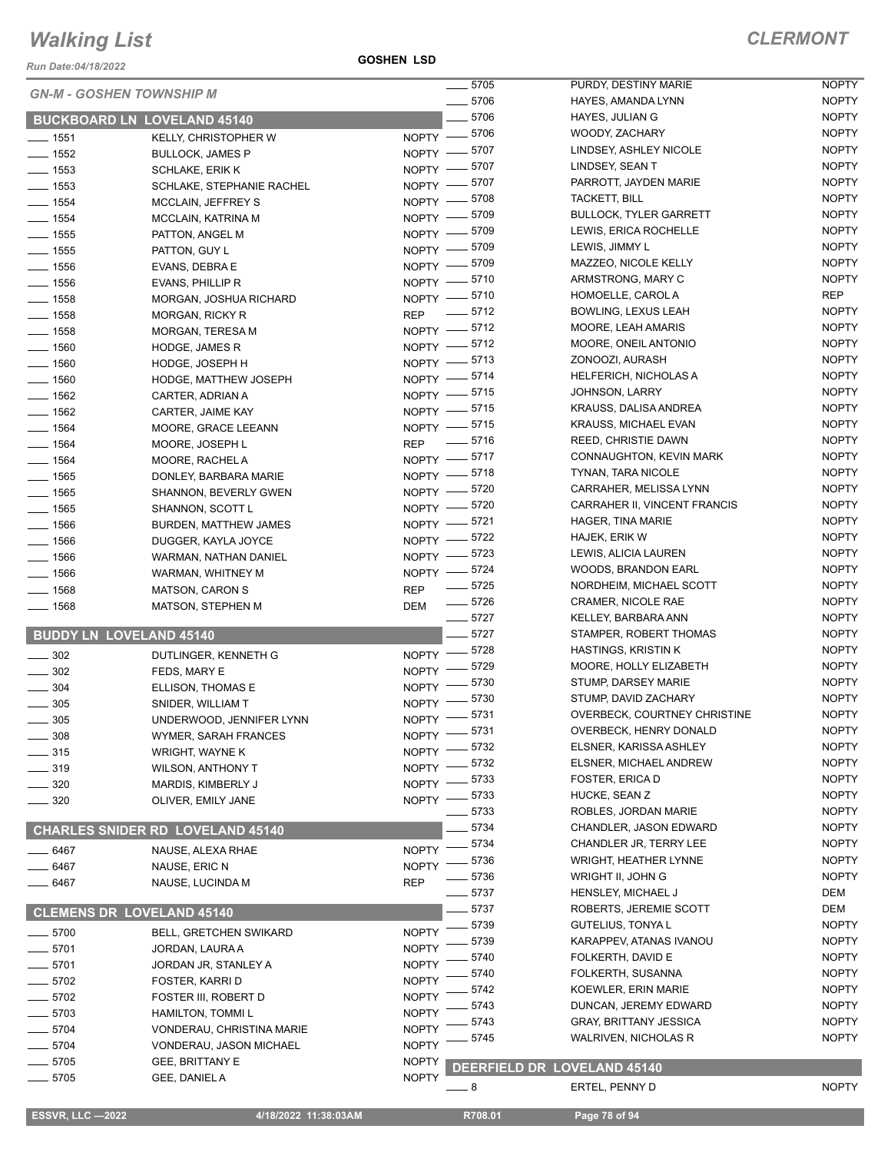*Run Date:04/18/2022*

**GOSHEN LSD**

|                    |                                         | $\frac{1}{2}$ 5705               | PURDY, DESTINY MARIE          | <b>NOPTY</b> |
|--------------------|-----------------------------------------|----------------------------------|-------------------------------|--------------|
|                    | <b>GN-M - GOSHEN TOWNSHIP M</b>         | $- 5706$                         | HAYES, AMANDA LYNN            | <b>NOPTY</b> |
|                    | <b>BUCKBOARD LN LOVELAND 45140</b>      | $-5706$                          | HAYES, JULIAN G               | <b>NOPTY</b> |
| $\frac{1}{2}$ 1551 | KELLY, CHRISTOPHER W                    | NOPTY -8706                      | WOODY, ZACHARY                | <b>NOPTY</b> |
| $- 1552$           | <b>BULLOCK, JAMES P</b>                 | NOPTY -8707                      | LINDSEY, ASHLEY NICOLE        | <b>NOPTY</b> |
| $- 1553$           | <b>SCHLAKE, ERIK K</b>                  | NOPTY -8707                      | LINDSEY, SEAN T               | <b>NOPTY</b> |
| $\frac{1}{2}$ 1553 | SCHLAKE, STEPHANIE RACHEL               | NOPTY -8707                      | PARROTT, JAYDEN MARIE         | <b>NOPTY</b> |
| $- 1554$           | <b>MCCLAIN, JEFFREY S</b>               | NOPTY -8708                      | TACKETT, BILL                 | <b>NOPTY</b> |
| $- 1554$           | MCCLAIN, KATRINA M                      | NOPTY -8709                      | <b>BULLOCK, TYLER GARRETT</b> | <b>NOPTY</b> |
| $\frac{1}{2}$ 1555 | PATTON, ANGEL M                         | NOPTY -8709                      | LEWIS, ERICA ROCHELLE         | <b>NOPTY</b> |
| $- 1555$           | PATTON, GUY L                           | NOPTY -8709                      | LEWIS, JIMMY L                | <b>NOPTY</b> |
| $- 1556$           | EVANS, DEBRA E                          | NOPTY -8709                      | MAZZEO, NICOLE KELLY          | <b>NOPTY</b> |
| $\frac{1}{2}$ 1556 | EVANS, PHILLIP R                        | NOPTY - 5710                     | ARMSTRONG, MARY C             | <b>NOPTY</b> |
| $- 1558$           | MORGAN, JOSHUA RICHARD                  | NOPTY - 5710                     | HOMOELLE, CAROL A             | <b>REP</b>   |
| $- 1558$           | <b>MORGAN, RICKY R</b>                  | REP - 5712                       | BOWLING, LEXUS LEAH           | <b>NOPTY</b> |
| $- 1558$           | MORGAN, TERESA M                        | NOPTY -8712                      | MOORE, LEAH AMARIS            | <b>NOPTY</b> |
| $- 1560$           | HODGE, JAMES R                          | NOPTY - 5712                     | MOORE, ONEIL ANTONIO          | <b>NOPTY</b> |
| $- 1560$           | HODGE, JOSEPH H                         | NOPTY -8713                      | ZONOOZI, AURASH               | <b>NOPTY</b> |
| $- 1560$           | HODGE, MATTHEW JOSEPH                   | NOPTY -8714                      | HELFERICH, NICHOLAS A         | <b>NOPTY</b> |
| $- 1562$           | CARTER, ADRIAN A                        | NOPTY -8715                      | <b>JOHNSON, LARRY</b>         | <b>NOPTY</b> |
| $- 1562$           | CARTER, JAIME KAY                       | NOPTY - 5715                     | KRAUSS, DALISA ANDREA         | <b>NOPTY</b> |
| $- 1564$           | MOORE, GRACE LEEANN                     | NOPTY - 5715                     | <b>KRAUSS, MICHAEL EVAN</b>   | <b>NOPTY</b> |
| $- 1564$           | MOORE, JOSEPH L                         | REP - 5716                       | REED, CHRISTIE DAWN           | <b>NOPTY</b> |
| $- 1564$           | MOORE, RACHEL A                         | NOPTY -8717                      | CONNAUGHTON, KEVIN MARK       | <b>NOPTY</b> |
| $- 1565$           | DONLEY, BARBARA MARIE                   | NOPTY -8718                      | TYNAN, TARA NICOLE            | <b>NOPTY</b> |
| $\frac{1}{2}$ 1565 | SHANNON, BEVERLY GWEN                   | NOPTY -8720                      | CARRAHER, MELISSA LYNN        | <b>NOPTY</b> |
| $\frac{1}{2}$ 1565 | SHANNON, SCOTT L                        | NOPTY -8720                      | CARRAHER II, VINCENT FRANCIS  | <b>NOPTY</b> |
| $- 1566$           | <b>BURDEN, MATTHEW JAMES</b>            | NOPTY -8721                      | HAGER, TINA MARIE             | <b>NOPTY</b> |
| $\frac{1}{2}$ 1566 | DUGGER, KAYLA JOYCE                     | NOPTY -8722                      | HAJEK, ERIK W                 | <b>NOPTY</b> |
| $- 1566$           | WARMAN, NATHAN DANIEL                   | NOPTY -8723                      | LEWIS, ALICIA LAUREN          | <b>NOPTY</b> |
| $- 1566$           | WARMAN, WHITNEY M                       | NOPTY -8724                      | <b>WOODS, BRANDON EARL</b>    | <b>NOPTY</b> |
| $- 1568$           | <b>MATSON, CARON S</b>                  | $\frac{1}{2}$ 5725<br><b>REP</b> | NORDHEIM, MICHAEL SCOTT       | <b>NOPTY</b> |
| $- 1568$           | <b>MATSON, STEPHEN M</b>                | $\frac{1}{2}$ 5726<br><b>DEM</b> | CRAMER, NICOLE RAE            | <b>NOPTY</b> |
|                    |                                         | $- 5727$                         | KELLEY, BARBARA ANN           | <b>NOPTY</b> |
|                    | <b>BUDDY LN LOVELAND 45140</b>          | $-5727$                          | STAMPER, ROBERT THOMAS        | <b>NOPTY</b> |
| $\frac{1}{2}$ 302  | DUTLINGER, KENNETH G                    | NOPTY -8728                      | <b>HASTINGS, KRISTIN K</b>    | <b>NOPTY</b> |
| $- 302$            | FEDS, MARY E                            | NOPTY -8729                      | MOORE, HOLLY ELIZABETH        | <b>NOPTY</b> |
| $- 304$            | ELLISON, THOMAS E                       | NOPTY -8730                      | STUMP, DARSEY MARIE           | <b>NOPTY</b> |
| $\frac{1}{2}$ 305  | SNIDER, WILLIAM T                       | NOPTY -8730                      | STUMP, DAVID ZACHARY          | <b>NOPTY</b> |
| $\frac{1}{2}$ 305  | UNDERWOOD, JENNIFER LYNN                | NOPTY -8731                      | OVERBECK, COURTNEY CHRISTINE  | <b>NOPTY</b> |
| _ 308              | WYMER, SARAH FRANCES                    | $-5731$<br>$N$ OPTY $-$          | OVERBECK, HENRY DONALD        | <b>NOPTY</b> |
| $- 315$            | WRIGHT, WAYNE K                         | 5732<br><b>NOPTY</b>             | ELSNER, KARISSA ASHLEY        | <b>NOPTY</b> |
| $- 319$            | WILSON, ANTHONY T                       | 5732<br><b>NOPTY</b>             | ELSNER, MICHAEL ANDREW        | <b>NOPTY</b> |
| - 320              | MARDIS, KIMBERLY J                      | 5733<br><b>NOPTY</b>             | FOSTER, ERICA D               | <b>NOPTY</b> |
| $-320$             | OLIVER, EMILY JANE                      | . 5733<br>NOPTY -                | HUCKE, SEAN Z                 | <b>NOPTY</b> |
|                    |                                         | 5733                             | ROBLES, JORDAN MARIE          | <b>NOPTY</b> |
|                    | <b>CHARLES SNIDER RD LOVELAND 45140</b> | 5734                             | CHANDLER, JASON EDWARD        | <b>NOPTY</b> |
| __ 6467            | NAUSE, ALEXA RHAE                       | 5734<br><b>NOPTY</b>             | CHANDLER JR, TERRY LEE        | <b>NOPTY</b> |
| $-6467$            | NAUSE, ERIC N                           | 5736<br><b>NOPTY</b>             | WRIGHT, HEATHER LYNNE         | <b>NOPTY</b> |
| _ 6467             | NAUSE, LUCINDA M                        | 5736<br><b>REP</b>               | WRIGHT II, JOHN G             | <b>NOPTY</b> |
|                    |                                         | - 5737                           | HENSLEY, MICHAEL J            | DEM          |
|                    | <b>CLEMENS DR LOVELAND 45140</b>        | 5737                             | ROBERTS, JEREMIE SCOTT        | DEM          |
|                    |                                         | 5739                             | GUTELIUS, TONYA L             | <b>NOPTY</b> |
| $-5700$            | <b>BELL, GRETCHEN SWIKARD</b>           | <b>NOPTY</b><br>5739             | KARAPPEV, ATANAS IVANOU       | <b>NOPTY</b> |
| $-5701$            | JORDAN, LAURA A                         | <b>NOPTY</b><br>5740             | FOLKERTH, DAVID E             | <b>NOPTY</b> |
| $-5701$            | JORDAN JR, STANLEY A                    | <b>NOPTY</b><br>5740             | FOLKERTH, SUSANNA             | <b>NOPTY</b> |
| $-5702$            | FOSTER, KARRI D                         | <b>NOPTY</b><br>5742             | KOEWLER, ERIN MARIE           | <b>NOPTY</b> |
| $-5702$            | FOSTER III, ROBERT D                    | <b>NOPTY</b><br>5743             | DUNCAN, JEREMY EDWARD         | <b>NOPTY</b> |
| $- 5703$           | HAMILTON, TOMMI L                       | <b>NOPTY</b><br>5743             | <b>GRAY, BRITTANY JESSICA</b> | <b>NOPTY</b> |
| _ 5704             | VONDERAU, CHRISTINA MARIE               | <b>NOPTY</b><br>5745             | <b>WALRIVEN, NICHOLAS R</b>   | <b>NOPTY</b> |
| $-5704$            | VONDERAU, JASON MICHAEL                 | <b>NOPTY</b>                     |                               |              |
| _ 5705             | GEE, BRITTANY E                         | <b>NOPTY</b>                     | DEERFIELD DR LOVELAND 45140   |              |
| $=$ 5705           | GEE, DANIEL A                           | <b>NOPTY</b><br>$-8$             | ERTEL, PENNY D                | <b>NOPTY</b> |
|                    |                                         |                                  |                               |              |

**ESSVR, LLC -2022 4/18/2022 11:38:03AM** R708.01 **Page 78 of 94**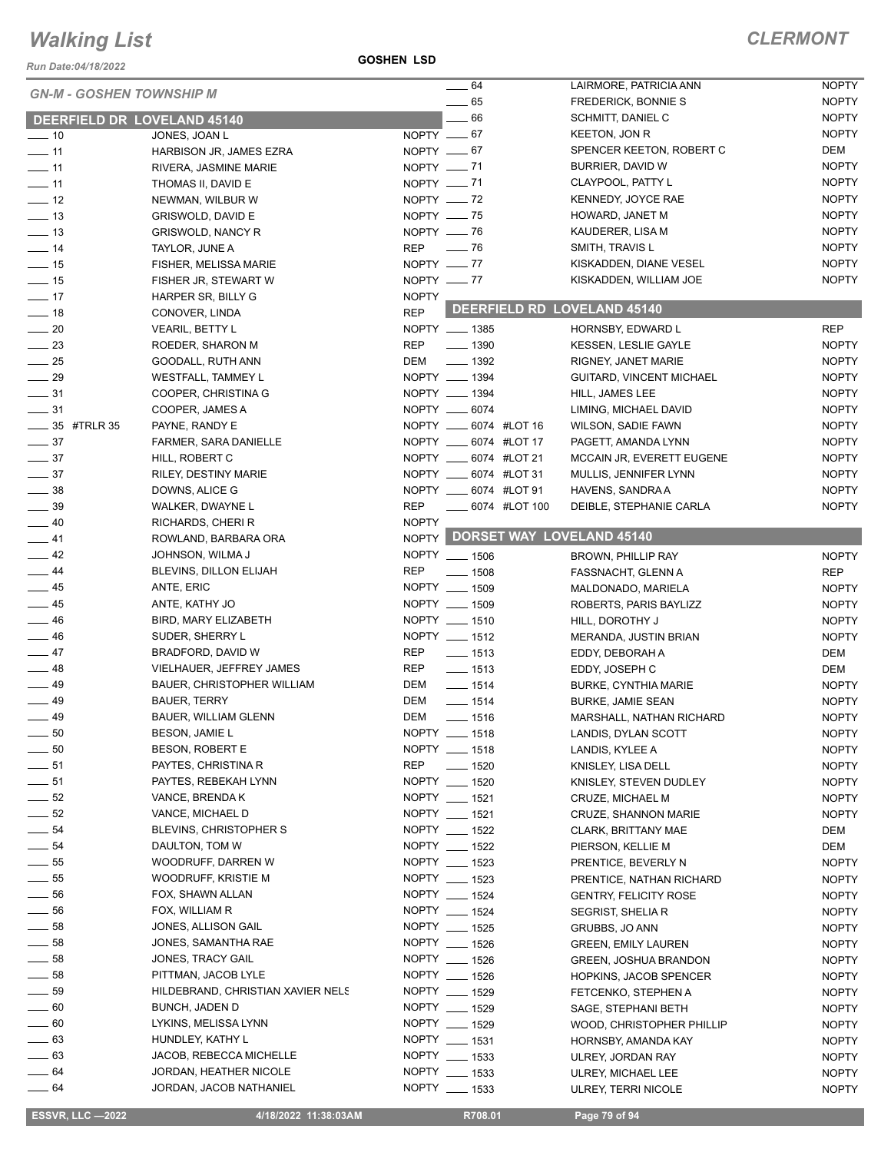*Run Date:04/18/2022*

#### **GOSHEN LSD**

#### *CLERMONT*

|                  | <b>GN-M - GOSHEN TOWNSHIP M</b>   |              | $-64$                     | LAIRMORE, PATRICIA ANN          | <b>NOPTY</b> |
|------------------|-----------------------------------|--------------|---------------------------|---------------------------------|--------------|
|                  |                                   |              | $\frac{1}{2}$ 65          | <b>FREDERICK, BONNIE S</b>      | <b>NOPTY</b> |
|                  | DEERFIELD DR LOVELAND 45140       |              | $-66$                     | <b>SCHMITT, DANIEL C</b>        | <b>NOPTY</b> |
| $-10$            | JONES, JOAN L                     | NOPTY __ 67  |                           | <b>KEETON, JON R</b>            | <b>NOPTY</b> |
| $-11$            | HARBISON JR, JAMES EZRA           | NOPTY $-67$  |                           | SPENCER KEETON, ROBERT C        | DEM          |
| $-11$            | RIVERA, JASMINE MARIE             | NOPTY - 71   |                           | BURRIER, DAVID W                | <b>NOPTY</b> |
| $-11$            | THOMAS II, DAVID E                | NOPTY -71    |                           | CLAYPOOL, PATTY L               | <b>NOPTY</b> |
| $\frac{1}{2}$    | NEWMAN, WILBUR W                  | NOPTY $-$ 72 |                           | KENNEDY, JOYCE RAE              | <b>NOPTY</b> |
| $\frac{1}{2}$ 13 | GRISWOLD, DAVID E                 | NOPTY __ 75  |                           | HOWARD, JANET M                 | <b>NOPTY</b> |
| $\frac{1}{2}$ 13 | <b>GRISWOLD, NANCY R</b>          | NOPTY -8     |                           | KAUDERER, LISA M                | <b>NOPTY</b> |
| $\frac{1}{4}$    | TAYLOR, JUNE A                    | REP — 76     |                           | SMITH, TRAVIS L                 | <b>NOPTY</b> |
| $-15$            | <b>FISHER, MELISSA MARIE</b>      | NOPTY $-$ 77 |                           | KISKADDEN, DIANE VESEL          | <b>NOPTY</b> |
| $\frac{1}{2}$ 15 | FISHER JR, STEWART W              | NOPTY $- 77$ |                           | KISKADDEN, WILLIAM JOE          | <b>NOPTY</b> |
| $-17$            | HARPER SR, BILLY G                | <b>NOPTY</b> |                           |                                 |              |
| $\frac{1}{2}$ 18 | CONOVER, LINDA                    | <b>REP</b>   |                           | DEERFIELD RD LOVELAND 45140     |              |
| $\frac{1}{20}$   | <b>VEARIL, BETTY L</b>            |              | NOPTY __ 1385             | HORNSBY, EDWARD L               | <b>REP</b>   |
| $\frac{23}{2}$   | ROEDER, SHARON M                  | <b>REP</b>   | $- 1390$                  | KESSEN, LESLIE GAYLE            | <b>NOPTY</b> |
| $\frac{1}{25}$   | GOODALL, RUTH ANN                 | DEM          | $- 1392$                  | RIGNEY, JANET MARIE             | <b>NOPTY</b> |
| $\frac{1}{29}$   | WESTFALL, TAMMEY L                |              | NOPTY __ 1394             | GUITARD, VINCENT MICHAEL        | <b>NOPTY</b> |
| $\frac{1}{2}$ 31 | COOPER, CHRISTINA G               |              | NOPTY __ 1394             | HILL, JAMES LEE                 | <b>NOPTY</b> |
| $\frac{1}{2}$ 31 | COOPER, JAMES A                   |              | NOPTY __ 6074             | LIMING, MICHAEL DAVID           | <b>NOPTY</b> |
| ____ 35 #TRLR 35 | PAYNE, RANDY E                    |              | NOPTY __ 6074 #LOT 16     | <b>WILSON, SADIE FAWN</b>       | <b>NOPTY</b> |
| $\frac{1}{2}$ 37 | FARMER, SARA DANIELLE             |              | NOPTY ______ 6074 #LOT 17 | PAGETT, AMANDA LYNN             | <b>NOPTY</b> |
| $\frac{1}{2}$ 37 | HILL, ROBERT C                    |              | NOPTY _____ 6074 #LOT 21  | MCCAIN JR, EVERETT EUGENE       | <b>NOPTY</b> |
| $\frac{1}{2}$ 37 | RILEY, DESTINY MARIE              |              | NOPTY __ 6074 #LOT 31     | MULLIS, JENNIFER LYNN           | <b>NOPTY</b> |
| $\frac{1}{2}$ 38 | DOWNS, ALICE G                    |              | NOPTY __ 6074 #LOT 91     | HAVENS, SANDRA A                | <b>NOPTY</b> |
| $\frac{1}{2}$ 39 | WALKER, DWAYNE L                  | REP          | <b>LEGOT4 #LOT 100</b>    | DEIBLE, STEPHANIE CARLA         | <b>NOPTY</b> |
| $\frac{1}{2}$ 40 | RICHARDS, CHERI R                 | <b>NOPTY</b> |                           |                                 |              |
| $-41$            | ROWLAND, BARBARA ORA              |              |                           | NOPTY DORSET WAY LOVELAND 45140 |              |
| $-42$            | JOHNSON, WILMA J                  |              |                           |                                 |              |
|                  |                                   | <b>REP</b>   | NOPTY __ 1506             | <b>BROWN, PHILLIP RAY</b>       | <b>NOPTY</b> |
| $-44$            | BLEVINS, DILLON ELIJAH            |              | $- 1508$                  | FASSNACHT, GLENN A              | <b>REP</b>   |
| —— 45            | ANTE, ERIC                        |              | NOPTY __ 1509             | MALDONADO, MARIELA              | <b>NOPTY</b> |
| $-45$            | ANTE, KATHY JO                    |              | NOPTY __ 1509             | ROBERTS, PARIS BAYLIZZ          | <b>NOPTY</b> |
| $-46$            | BIRD, MARY ELIZABETH              |              | NOPTY __ 1510             | HILL, DOROTHY J                 | <b>NOPTY</b> |
| $-46$            | SUDER, SHERRY L                   |              | NOPTY __ 1512             | MERANDA, JUSTIN BRIAN           | <b>NOPTY</b> |
| $-47$            | BRADFORD, DAVID W                 | REP          | $\frac{1}{2}$ 1513        | EDDY, DEBORAH A                 | DEM          |
| $-48$            | VIELHAUER, JEFFREY JAMES          | REP          | $\frac{1}{2}$ 1513        | EDDY, JOSEPH C                  | DEM          |
| $-49$            | BAUER, CHRISTOPHER WILLIAM        | DEM          | $- 1514$                  | <b>BURKE, CYNTHIA MARIE</b>     | <b>NOPTY</b> |
| $-49$            | <b>BAUER, TERRY</b>               | DEM          | $- 1514$                  | <b>BURKE, JAMIE SEAN</b>        | <b>NOPTY</b> |
| $-49$            | <b>BAUER, WILLIAM GLENN</b>       | DEM          | $- 1516$                  | MARSHALL, NATHAN RICHARD        | <b>NOPTY</b> |
| $\_\_$ 50        | <b>BESON, JAMIE L</b>             |              | NOPTY __ 1518             | LANDIS, DYLAN SCOTT             | <b>NOPTY</b> |
| $\sim$ 50        | BESON, ROBERT E                   |              | NOPTY __ 1518             | LANDIS, KYLEE A                 | <b>NOPTY</b> |
| $\frac{1}{2}$ 51 | PAYTES, CHRISTINA R               | REP          | $- 1520$                  | KNISLEY, LISA DELL              | <b>NOPTY</b> |
| $\frac{1}{2}$ 51 | PAYTES, REBEKAH LYNN              |              | NOPTY __ 1520             | KNISLEY, STEVEN DUDLEY          | <b>NOPTY</b> |
| $\frac{1}{2}$ 52 | VANCE, BRENDA K                   |              | NOPTY __ 1521             | CRUZE, MICHAEL M                | <b>NOPTY</b> |
| $\frac{1}{2}$ 52 | VANCE, MICHAEL D                  |              | NOPTY __ 1521             | CRUZE, SHANNON MARIE            | <b>NOPTY</b> |
| $\frac{1}{2}$ 54 | BLEVINS, CHRISTOPHER S            |              | NOPTY __ 1522             | <b>CLARK, BRITTANY MAE</b>      | DEM          |
| $\frac{1}{2}$ 54 | DAULTON, TOM W                    |              | NOPTY __ 1522             | PIERSON, KELLIE M               | DEM          |
| $\frac{1}{2}$ 55 | WOODRUFF, DARREN W                |              | NOPTY __ 1523             | PRENTICE, BEVERLY N             | <b>NOPTY</b> |
| $\frac{1}{2}$ 55 | WOODRUFF, KRISTIE M               |              | NOPTY __ 1523             | PRENTICE, NATHAN RICHARD        | <b>NOPTY</b> |
| $\frac{1}{2}$ 56 | FOX, SHAWN ALLAN                  |              | NOPTY __ 1524             | <b>GENTRY, FELICITY ROSE</b>    | <b>NOPTY</b> |
| $\frac{1}{2}$ 56 | FOX, WILLIAM R                    |              | NOPTY __ 1524             | SEGRIST, SHELIA R               | <b>NOPTY</b> |
| $\sim$ 58        | JONES, ALLISON GAIL               |              | NOPTY __ 1525             | GRUBBS, JO ANN                  | <b>NOPTY</b> |
| $\frac{1}{2}$ 58 | JONES, SAMANTHA RAE               |              | NOPTY __ 1526             | <b>GREEN, EMILY LAUREN</b>      | <b>NOPTY</b> |
| $\frac{1}{2}$ 58 | JONES, TRACY GAIL                 |              | NOPTY __ 1526             | <b>GREEN, JOSHUA BRANDON</b>    | <b>NOPTY</b> |
| $\frac{1}{2}$ 58 | PITTMAN, JACOB LYLE               |              | NOPTY __ 1526             | <b>HOPKINS, JACOB SPENCER</b>   | <b>NOPTY</b> |
| $\frac{1}{2}$ 59 | HILDEBRAND, CHRISTIAN XAVIER NELS |              | NOPTY __ 1529             | FETCENKO, STEPHEN A             | <b>NOPTY</b> |
| $\sim$ 60        | <b>BUNCH, JADEN D</b>             |              | NOPTY __ 1529             | SAGE, STEPHANI BETH             | <b>NOPTY</b> |
| $- 60$           | LYKINS, MELISSA LYNN              |              | NOPTY __ 1529             | WOOD, CHRISTOPHER PHILLIP       | <b>NOPTY</b> |
| $\frac{1}{2}$ 63 | HUNDLEY, KATHY L                  |              | NOPTY __ 1531             | HORNSBY, AMANDA KAY             | <b>NOPTY</b> |
| $\frac{1}{2}$ 63 | JACOB, REBECCA MICHELLE           |              | NOPTY __ 1533             | ULREY, JORDAN RAY               | <b>NOPTY</b> |
| $-64$            | JORDAN, HEATHER NICOLE            |              | NOPTY __ 1533             | ULREY, MICHAEL LEE              | <b>NOPTY</b> |
| $-64$            | JORDAN, JACOB NATHANIEL           |              | NOPTY __ 1533             | ULREY, TERRI NICOLE             | <b>NOPTY</b> |
|                  |                                   |              |                           |                                 |              |

 **ESSVR, LLC —2022 4/18/2022 11:38:03AM R708.01 Page 79 of 94**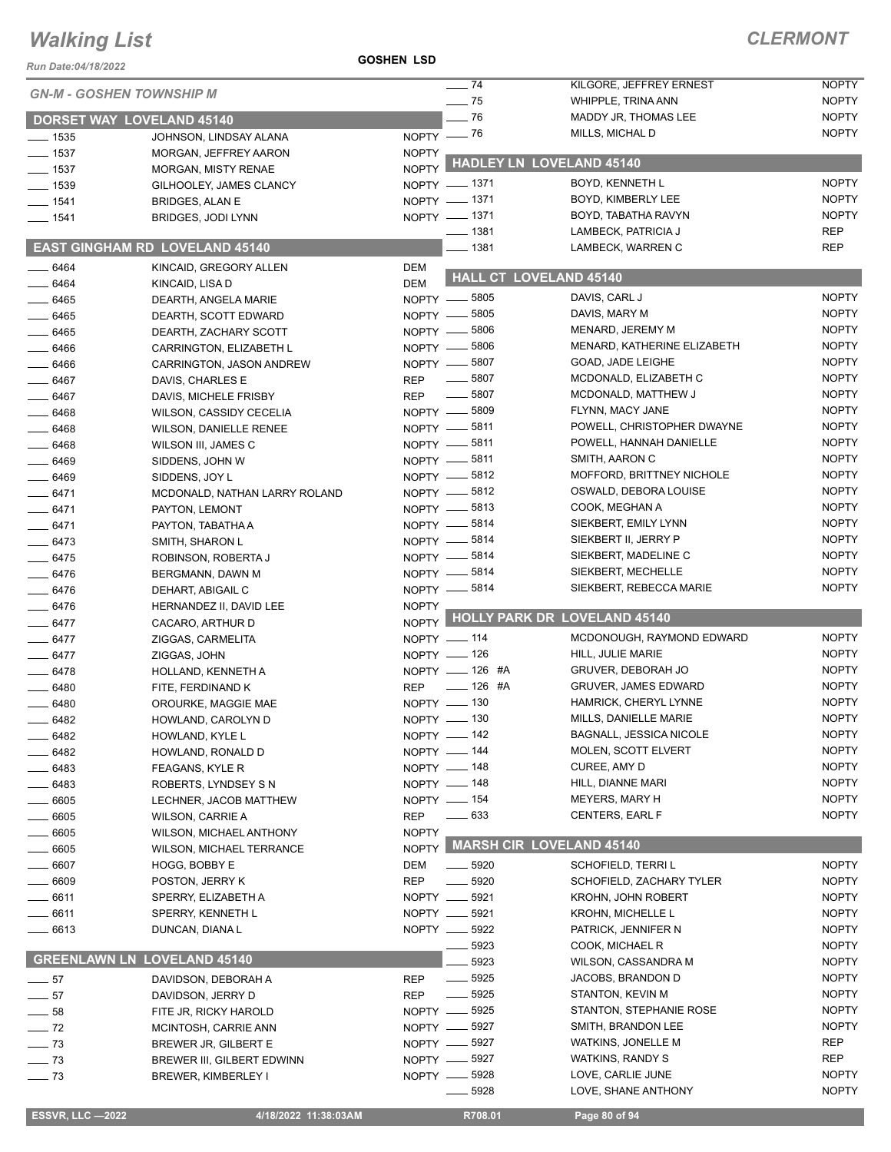| Run Date:04/18/2022              |                                           | <b>GOSHEN LSD</b>        |                               |                                          |                          |
|----------------------------------|-------------------------------------------|--------------------------|-------------------------------|------------------------------------------|--------------------------|
|                                  |                                           |                          | $- 74$                        | KILGORE, JEFFREY ERNEST                  | <b>NOPTY</b>             |
| <b>GN-M - GOSHEN TOWNSHIP M</b>  |                                           |                          | $\frac{1}{2}$ 75              | WHIPPLE, TRINA ANN                       | <b>NOPTY</b>             |
| <b>DORSET WAY LOVELAND 45140</b> |                                           |                          | $-76$                         | MADDY JR, THOMAS LEE                     | <b>NOPTY</b>             |
| $\frac{1}{2}$ 1535               | JOHNSON, LINDSAY ALANA                    |                          | NOPTY $-$ 76                  | MILLS, MICHAL D                          | <b>NOPTY</b>             |
| $\frac{1}{2}$ 1537               | MORGAN, JEFFREY AARON                     | <b>NOPTY</b>             |                               |                                          |                          |
| $-1537$                          | <b>MORGAN, MISTY RENAE</b>                | <b>NOPTY</b>             |                               | <b>HADLEY LN LOVELAND 45140</b>          |                          |
| $-1539$                          | GILHOOLEY, JAMES CLANCY                   |                          | NOPTY - 1371                  | BOYD, KENNETH L                          | <b>NOPTY</b>             |
| $-1541$                          | <b>BRIDGES, ALAN E</b>                    |                          | NOPTY - 1371                  | BOYD, KIMBERLY LEE                       | <b>NOPTY</b>             |
| $\frac{1}{2}$ 1541               | BRIDGES, JODI LYNN                        |                          | NOPTY - 1371                  | BOYD, TABATHA RAVYN                      | <b>NOPTY</b>             |
|                                  | <b>EAST GINGHAM RD LOVELAND 45140</b>     |                          | $\frac{1}{2}$ 1381<br>$-1381$ | LAMBECK, PATRICIA J<br>LAMBECK, WARREN C | <b>REP</b><br><b>REP</b> |
|                                  |                                           |                          |                               |                                          |                          |
| $- 6464$<br>$-6464$              | KINCAID, GREGORY ALLEN<br>KINCAID, LISA D | <b>DEM</b><br><b>DEM</b> |                               | <b>HALL CT LOVELAND 45140</b>            |                          |
| $- 6465$                         | DEARTH, ANGELA MARIE                      |                          | NOPTY -8805                   | DAVIS, CARL J                            | <b>NOPTY</b>             |
| $- 6465$                         | DEARTH, SCOTT EDWARD                      |                          | NOPTY -8805                   | DAVIS, MARY M                            | <b>NOPTY</b>             |
| $- 6465$                         | DEARTH, ZACHARY SCOTT                     |                          | NOPTY -8806                   | MENARD, JEREMY M                         | <b>NOPTY</b>             |
| $- 6466$                         | CARRINGTON, ELIZABETH L                   |                          | NOPTY -8806                   | MENARD, KATHERINE ELIZABETH              | <b>NOPTY</b>             |
| $-6466$                          | CARRINGTON, JASON ANDREW                  |                          | NOPTY -8807                   | GOAD, JADE LEIGHE                        | <b>NOPTY</b>             |
| $- 6467$                         | DAVIS, CHARLES E                          | <b>REP</b>               | $\frac{1}{2}$ 5807            | MCDONALD, ELIZABETH C                    | <b>NOPTY</b>             |
| 6467                             | DAVIS, MICHELE FRISBY                     | <b>REP</b>               | $\frac{1}{2}$ 5807            | MCDONALD, MATTHEW J                      | <b>NOPTY</b>             |
| __ 6468                          | WILSON, CASSIDY CECELIA                   |                          | NOPTY -8809                   | FLYNN, MACY JANE                         | <b>NOPTY</b>             |
| $- 6468$                         | <b>WILSON, DANIELLE RENEE</b>             |                          | NOPTY -8811                   | POWELL, CHRISTOPHER DWAYNE               | <b>NOPTY</b>             |
| $-6468$                          | WILSON III, JAMES C                       |                          | NOPTY -8811                   | POWELL, HANNAH DANIELLE                  | <b>NOPTY</b>             |
| $- 6469$                         | SIDDENS, JOHN W                           |                          | NOPTY -8811                   | SMITH, AARON C                           | <b>NOPTY</b>             |
| $- 6469$                         | SIDDENS, JOY L                            |                          | NOPTY -8812                   | MOFFORD, BRITTNEY NICHOLE                | <b>NOPTY</b>             |
| $-6471$                          | MCDONALD, NATHAN LARRY ROLAND             |                          | NOPTY -8812                   | OSWALD, DEBORA LOUISE                    | <b>NOPTY</b>             |
| $- 6471$                         | PAYTON, LEMONT                            |                          | NOPTY -8813                   | COOK, MEGHAN A                           | <b>NOPTY</b>             |
| $-6471$                          | PAYTON, TABATHA A                         |                          | NOPTY -8814                   | SIEKBERT, EMILY LYNN                     | <b>NOPTY</b>             |
| $-6473$                          | SMITH, SHARON L                           |                          | NOPTY -8814                   | SIEKBERT II, JERRY P                     | <b>NOPTY</b>             |
| $-6475$                          | ROBINSON, ROBERTA J                       |                          | NOPTY -8814                   | SIEKBERT, MADELINE C                     | <b>NOPTY</b>             |
| $-6476$                          | BERGMANN, DAWN M                          |                          | NOPTY - 5814                  | SIEKBERT, MECHELLE                       | <b>NOPTY</b>             |
| $- 6476$                         | DEHART, ABIGAIL C                         |                          | NOPTY -8814                   | SIEKBERT, REBECCA MARIE                  | <b>NOPTY</b>             |
| $-6476$                          | HERNANDEZ II, DAVID LEE                   | <b>NOPTY</b>             |                               | NOPTY HOLLY PARK DR LOVELAND 45140       |                          |
| $-6477$                          | CACARO, ARTHUR D                          |                          | NOPTY - 114                   | MCDONOUGH, RAYMOND EDWARD                | <b>NOPTY</b>             |
| $-6477$<br>$- 6477$              | ZIGGAS, CARMELITA<br>ZIGGAS, JOHN         |                          | NOPTY - 126                   | HILL, JULIE MARIE                        | <b>NOPTY</b>             |
| $-6478$                          | HOLLAND, KENNETH A                        |                          | NOPTY - 126 #A                | <b>GRUVER, DEBORAH JO</b>                | <b>NOPTY</b>             |
| 6480                             | FITE, FERDINAND K                         | <b>REP</b>               | $-$ 126 #A                    | <b>GRUVER, JAMES EDWARD</b>              | <b>NOPTY</b>             |
| 6480                             | OROURKE, MAGGIE MAE                       |                          | NOPTY - 130                   | HAMRICK, CHERYL LYNNE                    | <b>NOPTY</b>             |
| 6482                             | HOWLAND, CAROLYN D                        |                          | $NOPTY$ - 130                 | MILLS, DANIELLE MARIE                    | <b>NOPTY</b>             |
| 6482                             | HOWLAND, KYLE L                           |                          | NOPTY - 142                   | <b>BAGNALL, JESSICA NICOLE</b>           | <b>NOPTY</b>             |
| 6482                             | HOWLAND, RONALD D                         |                          | NOPTY - 144                   | MOLEN, SCOTT ELVERT                      | <b>NOPTY</b>             |
| 6483                             | FEAGANS, KYLE R                           |                          | NOPTY - 148                   | CUREE, AMY D                             | <b>NOPTY</b>             |
| 6483                             | ROBERTS, LYNDSEY S N                      |                          | NOPTY __ 148                  | HILL, DIANNE MARI                        | <b>NOPTY</b>             |
| 6605                             | LECHNER, JACOB MATTHEW                    |                          | NOPTY - 154                   | MEYERS, MARY H                           | <b>NOPTY</b>             |
| 6605                             | WILSON, CARRIE A                          | <b>REP</b>               | $\frac{1}{2}$ 633             | <b>CENTERS, EARL F</b>                   | <b>NOPTY</b>             |
| 6605                             | <b>WILSON, MICHAEL ANTHONY</b>            | <b>NOPTY</b>             |                               |                                          |                          |
| 6605                             | WILSON, MICHAEL TERRANCE                  |                          |                               | NOPTY MARSH CIR LOVELAND 45140           |                          |
| $=$ 6607 $\,$                    | HOGG, BOBBY E                             | DEM                      | $\frac{1}{2}$ 5920            | SCHOFIELD, TERRI L                       | <b>NOPTY</b>             |
| 6609                             | POSTON, JERRY K                           | <b>REP</b>               | $\frac{1}{2}$ 5920            | SCHOFIELD, ZACHARY TYLER                 | <b>NOPTY</b>             |
| _ 6611                           | SPERRY, ELIZABETH A                       |                          | NOPTY __ 5921                 | <b>KROHN, JOHN ROBERT</b>                | <b>NOPTY</b>             |
| 6611                             | SPERRY, KENNETH L                         |                          | NOPTY __ 5921                 | <b>KROHN, MICHELLE L</b>                 | <b>NOPTY</b>             |
| 6613                             | DUNCAN, DIANA L                           |                          | NOPTY __ 5922                 | PATRICK, JENNIFER N                      | <b>NOPTY</b>             |
|                                  |                                           |                          | 5923                          | COOK, MICHAEL R                          | <b>NOPTY</b>             |
|                                  | <b>GREENLAWN LN LOVELAND 45140</b>        |                          | 5923                          | WILSON, CASSANDRA M                      | <b>NOPTY</b>             |
| $\frac{1}{2}$ 57                 | DAVIDSON, DEBORAH A                       | <b>REP</b>               | $\frac{1}{2}$ 5925            | JACOBS, BRANDON D                        | <b>NOPTY</b>             |
| 57<br>$\sim$                     | DAVIDSON, JERRY D                         | <b>REP</b>               | $\_\_$ 5925                   | STANTON, KEVIN M                         | <b>NOPTY</b>             |
| 58                               | FITE JR, RICKY HAROLD                     |                          | NOPTY -8925                   | STANTON, STEPHANIE ROSE                  | <b>NOPTY</b>             |
| $\frac{1}{2}$ 72                 | MCINTOSH, CARRIE ANN                      |                          | NOPTY __ 5927                 | SMITH, BRANDON LEE                       | <b>NOPTY</b>             |
| $\sim$ 73                        | BREWER JR, GILBERT E                      |                          | NOPTY -8927                   | WATKINS, JONELLE M                       | <b>REP</b>               |
| $-73$                            | BREWER III, GILBERT EDWINN                |                          | NOPTY -8927<br>NOPTY __ 5928  | WATKINS, RANDY S<br>LOVE, CARLIE JUNE    | REP<br><b>NOPTY</b>      |
| $- 73$                           | BREWER, KIMBERLEY I                       |                          | —— 5928                       | LOVE, SHANE ANTHONY                      | <b>NOPTY</b>             |
|                                  |                                           |                          |                               |                                          |                          |
| <b>ESSVR, LLC-2022</b>           | 4/18/2022 11:38:03AM                      |                          | R708.01                       | Page 80 of 94                            |                          |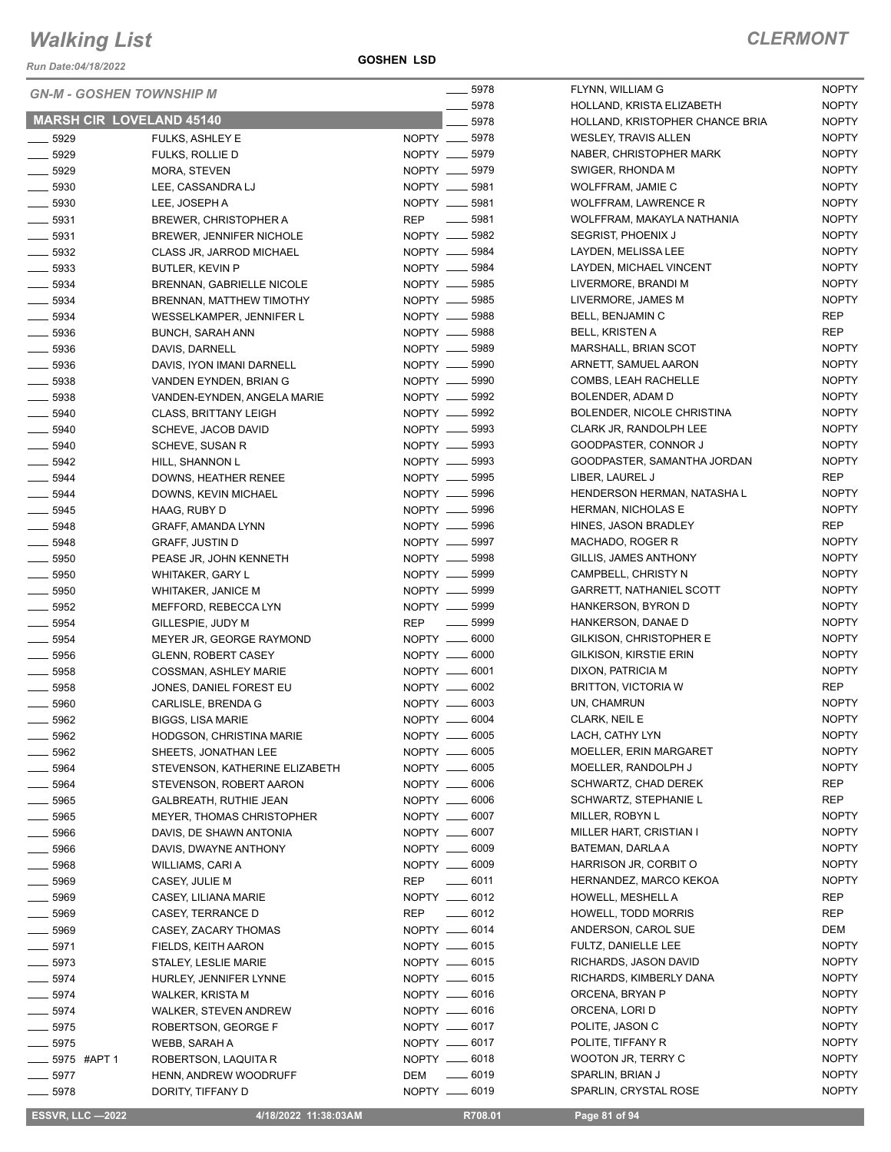*Run Date:04/18/2022*

**GOSHEN LSD**

| <b>GN-M - GOSHEN TOWNSHIP M</b> |                                 | $- 5978$                         | FLYNN, WILLIAM G                          | <b>NOPTY</b>                 |
|---------------------------------|---------------------------------|----------------------------------|-------------------------------------------|------------------------------|
|                                 |                                 | . 5978                           | HOLLAND, KRISTA ELIZABETH                 | <b>NOPTY</b>                 |
| <b>MARSH CIR LOVELAND 45140</b> |                                 | 5978                             | HOLLAND, KRISTOPHER CHANCE BRIA           | <b>NOPTY</b>                 |
| $- 5929$                        | FULKS, ASHLEY E                 | NOPTY __ 5978                    | <b>WESLEY, TRAVIS ALLEN</b>               | <b>NOPTY</b>                 |
| $- 5929$                        | FULKS, ROLLIE D                 | NOPTY __ 5979                    | NABER, CHRISTOPHER MARK                   | <b>NOPTY</b>                 |
| $- 5929$                        | MORA, STEVEN                    | NOPTY __ 5979                    | SWIGER, RHONDA M                          | <b>NOPTY</b>                 |
| $- 5930$                        | LEE. CASSANDRA LJ               | NOPTY __ 5981                    | WOLFFRAM, JAMIE C                         | <b>NOPTY</b>                 |
| $\frac{1}{2}$ 5930              | LEE, JOSEPH A                   | NOPTY __ 5981                    | <b>WOLFFRAM, LAWRENCE R</b>               | <b>NOPTY</b>                 |
| $- 5931$                        | <b>BREWER, CHRISTOPHER A</b>    | $\frac{1}{2}$ 5981<br><b>REP</b> | WOLFFRAM, MAKAYLA NATHANIA                | <b>NOPTY</b>                 |
| $\frac{1}{2}$ 5931              | <b>BREWER, JENNIFER NICHOLE</b> | NOPTY __ 5982                    | SEGRIST, PHOENIX J                        | <b>NOPTY</b>                 |
| $\frac{1}{2}$ 5932              | CLASS JR, JARROD MICHAEL        | NOPTY __ 5984                    | LAYDEN, MELISSA LEE                       | <b>NOPTY</b>                 |
| $\frac{1}{2}$ 5933              | <b>BUTLER, KEVIN P</b>          | NOPTY __ 5984                    | LAYDEN, MICHAEL VINCENT                   | <b>NOPTY</b>                 |
| $\frac{1}{2}$ 5934              | BRENNAN, GABRIELLE NICOLE       | NOPTY __ 5985                    | LIVERMORE, BRANDI M                       | <b>NOPTY</b>                 |
| $\frac{1}{2}$ 5934              | BRENNAN, MATTHEW TIMOTHY        | NOPTY __ 5985                    | LIVERMORE, JAMES M                        | <b>NOPTY</b>                 |
| $\frac{1}{2}$ 5934              | WESSELKAMPER, JENNIFER L        | NOPTY __ 5988                    | BELL, BENJAMIN C                          | <b>REP</b>                   |
| $-5936$                         | <b>BUNCH, SARAH ANN</b>         | NOPTY __ 5988                    | <b>BELL, KRISTEN A</b>                    | <b>REP</b>                   |
| $- 5936$                        | DAVIS, DARNELL                  | NOPTY __ 5989                    | MARSHALL, BRIAN SCOT                      | <b>NOPTY</b>                 |
| $\frac{1}{2}$ 5936              | DAVIS, IYON IMANI DARNELL       | NOPTY __ 5990                    | ARNETT, SAMUEL AARON                      | <b>NOPTY</b>                 |
| $\frac{1}{2}$ 5938              | VANDEN EYNDEN, BRIAN G          | NOPTY __ 5990                    | COMBS, LEAH RACHELLE                      | <b>NOPTY</b>                 |
| $\frac{1}{2}$ 5938              | VANDEN-EYNDEN, ANGELA MARIE     | NOPTY __ 5992                    | BOLENDER, ADAM D                          | <b>NOPTY</b>                 |
| $- 5940$                        | <b>CLASS, BRITTANY LEIGH</b>    | NOPTY __ 5992                    | BOLENDER, NICOLE CHRISTINA                | <b>NOPTY</b>                 |
| $- 5940$                        | SCHEVE, JACOB DAVID             | NOPTY __ 5993                    | CLARK JR, RANDOLPH LEE                    | <b>NOPTY</b>                 |
| $-5940$                         | SCHEVE, SUSAN R                 | NOPTY __ 5993                    | GOODPASTER, CONNOR J                      | <b>NOPTY</b>                 |
| $\frac{1}{2}$ 5942              | HILL, SHANNON L                 | NOPTY __ 5993                    | GOODPASTER, SAMANTHA JORDAN               | <b>NOPTY</b>                 |
| $- 5944$                        | DOWNS, HEATHER RENEE            | NOPTY __ 5995                    | LIBER, LAUREL J                           | <b>REP</b>                   |
| $-5944$                         | DOWNS, KEVIN MICHAEL            | NOPTY __ 5996                    | HENDERSON HERMAN, NATASHA L               | <b>NOPTY</b>                 |
| $- 5945$                        | HAAG, RUBY D                    | NOPTY __ 5996                    | <b>HERMAN, NICHOLAS E</b>                 | <b>NOPTY</b>                 |
| 5948                            | GRAFF, AMANDA LYNN              | NOPTY __ 5996                    | HINES, JASON BRADLEY                      | REP                          |
| $- 5948$                        | GRAFF, JUSTIN D                 | NOPTY __ 5997                    | MACHADO, ROGER R                          | <b>NOPTY</b>                 |
| $\frac{1}{2}$ 5950              | PEASE JR, JOHN KENNETH          | NOPTY __ 5998                    | GILLIS, JAMES ANTHONY                     | <b>NOPTY</b>                 |
| $\frac{1}{2}$ 5950              | <b>WHITAKER, GARY L</b>         | NOPTY __ 5999                    | CAMPBELL, CHRISTY N                       | <b>NOPTY</b>                 |
| $\frac{1}{2}$ 5950              | <b>WHITAKER, JANICE M</b>       | NOPTY __ 5999                    | <b>GARRETT, NATHANIEL SCOTT</b>           | <b>NOPTY</b>                 |
| $\frac{1}{2}$ 5952              | MEFFORD, REBECCA LYN            | NOPTY __ 5999                    | HANKERSON, BYRON D                        | <b>NOPTY</b>                 |
| $\frac{1}{2}$ 5954              | GILLESPIE, JUDY M               | $\frac{1}{2}$ 5999<br><b>REP</b> | HANKERSON, DANAE D                        | <b>NOPTY</b>                 |
| $\frac{1}{2}$ 5954              | MEYER JR, GEORGE RAYMOND        | NOPTY __ 6000                    | GILKISON, CHRISTOPHER E                   | <b>NOPTY</b>                 |
| $\frac{1}{2}$ 5956              | <b>GLENN, ROBERT CASEY</b>      | NOPTY __ 6000                    | <b>GILKISON, KIRSTIE ERIN</b>             | <b>NOPTY</b>                 |
| $- 5958$                        | <b>COSSMAN, ASHLEY MARIE</b>    | NOPTY __ 6001                    | DIXON, PATRICIA M                         | <b>NOPTY</b>                 |
| $\frac{1}{2}$ 5958              | JONES, DANIEL FOREST EU         | NOPTY __ 6002                    | <b>BRITTON, VICTORIA W</b>                | <b>REP</b>                   |
| 5960                            | CARLISLE, BRENDA G              | NOPTY __ 6003                    | UN, CHAMRUN                               | <b>NOPTY</b>                 |
| 5962                            | <b>BIGGS, LISA MARIE</b>        | NOPTY __ 6004                    | CLARK, NEIL E                             | <b>NOPTY</b>                 |
|                                 |                                 |                                  |                                           |                              |
| ____ 5962                       | HODGSON, CHRISTINA MARIE        | NOPTY <u>__</u> 6005             | LACH, CATHY LYN<br>MOELLER, ERIN MARGARET | <b>NOPTY</b><br><b>NOPTY</b> |
| $\frac{1}{2}$ 5962              | SHEETS, JONATHAN LEE            | NOPTY __ 6005                    |                                           | <b>NOPTY</b>                 |
| $-5964$                         | STEVENSON, KATHERINE ELIZABETH  | NOPTY __ 6005                    | MOELLER, RANDOLPH J                       | <b>REP</b>                   |
| __ 5964                         | STEVENSON, ROBERT AARON         | NOPTY __ 6006                    | SCHWARTZ, CHAD DEREK                      | <b>REP</b>                   |
| 5965                            | <b>GALBREATH, RUTHIE JEAN</b>   | NOPTY __ 6006                    | SCHWARTZ, STEPHANIE L                     |                              |
| _ 5965                          | MEYER, THOMAS CHRISTOPHER       | NOPTY __ 6007                    | MILLER, ROBYN L                           | <b>NOPTY</b>                 |
| 5966                            | DAVIS, DE SHAWN ANTONIA         | NOPTY __ 6007                    | MILLER HART, CRISTIAN I                   | <b>NOPTY</b>                 |
| 5966                            | DAVIS, DWAYNE ANTHONY           | NOPTY __ 6009                    | BATEMAN, DARLA A                          | <b>NOPTY</b>                 |
| - 5968                          | WILLIAMS, CARI A                | NOPTY __ 6009                    | HARRISON JR, CORBIT O                     | <b>NOPTY</b>                 |
| 5969                            | CASEY, JULIE M                  | <b>REP</b><br>$\frac{1}{2}$ 6011 | HERNANDEZ, MARCO KEKOA                    | <b>NOPTY</b>                 |
| _ 5969                          | CASEY, LILIANA MARIE            | NOPTY __ 6012                    | HOWELL, MESHELL A                         | REP                          |
| $-5969$                         | CASEY, TERRANCE D               | $-6012$<br><b>REP</b>            | <b>HOWELL, TODD MORRIS</b>                | REP                          |
| 5969                            | CASEY, ZACARY THOMAS            | NOPTY __ 6014                    | ANDERSON, CAROL SUE                       | DEM                          |
| $\frac{1}{2}$ 5971              | FIELDS, KEITH AARON             | NOPTY __ 6015                    | FULTZ, DANIELLE LEE                       | <b>NOPTY</b>                 |
| $\frac{1}{2}$ 5973              | STALEY, LESLIE MARIE            | NOPTY __ 6015                    | RICHARDS, JASON DAVID                     | <b>NOPTY</b>                 |
| __ 5974                         | HURLEY, JENNIFER LYNNE          | NOPTY __ 6015                    | RICHARDS, KIMBERLY DANA                   | <b>NOPTY</b>                 |
| $-5974$                         | <b>WALKER, KRISTA M</b>         | NOPTY __ 6016                    | ORCENA, BRYAN P                           | <b>NOPTY</b>                 |
| $-5974$                         | <b>WALKER, STEVEN ANDREW</b>    | NOPTY __ 6016                    | ORCENA, LORI D                            | <b>NOPTY</b>                 |
| $-5975$                         | ROBERTSON, GEORGE F             | NOPTY __ 6017                    | POLITE, JASON C                           | <b>NOPTY</b>                 |
| $-5975$                         | WEBB, SARAH A                   | NOPTY __ 6017                    | POLITE, TIFFANY R                         | <b>NOPTY</b>                 |
| _ 5975  #APT 1                  | ROBERTSON, LAQUITA R            | NOPTY __ 6018                    | WOOTON JR, TERRY C                        | <b>NOPTY</b>                 |
| $-5977$                         | HENN, ANDREW WOODRUFF           | ______ 6019<br>DEM               | SPARLIN, BRIAN J                          | <b>NOPTY</b>                 |
| $-5978$                         | DORITY, TIFFANY D               | NOPTY __ 6019                    | SPARLIN, CRYSTAL ROSE                     | <b>NOPTY</b>                 |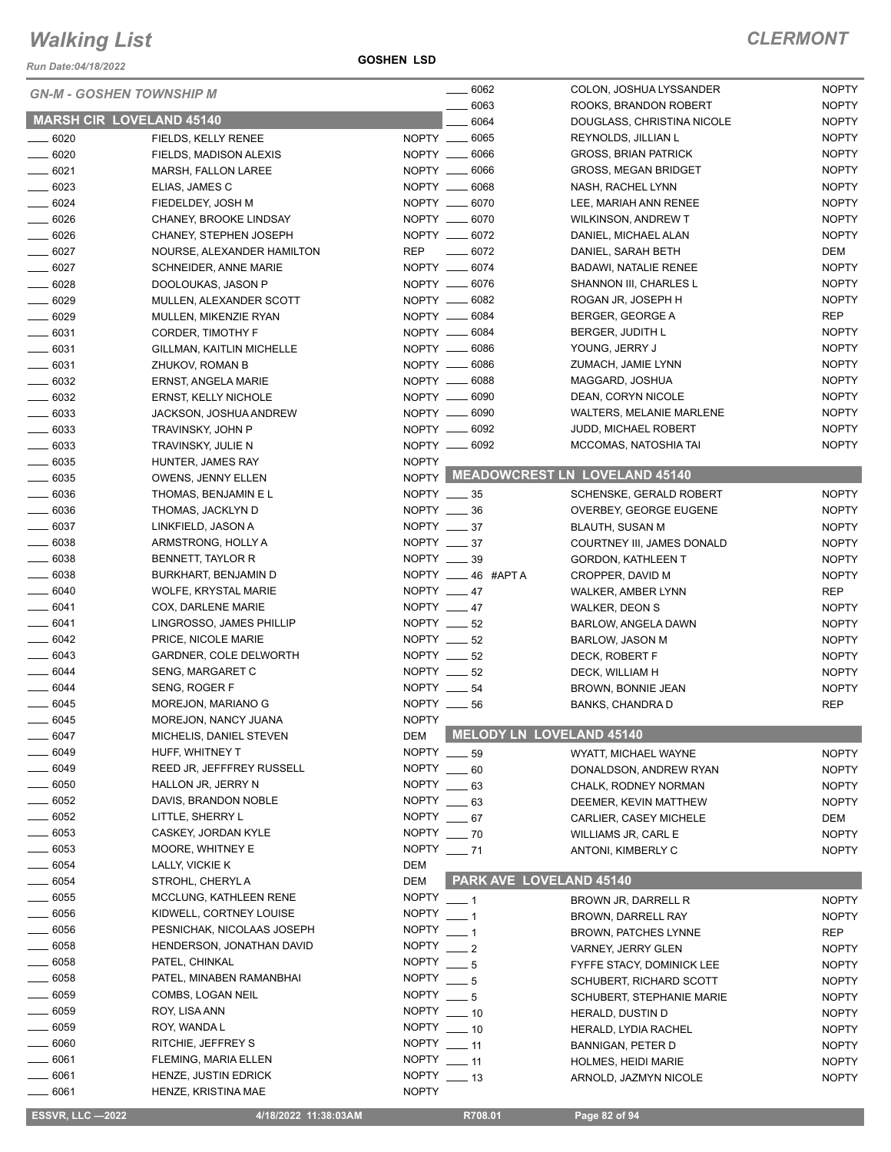*Run Date:04/18/2022*

**GOSHEN LSD**

|                     | <b>GN-M - GOSHEN TOWNSHIP M</b>                 |                             | $- 6062$                   | COLON, JOSHUA LYSSANDER                             | <b>NOPTY</b>                 |
|---------------------|-------------------------------------------------|-----------------------------|----------------------------|-----------------------------------------------------|------------------------------|
|                     | <b>MARSH CIR LOVELAND 45140</b>                 |                             | 6063<br>6064               | ROOKS, BRANDON ROBERT<br>DOUGLASS, CHRISTINA NICOLE | <b>NOPTY</b><br><b>NOPTY</b> |
| $- 6020$            |                                                 |                             | NOPTY __ 6065              | REYNOLDS, JILLIAN L                                 | <b>NOPTY</b>                 |
| $\frac{1}{2}$ 6020  | FIELDS, KELLY RENEE<br>FIELDS, MADISON ALEXIS   |                             | NOPTY __ 6066              | <b>GROSS, BRIAN PATRICK</b>                         | <b>NOPTY</b>                 |
| $- 6021$            | MARSH, FALLON LAREE                             |                             | NOPTY __ 6066              | <b>GROSS, MEGAN BRIDGET</b>                         | <b>NOPTY</b>                 |
| $- 6023$            | ELIAS, JAMES C                                  |                             | NOPTY __ 6068              | NASH, RACHEL LYNN                                   | <b>NOPTY</b>                 |
| $- 6024$            | FIEDELDEY, JOSH M                               |                             | NOPTY __ 6070              | LEE, MARIAH ANN RENEE                               | <b>NOPTY</b>                 |
| $- 6026$            | CHANEY, BROOKE LINDSAY                          |                             | NOPTY __ 6070              | <b>WILKINSON, ANDREW T</b>                          | <b>NOPTY</b>                 |
| $- 6026$            | CHANEY, STEPHEN JOSEPH                          |                             | NOPTY __ 6072              | DANIEL, MICHAEL ALAN                                | <b>NOPTY</b>                 |
| $- 6027$            | NOURSE, ALEXANDER HAMILTON                      | <b>REP</b>                  | $- 6072$                   | DANIEL, SARAH BETH                                  | DEM                          |
| $- 6027$            | <b>SCHNEIDER, ANNE MARIE</b>                    |                             | NOPTY __ 6074              | <b>BADAWI, NATALIE RENEE</b>                        | <b>NOPTY</b>                 |
| $- 6028$            | DOOLOUKAS, JASON P                              |                             | NOPTY __ 6076              | SHANNON III, CHARLES L                              | <b>NOPTY</b>                 |
| $-6029$             | MULLEN, ALEXANDER SCOTT                         |                             | NOPTY __ 6082              | ROGAN JR, JOSEPH H                                  | <b>NOPTY</b>                 |
| $- 6029$            | MULLEN, MIKENZIE RYAN                           |                             | NOPTY __ 6084              | BERGER, GEORGE A                                    | <b>REP</b>                   |
| $- 6031$            | CORDER, TIMOTHY F                               |                             | NOPTY __ 6084              | BERGER, JUDITH L                                    | <b>NOPTY</b>                 |
| $- 6031$            | GILLMAN, KAITLIN MICHELLE                       |                             | NOPTY __ 6086              | YOUNG, JERRY J                                      | <b>NOPTY</b>                 |
| $- 6031$            | ZHUKOV, ROMAN B                                 |                             | NOPTY __ 6086              | ZUMACH, JAMIE LYNN                                  | <b>NOPTY</b>                 |
| $- 6032$            | ERNST, ANGELA MARIE                             |                             | NOPTY __ 6088              | MAGGARD, JOSHUA                                     | <b>NOPTY</b>                 |
| $- 6032$            | <b>ERNST, KELLY NICHOLE</b>                     |                             | NOPTY __ 6090              | DEAN, CORYN NICOLE                                  | <b>NOPTY</b>                 |
| $\frac{1}{2}$ 6033  | JACKSON, JOSHUA ANDREW                          |                             | NOPTY __ 6090              | <b>WALTERS, MELANIE MARLENE</b>                     | <b>NOPTY</b>                 |
| $\frac{1}{2}$ 6033  | TRAVINSKY, JOHN P                               |                             | NOPTY __ 6092              | JUDD, MICHAEL ROBERT                                | <b>NOPTY</b>                 |
| $- 6033$            | TRAVINSKY, JULIE N                              |                             | NOPTY __ 6092              | MCCOMAS, NATOSHIA TAI                               | <b>NOPTY</b>                 |
| $\frac{1}{2}$ 6035  | HUNTER, JAMES RAY                               | <b>NOPTY</b>                |                            |                                                     |                              |
| $\frac{1}{2}$ 6035  | OWENS, JENNY ELLEN                              |                             |                            | NOPTY MEADOWCREST LN LOVELAND 45140                 |                              |
| $- 6036$            | THOMAS, BENJAMIN E L                            | NOPTY $-35$                 |                            | <b>SCHENSKE, GERALD ROBERT</b>                      | <b>NOPTY</b>                 |
| $\frac{1}{2}$ 6036  | THOMAS, JACKLYN D                               | NOPTY __ 36                 |                            | OVERBEY, GEORGE EUGENE                              | <b>NOPTY</b>                 |
| $- 6037$            | LINKFIELD, JASON A                              | NOPTY __ 37                 |                            | <b>BLAUTH, SUSAN M</b>                              | <b>NOPTY</b>                 |
| $- 6038$            | ARMSTRONG, HOLLY A                              | NOPTY _____ 37              |                            | COURTNEY III, JAMES DONALD                          | <b>NOPTY</b>                 |
| $- 6038$            | BENNETT, TAYLOR R                               | NOPTY __ 39                 |                            | <b>GORDON, KATHLEEN T</b>                           | <b>NOPTY</b>                 |
| $\frac{1}{2}$ 6038  | BURKHART, BENJAMIN D                            |                             | NOPTY __ 46 #APT A         | CROPPER, DAVID M                                    | <b>NOPTY</b>                 |
| $- 6040$            | WOLFE, KRYSTAL MARIE                            | NOPTY __ 47                 |                            | WALKER, AMBER LYNN                                  | REP                          |
| $- 6041$            | COX, DARLENE MARIE                              | NOPTY __ 47<br>NOPTY $- 52$ |                            | WALKER, DEON S                                      | <b>NOPTY</b>                 |
| $-6041$<br>$- 6042$ | LINGROSSO, JAMES PHILLIP<br>PRICE, NICOLE MARIE | NOPTY __ 52                 |                            | BARLOW, ANGELA DAWN                                 | <b>NOPTY</b><br><b>NOPTY</b> |
| $- 6043$            | GARDNER, COLE DELWORTH                          | NOPTY $- 52$                |                            | BARLOW, JASON M<br>DECK, ROBERT F                   | <b>NOPTY</b>                 |
| $- 6044$            | SENG, MARGARET C                                | NOPTY $- 52$                |                            | DECK, WILLIAM H                                     | <b>NOPTY</b>                 |
| $- 6044$            | SENG, ROGER F                                   | NOPTY __ 54                 |                            | BROWN, BONNIE JEAN                                  | <b>NOPTY</b>                 |
| $- 6045$            | MOREJON, MARIANO G                              | NOPTY $- 56$                |                            | <b>BANKS, CHANDRA D</b>                             | <b>REP</b>                   |
| $-6045$             | MOREJON, NANCY JUANA                            | <b>NOPTY</b>                |                            |                                                     |                              |
| 6047                | MICHELIS, DANIEL STEVEN                         | DEM                         |                            | MELODY LN LOVELAND 45140                            |                              |
| 6049                | HUFF, WHITNEY T                                 | NOPTY __ 59                 |                            | WYATT, MICHAEL WAYNE                                | <b>NOPTY</b>                 |
| $- 6049$            | REED JR, JEFFFREY RUSSELL                       | NOPTY __ 60                 |                            | DONALDSON, ANDREW RYAN                              | <b>NOPTY</b>                 |
| $=6050$             | HALLON JR, JERRY N                              | NOPTY __ 63                 |                            | CHALK, RODNEY NORMAN                                | <b>NOPTY</b>                 |
| $- 6052$            | DAVIS, BRANDON NOBLE                            | NOPTY $-63$                 |                            | DEEMER, KEVIN MATTHEW                               | <b>NOPTY</b>                 |
| $- 6052$            | LITTLE, SHERRY L                                | NOPTY __ 67                 |                            | <b>CARLIER, CASEY MICHELE</b>                       | DEM                          |
| $\frac{1}{2}$ 6053  | CASKEY, JORDAN KYLE                             | NOPTY 20                    |                            | WILLIAMS JR, CARL E                                 | <b>NOPTY</b>                 |
| $- 6053$            | MOORE, WHITNEY E                                | NOPTY $-$ 71                |                            | ANTONI, KIMBERLY C                                  | <b>NOPTY</b>                 |
| $- 6054$            | LALLY, VICKIE K                                 | DEM                         |                            |                                                     |                              |
| $\frac{1}{2}$ 6054  | STROHL, CHERYL A                                | DEM                         | PARK AVE LOVELAND 45140    |                                                     |                              |
| 6055                | MCCLUNG, KATHLEEN RENE                          | <b>NOPTY</b>                | $-1$                       | BROWN JR, DARRELL R                                 | <b>NOPTY</b>                 |
| - 6056              | KIDWELL, CORTNEY LOUISE                         | <b>NOPTY</b>                | $-1$                       | BROWN, DARRELL RAY                                  | <b>NOPTY</b>                 |
| $- 6056$            | PESNICHAK, NICOLAAS JOSEPH                      | <b>NOPTY</b>                | - 1                        | BROWN, PATCHES LYNNE                                | REP                          |
| $- 6058$            | HENDERSON, JONATHAN DAVID                       | <b>NOPTY</b>                | $-2$                       | VARNEY, JERRY GLEN                                  | <b>NOPTY</b>                 |
| $- 6058$            | PATEL, CHINKAL                                  | <b>NOPTY</b>                | $-5$                       | FYFFE STACY, DOMINICK LEE                           | <b>NOPTY</b>                 |
| $- 6058$            | PATEL, MINABEN RAMANBHAI                        | <b>NOPTY</b>                | $\overline{\phantom{0}}$ 5 | SCHUBERT, RICHARD SCOTT                             | <b>NOPTY</b>                 |
| $\_\_6059$          | COMBS, LOGAN NEIL                               | <b>NOPTY</b>                | $-5$                       | <b>SCHUBERT, STEPHANIE MARIE</b>                    | <b>NOPTY</b>                 |
| $\frac{1}{2}$ 6059  | ROY, LISA ANN                                   | <b>NOPTY</b>                | $\frac{1}{2}$ 10           | <b>HERALD, DUSTIN D</b>                             | <b>NOPTY</b>                 |
| - 6059              | ROY, WANDA L                                    | <b>NOPTY</b>                | $-10$                      | HERALD, LYDIA RACHEL                                | <b>NOPTY</b>                 |
| $- 6060$            | RITCHIE, JEFFREY S                              | <b>NOPTY</b>                | $-11$                      | BANNIGAN, PETER D                                   | <b>NOPTY</b>                 |
| $- 6061$            | FLEMING, MARIA ELLEN                            | <b>NOPTY</b>                | $-11$                      | HOLMES, HEIDI MARIE                                 | <b>NOPTY</b>                 |
| _ 6061              | HENZE, JUSTIN EDRICK                            | <b>NOPTY</b>                | $-13$                      | ARNOLD, JAZMYN NICOLE                               | <b>NOPTY</b>                 |
| - 6061              | HENZE, KRISTINA MAE                             | <b>NOPTY</b>                |                            |                                                     |                              |

**ESSVR, LLC —2022 4/18/2022 11:38:03AM** R708.01 **Page 82 of 94**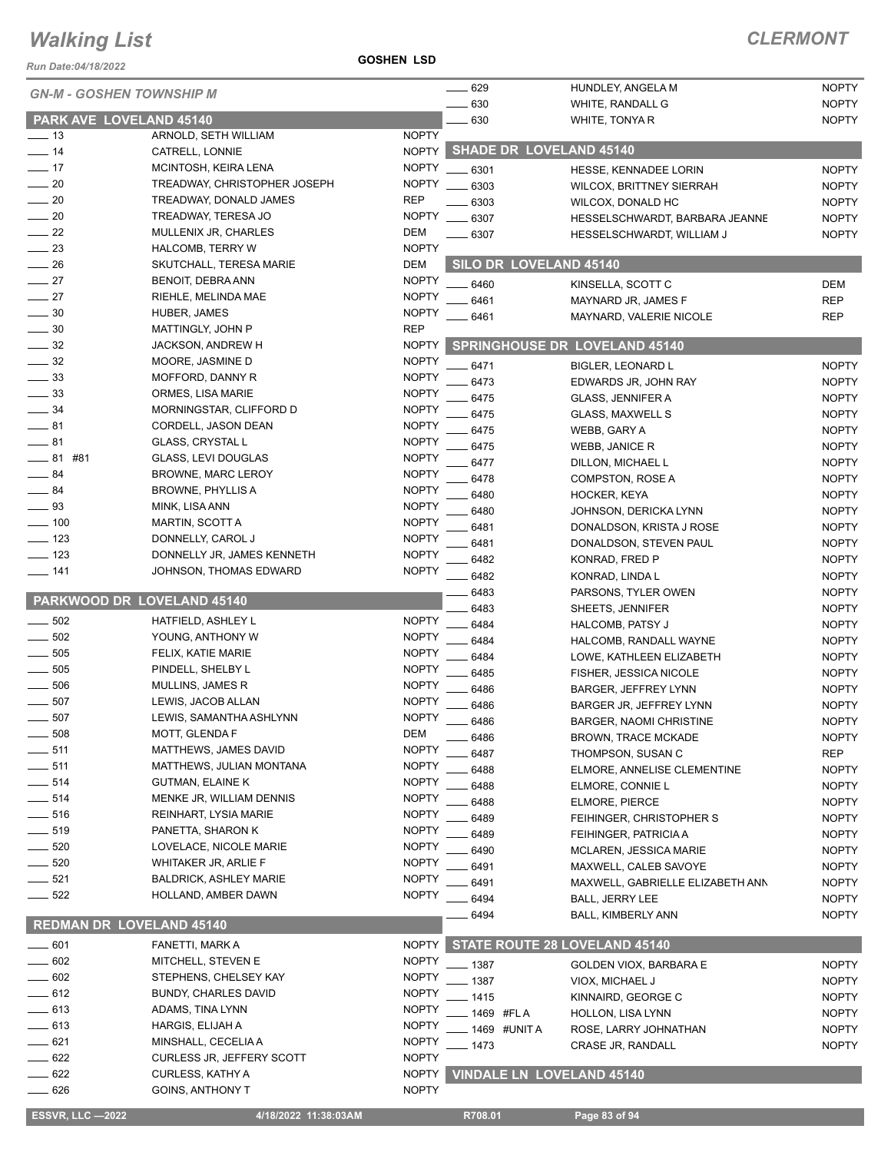*Run Date:04/18/2022*

**GOSHEN LSD**

| <b>Run Date:04/18/2022</b><br><b>GN-M - GOSHEN TOWNSHIP M</b> |                                                   |                              | 629          | HUNDLEY, ANGELA M                                      | <b>NOPTY</b>                 |
|---------------------------------------------------------------|---------------------------------------------------|------------------------------|--------------|--------------------------------------------------------|------------------------------|
|                                                               |                                                   |                              | 630          | WHITE, RANDALL G                                       | <b>NOPTY</b>                 |
| PARK AVE LOVELAND 45140<br>$\frac{1}{2}$ 13                   | ARNOLD, SETH WILLIAM                              | <b>NOPTY</b>                 | 630          | WHITE, TONYA R                                         | <b>NOPTY</b>                 |
| $-14$                                                         | CATRELL, LONNIE                                   | <b>NOPTY</b>                 |              | <b>SHADE DR LOVELAND 45140</b>                         |                              |
| $\frac{1}{2}$ 17                                              | MCINTOSH, KEIRA LENA                              | <b>NOPTY</b>                 | $- 6301$     | HESSE, KENNADEE LORIN                                  | <b>NOPTY</b>                 |
| $\sim$ 20                                                     | TREADWAY, CHRISTOPHER JOSEPH                      | <b>NOPTY</b>                 | 6303         | <b>WILCOX, BRITTNEY SIERRAH</b>                        | <b>NOPTY</b>                 |
| $\frac{1}{20}$                                                | TREADWAY, DONALD JAMES                            | <b>REP</b>                   | 6303         | WILCOX, DONALD HC                                      | <b>NOPTY</b>                 |
| $\frac{1}{20}$                                                | TREADWAY, TERESA JO                               | <b>NOPTY</b>                 | 6307         | HESSELSCHWARDT, BARBARA JEANNE                         | <b>NOPTY</b>                 |
| 22                                                            | MULLENIX JR, CHARLES                              | DEM                          | _ 6307       | HESSELSCHWARDT, WILLIAM J                              | <b>NOPTY</b>                 |
| $-23$                                                         | <b>HALCOMB, TERRY W</b>                           | <b>NOPTY</b>                 |              |                                                        |                              |
| 26                                                            | SKUTCHALL, TERESA MARIE                           | <b>DEM</b>                   |              | SILO DR LOVELAND 45140                                 |                              |
| $\frac{1}{27}$                                                | BENOIT, DEBRA ANN                                 | <b>NOPTY</b>                 | 6460         | KINSELLA, SCOTT C                                      | <b>DEM</b>                   |
| $\frac{1}{27}$                                                | RIEHLE, MELINDA MAE                               | <b>NOPTY</b>                 | 6461         | MAYNARD JR, JAMES F                                    | <b>REP</b>                   |
| $-30$                                                         | HUBER, JAMES                                      | <b>NOPTY</b>                 | 6461         | MAYNARD, VALERIE NICOLE                                | <b>REP</b>                   |
| 30                                                            | MATTINGLY, JOHN P                                 | <b>REP</b>                   |              |                                                        |                              |
| $\frac{1}{2}$ 32                                              | JACKSON, ANDREW H                                 | <b>NOPTY</b>                 |              | <b>SPRINGHOUSE DR LOVELAND 45140</b>                   |                              |
| $-32$                                                         | MOORE, JASMINE D                                  | <b>NOPTY</b>                 | 6471         | <b>BIGLER, LEONARD L</b>                               | <b>NOPTY</b>                 |
| $\frac{1}{2}$ 33                                              | MOFFORD, DANNY R                                  | <b>NOPTY</b>                 | 6473         | EDWARDS JR, JOHN RAY                                   | <b>NOPTY</b>                 |
| $-33$<br>$\frac{1}{2}$ 34                                     | ORMES, LISA MARIE<br>MORNINGSTAR, CLIFFORD D      | <b>NOPTY</b><br><b>NOPTY</b> | 6475         | <b>GLASS, JENNIFER A</b>                               | <b>NOPTY</b>                 |
| $\frac{1}{2}$ 81                                              | CORDELL, JASON DEAN                               | <b>NOPTY</b>                 | 6475         | <b>GLASS, MAXWELL S</b>                                | <b>NOPTY</b>                 |
| $-81$                                                         | <b>GLASS, CRYSTAL L</b>                           | <b>NOPTY</b>                 | 6475         | WEBB, GARY A                                           | <b>NOPTY</b>                 |
| _____ 81 #81                                                  | GLASS, LEVI DOUGLAS                               | <b>NOPTY</b>                 | 6475         | <b>WEBB, JANICE R</b>                                  | <b>NOPTY</b>                 |
| $-84$                                                         | <b>BROWNE, MARC LEROY</b>                         | <b>NOPTY</b>                 | 6477         | DILLON, MICHAEL L                                      | <b>NOPTY</b>                 |
| $-84$                                                         | <b>BROWNE, PHYLLIS A</b>                          | <b>NOPTY</b>                 | 6478         | COMPSTON, ROSE A                                       | <b>NOPTY</b>                 |
| $-93$                                                         | MINK, LISA ANN                                    | <b>NOPTY</b>                 | 6480<br>6480 | HOCKER, KEYA<br>JOHNSON, DERICKA LYNN                  | <b>NOPTY</b><br><b>NOPTY</b> |
| $\frac{100}{2}$                                               | MARTIN, SCOTT A                                   | <b>NOPTY</b>                 | 6481         | DONALDSON, KRISTA J ROSE                               | <b>NOPTY</b>                 |
| $\frac{1}{2}$ 123                                             | DONNELLY, CAROL J                                 | <b>NOPTY</b>                 | 6481         | DONALDSON, STEVEN PAUL                                 | <b>NOPTY</b>                 |
| $-123$                                                        | DONNELLY JR, JAMES KENNETH                        | <b>NOPTY</b>                 | 6482         | KONRAD, FRED P                                         | <b>NOPTY</b>                 |
| $- 141$                                                       | JOHNSON, THOMAS EDWARD                            | <b>NOPTY</b>                 | 6482         | KONRAD, LINDA L                                        | <b>NOPTY</b>                 |
|                                                               |                                                   |                              | 6483         | PARSONS, TYLER OWEN                                    | <b>NOPTY</b>                 |
| PARKWOOD DR LOVELAND 45140                                    |                                                   |                              | 6483         | SHEETS, JENNIFER                                       | <b>NOPTY</b>                 |
| 502<br>$\frac{1}{2}$                                          | HATFIELD, ASHLEY L                                | <b>NOPTY</b>                 | 6484         | <b>HALCOMB, PATSY J</b>                                | <b>NOPTY</b>                 |
| 502<br>$\frac{1}{1}$                                          | YOUNG, ANTHONY W                                  | <b>NOPTY</b>                 | 6484         | HALCOMB, RANDALL WAYNE                                 | <b>NOPTY</b>                 |
| 505                                                           | FELIX, KATIE MARIE                                | <b>NOPTY</b>                 | 6484         | LOWE, KATHLEEN ELIZABETH                               | <b>NOPTY</b>                 |
| 505                                                           | PINDELL, SHELBY L                                 | <b>NOPTY</b>                 | 6485         | FISHER, JESSICA NICOLE                                 | <b>NOPTY</b>                 |
| 506                                                           | MULLINS, JAMES R                                  | <b>NOPTY</b>                 | 6486         | <b>BARGER, JEFFREY LYNN</b>                            | <b>NOPTY</b>                 |
| 507                                                           | LEWIS, JACOB ALLAN                                | <b>NOPTY</b>                 | 6486         | BARGER JR, JEFFREY LYNN                                | <b>NOPTY</b>                 |
| 507                                                           | LEWIS, SAMANTHA ASHLYNN                           | <b>NOPTY</b>                 | _ 6486       | <b>BARGER, NAOMI CHRISTINE</b>                         | <b>NOPTY</b>                 |
| $-508$                                                        | MOTT, GLENDA F                                    | <b>DEM</b><br><b>NOPTY</b>   | 6486         | <b>BROWN, TRACE MCKADE</b>                             | <b>NOPTY</b>                 |
| $-511$<br>$\equiv$ 511                                        | MATTHEWS, JAMES DAVID<br>MATTHEWS, JULIAN MONTANA | <b>NOPTY</b>                 | 6487         | THOMPSON, SUSAN C                                      | <b>REP</b>                   |
| 514                                                           | <b>GUTMAN, ELAINE K</b>                           | <b>NOPTY</b>                 | 6488         | ELMORE, ANNELISE CLEMENTINE                            | <b>NOPTY</b>                 |
| 514                                                           | MENKE JR, WILLIAM DENNIS                          | <b>NOPTY</b>                 | 6488         | ELMORE, CONNIE L                                       | <b>NOPTY</b>                 |
| 516                                                           | REINHART, LYSIA MARIE                             | <b>NOPTY</b>                 | 6488         | ELMORE, PIERCE                                         | <b>NOPTY</b>                 |
| $-519$                                                        | PANETTA, SHARON K                                 | <b>NOPTY</b>                 | 6489         | FEIHINGER, CHRISTOPHER S                               | <b>NOPTY</b>                 |
| 520                                                           | LOVELACE, NICOLE MARIE                            | <b>NOPTY</b>                 | 6489<br>6490 | FEIHINGER, PATRICIA A<br><b>MCLAREN, JESSICA MARIE</b> | <b>NOPTY</b><br><b>NOPTY</b> |
| 520                                                           | WHITAKER JR, ARLIE F                              | <b>NOPTY</b>                 | 6491         | MAXWELL, CALEB SAVOYE                                  | <b>NOPTY</b>                 |
| $- 521$                                                       | <b>BALDRICK, ASHLEY MARIE</b>                     | <b>NOPTY</b>                 | 6491         | MAXWELL, GABRIELLE ELIZABETH ANN                       | <b>NOPTY</b>                 |
| $-522$                                                        | HOLLAND, AMBER DAWN                               | <b>NOPTY</b>                 | 6494         | <b>BALL, JERRY LEE</b>                                 | <b>NOPTY</b>                 |
|                                                               |                                                   |                              | 6494         | <b>BALL, KIMBERLY ANN</b>                              | <b>NOPTY</b>                 |
| <b>REDMAN DR LOVELAND 45140</b>                               |                                                   |                              |              |                                                        |                              |
| $\frac{1}{2}$ 601                                             | FANETTI, MARK A                                   | <b>NOPTY</b>                 |              | STATE ROUTE 28 LOVELAND 45140                          |                              |
| $\frac{1}{2}$ 602                                             | MITCHELL, STEVEN E                                | <b>NOPTY</b>                 | $-1387$      | GOLDEN VIOX, BARBARA E                                 | <b>NOPTY</b>                 |
| $= 602$                                                       | STEPHENS, CHELSEY KAY                             | <b>NOPTY</b>                 | 1387         | VIOX, MICHAEL J                                        | <b>NOPTY</b>                 |
| $-612$                                                        | <b>BUNDY, CHARLES DAVID</b>                       | <b>NOPTY</b>                 | 1415         | KINNAIRD, GEORGE C                                     | <b>NOPTY</b>                 |
| $- 613$                                                       | ADAMS, TINA LYNN                                  | <b>NOPTY</b>                 | 1469 #FLA    | HOLLON, LISA LYNN                                      | <b>NOPTY</b>                 |
| 613                                                           | HARGIS, ELIJAH A                                  | <b>NOPTY</b>                 | 1469 #UNIT A | ROSE, LARRY JOHNATHAN                                  | <b>NOPTY</b>                 |
| 621                                                           | MINSHALL, CECELIA A                               | <b>NOPTY</b>                 | 1473         | CRASE JR, RANDALL                                      | <b>NOPTY</b>                 |
| 622                                                           | <b>CURLESS JR, JEFFERY SCOTT</b>                  | <b>NOPTY</b>                 |              |                                                        |                              |
| 622                                                           | CURLESS, KATHY A                                  | <b>NOPTY</b>                 |              | <b>VINDALE LN LOVELAND 45140</b>                       |                              |
| $-626$                                                        | <b>GOINS, ANTHONY T</b>                           | <b>NOPTY</b>                 |              |                                                        |                              |
| <b>ESSVR, LLC -2022</b>                                       | 4/18/2022 11:38:03AM                              |                              | R708.01      | Page 83 of 94                                          |                              |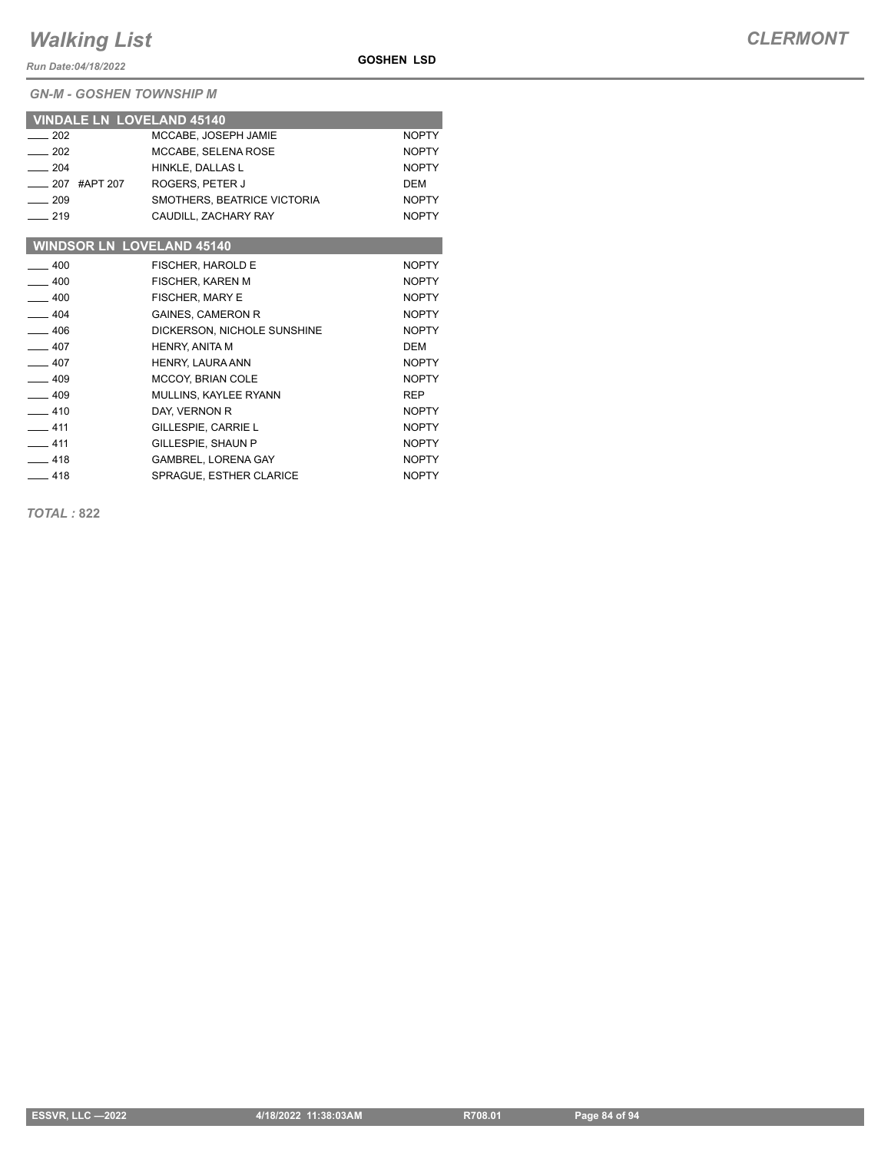*Run Date:04/18/2022*

*GN-M - GOSHEN TOWNSHIP M*

| <b>VINDALE LN LOVELAND 45140</b> |                             |              |
|----------------------------------|-----------------------------|--------------|
| 202                              | MCCABE, JOSEPH JAMIE        | <b>NOPTY</b> |
| $-202$                           | MCCABE, SELENA ROSE         | <b>NOPTY</b> |
| $-204$                           | HINKLE, DALLAS L            | <b>NOPTY</b> |
| __ 207 #APT 207                  | ROGERS, PETER J             | <b>DEM</b>   |
| $-209$                           | SMOTHERS, BEATRICE VICTORIA | <b>NOPTY</b> |
| $-219$                           | CAUDILL, ZACHARY RAY        | <b>NOPTY</b> |
|                                  |                             |              |
| <b>WINDSOR LN LOVELAND 45140</b> |                             |              |
| $-400$                           | FISCHER, HAROLD E           | <b>NOPTY</b> |
| $-400$                           | FISCHER, KAREN M            | <b>NOPTY</b> |
| $-400$                           | <b>FISCHER, MARY E</b>      | <b>NOPTY</b> |
| $-404$                           | <b>GAINES, CAMERON R</b>    | <b>NOPTY</b> |
| $-406$                           | DICKERSON, NICHOLE SUNSHINE | <b>NOPTY</b> |
| $-407$                           | HENRY, ANITA M              | <b>DEM</b>   |
| $-407$                           | HENRY, LAURA ANN            | <b>NOPTY</b> |
| $-409$                           | MCCOY, BRIAN COLE           | <b>NOPTY</b> |
| $-409$                           | MULLINS, KAYLEE RYANN       | <b>REP</b>   |
| $-410$                           | DAY, VERNON R               | <b>NOPTY</b> |
| $-411$                           | GILLESPIE, CARRIE L         | <b>NOPTY</b> |
| $-411$                           | GILLESPIE, SHAUN P          | <b>NOPTY</b> |

All 418 GAMBREL, LORENA GAY And the MOPTY 418 SPRAGUE, ESTHER CLARICE NOPTY

**GOSHEN LSD**

*TOTAL :* **822**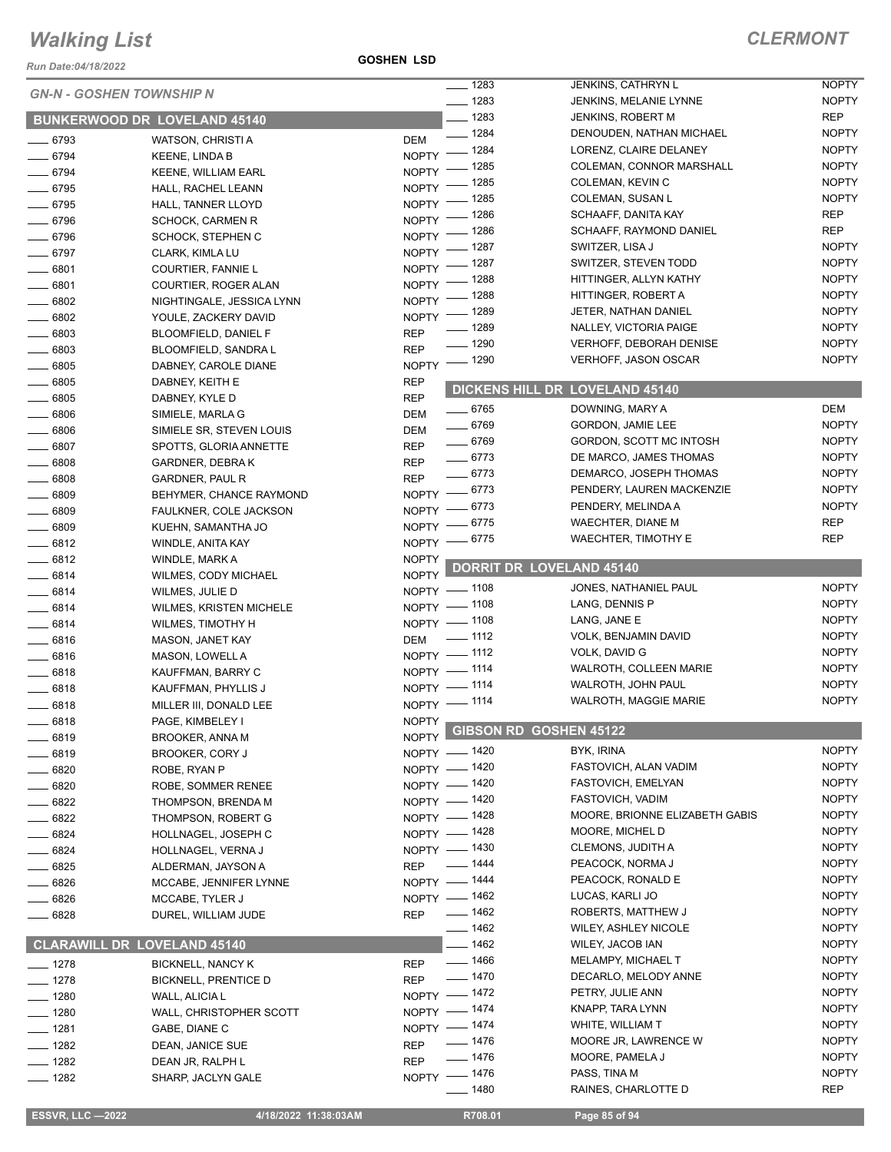*Run Date:04/18/2022*

**GOSHEN LSD**

|                                 |                                            |              | $- 1283$           | <b>JENKINS, CATHRYN L</b>       | <b>NOPTY</b> |
|---------------------------------|--------------------------------------------|--------------|--------------------|---------------------------------|--------------|
| <b>GN-N - GOSHEN TOWNSHIP N</b> |                                            |              | $- 1283$           | JENKINS, MELANIE LYNNE          | <b>NOPTY</b> |
|                                 | <b>BUNKERWOOD DR LOVELAND 45140</b>        |              | $- 1283$           | <b>JENKINS, ROBERT M</b>        | <b>REP</b>   |
| $- 6793$                        | WATSON, CHRISTI A                          | DEM          | $- 1284$           | DENOUDEN, NATHAN MICHAEL        | <b>NOPTY</b> |
| $- 6794$                        | <b>KEENE, LINDA B</b>                      | $N$ OPTY $-$ | $-1284$            | LORENZ, CLAIRE DELANEY          | <b>NOPTY</b> |
| $- 6794$                        | <b>KEENE, WILLIAM EARL</b>                 | <b>NOPTY</b> | - 1285             | COLEMAN, CONNOR MARSHALL        | <b>NOPTY</b> |
| $- 6795$                        | HALL, RACHEL LEANN                         | $NOPTY =$    | _ 1285             | COLEMAN, KEVIN C                | <b>NOPTY</b> |
| $- 6795$                        | HALL, TANNER LLOYD                         | $NOPTY =$    | $-1285$            | COLEMAN, SUSAN L                | <b>NOPTY</b> |
| $- 6796$                        | <b>SCHOCK, CARMEN R</b>                    | NOPTY -      | _ 1286             | SCHAAFF, DANITA KAY             | <b>REP</b>   |
| $- 6796$                        | SCHOCK, STEPHEN C                          | NOPTY -      | _ 1286             | SCHAAFF, RAYMOND DANIEL         | <b>REP</b>   |
| $- 6797$                        | CLARK, KIMLA LU                            | NOPTY $^-$   | _ 1287             | SWITZER, LISA J                 | <b>NOPTY</b> |
| $- 6801$                        |                                            |              | NOPTY - 1287       | SWITZER, STEVEN TODD            | <b>NOPTY</b> |
| $- 6801$                        | COURTIER, FANNIE L<br>COURTIER, ROGER ALAN | $N$ OPTY -   | __ 1288            | HITTINGER, ALLYN KATHY          | <b>NOPTY</b> |
|                                 |                                            |              | NOPTY - 1288       | HITTINGER, ROBERT A             | <b>NOPTY</b> |
| $\frac{1}{2}$ 6802              | NIGHTINGALE, JESSICA LYNN                  |              | NOPTY - 1289       | JETER, NATHAN DANIEL            | <b>NOPTY</b> |
| $\frac{1}{2}$ 6802              | YOULE, ZACKERY DAVID                       |              | _ 1289             | NALLEY, VICTORIA PAIGE          | <b>NOPTY</b> |
| $- 6803$                        | BLOOMFIELD, DANIEL F                       | <b>REP</b>   | $- 1290$           | <b>VERHOFF, DEBORAH DENISE</b>  | <b>NOPTY</b> |
| $\frac{1}{2}$ 6803              | BLOOMFIELD, SANDRA L                       | <b>REP</b>   | $\frac{1}{2}$ 1290 | VERHOFF, JASON OSCAR            | <b>NOPTY</b> |
| $- 6805$                        | DABNEY, CAROLE DIANE                       | <b>NOPTY</b> |                    |                                 |              |
| $\frac{1}{2}$ 6805              | DABNEY, KEITH E                            | <b>REP</b>   |                    | DICKENS HILL DR LOVELAND 45140  |              |
| $- 6805$                        | DABNEY, KYLE D                             | <b>REP</b>   | $- 6765$           | DOWNING, MARY A                 | DEM          |
| $\frac{1}{2}$ 6806              | SIMIELE, MARLA G                           | DEM          | $- 6769$           | GORDON, JAMIE LEE               | <b>NOPTY</b> |
| $\frac{1}{2}$ 6806              | SIMIELE SR, STEVEN LOUIS                   | DEM          | $- 6769$           | GORDON, SCOTT MC INTOSH         | <b>NOPTY</b> |
| $- 6807$                        | SPOTTS, GLORIA ANNETTE                     | <b>REP</b>   | $- 6773$           | DE MARCO, JAMES THOMAS          | <b>NOPTY</b> |
| $- 6808$                        | GARDNER, DEBRA K                           | <b>REP</b>   | $- 6773$           | DEMARCO, JOSEPH THOMAS          | <b>NOPTY</b> |
| $- 6808$                        | <b>GARDNER, PAUL R</b>                     | <b>REP</b>   |                    | PENDERY, LAUREN MACKENZIE       | <b>NOPTY</b> |
| $\frac{1}{2}$ 6809              | BEHYMER, CHANCE RAYMOND                    |              | NOPTY -8773        | PENDERY, MELINDA A              | <b>NOPTY</b> |
| $- 6809$                        | FAULKNER, COLE JACKSON                     |              | NOPTY - 6773       | <b>WAECHTER, DIANE M</b>        | <b>REP</b>   |
| $- 6809$                        | KUEHN, SAMANTHA JO                         |              | NOPTY -8775        |                                 | <b>REP</b>   |
| $-6812$                         | WINDLE, ANITA KAY                          |              | NOPTY -8775        | WAECHTER, TIMOTHY E             |              |
| $-6812$                         | WINDLE, MARK A                             | <b>NOPTY</b> |                    | <b>DORRIT DR LOVELAND 45140</b> |              |
| $- 6814$                        | WILMES, CODY MICHAEL                       | <b>NOPTY</b> |                    |                                 |              |
| $- 6814$                        | WILMES, JULIE D                            |              | NOPTY - 1108       | JONES, NATHANIEL PAUL           | <b>NOPTY</b> |
| $-6814$                         | <b>WILMES, KRISTEN MICHELE</b>             |              | NOPTY - 1108       | LANG, DENNIS P                  | <b>NOPTY</b> |
| $- 6814$                        | WILMES, TIMOTHY H                          |              | NOPTY - 1108       | LANG, JANE E                    | <b>NOPTY</b> |
| $- 6816$                        | MASON, JANET KAY                           | DEM          | $\frac{1}{2}$ 1112 | VOLK, BENJAMIN DAVID            | <b>NOPTY</b> |
| $- 6816$                        | MASON, LOWELL A                            |              | NOPTY - 1112       | VOLK, DAVID G                   | <b>NOPTY</b> |
| $-6818$                         | KAUFFMAN, BARRY C                          |              | NOPTY - 1114       | WALROTH, COLLEEN MARIE          | <b>NOPTY</b> |
| $-6818$                         | KAUFFMAN, PHYLLIS J                        |              | NOPTY - 1114       | WALROTH, JOHN PAUL              | <b>NOPTY</b> |
| $- 6818$                        | MILLER III, DONALD LEE                     |              | NOPTY - 1114       | <b>WALROTH, MAGGIE MARIE</b>    | <b>NOPTY</b> |
| $- 6818$                        | PAGE, KIMBELEY I                           | <b>NOPTY</b> |                    | NOPTY GIBSON RD GOSHEN 45122    |              |
| __ 6819                         | <b>BROOKER, ANNA M</b>                     |              |                    |                                 |              |
| $- 6819$                        | BROOKER, CORY J                            |              | NOPTY - 1420       | BYK, IRINA                      | <b>NOPTY</b> |
| $- 6820$                        | ROBE, RYAN P                               |              | NOPTY - 1420       | FASTOVICH, ALAN VADIM           | <b>NOPTY</b> |
| $- 6820$                        | ROBE, SOMMER RENEE                         |              | NOPTY - 1420       | FASTOVICH, EMELYAN              | <b>NOPTY</b> |
| $-6822$                         | THOMPSON, BRENDA M                         |              | NOPTY - 1420       | <b>FASTOVICH, VADIM</b>         | <b>NOPTY</b> |
| $- 6822$                        | THOMPSON, ROBERT G                         |              | NOPTY - 1428       | MOORE, BRIONNE ELIZABETH GABIS  | <b>NOPTY</b> |
| $- 6824$                        | HOLLNAGEL, JOSEPH C                        |              | NOPTY - 1428       | MOORE, MICHEL D                 | <b>NOPTY</b> |
| $- 6824$                        | HOLLNAGEL, VERNA J                         |              | NOPTY - 1430       | <b>CLEMONS, JUDITH A</b>        | <b>NOPTY</b> |
| $- 6825$                        | ALDERMAN, JAYSON A                         | <b>REP</b>   | $- 1444$           | PEACOCK, NORMA J                | <b>NOPTY</b> |
| $- 6826$                        | MCCABE, JENNIFER LYNNE                     |              | NOPTY - 1444       | PEACOCK, RONALD E               | <b>NOPTY</b> |
| —— 6826                         | MCCABE, TYLER J                            |              | NOPTY - 1462       | LUCAS, KARLI JO                 | <b>NOPTY</b> |
| $- 6828$                        | DUREL, WILLIAM JUDE                        | <b>REP</b>   | $- 1462$           | ROBERTS, MATTHEW J              | <b>NOPTY</b> |
|                                 |                                            |              | $- 1462$           | <b>WILEY, ASHLEY NICOLE</b>     | <b>NOPTY</b> |
|                                 | <b>CLARAWILL DR LOVELAND 45140</b>         |              | $-1462$            | WILEY, JACOB IAN                | <b>NOPTY</b> |
| $- 1278$                        | <b>BICKNELL, NANCY K</b>                   | <b>REP</b>   | $- 1466$           | <b>MELAMPY, MICHAEL T</b>       | <b>NOPTY</b> |
| $- 1278$                        | <b>BICKNELL, PRENTICE D</b>                | <b>REP</b>   | $- 1470$           | DECARLO, MELODY ANNE            | <b>NOPTY</b> |
| $- 1280$                        | WALL, ALICIA L                             |              | NOPTY - 1472       | PETRY, JULIE ANN                | <b>NOPTY</b> |
| $- 1280$                        | WALL, CHRISTOPHER SCOTT                    |              | NOPTY - 1474       | KNAPP, TARA LYNN                | <b>NOPTY</b> |
| $- 1281$                        | GABE, DIANE C                              |              | NOPTY - 1474       | WHITE, WILLIAM T                | <b>NOPTY</b> |
| $\frac{1}{2}$ 1282              | DEAN, JANICE SUE                           | <b>REP</b>   | $- 1476$           | MOORE JR, LAWRENCE W            | <b>NOPTY</b> |
| $- 1282$                        | DEAN JR, RALPH L                           | <b>REP</b>   | $- 1476$           | MOORE, PAMELA J                 | <b>NOPTY</b> |
| $- 1282$                        | SHARP, JACLYN GALE                         |              | NOPTY - 1476       | PASS, TINA M                    | <b>NOPTY</b> |
|                                 |                                            |              | $- 1480$           | RAINES, CHARLOTTE D             | <b>REP</b>   |
|                                 |                                            |              |                    |                                 |              |

**ESSVR, LLC -2022** 4/18/2022 11:38:03AM R708.01 Page 85 of 94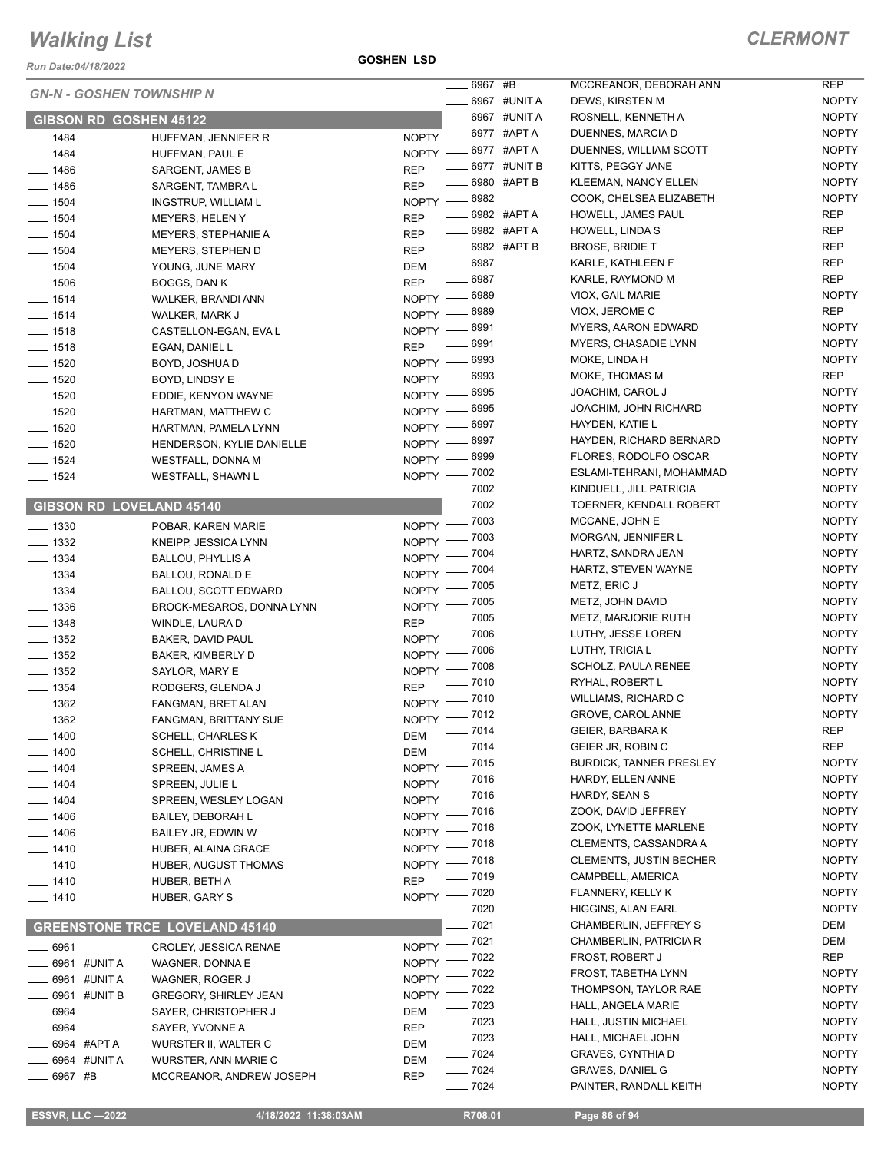*Run Date:04/18/2022*

#### **GOSHEN LSD**

| <b>CLERMONT</b> |
|-----------------|
|-----------------|

|                                   |                                       |                   | _ 6967 #B                 |                            | MCCREANOR, DEBORAH ANN                           | <b>REP</b>        |
|-----------------------------------|---------------------------------------|-------------------|---------------------------|----------------------------|--------------------------------------------------|-------------------|
|                                   | <b>GN-N - GOSHEN TOWNSHIP N</b>       |                   |                           | <b>______ 6967 #UNIT A</b> | DEWS, KIRSTEN M                                  | NOP               |
|                                   | <b>GIBSON RD GOSHEN 45122</b>         |                   |                           | ____ 6967 #UNIT A          | ROSNELL, KENNETH A                               | NOP               |
| $- 1484$                          | HUFFMAN, JENNIFER R                   | NOPTY -8977 #APTA |                           |                            | DUENNES, MARCIA D                                | NOP               |
| $- 1484$                          | HUFFMAN, PAUL E                       | NOPTY -8977 #APTA |                           |                            | DUENNES, WILLIAM SCOTT                           | NOP               |
| $- 1486$                          | SARGENT, JAMES B                      | <b>REP</b>        |                           | _ 6977   #UNIT B           | KITTS, PEGGY JANE                                | NOP               |
| $- 1486$                          | SARGENT, TAMBRA L                     | <b>REP</b>        | $\frac{1}{2}$ 6980 #APT B |                            | <b>KLEEMAN, NANCY ELLEN</b>                      | NOP               |
| $- 1504$                          | <b>INGSTRUP, WILLIAM L</b>            | NOPTY -8982       |                           |                            | COOK, CHELSEA ELIZABETH                          | NOP               |
| $- 1504$                          | <b>MEYERS, HELEN Y</b>                | <b>REP</b>        | <b>____ 6982 #APT A</b>   |                            | <b>HOWELL, JAMES PAUL</b>                        | <b>REP</b>        |
| $- 1504$                          | <b>MEYERS, STEPHANIE A</b>            | <b>REP</b>        | <b>_____ 6982 #APT A</b>  |                            | HOWELL, LINDA S                                  | <b>REP</b>        |
| $\frac{1}{2}$ 1504                | MEYERS, STEPHEN D                     | REP               | -6982 #APT B              |                            | <b>BROSE, BRIDIE T</b>                           | <b>REP</b>        |
| $- 1504$                          | YOUNG, JUNE MARY                      | DEM               | $- 6987$                  |                            | KARLE, KATHLEEN F                                | <b>REP</b>        |
| $- 1506$                          | BOGGS, DAN K                          | <b>REP</b>        | $- 6987$                  |                            | KARLE, RAYMOND M                                 | <b>REP</b>        |
| $- 1514$                          | WALKER, BRANDI ANN                    | NOPTY - 6989      |                           |                            | VIOX, GAIL MARIE                                 | NOP               |
| $- 1514$                          | WALKER, MARK J                        | NOPTY - 6989      |                           |                            | VIOX, JEROME C                                   | <b>REP</b>        |
| $- 1518$                          | CASTELLON-EGAN, EVA L                 | NOPTY - 6991      |                           |                            | <b>MYERS, AARON EDWARD</b>                       | NOP               |
| $- 1518$                          | EGAN, DANIEL L                        | <b>REP</b>        | $-6991$                   |                            | MYERS, CHASADIE LYNN                             | NOP               |
| $- 1520$                          | BOYD, JOSHUA D                        | NOPTY - 6993      |                           |                            | MOKE, LINDA H                                    | NOP               |
| $- 1520$                          | BOYD, LINDSY E                        | NOPTY - 6993      |                           |                            | MOKE, THOMAS M                                   | <b>REP</b>        |
| $- 1520$                          | EDDIE, KENYON WAYNE                   | NOPTY - 6995      |                           |                            | JOACHIM, CAROL J                                 | NOP               |
| $- 1520$                          | HARTMAN, MATTHEW C                    | NOPTY - 6995      |                           |                            | JOACHIM, JOHN RICHARD                            | NOP               |
| $- 1520$                          | HARTMAN, PAMELA LYNN                  | NOPTY -8997       |                           |                            | HAYDEN, KATIE L                                  | NOP               |
| $- 1520$                          | HENDERSON, KYLIE DANIELLE             | NOPTY - 6997      |                           |                            | HAYDEN, RICHARD BERNARD                          | NOP               |
| $- 1524$                          | <b>WESTFALL, DONNA M</b>              | NOPTY - 6999      |                           |                            | FLORES, RODOLFO OSCAR                            | NOP               |
| $- 1524$                          | WESTFALL, SHAWN L                     | NOPTY - 7002      |                           |                            | ESLAMI-TEHRANI, MOHAMMAD                         | NOP               |
|                                   |                                       |                   | $\frac{1}{2}$ 7002        |                            | KINDUELL, JILL PATRICIA                          | NOP               |
|                                   | <b>GIBSON RD LOVELAND 45140</b>       |                   | $- 7002$                  |                            | TOERNER, KENDALL ROBERT                          | NOP               |
| $\frac{1}{2}$ 1330                | POBAR, KAREN MARIE                    | NOPTY - 7003      |                           |                            | MCCANE, JOHN E                                   | NOP               |
| $\equiv$ 1332                     | KNEIPP, JESSICA LYNN                  | NOPTY - 7003      |                           |                            | MORGAN, JENNIFER L                               | NOP               |
| $\frac{1}{2}$ 1334                | <b>BALLOU, PHYLLIS A</b>              | NOPTY - 7004      |                           |                            | HARTZ, SANDRA JEAN                               | NOP               |
| $\equiv$ 1334                     | BALLOU, RONALD E                      | NOPTY - 7004      |                           |                            | HARTZ, STEVEN WAYNE                              | NOP               |
| $- 1334$                          | <b>BALLOU, SCOTT EDWARD</b>           | NOPTY - 7005      |                           |                            | METZ, ERIC J                                     | NOP               |
| $\frac{1}{2}$ 1336                | BROCK-MESAROS, DONNA LYNN             | $N$ OPTY $-$      | $=7005$                   |                            | METZ, JOHN DAVID                                 | NOP               |
| $- 1348$                          | WINDLE, LAURA D                       | <b>REP</b>        | $=7005$                   |                            | METZ, MARJORIE RUTH                              | NOP               |
| $\frac{1}{2}$ 1352                | BAKER, DAVID PAUL                     | NOPTY - 7006      |                           |                            | LUTHY, JESSE LOREN                               | NOP               |
| $\frac{1}{2}$ 1352                | BAKER, KIMBERLY D                     | NOPTY - 7006      |                           |                            | LUTHY, TRICIA L                                  | NOP               |
| $- 1352$                          | SAYLOR, MARY E                        | NOPTY - 7008      |                           |                            | SCHOLZ, PAULA RENEE                              | NOP               |
| $- 1354$                          | RODGERS, GLENDA J                     | <b>REP</b>        | $- 7010$                  |                            | RYHAL, ROBERT L                                  | NOP               |
| $- 1362$                          | FANGMAN, BRET ALAN                    | NOPTY - 7010      |                           |                            | WILLIAMS, RICHARD C                              | NOP               |
| $-1362$                           | FANGMAN, BRITTANY SUE                 | NOPTY - 7012      |                           |                            | GROVE, CAROL ANNE                                | NOP               |
| $- 1400$                          | <b>SCHELL, CHARLES K</b>              | DEM               | $- 7014$                  |                            | GEIER, BARBARA K                                 | <b>REP</b>        |
| $- 1400$                          | SCHELL, CHRISTINE L                   | DEM               | $- 7014$                  |                            | GEIER JR, ROBIN C                                | <b>REP</b>        |
| $- 1404$                          | SPREEN, JAMES A                       | NOPTY - 7015      |                           |                            | <b>BURDICK, TANNER PRESLEY</b>                   | NOP               |
| $- 1404$                          | SPREEN, JULIE L                       | NOPTY - 7016      |                           |                            | HARDY, ELLEN ANNE                                | NOP               |
| $- 1404$                          | SPREEN, WESLEY LOGAN                  | NOPTY - 7016      |                           |                            | HARDY, SEAN S                                    | NOP               |
| $- 1406$                          | BAILEY, DEBORAH L                     | NOPTY - 7016      |                           |                            | ZOOK, DAVID JEFFREY                              | NOP               |
| $- 1406$                          | BAILEY JR, EDWIN W                    | NOPTY - 7016      |                           |                            | ZOOK, LYNETTE MARLENE                            | NOP               |
| $- 1410$                          | HUBER, ALAINA GRACE                   | NOPTY - 7018      |                           |                            | CLEMENTS, CASSANDRA A                            | NOP               |
| $- 1410$                          | HUBER, AUGUST THOMAS                  | NOPTY - 7018      |                           |                            | <b>CLEMENTS, JUSTIN BECHER</b>                   | NOP               |
| $- 1410$                          | HUBER, BETH A                         | <b>REP</b>        | $- 7019$                  |                            | CAMPBELL, AMERICA                                | NOP               |
| $- 1410$                          | <b>HUBER, GARY S</b>                  | NOPTY - 7020      |                           |                            | FLANNERY, KELLY K                                | NOP               |
|                                   |                                       |                   | - 7020                    |                            | HIGGINS, ALAN EARL                               | NOP<br><b>DEM</b> |
|                                   | <b>GREENSTONE TRCE LOVELAND 45140</b> |                   | $-7021$                   |                            | CHAMBERLIN, JEFFREY S                            |                   |
| $-6961$                           | <b>CROLEY, JESSICA RENAE</b>          | NOPTY -           | $-7021$                   |                            | CHAMBERLIN, PATRICIA R                           | <b>DEM</b>        |
| <b>COMPASHED 44 TO A 44 THE A</b> | WAGNER, DONNA E                       | NOPTY -           | - 7022                    |                            | FROST, ROBERT J                                  | <b>REP</b><br>NOP |
| — 6961 #UNIT A                    | WAGNER, ROGER J                       | NOPTY -           | - 7022                    |                            | FROST, TABETHA LYNN                              |                   |
| — 6961 #UNIT B                    | <b>GREGORY, SHIRLEY JEAN</b>          | NOPTY - 7022      |                           |                            | THOMPSON, TAYLOR RAE                             | NOP<br>NOP        |
| $-6964$                           | SAYER, CHRISTOPHER J                  | DEM               | $-7023$                   |                            | HALL, ANGELA MARIE                               | NOP               |
| __ 6964                           | SAYER, YVONNE A                       | <b>REP</b>        | $- 7023$                  |                            | HALL, JUSTIN MICHAEL                             |                   |
| ____ 6964 #APT A                  | WURSTER II, WALTER C                  | DEM               | $- 7023$                  |                            | HALL, MICHAEL JOHN                               | NOP<br>NOP        |
| _____ 6964 #UNIT A                | WURSTER, ANN MARIE C                  | DEM               | $- 7024$<br>$- 7024$      |                            | <b>GRAVES, CYNTHIA D</b>                         | NOP               |
| $- 6967$ #B                       | MCCREANOR, ANDREW JOSEPH              | <b>REP</b>        | 702 <sub>A</sub>          |                            | <b>GRAVES, DANIEL G</b><br>PAINTER RANDALL KEITH | NOP               |

|              | 6967 #UNIT A | DEWS, KIRSTEN M                           | <b>NOPTY</b>          |
|--------------|--------------|-------------------------------------------|-----------------------|
| 6967         | #UNIT A      | ROSNELL, KENNETH A                        | NOPTY                 |
| 6977         | #APT A       | DUENNES, MARCIA D                         | <b>NOPTY</b>          |
| 6977         | #APT A       | DUENNES, WILLIAM SCOTT                    | <b>NOPTY</b>          |
| 6977         | #UNIT B      | KITTS, PEGGY JANE                         | <b>NOPTY</b>          |
| 6980         | #APT B       | <b>KLEEMAN, NANCY ELLEN</b>               | <b>NOPTY</b>          |
| 6982         |              | COOK, CHELSEA ELIZABETH                   | <b>NOPTY</b>          |
|              | 6982 #APTA   | HOWELL, JAMES PAUL                        | REP                   |
|              | 6982 #APTA   | HOWELL, LINDA S                           | REP                   |
|              | 6982 #APT B  | <b>BROSE, BRIDIE T</b>                    | <b>REP</b>            |
| 6987         |              | KARLE, KATHLEEN F                         | REP                   |
| 6987         |              | KARLE, RAYMOND M                          | <b>REP</b>            |
| 6989         |              | VIOX, GAIL MARIE                          | <b>NOPTY</b>          |
| 6989         |              | VIOX, JEROME C                            | REP                   |
| 6991         |              | <b>MYERS, AARON EDWARD</b>                | <b>NOPTY</b>          |
| 6991         |              | MYERS, CHASADIE LYNN                      | <b>NOPTY</b>          |
| 6993         |              | MOKE, LINDA H                             | <b>NOPTY</b>          |
| 6993         |              | MOKE, THOMAS M                            | REP                   |
| 6995         |              | <b>JOACHIM. CAROL J</b>                   | <b>NOPTY</b>          |
| 6995         |              | JOACHIM, JOHN RICHARD                     | <b>NOPTY</b>          |
| 6997         |              | HAYDEN. KATIE L                           | <b>NOPTY</b>          |
| 6997         |              | HAYDEN, RICHARD BERNARD                   | <b>NOPTY</b>          |
| 6999         |              | FLORES, RODOLFO OSCAR                     | <b>NOPTY</b>          |
| 7002         |              | ESLAMI-TEHRANI, MOHAMMAD                  | <b>NOPTY</b>          |
| 7002         |              | KINDUELL, JILL PATRICIA                   | <b>NOPTY</b>          |
| 7002         |              | TOERNER, KENDALL ROBERT                   | <b>NOPTY</b>          |
| 7003         |              | MCCANE, JOHN E                            | <b>NOPTY</b>          |
| 7003         |              | MORGAN, JENNIFER L                        | <b>NOPTY</b>          |
| 7004         |              | HARTZ, SANDRA JEAN                        | <b>NOPTY</b>          |
| 7004         |              | HARTZ, STEVEN WAYNE                       | <b>NOPTY</b>          |
| 7005         |              | METZ, ERIC J                              | <b>NOPTY</b>          |
| 7005         |              | METZ, JOHN DAVID                          | <b>NOPTY</b>          |
| 7005         |              | <b>METZ, MARJORIE RUTH</b>                | <b>NOPTY</b>          |
| 7006         |              | LUTHY, JESSE LOREN                        | <b>NOPTY</b>          |
| 7006         |              | LUTHY, TRICIA L                           | <b>NOPTY</b>          |
| 7008         |              | SCHOLZ, PAULA RENEE                       | <b>NOPTY</b>          |
| 7010         |              | RYHAL, ROBERT L                           | <b>NOPTY</b>          |
| 7010         |              | <b>WILLIAMS, RICHARD C</b>                | <b>NOPTY</b>          |
| 7012         |              | GROVE, CAROL ANNE                         | NOPTY                 |
| 7014         |              | GEIER, BARBARA K                          | <b>REP</b>            |
| 7014         |              | GEIER JR, ROBIN C                         | REP                   |
| 7015         |              | <b>BURDICK, TANNER PRESLEY</b>            | NOPTY                 |
| 7016         |              | HARDY, ELLEN ANNE<br><b>HARDY, SEAN S</b> | <b>NOPTY</b>          |
| 7016         |              | ZOOK, DAVID JEFFREY                       | NOPTY                 |
| 7016<br>7016 |              | ZOOK, LYNETTE MARLENE                     | NOPTY<br><b>NOPTY</b> |
| 7018         |              | CLEMENTS, CASSANDRA A                     | NOPTY                 |
| 7018         |              | <b>CLEMENTS, JUSTIN BECHER</b>            | <b>NOPTY</b>          |
| 7019         |              | CAMPBELL, AMERICA                         | <b>NOPTY</b>          |
| 7020         |              | FLANNERY, KELLY K                         | <b>NOPTY</b>          |
| 7020         |              | HIGGINS, ALAN EARL                        | NOPTY                 |
| 7021         |              | CHAMBERLIN, JEFFREY S                     | DEM                   |
| 7021         |              | CHAMBERLIN, PATRICIA R                    | DEM                   |
| 7022         |              | FROST, ROBERT J                           | REP                   |
| 7022         |              | FROST, TABETHA LYNN                       | NOPTY                 |
| 7022         |              | THOMPSON, TAYLOR RAE                      | <b>NOPTY</b>          |
| 7023         |              | HALL, ANGELA MARIE                        | <b>NOPTY</b>          |
| 7023         |              | HALL, JUSTIN MICHAEL                      | <b>NOPTY</b>          |
| 7023         |              | HALL, MICHAEL JOHN                        | NOPTY                 |
| 7024         |              | <b>GRAVES, CYNTHIA D</b>                  | NOPTY                 |
| 7024         |              | <b>GRAVES, DANIEL G</b>                   | NOPTY                 |
| 7024         |              | PAINTER, RANDALL KEITH                    | NOPTY                 |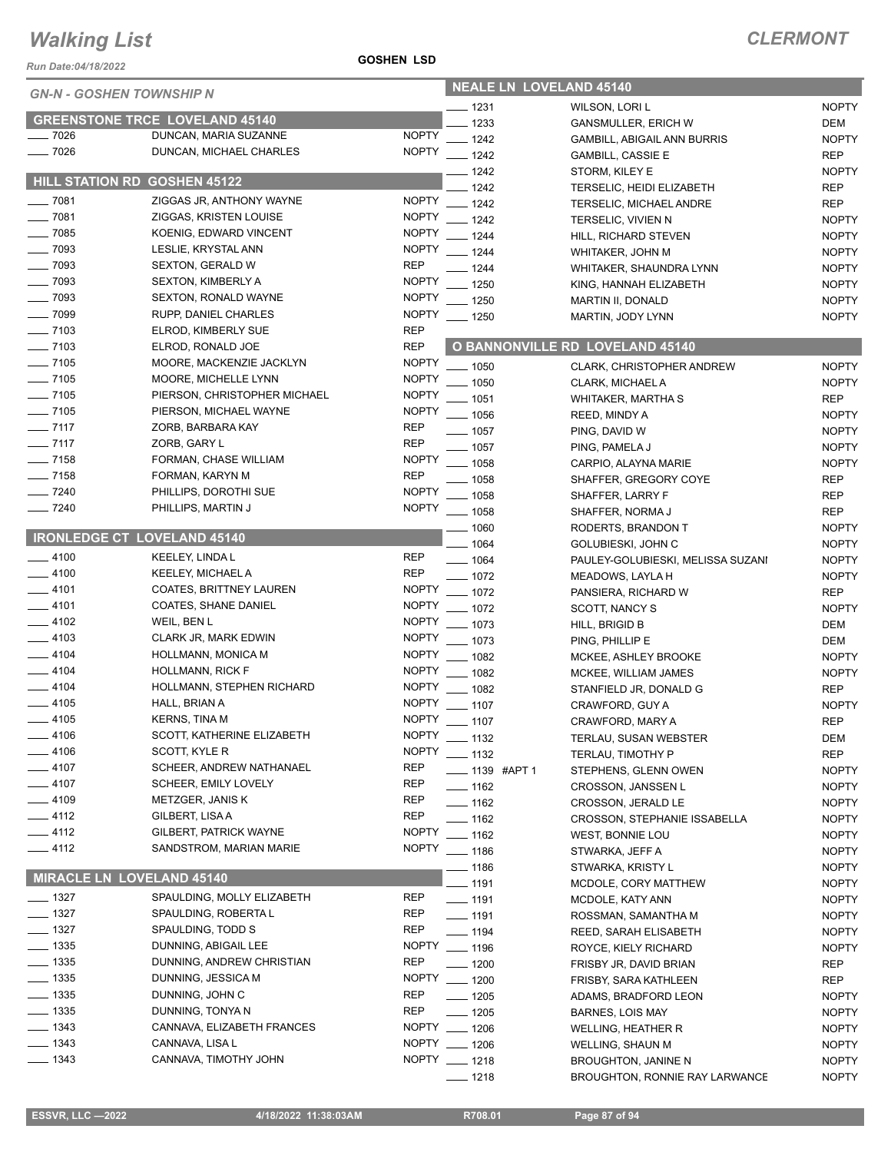*Run Date:04/18/2022*

#### **GOSHEN LSD**

| <b>GN-N - GOSHEN TOWNSHIP N</b>     |                                       |               | <b>NEALE LN LOVELAND 45140</b> |                    |  |                                        |              |
|-------------------------------------|---------------------------------------|---------------|--------------------------------|--------------------|--|----------------------------------------|--------------|
|                                     |                                       |               |                                | $-1231$            |  | WILSON, LORI L                         | <b>NOPTY</b> |
|                                     | <b>GREENSTONE TRCE LOVELAND 45140</b> |               |                                | 1233               |  | <b>GANSMULLER, ERICH W</b>             | <b>DEM</b>   |
| $-7026$                             | DUNCAN, MARIA SUZANNE                 | <b>NOPTY</b>  |                                | $-1242$            |  | GAMBILL, ABIGAIL ANN BURRIS            | <b>NOPTY</b> |
| $-7026$                             | DUNCAN, MICHAEL CHARLES               | <b>NOPTY</b>  |                                | $-1242$            |  | <b>GAMBILL, CASSIE E</b>               | <b>REP</b>   |
|                                     |                                       |               |                                | $-1242$            |  | STORM, KILEY E                         | <b>NOPTY</b> |
| <b>HILL STATION RD GOSHEN 45122</b> |                                       |               |                                | $-1242$            |  | TERSELIC, HEIDI ELIZABETH              | <b>REP</b>   |
| $- 7081$                            | ZIGGAS JR, ANTHONY WAYNE              | <b>NOPTY</b>  |                                | $-1242$            |  | TERSELIC, MICHAEL ANDRE                | <b>REP</b>   |
| $- 7081$                            | ZIGGAS, KRISTEN LOUISE                | <b>NOPTY</b>  |                                | $-1242$            |  | TERSELIC, VIVIEN N                     | <b>NOPTY</b> |
| $- 7085$                            | KOENIG, EDWARD VINCENT                | <b>NOPTY</b>  |                                | $- 1244$           |  | HILL, RICHARD STEVEN                   | <b>NOPTY</b> |
| $- 7093$                            | LESLIE, KRYSTAL ANN                   | <b>NOPTY</b>  |                                | $- 1244$           |  | WHITAKER, JOHN M                       | <b>NOPTY</b> |
| $-7093$                             | <b>SEXTON, GERALD W</b>               | <b>REP</b>    |                                | $-1244$            |  | WHITAKER, SHAUNDRA LYNN                | <b>NOPTY</b> |
| $-7093$                             | <b>SEXTON, KIMBERLY A</b>             | <b>NOPTY</b>  |                                | $-1250$            |  | KING, HANNAH ELIZABETH                 | <b>NOPTY</b> |
| $-7093$                             | <b>SEXTON, RONALD WAYNE</b>           | <b>NOPTY</b>  |                                | $-1250$            |  | MARTIN II, DONALD                      | <b>NOPTY</b> |
| $- 7099$                            | RUPP, DANIEL CHARLES                  | <b>NOPTY</b>  |                                | $- 1250$           |  | MARTIN, JODY LYNN                      | <b>NOPTY</b> |
| $- 7103$                            | ELROD, KIMBERLY SUE                   | <b>REP</b>    |                                |                    |  |                                        |              |
| $\frac{1}{2}$ 7103                  | ELROD, RONALD JOE                     | <b>REP</b>    |                                |                    |  | <b>O BANNONVILLE RD LOVELAND 45140</b> |              |
| $- 7105$                            | MOORE, MACKENZIE JACKLYN              | <b>NOPTY</b>  |                                | $- 1050$           |  | CLARK, CHRISTOPHER ANDREW              | <b>NOPTY</b> |
| $- 7105$                            | MOORE, MICHELLE LYNN                  | <b>NOPTY</b>  |                                | $-1050$            |  | CLARK, MICHAEL A                       | <b>NOPTY</b> |
| $- 7105$                            | PIERSON, CHRISTOPHER MICHAEL          | <b>NOPTY</b>  |                                | $-1051$            |  | <b>WHITAKER, MARTHA S</b>              | <b>REP</b>   |
| $- 7105$                            | PIERSON, MICHAEL WAYNE                | <b>NOPTY</b>  |                                | $-1056$            |  | REED, MINDY A                          | <b>NOPTY</b> |
| $- 7117$                            | ZORB, BARBARA KAY                     | <b>REP</b>    |                                | $-1057$            |  | PING, DAVID W                          | <b>NOPTY</b> |
| $- 7117$                            | ZORB, GARY L                          | <b>REP</b>    |                                | $-1057$            |  | PING, PAMELA J                         | <b>NOPTY</b> |
| $- 7158$                            | FORMAN, CHASE WILLIAM                 | <b>NOPTY</b>  |                                | $-1058$            |  | CARPIO, ALAYNA MARIE                   | <b>NOPTY</b> |
| $- 7158$                            | FORMAN, KARYN M                       | <b>REP</b>    |                                | $-1058$            |  | SHAFFER, GREGORY COYE                  | <b>REP</b>   |
| $- 7240$                            | PHILLIPS, DOROTHI SUE                 | <b>NOPTY</b>  |                                | $-1058$            |  | SHAFFER, LARRY F                       | <b>REP</b>   |
| $- 7240$                            | PHILLIPS, MARTIN J                    | <b>NOPTY</b>  |                                | $-1058$            |  | SHAFFER, NORMA J                       | <b>REP</b>   |
|                                     |                                       |               |                                | 1060               |  | RODERTS, BRANDON T                     | <b>NOPTY</b> |
| <b>IRONLEDGE CT LOVELAND 45140</b>  |                                       |               |                                | 1064               |  | GOLUBIESKI, JOHN C                     | <b>NOPTY</b> |
| $-4100$                             | <b>KEELEY, LINDA L</b>                | <b>REP</b>    |                                | $- 1064$           |  | PAULEY-GOLUBIESKI, MELISSA SUZANI      | <b>NOPTY</b> |
| $-4100$                             | KEELEY, MICHAEL A                     | <b>REP</b>    |                                | $- 1072$           |  | MEADOWS, LAYLA H                       | <b>NOPTY</b> |
| $-4101$                             | COATES, BRITTNEY LAUREN               | <b>NOPTY</b>  |                                | $-1072$            |  | PANSIERA, RICHARD W                    | <b>REP</b>   |
| $-4101$                             | <b>COATES, SHANE DANIEL</b>           | <b>NOPTY</b>  |                                | $-1072$            |  | SCOTT, NANCY S                         | <b>NOPTY</b> |
| $-4102$                             | WEIL, BEN L                           | <b>NOPTY</b>  |                                | $-1073$            |  | HILL, BRIGID B                         | <b>DEM</b>   |
| $-4103$                             | CLARK JR, MARK EDWIN                  | <b>NOPTY</b>  |                                | $-1073$            |  | PING, PHILLIP E                        | DEM          |
| $-4104$                             | HOLLMANN, MONICA M                    | <b>NOPTY</b>  |                                | $-1082$            |  | MCKEE, ASHLEY BROOKE                   | <b>NOPTY</b> |
| $-4104$                             | <b>HOLLMANN, RICK F</b>               | <b>NOPTY</b>  |                                | $- 1082$           |  | MCKEE, WILLIAM JAMES                   | <b>NOPTY</b> |
| $-4104$                             | HOLLMANN, STEPHEN RICHARD             | <b>NOPTY</b>  |                                | $- 1082$           |  | STANFIELD JR, DONALD G                 | <b>REP</b>   |
| $-4105$                             | HALL, BRIAN A                         | <b>NOPTY</b>  |                                | $- 1107$           |  | CRAWFORD, GUY A                        | <b>NOPTY</b> |
| $-4105$                             | <b>KERNS, TINA M</b>                  | <b>NOPTY</b>  |                                | $- 1107$           |  | CRAWFORD, MARY A                       | <b>REP</b>   |
| $-4106$                             | SCOTT, KATHERINE ELIZABETH            | <b>NOPTY</b>  |                                | $\frac{1}{2}$ 1132 |  | TERLAU, SUSAN WEBSTER                  | <b>DEM</b>   |
| $-4106$                             | SCOTT, KYLE R                         | <b>NOPTY</b>  |                                | $\frac{1}{2}$ 1132 |  | TERLAU, TIMOTHY P                      | <b>REP</b>   |
| $-4107$                             | SCHEER, ANDREW NATHANAEL              | <b>REP</b>    |                                | ____ 1139 #APT 1   |  | STEPHENS, GLENN OWEN                   | <b>NOPTY</b> |
| $-4107$                             | SCHEER, EMILY LOVELY                  | REP           |                                | $- 1162$           |  | <b>CROSSON, JANSSEN L</b>              | <b>NOPTY</b> |
| ___ 4109                            | METZGER, JANIS K                      | REP           |                                | $- 1162$           |  | CROSSON, JERALD LE                     | <b>NOPTY</b> |
| — 4112                              | GILBERT, LISA A                       | <b>REP</b>    |                                | ___ 1162           |  | <b>CROSSON, STEPHANIE ISSABELLA</b>    | <b>NOPTY</b> |
| $-4112$                             | GILBERT, PATRICK WAYNE                | <b>NOPTY</b>  |                                | $-1162$            |  | WEST, BONNIE LOU                       | <b>NOPTY</b> |
| $-4112$                             | SANDSTROM, MARIAN MARIE               | NOPTY __ 1186 |                                |                    |  | STWARKA, JEFF A                        | <b>NOPTY</b> |
|                                     |                                       |               |                                | — 1186             |  | STWARKA, KRISTY L                      | <b>NOPTY</b> |
| <b>MIRACLE LN LOVELAND 45140</b>    |                                       |               |                                | $-1191$            |  | MCDOLE, CORY MATTHEW                   | <b>NOPTY</b> |
| $- 1327$                            | SPAULDING, MOLLY ELIZABETH            | REP           |                                | $- 1191$           |  | MCDOLE, KATY ANN                       | <b>NOPTY</b> |
| $\frac{1}{2}$ 1327                  | SPAULDING, ROBERTA L                  | REP           |                                | $\frac{1}{2}$ 1191 |  | ROSSMAN, SAMANTHA M                    | <b>NOPTY</b> |
| $\frac{1}{2}$ 1327                  | SPAULDING, TODD S                     | REP           |                                | $- 1194$           |  | REED, SARAH ELISABETH                  | <b>NOPTY</b> |
| $\frac{1}{2}$ 1335                  | DUNNING, ABIGAIL LEE                  | NOPTY __ 1196 |                                |                    |  | ROYCE, KIELY RICHARD                   | <b>NOPTY</b> |
| $\frac{1}{2}$ 1335                  | DUNNING, ANDREW CHRISTIAN             | <b>REP</b>    |                                | $- 1200$           |  | FRISBY JR, DAVID BRIAN                 | <b>REP</b>   |
| $\frac{1}{2}$ 1335                  | DUNNING, JESSICA M                    | NOPTY __ 1200 |                                |                    |  | FRISBY, SARA KATHLEEN                  | <b>REP</b>   |
| $\frac{1}{2}$ 1335                  | DUNNING, JOHN C                       | <b>REP</b>    |                                | $- 1205$           |  | ADAMS, BRADFORD LEON                   | <b>NOPTY</b> |
| $\frac{1}{2}$ 1335                  | DUNNING, TONYA N                      | <b>REP</b>    |                                | $- 1205$           |  | <b>BARNES, LOIS MAY</b>                | <b>NOPTY</b> |
| $- 1343$                            | CANNAVA, ELIZABETH FRANCES            | NOPTY __ 1206 |                                |                    |  | <b>WELLING, HEATHER R</b>              | <b>NOPTY</b> |
| $\frac{1}{2}$ 1343                  | CANNAVA, LISA L                       | NOPTY __ 1206 |                                |                    |  | <b>WELLING, SHAUN M</b>                | <b>NOPTY</b> |
| $- 1343$                            | CANNAVA, TIMOTHY JOHN                 | NOPTY __ 1218 |                                |                    |  | BROUGHTON, JANINE N                    | <b>NOPTY</b> |
|                                     |                                       |               |                                | __ 1218            |  | BROUGHTON, RONNIE RAY LARWANCE         | <b>NOPTY</b> |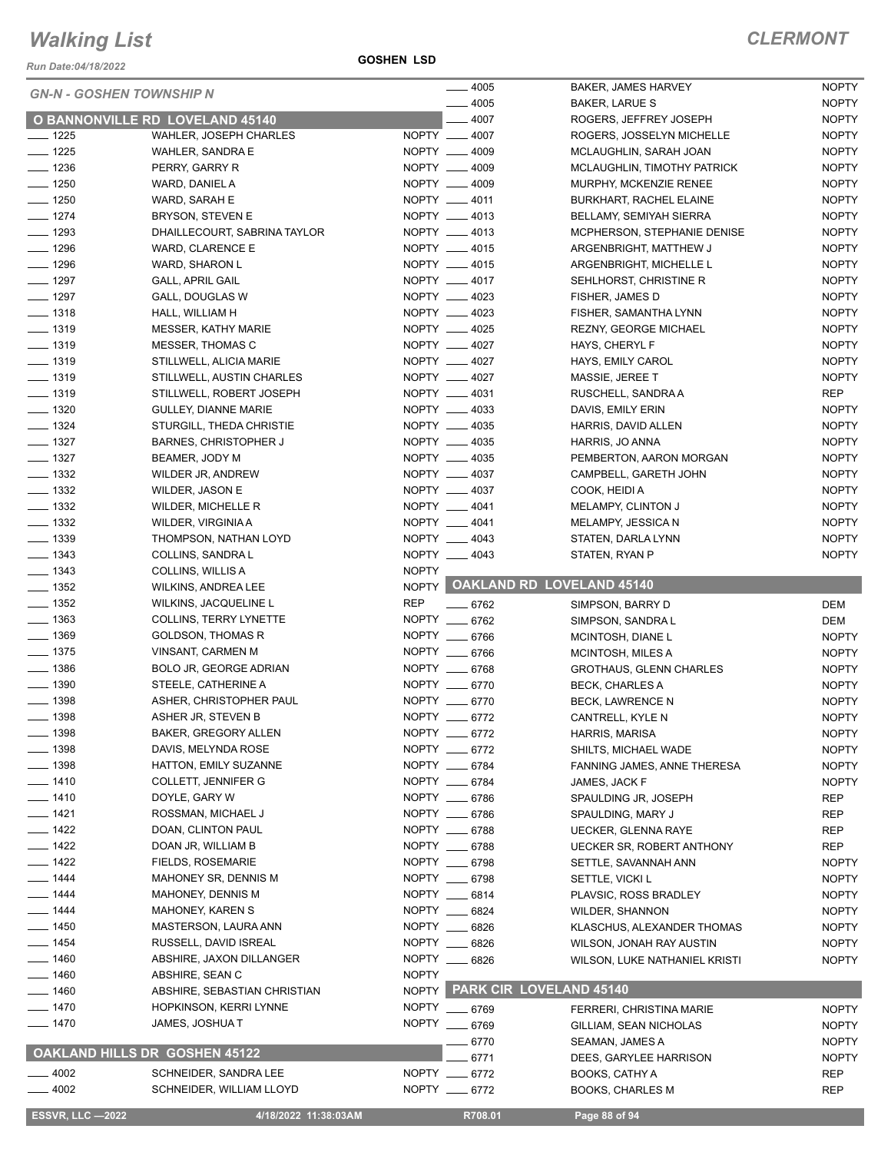*Run Date:04/18/2022*

**GOSHEN LSD**

|                                 |                                      |              | $-4005$       | BAKER, JAMES HARVEY              | <b>NOPTY</b> |
|---------------------------------|--------------------------------------|--------------|---------------|----------------------------------|--------------|
| <b>GN-N - GOSHEN TOWNSHIP N</b> |                                      |              | $-4005$       |                                  | <b>NOPTY</b> |
|                                 |                                      |              |               | BAKER, LARUE S                   |              |
|                                 | O BANNONVILLE RD LOVELAND 45140      |              | $-4007$       | ROGERS, JEFFREY JOSEPH           | <b>NOPTY</b> |
| $- 1225$                        | WAHLER, JOSEPH CHARLES               |              | NOPTY __ 4007 | ROGERS, JOSSELYN MICHELLE        | <b>NOPTY</b> |
| $- 1225$                        | WAHLER, SANDRA E                     |              | NOPTY __ 4009 | MCLAUGHLIN, SARAH JOAN           | <b>NOPTY</b> |
| $\frac{1}{2}$ 1236              | PERRY, GARRY R                       |              | NOPTY __ 4009 | MCLAUGHLIN, TIMOTHY PATRICK      | <b>NOPTY</b> |
| $- 1250$                        | WARD, DANIEL A                       |              | NOPTY __ 4009 | MURPHY, MCKENZIE RENEE           | <b>NOPTY</b> |
| $- 1250$                        | WARD, SARAH E                        |              | NOPTY __ 4011 | BURKHART, RACHEL ELAINE          | <b>NOPTY</b> |
| $- 1274$                        | BRYSON, STEVEN E                     |              | NOPTY __ 4013 | BELLAMY, SEMIYAH SIERRA          | <b>NOPTY</b> |
| $- 1293$                        | DHAILLECOURT, SABRINA TAYLOR         |              | NOPTY __ 4013 | MCPHERSON, STEPHANIE DENISE      | <b>NOPTY</b> |
| $- 1296$                        | WARD, CLARENCE E                     |              | NOPTY __ 4015 | ARGENBRIGHT, MATTHEW J           | <b>NOPTY</b> |
|                                 |                                      |              |               |                                  |              |
| $- 1296$                        | WARD, SHARON L                       |              | NOPTY __ 4015 | ARGENBRIGHT, MICHELLE L          | <b>NOPTY</b> |
| $- 1297$                        | <b>GALL, APRIL GAIL</b>              |              | NOPTY __ 4017 | SEHLHORST, CHRISTINE R           | <b>NOPTY</b> |
| $- 1297$                        | GALL, DOUGLAS W                      |              | NOPTY __ 4023 | FISHER, JAMES D                  | <b>NOPTY</b> |
| $- 1318$                        | HALL, WILLIAM H                      |              | NOPTY __ 4023 | FISHER, SAMANTHA LYNN            | <b>NOPTY</b> |
| $- 1319$                        | <b>MESSER, KATHY MARIE</b>           |              | NOPTY __ 4025 | <b>REZNY, GEORGE MICHAEL</b>     | <b>NOPTY</b> |
| $- 1319$                        | MESSER, THOMAS C                     |              | NOPTY __ 4027 | HAYS, CHERYL F                   | <b>NOPTY</b> |
| $- 1319$                        | STILLWELL, ALICIA MARIE              |              | NOPTY __ 4027 | HAYS, EMILY CAROL                | <b>NOPTY</b> |
| $- 1319$                        |                                      |              | NOPTY __ 4027 |                                  |              |
|                                 | STILLWELL, AUSTIN CHARLES            |              |               | MASSIE, JEREE T                  | <b>NOPTY</b> |
| $- 1319$                        | STILLWELL, ROBERT JOSEPH             |              | NOPTY __ 4031 | RUSCHELL, SANDRA A               | <b>REP</b>   |
| $\frac{1}{2}$ 1320              | <b>GULLEY, DIANNE MARIE</b>          |              | NOPTY __ 4033 | DAVIS, EMILY ERIN                | <b>NOPTY</b> |
| $- 1324$                        | STURGILL, THEDA CHRISTIE             |              | NOPTY __ 4035 | HARRIS, DAVID ALLEN              | <b>NOPTY</b> |
| $- 1327$                        | <b>BARNES, CHRISTOPHER J</b>         |              | NOPTY __ 4035 | HARRIS, JO ANNA                  | <b>NOPTY</b> |
| $- 1327$                        | BEAMER, JODY M                       |              | NOPTY __ 4035 | PEMBERTON, AARON MORGAN          | <b>NOPTY</b> |
| $\frac{1}{2}$ 1332              | WILDER JR, ANDREW                    |              | NOPTY __ 4037 | CAMPBELL, GARETH JOHN            | <b>NOPTY</b> |
| $\frac{1}{2}$ 1332              | WILDER, JASON E                      |              | NOPTY __ 4037 | COOK, HEIDI A                    | <b>NOPTY</b> |
| $\frac{1}{2}$ 1332              |                                      |              | NOPTY __ 4041 |                                  |              |
|                                 | WILDER, MICHELLE R                   |              |               | MELAMPY, CLINTON J               | <b>NOPTY</b> |
| $\frac{1}{2}$ 1332              | WILDER, VIRGINIA A                   |              | NOPTY __ 4041 | MELAMPY, JESSICA N               | <b>NOPTY</b> |
| $\frac{1}{2}$ 1339              | THOMPSON, NATHAN LOYD                |              | NOPTY __ 4043 | STATEN, DARLA LYNN               | <b>NOPTY</b> |
| $- 1343$                        | COLLINS, SANDRA L                    |              | NOPTY __ 4043 | STATEN, RYAN P                   | <b>NOPTY</b> |
| $\frac{1}{2}$ 1343              | COLLINS, WILLIS A                    | <b>NOPTY</b> |               |                                  |              |
| $- 1352$                        | <b>WILKINS, ANDREA LEE</b>           |              |               | NOPTY OAKLAND RD LOVELAND 45140  |              |
| $- 1352$                        | WILKINS, JACQUELINE L                | <b>REP</b>   | $- 6762$      | SIMPSON, BARRY D                 | DEM          |
| $- 1363$                        | <b>COLLINS, TERRY LYNETTE</b>        |              | NOPTY __ 6762 | SIMPSON, SANDRA L                | DEM          |
| $- 1369$                        |                                      |              | NOPTY __ 6766 |                                  |              |
|                                 | <b>GOLDSON, THOMAS R</b>             |              |               | MCINTOSH, DIANE L                | <b>NOPTY</b> |
| $\frac{1}{2}$ 1375              | VINSANT, CARMEN M                    |              | NOPTY __ 6766 | MCINTOSH, MILES A                | <b>NOPTY</b> |
| $- 1386$                        | BOLO JR, GEORGE ADRIAN               |              | NOPTY __ 6768 | <b>GROTHAUS, GLENN CHARLES</b>   | <b>NOPTY</b> |
| $\frac{1}{2}$ 1390              | STEELE, CATHERINE A                  |              | NOPTY __ 6770 | <b>BECK, CHARLES A</b>           | <b>NOPTY</b> |
| $- 1398$                        | ASHER, CHRISTOPHER PAUL              |              | NOPTY __ 6770 | BECK, LAWRENCE N                 | <b>NOPTY</b> |
| $- 1398$                        | ASHER JR, STEVEN B                   |              | NOPTY __ 6772 | CANTRELL, KYLE N                 | <b>NOPTY</b> |
| _ 1398                          | <b>BAKER, GREGORY ALLEN</b>          |              | NOPTY __ 6772 | <b>HARRIS, MARISA</b>            | <b>NOPTY</b> |
| $- 1398$                        | DAVIS, MELYNDA ROSE                  |              | NOPTY __ 6772 | SHILTS, MICHAEL WADE             | <b>NOPTY</b> |
|                                 |                                      |              |               |                                  |              |
| $- 1398$                        | HATTON, EMILY SUZANNE                |              | NOPTY __ 6784 | FANNING JAMES, ANNE THERESA      | <b>NOPTY</b> |
| ___ 1410                        | <b>COLLETT, JENNIFER G</b>           |              | NOPTY __ 6784 | JAMES, JACK F                    | <b>NOPTY</b> |
| $- 1410$                        | DOYLE, GARY W                        |              | NOPTY __ 6786 | SPAULDING JR, JOSEPH             | <b>REP</b>   |
| $- 1421$                        | ROSSMAN, MICHAEL J                   |              | NOPTY __ 6786 | SPAULDING, MARY J                | <b>REP</b>   |
| $- 1422$                        | DOAN, CLINTON PAUL                   |              | NOPTY __ 6788 | <b>UECKER, GLENNA RAYE</b>       | REP          |
| $- 1422$                        | DOAN JR, WILLIAM B                   |              | NOPTY __ 6788 | <b>UECKER SR, ROBERT ANTHONY</b> | <b>REP</b>   |
| $- 1422$                        | <b>FIELDS, ROSEMARIE</b>             |              | NOPTY __ 6798 | SETTLE, SAVANNAH ANN             | <b>NOPTY</b> |
| _ 1444                          | MAHONEY SR, DENNIS M                 |              | NOPTY __ 6798 |                                  | <b>NOPTY</b> |
|                                 |                                      |              |               | SETTLE, VICKI L                  |              |
| _ 1444                          | <b>MAHONEY, DENNIS M</b>             |              | NOPTY __ 6814 | PLAVSIC, ROSS BRADLEY            | <b>NOPTY</b> |
| ____ 1444                       | <b>MAHONEY, KAREN S</b>              |              | NOPTY __ 6824 | <b>WILDER, SHANNON</b>           | <b>NOPTY</b> |
| _ 1450                          | MASTERSON, LAURA ANN                 |              | NOPTY __ 6826 | KLASCHUS, ALEXANDER THOMAS       | <b>NOPTY</b> |
| $- 1454$                        | RUSSELL, DAVID ISREAL                |              | NOPTY __ 6826 | WILSON, JONAH RAY AUSTIN         | <b>NOPTY</b> |
| $- 1460$                        | ABSHIRE, JAXON DILLANGER             |              | NOPTY __ 6826 | WILSON, LUKE NATHANIEL KRISTI    | <b>NOPTY</b> |
| $- 1460$                        | ABSHIRE, SEAN C                      | <b>NOPTY</b> |               |                                  |              |
| $- 1460$                        | ABSHIRE, SEBASTIAN CHRISTIAN         |              |               | NOPTY PARK CIR LOVELAND 45140    |              |
|                                 |                                      |              |               |                                  |              |
| __ 1470                         | HOPKINSON, KERRI LYNNE               |              | NOPTY __ 6769 | <b>FERRERI, CHRISTINA MARIE</b>  | <b>NOPTY</b> |
| ___ 1470                        | JAMES, JOSHUA T                      | <b>NOPTY</b> | $- 6769$      | GILLIAM, SEAN NICHOLAS           | <b>NOPTY</b> |
|                                 |                                      |              | 6770          | SEAMAN, JAMES A                  | <b>NOPTY</b> |
|                                 | <b>OAKLAND HILLS DR GOSHEN 45122</b> |              | 6771          | DEES, GARYLEE HARRISON           | <b>NOPTY</b> |
| $-4002$                         | SCHNEIDER, SANDRA LEE                |              | NOPTY __ 6772 | BOOKS, CATHY A                   | <b>REP</b>   |
| $-4002$                         | SCHNEIDER, WILLIAM LLOYD             |              | NOPTY __ 6772 | <b>BOOKS, CHARLES M</b>          | REP          |
|                                 |                                      |              |               |                                  |              |
| <b>ESSVR, LLC -2022</b>         | 4/18/2022 11:38:03AM                 |              | R708.01       | Page 88 of 94                    |              |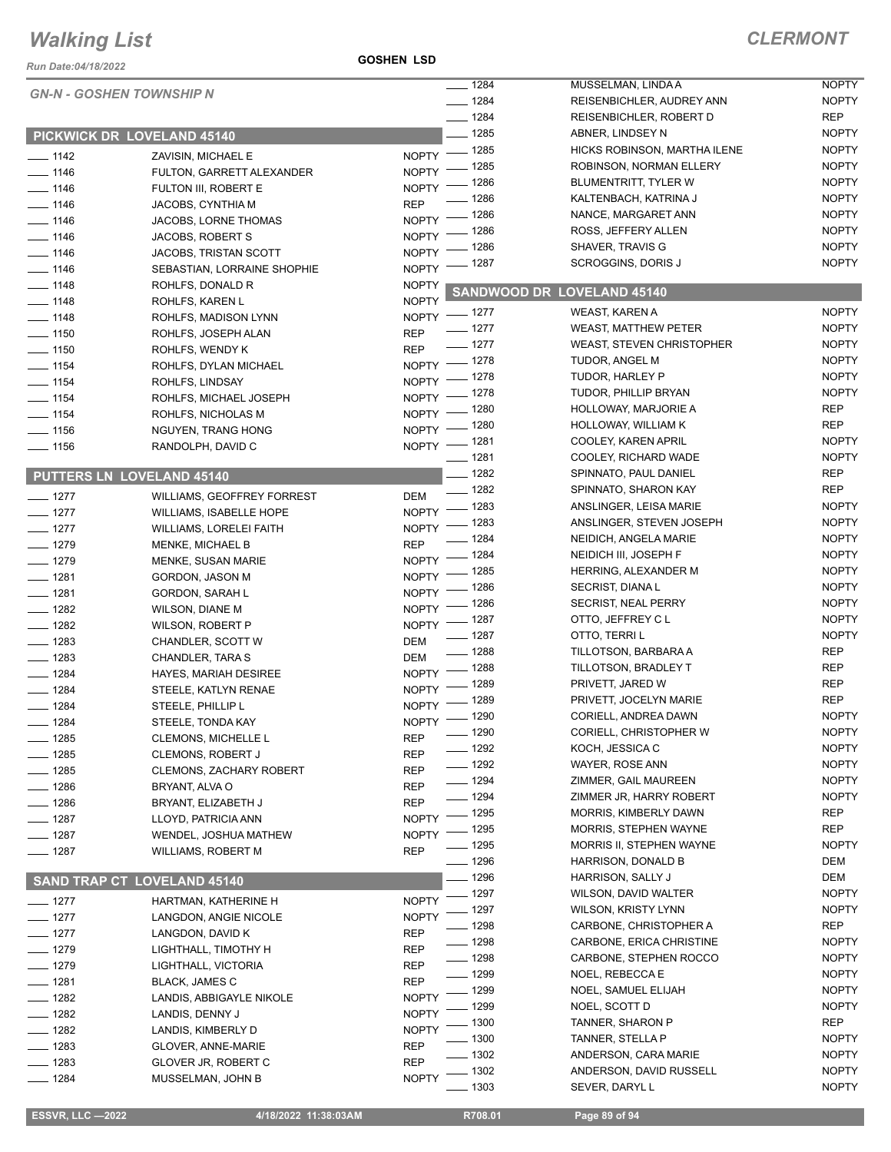#### *Run Date:04/18/2022*

#### **GOSHEN LSD**

|                    | <b>GN-N - GOSHEN TOWNSHIP N</b>    |                    | $- 1284$            | MUSSELMAN, LINDA A                        | <b>NOPTY</b>                 |
|--------------------|------------------------------------|--------------------|---------------------|-------------------------------------------|------------------------------|
|                    |                                    |                    | $- 1284$            | REISENBICHLER, AUDREY ANN                 | <b>NOPTY</b>                 |
|                    |                                    |                    | $- 1284$            | REISENBICHLER, ROBERT D                   | REP                          |
|                    | PICKWICK DR LOVELAND 45140         |                    | $- 1285$            | ABNER, LINDSEY N                          | <b>NOPTY</b>                 |
| $- 1142$           | ZAVISIN, MICHAEL E                 | NOPTY - 1285       |                     | HICKS ROBINSON, MARTHA ILENE              | <b>NOPTY</b>                 |
| $- 1146$           | FULTON, GARRETT ALEXANDER          | <b>NOPTY</b>       | $-1285$             | ROBINSON, NORMAN ELLERY                   | <b>NOPTY</b>                 |
| $- 1146$           | FULTON III, ROBERT E               | NOPTY <sup>-</sup> | _ 1286              | BLUMENTRITT, TYLER W                      | <b>NOPTY</b>                 |
| $\frac{1}{1146}$   | JACOBS, CYNTHIA M                  | <b>REP</b>         | $-1286$             | KALTENBACH, KATRINA J                     | <b>NOPTY</b>                 |
| $- 1146$           | JACOBS, LORNE THOMAS               | NOPTY - 1286       |                     | NANCE, MARGARET ANN                       | <b>NOPTY</b>                 |
| $- 1146$           | JACOBS, ROBERT S                   | NOPTY - 1286       |                     | ROSS, JEFFERY ALLEN                       | <b>NOPTY</b>                 |
| $- 1146$           | JACOBS, TRISTAN SCOTT              | NOPTY $^-$         | _ 1286              | SHAVER, TRAVIS G                          | <b>NOPTY</b>                 |
| $- 1146$           | SEBASTIAN, LORRAINE SHOPHIE        | NOPTY <sup>-</sup> | _ 1287              | SCROGGINS, DORIS J                        | <b>NOPTY</b>                 |
| $- 1148$           | ROHLFS, DONALD R                   | <b>NOPTY</b>       |                     | SANDWOOD DR LOVELAND 45140                |                              |
| $- 1148$           | ROHLFS, KAREN L                    | <b>NOPTY</b>       |                     |                                           |                              |
| $\frac{1}{2}$ 1148 | ROHLFS, MADISON LYNN               | NOPTY - 1277       |                     | WEAST, KAREN A                            | <b>NOPTY</b>                 |
| $\frac{1}{150}$    | ROHLFS, JOSEPH ALAN                | <b>REP</b>         | $- 1277$            | <b>WEAST, MATTHEW PETER</b>               | <b>NOPTY</b>                 |
| $- 1150$           | ROHLFS, WENDY K                    | <b>REP</b>         | $- 1277$            | <b>WEAST, STEVEN CHRISTOPHER</b>          | <b>NOPTY</b>                 |
| $\frac{1}{2}$ 1154 | ROHLFS, DYLAN MICHAEL              | NOPTY - 1278       |                     | TUDOR, ANGEL M                            | <b>NOPTY</b>                 |
| $\frac{1}{2}$ 1154 | ROHLFS, LINDSAY                    | NOPTY - 1278       |                     | TUDOR, HARLEY P                           | <b>NOPTY</b>                 |
| $- 1154$           | ROHLFS, MICHAEL JOSEPH             | NOPTY -            | _ 1278              | TUDOR, PHILLIP BRYAN                      | <b>NOPTY</b>                 |
| $- 1154$           | ROHLFS, NICHOLAS M                 | $NOPTY =$          | _ 1280              | HOLLOWAY, MARJORIE A                      | REP                          |
| $- 1156$           | NGUYEN, TRANG HONG                 | NOPTY - 1280       |                     | HOLLOWAY, WILLIAM K                       | <b>REP</b>                   |
| $\frac{1}{2}$ 1156 | RANDOLPH, DAVID C                  | NOPTY - 1281       |                     | COOLEY, KAREN APRIL                       | <b>NOPTY</b>                 |
|                    |                                    |                    | $- 1281$            | COOLEY, RICHARD WADE                      | <b>NOPTY</b>                 |
|                    | <b>PUTTERS LN LOVELAND 45140</b>   |                    | $- 1282$            | SPINNATO, PAUL DANIEL                     | REP                          |
| $- 1277$           | WILLIAMS, GEOFFREY FORREST         | DEM                | $- 1282$            | SPINNATO, SHARON KAY                      | <b>REP</b>                   |
| $- 1277$           | <b>WILLIAMS, ISABELLE HOPE</b>     | NOPTY -            | $-1283$             | ANSLINGER, LEISA MARIE                    | <b>NOPTY</b>                 |
| $- 1277$           | <b>WILLIAMS, LORELEI FAITH</b>     | <b>NOPTY</b>       | _ 1283              | ANSLINGER, STEVEN JOSEPH                  | <b>NOPTY</b>                 |
| $- 1279$           | <b>MENKE, MICHAEL B</b>            | <b>REP</b>         | $-1284$             | NEIDICH, ANGELA MARIE                     | <b>NOPTY</b>                 |
| $- 1279$           | <b>MENKE, SUSAN MARIE</b>          | NOPTY <sup>-</sup> | $-1284$             | NEIDICH III, JOSEPH F                     | <b>NOPTY</b>                 |
| $- 1281$           | GORDON, JASON M                    | NOPTY <sup>-</sup> | _ 1285              | HERRING, ALEXANDER M                      | <b>NOPTY</b>                 |
| $- 1281$           | <b>GORDON, SARAH L</b>             | <b>NOPTY</b>       | - 1286              | <b>SECRIST, DIANAL</b>                    | <b>NOPTY</b>                 |
| $- 1282$           | <b>WILSON, DIANE M</b>             | <b>NOPTY</b>       | $-1286$             | <b>SECRIST, NEAL PERRY</b>                | <b>NOPTY</b>                 |
| $- 1282$           | WILSON, ROBERT P                   | NOPTY -            | $-1287$             | OTTO, JEFFREY CL                          | <b>NOPTY</b>                 |
| $- 1283$           | CHANDLER, SCOTT W                  | DEM                | $-1287$             | OTTO, TERRI L                             | <b>NOPTY</b>                 |
| $\frac{1}{2}$ 1283 | CHANDLER, TARA S                   | DEM                | $- 1288$            | TILLOTSON, BARBARA A                      | <b>REP</b>                   |
| $- 1284$           | HAYES, MARIAH DESIREE              | NOPTY - 1288       |                     | TILLOTSON, BRADLEY T                      | <b>REP</b>                   |
| $- 1284$           | STEELE, KATLYN RENAE               | NOPTY - 1289       |                     | PRIVETT, JARED W                          | <b>REP</b>                   |
| $- 1284$           | STEELE, PHILLIP L                  | NOPTY -            | _ 1289              | PRIVETT, JOCELYN MARIE                    | REP                          |
| $- 1284$           | STEELE, TONDA KAY                  | NOPTY - 1290       |                     | CORIELL, ANDREA DAWN                      | <b>NOPTY</b>                 |
| —— 1285            | <b>CLEMONS, MICHELLE L</b>         | REP                | $- 1290$            | CORIELL, CHRISTOPHER W                    | <b>NOPTY</b>                 |
| $- 1285$           | <b>CLEMONS, ROBERT J</b>           | <b>REP</b>         | $- 1292$            | KOCH, JESSICA C                           | <b>NOPTY</b>                 |
| $- 1285$           | <b>CLEMONS, ZACHARY ROBERT</b>     | <b>REP</b>         | $- 1292$            | WAYER, ROSE ANN                           | <b>NOPTY</b>                 |
| $- 1286$           | BRYANT, ALVA O                     | <b>REP</b>         | $- 1294$            | ZIMMER, GAIL MAUREEN                      | <b>NOPTY</b>                 |
| $-1286$            | BRYANT, ELIZABETH J                | <b>REP</b>         | —— 1294             | ZIMMER JR, HARRY ROBERT                   | <b>NOPTY</b>                 |
| $- 1287$           | LLOYD, PATRICIA ANN                | <b>NOPTY</b>       | _ 1295              | MORRIS, KIMBERLY DAWN                     | REP                          |
| $- 1287$           | WENDEL, JOSHUA MATHEW              | <b>NOPTY</b>       | _ 1295              | <b>MORRIS, STEPHEN WAYNE</b>              | <b>REP</b>                   |
| $- 1287$           | WILLIAMS, ROBERT M                 | <b>REP</b>         | _ 1295              | MORRIS II, STEPHEN WAYNE                  | <b>NOPTY</b>                 |
|                    |                                    |                    | $-1296$             | HARRISON, DONALD B                        | DEM                          |
|                    | <b>SAND TRAP CT LOVELAND 45140</b> |                    | _ 1296<br>$-1297$   | HARRISON, SALLY J<br>WILSON, DAVID WALTER | DEM                          |
| $- 1277$           | HARTMAN, KATHERINE H               | <b>NOPTY</b>       | 1297                | <b>WILSON, KRISTY LYNN</b>                | <b>NOPTY</b><br><b>NOPTY</b> |
| $- 1277$           | LANGDON, ANGIE NICOLE              | <b>NOPTY</b>       |                     |                                           | REP                          |
| $- 1277$           | LANGDON, DAVID K                   | <b>REP</b>         | _ 1298              | CARBONE, CHRISTOPHER A                    | <b>NOPTY</b>                 |
| — 1279             | LIGHTHALL, TIMOTHY H               | <b>REP</b>         | _ 1298              | CARBONE, ERICA CHRISTINE                  |                              |
| $- 1279$           | LIGHTHALL, VICTORIA                | <b>REP</b>         | $-1298$<br>$- 1299$ | CARBONE, STEPHEN ROCCO<br>NOEL, REBECCA E | <b>NOPTY</b><br><b>NOPTY</b> |
| $- 1281$           | BLACK, JAMES C                     | <b>REP</b>         |                     |                                           |                              |
| $- 1282$           | LANDIS, ABBIGAYLE NIKOLE           | <b>NOPTY</b>       | $-1299$             | NOEL, SAMUEL ELIJAH                       | <b>NOPTY</b>                 |
| $- 1282$           | LANDIS, DENNY J                    | <b>NOPTY</b>       | _ 1299              | NOEL, SCOTT D                             | <b>NOPTY</b>                 |
| $-1282$            | LANDIS, KIMBERLY D                 | <b>NOPTY</b>       | - 1300              | TANNER, SHARON P                          | REP                          |
| $\frac{1}{2}$ 1283 | GLOVER, ANNE-MARIE                 | <b>REP</b>         | _ 1300              | TANNER, STELLA P                          | <b>NOPTY</b>                 |
| $- 1283$           | GLOVER JR, ROBERT C                | <b>REP</b>         | $-1302$             | ANDERSON, CARA MARIE                      | <b>NOPTY</b>                 |
| $- 1284$           | MUSSELMAN, JOHN B                  | <b>NOPTY</b>       | $-1302$             | ANDERSON, DAVID RUSSELL                   | <b>NOPTY</b>                 |
|                    |                                    |                    | $-1303$             | SEVER, DARYL L                            | <b>NOPTY</b>                 |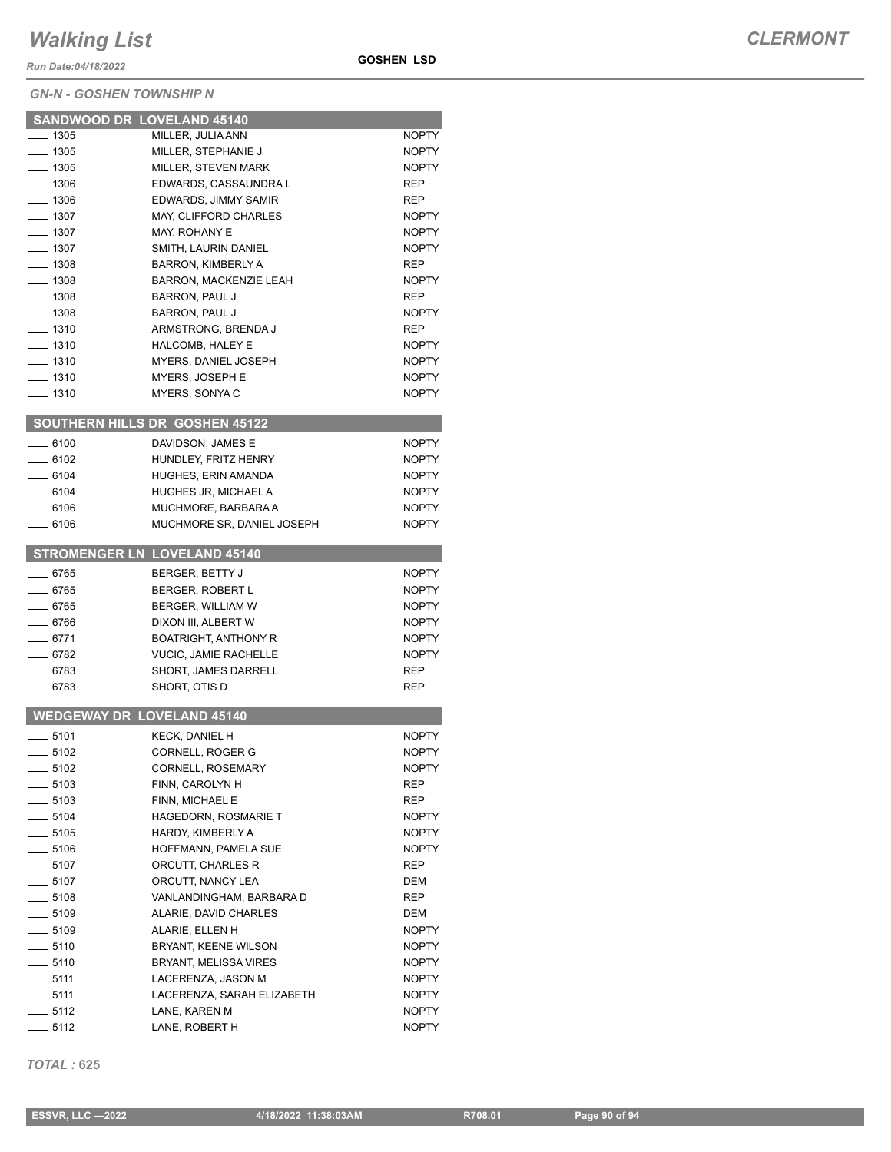*Run Date:04/18/2022*

#### *GN-N - GOSHEN TOWNSHIP N*

| $- 1305$           | SANDWOOD DR LOVELAND 45140<br>MILLER, JULIA ANN | <b>NOPTY</b> |
|--------------------|-------------------------------------------------|--------------|
| $- 1305$           | MILLER, STEPHANIE J                             | <b>NOPTY</b> |
| — 1305             | <b>MILLER, STEVEN MARK</b>                      | <b>NOPTY</b> |
| $- 1306$           | EDWARDS, CASSAUNDRA L                           | REP          |
| $- 1306$           | EDWARDS, JIMMY SAMIR                            | REP          |
| $- 1307$           | MAY, CLIFFORD CHARLES                           | <b>NOPTY</b> |
| $- 1307$           | MAY, ROHANY E                                   | <b>NOPTY</b> |
| $- 1307$           | SMITH, LAURIN DANIEL                            | <b>NOPTY</b> |
| $- 1308$           | <b>BARRON, KIMBERLY A</b>                       | REP          |
| $- 1308$           | <b>BARRON, MACKENZIE LEAH</b>                   | <b>NOPTY</b> |
| ____ 1308          | <b>BARRON, PAUL J</b>                           | REP          |
| $- 1308$           | BARRON, PAUL J                                  | <b>NOPTY</b> |
| $- 1310$           | ARMSTRONG, BRENDA J                             | <b>REP</b>   |
| ___ 1310           | HALCOMB, HALEY E                                | <b>NOPTY</b> |
| —— 1310            | MYERS, DANIEL JOSEPH                            | <b>NOPTY</b> |
| ___ 1310           | MYERS, JOSEPH E                                 | <b>NOPTY</b> |
| $-1310$            | MYERS, SONYA C                                  | <b>NOPTY</b> |
|                    |                                                 |              |
|                    | <b>SOUTHERN HILLS DR GOSHEN 45122</b>           |              |
| $-6100$            | DAVIDSON, JAMES E                               | <b>NOPTY</b> |
| $-6102$            | HUNDLEY, FRITZ HENRY                            | <b>NOPTY</b> |
| $\frac{1}{2}$ 6104 | HUGHES, ERIN AMANDA                             | <b>NOPTY</b> |
| $- 6104$           | HUGHES JR, MICHAEL A                            | <b>NOPTY</b> |
| ___ 6106           | MUCHMORE, BARBARA A                             | <b>NOPTY</b> |
| $-6106$            | MUCHMORE SR, DANIEL JOSEPH                      | <b>NOPTY</b> |
|                    |                                                 |              |
|                    | <b>STROMENGER LN LOVELAND 45140</b>             |              |
| $- 6765$           | BERGER, BETTY J                                 | <b>NOPTY</b> |
| $- 6765$           | <b>BERGER, ROBERT L</b>                         | <b>NOPTY</b> |
| $-6765$            | BERGER, WILLIAM W                               | <b>NOPTY</b> |
| — 6766             | DIXON III, ALBERT W                             | <b>NOPTY</b> |
| $-6771$            | <b>BOATRIGHT, ANTHONY R</b>                     | <b>NOPTY</b> |
| ___ 6782           | <b>VUCIC, JAMIE RACHELLE</b>                    | <b>NOPTY</b> |
| __ 6783            | SHORT, JAMES DARRELL                            | REP          |
| $-6783$            | SHORT, OTIS D                                   | REP          |
|                    |                                                 |              |
|                    | <b>WEDGEWAY DR LOVELAND 45140</b>               |              |
| $-5101$            | <b>KECK. DANIEL H</b>                           | <b>NOPTY</b> |
| $-5102$            | CORNELL, ROGER G                                | <b>NOPTY</b> |
| ____ 5102          | CORNELL, ROSEMARY                               | <b>NOPTY</b> |
| $-5103$            | FINN, CAROLYN H                                 | REP          |
| $- 5103$           | FINN, MICHAEL E                                 | REP          |
| $- 5104$           | <b>HAGEDORN, ROSMARIE T</b>                     | <b>NOPTY</b> |
| $\frac{1}{2}$ 5105 | HARDY, KIMBERLY A                               | <b>NOPTY</b> |
| $\frac{1}{2}$ 5106 | HOFFMANN, PAMELA SUE                            | <b>NOPTY</b> |
| $-5107$            | ORCUTT. CHARLES R                               | REP          |
| $\frac{1}{2}$ 5107 | ORCUTT, NANCY LEA                               | DEM          |
| $-5108$            | VANLANDINGHAM, BARBARA D                        | REP          |
| $-5109$            | ALARIE, DAVID CHARLES                           | DEM          |
| $\frac{1}{2}$ 5109 | ALARIE, ELLEN H                                 | <b>NOPTY</b> |
| $-5110$            | BRYANT, KEENE WILSON                            | <b>NOPTY</b> |
| $-5110$            | <b>BRYANT, MELISSA VIRES</b>                    | <b>NOPTY</b> |
| $-5111$            | LACERENZA, JASON M                              | <b>NOPTY</b> |
| $-5111$            | LACERENZA, SARAH ELIZABETH                      | <b>NOPTY</b> |
| $-5112$            | LANE, KAREN M                                   | <b>NOPTY</b> |
| $-5112$            | LANE, ROBERT H                                  | <b>NOPTY</b> |

*TOTAL :* **625**

**ESSVR, LLC —2022 4/18/2022 11:38:03AM** R708.01 **Page 90 of 94**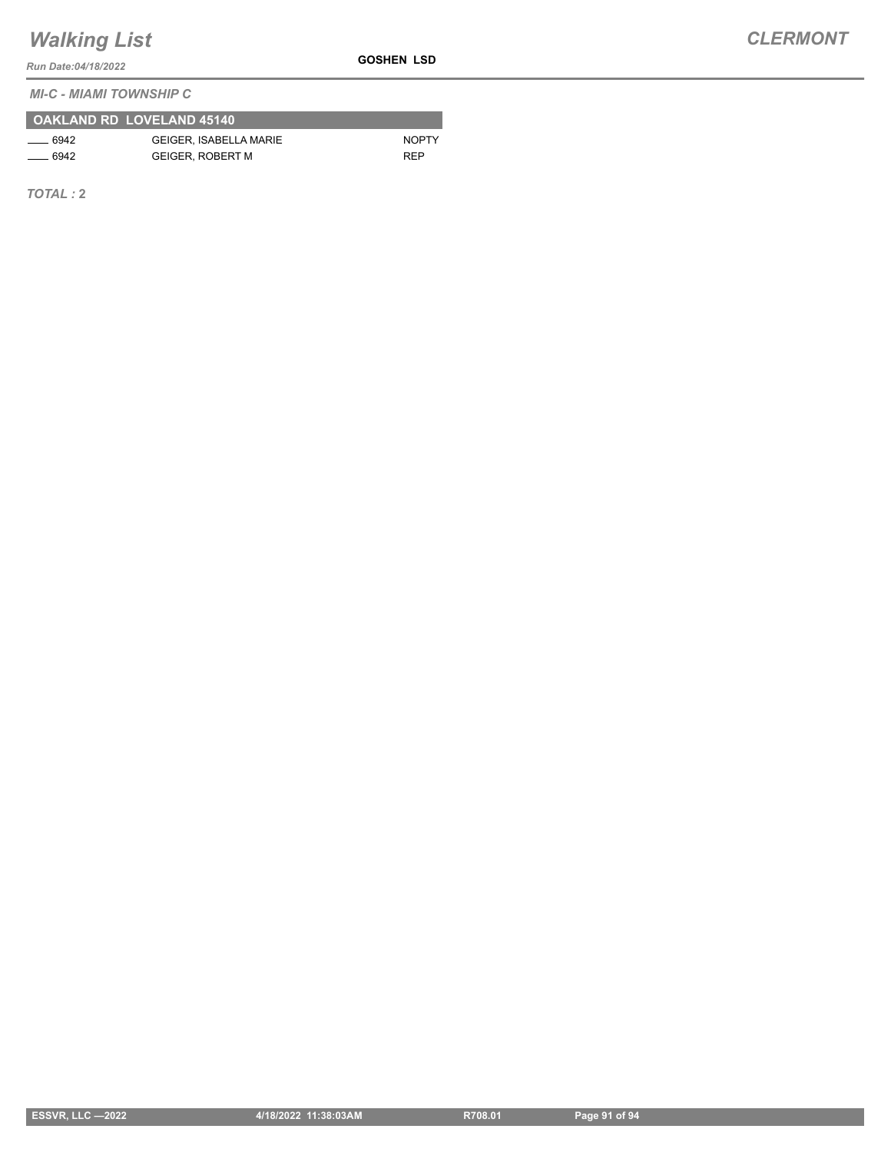**GOSHEN LSD**

*Run Date:04/18/2022*

*MI-C - MIAMI TOWNSHIP C*

|         | OAKLAND RD LOVELAND 45140     |              |
|---------|-------------------------------|--------------|
| $-6942$ | <b>GEIGER. ISABELLA MARIE</b> | <b>NOPTY</b> |
| $-6942$ | <b>GEIGER, ROBERT M</b>       | <b>RFP</b>   |

*TOTAL :* **2**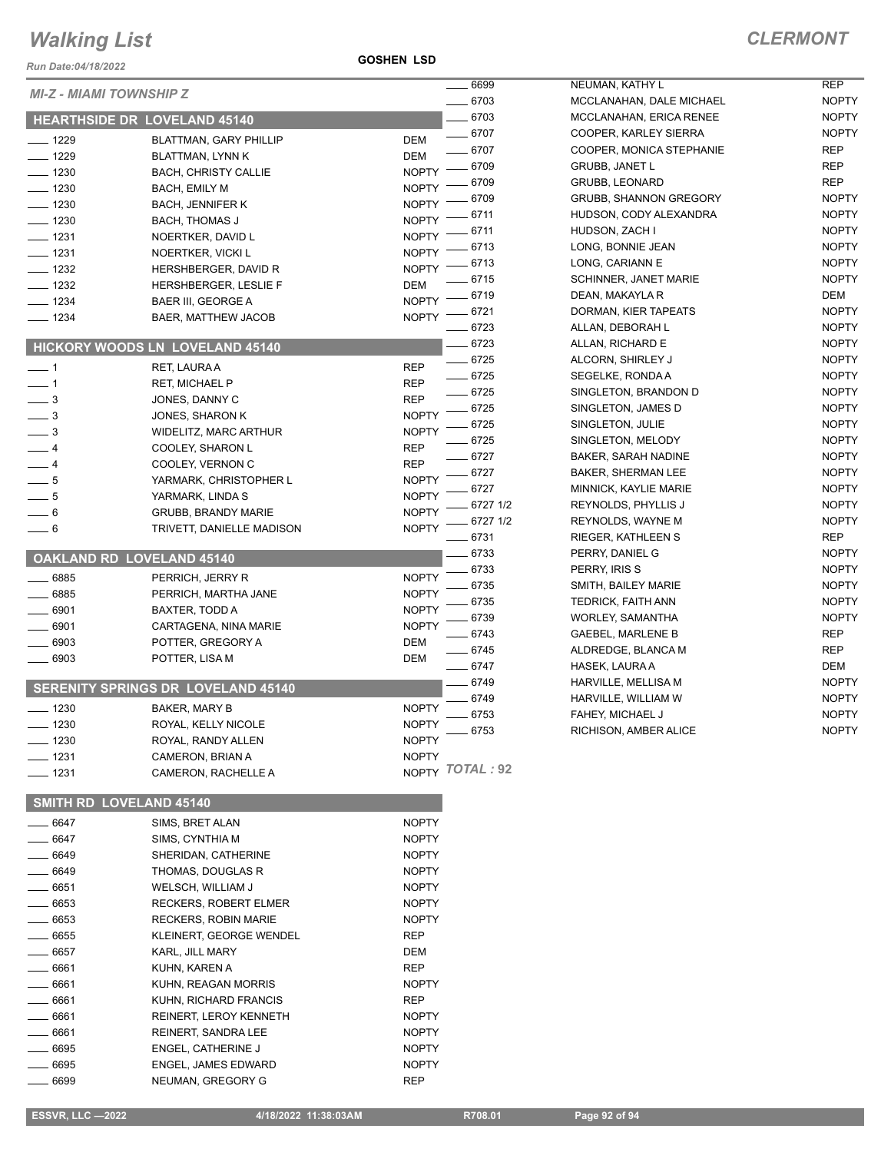*Run Date:04/18/2022*

**GOSHEN LSD**

NOPTY NOPTY NOPTY

NOPTY

|                                |                                     |                 | $- 6699$    | NEUMAN, KATHY L               | <b>REP</b>   |
|--------------------------------|-------------------------------------|-----------------|-------------|-------------------------------|--------------|
| <b>MI-Z - MIAMI TOWNSHIP Z</b> |                                     |                 | $- 6703$    | MCCLANAHAN, DALE MICHAEL      | <b>NOPTY</b> |
|                                | <b>HEARTHSIDE DR LOVELAND 45140</b> |                 | $- 6703$    | MCCLANAHAN, ERICA RENEE       | <b>NOPTY</b> |
| $- 1229$                       | <b>BLATTMAN, GARY PHILLIP</b>       | DEM             | $- 6707$    | COOPER, KARLEY SIERRA         | <b>NOPTY</b> |
| $- 1229$                       | BLATTMAN, LYNN K                    | DEM             | $- 6707$    | COOPER, MONICA STEPHANIE      | <b>REP</b>   |
| $- 1230$                       | <b>BACH, CHRISTY CALLIE</b>         | <b>NOPTY</b>    | $- 6709$    | <b>GRUBB, JANET L</b>         | REP          |
| $- 1230$                       | BACH, EMILY M                       | <b>NOPTY</b>    | 6709        | <b>GRUBB, LEONARD</b>         | <b>REP</b>   |
| $- 1230$                       | <b>BACH, JENNIFER K</b>             | <b>NOPTY</b>    | 6709        | <b>GRUBB, SHANNON GREGORY</b> | <b>NOPTY</b> |
| $- 1230$                       | <b>BACH, THOMAS J</b>               | <b>NOPTY</b>    | 6711        | HUDSON, CODY ALEXANDRA        | <b>NOPTY</b> |
| $\frac{1}{2}$ 1231             | NOERTKER, DAVID L                   | $N$ OPTY $-$    | - 6711      | HUDSON, ZACH I                | <b>NOPTY</b> |
| $- 1231$                       | NOERTKER, VICKI L                   | $N$ OPTY $-$    | 6713        | LONG, BONNIE JEAN             | <b>NOPTY</b> |
| $- 1232$                       | HERSHBERGER, DAVID R                | $N$ OPTY -      | - 6713      | LONG, CARIANN E               | <b>NOPTY</b> |
| $\frac{1}{2}$ 1232             | HERSHBERGER, LESLIE F               | <b>DEM</b>      | $-6715$     | SCHINNER, JANET MARIE         | <b>NOPTY</b> |
| $- 1234$                       | <b>BAER III, GEORGE A</b>           | NOPTY - 6719    |             | DEAN, MAKAYLA R               | DEM          |
| $- 1234$                       | BAER, MATTHEW JACOB                 | <b>NOPTY</b>    | $- 6721$    | DORMAN, KIER TAPEATS          | <b>NOPTY</b> |
|                                |                                     |                 | $- 6723$    | ALLAN, DEBORAH L              | <b>NOPTY</b> |
|                                | HICKORY WOODS LN LOVELAND 45140     |                 | $- 6723$    | ALLAN, RICHARD E              | <b>NOPTY</b> |
| $\overline{\phantom{0}}$ 1     | RET, LAURA A                        | <b>REP</b>      | $- 6725$    | ALCORN, SHIRLEY J             | <b>NOPTY</b> |
| $\overline{\phantom{0}}$ 1     | <b>RET, MICHAEL P</b>               | <b>REP</b>      | $- 6725$    | SEGELKE, RONDA A              | <b>NOPTY</b> |
| $\frac{1}{2}$                  | JONES, DANNY C                      | <b>REP</b>      | $- 6725$    | SINGLETON, BRANDON D          | <b>NOPTY</b> |
| $\frac{1}{2}$                  | JONES, SHARON K                     | <b>NOPTY</b>    | $- 6725$    | SINGLETON, JAMES D            | <b>NOPTY</b> |
| $\frac{1}{2}$                  | WIDELITZ, MARC ARTHUR               | <b>NOPTY</b>    | $-6725$     | SINGLETON, JULIE              | <b>NOPTY</b> |
| $-4$                           | COOLEY, SHARON L                    | <b>REP</b>      | $- 6725$    | SINGLETON, MELODY             | <b>NOPTY</b> |
| $-4$                           | COOLEY, VERNON C                    | <b>REP</b>      | $- 6727$    | <b>BAKER, SARAH NADINE</b>    | <b>NOPTY</b> |
| $\frac{1}{\sqrt{2}}$           | YARMARK, CHRISTOPHER L              | <b>NOPTY</b>    | $- 6727$    | <b>BAKER, SHERMAN LEE</b>     | <b>NOPTY</b> |
| $-5$                           | YARMARK, LINDA S                    | <b>NOPTY</b>    | $- 6727$    | MINNICK, KAYLIE MARIE         | <b>NOPTY</b> |
| $-6$                           | <b>GRUBB, BRANDY MARIE</b>          | <b>NOPTY</b>    | $-6727$ 1/2 | REYNOLDS, PHYLLIS J           | <b>NOPTY</b> |
| $-6$                           | TRIVETT, DANIELLE MADISON           | <b>NOPTY</b>    | $-67271/2$  | REYNOLDS, WAYNE M             | <b>NOPTY</b> |
|                                |                                     |                 | $- 6731$    | RIEGER, KATHLEEN S            | <b>REP</b>   |
|                                | <b>OAKLAND RD LOVELAND 45140</b>    |                 | $-6733$     | PERRY, DANIEL G               | <b>NOPTY</b> |
| $\frac{1}{2}$ 6885             | PERRICH, JERRY R                    | <b>NOPTY</b>    | 6733        | PERRY, IRIS S                 | <b>NOPTY</b> |
| $- 6885$                       | PERRICH, MARTHA JANE                | <b>NOPTY</b>    | 6735        | SMITH, BAILEY MARIE           | <b>NOPTY</b> |
| $- 6901$                       | BAXTER, TODD A                      | <b>NOPTY</b>    | 6735        | TEDRICK, FAITH ANN            | <b>NOPTY</b> |
| $- 6901$                       | CARTAGENA, NINA MARIE               | <b>NOPTY</b>    | 6739        | <b>WORLEY, SAMANTHA</b>       | <b>NOPTY</b> |
| $- 6903$                       | POTTER, GREGORY A                   | DEM             | $- 6743$    | <b>GAEBEL, MARLENE B</b>      | <b>REP</b>   |
| $- 6903$                       | POTTER, LISA M                      | DEM             | $- 6745$    | ALDREDGE, BLANCA M            | <b>REP</b>   |
|                                |                                     |                 | $- 6747$    | HASEK, LAURA A                | DEM          |
|                                | SERENITY SPRINGS DR LOVELAND 45140  |                 | $-6749$     | HARVILLE, MELLISA M           | <b>NOPTY</b> |
| $- 1230$                       | BAKER, MARY B                       | <b>NOPTY</b>    | 6749        | HARVILLE, WILLIAM W           | <b>NOPTY</b> |
| $- 1230$                       | ROYAL, KELLY NICOLE                 | <b>NOPTY</b>    | $- 6753$    | FAHEY, MICHAEL J              | <b>NOPTY</b> |
| $- 1230$                       | ROYAL, RANDY ALLEN                  | <b>NOPTY</b>    | $-6753$     | RICHISON, AMBER ALICE         | <b>NOPTY</b> |
| $- 1231$                       | CAMERON, BRIAN A                    | <b>NOPTY</b>    |             |                               |              |
| $- 1231$                       | CAMERON, RACHELLE A                 | NOPTY TOTAL: 92 |             |                               |              |
|                                |                                     |                 |             |                               |              |
|                                | SMITH RD LOVELAND 45140             |                 |             |                               |              |
| ____ 6647                      | SIMS, BRET ALAN                     | <b>NOPTY</b>    |             |                               |              |
| $\frac{1}{2}$ 6647             | SIMS, CYNTHIA M                     | <b>NOPTY</b>    |             |                               |              |
| ____ 6649                      | SHERIDAN, CATHERINE                 | <b>NOPTY</b>    |             |                               |              |
| _ 6649                         | THOMAS, DOUGLAS R                   | <b>NOPTY</b>    |             |                               |              |
| __ 6651                        | WELSCH, WILLIAM J                   | <b>NOPTY</b>    |             |                               |              |
| $- 6653$                       | RECKERS, ROBERT ELMER               | <b>NOPTY</b>    |             |                               |              |
| ____ 6653                      | RECKERS, ROBIN MARIE                | <b>NOPTY</b>    |             |                               |              |
| $- 6655$                       | KLEINERT, GEORGE WENDEL             | <b>REP</b>      |             |                               |              |
| $\frac{1}{2}$ 6657             | KARL, JILL MARY                     | DEM             |             |                               |              |
| $- 6661$                       | KUHN, KAREN A                       | <b>REP</b>      |             |                               |              |
| ____ 6661                      | KUHN, REAGAN MORRIS                 | <b>NOPTY</b>    |             |                               |              |
| __ 6661                        | KUHN, RICHARD FRANCIS               | REP             |             |                               |              |
| $- 6661$                       | REINERT, LEROY KENNETH              | <b>NOPTY</b>    |             |                               |              |
| _ 6661                         | REINERT, SANDRA LEE                 | <b>NOPTY</b>    |             |                               |              |
| . 6695                         | ENGEL, CATHERINE J                  | <b>NOPTY</b>    |             |                               |              |
| - 6695                         | ENGEL, JAMES EDWARD                 | <b>NOPTY</b>    |             |                               |              |
| 6699                           | NEUMAN, GREGORY G                   | <b>REP</b>      |             |                               |              |
|                                |                                     |                 |             |                               |              |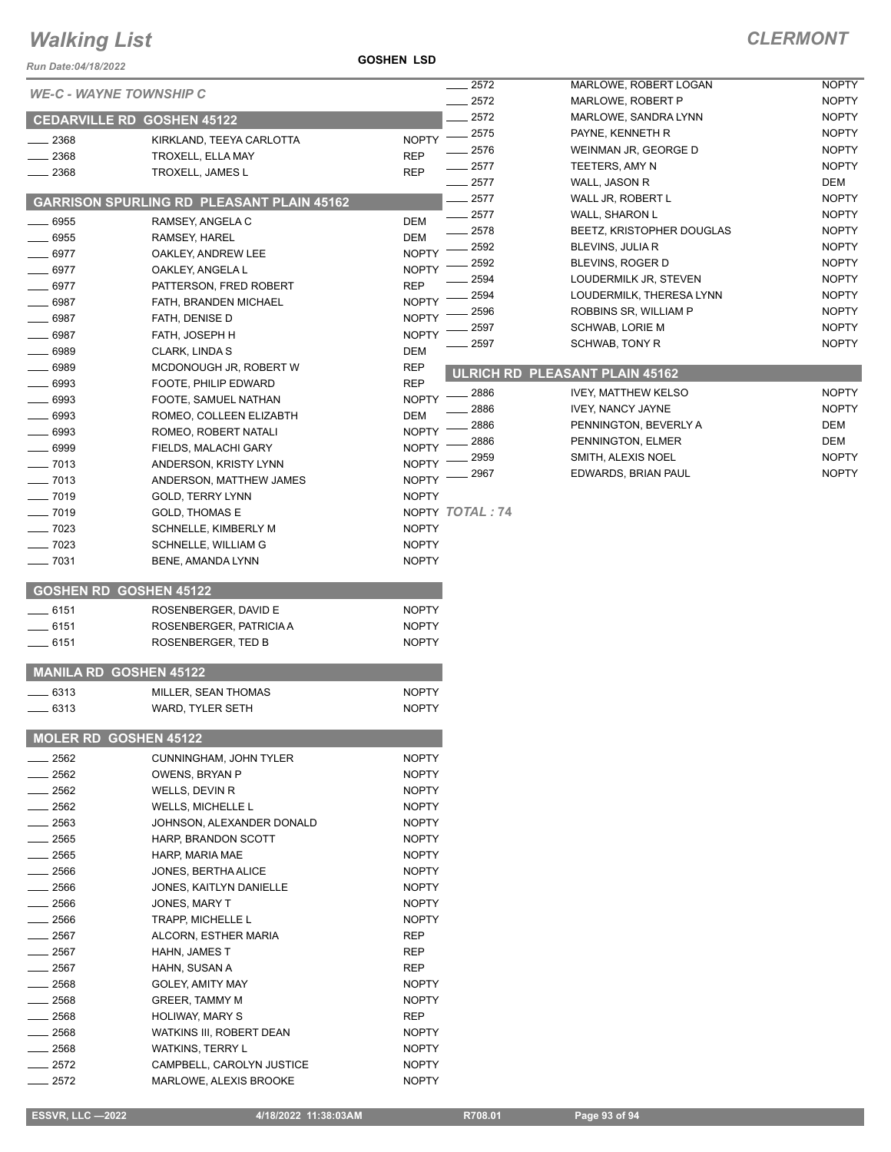#### **GOSHEN LSD**

| Run Date:04/18/2022            |                                                | <b>GOSHEN LSD</b>            |                 |                                       |                     |
|--------------------------------|------------------------------------------------|------------------------------|-----------------|---------------------------------------|---------------------|
| <b>WE-C - WAYNE TOWNSHIP C</b> |                                                |                              | 2572            | MARLOWE, ROBERT LOGAN                 | <b>NOPTY</b>        |
|                                |                                                |                              | 2572            | MARLOWE, ROBERT P                     | <b>NOPTY</b>        |
|                                | <b>CEDARVILLE RD GOSHEN 45122</b>              |                              | 2572            | MARLOWE, SANDRA LYNN                  | <b>NOPTY</b>        |
| 2368                           | KIRKLAND, TEEYA CARLOTTA                       | <b>NOPTY</b>                 | 2575            | PAYNE, KENNETH R                      | <b>NOPTY</b>        |
| 2368                           | TROXELL, ELLA MAY                              | <b>REP</b>                   | 2576            | WEINMAN JR, GEORGE D                  | <b>NOPTY</b>        |
| 2368                           | TROXELL, JAMES L                               | <b>REP</b>                   | 2577            | TEETERS, AMY N                        | <b>NOPTY</b>        |
|                                |                                                |                              | 2577<br>2577    | WALL, JASON R<br>WALL JR, ROBERT L    | DEM<br><b>NOPTY</b> |
|                                | GARRISON SPURLING RD PLEASANT PLAIN 45162      |                              | 2577            | WALL, SHARON L                        | <b>NOPTY</b>        |
| 6955                           | RAMSEY, ANGELA C                               | DEM                          | 2578            | BEETZ, KRISTOPHER DOUGLAS             | <b>NOPTY</b>        |
| 6955                           | RAMSEY, HAREL                                  | <b>DEM</b>                   | 2592            | BLEVINS, JULIA R                      | <b>NOPTY</b>        |
| 6977                           | OAKLEY, ANDREW LEE                             | <b>NOPTY</b>                 | 2592            | BLEVINS, ROGER D                      | <b>NOPTY</b>        |
| 6977                           | OAKLEY, ANGELA L                               | <b>NOPTY</b>                 | 2594            | LOUDERMILK JR, STEVEN                 | <b>NOPTY</b>        |
| 6977                           | PATTERSON, FRED ROBERT                         | <b>REP</b>                   | 2594            | LOUDERMILK, THERESA LYNN              | <b>NOPTY</b>        |
| 6987                           | FATH, BRANDEN MICHAEL                          | <b>NOPTY</b>                 | 2596            | ROBBINS SR, WILLIAM P                 | <b>NOPTY</b>        |
| 6987                           | FATH, DENISE D                                 | <b>NOPTY</b>                 | 2597            | <b>SCHWAB, LORIE M</b>                | <b>NOPTY</b>        |
| 6987                           | FATH, JOSEPH H                                 | <b>NOPTY</b>                 | 2597            | SCHWAB, TONY R                        | <b>NOPTY</b>        |
| 6989                           | CLARK, LINDA S                                 | DEM                          |                 |                                       |                     |
| 6989<br>6993                   | MCDONOUGH JR, ROBERT W                         | <b>REP</b><br><b>REP</b>     |                 | <b>ULRICH RD PLEASANT PLAIN 45162</b> |                     |
| 6993                           | FOOTE, PHILIP EDWARD<br>FOOTE, SAMUEL NATHAN   | <b>NOPTY</b>                 | 2886            | <b>IVEY, MATTHEW KELSO</b>            | <b>NOPTY</b>        |
| 6993                           | ROMEO, COLLEEN ELIZABTH                        | DEM                          | 2886            | <b>IVEY, NANCY JAYNE</b>              | <b>NOPTY</b>        |
| 6993                           | ROMEO, ROBERT NATALI                           | <b>NOPTY</b>                 | 2886            | PENNINGTON, BEVERLY A                 | DEM                 |
| 6999                           | FIELDS, MALACHI GARY                           | <b>NOPTY</b>                 | 2886            | PENNINGTON, ELMER                     | <b>DEM</b>          |
| 7013                           | ANDERSON, KRISTY LYNN                          | <b>NOPTY</b>                 | 2959            | SMITH, ALEXIS NOEL                    | <b>NOPTY</b>        |
| 7013                           | ANDERSON, MATTHEW JAMES                        | <b>NOPTY</b>                 | 2967            | EDWARDS, BRIAN PAUL                   | <b>NOPTY</b>        |
| 7019                           | <b>GOLD, TERRY LYNN</b>                        | <b>NOPTY</b>                 |                 |                                       |                     |
| $-7019$                        | <b>GOLD, THOMAS E</b>                          |                              | NOPTY TOTAL: 74 |                                       |                     |
| $-7023$                        | SCHNELLE, KIMBERLY M                           | <b>NOPTY</b>                 |                 |                                       |                     |
| $-7023$                        | SCHNELLE, WILLIAM G                            | <b>NOPTY</b>                 |                 |                                       |                     |
| 7031                           | BENE, AMANDA LYNN                              | <b>NOPTY</b>                 |                 |                                       |                     |
| <b>GOSHEN RD GOSHEN 45122</b>  |                                                |                              |                 |                                       |                     |
| $-6151$                        | ROSENBERGER, DAVID E                           | <b>NOPTY</b>                 |                 |                                       |                     |
| $-6151$                        | ROSENBERGER, PATRICIA A                        | <b>NOPTY</b>                 |                 |                                       |                     |
| ____ 6151                      | ROSENBERGER, TED B                             | <b>NOPTY</b>                 |                 |                                       |                     |
| <b>MANILA RD GOSHEN 45122</b>  |                                                |                              |                 |                                       |                     |
| 6313                           | MILLER, SEAN THOMAS                            | <b>NOPTY</b>                 |                 |                                       |                     |
| $-6313$                        | WARD, TYLER SETH                               | <b>NOPTY</b>                 |                 |                                       |                     |
|                                |                                                |                              |                 |                                       |                     |
| <b>MOLER RD GOSHEN 45122</b>   |                                                |                              |                 |                                       |                     |
| 2562                           | CUNNINGHAM, JOHN TYLER                         | <b>NOPTY</b>                 |                 |                                       |                     |
| 2562                           | OWENS, BRYAN P                                 | <b>NOPTY</b>                 |                 |                                       |                     |
| 2562                           | WELLS, DEVIN R                                 | <b>NOPTY</b>                 |                 |                                       |                     |
| 2562<br>2563                   | WELLS, MICHELLE L<br>JOHNSON, ALEXANDER DONALD | <b>NOPTY</b><br><b>NOPTY</b> |                 |                                       |                     |
| 2565                           | HARP, BRANDON SCOTT                            | <b>NOPTY</b>                 |                 |                                       |                     |
| 2565                           | HARP, MARIA MAE                                | <b>NOPTY</b>                 |                 |                                       |                     |
| 2566                           | JONES, BERTHA ALICE                            | <b>NOPTY</b>                 |                 |                                       |                     |
| 2566                           | JONES, KAITLYN DANIELLE                        | <b>NOPTY</b>                 |                 |                                       |                     |
| 2566                           | JONES, MARY T                                  | <b>NOPTY</b>                 |                 |                                       |                     |
| 2566                           | TRAPP, MICHELLE L                              | <b>NOPTY</b>                 |                 |                                       |                     |
| 2567                           | ALCORN, ESTHER MARIA                           | <b>REP</b>                   |                 |                                       |                     |
| _ 2567                         | HAHN, JAMES T                                  | REP                          |                 |                                       |                     |
| 2567                           | HAHN, SUSAN A                                  | <b>REP</b>                   |                 |                                       |                     |
| 2568                           | GOLEY, AMITY MAY                               | <b>NOPTY</b>                 |                 |                                       |                     |
| 2568                           | GREER, TAMMY M                                 | <b>NOPTY</b>                 |                 |                                       |                     |
| 2568                           | <b>HOLIWAY, MARY S</b>                         | <b>REP</b>                   |                 |                                       |                     |
| 2568                           | WATKINS III, ROBERT DEAN                       | <b>NOPTY</b>                 |                 |                                       |                     |
| 2568                           | <b>WATKINS, TERRY L</b>                        | <b>NOPTY</b>                 |                 |                                       |                     |
| 2572                           | CAMPBELL, CAROLYN JUSTICE                      | <b>NOPTY</b>                 |                 |                                       |                     |
| 2572                           | MARLOWE, ALEXIS BROOKE                         | <b>NOPTY</b>                 |                 |                                       |                     |